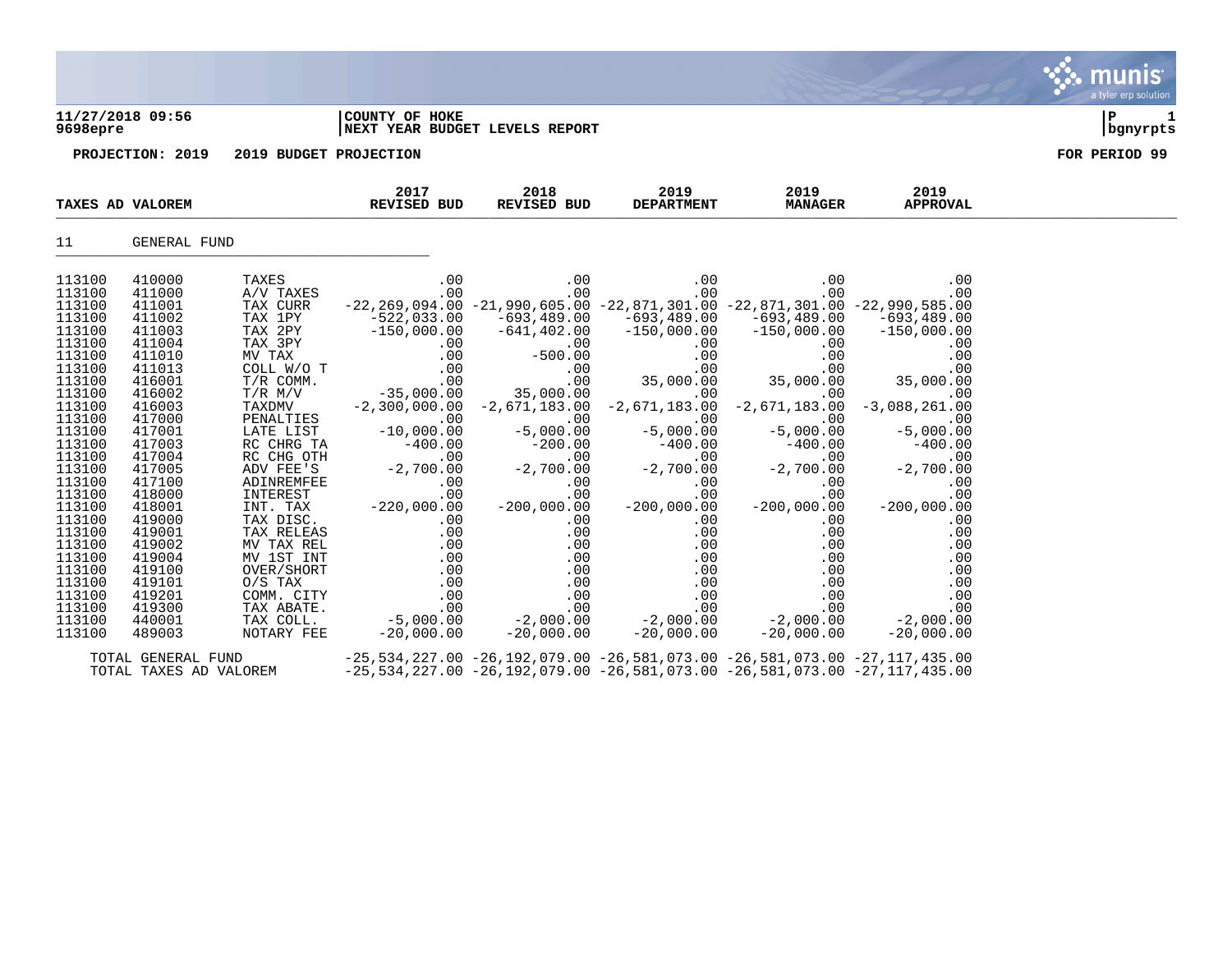| 11/27/2018 09:56<br>9698epre                                                                                                                                                                                                                                               |                                                                                                                                                                                                                                                                            |                                                                                                                                                                                                                                                                                                                                                                             | COUNTY OF HOKE<br>NEXT YEAR BUDGET LEVELS REPORT                                                                                                                                                                                                                                                                                                                                                                                                                                                                                                                                                                                                                                                                                                                                                                             | ΙP<br>bgnyrpts                         |                                                                                                                                                                                                                 |                                                                                                                                                                                                 |                                                                                                                                                                                                                                                                                                                                                                                                                  |               |
|----------------------------------------------------------------------------------------------------------------------------------------------------------------------------------------------------------------------------------------------------------------------------|----------------------------------------------------------------------------------------------------------------------------------------------------------------------------------------------------------------------------------------------------------------------------|-----------------------------------------------------------------------------------------------------------------------------------------------------------------------------------------------------------------------------------------------------------------------------------------------------------------------------------------------------------------------------|------------------------------------------------------------------------------------------------------------------------------------------------------------------------------------------------------------------------------------------------------------------------------------------------------------------------------------------------------------------------------------------------------------------------------------------------------------------------------------------------------------------------------------------------------------------------------------------------------------------------------------------------------------------------------------------------------------------------------------------------------------------------------------------------------------------------------|----------------------------------------|-----------------------------------------------------------------------------------------------------------------------------------------------------------------------------------------------------------------|-------------------------------------------------------------------------------------------------------------------------------------------------------------------------------------------------|------------------------------------------------------------------------------------------------------------------------------------------------------------------------------------------------------------------------------------------------------------------------------------------------------------------------------------------------------------------------------------------------------------------|---------------|
|                                                                                                                                                                                                                                                                            | PROJECTION: 2019                                                                                                                                                                                                                                                           | 2019 BUDGET PROJECTION                                                                                                                                                                                                                                                                                                                                                      |                                                                                                                                                                                                                                                                                                                                                                                                                                                                                                                                                                                                                                                                                                                                                                                                                              |                                        |                                                                                                                                                                                                                 |                                                                                                                                                                                                 |                                                                                                                                                                                                                                                                                                                                                                                                                  | FOR PERIOD 99 |
| TAXES AD VALOREM                                                                                                                                                                                                                                                           |                                                                                                                                                                                                                                                                            |                                                                                                                                                                                                                                                                                                                                                                             | 2017<br>REVISED BUD                                                                                                                                                                                                                                                                                                                                                                                                                                                                                                                                                                                                                                                                                                                                                                                                          | 2018<br>REVISED BUD                    | 2019<br><b>DEPARTMENT</b>                                                                                                                                                                                       | 2019<br><b>MANAGER</b>                                                                                                                                                                          | 2019<br><b>APPROVAL</b>                                                                                                                                                                                                                                                                                                                                                                                          |               |
| 11                                                                                                                                                                                                                                                                         | GENERAL FUND                                                                                                                                                                                                                                                               |                                                                                                                                                                                                                                                                                                                                                                             |                                                                                                                                                                                                                                                                                                                                                                                                                                                                                                                                                                                                                                                                                                                                                                                                                              |                                        |                                                                                                                                                                                                                 |                                                                                                                                                                                                 |                                                                                                                                                                                                                                                                                                                                                                                                                  |               |
| 113100<br>113100<br>113100<br>113100<br>113100<br>113100<br>113100<br>113100<br>113100<br>113100<br>113100<br>113100<br>113100<br>113100<br>113100<br>113100<br>113100<br>113100<br>113100<br>113100<br>113100<br>113100<br>113100<br>113100<br>113100<br>113100<br>113100 | 410000<br>411000<br>411001<br>411002<br>411003<br>411004<br>411010<br>411013<br>416001<br>416002<br>416003<br>417000<br>417001<br>417003<br>417004<br>417005<br>417100<br>418000<br>418001<br>419000<br>419001<br>419002<br>419004<br>419100<br>419101<br>419201<br>419300 | TAXES<br>A/V TAXES<br>TAX CURR<br>TAX 1PY<br>TAX 2PY<br>TAX 3PY<br>MV TAX<br>COLL W/O T<br>T/R COMM.<br>T/R M/V<br>TAXDMV<br>PENALTIES<br>LATE LIST<br>RC CHRG TA<br>RC CHG OTH<br>ADV FEE'S<br>ADINREMFE)<br>INTEREST<br>INT. TAX<br>TAX DISC.<br>TAX RELEAS<br>MV TAX REL<br>MV 1ST INT<br>OVER/SHORT<br>$O/S$ TAX<br>COMM. CITY<br>TAX ABATE.<br>TAX ABATE.<br>TAX COLL. | .00<br>.00<br>$\begin{bmatrix} -22,033,00 & -21,930,00 & -22,033,00 & -22,033,00 & -693,489,00 & -693,489,00 & -693,489,00 & -693,489,00 & -693,489,00 & -693,489,00 & -693,489,00 & -693,489,00 & -693,489,00 & -693,489,00 & -693,489,00 & -693,489,00 & -693,489,00 & -693,489,00 & -6$<br>$-35,000.00$<br>T/K FL/V<br>TAXDMV -2,300,000.00<br>PENALTIES -10,000.00<br>TATE T.IST -10,000.00<br>RC CHRG TA $-400.00$<br>RC CHG OTH $0$<br>ADV FEE'S $-2,700.00$<br>ADINREMFEE $0$<br>INTEREST $0$<br>$\begin{array}{cccc} \text{CE} & 0.00 & 0.00 & 0.00 \ \text{LSE} & 0.00 & 0.00 & 0.00 & 0.00 \ \text{MS} & 0.00 & 0.00 & 0.00 & 0.00 \ \text{LSE} & 0.00 & 0.00 & 0.00 & 0.00 \ \text{LTE} & 0.00 & 0.00 & 0.00 & 0.00 \ \text{CFT} & 0.00 & 0.00 & 0.00 & 0.00 \ \text{CFE} & -5,000.00 & -2,000.00 & 0.00 \ \text$ | .00<br>.00<br>35,000.00<br>$-5,000.00$ | .00<br>.00<br>$-22, 269, 094.00 -21, 990, 605.00 -22, 871, 301.00 -22, 871, 301.00 -22, 990, 585.00$<br>$-2,300,000.00 -2,671,183.00 -2,671,183.00 -2,671,183.00$<br>$-5,000.00$<br>$-200,000.00$<br>.00<br>.00 | .00<br>.00<br>$-21$<br>35,00<br>.00<br>$-5,000.00$<br>$-200,000.00$<br>.00<br>.00<br>.00<br>.00<br>.00<br>$\begin{array}{r} .00\ 0.00\ .00\ .00\ -2\, ,000\, .00\ -2\, ,000\, .00\ \end{array}$ | .00<br>.00<br>.00<br>$-3,088,261.00$<br>$-5,000.00$<br>$\begin{bmatrix} -400.00 & -200.00 & -200.00 & -400.00 & -400.00 & -400.00 \ -2,700.00 & -2,700.00 & -2,700.00 & -2,700.00 \ 0 & 0 & 0 & 0 & 0 \ 0 & 0 & 0 & 0 & 0 \ 0 & 0 & 0 & 0 & 0 \ 0 & 0 & 0 & 0 & 0 \ \end{bmatrix}$<br>$-200,000.00$<br>.00<br>.00<br>.00<br>.00<br>.00<br>$\begin{array}{r} .00 \ .00 \ .00 \ .00 \ .00 \ .2,000.00 \end{array}$ |               |
| 113100<br>113100                                                                                                                                                                                                                                                           | 440001<br>489003                                                                                                                                                                                                                                                           | NOTARY FEE                                                                                                                                                                                                                                                                                                                                                                  | $-20,000.00$                                                                                                                                                                                                                                                                                                                                                                                                                                                                                                                                                                                                                                                                                                                                                                                                                 | $-20,000.00$                           |                                                                                                                                                                                                                 |                                                                                                                                                                                                 | $-20,000,00$                                                                                                                                                                                                                                                                                                                                                                                                     |               |

 $\mathcal{L}$  . munis

a tyler erp solution

TOTAL GENERAL FUND -25,534,227.00 -26,192,079.00 -26,581,073.00 -26,581,073.00 -27,117,435.00 TOTAL TAXES AD VALOREM -25,534,227.00 -26,192,079.00 -26,581,073.00 -26,581,073.00 -27,117,435.00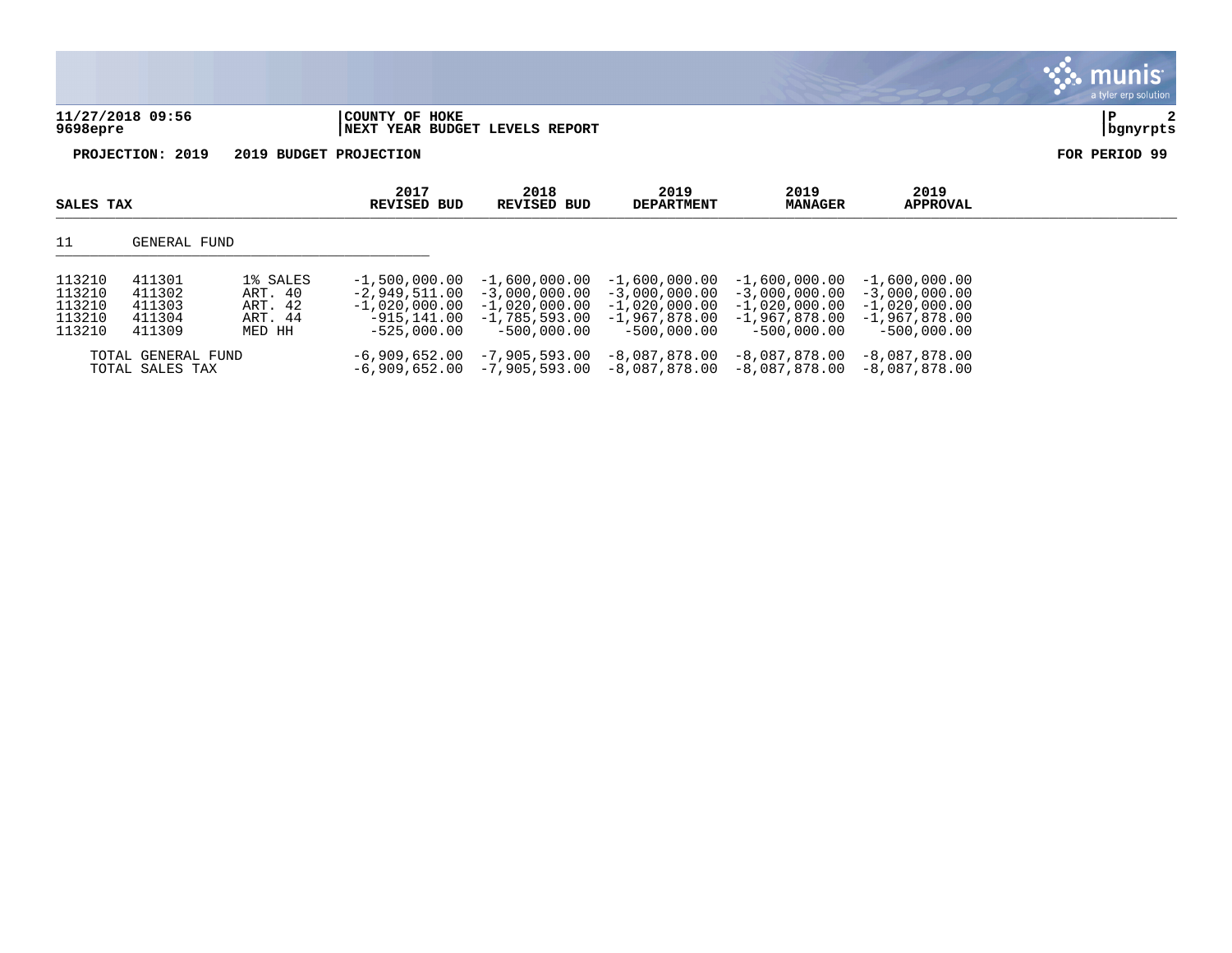|                              |                                                  |  | $\mathbf{\mathcal{C}}$ : munis<br>a tyler erp solution |
|------------------------------|--------------------------------------------------|--|--------------------------------------------------------|
| 11/27/2018 09:56<br>9698epre | COUNTY OF HOKE<br>NEXT YEAR BUDGET LEVELS REPORT |  | 2<br>  P<br>  bgnyrpts                                 |
| PROJECTION: 2019             | 2019 BUDGET PROJECTION                           |  | FOR PERIOD 99                                          |

| SALES TAX                                      |                                                | 2017<br>REVISED BUD                                 | 2018<br>REVISED BUD                                                                    | 2019<br><b>DEPARTMENT</b>                                              | 2019<br>MANAGER                                                                                         | 2019<br><b>APPROVAL</b>                                                               |                                                                                         |  |
|------------------------------------------------|------------------------------------------------|-----------------------------------------------------|----------------------------------------------------------------------------------------|------------------------------------------------------------------------|---------------------------------------------------------------------------------------------------------|---------------------------------------------------------------------------------------|-----------------------------------------------------------------------------------------|--|
| 11                                             | GENERAL FUND                                   |                                                     |                                                                                        |                                                                        |                                                                                                         |                                                                                       |                                                                                         |  |
| 113210<br>113210<br>113210<br>113210<br>113210 | 411301<br>411302<br>411303<br>411304<br>411309 | 1% SALES<br>ART. 40<br>ART. 42<br>ART. 44<br>MED HH | $-1.500.000.00$<br>$-2.949.511.00$<br>$-1$ ,020,000.00<br>-915,141.00<br>$-525.000.00$ | $-1,600,000.00$<br>$-1,020,000.00$<br>$-1.785.593.00$<br>$-500.000.00$ | $-1.600.000.00$<br>$-3.000.000.00 - 3.000.000.00$<br>$-1$ ,020,000.00<br>-1,967,878.00<br>$-500.000.00$ | $-1.600.000.00$<br>$-3.000.000.00$<br>$-1,020,000.00$<br>-1,967,878.00<br>-500,000.00 | $-1.600.000.00$<br>$-3,000,000,00$<br>$-1.020.000.00$<br>-1,967,878.00<br>$-500.000.00$ |  |
|                                                | TOTAL GENERAL FUND<br>TOTAL SALES TAX          |                                                     | -6,909,652.00                                                                          | -7,905,593.00                                                          | $-8,087,878.00$<br>$-6,909,652.00$ $-7,905,593.00$ $-8,087,878.00$ $-8,087,878.00$                      | -8,087,878.00                                                                         | -8,087,878.00<br>-8,087,878.00                                                          |  |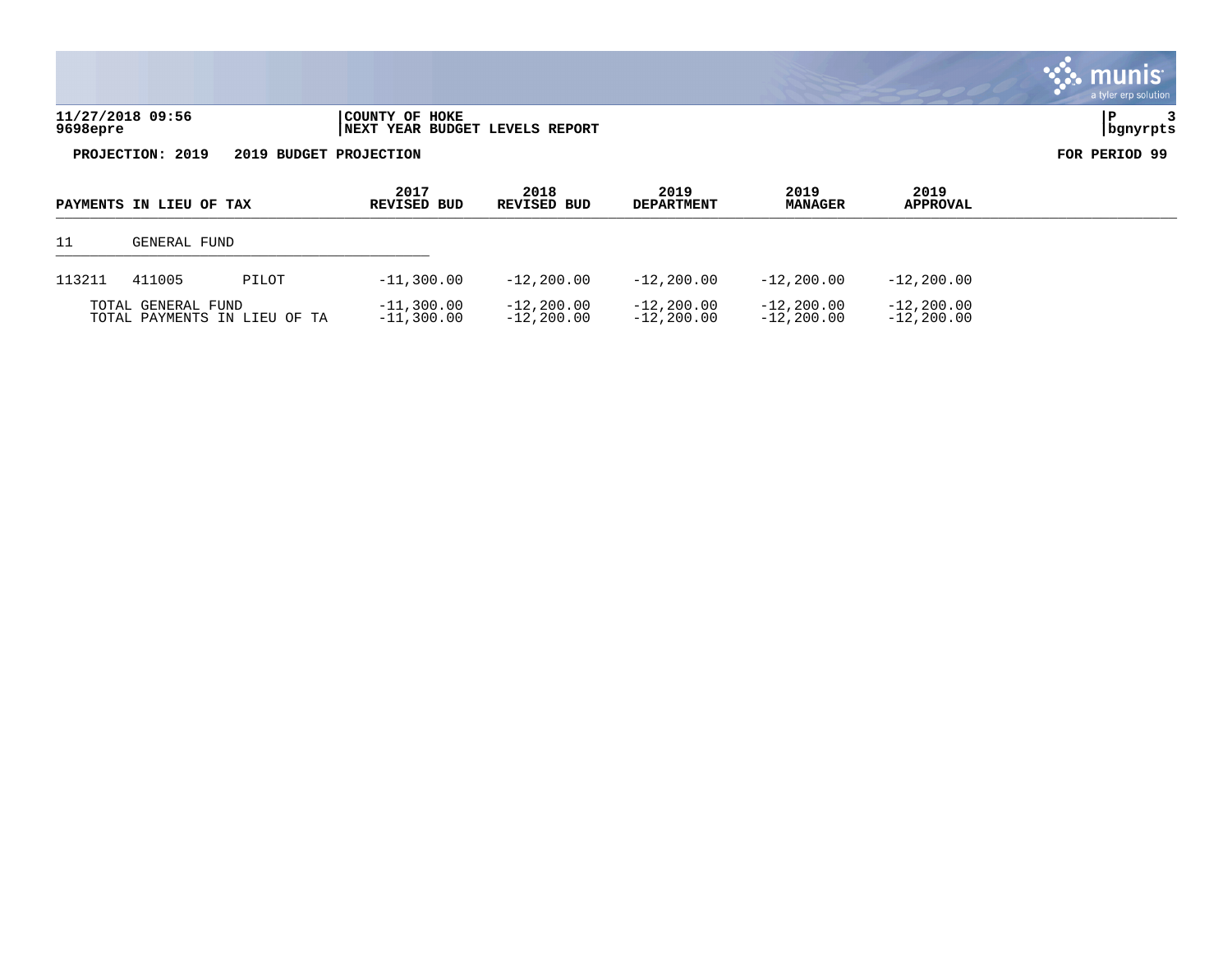|                              |                                                  |                     |                           |                        |                         | munis<br>a tyler erp solution |
|------------------------------|--------------------------------------------------|---------------------|---------------------------|------------------------|-------------------------|-------------------------------|
| 11/27/2018 09:56<br>9698epre | COUNTY OF HOKE<br>NEXT YEAR BUDGET LEVELS REPORT |                     |                           |                        |                         | bgnyrpts                      |
| PROJECTION: 2019             | 2019 BUDGET PROJECTION                           |                     |                           |                        |                         | FOR PERIOD 99                 |
| PAYMENTS IN LIEU OF TAX      | 2017<br><b>REVISED BUD</b>                       | 2018<br>REVISED BUD | 2019<br><b>DEPARTMENT</b> | 2019<br><b>MANAGER</b> | 2019<br><b>APPROVAL</b> |                               |

 $L$ 

| 11     | GENERAL FUND       |                              |                              |                              |                                |                               |                                |  |
|--------|--------------------|------------------------------|------------------------------|------------------------------|--------------------------------|-------------------------------|--------------------------------|--|
| 113211 | 411005             | PILOT                        | $-11,300.00$                 | $-12,200.00$                 | $-12,200.00$                   | $-12,200,00$                  | $-12, 200, 00$                 |  |
|        | TOTAL GENERAL FUND | TOTAL PAYMENTS IN LIEU OF TA | $-11,300.00$<br>$-11,300.00$ | $-12,200.00$<br>$-12,200.00$ | $-12,200.00$<br>$-12, 200, 00$ | $-12, 200.00$<br>$-12,200,00$ | $-12, 200.00$<br>$-12, 200.00$ |  |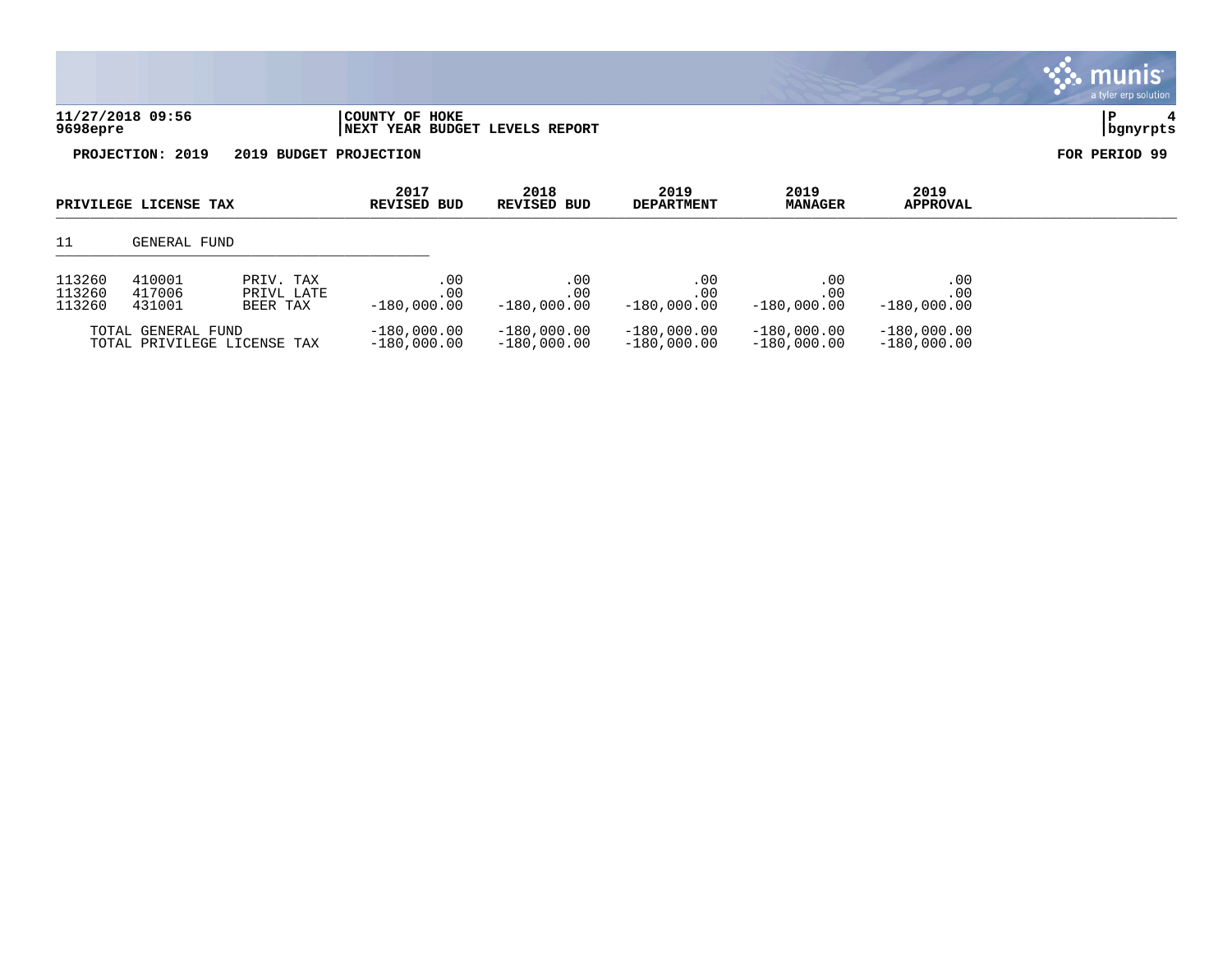|                                            |                       |                         |                            |                                |                           |                        |                         | a tyler erp solution |
|--------------------------------------------|-----------------------|-------------------------|----------------------------|--------------------------------|---------------------------|------------------------|-------------------------|----------------------|
| 9698epre                                   | 11/27/2018 09:56      |                         | COUNTY OF HOKE             | NEXT YEAR BUDGET LEVELS REPORT |                           |                        |                         | P<br>4<br>  bgnyrpts |
| PROJECTION: 2019<br>2019 BUDGET PROJECTION |                       |                         |                            |                                |                           |                        | FOR PERIOD 99           |                      |
|                                            | PRIVILEGE LICENSE TAX |                         | 2017<br><b>REVISED BUD</b> | 2018<br><b>REVISED BUD</b>     | 2019<br><b>DEPARTMENT</b> | 2019<br><b>MANAGER</b> | 2019<br><b>APPROVAL</b> |                      |
| 11                                         | GENERAL FUND          |                         |                            |                                |                           |                        |                         |                      |
| 113260<br>113260                           | 410001<br>417006      | PRIV. TAX<br>PRIVL LATE | .00<br>.00                 | .00<br>.00                     | .00<br>.00                | .00<br>.00             | .00<br>.00              |                      |

 $\ddot{\mathbf{w}}$  munis

| 113260 | 431001                                            | BEER TAX | $-180.000.00$                  | $-180.000.00$                  | $-180.000.00$                  | $-180.000.00$                  | $-180.000.00$                  |
|--------|---------------------------------------------------|----------|--------------------------------|--------------------------------|--------------------------------|--------------------------------|--------------------------------|
|        | TOTAL GENERAL FUND<br>TOTAL PRIVILEGE LICENSE TAX |          | $-180.000.00$<br>$-180.000.00$ | $-180.000.00$<br>$-180.000.00$ | $-180.000.00$<br>$-180.000.00$ | $-180.000.00$<br>$-180.000.00$ | $-180.000.00$<br>$-180.000.00$ |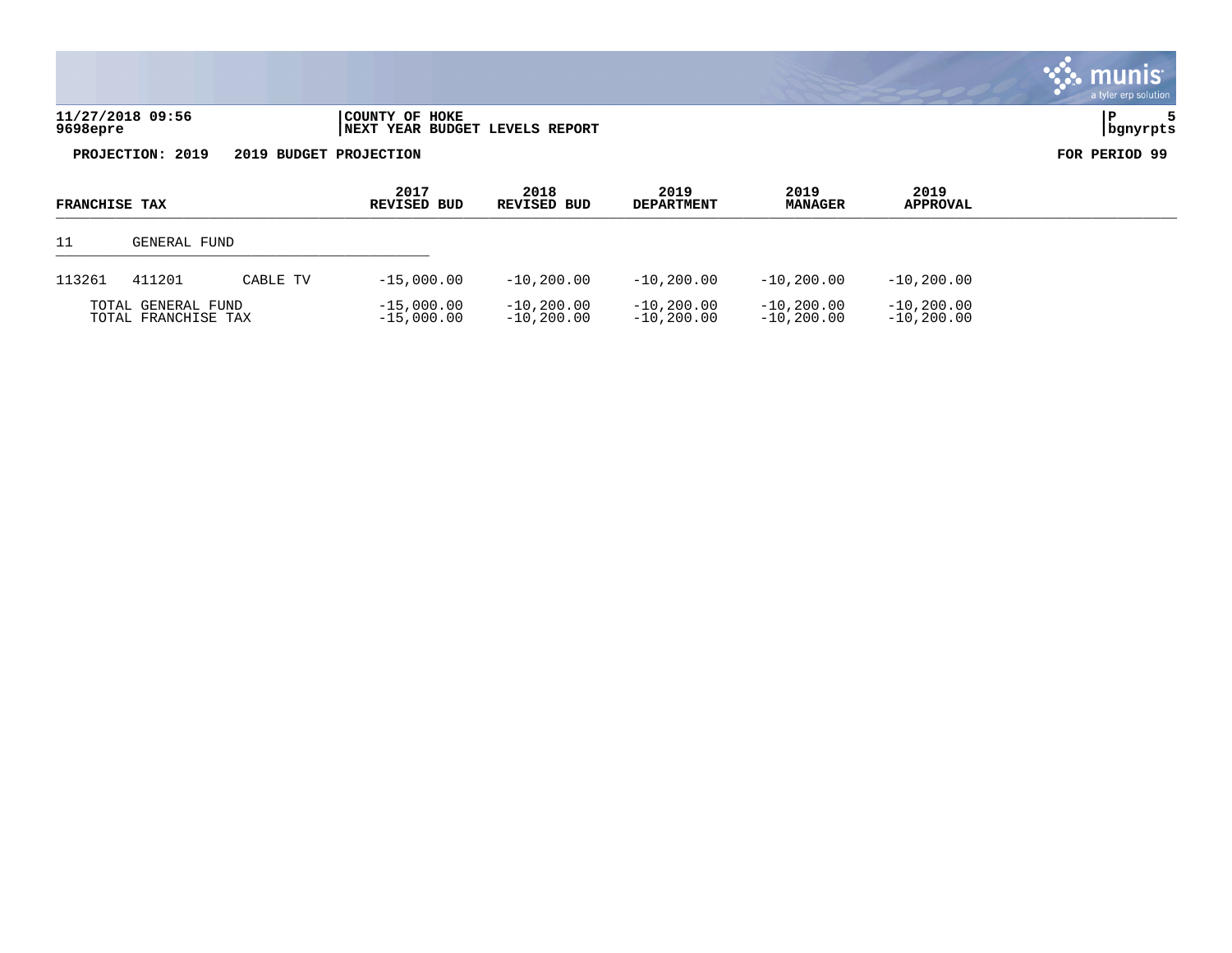| 11/27/2018 09:56<br>9698epre | COUNTY OF HOKE<br>INEXT YEAR BUDGET LEVELS REPORT | bqnyrpts |
|------------------------------|---------------------------------------------------|----------|

| <b>FRANCHISE TAX</b>                      |                    |                              | 2017<br>REVISED BUD          | 2018<br>REVISED BUD          | 2019<br><b>DEPARTMENT</b>    | 2019<br><b>MANAGER</b>        | 2019<br><b>APPROVAL</b> |  |
|-------------------------------------------|--------------------|------------------------------|------------------------------|------------------------------|------------------------------|-------------------------------|-------------------------|--|
| 11                                        | GENERAL FUND       |                              |                              |                              |                              |                               |                         |  |
| 113261                                    | 411201<br>CABLE TV |                              | $-15,000.00$                 | $-10, 200, 00$               | $-10,200,00$                 | $-10, 200, 00$                | $-10, 200, 00$          |  |
| TOTAL GENERAL FUND<br>TOTAL FRANCHISE TAX |                    | $-15,000.00$<br>$-15,000.00$ | $-10,200,00$<br>$-10.200.00$ | $-10,200,00$<br>$-10,200.00$ | $-10,200,00$<br>$-10.200.00$ | $-10, 200.00$<br>$-10,200.00$ |                         |  |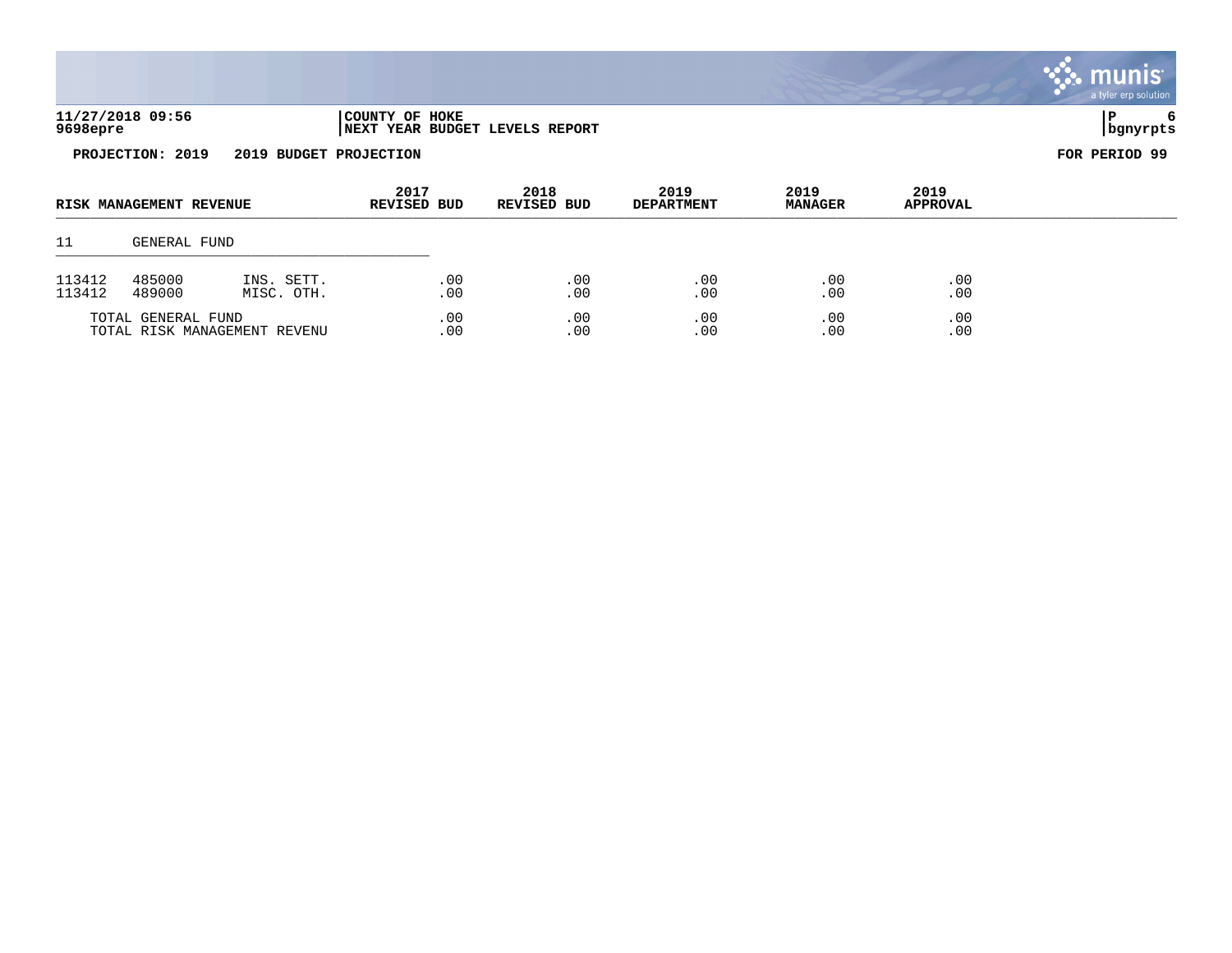|                                            |                                                          |                            |                           |                        |                         | <b>munis</b><br>a tyler erp solution |
|--------------------------------------------|----------------------------------------------------------|----------------------------|---------------------------|------------------------|-------------------------|--------------------------------------|
| 11/27/2018 09:56<br>9698epre               | COUNTY OF HOKE<br><b>INEXT YEAR BUDGET LEVELS REPORT</b> |                            |                           |                        |                         | 6<br>P<br>  bgnyrpts                 |
| PROJECTION: 2019<br>2019 BUDGET PROJECTION |                                                          |                            |                           |                        |                         | FOR PERIOD 99                        |
| RISK MANAGEMENT REVENUE                    | 2017<br><b>REVISED BUD</b>                               | 2018<br><b>REVISED BUD</b> | 2019<br><b>DEPARTMENT</b> | 2019<br><b>MANAGER</b> | 2019<br><b>APPROVAL</b> |                                      |
| 11<br>GENERAL FUND                         |                                                          |                            |                           |                        |                         |                                      |

| 113412<br>113412 | 485000<br>489000   | SETT<br>TNS.<br>OTH.<br>MISC. | .00<br>0 <sup>0</sup> | . O C<br>0 <sup>c</sup> | - 0 C | .00<br>. 00 |
|------------------|--------------------|-------------------------------|-----------------------|-------------------------|-------|-------------|
|                  | TOTAL GENERAL FUND | TOTAL RISK MANAGEMENT REVENU  | 0 C<br>0 <sub>0</sub> | 00<br>0 <sup>0</sup>    |       | .00<br>. 00 |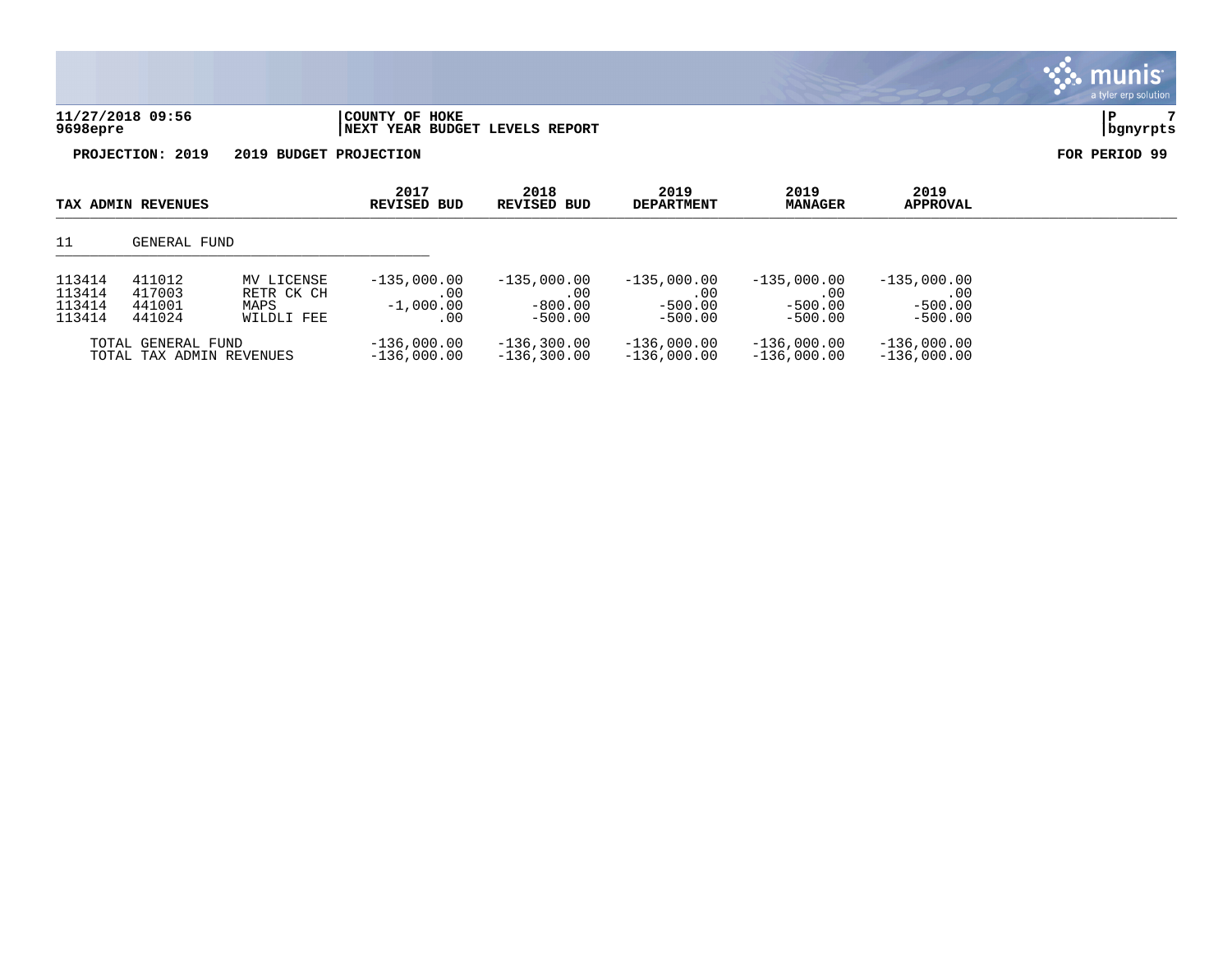| 11/27/2018 09:56 | COUNTY OF HOKE                  |          |
|------------------|---------------------------------|----------|
| 9698epre         | INEXT YEAR BUDGET LEVELS REPORT | bgnyrpts |

munis a tyler erp solution

| TAX ADMIN REVENUES                             |                                                                                        | 2017<br>2019<br>2018<br>REVISED BUD<br>REVISED BUD<br><b>DEPARTMENT</b> |                                             | 2019<br><b>MANAGER</b>                         | 2019<br><b>APPROVAL</b>                        |                                                |                                                |  |
|------------------------------------------------|----------------------------------------------------------------------------------------|-------------------------------------------------------------------------|---------------------------------------------|------------------------------------------------|------------------------------------------------|------------------------------------------------|------------------------------------------------|--|
| 11                                             | GENERAL FUND                                                                           |                                                                         |                                             |                                                |                                                |                                                |                                                |  |
| 113414<br>113414<br>113414<br>113414           | 411012<br>MV LICENSE<br>417003<br>RETR CK CH<br>441001<br>MAPS<br>441024<br>WILDLI FEE |                                                                         | $-135,000.00$<br>.00<br>$-1,000.00$<br>. 00 | $-135,000.00$<br>.00<br>$-800.00$<br>$-500.00$ | $-135,000.00$<br>.00<br>$-500.00$<br>$-500.00$ | $-135,000.00$<br>.00<br>$-500.00$<br>$-500.00$ | $-135,000.00$<br>.00<br>$-500.00$<br>$-500.00$ |  |
| TOTAL GENERAL FUND<br>TOTAL TAX ADMIN REVENUES |                                                                                        | $-136,000.00$<br>$-136,000.00$                                          | $-136, 300.00$<br>$-136, 300.00$            | $-136,000.00$<br>$-136,000.00$                 | $-136,000.00$<br>$-136,000.00$                 | $-136,000.00$<br>$-136,000.00$                 |                                                |  |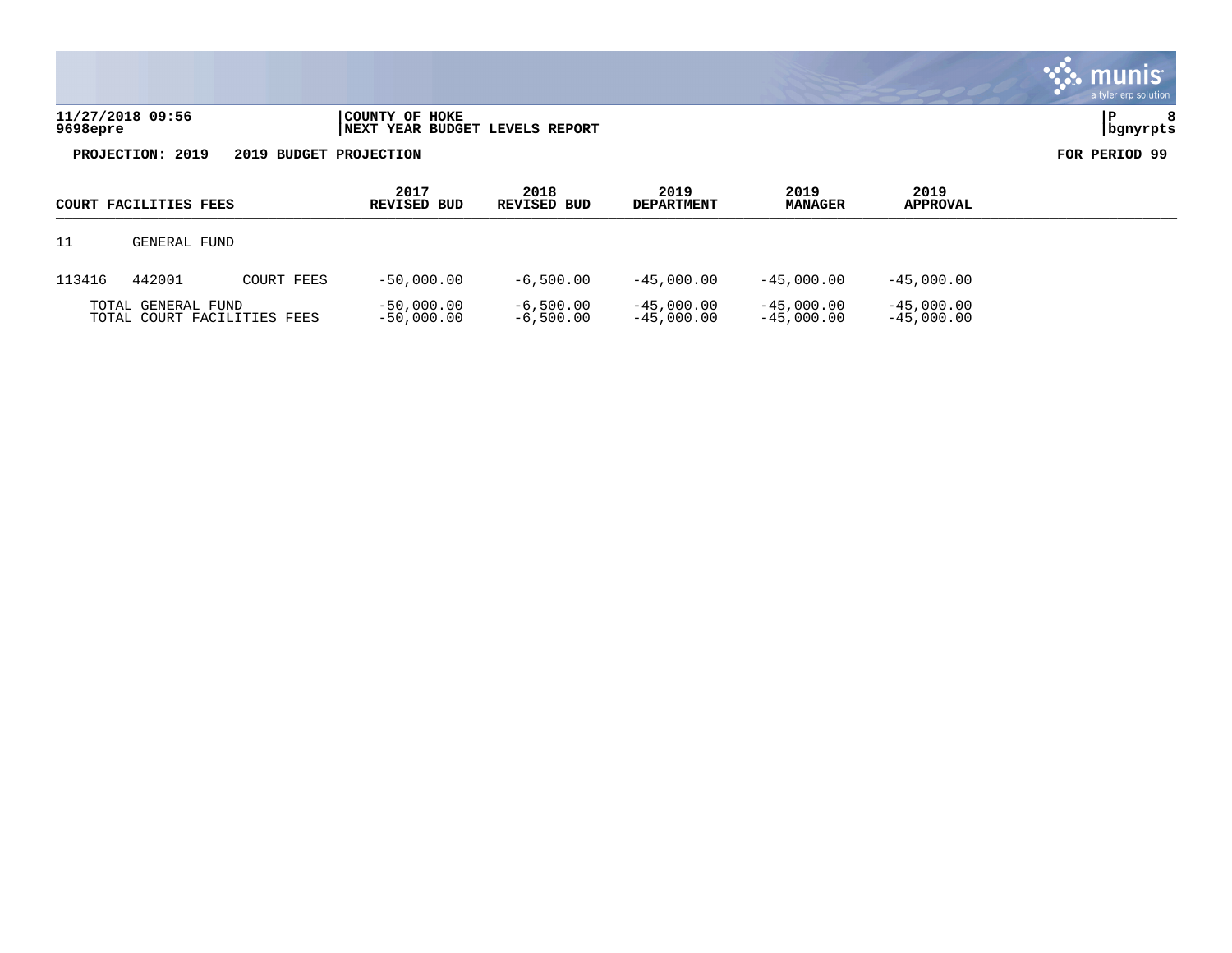| 11/27/2018 09:56<br>$1698$ epre | COUNTY OF HOKE                  |  |
|---------------------------------|---------------------------------|--|
|                                 | INEXT YEAR BUDGET LEVELS REPORT |  |

|        | COURT FACILITIES FEES                             |            | 2017<br>REVISED BUD          | 2018<br>REVISED BUD        | 2019<br><b>DEPARTMENT</b>    | 2019<br><b>MANAGER</b>       | 2019<br><b>APPROVAL</b>      |  |
|--------|---------------------------------------------------|------------|------------------------------|----------------------------|------------------------------|------------------------------|------------------------------|--|
|        | GENERAL FUND                                      |            |                              |                            |                              |                              |                              |  |
| 113416 | 442001                                            | COURT FEES | $-50.000.00$                 | $-6,500.00$                | $-45,000.00$                 | $-45,000.00$                 | $-45,000.00$                 |  |
|        | TOTAL GENERAL FUND<br>TOTAL COURT FACILITIES FEES |            | $-50,000.00$<br>$-50,000.00$ | $-6,500.00$<br>$-6,500.00$ | $-45,000.00$<br>$-45,000.00$ | $-45,000.00$<br>$-45,000,00$ | $-45,000.00$<br>$-45,000.00$ |  |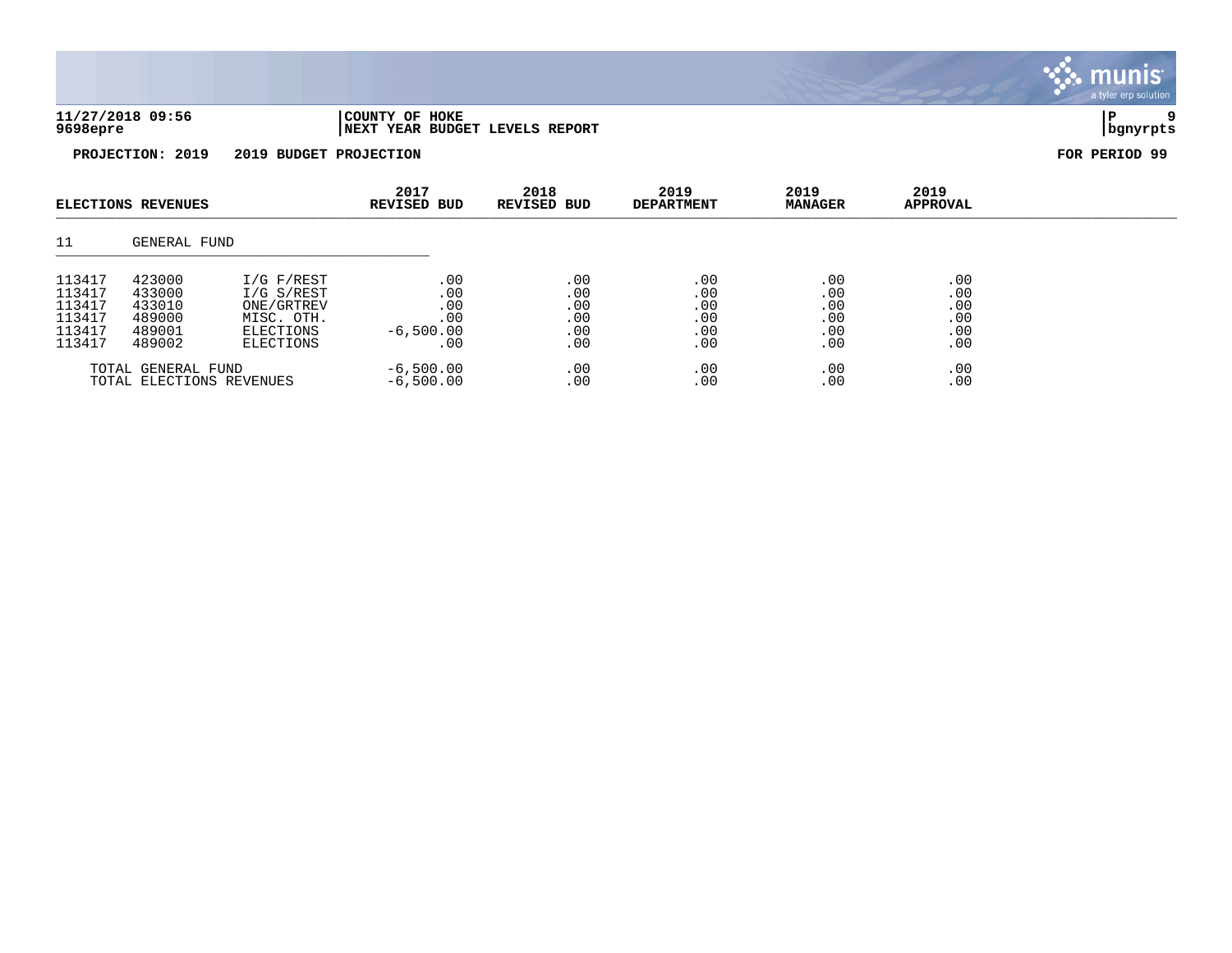| 11/27/2018 09:56 | 'COUNTY OF HOKE                | ם ו         |  |
|------------------|--------------------------------|-------------|--|
| 9698epre         | NEXT YEAR BUDGET LEVELS REPORT | l hanvrnt s |  |

| <b>ELECTIONS REVENUES</b>                                |                                                          | 2017<br><b>REVISED BUD</b>                                                     | 2018<br><b>REVISED BUD</b>                     | 2019<br><b>DEPARTMENT</b>              | 2019<br><b>MANAGER</b>                 | 2019<br><b>APPROVAL</b>                |                                            |  |
|----------------------------------------------------------|----------------------------------------------------------|--------------------------------------------------------------------------------|------------------------------------------------|----------------------------------------|----------------------------------------|----------------------------------------|--------------------------------------------|--|
| 11                                                       | GENERAL FUND                                             |                                                                                |                                                |                                        |                                        |                                        |                                            |  |
| 113417<br>113417<br>113417<br>113417<br>113417<br>113417 | 423000<br>433000<br>433010<br>489000<br>489001<br>489002 | I/G F/REST<br>I/G S/REST<br>ONE/GRTREV<br>MISC. OTH.<br>ELECTIONS<br>ELECTIONS | .00<br>.00<br>.00<br>.00<br>$-6,500.00$<br>.00 | .00<br>.00<br>.00<br>.00<br>.00<br>.00 | .00<br>.00<br>.00<br>.00<br>.00<br>.00 | .00<br>.00<br>.00<br>.00<br>.00<br>.00 | .00<br>$.00$<br>$.00$<br>.00<br>.00<br>.00 |  |
|                                                          | TOTAL GENERAL FUND<br>TOTAL ELECTIONS REVENUES           |                                                                                | $-6,500.00$<br>$-6,500.00$                     | .00<br>.00                             | .00<br>.00                             | .00<br>.00                             | .00<br>.00                                 |  |

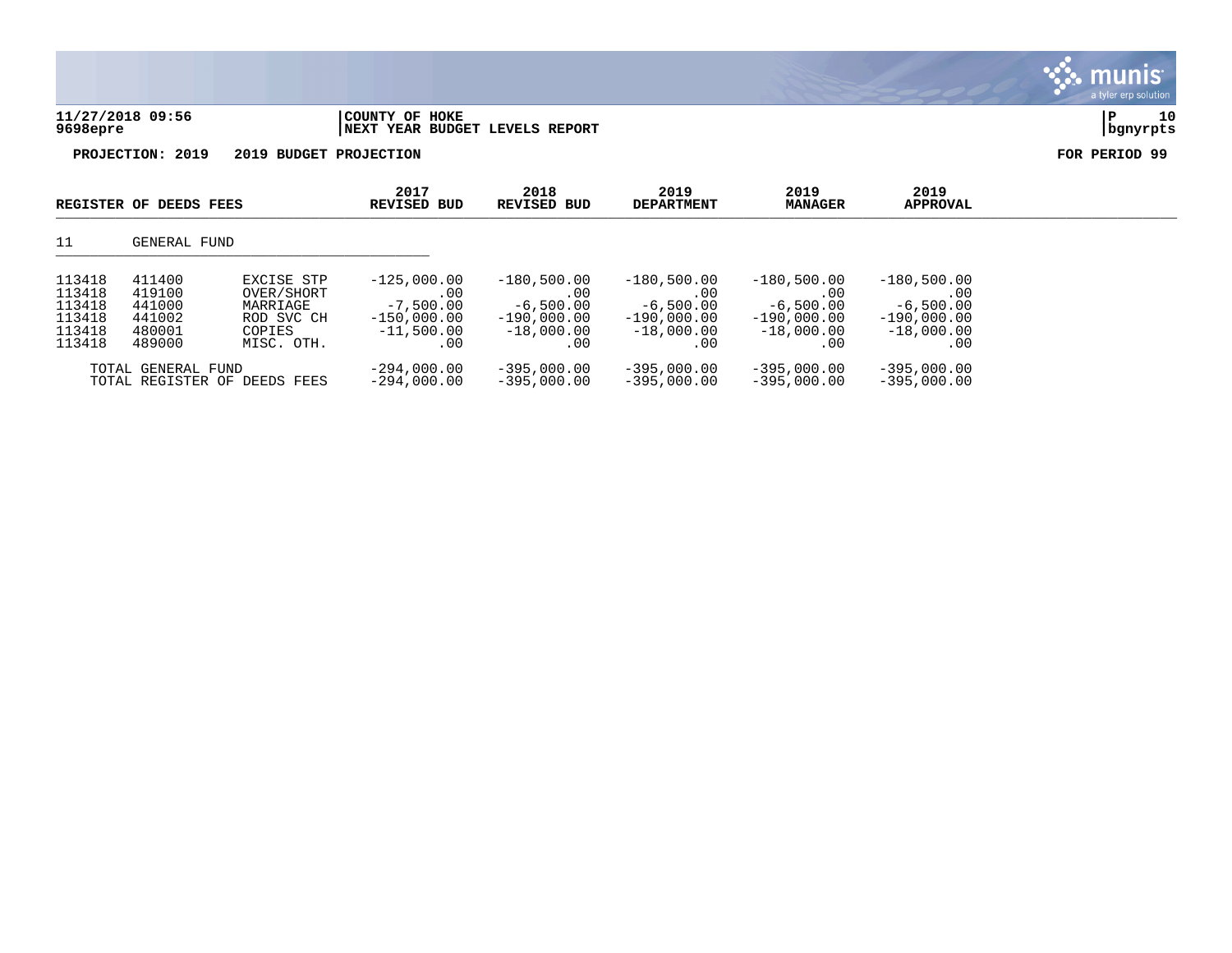



|                                                          | REGISTER OF DEEDS FEES                                   |                                                                            | 2017<br>REVISED BUD                                                              | 2018<br>REVISED BUD                                                         | 2019<br><b>DEPARTMENT</b>                                                    | 2019<br><b>MANAGER</b>                                                      | 2019<br><b>APPROVAL</b>                                                     |  |
|----------------------------------------------------------|----------------------------------------------------------|----------------------------------------------------------------------------|----------------------------------------------------------------------------------|-----------------------------------------------------------------------------|------------------------------------------------------------------------------|-----------------------------------------------------------------------------|-----------------------------------------------------------------------------|--|
| 11                                                       | GENERAL FUND                                             |                                                                            |                                                                                  |                                                                             |                                                                              |                                                                             |                                                                             |  |
| 113418<br>113418<br>113418<br>113418<br>113418<br>113418 | 411400<br>419100<br>441000<br>441002<br>480001<br>489000 | EXCISE STP<br>OVER/SHORT<br>MARRIAGE<br>ROD SVC CH<br>COPIES<br>MISC. OTH. | $-125,000.00$<br>$.00 \,$<br>$-7,500.00$<br>$-150.000.00$<br>$-11,500.00$<br>.00 | $-180,500.00$<br>.00<br>$-6,500.00$<br>$-190.000.00$<br>$-18,000.00$<br>.00 | $-180,500.00$<br>.00.<br>$-6,500.00$<br>$-190.000.00$<br>$-18,000.00$<br>.00 | $-180,500.00$<br>.00<br>$-6,500.00$<br>$-190,000.00$<br>$-18,000.00$<br>.00 | $-180,500.00$<br>.00<br>$-6,500.00$<br>$-190,000.00$<br>$-18,000.00$<br>.00 |  |
|                                                          | TOTAL GENERAL FUND                                       | TOTAL REGISTER OF DEEDS FEES                                               | $-294,000.00$<br>$-294.000.00$                                                   | $-395,000.00$<br>$-395.000.00$                                              | $-395,000.00$<br>$-395,000.00$                                               | $-395,000.00$<br>$-395.000.00$                                              | $-395,000.00$<br>$-395.000.00$                                              |  |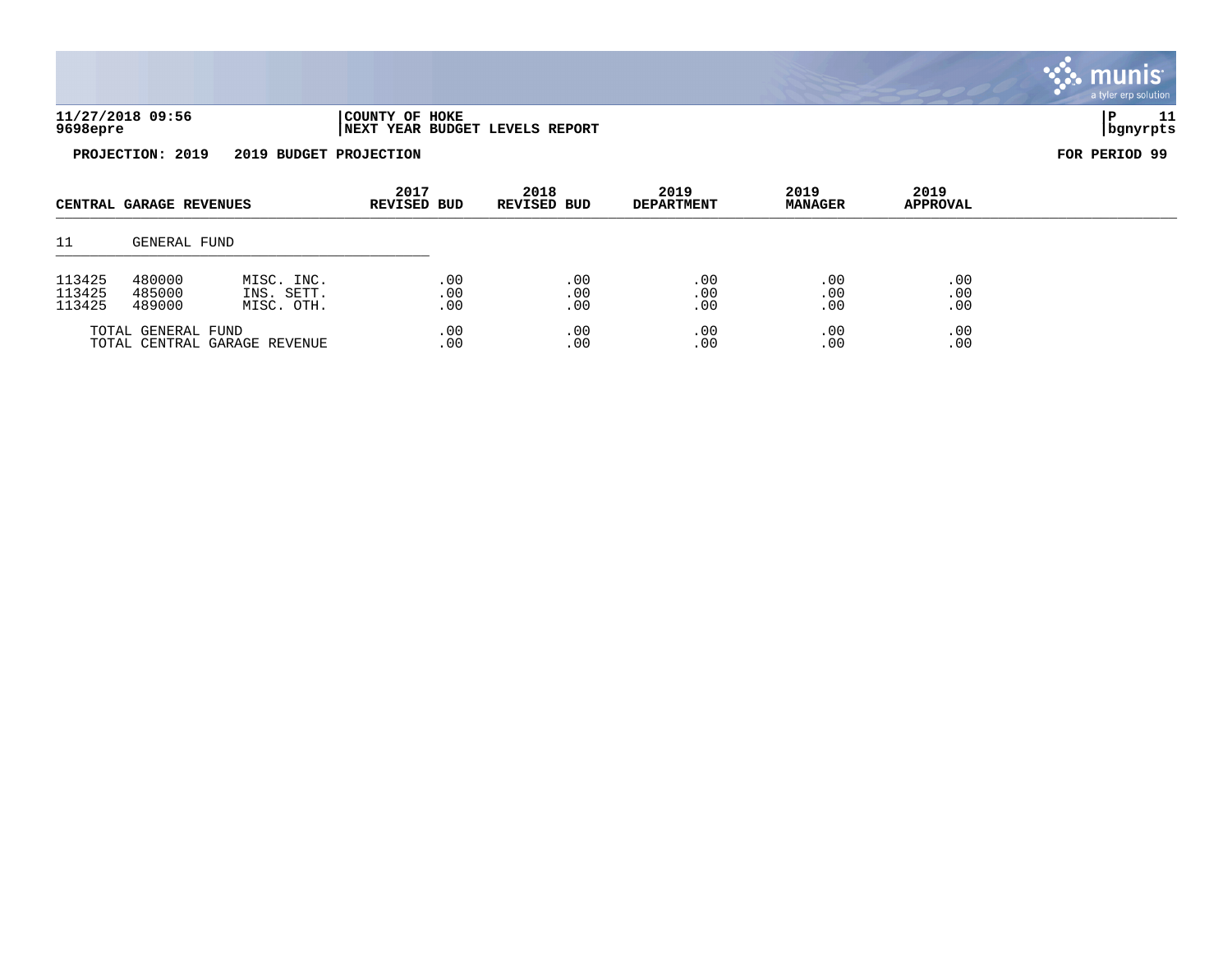| 11/27/2018 09:56 | 'COUNTY OF HOKE                |          |  |
|------------------|--------------------------------|----------|--|
| 9698epre         | NEXT YEAR BUDGET LEVELS REPORT | bgnyrpts |  |



| CENTRAL GARAGE REVENUES                            |                                                                      | 2017<br><b>REVISED BUD</b> | 2018<br>REVISED BUD    | 2019<br><b>DEPARTMENT</b> | 2019<br><b>MANAGER</b> | 2019<br><b>APPROVAL</b> |                   |  |
|----------------------------------------------------|----------------------------------------------------------------------|----------------------------|------------------------|---------------------------|------------------------|-------------------------|-------------------|--|
| 11                                                 | GENERAL FUND                                                         |                            |                        |                           |                        |                         |                   |  |
| 113425<br>113425<br>113425                         | 480000<br>MISC. INC.<br>485000<br>INS. SETT.<br>489000<br>MISC. OTH. |                            | .00<br>$.00 \,$<br>.00 | .00<br>.00<br>.00         | .00<br>.00<br>.00      | .00<br>.00<br>.00       | .00<br>.00<br>.00 |  |
| TOTAL GENERAL FUND<br>TOTAL CENTRAL GARAGE REVENUE |                                                                      | .00<br>$.00 \,$            | .00<br>.00             | .00<br>.00                | .00<br>.00             | .00<br>.00              |                   |  |

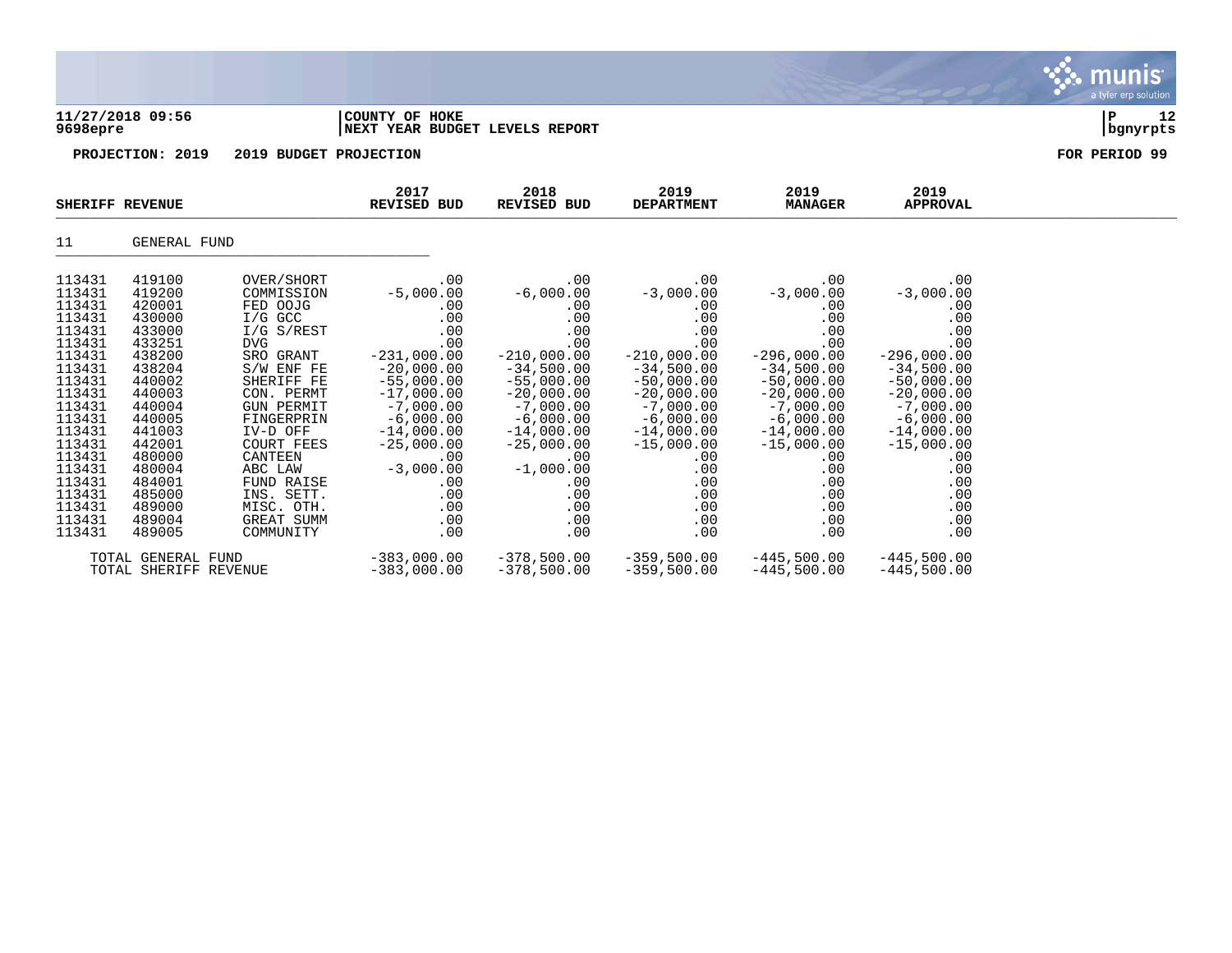| 9698epre                             | 11/27/2018 09:56                     |                                                                      | COUNTY OF HOKE<br>NEXT YEAR BUDGET LEVELS REPORT | 12<br>P<br>  bgnyrpts               |                                            |                                            |                                     |               |
|--------------------------------------|--------------------------------------|----------------------------------------------------------------------|--------------------------------------------------|-------------------------------------|--------------------------------------------|--------------------------------------------|-------------------------------------|---------------|
|                                      | PROJECTION: 2019                     | 2019 BUDGET PROJECTION                                               |                                                  |                                     |                                            |                                            |                                     | FOR PERIOD 99 |
|                                      | SHERIFF REVENUE                      |                                                                      | 2017<br><b>REVISED BUD</b>                       | 2018<br>REVISED BUD                 | 2019<br><b>DEPARTMENT</b>                  | 2019<br><b>MANAGER</b>                     | 2019<br><b>APPROVAL</b>             |               |
| 11                                   | GENERAL FUND                         |                                                                      |                                                  |                                     |                                            |                                            |                                     |               |
| 113431<br>113431<br>113431<br>112121 | 419100<br>419200<br>420001<br>120000 | OVER/SHORT<br>COMMISSION<br>FED OOJG<br>$T / T$ $\sim$ $\sim$ $\sim$ | .00<br>$-5,000.00$<br>.00<br>$\sim$              | .00<br>$-6,000.00$<br>.00<br>$\sim$ | .00<br>$-3,000.00$<br>.00<br>$\sim$ $\sim$ | .00<br>$-3,000.00$<br>.00<br>$\sim$ $\sim$ | .00<br>$-3,000.00$<br>.00<br>$\sim$ |               |

| 113431 | 430000                | $I/G$ GCC  | .00           | .00           | .00           | .00           | $.00 \,$      |
|--------|-----------------------|------------|---------------|---------------|---------------|---------------|---------------|
| 113431 | 433000                | I/G S/REST | .00           | .00           | .00           | .00           | .00           |
| 113431 | 433251                | DVG        | .00           | .00           | .00           | .00           | .00           |
| 113431 | 438200                | SRO GRANT  | $-231.000.00$ | $-210.000.00$ | $-210.000.00$ | $-296.000.00$ | $-296.000.00$ |
| 113431 | 438204                | S/W ENF FE | $-20,000.00$  | $-34,500.00$  | $-34,500.00$  | $-34,500.00$  | $-34,500.00$  |
| 113431 | 440002                | SHERIFF FE | $-55,000.00$  | $-55,000.00$  | $-50,000,00$  | $-50.000.00$  | $-50,000.00$  |
| 113431 | 440003                | CON. PERMT | $-17,000.00$  | $-20,000.00$  | $-20,000.00$  | $-20,000.00$  | $-20,000.00$  |
| 113431 | 440004                | GUN PERMIT | $-7,000.00$   | $-7,000.00$   | $-7,000.00$   | $-7,000.00$   | $-7,000.00$   |
| 113431 | 440005                | FINGERPRIN | $-6,000.00$   | $-6,000,00$   | $-6,000.00$   | $-6,000.00$   | $-6,000.00$   |
| 113431 | 441003                | IV-D OFF   | $-14,000.00$  | $-14,000.00$  | $-14,000.00$  | $-14,000.00$  | $-14,000.00$  |
| 113431 | 442001                | COURT FEES | $-25,000.00$  | $-25,000.00$  | $-15,000.00$  | $-15,000.00$  | $-15,000.00$  |
| 113431 | 480000                | CANTEEN    | .00           | .00           | .00           | .00           | .00           |
| 113431 | 480004                | ABC LAW    | $-3,000.00$   | $-1,000.00$   | .00           | .00           | .00           |
| 113431 | 484001                | FUND RAISE | .00           | .00.          | .00           | .00           | .00           |
| 113431 | 485000                | INS. SETT. | .00           | .00.          | .00           | .00           | .00           |
| 113431 | 489000                | MISC. OTH. | .00           | .00           | .00           | .00           | .00           |
| 113431 | 489004                | GREAT SUMM | .00.          | .00           | .00           | .00           | .00           |
| 113431 | 489005                | COMMUNITY  | .00           | .00           | .00           | .00           | $.00 \,$      |
| TOTAL  | GENERAL FUND          |            | $-383,000.00$ | $-378,500.00$ | $-359,500.00$ | $-445,500.00$ | $-445,500.00$ |
|        | TOTAL SHERIFF REVENUE |            | $-383,000.00$ | $-378,500.00$ | $-359,500.00$ | $-445,500.00$ | $-445,500.00$ |

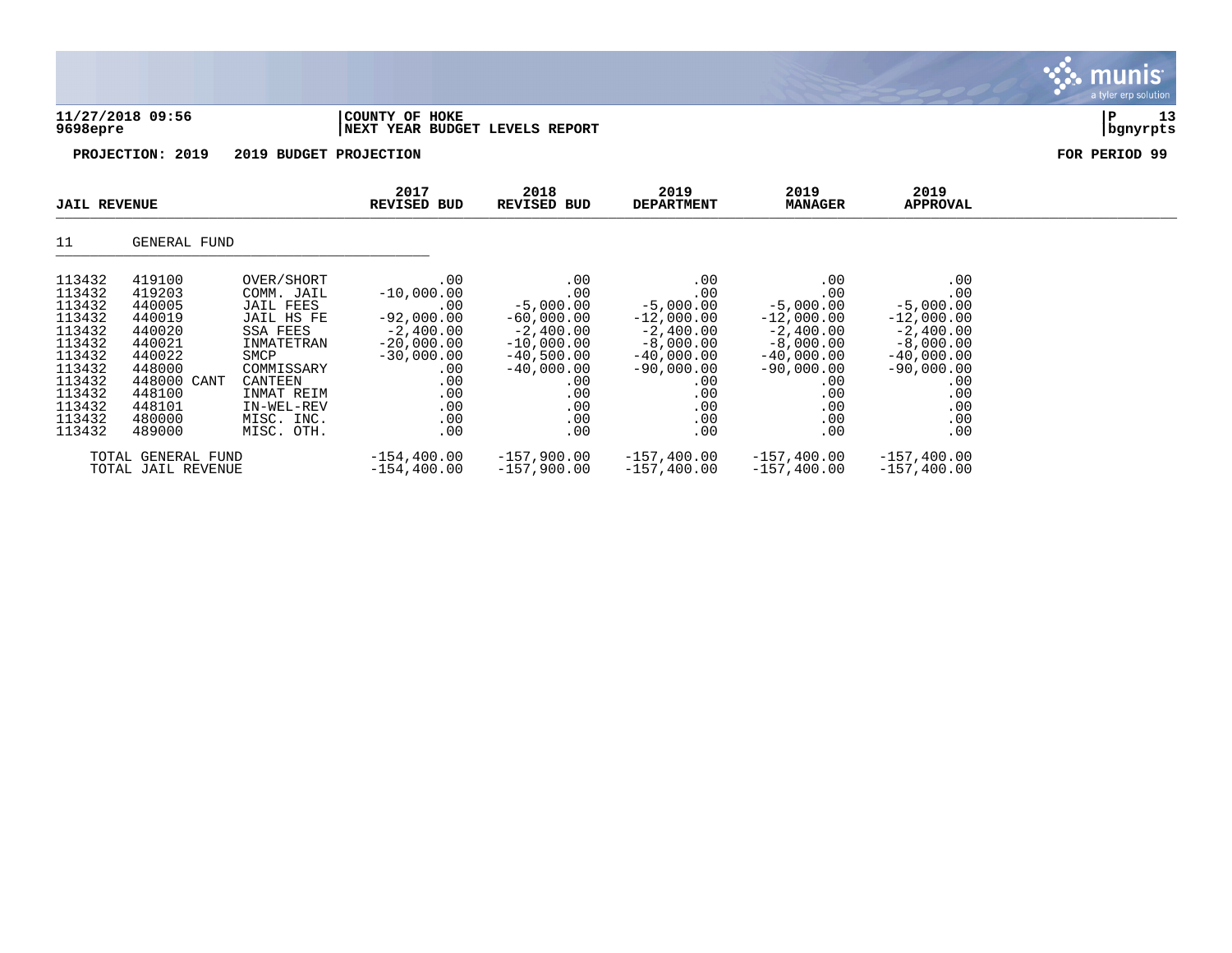| 9698epre                             | 11/27/2018 09:56                     |                                                     | COUNTY OF HOKE<br>NEXT YEAR BUDGET LEVELS REPORT |                                           |                                           |                                           |                                           | 13<br>P<br>  bgnyrpts |
|--------------------------------------|--------------------------------------|-----------------------------------------------------|--------------------------------------------------|-------------------------------------------|-------------------------------------------|-------------------------------------------|-------------------------------------------|-----------------------|
|                                      | PROJECTION: 2019                     | 2019 BUDGET PROJECTION                              |                                                  |                                           |                                           |                                           |                                           | FOR PERIOD 99         |
| <b>JAIL REVENUE</b>                  |                                      |                                                     | 2017<br><b>REVISED BUD</b>                       | 2018<br><b>REVISED BUD</b>                | 2019<br><b>DEPARTMENT</b>                 | 2019<br><b>MANAGER</b>                    | 2019<br><b>APPROVAL</b>                   |                       |
| 11                                   | GENERAL FUND                         |                                                     |                                                  |                                           |                                           |                                           |                                           |                       |
| 113432<br>113432<br>113432<br>113432 | 419100<br>419203<br>440005<br>440019 | OVER/SHORT<br>COMM. JAIL<br>JAIL FEES<br>JAIL HS FE | .00<br>$-10,000.00$<br>.00<br>$-92,000.00$       | .00<br>.00<br>$-5,000.00$<br>$-60.000.00$ | .00<br>.00<br>$-5,000.00$<br>$-12,000.00$ | .00<br>.00<br>$-5,000.00$<br>$-12,000.00$ | .00<br>.00<br>$-5,000.00$<br>$-12,000.00$ |                       |

 $\mathbf{\mathcal{C}}$  . munis

erp solutior

113432 440020 SSA FEES -2,400.00 -2,400.00 -2,400.00 -2,400.00 -2,400.00 113432 440021 INMATETRAN -20,000.00 -10,000.00 -8,000.00 -8,000.00 -8,000.00 113432 440022 SMCP -30,000.00 -40,500.00 -40,000.00 -40,000.00 -40,000.00 113432 448000 COMMISSARY .00 -40,000.00 -90,000.00 -90,000.00 -90,000.00 113432 448000 CANT CANTEEN .00 .00 .00 .00 .00 113432 448100 INMAT REIM .00 .00 .00 .00 .00 113432 448101 IN-WEL-REV .00 .00 .00 .00 .00 .00 .00 .00 113432 480000 MISC. INC. .00 .00 .00 .00 .00 113432 489000 MISC. OTH. .00 .00 .00 .00 .00

TOTAL GENERAL FUND -154,400.00 -157,900.00 -157,400.00 -157,400.00 -157,400.00

TOTAL JAIL REVENUE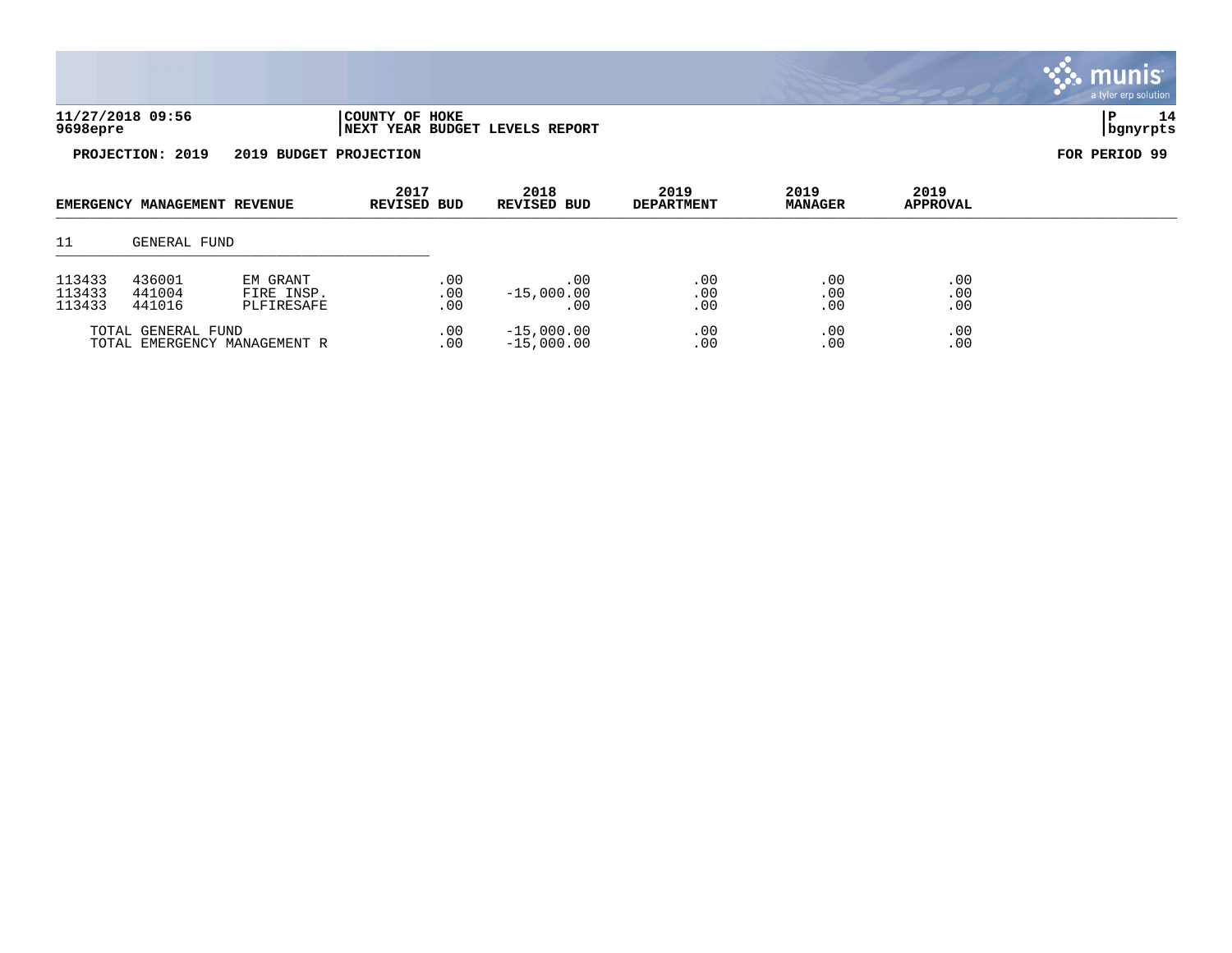|                            |                              |                                      |                     |                   |                                       |                           |                        |                         | a tyler erp sulution    |
|----------------------------|------------------------------|--------------------------------------|---------------------|-------------------|---------------------------------------|---------------------------|------------------------|-------------------------|-------------------------|
| 9698epre                   | 11/27/2018 09:56             |                                      | COUNTY OF HOKE      |                   | <b>NEXT YEAR BUDGET LEVELS REPORT</b> |                           |                        |                         | 14<br>l P<br>  bgnyrpts |
|                            | PROJECTION: 2019             | 2019 BUDGET PROJECTION               |                     |                   |                                       |                           |                        |                         | FOR PERIOD 99           |
|                            | EMERGENCY MANAGEMENT REVENUE |                                      | 2017<br>REVISED BUD |                   | 2018<br><b>REVISED BUD</b>            | 2019<br><b>DEPARTMENT</b> | 2019<br><b>MANAGER</b> | 2019<br><b>APPROVAL</b> |                         |
| 11                         | GENERAL FUND                 |                                      |                     |                   |                                       |                           |                        |                         |                         |
| 113433<br>113433<br>113433 | 436001<br>441004<br>441016   | EM GRANT<br>FIRE INSP.<br>PLFIRESAFE |                     | .00<br>.00<br>.00 | .00<br>$-15,000.00$<br>.00            | .00<br>.00<br>.00         | .00<br>.00<br>.00      | .00<br>.00<br>.00       |                         |

 $\ddot{\ddot{\mathbf{w}}}$  munis

TOTAL GENERAL FUND .00 -15,000.00 .00 .00 .00

TOTAL EMERGENCY MANAGEMENT R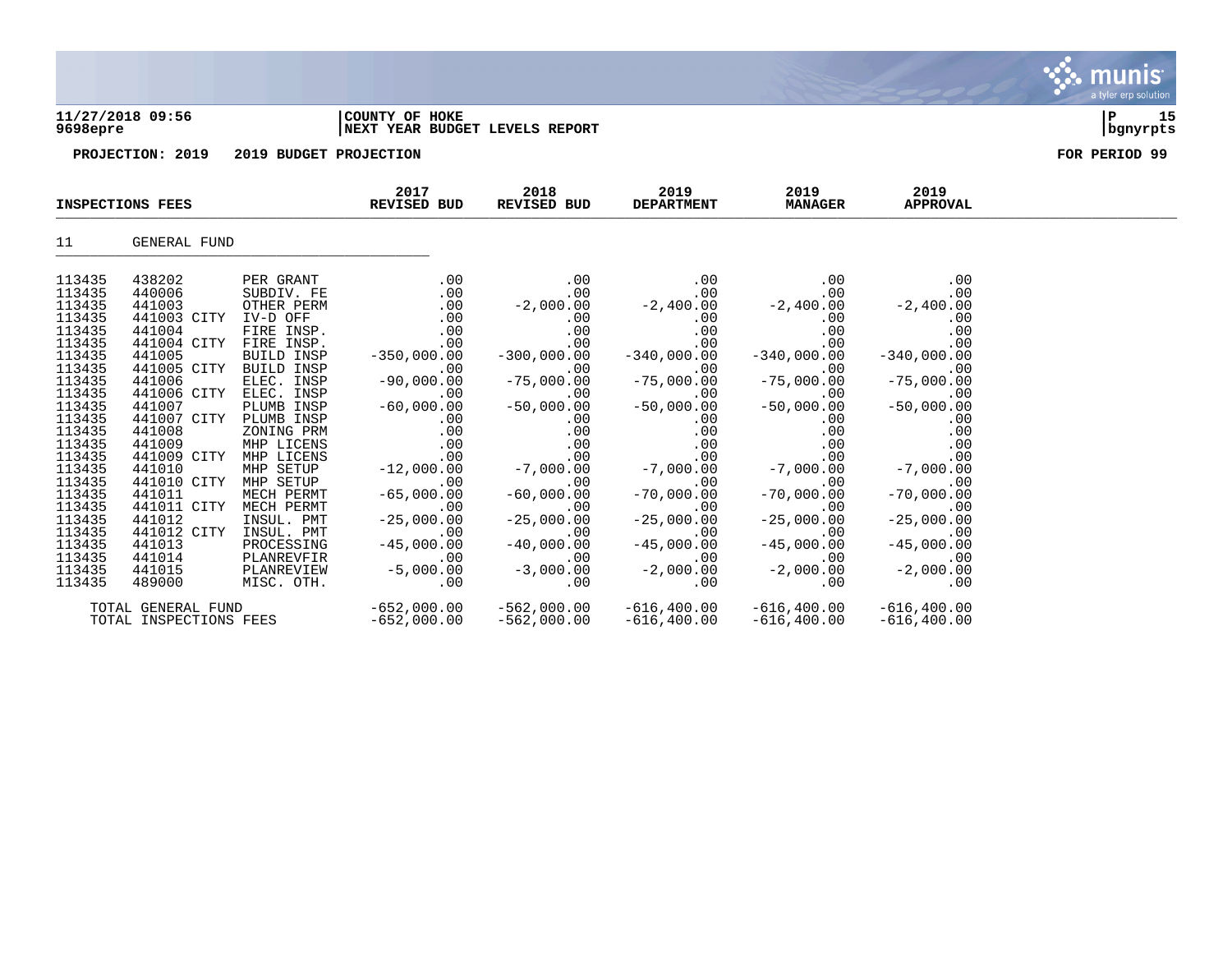| 9698epre         | 11/27/2018 09:56        |                         | COUNTY OF HOKE<br>NEXT YEAR BUDGET LEVELS REPORT |                     |                           |                        |                         | 15<br>P<br>bgnyrpts |
|------------------|-------------------------|-------------------------|--------------------------------------------------|---------------------|---------------------------|------------------------|-------------------------|---------------------|
|                  | PROJECTION: 2019        | 2019 BUDGET PROJECTION  |                                                  |                     |                           |                        |                         | FOR PERIOD 99       |
|                  | <b>INSPECTIONS FEES</b> |                         | 2017<br>REVISED BUD                              | 2018<br>REVISED BUD | 2019<br><b>DEPARTMENT</b> | 2019<br><b>MANAGER</b> | 2019<br><b>APPROVAL</b> |                     |
| 11               | GENERAL FUND            |                         |                                                  |                     |                           |                        |                         |                     |
| 113435           | 438202                  | PER GRANT               | .00                                              | .00                 | .00                       | .00                    | .00                     |                     |
| 113435           | 440006                  | SUBDIV. FE              | .00                                              | .00                 | .00                       | .00                    | .00                     |                     |
| 113435           | 441003                  | OTHER PERM              | .00                                              | $-2,000.00$         | $-2,400.00$               | $-2,400.00$            | $-2,400.00$             |                     |
| 113435           | 441003 CITY             | IV-D OFF                | .00                                              | .00                 | .00                       | .00                    | .00                     |                     |
| 113435<br>113435 | 441004                  | FIRE INSP.              | .00                                              | .00                 | .00                       | .00                    | .00                     |                     |
|                  | 441004 CITY             | FIRE INSP.              | .00                                              | .00                 | .00                       | .00                    | .00                     |                     |
| 113435           | 441005                  | BUILD INSP              | $-350,000.00$                                    | $-300,000.00$       | $-340,000.00$             | $-340,000.00$          | $-340,000.00$           |                     |
| 113435           | 441005 CITY             | BUILD INSP              | .00                                              | .00                 | .00                       | .00                    | .00                     |                     |
| 113435           | 441006                  | ELEC. INSP              | $-90,000.00$                                     | $-75,000.00$        | $-75,000.00$              | $-75,000.00$           | $-75,000.00$            |                     |
| 113435           | 441006 CITY             | ELEC. INSP              | .00                                              | .00                 | .00                       | .00                    | .00                     |                     |
| 113435           | 441007                  | PLUMB INSP              | $-60,000.00$                                     | $-50,000.00$        | $-50,000.00$              | $-50,000.00$           | $-50,000.00$            |                     |
| 113435<br>113435 | 441007 CITY             | PLUMB INSP              | .00                                              | .00                 | .00                       | .00                    | .00                     |                     |
|                  | 441008                  | ZONING PRM              | .00                                              | .00                 | .00                       | .00                    | .00                     |                     |
| 113435           | 441009                  | MHP LICENS              | .00                                              | .00                 | .00                       | .00                    | .00                     |                     |
| 113435<br>113435 | 441009 CITY             | MHP LICENS<br>MHP SETUP | .00                                              | .00                 | .00                       | .00                    | .00                     |                     |
| 113435           | 441010<br>441010 CITY   | MHP SETUP               | $-12,000.00$<br>.00                              | $-7,000.00$<br>.00  | $-7,000.00$<br>.00        | $-7,000.00$<br>.00     | $-7,000.00$<br>.00      |                     |
| 113435           | 441011                  | MECH PERMT              | $-65,000.00$                                     | $-60,000.00$        | $-70,000.00$              | $-70,000.00$           | $-70,000.00$            |                     |
| 113435           | 441011 CITY             | MECH PERMT              | .00                                              | .00                 | .00                       | .00                    | .00                     |                     |
| 113435           | 441012                  | INSUL. PMT              | $-25,000.00$                                     | $-25.000.00$        | $-25,000.00$              | $-25,000.00$           | $-25.000.00$            |                     |

 $\ddot{\mathbf{u}}$  munis

a tyler erp solution

113435 441012 INSUL. PMT -25,000.00 -25,000.00 -25,000.00 -25,000.00 -25,000.00 113435 441012 CITY INSUL. PMT  $-45,000.00$   $-40,000.00$   $-45,000.00$   $-45,000.00$   $-45,000.00$   $-45,000.00$   $-45,000.00$ 113435 441013 PROCESSING -45,000.00 -40,000.00 -45,000.00 -45,000.00 -45,000.00 113435 441014 PLANREVFIR .00 .00 .00 .00 .00 113435 441015 PLANREVIEW -5,000.00 -3,000.00 -2,000.00 -2,000.00 -2,000.00  $\overline{113435}$   $\overline{489000}$   $\overline{MISC}$   $\overline{OTH}$ .  $\overline{O0}$  ...,  $\overline{00}$  ...,  $\overline{00}$  ...,  $\overline{00}$  ...,  $\overline{00}$  ...,  $\overline{00}$ 

TOTAL GENERAL FUND -652,000.00 -562,000.00 -616,400.00 -616,400.00 -616,400.00

TOTAL INSPECTIONS FEES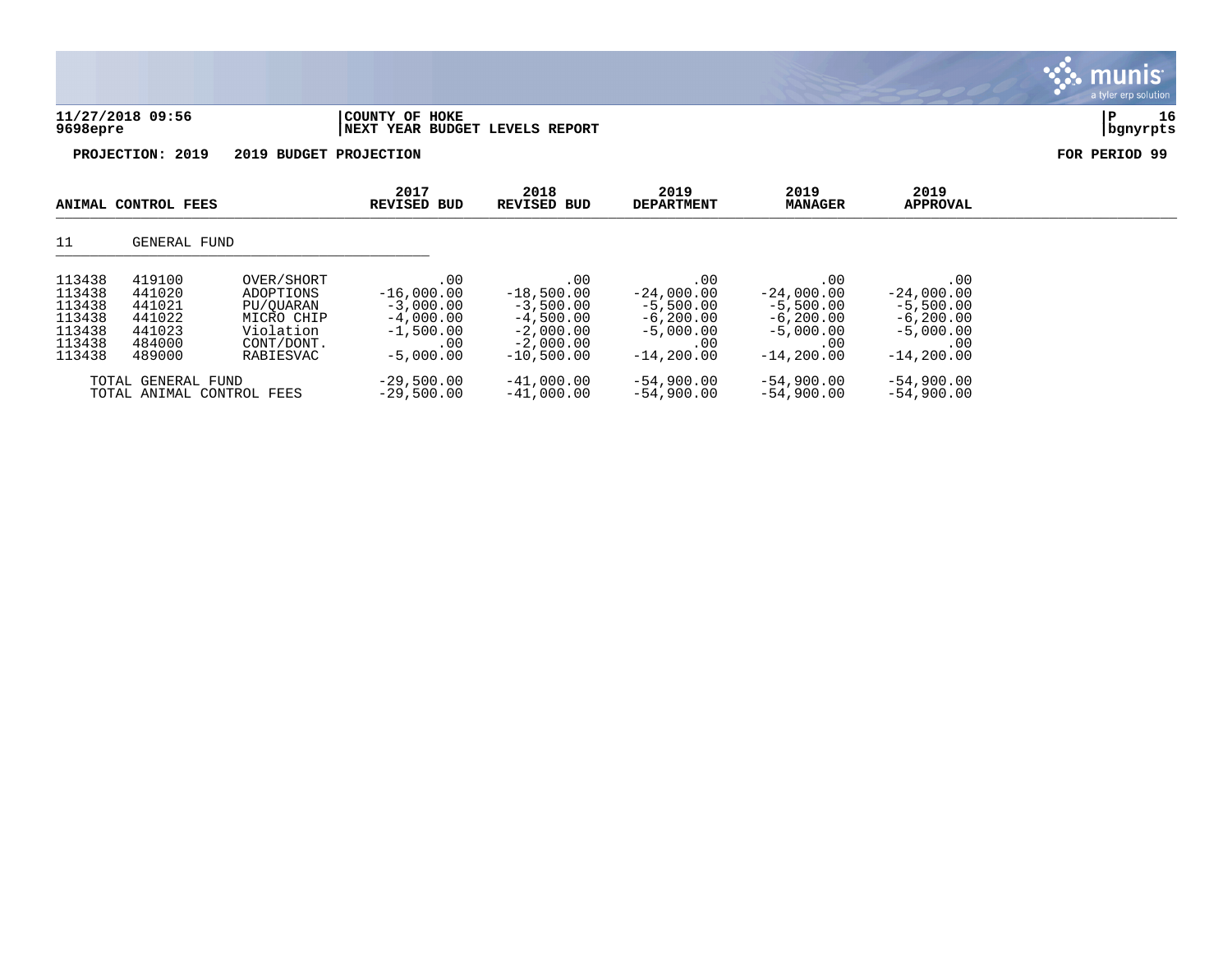|                                                                    |                                                                    |                                                                                            |                                                                                        |                                                                                                 |                                                                                           |                                                                                          |                                                                                           | a tyler erp solution |
|--------------------------------------------------------------------|--------------------------------------------------------------------|--------------------------------------------------------------------------------------------|----------------------------------------------------------------------------------------|-------------------------------------------------------------------------------------------------|-------------------------------------------------------------------------------------------|------------------------------------------------------------------------------------------|-------------------------------------------------------------------------------------------|----------------------|
| 9698epre                                                           | 11/27/2018 09:56                                                   |                                                                                            | COUNTY OF HOKE<br><b>NEXT YEAR BUDGET LEVELS REPORT</b>                                |                                                                                                 |                                                                                           |                                                                                          |                                                                                           | 16<br> P<br>bgnyrpts |
|                                                                    | PROJECTION: 2019                                                   | 2019 BUDGET PROJECTION                                                                     |                                                                                        |                                                                                                 |                                                                                           |                                                                                          |                                                                                           | FOR PERIOD 99        |
|                                                                    | ANIMAL CONTROL FEES                                                |                                                                                            | 2017<br><b>REVISED BUD</b>                                                             | 2018<br><b>REVISED BUD</b>                                                                      | 2019<br><b>DEPARTMENT</b>                                                                 | 2019<br><b>MANAGER</b>                                                                   | 2019<br><b>APPROVAL</b>                                                                   |                      |
| 11                                                                 | GENERAL FUND                                                       |                                                                                            |                                                                                        |                                                                                                 |                                                                                           |                                                                                          |                                                                                           |                      |
| 113438<br>113438<br>113438<br>113438<br>113438<br>113438<br>113438 | 419100<br>441020<br>441021<br>441022<br>441023<br>484000<br>489000 | OVER/SHORT<br>ADOPTIONS<br>PU/OUARAN<br>MICRO CHIP<br>Violation<br>CONT/DONT.<br>RABIESVAC | .00<br>$-16,000.00$<br>$-3,000.00$<br>$-4,000.00$<br>$-1,500.00$<br>.00<br>$-5,000.00$ | .00<br>$-18,500.00$<br>$-3,500.00$<br>$-4,500.00$<br>$-2,000.00$<br>$-2,000.00$<br>$-10,500.00$ | .00<br>$-24,000.00$<br>$-5,500.00$<br>$-6, 200.00$<br>$-5,000.00$<br>.00<br>$-14, 200.00$ | .00<br>$-24,000.00$<br>$-5,500.00$<br>$-6,200.00$<br>$-5,000.00$<br>.00<br>$-14, 200.00$ | .00<br>$-24,000.00$<br>$-5,500.00$<br>$-6, 200.00$<br>$-5,000.00$<br>.00<br>$-14, 200.00$ |                      |
|                                                                    | TOTAL GENERAL FUND                                                 |                                                                                            | $-29,500.00$                                                                           | $-41,000.00$                                                                                    | $-54,900.00$                                                                              | $-54,900.00$                                                                             | $-54,900.00$                                                                              |                      |

 $\therefore$  munis

TOTAL ANIMAL CONTROL FEES -29,500.00 -41,000.00 -54,900.00 -54,900.00 -54,900.00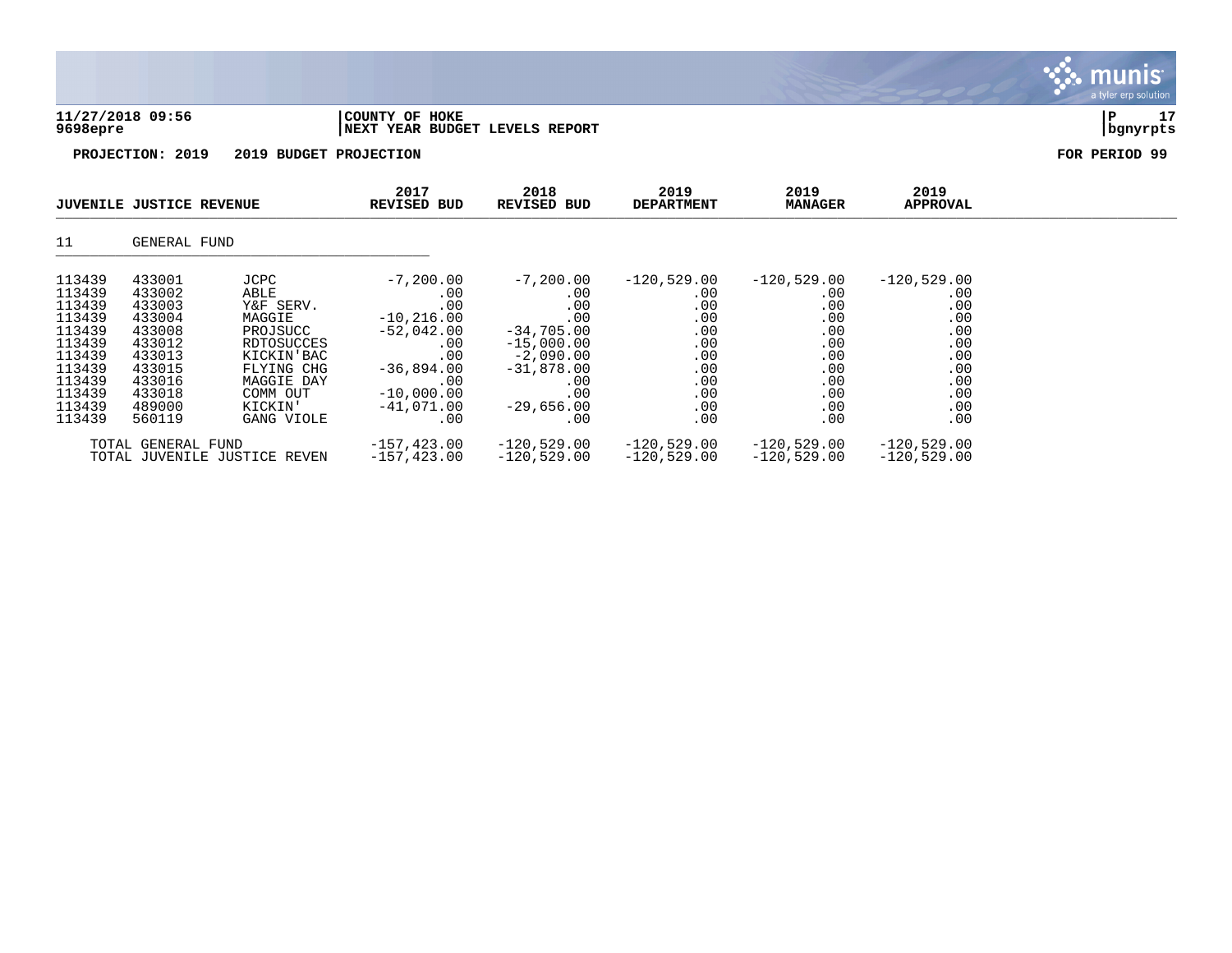| 11/27/2018 09:56 | COUNTY OF HOKE                 |          |  |
|------------------|--------------------------------|----------|--|
| 9698epre         | NEXT YEAR BUDGET LEVELS REPORT | bqnyrpts |  |

| <b>JUVENILE JUSTICE REVENUE</b>                                                                            |                                                                                                            |                                                                                                                                | 2017<br>REVISED BUD                                                                                                                  | 2018<br>REVISED BUD                                                                                                                     | 2019<br><b>DEPARTMENT</b>                                                           | 2019<br><b>MANAGER</b>                                                              | 2019<br>APPROVAL                                                                    |  |
|------------------------------------------------------------------------------------------------------------|------------------------------------------------------------------------------------------------------------|--------------------------------------------------------------------------------------------------------------------------------|--------------------------------------------------------------------------------------------------------------------------------------|-----------------------------------------------------------------------------------------------------------------------------------------|-------------------------------------------------------------------------------------|-------------------------------------------------------------------------------------|-------------------------------------------------------------------------------------|--|
| 11                                                                                                         | GENERAL FUND                                                                                               |                                                                                                                                |                                                                                                                                      |                                                                                                                                         |                                                                                     |                                                                                     |                                                                                     |  |
| 113439<br>113439<br>113439<br>113439<br>113439<br>113439<br>113439<br>113439<br>113439<br>113439<br>113439 | 433001<br>433002<br>433003<br>433004<br>433008<br>433012<br>433013<br>433015<br>433016<br>433018<br>489000 | JCPC<br>ABLE<br>Y&F SERV.<br>MAGGIE<br>PROJSUCC<br>RDTOSUCCES<br>KICKIN'BAC<br>FLYING CHG<br>MAGGIE DAY<br>COMM OUT<br>KICKIN' | $-7,200.00$<br>.00<br>.00<br>$-10, 216.00$<br>$-52,042.00$<br>$.00 \,$<br>.00<br>$-36,894.00$<br>.00<br>$-10,000,00$<br>$-41,071.00$ | $-7,200.00$<br>$.00 \,$<br>.00<br>.00<br>$-34,705.00$<br>$-15,000.00$<br>$-2,090.00$<br>$-31,878.00$<br>$.00 \,$<br>.00<br>$-29,656.00$ | $-120,529.00$<br>.00<br>.00<br>.00<br>.00<br>.00<br>.00<br>.00<br>.00<br>.00<br>.00 | $-120,529.00$<br>.00<br>.00<br>.00<br>.00<br>.00<br>.00<br>.00<br>.00<br>.00<br>.00 | $-120,529.00$<br>.00<br>.00<br>.00<br>.00<br>.00<br>.00<br>.00<br>.00<br>.00<br>.00 |  |
| 113439                                                                                                     | 560119<br>TOTAL GENERAL FUND                                                                               | GANG VIOLE<br>TOTAL JUVENILE JUSTICE REVEN                                                                                     | .00<br>-157,423.00<br>$-157, 423.00$                                                                                                 | .00<br>$-120,529.00$<br>$-120,529.00$                                                                                                   | .00<br>$-120,529.00$<br>$-120,529.00$                                               | .00<br>-120,529.00<br>$-120,529.00$                                                 | .00<br>$-120,529.00$<br>$-120,529.00$                                               |  |

munis a tyler erp solution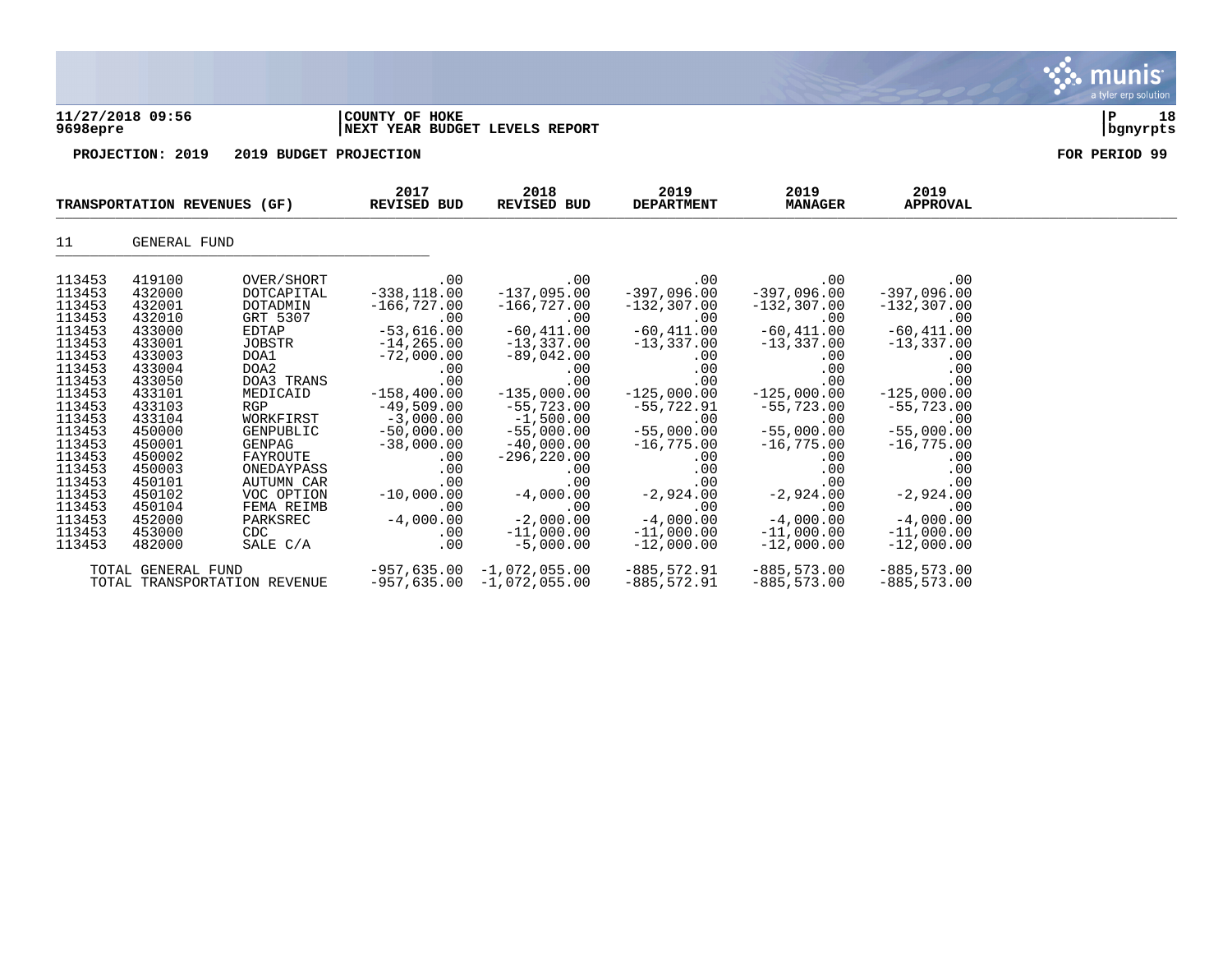|                                                                                                                                                                                                                          |                                                                                                                                                                                                                          |                                                                                                                                                                                                                                                                    |                                                                                                                                                                                                                                                                               |                                                                                                                                                                                                                                                                                                    |                                                                                                                                                                                                                                                                                                                       |                                                                                                                                                                                                                                         |                                                                                                                                                                                                                                                            | a tyre cip solution |
|--------------------------------------------------------------------------------------------------------------------------------------------------------------------------------------------------------------------------|--------------------------------------------------------------------------------------------------------------------------------------------------------------------------------------------------------------------------|--------------------------------------------------------------------------------------------------------------------------------------------------------------------------------------------------------------------------------------------------------------------|-------------------------------------------------------------------------------------------------------------------------------------------------------------------------------------------------------------------------------------------------------------------------------|----------------------------------------------------------------------------------------------------------------------------------------------------------------------------------------------------------------------------------------------------------------------------------------------------|-----------------------------------------------------------------------------------------------------------------------------------------------------------------------------------------------------------------------------------------------------------------------------------------------------------------------|-----------------------------------------------------------------------------------------------------------------------------------------------------------------------------------------------------------------------------------------|------------------------------------------------------------------------------------------------------------------------------------------------------------------------------------------------------------------------------------------------------------|---------------------|
| 9698epre                                                                                                                                                                                                                 | 11/27/2018 09:56                                                                                                                                                                                                         |                                                                                                                                                                                                                                                                    | COUNTY OF HOKE<br>NEXT YEAR BUDGET LEVELS REPORT                                                                                                                                                                                                                              |                                                                                                                                                                                                                                                                                                    |                                                                                                                                                                                                                                                                                                                       |                                                                                                                                                                                                                                         |                                                                                                                                                                                                                                                            | P<br>18<br>bgnyrpts |
|                                                                                                                                                                                                                          | PROJECTION: 2019                                                                                                                                                                                                         | 2019 BUDGET PROJECTION                                                                                                                                                                                                                                             |                                                                                                                                                                                                                                                                               |                                                                                                                                                                                                                                                                                                    |                                                                                                                                                                                                                                                                                                                       |                                                                                                                                                                                                                                         |                                                                                                                                                                                                                                                            | FOR PERIOD 99       |
|                                                                                                                                                                                                                          | TRANSPORTATION REVENUES (GF)                                                                                                                                                                                             |                                                                                                                                                                                                                                                                    | 2017<br><b>REVISED BUD</b>                                                                                                                                                                                                                                                    | 2018<br>REVISED BUD                                                                                                                                                                                                                                                                                | 2019<br><b>DEPARTMENT</b>                                                                                                                                                                                                                                                                                             | 2019<br><b>MANAGER</b>                                                                                                                                                                                                                  | 2019<br><b>APPROVAL</b>                                                                                                                                                                                                                                    |                     |
| 11                                                                                                                                                                                                                       | GENERAL FUND                                                                                                                                                                                                             |                                                                                                                                                                                                                                                                    |                                                                                                                                                                                                                                                                               |                                                                                                                                                                                                                                                                                                    |                                                                                                                                                                                                                                                                                                                       |                                                                                                                                                                                                                                         |                                                                                                                                                                                                                                                            |                     |
| 113453<br>113453<br>113453<br>113453<br>113453<br>113453<br>113453<br>113453<br>113453<br>113453<br>113453<br>113453<br>113453<br>113453<br>113453<br>113453<br>113453<br>113453<br>113453<br>113453<br>113453<br>113453 | 419100<br>432000<br>432001<br>432010<br>433000<br>433001<br>433003<br>433004<br>433050<br>433101<br>433103<br>433104<br>450000<br>450001<br>450002<br>450003<br>450101<br>450102<br>450104<br>452000<br>453000<br>482000 | OVER/SHORT<br>DOTCAPITAL<br>DOTADMIN<br>GRT 5307<br>EDTAP<br>JOBSTR<br>DOA1<br>DOA2<br>DOA3 TRANS<br>MEDICAID<br><b>RGP</b><br>WORKFIRST<br>GENPUBLIC<br>GENPAG<br>FAYROUTE<br>ONEDAYPASS<br>AUTUMN CAR<br>VOC OPTION<br>FEMA REIMB<br>PARKSREC<br>CDC<br>SALE C/A | .00<br>$-338, 118.00$<br>$-166,727.00$<br>.00<br><b>Contract State</b><br>$-53,616.00$<br>$-14, 265.00$<br>$-72,000.00$<br>.00<br>.00<br>$-49,509.00$<br>$-3,000.00$<br>$-50,000.00$<br>$-38,000.00$<br>.00<br>.00<br>.00<br>$-10,000.00$<br>.00<br>$-4,000.00$<br>.00<br>.00 | $.00 \,$<br>$-137,095.00$<br>-166,727.00<br>$00$ .<br>-60,411.00<br>$-13,337.00$<br>$-89,042.00$<br>.00<br>.00<br>$-158,400.00$ $-135,000.00$<br>$-55,723.00$<br>$-1,500.00$<br>$-55,000.00$<br>$-40,000.00$<br>$-296, 220.00$<br>.00<br>$-4,000.00$<br>$-2,000.00$<br>$-11,000.00$<br>$-5,000.00$ | .00<br>$-397,096.00$<br>$-132,307.00$<br>$-60, 411.00$<br>$-13,337.00$ $-13,337.00$<br>.00<br>.00<br>.00<br>$-125,000.00$<br>-55,722.91<br>00.<br>55 , 000 . 00 –<br>$-16,775.00$<br>.00<br>.00<br>$\begin{array}{r} .00 \ .00 \ .00 \ .00 \ .00 \ .00 \ .00 \ .00 \ .00 \end{array}$<br>$-11,000.00$<br>$-12,000.00$ | $.00\,$<br>-397,096.00<br>$-132$ ,307.00<br>$-60, 411.00$<br>.00<br>.00<br>.00<br>$-125,000.00$<br>$-55,723.00$<br>$-55,000.00$<br>$-16,775.00$<br>.00<br>.00<br>$-2,924.00$<br>.00<br>00 .<br>4,000.00 -4<br>11,000.00<br>$-12,000.00$ | .00<br>$-397,096.00$<br>$-132, 307.00$<br>$-60,411.00$<br>$-13,337.00$<br>.00<br>.00<br>.00<br>$-125,000.00$<br>$-55,723.00$<br>00.<br>55 , 000 . 00<br>$-16,775.00$<br>.00<br>.00<br>.00<br>$-2,924.00$<br>00<br>4,000.00 -4<br>11,000.00<br>$-12,000.00$ |                     |
|                                                                                                                                                                                                                          | TOTAL GENERAL FUND                                                                                                                                                                                                       |                                                                                                                                                                                                                                                                    |                                                                                                                                                                                                                                                                               | $-957,635.00 -1,072,055.00$                                                                                                                                                                                                                                                                        | $-885,572.91$                                                                                                                                                                                                                                                                                                         | $-885,573.00$                                                                                                                                                                                                                           | $-885, 573.00$                                                                                                                                                                                                                                             |                     |

 $\ddot{\mathbf{w}}$  munis

TOTAL TRANSPORTATION REVENUE -957,635.00 -1,072,055.00 -885,572.91 -885,573.00 -885,573.00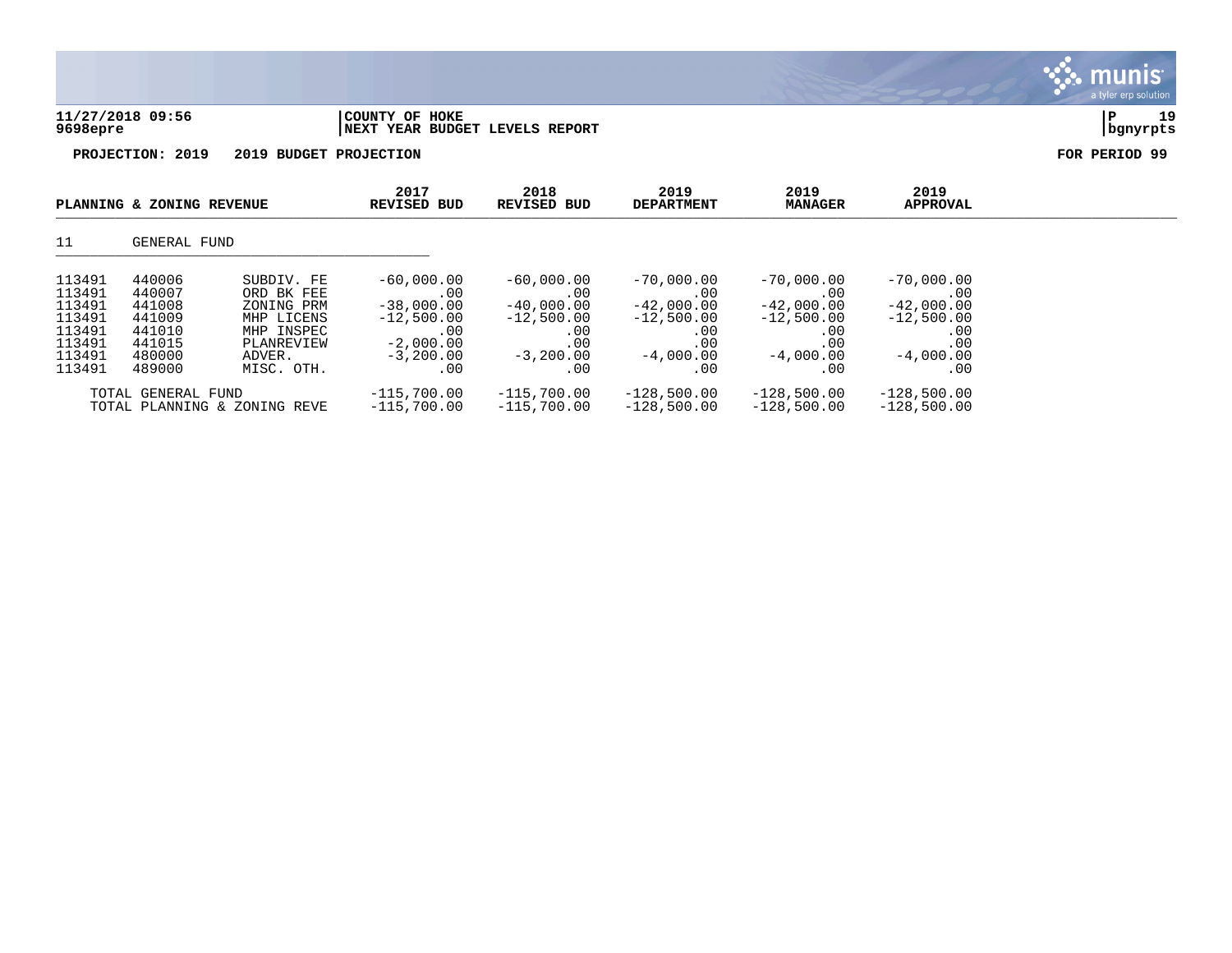| 11/27/2018 09:56 | COUNTY OF HOKE                 |          | 1۵ |
|------------------|--------------------------------|----------|----|
| 9698epre         | NEXT YEAR BUDGET LEVELS REPORT | bqnyrpts |    |

|                                                                              | PLANNING & ZONING REVENUE                                                    |                                                                                                          | 2017<br><b>REVISED BUD</b>                                                                      | 2018<br><b>REVISED BUD</b>                                                              | 2019<br><b>DEPARTMENT</b>                                                                     | 2019<br><b>MANAGER</b>                                                                  | 2019<br><b>APPROVAL</b>                                                                 |  |
|------------------------------------------------------------------------------|------------------------------------------------------------------------------|----------------------------------------------------------------------------------------------------------|-------------------------------------------------------------------------------------------------|-----------------------------------------------------------------------------------------|-----------------------------------------------------------------------------------------------|-----------------------------------------------------------------------------------------|-----------------------------------------------------------------------------------------|--|
| 11                                                                           | GENERAL FUND                                                                 |                                                                                                          |                                                                                                 |                                                                                         |                                                                                               |                                                                                         |                                                                                         |  |
| 113491<br>113491<br>113491<br>113491<br>113491<br>113491<br>113491<br>113491 | 440006<br>440007<br>441008<br>441009<br>441010<br>441015<br>480000<br>489000 | SUBDIV. FE<br>ORD BK FEE<br>ZONING PRM<br>MHP LICENS<br>MHP INSPEC<br>PLANREVIEW<br>ADVER.<br>MISC. OTH. | $-60,000.00$<br>.00<br>$-38,000.00$<br>$-12,500.00$<br>.00<br>$-2.000.00$<br>$-3,200.00$<br>.00 | $-60,000.00$<br>.00<br>$-40.000.00$<br>$-12,500.00$<br>.00<br>.00<br>$-3,200,00$<br>.00 | $-70,000.00$<br>$.00 \,$<br>$-42,000.00$<br>$-12,500.00$<br>.00<br>.00<br>$-4,000.00$<br>. 00 | $-70,000.00$<br>.00<br>$-42,000.00$<br>$-12,500.00$<br>.00<br>.00<br>$-4.000.00$<br>.00 | $-70,000.00$<br>.00<br>$-42,000.00$<br>$-12,500.00$<br>.00<br>.00<br>$-4,000.00$<br>.00 |  |
|                                                                              | TOTAL GENERAL FUND                                                           | TOTAL PLANNING & ZONING REVE                                                                             | $-115,700.00$<br>$-115,700.00$                                                                  | $-115,700.00$<br>$-115,700.00$                                                          | $-128,500.00$<br>$-128,500.00$                                                                | $-128,500.00$<br>$-128,500.00$                                                          | $-128,500.00$<br>$-128,500.00$                                                          |  |

munis a tyler erp solution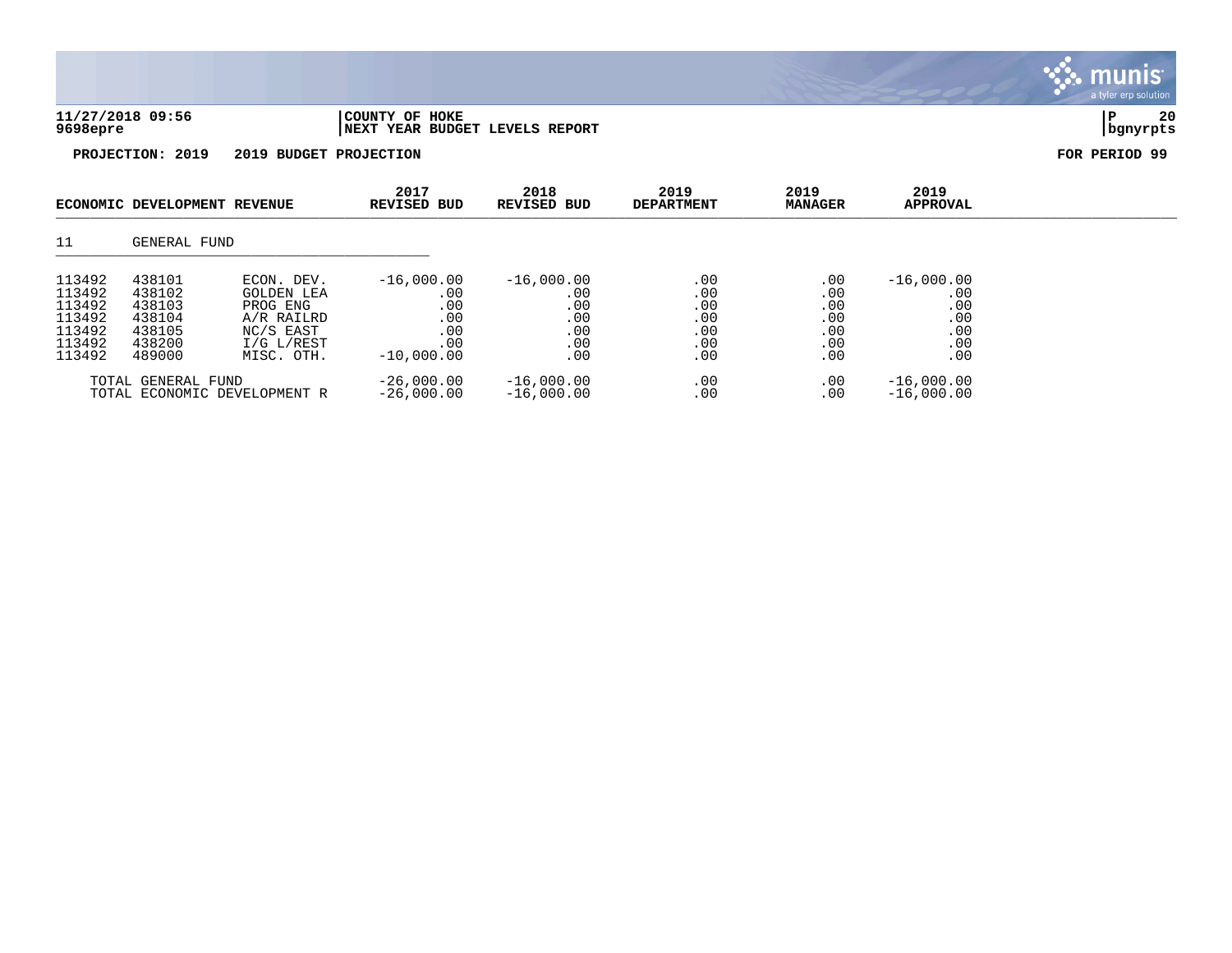| 11/27/2018 09:56 | COUNTY OF HOKE                 |          | 20 |
|------------------|--------------------------------|----------|----|
| 9698epre         | NEXT YEAR BUDGET LEVELS REPORT | bgnyrpts |    |

|                                                                    | ECONOMIC DEVELOPMENT REVENUE                                       |                                                                                                    | 2017<br><b>REVISED BUD</b>                                      | 2018<br><b>REVISED BUD</b>                             | 2019<br><b>DEPARTMENT</b>                     | 2019<br><b>MANAGER</b>                             | 2019<br><b>APPROVAL</b>                                |  |
|--------------------------------------------------------------------|--------------------------------------------------------------------|----------------------------------------------------------------------------------------------------|-----------------------------------------------------------------|--------------------------------------------------------|-----------------------------------------------|----------------------------------------------------|--------------------------------------------------------|--|
| 11                                                                 | GENERAL FUND                                                       |                                                                                                    |                                                                 |                                                        |                                               |                                                    |                                                        |  |
| 113492<br>113492<br>113492<br>113492<br>113492<br>113492<br>113492 | 438101<br>438102<br>438103<br>438104<br>438105<br>438200<br>489000 | ECON. DEV.<br><b>GOLDEN LEA</b><br>PROG ENG<br>A/R RAILRD<br>NC/S EAST<br>I/G L/REST<br>MISC. OTH. | $-16,000.00$<br>.00<br>.00<br>.00<br>.00<br>.00<br>$-10,000.00$ | $-16,000.00$<br>.00<br>.00<br>.00<br>.00<br>.00<br>.00 | .00<br>.00<br>.00<br>.00<br>.00<br>.00<br>.00 | $.00 \,$<br>.00<br>.00<br>.00<br>.00<br>.00<br>.00 | $-16,000.00$<br>.00<br>.00<br>.00<br>.00<br>.00<br>.00 |  |
|                                                                    | TOTAL GENERAL FUND                                                 | TOTAL ECONOMIC DEVELOPMENT R                                                                       | $-26,000.00$<br>$-26,000.00$                                    | $-16,000.00$<br>$-16,000.00$                           | .00<br>.00                                    | $.00 \,$<br>.00                                    | $-16,000.00$<br>$-16,000.00$                           |  |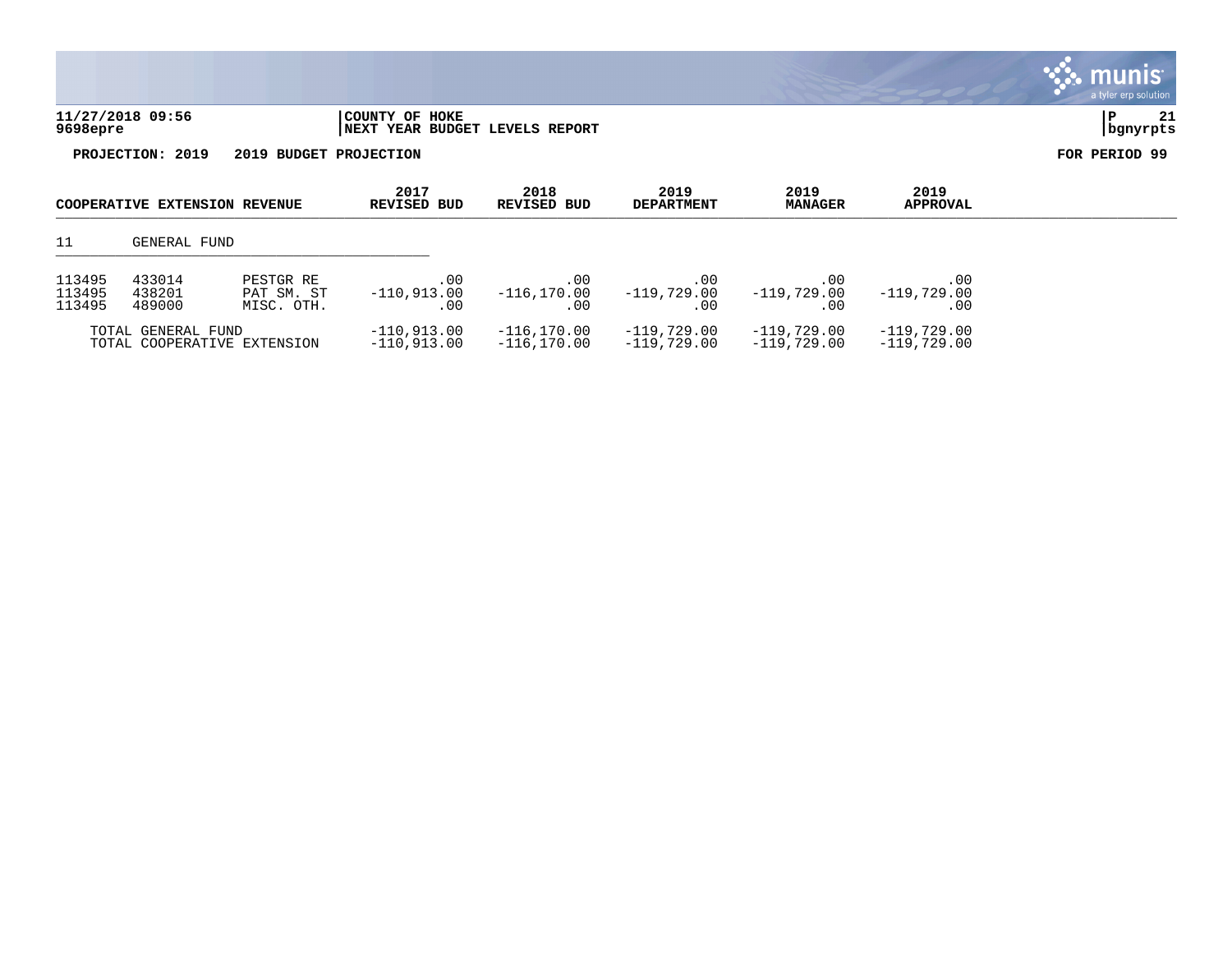| 11/27/2018 09:56<br>9698epre         |                        | COUNTY OF HOKE<br><b>INEXT YEAR BUDGET LEVELS REPORT</b> |                     |                           |                        |                         | 21<br>∣P<br>  bgnyrpts |
|--------------------------------------|------------------------|----------------------------------------------------------|---------------------|---------------------------|------------------------|-------------------------|------------------------|
| PROJECTION: 2019                     | 2019 BUDGET PROJECTION |                                                          |                     |                           |                        |                         | FOR PERIOD 99          |
| <b>COOPERATIVE EXTENSION REVENUE</b> |                        | 2017<br><b>REVISED BUD</b>                               | 2018<br>REVISED BUD | 2019<br><b>DEPARTMENT</b> | 2019<br><b>MANAGER</b> | 2019<br><b>APPROVAL</b> |                        |

**∵ munis** 

# 11 GENERAL FUND \_\_\_\_\_\_\_\_\_\_\_\_\_\_\_\_\_\_\_\_\_\_\_\_\_\_\_\_\_\_\_\_\_\_\_\_\_\_\_\_\_\_\_\_

| 113495<br>113495<br>113495 | 433014<br>438201<br>489000 | PESTGR RE<br>PAT SM. ST<br>MISC. OTH. | .00<br>$-110.913.00$           | . 00<br>$-116, 170, 00$        | . 00<br>$-119.729.00$          | . 00<br>$-119.729.00$        | .00<br>$-119.729.00$<br>.00    |
|----------------------------|----------------------------|---------------------------------------|--------------------------------|--------------------------------|--------------------------------|------------------------------|--------------------------------|
|                            | TOTAL GENERAL FUND         | TOTAL COOPERATIVE EXTENSION           | $-110.913.00$<br>$-110.913.00$ | $-116.170.00$<br>$-116.170.00$ | $-119.729.00$<br>$-119.729.00$ | $-119.729.00$<br>-119,729.00 | $-119.729.00$<br>$-119.729.00$ |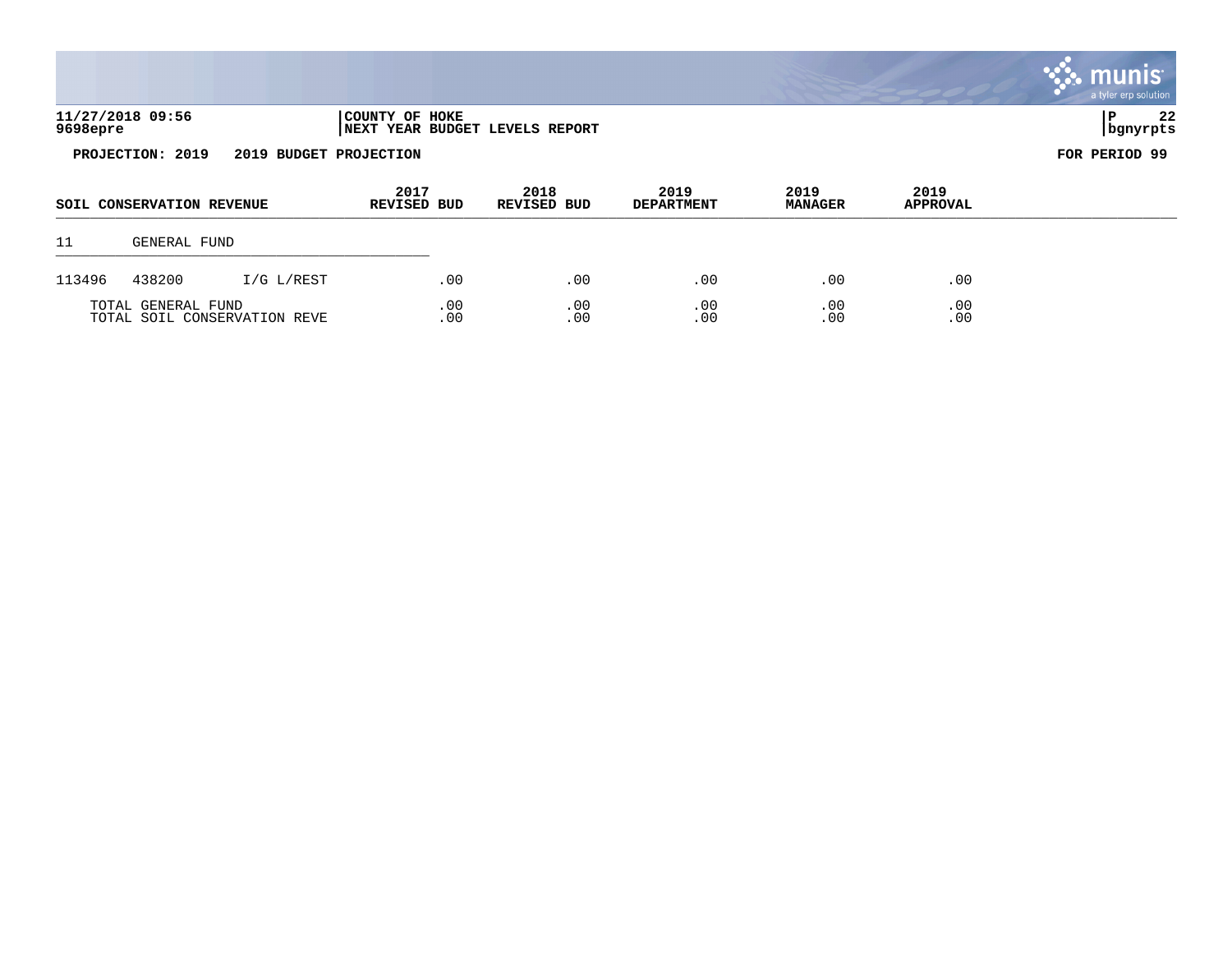|          |                           |                        |                                                  |                            |                           |                        |                         | munis<br>a tyler erp solution |
|----------|---------------------------|------------------------|--------------------------------------------------|----------------------------|---------------------------|------------------------|-------------------------|-------------------------------|
| 9698epre | 11/27/2018 09:56          |                        | COUNTY OF HOKE<br>NEXT YEAR BUDGET LEVELS REPORT |                            |                           |                        |                         | 22<br>P<br>  bgnyrpts         |
|          | PROJECTION: 2019          | 2019 BUDGET PROJECTION |                                                  |                            |                           |                        |                         | FOR PERIOD 99                 |
|          |                           |                        |                                                  |                            |                           |                        |                         |                               |
|          | SOIL CONSERVATION REVENUE |                        | 2017<br><b>REVISED BUD</b>                       | 2018<br><b>REVISED BUD</b> | 2019<br><b>DEPARTMENT</b> | 2019<br><b>MANAGER</b> | 2019<br><b>APPROVAL</b> |                               |
| 11       | GENERAL FUND              |                        |                                                  |                            |                           |                        |                         |                               |

TOTAL GENERAL FUND .00 .00 .00 .00 .00 TOTAL SOIL CONSERVATION REVE .00 .00 .00 .00 .00 .00 .00 .00 .00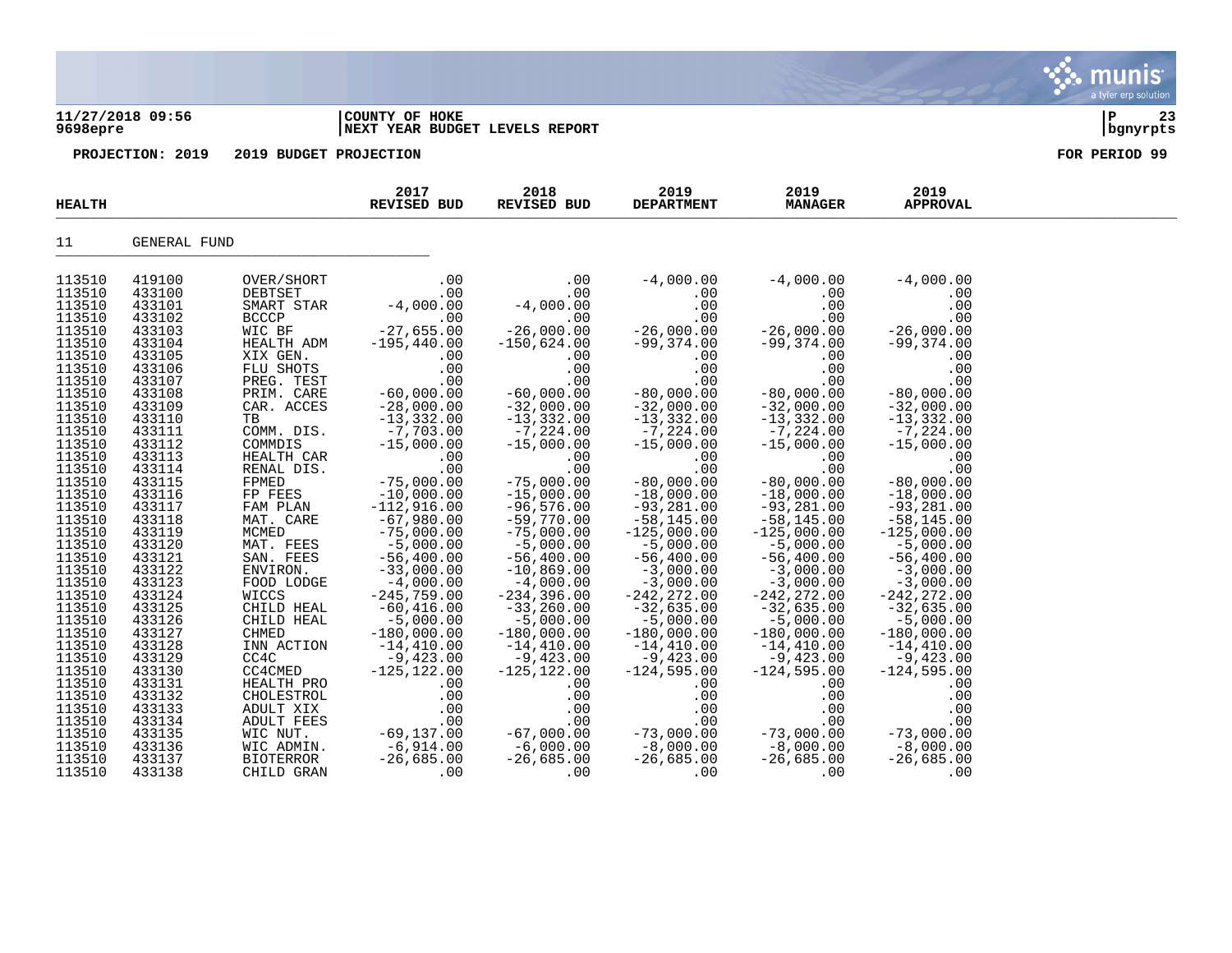### **11/27/2018 09:56 |COUNTY OF HOKE |P 23 9698epre |NEXT YEAR BUDGET LEVELS REPORT |bgnyrpts**

| <b>HEALTH</b> |              |                        | 2017<br>REVISED BUD           | 2018<br>REVISED BUD                                                  | 2019<br><b>DEPARTMENT</b>     | 2019<br><b>MANAGER</b>         | 2019<br><b>APPROVAL</b>     |  |
|---------------|--------------|------------------------|-------------------------------|----------------------------------------------------------------------|-------------------------------|--------------------------------|-----------------------------|--|
| 11            | GENERAL FUND |                        |                               |                                                                      |                               |                                |                             |  |
| 113510        | 419100       | OVER/SHORT             | .00                           | .00                                                                  | $-4,000.00$                   | $-4,000.00$                    | $-4,000.00$                 |  |
| 113510        | 433100       | DEBTSET                | .00                           |                                                                      | .00                           | .00                            | .00                         |  |
| 113510        | 433101       | SMART STAR             | $-4,000.00$                   | $-4,000.00$                                                          | .00                           | .00                            | .00                         |  |
| 113510        | 433102       | <b>BCCCP</b>           | .00                           |                                                                      | .00                           | .00                            | .00                         |  |
| 113510        | 433103       | WIC BF                 | $-27,655.00$                  | $-26,000.00$                                                         | $-26,000.00$                  | $-26,000.00$                   | $-26,000.00$                |  |
| 113510        |              |                        | $-195,440.00$                 | $-150,624.00$                                                        | $-99,374.00$                  | $-99,374.00$                   | $-99,374.00$                |  |
|               | 433104       | HEALTH ADM             |                               |                                                                      |                               |                                |                             |  |
| 113510        | 433105       | XIX GEN.               | .00                           | .00                                                                  | .00                           | .00                            | .00                         |  |
| 113510        | 433106       | FLU SHOTS              | .00                           | .00                                                                  | .00                           | .00                            | .00                         |  |
| 113510        | 433107       | PREG. TEST             | .00                           | .00                                                                  | .00                           | .00                            | .00                         |  |
| 113510        | 433108       | PRIM. CARE             | $-60,000.00$                  | $-60,000.00$                                                         | $-80,000.00$                  | $-80,000.00$                   | $-80,000.00$                |  |
| 113510        | 433109       | CAR. ACCES             | $-28,000.00$<br>$-13,332.00$  | $-32,000.00$                                                         | $-32,000.00$                  | $-32,000.00$                   | $-32,000.00$                |  |
| 113510        | 433110       | TB                     |                               | $-13,332.00$                                                         | $-13,332.00$                  | $-13,332.00$                   | $-13, 332.00$               |  |
| 113510        | 433111       | COMM. DIS.             | $-7,703.00$                   | $-7,224.00$                                                          | $-7, 224.00$                  | $-7,224.00$                    | $-7,224.00$                 |  |
| 113510        | 433112       | COMMDIS                | $-15,000.00$                  | $-15,000.00$                                                         | $-15,000.00$                  | $-15,000.00$                   | $-15,000.00$                |  |
| 113510        | 433113       | HEALTH CAR             | .00                           | .00                                                                  | .00                           | .00                            | .00                         |  |
| 113510        | 433114       | RENAL DIS.             | .00                           | .00                                                                  | .00                           | .00                            | .00                         |  |
| 113510        | 433115       | FPMED                  | $-75,000.00$                  | $-75,000.00$                                                         | $-80,000.00$                  | $-80,000.00$                   | $-80,000.00$                |  |
| 113510        | 433116       | FP FEES                |                               | $-15,000.00$                                                         | $-18,000.00$                  | $-18,000.00$                   | $-18,000.00$                |  |
| 113510        | 433117       | FAM PLAN               | $-10,000.00$<br>$-112,916.00$ | $-96,576.00$                                                         | $-93,281.00$                  | $-93,281.00$                   | $-93, 281.00$               |  |
| 113510        | 433118       | MAT. CARE              | $-67,980.00$                  | $-59,770.00$                                                         | $-58,145.00$                  | $-58,145.00$                   | $-58,145.00$                |  |
| 113510        | 433119       | MCMED                  | $-75,000.00$                  | $-75,000.00$                                                         | $-125,000.00$                 | $-125,000.00$                  | $-125,000.00$               |  |
| 113510        | 433120       |                        |                               | $-5,000.00$                                                          | $-5,000.00$                   | $-5,000.00$                    |                             |  |
| 113510        | 433121       | MAT. FEES<br>SAN. FEES | $-5,000.00$                   |                                                                      |                               |                                | $-5,000.00$                 |  |
|               |              |                        | $-56,400.00$<br>$-33,000.00$  | $-56,400.00$                                                         | $-56,400.00$                  | $-56,400.00$                   | $-56,400.00$                |  |
| 113510        | 433122       | ENVIRON.               |                               | $-10,869.00$                                                         | $-3,000.00$                   | $-3,000.00$                    | $-3,000.00$                 |  |
| 113510        | 433123       | FOOD LODGE             | $-4,000.00$                   | $-4,000.00$                                                          | $-3,000.00$                   | $-3,000.00$                    | $-3,000.00$                 |  |
| 113510        | 433124       | WICCS                  | $-245,759.00$                 | $-234,396.00$                                                        | $-242, 272.00$                | $-242, 272.00$                 | $-242, 272.00$              |  |
| 113510        | 433125       | CHILD HEAL             | $-60, 416.00$                 | $-33,260.00$                                                         | $-32,635.00$                  | $-32,635.00$                   | $-32,635.00$                |  |
| 113510        | 433126       | CHILD HEAL             | $-5,000.00$                   | $-5,000.00$                                                          | $-5,000.00$                   | $-5,000.00$                    | $-5,000.00$                 |  |
| 113510        | 433127       | CHMED                  | $-180,000.00$                 | $-180,000.00$                                                        | $-180,000.00$                 | $-180,000.00$                  | $-180,000.00$               |  |
| 113510        | 433128       | INN ACTION             | $-14,410.00$                  | $-14,410.00$<br>$-9,423.00$                                          | $-14,410.00$                  | $-14,410.00$<br>$-9,423.00$    | $-14,410.00$                |  |
| 113510        | 433129       | CC4C                   | $-9,423.00$                   |                                                                      | $-9,423.00$                   |                                | $-9,423.00$                 |  |
| 113510        | 433130       | CC4CMED                | $-125, 122.00$                | $-125, 122.00$                                                       | $-124,595.00$                 | $-124,595.00$                  | $-124,595.00$               |  |
| 113510        | 433131       | HEALTH PRO             | .00                           | .00                                                                  | .00                           | .00                            | .00                         |  |
| 113510        | 433132       | CHOLESTROL             | .00                           | .00                                                                  | .00                           | .00                            | .00                         |  |
| 113510        | 433133       | ADULT XIX              |                               | <br>00. 00.<br>69,137.00 -67,000.00.<br>6,000.00 -6.914.00 -6,000.00 | .00                           | .00                            | .00                         |  |
| 113510        | 433134       | ADULT FEES             |                               |                                                                      | .00                           |                                | .00                         |  |
| 113510        | 433135       | WIC NUT.               |                               |                                                                      |                               |                                |                             |  |
| 113510        | 433136       | WIC ADMIN.             | $-69, 131.00$<br>$-6, 914.00$ |                                                                      | $-73$ ,000.00<br>$-8$ ,000.00 | .00<br>73,000.00<br>8,000.00 – | $-73,000.00$<br>$-8,000.00$ |  |
| 113510        | 433137       | BIOTERROR              | $-26,685.00$                  | $-26,685.00$                                                         | $-26,685.00$                  | $-26,685.00$                   | $-26,685.00$                |  |
| 113510        | 433138       | CHILD GRAN             | .00                           | .00                                                                  | .00                           | .00                            | .00                         |  |
|               |              |                        |                               |                                                                      |                               |                                |                             |  |

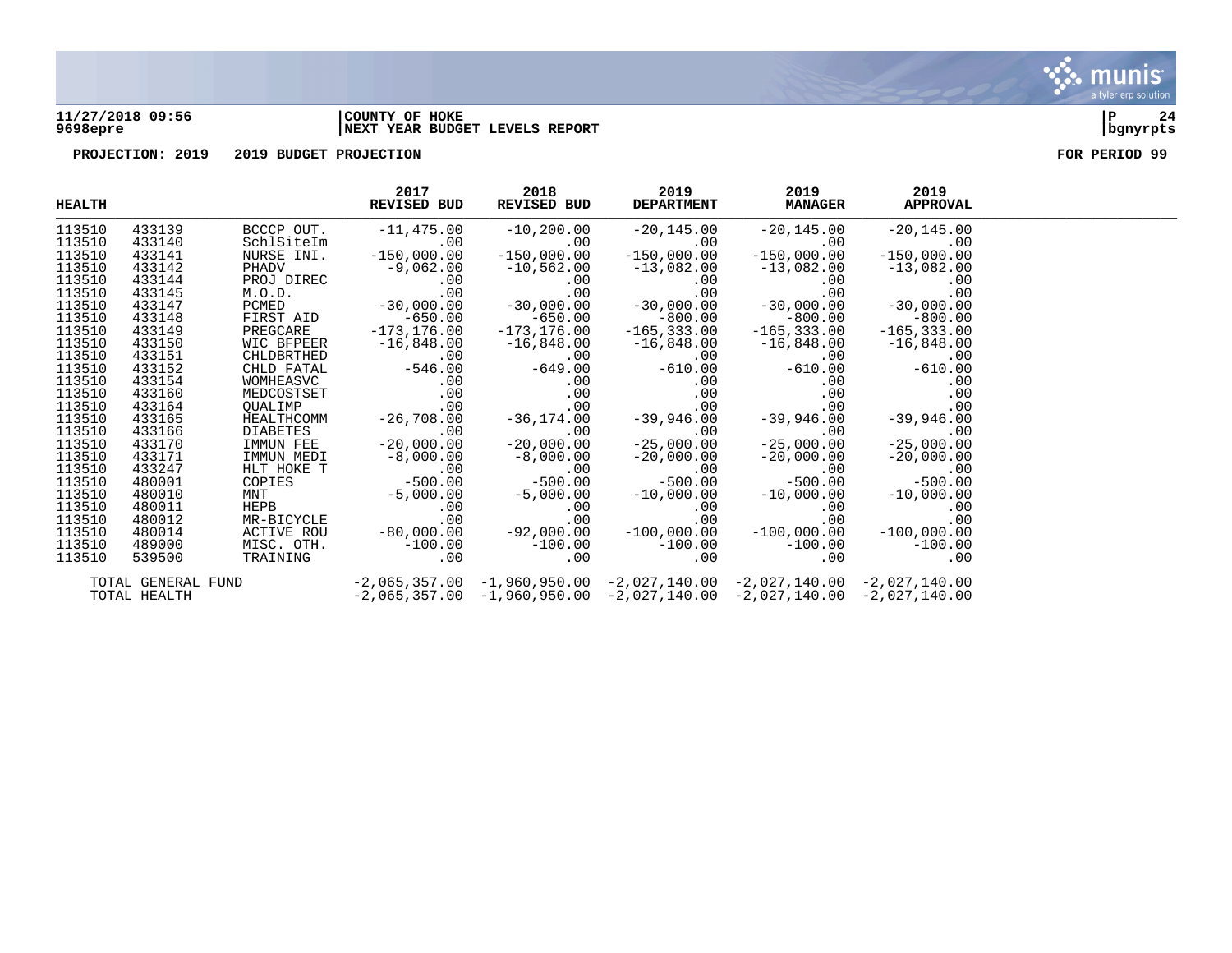

## **11/27/2018 09:56 |COUNTY OF HOKE |P 24 9698epre |NEXT YEAR BUDGET LEVELS REPORT |bgnyrpts**



| <b>HEALTH</b> |                    |                                                                                                                                                                                                                                   | 2017<br>REVISED BUD                                                                                                                                                                                                                                                                                                     | 2018<br>REVISED BUD | 2019          | 2019<br>DEPARTMENT MANAGER APPROVAL | 2019          |  |
|---------------|--------------------|-----------------------------------------------------------------------------------------------------------------------------------------------------------------------------------------------------------------------------------|-------------------------------------------------------------------------------------------------------------------------------------------------------------------------------------------------------------------------------------------------------------------------------------------------------------------------|---------------------|---------------|-------------------------------------|---------------|--|
| 113510        | 433139             |                                                                                                                                                                                                                                   |                                                                                                                                                                                                                                                                                                                         |                     |               |                                     | $-20,14$      |  |
| 113510        | 433140             |                                                                                                                                                                                                                                   |                                                                                                                                                                                                                                                                                                                         |                     |               |                                     |               |  |
| 113510        | 433141             | NURSE INI.                                                                                                                                                                                                                        | $-150,000.00$                                                                                                                                                                                                                                                                                                           | $-150,000.00$       | $-150,000.00$ | $-150,000.00$                       | $-150,000.00$ |  |
| 113510        | 433142             |                                                                                                                                                                                                                                   | PHADV -150,000.00 -150,000.00 -150,000.00 -150,000.00 -150,000.00 -150,000.00 -150,000.00 -150,000.00 -150,000.00 -130,082.00 -130,082.00 -130,082.00 -130,082.00 -130,082.00 -130,082.00 -130,082.00 -130,082.00 -130,082.00                                                                                           |                     |               |                                     |               |  |
| 113510        | 433144             |                                                                                                                                                                                                                                   |                                                                                                                                                                                                                                                                                                                         |                     |               |                                     |               |  |
| 113510        | 433145             |                                                                                                                                                                                                                                   |                                                                                                                                                                                                                                                                                                                         |                     |               |                                     |               |  |
| 113510        | 433147             |                                                                                                                                                                                                                                   |                                                                                                                                                                                                                                                                                                                         |                     |               |                                     |               |  |
| 113510        | 433148             |                                                                                                                                                                                                                                   |                                                                                                                                                                                                                                                                                                                         |                     |               |                                     |               |  |
| 113510        | 433149             |                                                                                                                                                                                                                                   |                                                                                                                                                                                                                                                                                                                         |                     |               |                                     |               |  |
| 113510        | 433150             | EXECARE -173,176.00 -173,176.00 -165,333.00 -165,333.00 -165,333.00 -165,333.00 -16,848.00<br>CHLDBRTHED -00 -00 -00 -00 -00 -00 -00 -00 -00<br>MOMHEASVC -00 -649.00 -649.00 -610.00 -610.00 -610.00 -610.00<br>MOMHEASVC -00 -0 |                                                                                                                                                                                                                                                                                                                         |                     |               |                                     |               |  |
| 113510        | 433151             |                                                                                                                                                                                                                                   |                                                                                                                                                                                                                                                                                                                         |                     |               |                                     |               |  |
| 113510        | 433152             |                                                                                                                                                                                                                                   |                                                                                                                                                                                                                                                                                                                         |                     |               |                                     |               |  |
| 113510        | 433154             |                                                                                                                                                                                                                                   |                                                                                                                                                                                                                                                                                                                         |                     |               |                                     |               |  |
| 113510        | 433160             |                                                                                                                                                                                                                                   |                                                                                                                                                                                                                                                                                                                         |                     |               |                                     |               |  |
| 113510        | 433164             |                                                                                                                                                                                                                                   |                                                                                                                                                                                                                                                                                                                         |                     |               |                                     |               |  |
| 113510        | 433165             |                                                                                                                                                                                                                                   |                                                                                                                                                                                                                                                                                                                         |                     |               |                                     |               |  |
| 113510        | 433166             |                                                                                                                                                                                                                                   |                                                                                                                                                                                                                                                                                                                         |                     |               |                                     |               |  |
| 113510        | 433170             |                                                                                                                                                                                                                                   |                                                                                                                                                                                                                                                                                                                         |                     |               |                                     |               |  |
| 113510        | 433171             |                                                                                                                                                                                                                                   |                                                                                                                                                                                                                                                                                                                         |                     |               |                                     |               |  |
| 113510        | 433247             |                                                                                                                                                                                                                                   |                                                                                                                                                                                                                                                                                                                         |                     |               |                                     |               |  |
| 113510        | 480001             |                                                                                                                                                                                                                                   |                                                                                                                                                                                                                                                                                                                         |                     |               |                                     |               |  |
| 113510        | 480010             |                                                                                                                                                                                                                                   |                                                                                                                                                                                                                                                                                                                         |                     |               |                                     |               |  |
| 113510        | 480011             |                                                                                                                                                                                                                                   |                                                                                                                                                                                                                                                                                                                         |                     |               |                                     |               |  |
| 113510        | 480012             |                                                                                                                                                                                                                                   |                                                                                                                                                                                                                                                                                                                         |                     |               |                                     |               |  |
| 113510        | 480014             |                                                                                                                                                                                                                                   | $\begin{array}{cccccccc} \text{IMMUN M FEE} & -20,000.00 & -20,000.00 & -25,000.00 & -20,000.00 & -20,000.00 \\ \text{IMMUN MEDI} & -8,000.00 & -8,000.00 & -20,000.00 & -20,000.00 & -20,000.00 \\ \text{HLT HOKE T} & -8,000.00 & -500.00 & 0 & 0 & 0 \\ \text{COFES} & -500.00 & -500.00 & -500.00 & -500.00 & -500$ |                     |               |                                     |               |  |
| 113510        | 489000             |                                                                                                                                                                                                                                   | MISC. OTH. $-100.00$ $-100.00$ $-100.00$ $-100.00$ $-0$ $-0$ $-0$ $-0$ $-0$                                                                                                                                                                                                                                             |                     |               |                                     |               |  |
| 113510        | 539500             |                                                                                                                                                                                                                                   |                                                                                                                                                                                                                                                                                                                         |                     |               |                                     |               |  |
|               | TOTAL GENERAL FUND |                                                                                                                                                                                                                                   | $-2$ ,065,357.00 $-1$ ,960,950.00 $-2$ ,027,140.00 $-2$ ,027,140.00 $-2$ ,027,140.00                                                                                                                                                                                                                                    |                     |               |                                     |               |  |
|               | TOTAL HEALTH       | $-2,065,357.00$ $-1,960,950.00$ $-2,027,140.00$ $-2,027,140.00$ $-2,027,140.00$                                                                                                                                                   |                                                                                                                                                                                                                                                                                                                         |                     |               |                                     |               |  |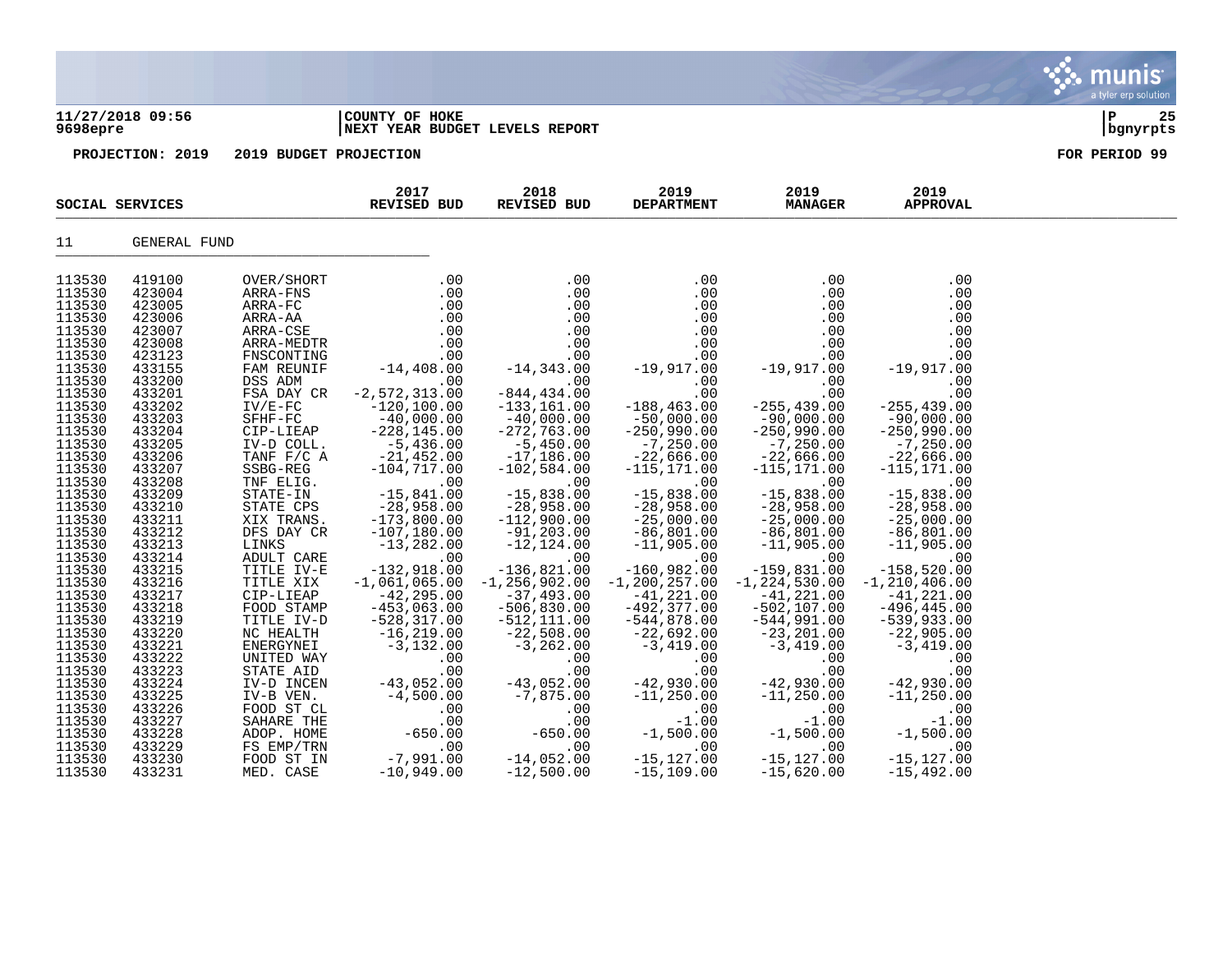|                                                                                                                                |                                                                                                                                |                                                                                                                                                                    |                                                                                                                                                                                                                                                                                                                                                                                                 |                                                                                                                               |                                                                                                                                |                                                                                                                            |                                                                                                                                      | a tyler erp solution  |
|--------------------------------------------------------------------------------------------------------------------------------|--------------------------------------------------------------------------------------------------------------------------------|--------------------------------------------------------------------------------------------------------------------------------------------------------------------|-------------------------------------------------------------------------------------------------------------------------------------------------------------------------------------------------------------------------------------------------------------------------------------------------------------------------------------------------------------------------------------------------|-------------------------------------------------------------------------------------------------------------------------------|--------------------------------------------------------------------------------------------------------------------------------|----------------------------------------------------------------------------------------------------------------------------|--------------------------------------------------------------------------------------------------------------------------------------|-----------------------|
| 9698epre                                                                                                                       | 11/27/2018 09:56                                                                                                               |                                                                                                                                                                    | COUNTY OF HOKE                                                                                                                                                                                                                                                                                                                                                                                  | NEXT YEAR BUDGET LEVELS REPORT                                                                                                |                                                                                                                                |                                                                                                                            |                                                                                                                                      | 25<br>∣ P<br>bgnyrpts |
|                                                                                                                                | PROJECTION: 2019                                                                                                               | 2019 BUDGET PROJECTION                                                                                                                                             |                                                                                                                                                                                                                                                                                                                                                                                                 |                                                                                                                               |                                                                                                                                |                                                                                                                            |                                                                                                                                      | FOR PERIOD 99         |
|                                                                                                                                | SOCIAL SERVICES                                                                                                                |                                                                                                                                                                    | 2017<br><b>REVISED BUD</b>                                                                                                                                                                                                                                                                                                                                                                      | 2018<br><b>REVISED BUD</b>                                                                                                    | 2019<br><b>DEPARTMENT</b>                                                                                                      | 2019<br><b>MANAGER</b>                                                                                                     | 2019<br><b>APPROVAL</b>                                                                                                              |                       |
| 11                                                                                                                             | GENERAL FUND                                                                                                                   |                                                                                                                                                                    |                                                                                                                                                                                                                                                                                                                                                                                                 |                                                                                                                               |                                                                                                                                |                                                                                                                            |                                                                                                                                      |                       |
| 113530<br>113530<br>113530<br>113530<br>113530<br>113530<br>113530<br>113530<br>113530<br>113530<br>113530<br>113530<br>113530 | 419100<br>423004<br>423005<br>423006<br>423007<br>423008<br>423123<br>433155<br>433200<br>433201<br>433202<br>433203<br>433204 | OVER/SHORT<br>ARRA-FNS<br>ARRA-FC<br>ARRA-AA<br>ARRA-CSE<br>ARRA-MEDTR<br>FNSCONTING<br>FAM REUNIF<br>DSS ADM<br>FSA DAY CR<br>$IV/E-FC$<br>$SFHF-FC$<br>CIP-LIEAP | .00<br>$\begin{array}{cccc} \text{I} & & 0.0 & & 0.0 \\ \text{I} & & 0.0 & & 0.0 \\ \text{I} & 0.0 & & 0.0 \\ \text{I} & 0.0 & & 0.0 \\ \text{I} & 0.0 & & 0.0 \\ \text{I} & 0.0 & & 0.0 \\ \text{I} & 0.0 & & 0.0 \\ \text{I} & 0.0 & & -14,343.0 \\ \text{I} & -14,408.00 & & -14,343.0 \\ \end{array}$<br>$\sim$ 00<br>$-2, 572, 313.00$<br>$-120, 100.00$<br>$-40,000.00$<br>$-228, 145.00$ | an an Aonaichte<br>.00<br>$-844, 434 \, . \, 00$<br>$-133, 161.00$<br>$-40,000.00$<br>$-272,763.00$                           | .00<br>.00<br>.00<br>.00<br>.00<br>.00<br>.00<br>$-19,917.00$<br>.00<br>.00<br>$-188, 463.00$<br>$-50,000.00$<br>$-250,990.00$ | .00<br>.00<br>.00<br>.00<br>$00$ -19,917.00<br>00 -19,917.00<br>00 .00<br>255,439<br>$-90,000.00$<br>$-250,990.00$         | .00<br>.00<br>.00<br>$0.00$<br>0.0<br>0.0<br>0.017.00<br>-19,917.00<br>.00<br>.00<br>$-255, 439.00$<br>$-90,000.00$<br>$-250,990.00$ |                       |
| 113530<br>113530<br>113530<br>113530                                                                                           | 433205<br>433206<br>433207<br>433208                                                                                           | IV-D COLL.<br>TANF F/C A<br>SSBG-REG<br>TNF ELIG.                                                                                                                  | $-5,436.00$<br>$-21,452.00$<br>$-104, 717.00$                                                                                                                                                                                                                                                                                                                                                   | $-5,450.00$<br>$-17,186.00$<br>$-102,584.00$<br>$\sim 00$                                                                     | $-7, 250.00$<br>$-22,666.00$<br>$-115, 171.00$<br>$\sim$ 00                                                                    | $-7, 250.00$<br>$-22,666.00$<br>$-115, 171.00$                                                                             | $-7, 250.00$<br>$-22,666.00$<br>$-115, 171.00$<br>$\sim$ 00                                                                          |                       |
| 113530<br>113530<br>113530<br>113530<br>113530<br>113530                                                                       | 433209<br>433210<br>433211<br>433212<br>433213<br>433214                                                                       | STATE-IN<br>STATE CPS<br>XIX TRANS.<br>DFS DAY CR<br>LINKS<br>ADULT CARE                                                                                           | $-15,841.00$<br>$-28,958.00$<br>$-173,800.00$<br>$-107, 180.00$<br>$-13,282.00$<br>$\sim 00$                                                                                                                                                                                                                                                                                                    | $-15,838.00$<br>$-28,958.00$<br>$-112,900.00$<br>$-91,203.00$<br>$-12, 124.00$<br>.00                                         | $-15,838.00$<br>$-28,958.00$<br>$-25,000.00$<br>$-86,801.00$<br>$-11,905.00$<br>$\sim 00$                                      | $-15,838.00$<br>$-28,958.00$<br>$-25,000.00$<br>$-86, 801.00$<br>$-11,905.00$<br>.00                                       | $-15,838.00$<br>$-28,958.00$<br>$-25,000.00$<br>$-86, 801.00$<br>$-11,905.00$<br>.00                                                 |                       |
| 113530<br>113530<br>113530<br>113530<br>113530<br>113530<br>113530<br>113530                                                   | 433215<br>433216<br>433217<br>433218<br>433219<br>433220<br>433221<br>433222                                                   | TITLE IV-E<br>TITLE XIX<br>CIP-LIEAP<br>FOOD STAMP<br>TITLE IV-D<br>NC HEALTH<br>ENERGYNEI<br>UNITED WAY                                                           | $-132,918.00$<br>$-1,061,065.00$<br>$-42,295.00$<br>$-453,063.00$<br>$-528, 317.00$<br>$-16, 219.00$<br>$-3, 132.00$<br>.00                                                                                                                                                                                                                                                                     | $-136,821.00$<br>$-1, 256, 902.00$<br>$-37,493.00$<br>$-506, 830.00$<br>$-512, 111.00$<br>$-22,508.00$<br>$-3, 262.00$<br>.00 | $-160,982.00$<br>$-1, 200, 257.00$<br>$-41,221.00$<br>$-492, 377.00$<br>$-544,878.00$<br>-22,692.00<br>$-3,419.00$<br>.00      | $-159,831.00$<br>$-1, 224, 530.00$<br>$-41,221.00$<br>$-502, 107.00$<br>-544,991.00<br>$-23, 201.00$<br>$-3,419.00$<br>.00 | $-158,520.00$<br>$-1, 210, 406.00$<br>$-41,221.00$<br>$-496, 445.00$<br>-539,933.00<br>-22,905.00<br>$-3,419.00$<br>.00              |                       |
| 113530<br>113530<br>113530<br>113530<br>113530<br>113530<br>113530<br>113530<br>113530                                         | 433223<br>433224<br>433225<br>433226<br>433227<br>433228<br>433229<br>433230<br>433231                                         | STATE AID<br>IV-D INCEN<br>IV-B VEN.<br>FOOD ST CL<br>SAHARE THE<br>ADOP. HOME<br>FS EMP/TRN<br>FOOD ST IN<br>MED. CASE                                            | .00<br>$-43,052.00$<br>$-4,500.00$<br>.00<br>.00<br>$-650.00$<br>.00<br>$-7,991.00$<br>$-10,949.00$                                                                                                                                                                                                                                                                                             | .00<br>$-43,052.00$<br>$-7,875.00$<br>.00<br>.00<br>$-650.00$<br>$\frac{1}{2}$ .00<br>$-14,052.00$<br>$-12,500.00$            | .00<br>$-42,930.00$<br>$-11, 250.00$<br>.00<br>$-1.00$<br>$-1,500$<br>$-1,77.00$<br>$-15, 127.00$<br>$-15, 109.00$             | .00<br>$-42,930.00$<br>$-11, 250.00$<br>.00<br>$-1.00$<br>$-1,500.00$<br>.00<br>$-15, 127.00$<br>$-15,620.00$              | .00<br>$-42,930.00$<br>$-11, 250.00$<br>.00<br>$-1.00$<br>$-1,500.00$<br>$.00$<br>$-15, 127.00$<br>$-15,492.00$                      |                       |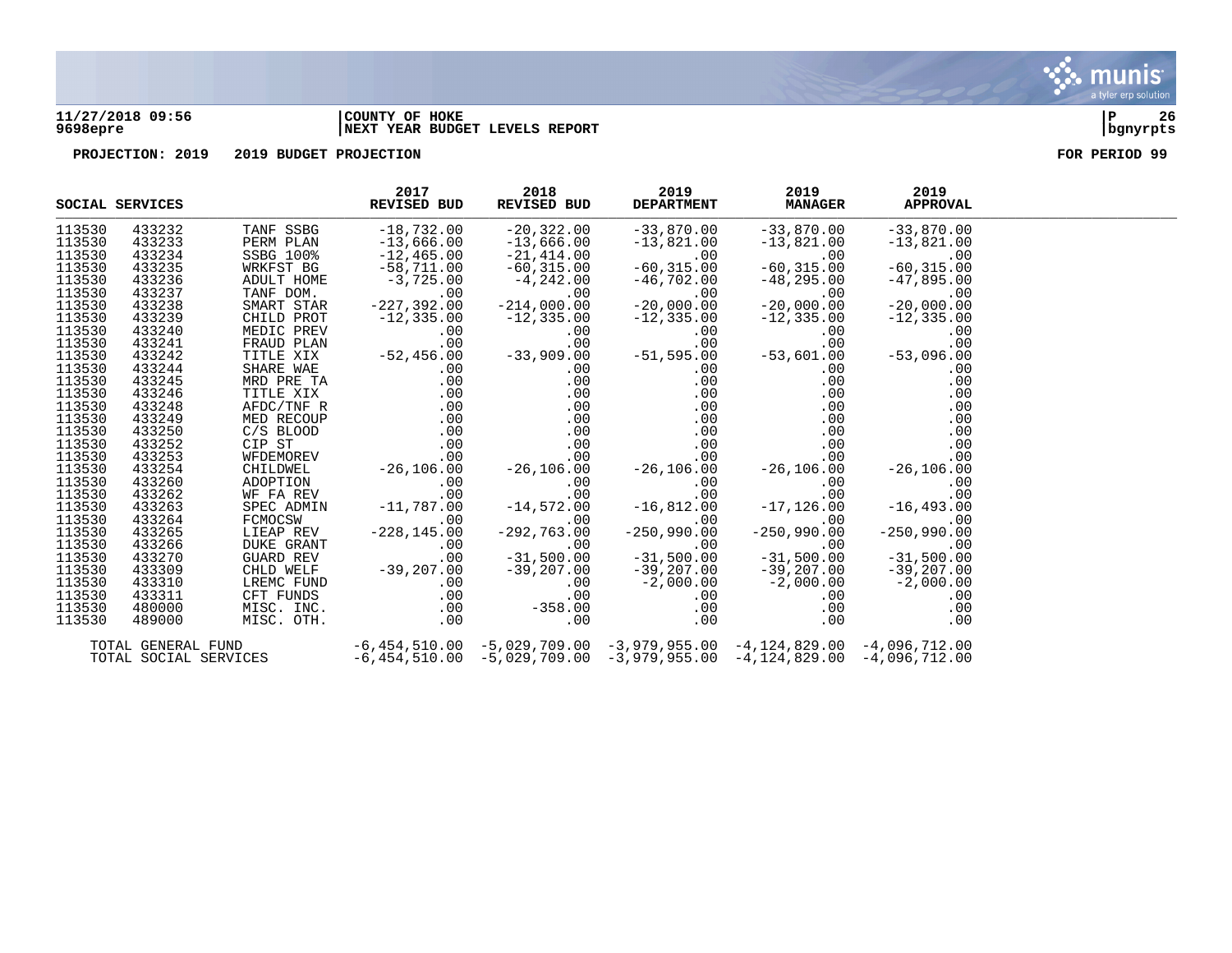

### **11/27/2018 09:56 |COUNTY OF HOKE |P 26 9698epre |NEXT YEAR BUDGET LEVELS REPORT |bgnyrpts**



|                  | SOCIAL SERVICES       | 2017<br>REVISED BUD                                                                                                                                                                                     | 2018<br>REVISED BUD | 2019<br><b>DEPARTMENT</b> | 2019<br><b>MANAGER</b>                                                                                                                                                                                                                                       | 2019<br><b>APPROVAL</b>                            |  |
|------------------|-----------------------|---------------------------------------------------------------------------------------------------------------------------------------------------------------------------------------------------------|---------------------|---------------------------|--------------------------------------------------------------------------------------------------------------------------------------------------------------------------------------------------------------------------------------------------------------|----------------------------------------------------|--|
| 113530           | 433232                | THE SSBG<br>FERM PLAN -13, b<br>SSBG 100% -12, 465. 0<br>WRKEST BG -58, 711. 00<br>HOME -3, 725.00<br>227, 392                                                                                          | $-20,322.00$        | $-33,870.00$              | $-33,870.00$                                                                                                                                                                                                                                                 | $-33,870.00$                                       |  |
| 113530           | 433233                |                                                                                                                                                                                                         | $-13,666.00$        | $-13,821.00$              | $-13,821.00$                                                                                                                                                                                                                                                 | $-13,821.00$                                       |  |
| 113530           | 433234                |                                                                                                                                                                                                         | $-21,414.00$        | $-60, 315.00$             | .00                                                                                                                                                                                                                                                          | $-60, 31$<br>.00                                   |  |
| 113530           | 433235                |                                                                                                                                                                                                         | $-60, 315.00$       |                           | $-60, 315.00$                                                                                                                                                                                                                                                | $-60, 315.00$                                      |  |
| 113530           | 433236                |                                                                                                                                                                                                         | $-4, 242.00$        | $-46$ ,702.00             | $-48,295.00$                                                                                                                                                                                                                                                 | $-47,895.00$                                       |  |
| 113530           | 433237                |                                                                                                                                                                                                         | .00                 | $\overline{10}$ ,<br>.00  | .00                                                                                                                                                                                                                                                          | .00                                                |  |
| 113530           | 433238                |                                                                                                                                                                                                         | $-214,000.00$       | $-20,000.00$              | $-20,000.00$                                                                                                                                                                                                                                                 | $-20,000.00$                                       |  |
| 113530           | 433239                |                                                                                                                                                                                                         |                     | $-12, 335.00$             | $-12, 335.00$                                                                                                                                                                                                                                                | $-12, 335.00$                                      |  |
| 113530           | 433240                |                                                                                                                                                                                                         |                     | .00                       |                                                                                                                                                                                                                                                              |                                                    |  |
| 113530           | 433241                | CHILD PROT -227, 335.00 -214, 000.000<br>MEDIC PREV -12, 335.00 -12, 335.00<br>MEDIC PREV .00 .00<br>FRAUD PLAN .00 .00<br>TITLE XIX -52, 456.00 -33, 909.00<br>SHARE WAE .00 .00<br>MED PRE TA .00 .00 |                     | $.00$<br>$.00$<br>.00     | $127,555.00$<br>$00$<br>$00$<br>$-537,601.00$<br>$-537,096.00$                                                                                                                                                                                               |                                                    |  |
| 113530           | 433242                |                                                                                                                                                                                                         |                     | $-51,595.00$              |                                                                                                                                                                                                                                                              |                                                    |  |
| 113530           | 433244                |                                                                                                                                                                                                         |                     | .00                       | .00                                                                                                                                                                                                                                                          | .00                                                |  |
| 113530           | 433245                |                                                                                                                                                                                                         |                     | .00                       | .00                                                                                                                                                                                                                                                          | .00                                                |  |
| 113530           | 433246                |                                                                                                                                                                                                         |                     |                           |                                                                                                                                                                                                                                                              | $\begin{array}{c} 0.00 \\ 0.00 \end{array}$<br>.00 |  |
| 113530           | 433248                |                                                                                                                                                                                                         |                     |                           |                                                                                                                                                                                                                                                              | .00                                                |  |
| 113530           | 433249                |                                                                                                                                                                                                         |                     |                           | .00                                                                                                                                                                                                                                                          | .00                                                |  |
| 113530           | 433250                |                                                                                                                                                                                                         |                     |                           | .00                                                                                                                                                                                                                                                          | .00                                                |  |
| 113530           | 433252                |                                                                                                                                                                                                         |                     |                           |                                                                                                                                                                                                                                                              |                                                    |  |
| 113530           | 433253                |                                                                                                                                                                                                         |                     |                           |                                                                                                                                                                                                                                                              |                                                    |  |
| 113530           | 433254                |                                                                                                                                                                                                         |                     |                           |                                                                                                                                                                                                                                                              |                                                    |  |
| 113530           | 433260                |                                                                                                                                                                                                         |                     |                           |                                                                                                                                                                                                                                                              |                                                    |  |
| 113530           | 433262                |                                                                                                                                                                                                         |                     |                           |                                                                                                                                                                                                                                                              |                                                    |  |
| 113530           | 433263                |                                                                                                                                                                                                         |                     |                           | $-26,106.00$<br>$-26,106.00$<br>$-26,106.00$<br>$-26,106.00$<br>$-26,106.00$<br>$-26,106.00$<br>$-26,106.00$<br>$-26,106.00$<br>$-26,106.00$<br>$-26,106.00$<br>$-26,106.00$<br>$-26,106.00$<br>$-26,106.00$<br>$-26,106.00$<br>$-26,106.00$<br>$-26,106.00$ |                                                    |  |
| 113530           | 433264                |                                                                                                                                                                                                         |                     |                           |                                                                                                                                                                                                                                                              |                                                    |  |
| 113530           | 433265                |                                                                                                                                                                                                         |                     |                           |                                                                                                                                                                                                                                                              |                                                    |  |
| 113530<br>113530 | 433266                |                                                                                                                                                                                                         |                     |                           |                                                                                                                                                                                                                                                              |                                                    |  |
|                  | 433270                |                                                                                                                                                                                                         |                     |                           |                                                                                                                                                                                                                                                              |                                                    |  |
| 113530           | 433309                |                                                                                                                                                                                                         |                     |                           |                                                                                                                                                                                                                                                              | $-39, 207.00$                                      |  |
| 113530           | 433310                |                                                                                                                                                                                                         |                     |                           | −39, 207.00<br>−2, 000.00<br>−2, 000.00<br>−00.                                                                                                                                                                                                              | $-2,000.00$<br>00.00<br>00.                        |  |
| 113530           | 433311                |                                                                                                                                                                                                         |                     |                           |                                                                                                                                                                                                                                                              |                                                    |  |
| 113530           | 480000                |                                                                                                                                                                                                         |                     |                           |                                                                                                                                                                                                                                                              |                                                    |  |
| 113530           | 489000                |                                                                                                                                                                                                         |                     |                           | $.00 \,$                                                                                                                                                                                                                                                     | .00                                                |  |
|                  | TOTAL GENERAL FUND    |                                                                                                                                                                                                         |                     |                           | $-6,454,510.00$ $-5,029,709.00$ $-3,979,955.00$ $-4,124,829.00$ $-4,096,712.00$                                                                                                                                                                              |                                                    |  |
|                  | TOTAL SOCIAL SERVICES |                                                                                                                                                                                                         |                     |                           | $-6,454,510.00$ $-5,029,709.00$ $-3,979,955.00$ $-4,124,829.00$ $-4,096,712.00$                                                                                                                                                                              |                                                    |  |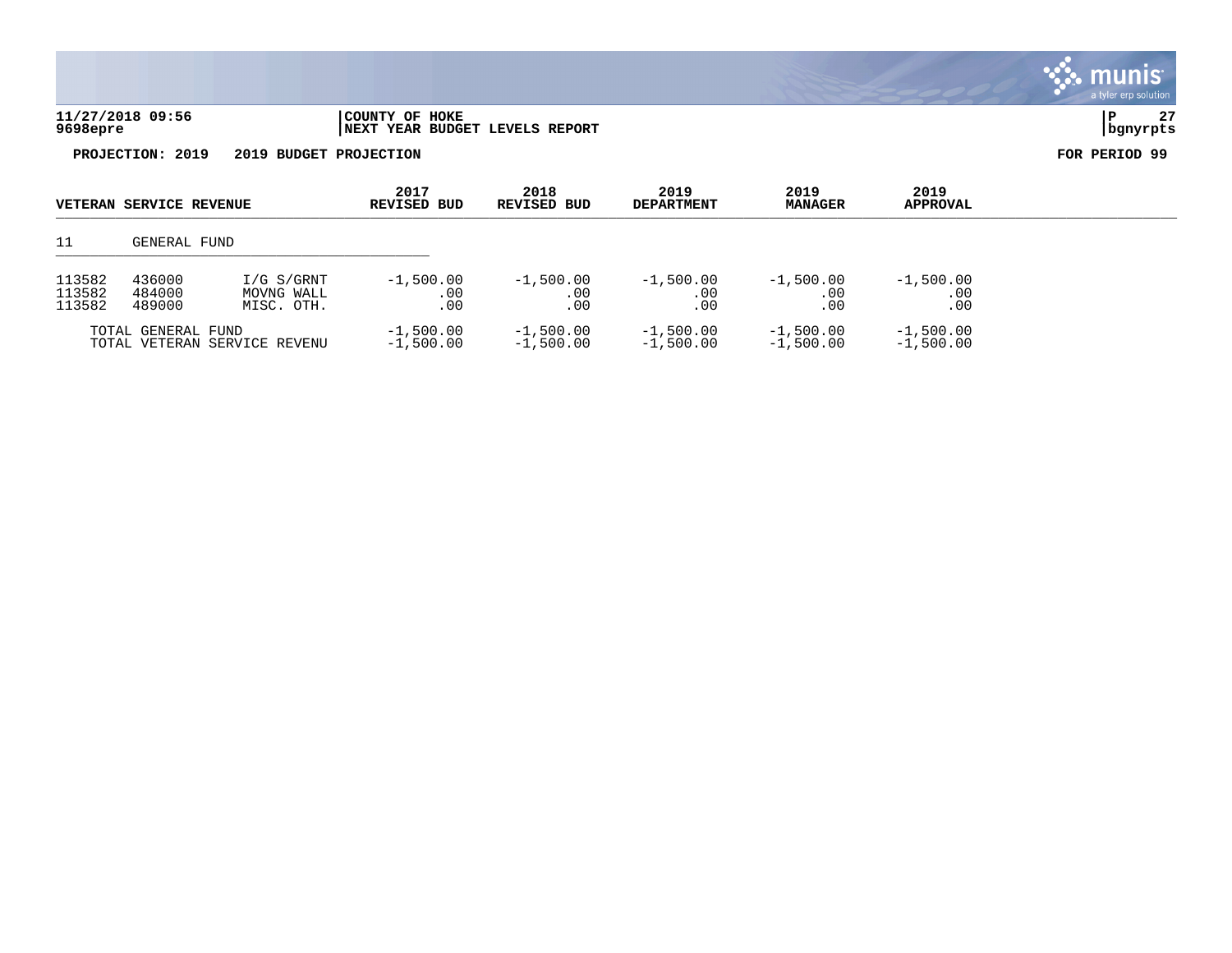| 11/27/2018 09:56 | COUNTY OF HOKE                        |          | $\sim$ |
|------------------|---------------------------------------|----------|--------|
| 9698epre         | " YEAR BUDGET LEVELS REPORT<br>  NEXT | bqnyrpts |        |

| <b>VETERAN SERVICE REVENUE</b>                     |                                                                      | 2017<br><b>REVISED BUD</b> | 2018<br>REVISED BUD        |                            | 2019<br><b>MANAGER</b>     | 2019<br><b>APPROVAL</b>    |                           |  |
|----------------------------------------------------|----------------------------------------------------------------------|----------------------------|----------------------------|----------------------------|----------------------------|----------------------------|---------------------------|--|
| 11<br>GENERAL FUND                                 |                                                                      |                            |                            |                            |                            |                            |                           |  |
| 113582<br>113582<br>113582                         | 436000<br>I/G S/GRNT<br>484000<br>MOVNG WALL<br>489000<br>MISC. OTH. |                            | $-1,500.00$<br>.00<br>.00  | $-1,500.00$<br>.00<br>.00  | $-1,500.00$<br>.00<br>.00  | $-1,500.00$<br>.00<br>.00  | $-1,500.00$<br>.00<br>.00 |  |
| TOTAL GENERAL FUND<br>TOTAL VETERAN SERVICE REVENU |                                                                      | $-1,500.00$<br>$-1,500.00$ | $-1,500.00$<br>$-1,500.00$ | $-1,500.00$<br>$-1.500.00$ | $-1,500.00$<br>$-1,500.00$ | $-1,500.00$<br>$-1,500.00$ |                           |  |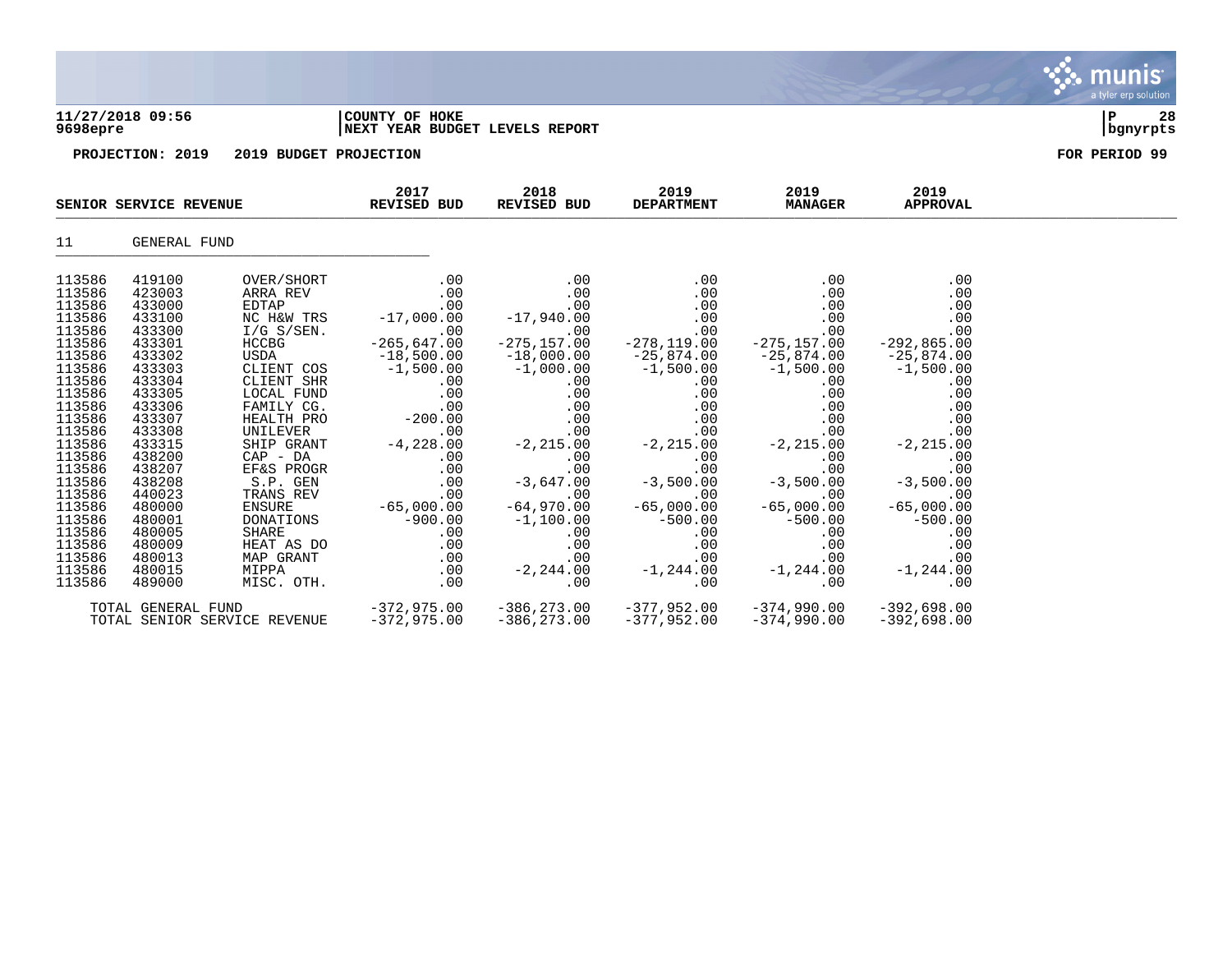| 9698epre                                                                                                                                                                                                                                     | 11/27/2018 09:56                                                                                                                                                                                                                             |                                                                                                                                                                                                                                                                                                                           | COUNTY OF HOKE<br>NEXT YEAR BUDGET LEVELS REPORT                                                                                                                                                                                |                                                                                                                                                                                                                                                    |                                                                                                                                                                                                                                           |                                                                                                                                                                                                                                    |                                                                                                                                                                                                                                          |               |  |  |
|----------------------------------------------------------------------------------------------------------------------------------------------------------------------------------------------------------------------------------------------|----------------------------------------------------------------------------------------------------------------------------------------------------------------------------------------------------------------------------------------------|---------------------------------------------------------------------------------------------------------------------------------------------------------------------------------------------------------------------------------------------------------------------------------------------------------------------------|---------------------------------------------------------------------------------------------------------------------------------------------------------------------------------------------------------------------------------|----------------------------------------------------------------------------------------------------------------------------------------------------------------------------------------------------------------------------------------------------|-------------------------------------------------------------------------------------------------------------------------------------------------------------------------------------------------------------------------------------------|------------------------------------------------------------------------------------------------------------------------------------------------------------------------------------------------------------------------------------|------------------------------------------------------------------------------------------------------------------------------------------------------------------------------------------------------------------------------------------|---------------|--|--|
|                                                                                                                                                                                                                                              | PROJECTION: 2019                                                                                                                                                                                                                             | 2019 BUDGET PROJECTION                                                                                                                                                                                                                                                                                                    |                                                                                                                                                                                                                                 |                                                                                                                                                                                                                                                    |                                                                                                                                                                                                                                           |                                                                                                                                                                                                                                    |                                                                                                                                                                                                                                          | FOR PERIOD 99 |  |  |
|                                                                                                                                                                                                                                              | SENIOR SERVICE REVENUE                                                                                                                                                                                                                       |                                                                                                                                                                                                                                                                                                                           | 2017<br><b>REVISED BUD</b>                                                                                                                                                                                                      | 2018<br>REVISED BUD                                                                                                                                                                                                                                | 2019<br><b>DEPARTMENT</b>                                                                                                                                                                                                                 | 2019<br><b>MANAGER</b>                                                                                                                                                                                                             | 2019<br><b>APPROVAL</b>                                                                                                                                                                                                                  |               |  |  |
| 11                                                                                                                                                                                                                                           | GENERAL FUND                                                                                                                                                                                                                                 |                                                                                                                                                                                                                                                                                                                           |                                                                                                                                                                                                                                 |                                                                                                                                                                                                                                                    |                                                                                                                                                                                                                                           |                                                                                                                                                                                                                                    |                                                                                                                                                                                                                                          |               |  |  |
| 113586<br>113586<br>113586<br>113586<br>113586<br>113586<br>113586<br>113586<br>113586<br>113586<br>113586<br>113586<br>113586<br>113586<br>113586<br>113586<br>113586<br>113586<br>113586<br>113586<br>113586<br>113586<br>113586<br>113586 | 419100<br>423003<br>433000<br>433100<br>433300<br>433301<br>433302<br>433303<br>433304<br>433305<br>433306<br>433307<br>433308<br>433315<br>438200<br>438207<br>438208<br>440023<br>480000<br>480001<br>480005<br>480009<br>480013<br>480015 | OVER/SHORT<br>ARRA REV<br>EDTAP<br>NC H&W TRS<br>$I/G$ S/SEN.<br><b>HCCBG</b><br>USDA<br>CLIENT COS<br>CLIENT SHR<br>LOCAL FUND<br>FAMILY CG.<br>HEALTH PRO<br>UNILEVER<br>SHIP GRANT<br>$CAP$ - $DA$<br>EF&S PROGR<br>$S.P.$ GEN<br>TRANS REV<br><b>ENSURE</b><br>DONATIONS<br>SHARE<br>HEAT AS DO<br>MAP GRANT<br>MIPPA | .00<br>.00<br>.00<br>$-17,000.00$<br>.00<br>−265,647.00<br>−18,500.00<br>−1,500.00<br>.00<br>.00<br>.00<br>$-200.00$<br>.00<br>$-4,228.00$<br>.00<br>.00<br>.00<br>.00<br>$-65,000.00$<br>$-900.00$<br>.00<br>.00<br>.00<br>.00 | .00<br>.00<br>.00<br>$-17,940.00$<br>.00<br>−275,157.00<br>−18,000.00<br>−1,000.00<br>.00<br>.00<br>.00<br>.00<br>.00<br>$-2, 215.00$<br>.00<br>.00<br>$-3,647.00$<br>.00<br>$-64,970.00$<br>$-1,100.00$<br>$.00 \,$<br>.00<br>.00<br>$-2, 244.00$ | .00<br>.00<br>.00<br>.00<br>.00<br>−278,119.00<br>−25,874.00<br>−1,500.00<br>.00<br>.00<br>.00<br>.00<br>.00<br>$-2, 215.00$<br>.00<br>.00<br>$-3,500.00$<br>.00<br>$-65,000.00$<br>$-500.00$<br>$.00 \ \,$<br>.00<br>.00<br>$-1, 244.00$ | .00<br>.00<br>.00<br>.00<br>.00<br>−275,157.00<br>−25,874.00<br>−1,500.00<br>.00<br>.00<br>.00<br>.00<br>.00<br>$-2, 215.00$<br>.00<br>.00<br>$-3,500.00$<br>.00<br>$-65,000.00$<br>$-500.00$<br>.00<br>.00<br>.00<br>$-1, 244.00$ | .00<br>.00<br>.00<br>.00<br>.00<br>$-292,865.00$<br>$-25,874.00$<br>$-1,500.00$<br>.00<br>.00<br>.00<br>.00<br>.00<br>$-2, 215.00$<br>.00<br>.00<br>$-3,500.00$<br>.00<br>$-65,000.00$<br>$-500.00$<br>.00<br>.00<br>.00<br>$-1, 244.00$ |               |  |  |

113586 489000 MISC. OTH. .00 .00 .00 .00 .00 TOTAL GENERAL FUND -372,975.00 -386,273.00 -377,952.00 -374,990.00 -392,698.00 TOTAL SENIOR SERVICE REVENUE

 $\mathbf{\ddot{\cdot}}$  munis a tyler erp solution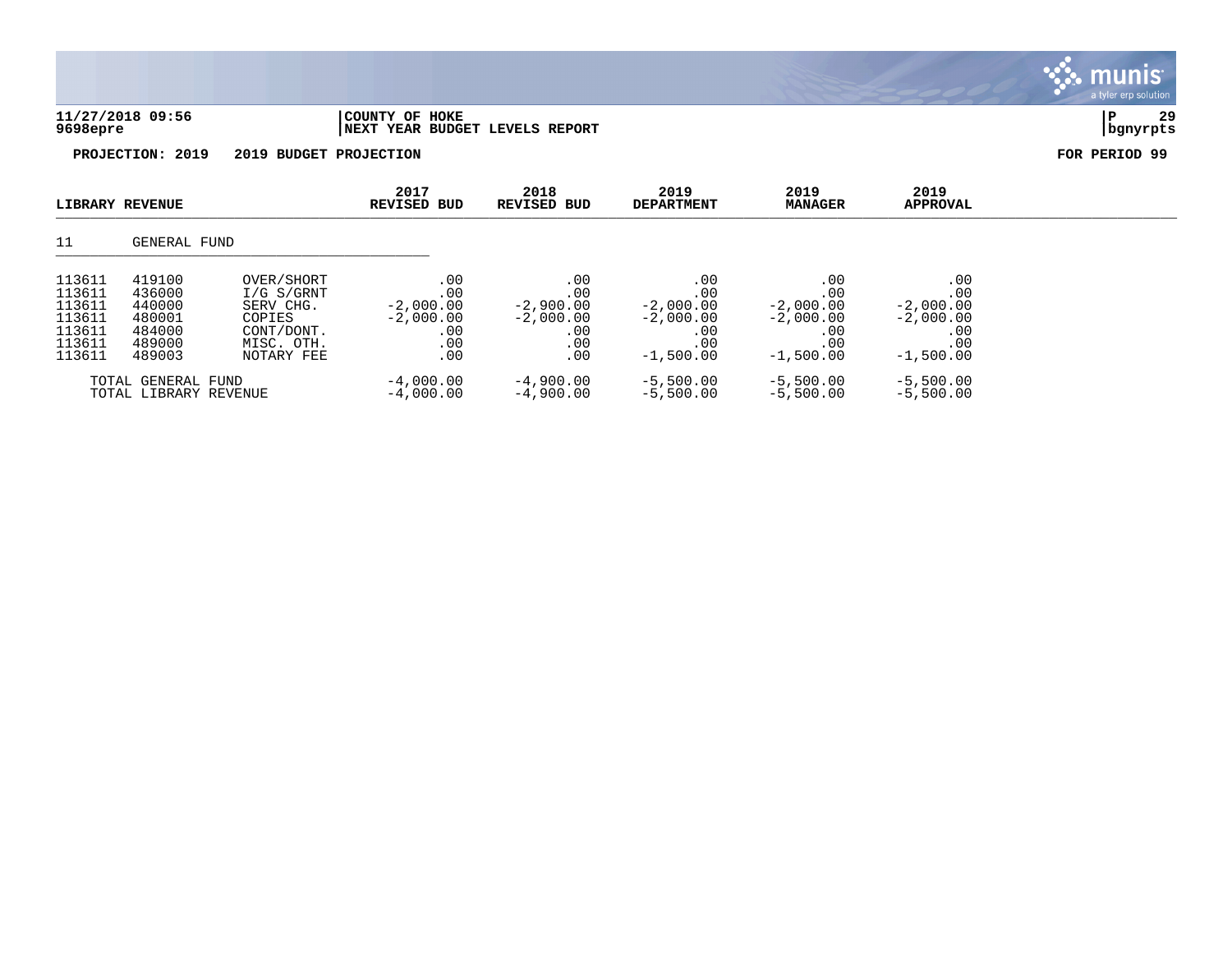| 9698epre                                   | 11/27/2018 09:56           |                                       | COUNTY OF HOKE<br>NEXT YEAR BUDGET LEVELS REPORT |                            |                           |                           |                           | 29<br>P<br>bgnyrpts |
|--------------------------------------------|----------------------------|---------------------------------------|--------------------------------------------------|----------------------------|---------------------------|---------------------------|---------------------------|---------------------|
| PROJECTION: 2019<br>2019 BUDGET PROJECTION |                            |                                       |                                                  |                            |                           |                           |                           | FOR PERIOD 99       |
|                                            | LIBRARY REVENUE            |                                       | 2017<br><b>REVISED BUD</b>                       | 2018<br><b>REVISED BUD</b> | 2019<br><b>DEPARTMENT</b> | 2019<br><b>MANAGER</b>    | 2019<br><b>APPROVAL</b>   |                     |
| 11                                         | GENERAL FUND               |                                       |                                                  |                            |                           |                           |                           |                     |
| 113611<br>113611<br>113611                 | 419100<br>436000<br>440000 | OVER/SHORT<br>I/G S/GRNT<br>SERV CHG. | .00<br>.00<br>$-2,000.00$                        | .00<br>.00<br>$-2,900.00$  | .00<br>.00<br>$-2,000.00$ | .00<br>.00<br>$-2,000.00$ | .00<br>.00<br>$-2,000.00$ |                     |

 $\mathbf{\mathcal{C}}$  . munis

113611 480001 COPIES -2,000.00 -2,000.00 -2,000.00 -2,000.00 -2,000.00 113611 484000 CONT/DONT. .00 .00 .00 .00 .00 113611 489000 MISC. OTH. .00 .00 .00 .00 .00 113611 489003 NOTARY FEE .00 .00 -1,500.00 -1,500.00 -1,500.00 -1,500.00

TOTAL GENERAL FUND -4,000.00 -4,900.00 -5,500.00 -5,500.00 -5,500.00<br>TOTAL LIBRARY REVENUE -4,000.00 -4,900.00 -5,500.00 -5,500.00 -5,500.00

TOTAL LIBRARY REVENUE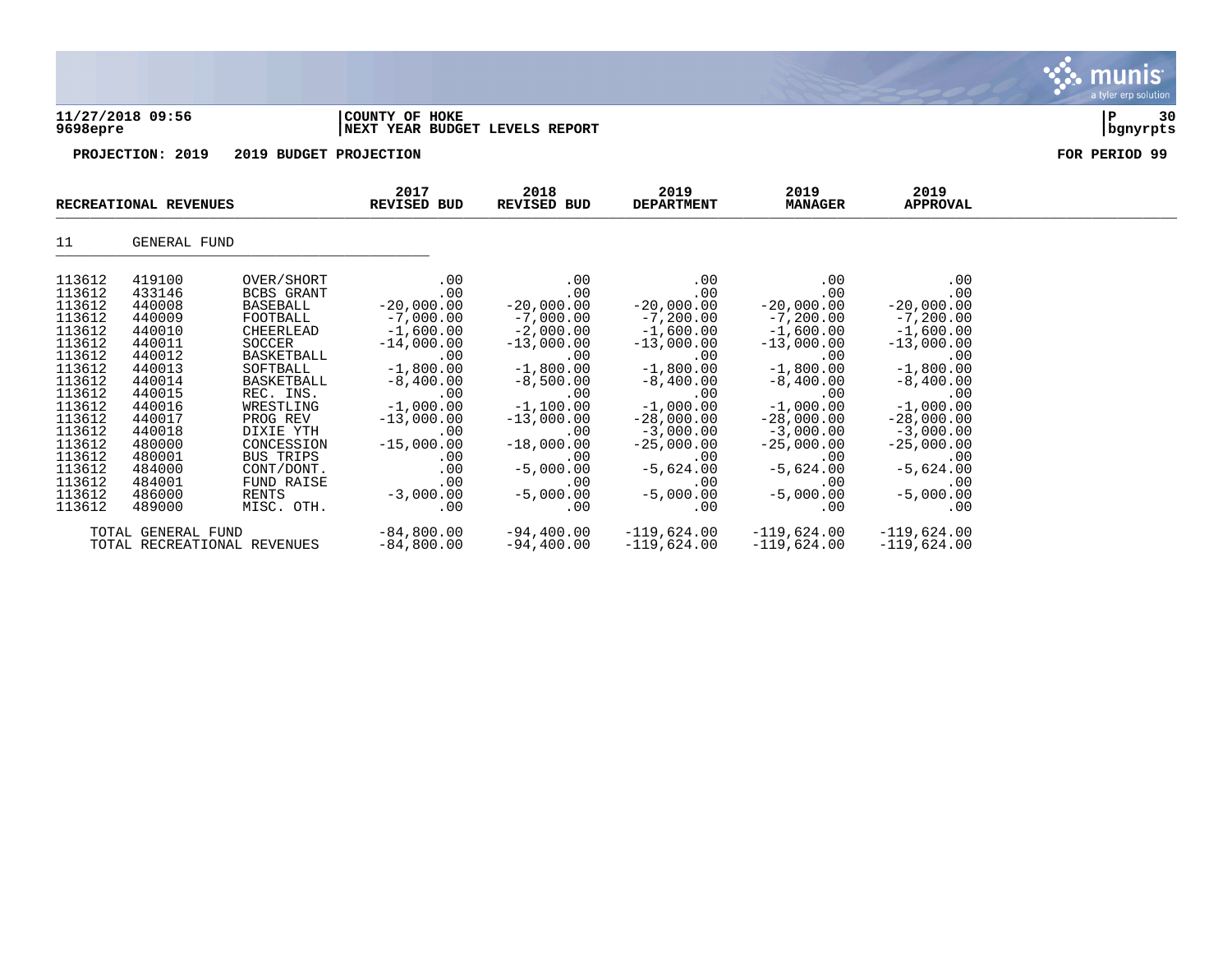| 9698epre | 11/27/2018 09:56      |                        | COUNTY OF HOKE<br>NEXT YEAR BUDGET LEVELS REPORT |                     |                           |                        |                         | ΙP<br>30<br>bgnyrpts |
|----------|-----------------------|------------------------|--------------------------------------------------|---------------------|---------------------------|------------------------|-------------------------|----------------------|
|          | PROJECTION: 2019      | 2019 BUDGET PROJECTION |                                                  |                     |                           |                        |                         | FOR PERIOD 99        |
|          | RECREATIONAL REVENUES |                        | 2017<br><b>REVISED BUD</b>                       | 2018<br>REVISED BUD | 2019<br><b>DEPARTMENT</b> | 2019<br><b>MANAGER</b> | 2019<br><b>APPROVAL</b> |                      |
| 11       | GENERAL FUND          |                        |                                                  |                     |                           |                        |                         |                      |
| 113612   | 419100                | OVER/SHORT             | .00                                              | .00                 | .00                       | .00                    | $.00 \,$                |                      |
| 113612   | 433146                | BCBS GRANT             | .00                                              | .00                 | .00                       | .00                    | .00                     |                      |
| 113612   | 440008                | BASEBALL               | $-20,000.00$                                     | $-20,000.00$        | $-20,000.00$              | $-20,000.00$           | $-20,000.00$            |                      |
| 113612   | 440009                | FOOTBALL               | $-7,000.00$                                      | $-7,000.00$         | $-7,200.00$               | $-7,200.00$            | $-7, 200.00$            |                      |
| 113612   | 440010                | CHEERLEAD              | $-1,600.00$                                      | $-2,000.00$         | $-1,600.00$               | $-1,600.00$            | $-1,600.00$             |                      |
| 113612   | 440011                | SOCCER                 | $-14,000.00$                                     | $-13,000.00$        | $-13,000.00$              | $-13,000.00$           | $-13,000.00$            |                      |
| 113612   | 440012                | BASKETBALL             | .00                                              | .00                 | .00                       | .00                    | .00                     |                      |
| 113612   | 440013                | SOFTBALL               | $-1,800.00$                                      | $-1,800.00$         | $-1,800.00$               | $-1,800.00$            | $-1,800.00$             |                      |
| 113612   | 440014                | BASKETBALL             | $-8,400.00$                                      | $-8,500.00$         | $-8,400.00$               | $-8,400.00$            | $-8,400.00$             |                      |
| 113612   | 440015                | REC. INS.              | .00                                              | .00                 | .00                       | .00                    | .00                     |                      |
| 113612   | 440016                | WRESTLING              | $-1,000.00$                                      | $-1,100.00$         | $-1,000.00$               | $-1,000.00$            | $-1,000.00$             |                      |
| 113612   | 440017                | PROG REV               | $-13,000.00$                                     | $-13,000.00$        | $-28,000.00$              | $-28,000.00$           | $-28,000.00$            |                      |
| 113612   | 440018                | DIXIE YTH              | .00                                              | .00                 | $-3,000.00$               | $-3,000.00$            | $-3,000.00$             |                      |
| 113612   | 480000                | CONCESSION             | $-15,000.00$                                     | $-18,000.00$        | $-25,000.00$              | $-25,000.00$           | $-25,000.00$            |                      |
| 113612   | 480001                | BUS TRIPS              | .00                                              | .00                 | .00                       | .00                    | .00                     |                      |
| 113612   | 484000                | CONT/DONT.             | .00                                              | $-5,000.00$         | $-5,624.00$               | $-5,624.00$            | $-5,624.00$             |                      |
| 113612   | 484001                | FUND RAISE             | .00                                              | .00                 | .00                       | .00                    | .00                     |                      |

 $\mathbf{\mathcal{C}}$  munis

113612 486000 RENTS -3,000.00 -5,000.00 -5,000.00 -5,000.00 -5,000.00 113612 489000 MISC. OTH. .00 .00 .00 .00 .00

TOTAL RECREATIONAL REVENUES

TOTAL GENERAL FUND  $-84,800.00$   $-94,400.00$   $-119,624.00$   $-119,624.00$   $-119,624.00$ <br>TOTAL RECREATIONAL REVENUES  $-84,800.00$   $-94,400.00$   $-119,624.00$   $-119,624.00$   $-119,624.00$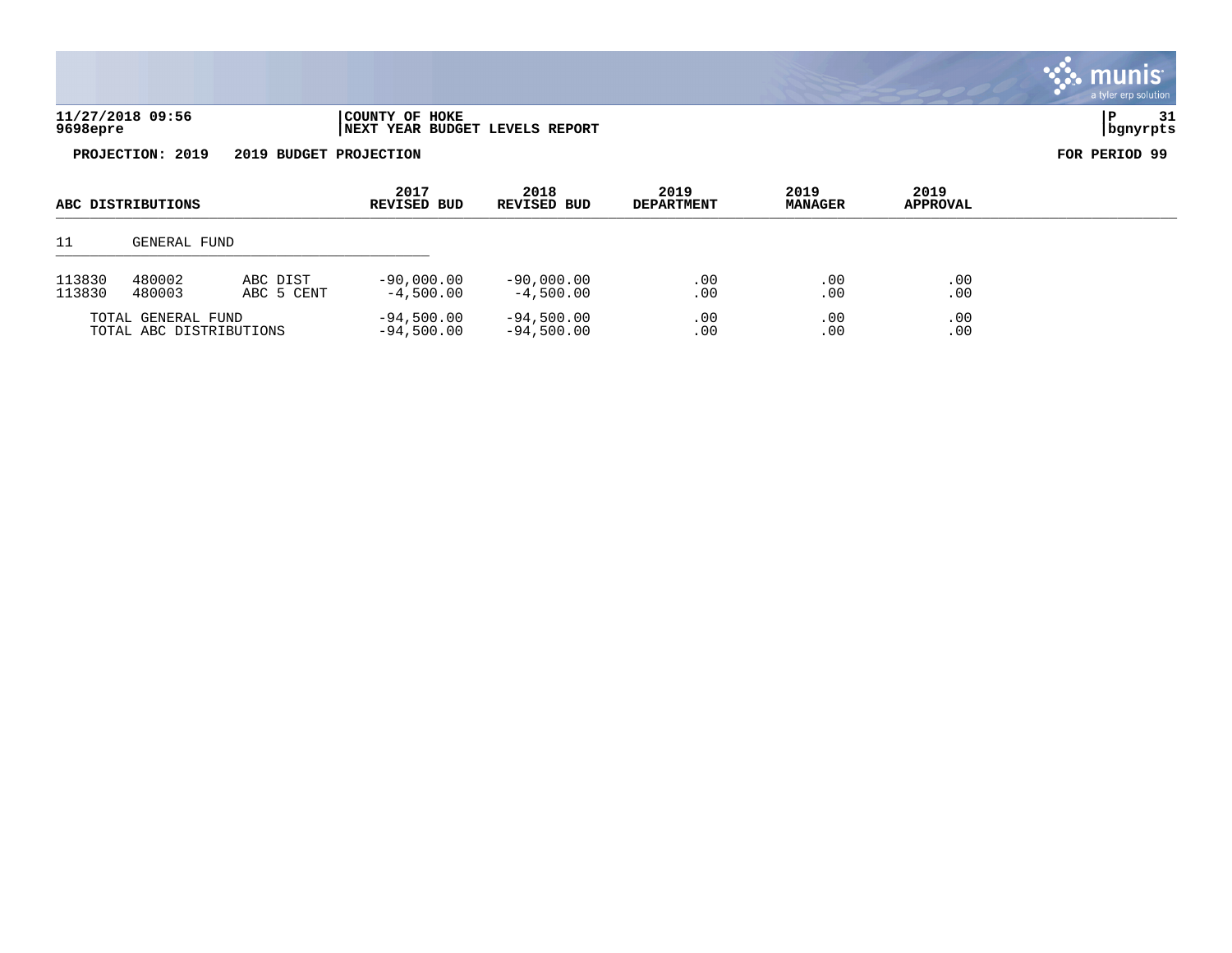|                              |                            |                                |                           |                        |                         | a tyler erp solution  |
|------------------------------|----------------------------|--------------------------------|---------------------------|------------------------|-------------------------|-----------------------|
| 11/27/2018 09:56<br>9698epre | COUNTY OF HOKE             | NEXT YEAR BUDGET LEVELS REPORT |                           |                        |                         | 31<br>P<br>  bgnyrpts |
| PROJECTION: 2019             | 2019 BUDGET PROJECTION     |                                |                           |                        |                         | FOR PERIOD 99         |
| ABC DISTRIBUTIONS            | 2017<br><b>REVISED BUD</b> | 2018<br>REVISED BUD            | 2019<br><b>DEPARTMENT</b> | 2019<br><b>MANAGER</b> | 2019<br><b>APPROVAL</b> |                       |
| GENERAL FUND                 |                            |                                |                           |                        |                         |                       |

 $\ddot{\mathbf{w}}$  munis

| 113830 | 480002                                        | ABC DIST   | $-90.000.00$                 | $-90.000.00$                 | . 00       | .00            | .00        |
|--------|-----------------------------------------------|------------|------------------------------|------------------------------|------------|----------------|------------|
| 113830 | 480003                                        | ABC 5 CENT | $-4,500.00$                  | $-4.500.00$                  | 00         | 0 <sub>0</sub> | .00        |
|        | TOTAL GENERAL FUND<br>TOTAL ABC DISTRIBUTIONS |            | $-94,500.00$<br>$-94,500.00$ | $-94,500.00$<br>$-94,500.00$ | . 00<br>00 | .00            | .00<br>.00 |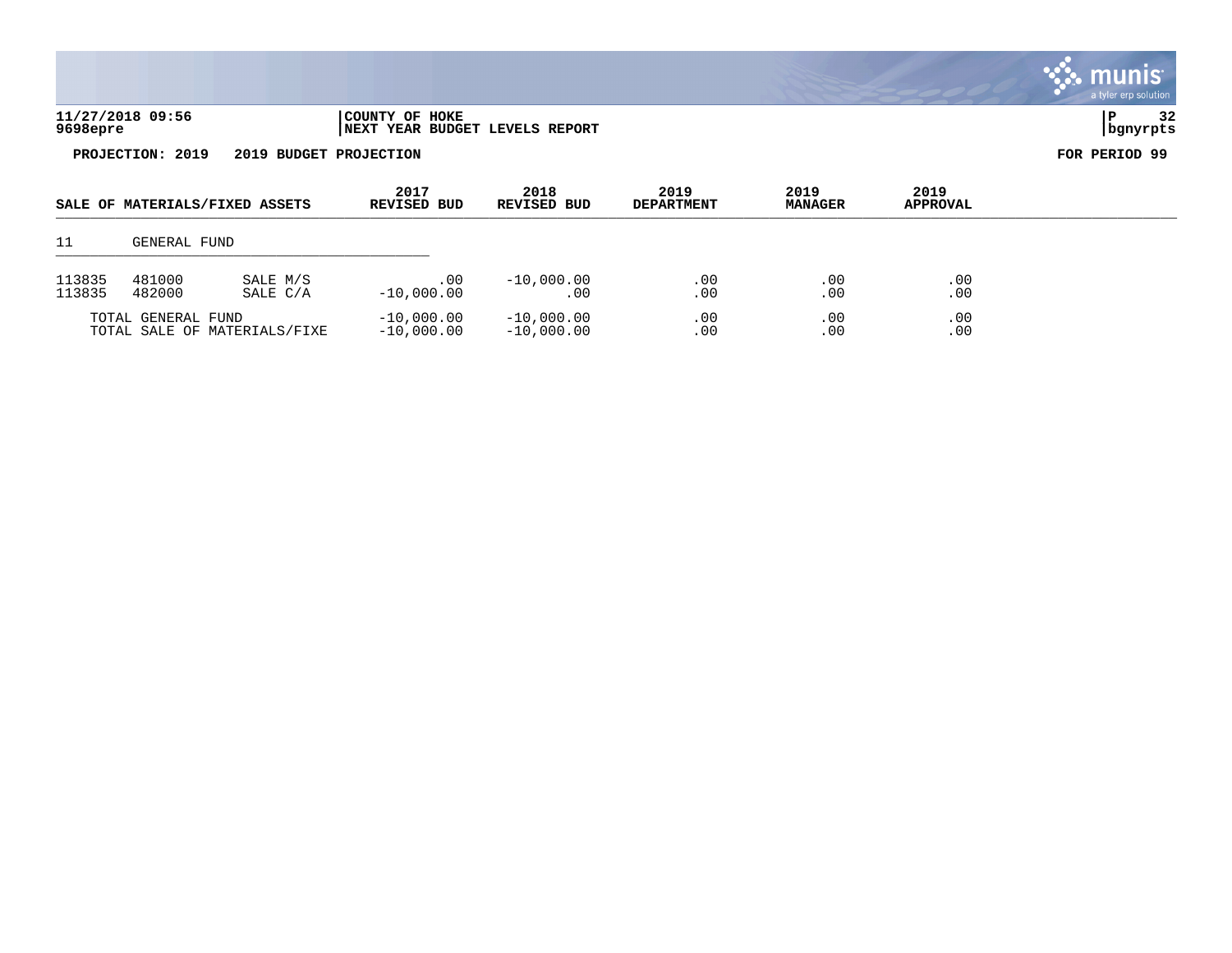|                  |                    |                                |                                                  |                              |                           |                        |                         | <b>munis</b><br>a tyler erp solution |
|------------------|--------------------|--------------------------------|--------------------------------------------------|------------------------------|---------------------------|------------------------|-------------------------|--------------------------------------|
| 9698epre         | 11/27/2018 09:56   |                                | COUNTY OF HOKE<br>NEXT YEAR BUDGET LEVELS REPORT |                              |                           |                        |                         | 32<br>P<br>bgnyrpts                  |
|                  | PROJECTION: 2019   | 2019 BUDGET PROJECTION         |                                                  |                              |                           |                        |                         | FOR PERIOD 99                        |
|                  |                    | SALE OF MATERIALS/FIXED ASSETS | 2017<br>REVISED BUD                              | 2018<br>REVISED BUD          | 2019<br><b>DEPARTMENT</b> | 2019<br><b>MANAGER</b> | 2019<br><b>APPROVAL</b> |                                      |
| 11               | GENERAL FUND       |                                |                                                  |                              |                           |                        |                         |                                      |
| 113835<br>113835 | 481000<br>482000   | SALE M/S<br>SALE C/A           | $.00 \,$<br>$-10,000.00$                         | $-10,000.00$<br>.00          | .00<br>.00                | .00<br>.00             | .00<br>.00              |                                      |
|                  | TOTAL GENERAL FUND | TOTAL SALE OF MATERIALS/FIXE   | $-10,000.00$<br>$-10,000.00$                     | $-10,000.00$<br>$-10,000.00$ | .00<br>.00                | .00<br>.00             | .00<br>.00              |                                      |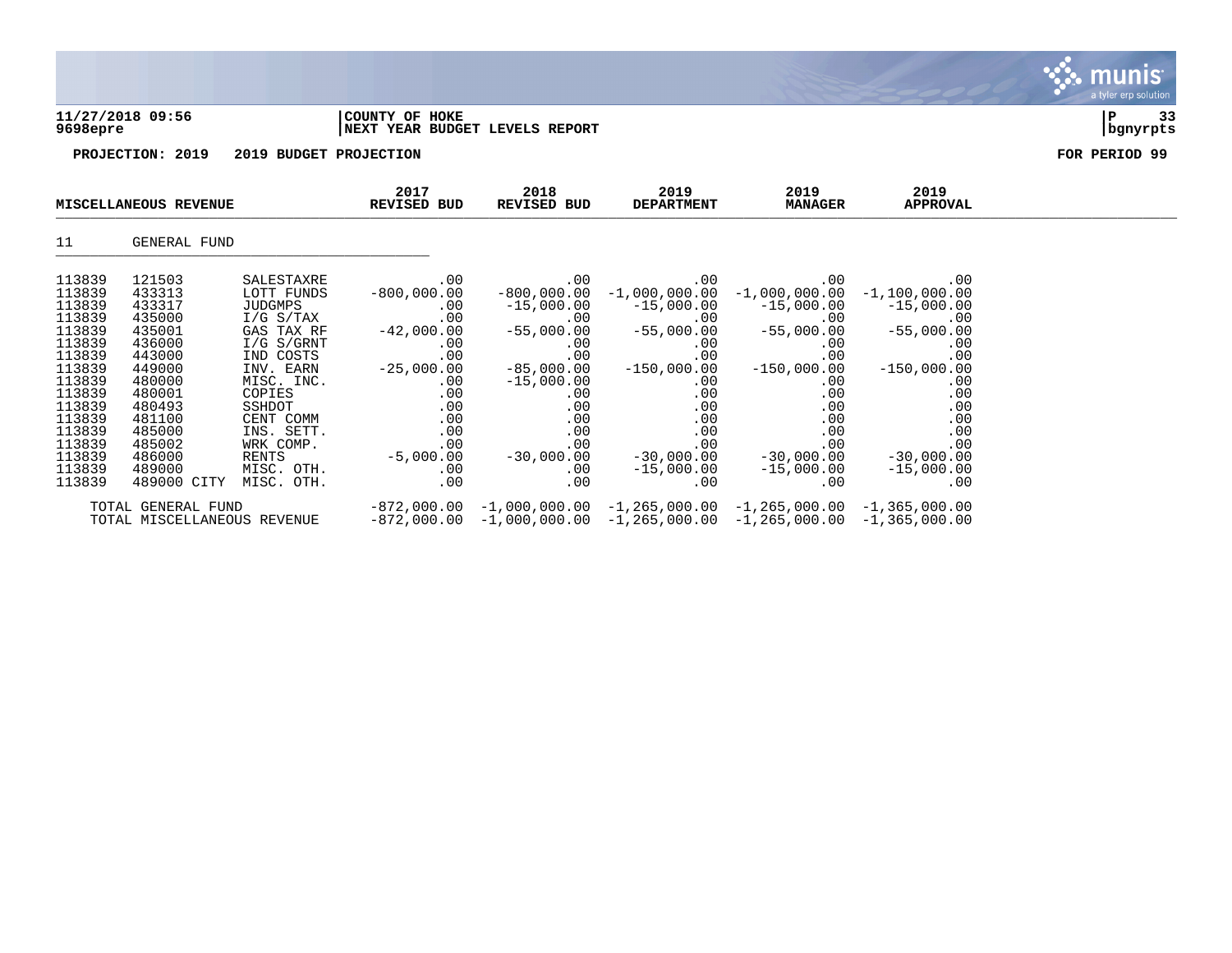| 11/27/2018 09:56 | 'COUNTY OF HOKE                |          | $\sim$ |
|------------------|--------------------------------|----------|--------|
| 9698epre         | NEXT YEAR BUDGET LEVELS REPORT | bgnyrpts |        |

| MISCELLANEOUS REVENUE                                                        |                                                                              | 2017<br><b>REVISED BUD</b>                                                                             | 2018<br>REVISED BUD                                                                   | 2019<br><b>DEPARTMENT</b>                                                             | 2019<br><b>MANAGER</b>                                                                                                                                             | 2019<br>APPROVAL                                                                 |                                                                           |  |
|------------------------------------------------------------------------------|------------------------------------------------------------------------------|--------------------------------------------------------------------------------------------------------|---------------------------------------------------------------------------------------|---------------------------------------------------------------------------------------|--------------------------------------------------------------------------------------------------------------------------------------------------------------------|----------------------------------------------------------------------------------|---------------------------------------------------------------------------|--|
| 11                                                                           | GENERAL FUND                                                                 |                                                                                                        |                                                                                       |                                                                                       |                                                                                                                                                                    |                                                                                  |                                                                           |  |
| 113839<br>113839<br>113839<br>113839<br>113839<br>113839<br>113839<br>113839 | 121503<br>433313<br>433317<br>435000<br>435001<br>436000<br>443000<br>449000 | SALESTAXRE<br>LOTT FUNDS<br>JUDGMPS<br>I/G S/TAX<br>GAS TAX RF<br>I/G S/GRNT<br>IND COSTS<br>INV. EARN | .00<br>$-800,000.00$<br>$.00 \,$<br>.00<br>$-42,000.00$<br>.00<br>.00<br>$-25,000.00$ | .00<br>$.00 \,$<br>$-55,000.00$<br>$.00 \,$<br>.00<br>$-85,000.00$                    | .00<br>$-800,000.00 -1,000,000.00 -1,000,000.00 -1,100,000.00$<br>$-15,000.00$ $-15,000.00$ $-15,000.00$<br>.00<br>00.<br>55,000.00<br>.00<br>.00<br>$-150,000.00$ | .00<br>$.00 \,$<br>$-55,000.00$<br>.00<br>.00<br>$-150,000.00$                   | .00<br>$-15,000.00$<br>.00<br>$-55,000.00$<br>.00<br>.00<br>$-150,000.00$ |  |
| 113839<br>113839<br>113839<br>113839<br>113839<br>113839<br>113839<br>113839 | 480000<br>480001<br>480493<br>481100<br>485000<br>485002<br>486000<br>489000 | MISC. INC.<br>COPIES<br>SSHDOT<br>CENT COMM<br>INS. SETT.<br>WRK COMP.<br>RENTS<br>MISC. OTH.          | $.00 \,$<br>$.00 \,$<br>.00<br>.00<br>$.00 \,$<br>$.00 \,$<br>$-5,000.00$<br>$.00 \,$ | $-15,000.00$<br>$.00 \,$<br>.00<br>.00<br>$.00 \,$<br>.00<br>$-30,000.00$<br>$.00 \,$ | .00<br>.00<br>.00<br>.00<br>.00<br>$.00 \,$<br>$-30,000.00$<br>$-15,000.00$                                                                                        | $.00 \,$<br>.00<br>.00<br>.00<br>$.00 \,$<br>.00<br>$-30,000.00$<br>$-15,000.00$ | .00<br>.00<br>.00<br>.00<br>.00<br>.00<br>$-30,000.00$<br>$-15,000.00$    |  |
| 113839                                                                       | 489000 CITY<br>TOTAL GENERAL FUND<br>TOTAL MISCELLANEOUS REVENUE             | MISC. OTH.                                                                                             | $.00 \ \rm$                                                                           | $.00 \,$                                                                              | $.00 \,$<br>$-872,000.00 -1,000,000.00 -1,265,000.00 -1,265,000.00 -1,365,000.00$<br>$-872,000.00$ $-1,000,000.00$ $-1,265,000.00$ $-1,265,000.00$ $-1,365,000.00$ | $.00 \,$                                                                         | .00                                                                       |  |

munis **PART** a tyler erp solution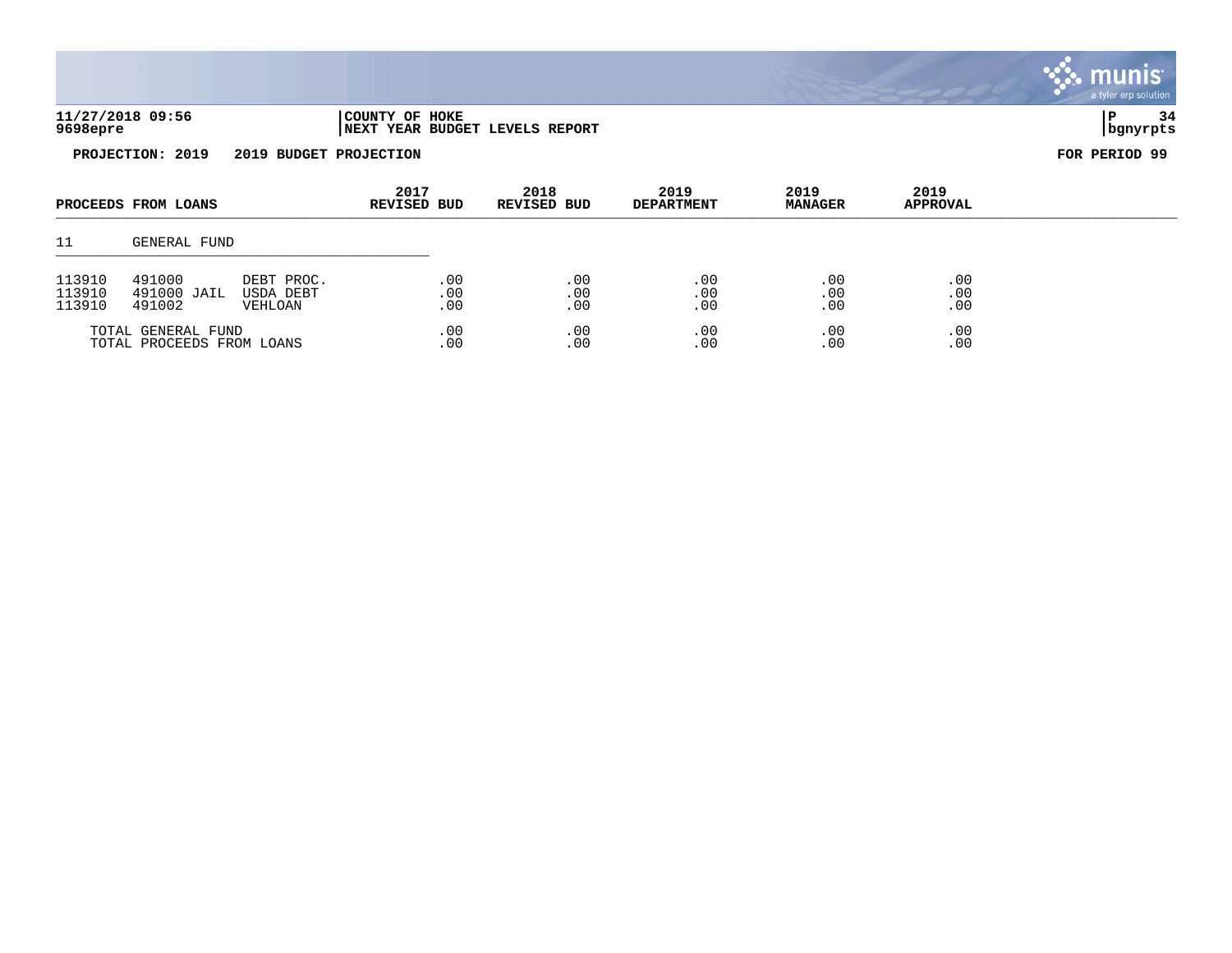| 11/27/2018 09:56<br>9698epre | COUNTY OF HOKE<br>INEXT YEAR BUDGET LEVELS REPORT | 34<br>  bgnyrpts |
|------------------------------|---------------------------------------------------|------------------|
| 2019<br>PROJECTION:          | 2019 BUDGET<br><b>PROJECTION</b>                  | FOR PERIOD 99    |

| PROCEEDS FROM LOANS       |              |            |         |          |     |     |     | 2017<br>2019<br>2018<br>REVISED BUD<br>REVISED BUD |  | <b>DEPARTMENT</b> | 2019<br><b>MANAGER</b> | 2019<br><b>APPROVAL</b> |  |
|---------------------------|--------------|------------|---------|----------|-----|-----|-----|----------------------------------------------------|--|-------------------|------------------------|-------------------------|--|
| 11                        | GENERAL FUND |            |         |          |     |     |     |                                                    |  |                   |                        |                         |  |
| 113910                    | 491000       | DEBT PROC. | .00     | .00      | .00 | .00 | .00 |                                                    |  |                   |                        |                         |  |
| 113910                    | 491000 JAIL  | USDA DEBT  | .00     | $.00 \,$ | .00 | .00 | .00 |                                                    |  |                   |                        |                         |  |
| 113910                    | 491002       | VEHLOAN    | .00     | .00      | .00 | .00 | .00 |                                                    |  |                   |                        |                         |  |
| TOTAL GENERAL FUND        |              | .00        | .00     | .00      | .00 | .00 |     |                                                    |  |                   |                        |                         |  |
| TOTAL PROCEEDS FROM LOANS |              | .00        | $.00\,$ | .00      | .00 | .00 |     |                                                    |  |                   |                        |                         |  |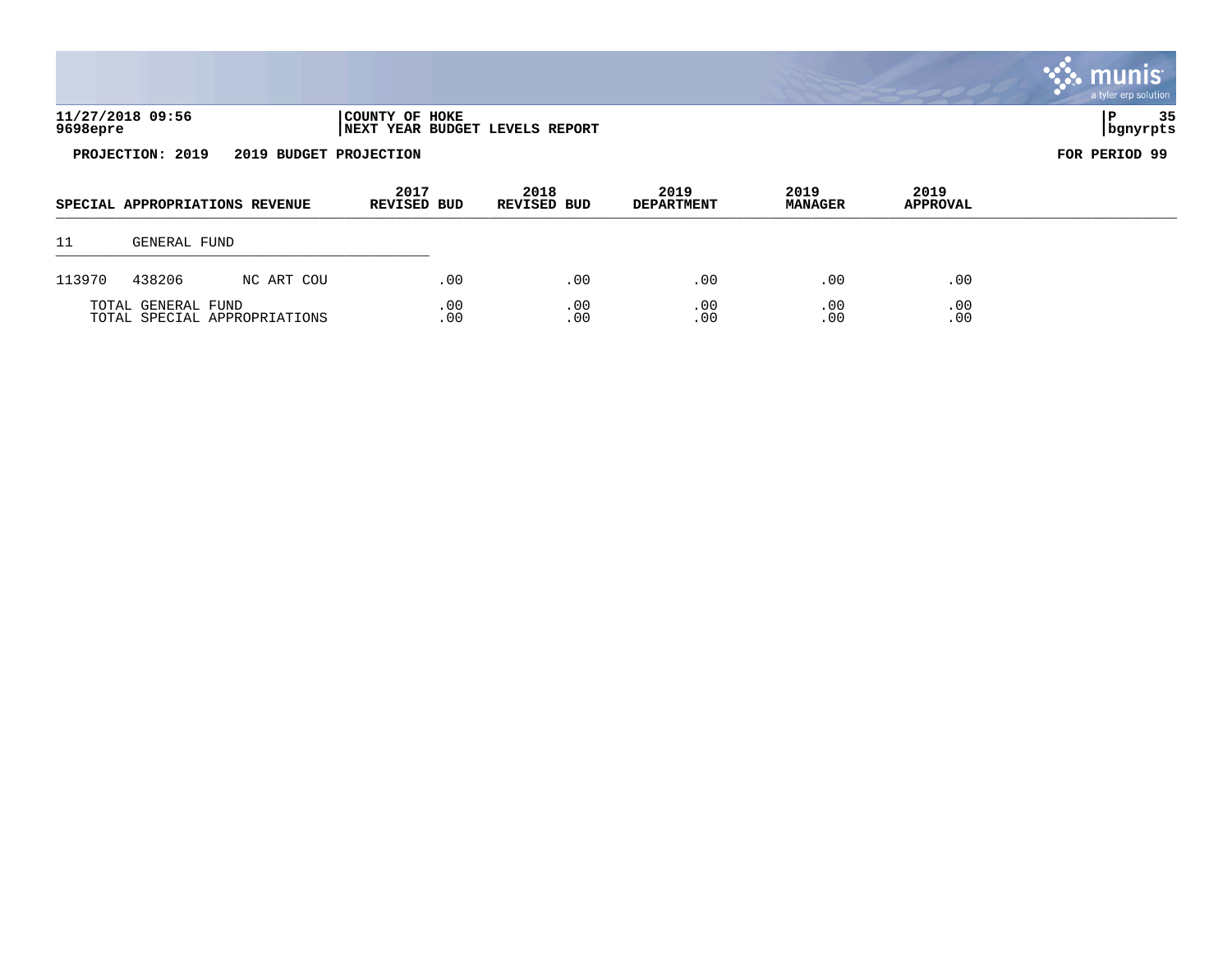|        |                                                                                  |                                |                            |                     |                           |                        |                         | <b>W. munis</b><br>a tyler erp solution |  |
|--------|----------------------------------------------------------------------------------|--------------------------------|----------------------------|---------------------|---------------------------|------------------------|-------------------------|-----------------------------------------|--|
|        | 11/27/2018 09:56<br>COUNTY OF HOKE<br>9698epre<br>NEXT YEAR BUDGET LEVELS REPORT |                                |                            |                     |                           |                        |                         |                                         |  |
|        | PROJECTION: 2019                                                                 | 2019 BUDGET PROJECTION         |                            |                     |                           |                        |                         | FOR PERIOD 99                           |  |
|        |                                                                                  | SPECIAL APPROPRIATIONS REVENUE | 2017<br><b>REVISED BUD</b> | 2018<br>REVISED BUD | 2019<br><b>DEPARTMENT</b> | 2019<br><b>MANAGER</b> | 2019<br><b>APPROVAL</b> |                                         |  |
| 11     | GENERAL FUND                                                                     |                                |                            |                     |                           |                        |                         |                                         |  |
| 113970 | 438206                                                                           | NC ART COU                     | .00                        | .00                 | .00                       | .00                    | .00                     |                                         |  |
|        | TOTAL GENERAL FUND                                                               | TOTAL SPECIAL APPROPRIATIONS   | .00<br>.00                 | .00<br>.00          | .00<br>.00                | .00<br>.00             | .00<br>.00              |                                         |  |

 $\mathcal{L}$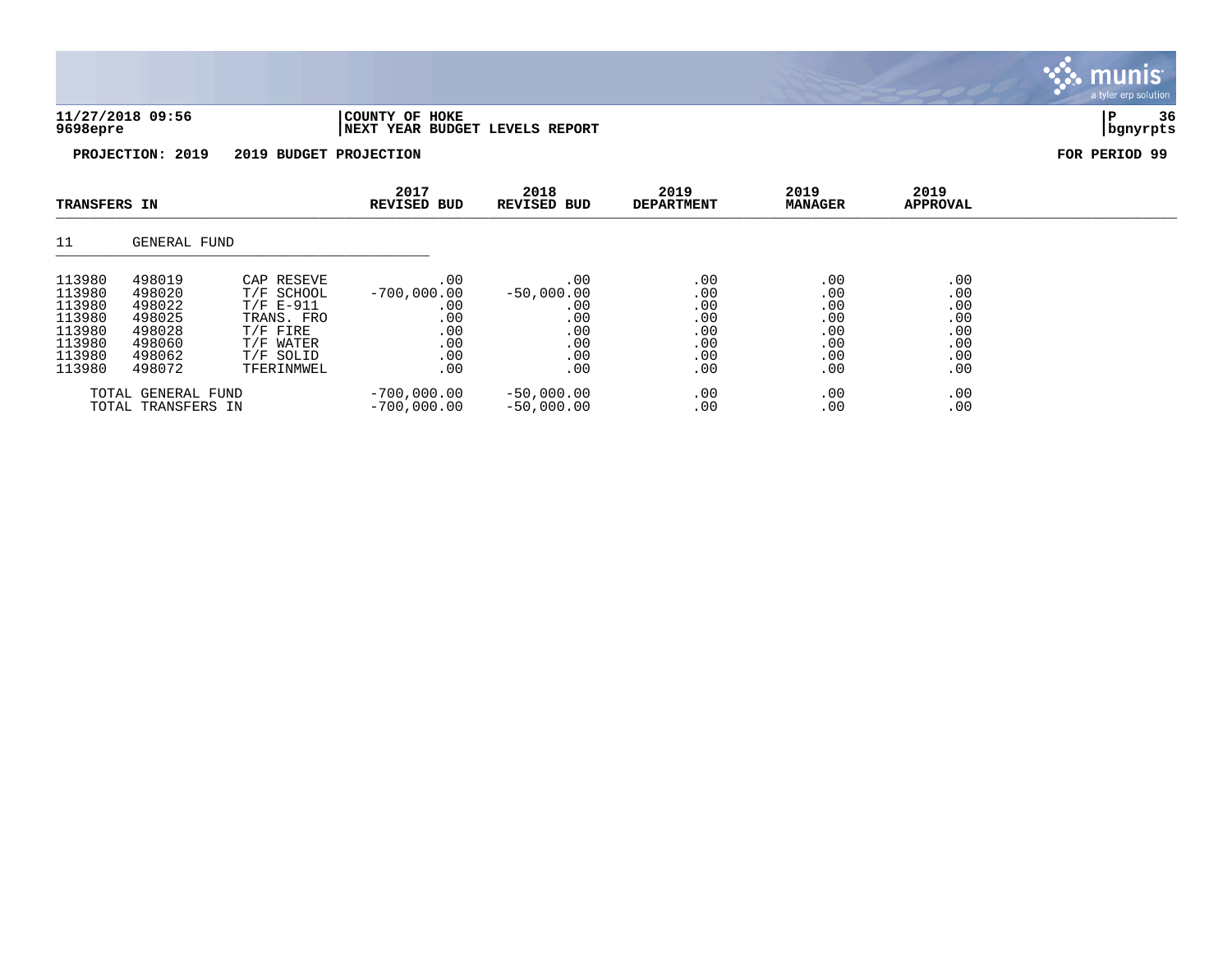|                                                                    |                                                                    |                                                                                               |                                                         |                                                        |                                               |                                               |                                               | $\sim$ $\sim$ $\sim$ $\sim$ |
|--------------------------------------------------------------------|--------------------------------------------------------------------|-----------------------------------------------------------------------------------------------|---------------------------------------------------------|--------------------------------------------------------|-----------------------------------------------|-----------------------------------------------|-----------------------------------------------|-----------------------------|
| 11/27/2018 09:56<br>9698epre                                       |                                                                    |                                                                                               | COUNTY OF HOKE<br>NEXT YEAR BUDGET LEVELS REPORT        |                                                        |                                               |                                               |                                               | 36<br> P<br>  bgnyrpts      |
|                                                                    | PROJECTION: 2019                                                   | 2019 BUDGET PROJECTION                                                                        |                                                         |                                                        |                                               |                                               |                                               | FOR PERIOD 99               |
| <b>TRANSFERS IN</b>                                                |                                                                    |                                                                                               | 2017<br><b>REVISED BUD</b>                              | 2018<br>REVISED BUD                                    | 2019<br><b>DEPARTMENT</b>                     | 2019<br><b>MANAGER</b>                        | 2019<br><b>APPROVAL</b>                       |                             |
| 11                                                                 | GENERAL FUND                                                       |                                                                                               |                                                         |                                                        |                                               |                                               |                                               |                             |
| 113980<br>113980<br>113980<br>113980<br>113980<br>113980<br>113980 | 498019<br>498020<br>498022<br>498025<br>498028<br>498060<br>498062 | CAP RESEVE<br>T/F SCHOOL<br>$T/F E-911$<br>TRANS. FRO<br>$T/F$ FIRE<br>T/F WATER<br>T/F SOLID | .00<br>$-700,000.00$<br>.00<br>.00<br>.00<br>.00<br>.00 | .00<br>$-50,000.00$<br>.00<br>.00<br>.00<br>.00<br>.00 | .00<br>.00<br>.00<br>.00<br>.00<br>.00<br>.00 | .00<br>.00<br>.00<br>.00<br>.00<br>.00<br>.00 | .00<br>.00<br>.00<br>.00<br>.00<br>.00<br>.00 |                             |

 $\ddot{\ddot{\mathbf{u}}}$  munis

113980 498072 TFERINMWEL .00 .00 .00 .00 .00 .00 .00 .00 TOTAL GENERAL FUND -700,000.00 -50,000.00 .00 .00 .00 TOTAL TRANSFERS IN -700,000.00 -50,000.00 .00 .00 .00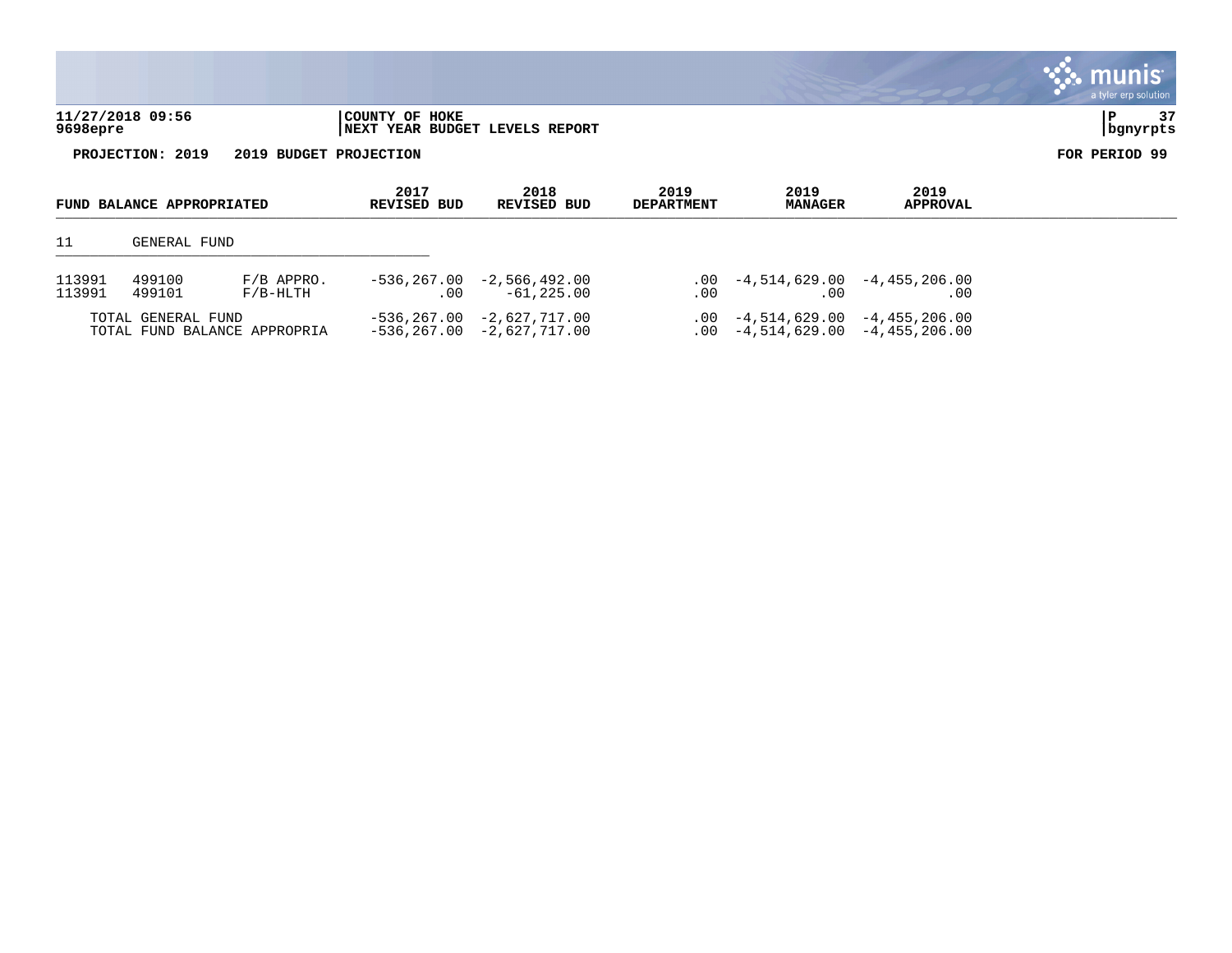|          |                           |                        |                                                  |                                |                           |                        |                         | <b>munis</b><br>a tyler erp solution |
|----------|---------------------------|------------------------|--------------------------------------------------|--------------------------------|---------------------------|------------------------|-------------------------|--------------------------------------|
| 9698epre | 11/27/2018 09:56          |                        | COUNTY OF HOKE<br>NEXT YEAR BUDGET LEVELS REPORT |                                |                           |                        |                         | 37<br>P<br>  bgnyrpts                |
|          | PROJECTION: 2019          | 2019 BUDGET PROJECTION |                                                  |                                |                           |                        |                         | FOR PERIOD 99                        |
|          | FUND BALANCE APPROPRIATED |                        | 2017<br><b>REVISED BUD</b>                       | 2018<br><b>REVISED BUD</b>     | 2019<br><b>DEPARTMENT</b> | 2019<br><b>MANAGER</b> | 2019<br><b>APPROVAL</b> |                                      |
| 11       | GENERAL FUND              |                        |                                                  |                                |                           |                        |                         |                                      |
| 113991   | 499100                    | $F/B$ APPRO.           |                                                  | $-536, 267.00 -2, 566, 492.00$ | $.00 \,$                  | -4,514,629.00          | $-4,455,206.00$         |                                      |

| 113991 | 499101                                             | F/B-HLTH | -61,225.00                                               | -00 | 00                                | $.00\,$                           |
|--------|----------------------------------------------------|----------|----------------------------------------------------------|-----|-----------------------------------|-----------------------------------|
|        | TOTAL GENERAL FUND<br>TOTAL FUND BALANCE APPROPRIA |          | $-536.267.00 -2.627.717.00$<br>-536,267.00 -2,627,717.00 |     | $.00 -4.514.629.00 -4.455.206.00$ | $.00 -4.514.629.00 -4.455.206.00$ |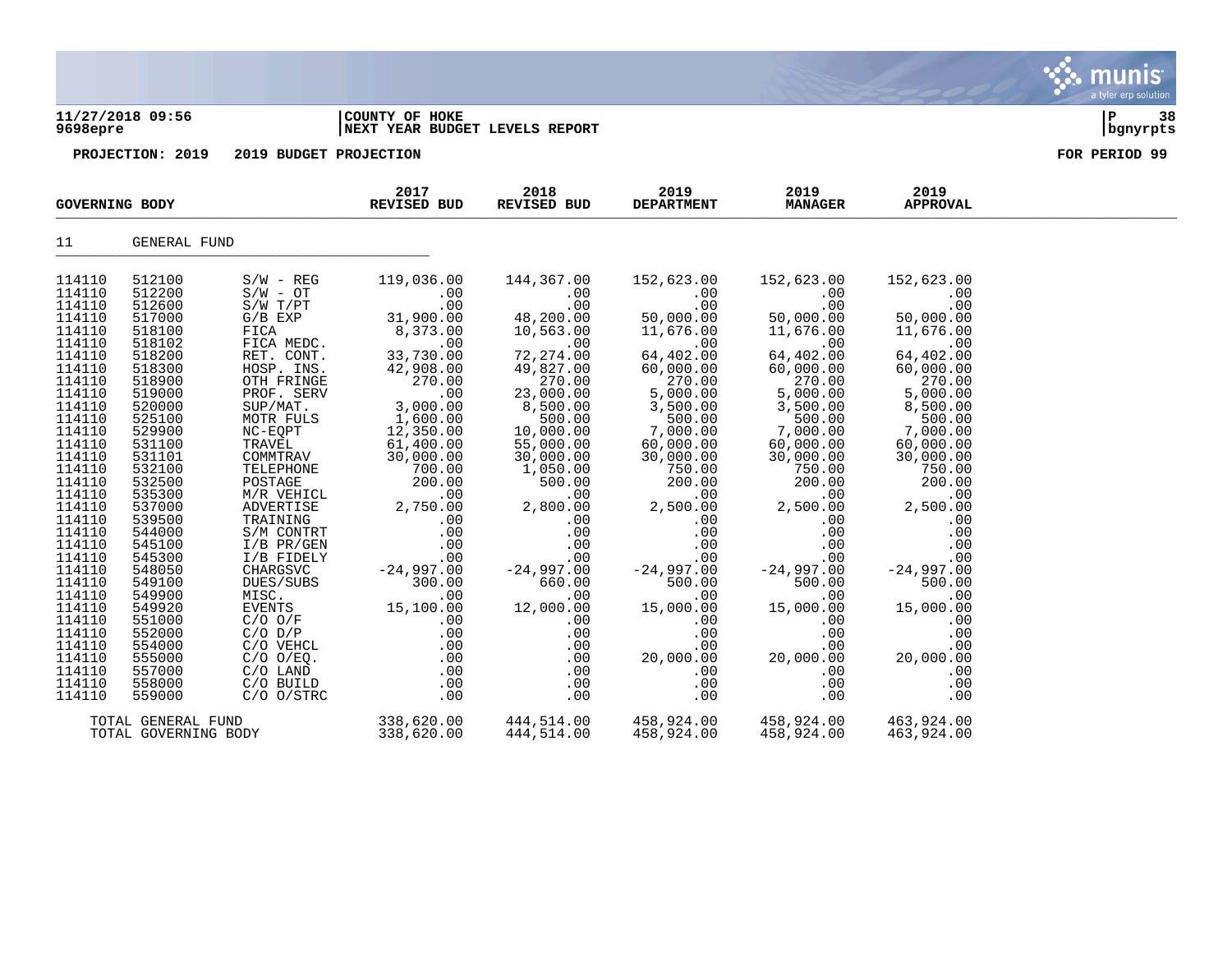### **11/27/2018 09:56 |COUNTY OF HOKE |P 38 9698epre |NEXT YEAR BUDGET LEVELS REPORT |bgnyrpts**

| <b>GOVERNING BODY</b> |                      |                                              | 2017<br><b>REVISED BUD</b>                                 | 2018<br>REVISED BUD                                                                   | 2019<br><b>DEPARTMENT</b>      | 2019<br><b>MANAGER</b> | 2019<br><b>APPROVAL</b>      |  |
|-----------------------|----------------------|----------------------------------------------|------------------------------------------------------------|---------------------------------------------------------------------------------------|--------------------------------|------------------------|------------------------------|--|
| 11                    | GENERAL FUND         |                                              |                                                            |                                                                                       |                                |                        |                              |  |
| 114110                | 512100               | $S/W - REG$                                  | 119,036.00                                                 | 144,367.00                                                                            | 152,623.00                     | 152,623.00             | 152,623.00                   |  |
| 114110                | 512200               | $S/W - OT$                                   | .00                                                        | .00                                                                                   | .00                            | .00                    | .00                          |  |
| 114110                | 512600               | $S/W$ $T/PT$                                 | .00                                                        | .00                                                                                   | .00                            | .00                    | .00                          |  |
| 114110                | 517000               | $G/B$ $EXP$                                  | 31,900.00                                                  | $48, 200.00$<br>$10.563.00$                                                           | 50,000.00                      | 50,000.00              | 50,000.00                    |  |
| 114110                | 518100               | FICA                                         | 8,373.00                                                   | 10,563.00                                                                             | 11,676.00                      | 11,676.00              | 11,676.00                    |  |
| 114110                | 518102               | FICA MEDC.                                   | .00                                                        | .00                                                                                   | .00                            | .00                    | .00                          |  |
| 114110                | 518200               | RET. CONT.                                   | 33,730.00                                                  | 72,274.00                                                                             | 64,402.00                      | 64,402.00              | 64,402.00                    |  |
| 114110                | 518300               | HOSP. INS.                                   | 42,908.00                                                  | 49,827.00                                                                             | $60,000.00$<br>270.00          | 60,000.00              | 60,000.00                    |  |
| 114110                | 518900               | OTH FRINGE                                   | 270.00                                                     | 270.00                                                                                |                                | 270.00                 | 270.00                       |  |
| 114110                | 519000               | PROF. SERV                                   | 3,000,00                                                   | 23,000.00                                                                             | 5,000.00<br>3,500.00<br>500.00 | 5,000.00               | 5,000.00                     |  |
| 114110                | 520000               | $SUP/MAT$ .                                  | 3,000.00<br>1,600.00                                       | 8,500.00                                                                              |                                | 3,500.00               | 8,500.00<br>500.00           |  |
| 114110<br>114110      | 525100<br>529900     | MOTR FULS<br>NC-EQPT                         | 12,350.00                                                  | $500.00$<br>10,000.00                                                                 | 7,000.00                       | $500.00$<br>7,000.00   | 7,000.00                     |  |
| 114110                | 531100               |                                              | 61,400.00                                                  | 55,000.00                                                                             | 60,000.00                      | 60,000.00              | 60,000.00                    |  |
| 114110                | 531101               |                                              | 30,000.00                                                  | 30,000.00                                                                             | 30,000.00                      | 30,000.00              | 30,000.00                    |  |
| 114110                | 532100               | TRAVĒL<br>COMMTRAV<br>TELEPHONE              | 700.00                                                     | 1,050.00                                                                              | 750.00                         | 750.00                 | 750.00                       |  |
| 114110                | 532500               |                                              | 200.00                                                     | 500.00                                                                                | 200.00                         | 200.00                 | 200.00                       |  |
| 114110                | 535300               | POSTAGE<br>M/R VEHICL                        | 00.uu<br>00.                                               | $\overline{00}$                                                                       | .00                            | .00                    | .00                          |  |
| 114110                | 537000               | ADVERTISE                                    | 2,750.00                                                   | 2,800.00                                                                              | 2,500.00                       | 2,500.00               | 2,500.00                     |  |
| 114110                | 539500               | TRAINING                                     | .00                                                        | .00                                                                                   | .00                            | .00                    | .00                          |  |
| 114110                | 544000               | S/M CONTRT                                   | .00                                                        | .00                                                                                   | .00                            | .00                    | .00                          |  |
| 114110                | 545100               |                                              |                                                            |                                                                                       | .00                            | .00                    | .00                          |  |
| 114110                | 545300               |                                              |                                                            |                                                                                       | .00                            | .00                    | .00                          |  |
| 114110                | 548050               | I/B PR/GEN<br>I/B FIDELY<br>CHARGSVC -24 997 | $-24,997.00$                                               | $\begin{array}{cc} .00 & .00 \ .00 & .00 \ .00 & .00 \ 7.00 & -24,997.00 \end{array}$ | $-24,997.00$                   | $-24,997.00$           | $-24,997.00$                 |  |
| 114110                | 549100               | DUES/SUBS                                    | 300.00                                                     | 660.00                                                                                | 500.00                         | 500.00                 | 500.00                       |  |
| 114110                | 549900               | MISC.                                        | .00                                                        | .00                                                                                   | .00                            | .00                    | .00                          |  |
| 114110                | 549920               | EVENTS                                       | 15,100.00                                                  | 12,000.00                                                                             | 15,000.00                      | 15,000.00              | 15,000.00                    |  |
| 114110                | 551000               | $C/O$ $O/F$                                  | .00                                                        | .00                                                                                   | .00                            | .00                    | .00                          |  |
| 114110                | 552000               | $C/O$ $D/P$                                  | .00                                                        | .00                                                                                   | .00                            | .00                    | .00                          |  |
| 114110                | 554000               | C/O VEHCL                                    | $\begin{array}{c} \texttt{.00} \ \texttt{.00} \end{array}$ | .00                                                                                   | .00                            | .00                    |                              |  |
| 114110                | 555000               | $C/O$ $O/EQ$ .                               |                                                            | .00                                                                                   | 20,000.00                      | 20,000.00              |                              |  |
| 114110                | 557000               | C/O LAND                                     | .00                                                        | .00                                                                                   | .00                            | .00                    | $20,000.\tilde{00}$<br>0.000 |  |
| 114110                | 558000               | C/O BUILD                                    | .00                                                        | .00                                                                                   | .00                            | .00                    | .00                          |  |
| 114110                | 559000               | $C/O$ $O/STRC$                               | .00                                                        | .00                                                                                   | .00                            | .00                    | .00                          |  |
|                       | TOTAL GENERAL FUND   |                                              |                                                            | 338,620.00 444,514.00                                                                 | 458,924.00 458,924.00          |                        | 463,924.00                   |  |
|                       | TOTAL GOVERNING BODY |                                              | 338,620.00                                                 | 444,514.00                                                                            | 458,924.00                     | 458,924.00             | 463,924.00                   |  |
|                       |                      |                                              |                                                            |                                                                                       |                                |                        |                              |  |

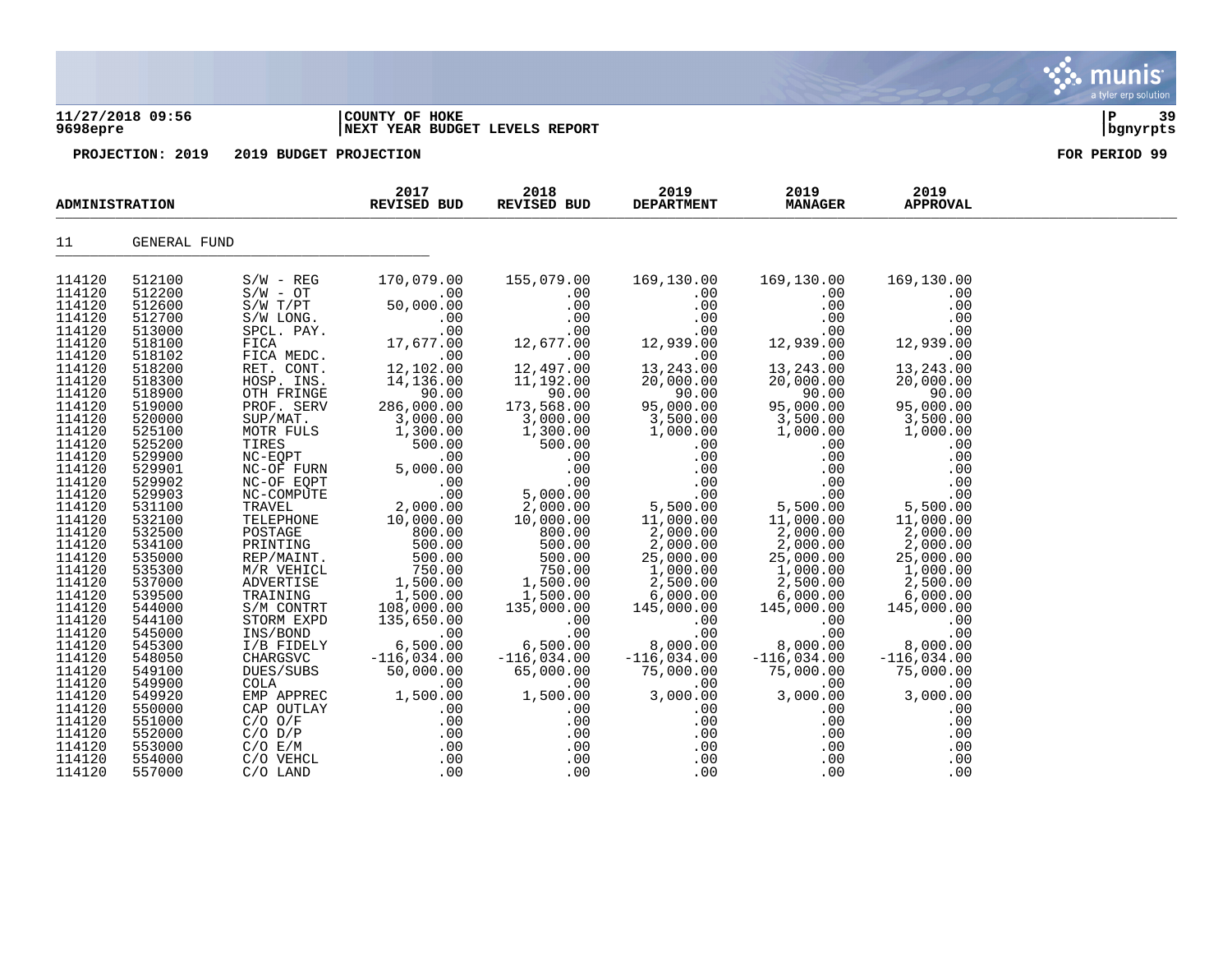### **11/27/2018 09:56 |COUNTY OF HOKE |P 39 9698epre |NEXT YEAR BUDGET LEVELS REPORT |bgnyrpts**

**PROJECTION: 2019 2019 BUDGET PROJECTION FOR PERIOD 99**

| <b>ADMINISTRATION</b> |              |              | 2017<br>REVISED BUD | 2018<br>REVISED BUD            | 2019<br><b>DEPARTMENT</b> | 2019<br><b>MANAGER</b> | 2019<br><b>APPROVAL</b> |  |
|-----------------------|--------------|--------------|---------------------|--------------------------------|---------------------------|------------------------|-------------------------|--|
| 11                    | GENERAL FUND |              |                     |                                |                           |                        |                         |  |
| 114120                | 512100       | $S/W - REG$  | 170,079.00          | 155,079.00                     | 169,130.00                | 169,130.00             | 169,130.00              |  |
| 114120                | 512200       | $S/W - OT$   | .00                 | .00                            | .00                       | .00                    | .00                     |  |
| 114120                | 512600       | $S/W$ $T/PT$ | 50,000.00           | .00                            | .00                       | .00                    | .00                     |  |
| 114120                | 512700       | S/W LONG.    | .00                 | .00                            | .00                       | .00                    | .00                     |  |
| 114120                | 513000       | SPCL. PAY.   | .00                 | .00                            | .00                       | .00                    | .00                     |  |
| 114120                | 518100       | FICA         | 17,677.00           | 12,677.00                      | 12,939.00                 | 12,939.00              | 12,939.00               |  |
| 114120                | 518102       | FICA MEDC.   | .00                 | .00                            | .00                       | .00                    | .00                     |  |
| 114120                | 518200       | RET. CONT.   | 12,102.00           | 12,497.00                      | 13,243.00                 | 13,243.00              | 13, 243.00              |  |
| 114120                | 518300       | HOSP. INS.   | 14,136.00           | 11,192.00                      | 20,000.00                 | 20,000.00              | 20,000.00               |  |
| 114120                | 518900       | OTH FRINGE   | 90.00               | 90.00                          | 90.00                     | 90.00                  | 90.00                   |  |
| 114120                | 519000       | PROF. SERV   | 286,000.00          | 173,568.00                     | 95,000.00                 | 95,000.00              | 95,000.00               |  |
| 114120                | 520000       | SUP/MAT.     | 3,000.00            | 3,000.00                       | 3,500.00                  | 3,500.00               | 3,500.00                |  |
| 114120                | 525100       | MOTR FULS    | 1,300.00            | 1,300.00                       | 1,000.00                  | 1,000.00               | 1,000.00                |  |
| 114120                | 525200       | TIRES        | 500.00              | 500.00                         | .00                       | .00                    | .00                     |  |
| 114120                | 529900       | NC-EQPT      | .00                 | .00                            | .00                       | .00                    | .00                     |  |
| 114120                | 529901       | NC-OF FURN   | 5,000.00            | .00                            | .00                       | .00                    | .00                     |  |
| 114120                | 529902       | NC-OF EQPT   | .00                 | .00                            | .00                       | .00                    | .00                     |  |
| 114120                | 529903       | NC-COMPUTE   | .00                 | 5,000.00                       | .00                       | .00                    | .00                     |  |
| 114120                | 531100       | TRAVEL       | 2,000.00            | 2,000.00                       | 5,500.00                  | 5,500.00               | 5,500.00                |  |
| 114120                | 532100       | TELEPHONE    | 10,000.00           | 10,000.00                      | 11,000.00                 | 11,000.00              | 11,000.00               |  |
| 114120                | 532500       | POSTAGE      | 800.00              | 800.00                         | 2,000.00                  | 2,000.00               | 2,000.00                |  |
| 114120                | 534100       | PRINTING     | 500.00              | 500.00                         | 2,000.00                  | 2,000.00               | 2,000.00                |  |
| 114120                | 535000       | REP/MAINT.   | 500.00              | 500.00                         | 25,000.00                 | 25,000.00              | 25,000.00               |  |
| 114120                | 535300       | M/R VEHICL   | 750.00              | 750.00                         | 1,000.00                  | 1,000.00               | 1,000.00                |  |
| 114120                | 537000       | ADVERTISE    | 1,500.00            | 1,500.00<br>1,500.00<br>330.00 | 2,500.00                  | 2,500.00               | 2,500.00                |  |
| 114120                | 539500       | TRAINING     | 1,500.00            |                                | 6,000.00                  | 6,000.00               | 6,000.00                |  |
| 114120                | 544000       | S/M CONTRT   | 108,000.00          | 135,000.00                     | 145,000.00                | 145,000.00             | 145,000.00              |  |
| 114120                | 544100       | STORM EXPD   | 135,650.00          | .00                            | .00                       | .00                    | .00                     |  |
| 114120                | 545000       | INS/BOND     | .00                 | .00                            | .00                       | .00                    | .00                     |  |
| 114120                | 545300       | I/B FIDELY   | 6,500.00            | 6,500.00                       | 8,000.00                  | 8,000.00               | 8,000.00                |  |
| 114120                | 548050       | CHARGSVC     | $-116,034.00$       | $-116,034.00$                  | $-116,034.00$             | $-116,034.00$          | $-116,034.00$           |  |
| 114120                | 549100       | DUES/SUBS    | 50,000.00           | 65,000.00                      | 75,000.00                 | 75,000.00              | 75,000.00               |  |
| 114120                | 549900       | COLA         | .00                 | .00                            | .00                       | .00                    | .00                     |  |
| 114120                | 549920       | EMP APPREC   | 1,500.00            | 1,500.00                       | 3,000.00                  | 3,000.00               | 3,000.00                |  |
| 114120                | 550000       | CAP OUTLAY   | $.00 \,$            | $.00 \,$                       | .00                       | .00                    | .00                     |  |
| 114120                | 551000       | $C/O$ $O/F$  | .00                 | .00                            | .00                       | .00                    | .00                     |  |
| 114120                | 552000       | $C/O$ $D/P$  | .00                 | .00                            | .00                       | .00                    | .00                     |  |
| 114120                | 553000       | $C/O$ $E/M$  | .00                 | .00                            | .00                       | .00                    | .00                     |  |
| 114120                | 554000       | C/O VEHCL    | .00                 | .00                            | .00                       | .00                    | .00                     |  |
| 114120                | 557000       | $C/O$ LAND   | .00                 | .00                            | .00                       | .00                    | .00                     |  |
|                       |              |              |                     |                                |                           |                        |                         |  |

nunis *m*unis a tyler erp solution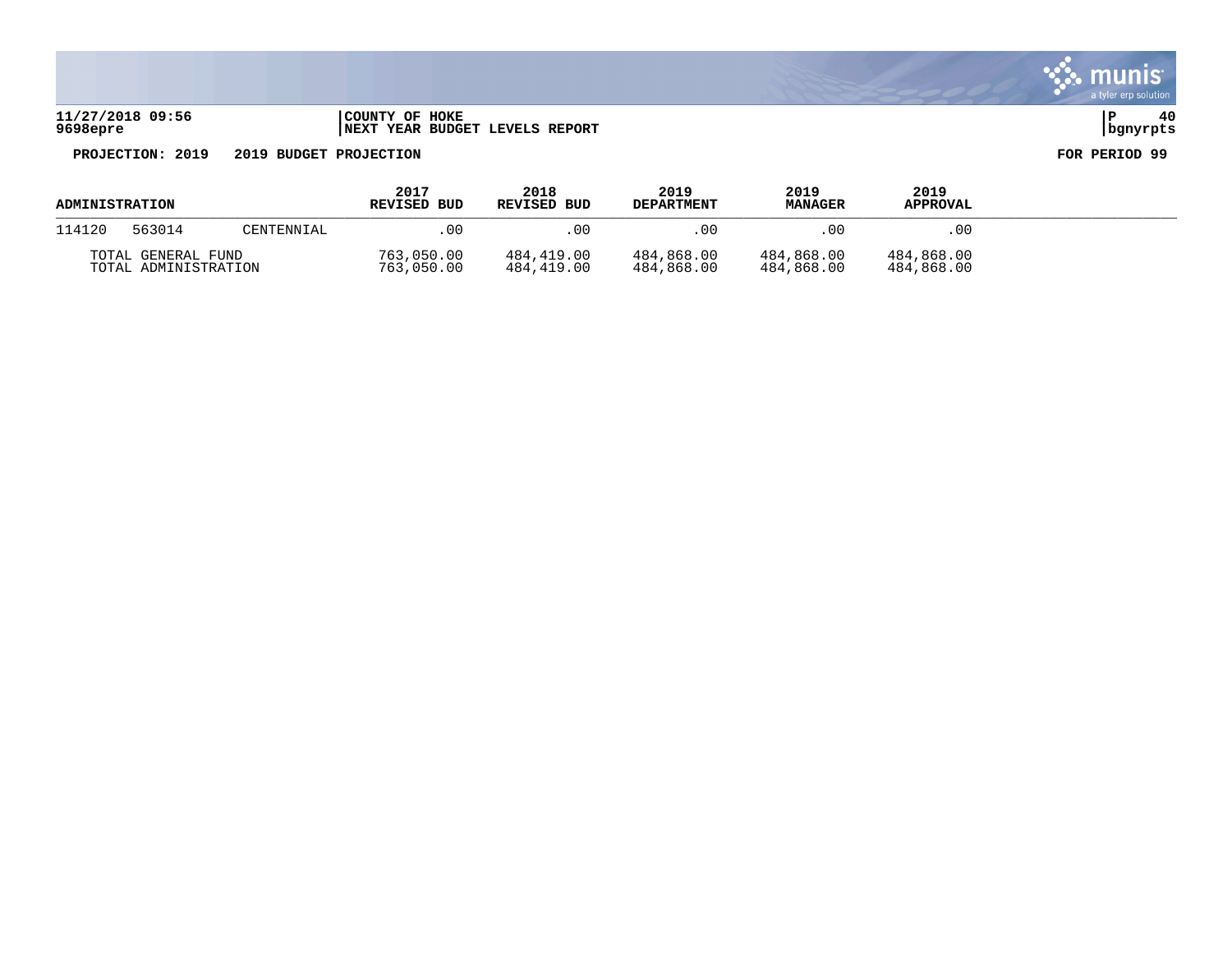| 11/27/2018 09:56 | COUNTY OF HOKE                       |            |  |
|------------------|--------------------------------------|------------|--|
| 9698epre         | 'YEAR BUDGET LEVELS REPORT<br>  NEXT | l banvrpts |  |

munis<sup>.</sup> a tyler erp solution

 $\ddot{\cdot}$ 

| ADMINISTRATION                             |        |            | 2017<br>REVISED BUD      | 2018<br>REVISED BUD      | 2019<br><b>DEPARTMENT</b> | 2019<br><b>MANAGER</b>   | 2019<br><b>APPROVAL</b>  |  |
|--------------------------------------------|--------|------------|--------------------------|--------------------------|---------------------------|--------------------------|--------------------------|--|
| 114120                                     | 563014 | CENTENNIAL | . 00                     | . 00                     | 00                        | .00                      | .00                      |  |
| TOTAL GENERAL FUND<br>TOTAL ADMINISTRATION |        |            | 763,050.00<br>763,050.00 | 484,419.00<br>484,419.00 | 484,868.00<br>484,868.00  | 484,868.00<br>484,868.00 | 484,868.00<br>484,868.00 |  |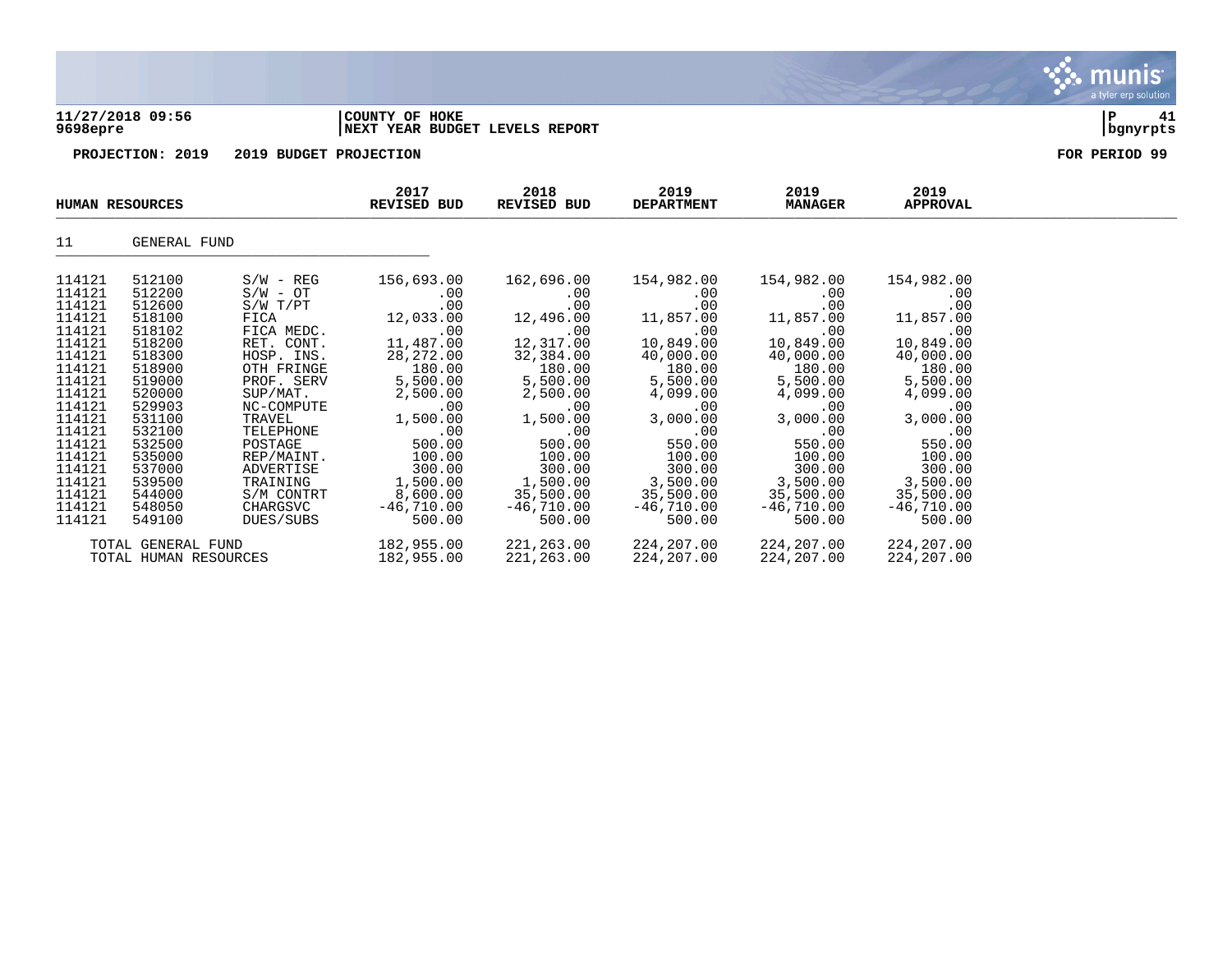### **11/27/2018 09:56 |COUNTY OF HOKE |P 41 9698epre |NEXT YEAR BUDGET LEVELS REPORT |bgnyrpts**

**PROJECTION: 2019 2019 BUDGET PROJECTION FOR PERIOD 99**

| <b>HUMAN RESOURCES</b> |                       | 2017<br>REVISED BUD | 2018<br>REVISED BUD | 2019<br><b>DEPARTMENT</b> | 2019<br><b>MANAGER</b> | 2019<br>APPROVAL |              |  |
|------------------------|-----------------------|---------------------|---------------------|---------------------------|------------------------|------------------|--------------|--|
| 11                     | GENERAL FUND          |                     |                     |                           |                        |                  |              |  |
| 114121                 | 512100                | $S/W - REG$         | 156,693.00          | 162,696.00                | 154,982.00             | 154,982.00       | 154,982.00   |  |
| 114121                 | 512200                | $S/W - OT$          | $.00 \,$            | $.00 \,$                  | $.00 \ \,$             | $.00 \,$         | .00          |  |
| 114121                 | 512600                | $S/W$ $T/PT$        | .00                 | .00                       | .00                    | .00              | .00          |  |
| 114121                 | 518100                | FICA                | 12,033.00           | 12,496.00                 | 11,857.00              | 11,857.00        | 11,857.00    |  |
| 114121                 | 518102                | FICA MEDC.          | .00                 | .00                       | .00                    | .00              | .00          |  |
| 114121                 | 518200                | RET. CONT.          | 11,487.00           | 12,317.00                 | 10,849.00              | 10,849.00        | 10,849.00    |  |
| 114121                 | 518300                | HOSP. INS.          | 28, 272.00          | 32,384.00                 | 40,000.00              | 40,000.00        | 40,000.00    |  |
| 114121                 | 518900                | OTH FRINGE          | 180.00              | 180.00                    | 180.00                 | 180.00           | 180.00       |  |
| 114121                 | 519000                | PROF. SERV          | 5,500.00            | 5,500.00                  | 5,500.00               | 5,500.00         | 5,500.00     |  |
| 114121                 | 520000                | SUP/MAT.            | 2,500.00            | 2,500.00                  | 4,099.00               | 4,099.00         | 4,099.00     |  |
| 114121                 | 529903                | NC-COMPUTE          | .00                 | $.00 \,$                  | $.00 \,$               | .00              | .00          |  |
| 114121                 | 531100                | TRAVEL              | 1,500.00            | 1,500.00                  | 3,000.00               | 3,000.00         | 3,000.00     |  |
| 114121                 | 532100                | TELEPHONE           | .00                 | .00                       | .00                    | .00              | .00          |  |
| 114121                 | 532500                | POSTAGE             | 500.00              | 500.00                    | 550.00                 | 550.00           | 550.00       |  |
| 114121                 | 535000                | REP/MAINT.          | 100.00              | 100.00                    | 100.00                 | 100.00           | 100.00       |  |
| 114121                 | 537000                | ADVERTISE           | 300.00              | 300.00                    | 300.00                 | 300.00           | 300.00       |  |
| 114121                 | 539500                | TRAINING            | 1,500.00            | 1,500.00                  | 3,500.00               | 3,500.00         | 3,500.00     |  |
| 114121                 | 544000                | S/M CONTRT          | 8,600.00            | 35,500.00                 | 35,500.00              | 35,500.00        | 35,500.00    |  |
| 114121                 | 548050                | CHARGSVC            | $-46,710.00$        | $-46,710.00$              | $-46,710.00$           | $-46,710.00$     | $-46,710.00$ |  |
| 114121                 | 549100                | DUES/SUBS           | 500.00              | 500.00                    | 500.00                 | 500.00           | 500.00       |  |
|                        | TOTAL GENERAL FUND    |                     | 182,955.00          | 221,263.00                | 224,207.00             | 224,207.00       | 224,207.00   |  |
|                        | TOTAL HUMAN RESOURCES |                     | 182,955.00          | 221,263.00                | 224,207.00             | 224,207.00       | 224,207.00   |  |

**munis** a tyler erp solution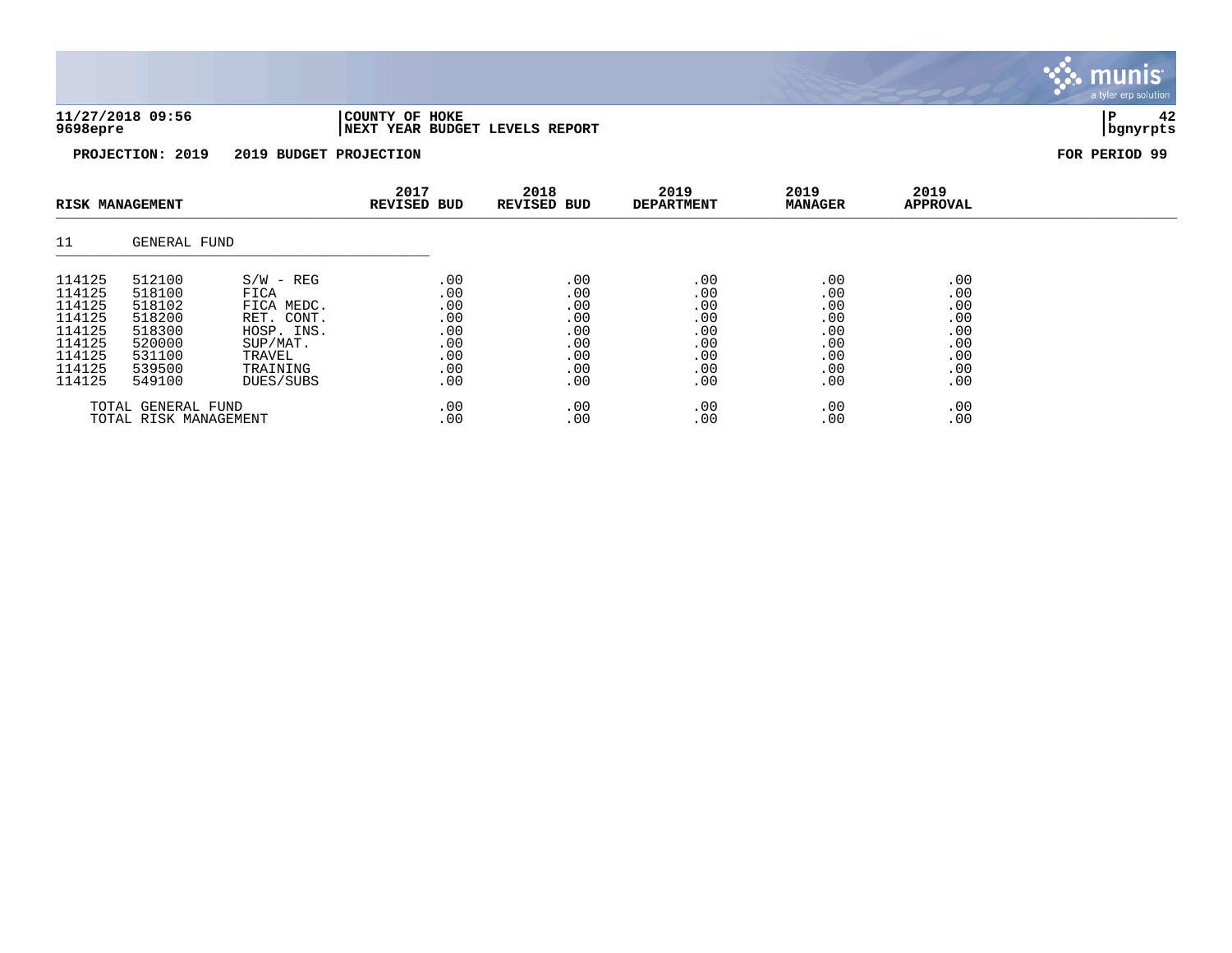| 11/27/2018 09:56 | 'COUNTY OF HOKE                        |          |  |
|------------------|----------------------------------------|----------|--|
| 9698epre         | <b>INEXT YEAR BUDGET LEVELS REPORT</b> | bqnyrpts |  |

 $\ddot{\cdot}$ munis a tyler erp solution

| <b>RISK MANAGEMENT</b> |              |             | 2017<br><b>REVISED BUD</b> | 2018<br><b>REVISED BUD</b> | 2019<br><b>DEPARTMENT</b> | 2019<br><b>MANAGER</b> | 2019<br><b>APPROVAL</b> |  |
|------------------------|--------------|-------------|----------------------------|----------------------------|---------------------------|------------------------|-------------------------|--|
| 11                     | GENERAL FUND |             |                            |                            |                           |                        |                         |  |
| 114125                 | 512100       | $S/W - REG$ | .00                        | .00                        | .00                       | .00                    | .00                     |  |
| 114125                 | 518100       | FICA        | .00                        | .00                        | .00                       | .00                    | .00                     |  |
| 114125                 | 518102       | FICA MEDC.  | .00                        | .00                        | .00                       | .00                    | .00                     |  |
| 114125                 | 518200       | RET. CONT.  | .00                        | .00                        | .00                       | .00                    | .00                     |  |
| 114125                 | 518300       | HOSP. INS.  | .00                        | .00                        | .00                       | .00                    | .00                     |  |
| 114125                 | 520000       | SUP/MAT.    | .00                        | .00                        | .00                       | .00                    | .00                     |  |
| 114125                 | 531100       | TRAVEL      | .00                        | .00                        | .00                       | .00                    | .00                     |  |
| 114125                 | 539500       | TRAINING    | .00                        | .00                        | .00                       | .00                    | .00                     |  |
| 114125                 | 549100       | DUES/SUBS   | .00                        | .00                        | .00                       | .00                    | .00                     |  |
| TOTAL GENERAL FUND     |              | .00         | .00                        | .00                        | .00                       | .00                    |                         |  |
| TOTAL RISK MANAGEMENT  |              | .00         | .00                        | .00                        | .00                       | .00                    |                         |  |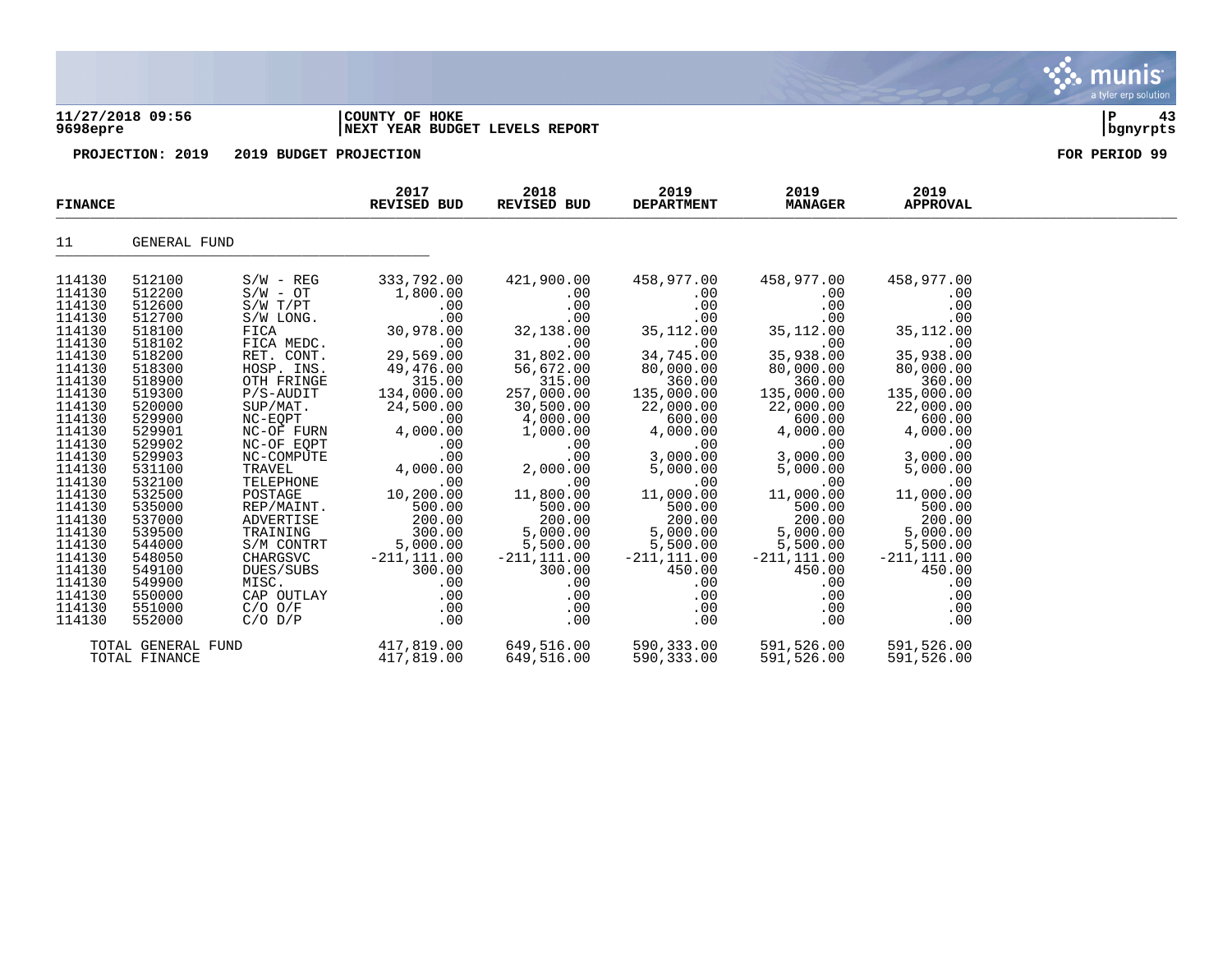### **11/27/2018 09:56 |COUNTY OF HOKE |P 43 9698epre |NEXT YEAR BUDGET LEVELS REPORT |bgnyrpts**

**PROJECTION: 2019 2019 BUDGET PROJECTION FOR PERIOD 99**

| <b>FINANCE</b>                                                                                                                                                                                                                                                   |                                                                                                                                                                                                                                                                  |                                                                                                                                                                                                                                                                                                                                               | 2017<br>REVISED BUD                                                                                                                                                                                                                                                          | 2018<br><b>REVISED BUD</b>                                                                                                                                                                                                                                                               | 2019<br><b>DEPARTMENT</b>                                                                                                                                                                                                                                                         | 2019<br><b>MANAGER</b>                                                                                                                                                                                                                                                            | 2019<br><b>APPROVAL</b>                                                                                                                                                                                                                                                           |  |
|------------------------------------------------------------------------------------------------------------------------------------------------------------------------------------------------------------------------------------------------------------------|------------------------------------------------------------------------------------------------------------------------------------------------------------------------------------------------------------------------------------------------------------------|-----------------------------------------------------------------------------------------------------------------------------------------------------------------------------------------------------------------------------------------------------------------------------------------------------------------------------------------------|------------------------------------------------------------------------------------------------------------------------------------------------------------------------------------------------------------------------------------------------------------------------------|------------------------------------------------------------------------------------------------------------------------------------------------------------------------------------------------------------------------------------------------------------------------------------------|-----------------------------------------------------------------------------------------------------------------------------------------------------------------------------------------------------------------------------------------------------------------------------------|-----------------------------------------------------------------------------------------------------------------------------------------------------------------------------------------------------------------------------------------------------------------------------------|-----------------------------------------------------------------------------------------------------------------------------------------------------------------------------------------------------------------------------------------------------------------------------------|--|
| 11                                                                                                                                                                                                                                                               | GENERAL FUND                                                                                                                                                                                                                                                     |                                                                                                                                                                                                                                                                                                                                               |                                                                                                                                                                                                                                                                              |                                                                                                                                                                                                                                                                                          |                                                                                                                                                                                                                                                                                   |                                                                                                                                                                                                                                                                                   |                                                                                                                                                                                                                                                                                   |  |
| 114130<br>114130<br>114130<br>114130<br>114130<br>114130<br>114130<br>114130<br>114130<br>114130<br>114130<br>114130<br>114130<br>114130<br>114130<br>114130<br>114130<br>114130<br>114130<br>114130<br>114130<br>114130<br>114130<br>114130<br>114130<br>114130 | 512100<br>512200<br>512600<br>512700<br>518100<br>518102<br>518200<br>518300<br>518900<br>519300<br>520000<br>529900<br>529901<br>529902<br>529903<br>531100<br>532100<br>532500<br>535000<br>537000<br>539500<br>544000<br>548050<br>549100<br>549900<br>550000 | $S/W - REG$<br>$S/W - OT$<br>$S/W$ $T/PT$<br>S/W LONG.<br>FICA<br>FICA MEDC.<br>RET. CONT.<br>HOSP. INS.<br>OTH FRINGE<br>$P/S-AUDIT$<br>SUP/MAT.<br>NC-EQPT<br>NC-OF FURN<br>NC-OF EQPT<br>NC-COMPUTE<br>TRAVEL<br>TELEPHONE<br>POSTAGE<br>REP/MAINT.<br>ADVERTISE<br>TRAINING<br>S/M CONTRT<br>CHARGSVC<br>DUES/SUBS<br>MISC.<br>CAP OUTLAY | 333,792.00<br>1,800.00<br>.00<br>.00<br>30,978.00<br>.00<br>29,569.00<br>49,476.00<br>315.00<br>134,000.00<br>24,500.00<br>.00<br>4,000.00<br>.00<br>.00<br>4,000.00<br>.00<br>10,200.00<br>500.00<br>200.00<br>300.00<br>5,000.00<br>$-211, 111.00$<br>300.00<br>.00<br>.00 | 421,900.00<br>$.00 \,$<br>.00<br>.00<br>32,138.00<br>.00<br>31,802.00<br>56,672.00<br>315.00<br>257,000.00<br>30,500.00<br>4,000.00<br>1,000.00<br>$.00 \,$<br>.00<br>2,000.00<br>.00<br>11,800.00<br>500.00<br>200.00<br>5,000.00<br>5,500.00<br>$-211, 111.00$<br>300.00<br>.00<br>.00 | 458,977.00<br>.00<br>.00<br>.00<br>35,112.00<br>.00<br>34,745.00<br>80,000.00<br>360.00<br>135,000.00<br>22,000.00<br>600.00<br>4,000.00<br>.00<br>3,000.00<br>5,000.00<br>.00<br>11,000.00<br>500.00<br>200.00<br>5,000.00<br>5,500.00<br>$-211, 111.00$<br>450.00<br>.00<br>.00 | 458,977.00<br>.00<br>.00<br>.00<br>35,112.00<br>.00<br>35,938.00<br>80,000.00<br>360.00<br>135,000.00<br>22,000.00<br>600.00<br>4,000.00<br>.00<br>3,000.00<br>5,000.00<br>.00<br>11,000.00<br>500.00<br>200.00<br>5,000.00<br>5,500.00<br>$-211, 111.00$<br>450.00<br>.00<br>.00 | 458,977.00<br>.00<br>.00<br>.00<br>35,112.00<br>.00<br>35,938.00<br>80,000.00<br>360.00<br>135,000.00<br>22,000.00<br>600.00<br>4,000.00<br>.00<br>3,000.00<br>5,000.00<br>.00<br>11,000.00<br>500.00<br>200.00<br>5,000.00<br>5,500.00<br>$-211, 111.00$<br>450.00<br>.00<br>.00 |  |
| 114130<br>114130                                                                                                                                                                                                                                                 | 551000<br>552000<br>TOTAL GENERAL FUND<br>TOTAL FINANCE                                                                                                                                                                                                          | $C/O$ $O/F$<br>$C/O$ $D/P$                                                                                                                                                                                                                                                                                                                    | .00<br>$.00 \,$<br>417,819.00<br>417,819.00                                                                                                                                                                                                                                  | $.00\,$<br>$.00 \,$<br>649,516.00<br>649,516.00                                                                                                                                                                                                                                          | $.00 \,$<br>$.00 \ \,$<br>590,333.00<br>590,333.00                                                                                                                                                                                                                                | $.00 \,$<br>.00<br>591,526.00<br>591,526.00                                                                                                                                                                                                                                       | .00<br>.00<br>591,526.00<br>591,526.00                                                                                                                                                                                                                                            |  |

munis a tyler erp solution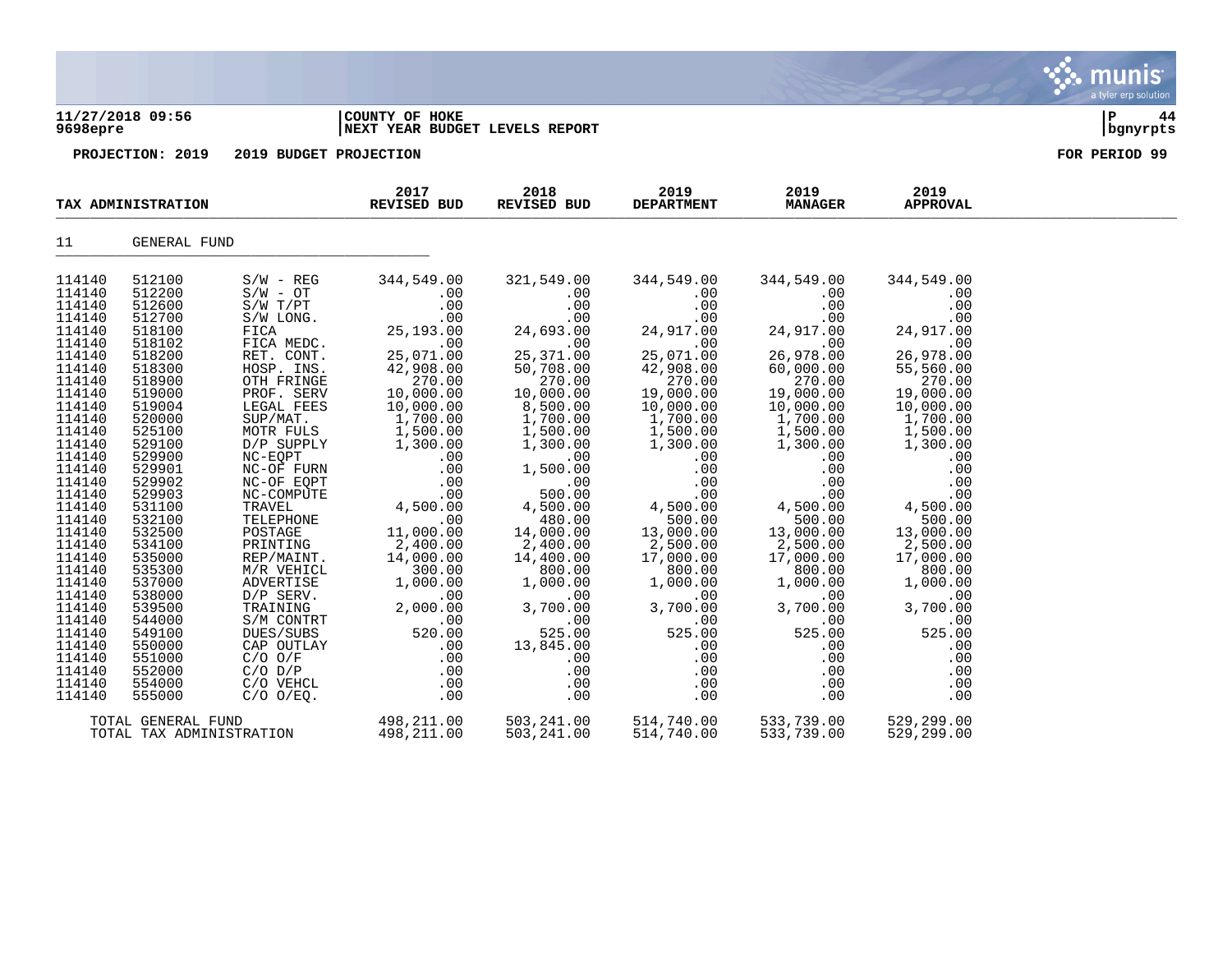| 11/27/2018 09:56 | <b>COUNTY OF</b><br>HOKE         | ם ו |  |
|------------------|----------------------------------|-----|--|
| $0.000$ $-0.000$ | lusym ysan pupasm i systa pepapm |     |  |

# **9698epre |NEXT YEAR BUDGET LEVELS REPORT |bgnyrpts**

| TAX ADMINISTRATION |                          |                     | 2017<br><b>REVISED BUD</b> | 2018<br>REVISED BUD   | 2019<br><b>DEPARTMENT</b> | 2019<br><b>MANAGER</b> | 2019<br><b>APPROVAL</b> |  |
|--------------------|--------------------------|---------------------|----------------------------|-----------------------|---------------------------|------------------------|-------------------------|--|
| 11                 | GENERAL FUND             |                     |                            |                       |                           |                        |                         |  |
| 114140             | 512100                   | $S/W - REG$         | 344,549.00                 | 321,549.00            | 344,549.00                | 344,549.00             | 344,549.00              |  |
| 114140             | 512200                   | $S/W - OT$          | .00                        | .00                   | .00                       | .00                    | .00                     |  |
| 114140             | 512600                   | $S/W$ $T/PT$        | .00                        | .00                   | .00                       | .00                    | .00                     |  |
| 114140             | 512700                   | S/W LONG.           | .00                        | .00                   | .00                       | .00                    | .00                     |  |
| 114140             | 518100                   | FICA                | 25,193.00                  | 24,693.00             | 24,917.00                 | 24,917.00              | 24,917.00               |  |
| 114140             | 518102                   | FICA MEDC.          | .00                        | .00                   | .00                       | .00                    | .00                     |  |
| 114140             | 518200                   | RET. CONT.          | 25,071.00                  | 25,371.00             | 25,071.00                 | 26,978.00              | 26,978.00               |  |
| 114140             | 518300                   | HOSP. INS.          | 42,908.00                  | 50,708.00             | 42,908.00                 | 60,000.00              | 55,560.00               |  |
| 114140             | 518900                   | OTH FRINGE          | 270.00                     | 270.00                | 270.00                    | 270.00                 | 270.00                  |  |
| 114140             | 519000                   | PROF. SERV          | 10,000.00                  | 10,000.00             | 19,000.00                 | 19,000.00              | 19,000.00               |  |
| 114140             | 519004                   | LEGAL FEES          | 10,000.00                  | 8,500.00              | 10,000.00                 | 10,000.00              | 10,000.00               |  |
| 114140             | 520000                   | SUP/MAT.            | 1,700.00                   | 1,700.00              | 1,700.00                  | 1,700.00               | 1,700.00                |  |
| 114140             | 525100                   | MOTR FULS           | 1,500.00                   | 1,500.00              | 1,500.00                  | 1,500.00               | 1,500.00                |  |
| 114140             | 529100                   | D/P SUPPLY          | 1,300.00                   | 1,300.00              | 1,300.00                  | 1,300.00               | 1,300.00                |  |
| 114140             | 529900                   | NC-EQPT             | .00                        | .00                   | .00                       | .00                    | .00                     |  |
| 114140             | 529901                   | NC-OF FURN          | .00                        | 1,500.00              | .00                       | .00                    | .00                     |  |
| 114140             | 529902                   | NC-OF EQPT          | .00                        | .00                   | .00                       | .00                    | .00                     |  |
| 114140             | 529903                   | NC-COMPUTE          | .00                        | 500.00                | .00                       | .00                    | .00                     |  |
| 114140             | 531100                   | TRAVEL              | 4,500.00                   | 4,500.00              | 4,500.00                  | 4,500.00               | 4,500.00                |  |
| 114140             | 532100                   | TELEPHONE           | .00                        | 480.00                | 500.00                    | 500.00                 | 500.00                  |  |
| 114140<br>114140   | 532500<br>534100         | POSTAGE<br>PRINTING | 11,000.00                  | 14,000.00             | 13,000.00                 | 13,000.00              | 13,000.00               |  |
| 114140             | 535000                   | REP/MAINT.          | 2,400.00<br>14,000.00      | 2,400.00<br>14,400.00 | 2,500.00<br>17,000.00     | 2,500.00<br>17,000.00  | 2,500.00<br>17,000.00   |  |
| 114140             | 535300                   | M/R VEHICL          | 300.00                     | 800.00                | 800.00                    | 800.00                 | 800.00                  |  |
| 114140             | 537000                   | ADVERTISE           | 1,000.00                   | 1,000.00              | 1,000.00                  | 1,000.00               | 1,000.00                |  |
| 114140             | 538000                   | D/P SERV.           | .00                        | .00                   | .00                       | .00                    | .00                     |  |
| 114140             | 539500                   | TRAINING            | 2,000.00                   | 3,700.00              | 3,700.00                  | 3,700.00               | 3,700.00                |  |
| 114140             | 544000                   | S/M CONTRT          | .00                        | .00                   | .00                       | .00                    | .00                     |  |
| 114140             | 549100                   | DUES/SUBS           | 520.00                     | 525.00                | 525.00                    | 525.00                 | 525.00                  |  |
| 114140             | 550000                   | CAP OUTLAY          | .00                        | 13,845.00             | .00                       | .00                    | .00                     |  |
| 114140             | 551000                   | $C/O$ $O/F$         | .00                        | $.00 \,$              | .00                       | $.00 \,$               | .00                     |  |
| 114140             | 552000                   | $C/O$ $D/P$         | .00                        | .00                   | .00                       | .00                    | .00                     |  |
| 114140             | 554000                   | C/O VEHCL           | $.00 \,$                   | .00                   | $.00 \,$                  | .00                    | .00                     |  |
| 114140             | 555000                   | $C/O$ $O/EO$ .      | .00                        | .00                   | .00                       | .00                    | .00                     |  |
| TOTAL GENERAL FUND |                          |                     | 498,211.00                 | 503,241.00            | 514,740.00                | 533,739.00             | 529,299.00              |  |
|                    | TOTAL TAX ADMINISTRATION |                     | 498,211.00                 | 503,241.00            | 514,740.00                | 533,739.00             | 529,299.00              |  |

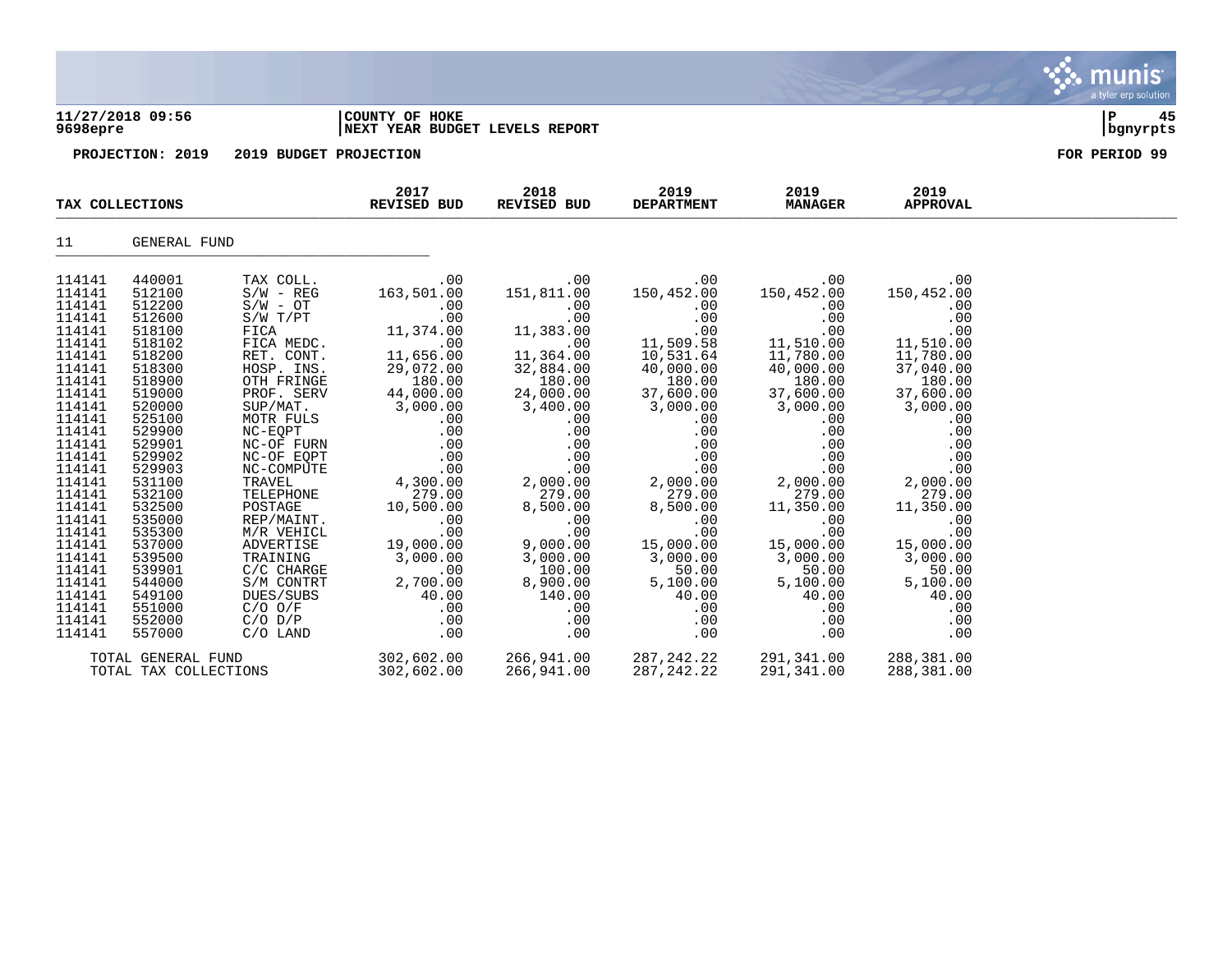| 9698epre         | 11/27/2018 09:56 |                        | COUNTY OF HOKE<br>NEXT YEAR BUDGET LEVELS REPORT |                     |                           |                        |                         | 45<br>P<br>bgnyrpts |
|------------------|------------------|------------------------|--------------------------------------------------|---------------------|---------------------------|------------------------|-------------------------|---------------------|
|                  | PROJECTION: 2019 | 2019 BUDGET PROJECTION |                                                  |                     |                           |                        |                         | FOR PERIOD 99       |
|                  | TAX COLLECTIONS  |                        | 2017<br><b>REVISED BUD</b>                       | 2018<br>REVISED BUD | 2019<br><b>DEPARTMENT</b> | 2019<br><b>MANAGER</b> | 2019<br><b>APPROVAL</b> |                     |
| 11               | GENERAL FUND     |                        |                                                  |                     |                           |                        |                         |                     |
| 114141           | 440001           | TAX COLL.              | .00                                              | .00                 | .00                       | .00                    | .00                     |                     |
| 114141           | 512100           | $S/W - REG$            | 163,501.00                                       | 151,811.00          | 150,452.00                | 150,452.00             | 150,452.00              |                     |
| 114141<br>114141 | 512200<br>512600 | $S/W - OT$<br>S/W T/PT | .00                                              | .00                 | .00                       | .00                    | .00                     |                     |
| 114141           | 518100           | FICA                   | .00<br>11,374.00                                 | .00<br>11,383.00    | .00<br>.00                | .00<br>.00             | .00<br>.00              |                     |
| 114141           | 518102           | FICA MEDC.             | .00                                              | .00                 | 11,509.58                 | 11,510.00              | 11,510.00               |                     |
| 114141           | 518200           | RET. CONT.             | 11,656.00                                        | 11,364.00           | 10,531.64                 | 11,780.00              | 11,780.00               |                     |
| 114141           | 518300           | HOSP. INS.             | 29,072.00                                        | 32,884.00           | 40,000.00                 | 40,000.00              | 37,040.00               |                     |
| 114141           | 518900           | OTH FRINGE             | 180.00                                           | 180.00              | 180.00                    | 180.00                 | 180.00                  |                     |
| 114141           | 519000           | PROF. SERV             | 44,000.00                                        | 24,000.00           | 37,600.00                 | 37,600.00              | 37,600.00               |                     |
| 114141           | 520000           | SUP/MAT.               | 3,000.00                                         | 3,400.00            | 3,000.00                  | 3,000.00               | 3,000.00                |                     |
| 114141           | 525100           | MOTR FULS              | .00                                              | .00                 | .00                       | .00                    | .00                     |                     |
| 114141           | 529900           | NC-EOPT                | .00                                              | .00                 | .00                       | .00                    | .00                     |                     |
| 114141           | 529901           | NC-OF FURN             | .00                                              | .00                 | .00                       | .00                    | .00                     |                     |
| 114141           | 529902           | NC-OF EQPT             | .00                                              | .00                 | .00                       | .00                    | .00                     |                     |
| 114141           | 529903           | NC-COMPUTE             | .00                                              | .00                 | .00                       | .00                    | .00                     |                     |
| 114141<br>114141 | 531100<br>532100 | TRAVEL<br>TELEPHONE    | 4,300.00<br>279.00                               | 2,000.00<br>279.00  | 2,000.00<br>279.00        | 2,000.00<br>279.00     | 2,000.00<br>279.00      |                     |
| 114141           | 532500           | POSTAGE                | 10,500.00                                        | 8,500.00            | 8,500.00                  | 11,350.00              | 11,350.00               |                     |
| 114141           | 535000           | REP/MAINT.             | .00                                              | .00                 | .00                       | .00                    | .00                     |                     |
| 114141           | 535300           | M/R VEHICL             | .00                                              | .00                 | .00                       | .00                    | .00                     |                     |
| 114141           | 537000           | ADVERTISE              | 19,000.00                                        | 9,000.00            | 15,000.00                 | 15,000.00              | 15,000.00               |                     |
| 114141           | 539500           | TRAINING               | 3,000.00                                         | 3,000.00            | 3,000.00                  | 3,000.00               | 3,000.00                |                     |
| 114141           | 539901           | C/C CHARGE             | .00.                                             | 100.00              | 50.00                     | 50.00                  | 50.00                   |                     |
| 114141           | 544000           | S/M CONTRT             | 2,700.00                                         | 8,900.00            | 5,100.00                  | 5,100.00               | 5,100.00                |                     |
| 114141           | 549100           | DUES/SUBS              | 40.00                                            | 140.00              | 40.00                     | 40.00                  | 40.00                   |                     |
| 114141           | 551000           | $C/O$ $O/F$            | .00                                              | .00                 | .00                       | .00                    | .00                     |                     |

. munis<sup>.</sup> a tyler erp solution

114141 552000 C/O D/P .00 .00 .00 .00 .00 114141 557000 C/O LAND .00 .00 .00 .00 .00

TOTAL TAX COLLECTIONS

TOTAL GENERAL FUND 302,602.00 266,941.00 287,242.22 291,341.00 288,381.00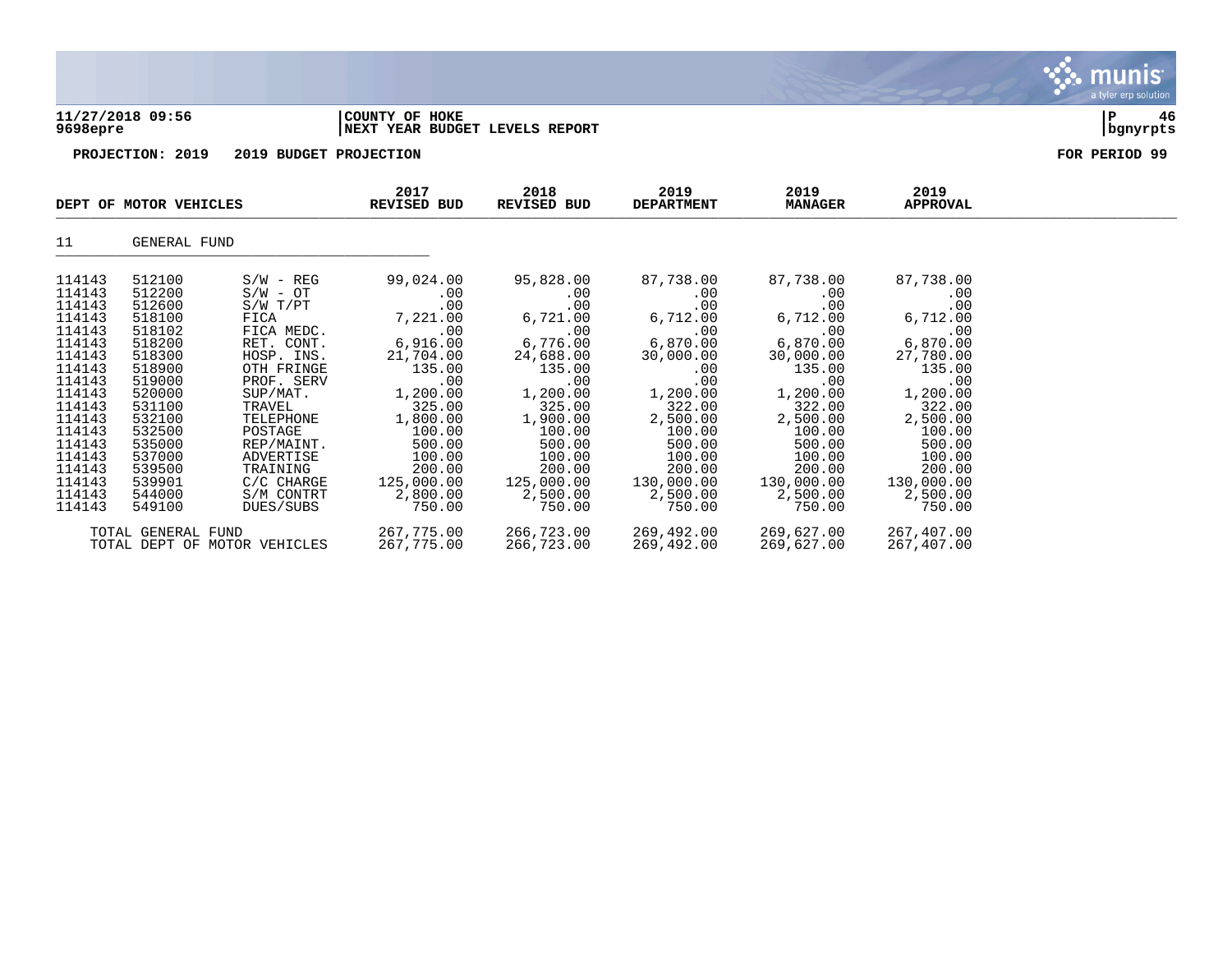

## **11/27/2018 09:56 |COUNTY OF HOKE |P 46 9698epre |NEXT YEAR BUDGET LEVELS REPORT |bgnyrpts**

|                                                                                                                                                                        | DEPT OF MOTOR VEHICLES                                                                                                                                                 |                                                                                                                                                                                                                            | 2017<br>REVISED BUD                                                                                                                                                          | 2018<br>REVISED BUD                                                                                                                                                          | 2019<br><b>DEPARTMENT</b>                                                                                                                                                      | 2019<br><b>MANAGER</b>                                                                                                                                                            | 2019<br>APPROVAL                                                                                                                                                             |  |
|------------------------------------------------------------------------------------------------------------------------------------------------------------------------|------------------------------------------------------------------------------------------------------------------------------------------------------------------------|----------------------------------------------------------------------------------------------------------------------------------------------------------------------------------------------------------------------------|------------------------------------------------------------------------------------------------------------------------------------------------------------------------------|------------------------------------------------------------------------------------------------------------------------------------------------------------------------------|--------------------------------------------------------------------------------------------------------------------------------------------------------------------------------|-----------------------------------------------------------------------------------------------------------------------------------------------------------------------------------|------------------------------------------------------------------------------------------------------------------------------------------------------------------------------|--|
| 11                                                                                                                                                                     | GENERAL FUND                                                                                                                                                           |                                                                                                                                                                                                                            |                                                                                                                                                                              |                                                                                                                                                                              |                                                                                                                                                                                |                                                                                                                                                                                   |                                                                                                                                                                              |  |
| 114143<br>114143<br>114143<br>114143<br>114143<br>114143<br>114143<br>114143<br>114143<br>114143<br>114143<br>114143<br>114143<br>114143<br>114143<br>114143<br>114143 | 512100<br>512200<br>512600<br>518100<br>518102<br>518200<br>518300<br>518900<br>519000<br>520000<br>531100<br>532100<br>532500<br>535000<br>537000<br>539500<br>539901 | $S/W - REG$<br>$S/W - OT$<br>$S/W$ $T/PT$<br>FICA<br>FICA MEDC.<br>RET. CONT.<br>HOSP. INS.<br>OTH FRINGE<br>PROF. SERV<br>SUP/MAT.<br>TRAVEL<br>TELEPHONE<br>POSTAGE<br>REP/MAINT.<br>ADVERTISE<br>TRAINING<br>C/C CHARGE | 99,024.00<br>.00<br>.00<br>7,221.00<br>.00<br>6,916.00<br>21,704.00<br>135.00<br>.00<br>1,200.00<br>325.00<br>1,800.00<br>100.00<br>500.00<br>100.00<br>200.00<br>125,000.00 | 95,828.00<br>.00<br>.00<br>6,721.00<br>.00<br>6,776.00<br>24,688.00<br>135.00<br>.00<br>1,200.00<br>325.00<br>1,900.00<br>100.00<br>500.00<br>100.00<br>200.00<br>125,000.00 | 87,738.00<br>.00<br>.00<br>6,712.00<br>.00<br>6,870.00<br>30,000.00<br>$.00 \,$<br>.00<br>1,200.00<br>322.00<br>2,500.00<br>100.00<br>500.00<br>100.00<br>200.00<br>130,000.00 | 87,738.00<br>$.00 \,$<br>.00<br>6,712.00<br>.00<br>6,870.00<br>30,000.00<br>135.00<br>.00<br>1,200.00<br>322.00<br>2,500.00<br>100.00<br>500.00<br>100.00<br>200.00<br>130,000.00 | 87,738.00<br>.00<br>.00<br>6,712.00<br>.00<br>6,870.00<br>27,780.00<br>135.00<br>.00<br>1,200.00<br>322.00<br>2,500.00<br>100.00<br>500.00<br>100.00<br>200.00<br>130,000.00 |  |
| 114143<br>114143                                                                                                                                                       | 544000<br>549100                                                                                                                                                       | S/M CONTRT<br>DUES/SUBS                                                                                                                                                                                                    | 2,800.00<br>750.00                                                                                                                                                           | 2,500.00<br>750.00                                                                                                                                                           | 2,500.00<br>750.00                                                                                                                                                             | 2,500.00<br>750.00                                                                                                                                                                | 2,500.00<br>750.00                                                                                                                                                           |  |
|                                                                                                                                                                        | TOTAL GENERAL FUND                                                                                                                                                     | TOTAL DEPT OF MOTOR VEHICLES                                                                                                                                                                                               | 267,775.00<br>267,775.00                                                                                                                                                     | 266,723.00<br>266,723.00                                                                                                                                                     | 269,492.00<br>269,492.00                                                                                                                                                       | 269,627.00<br>269,627.00                                                                                                                                                          | 267,407.00<br>267,407.00                                                                                                                                                     |  |

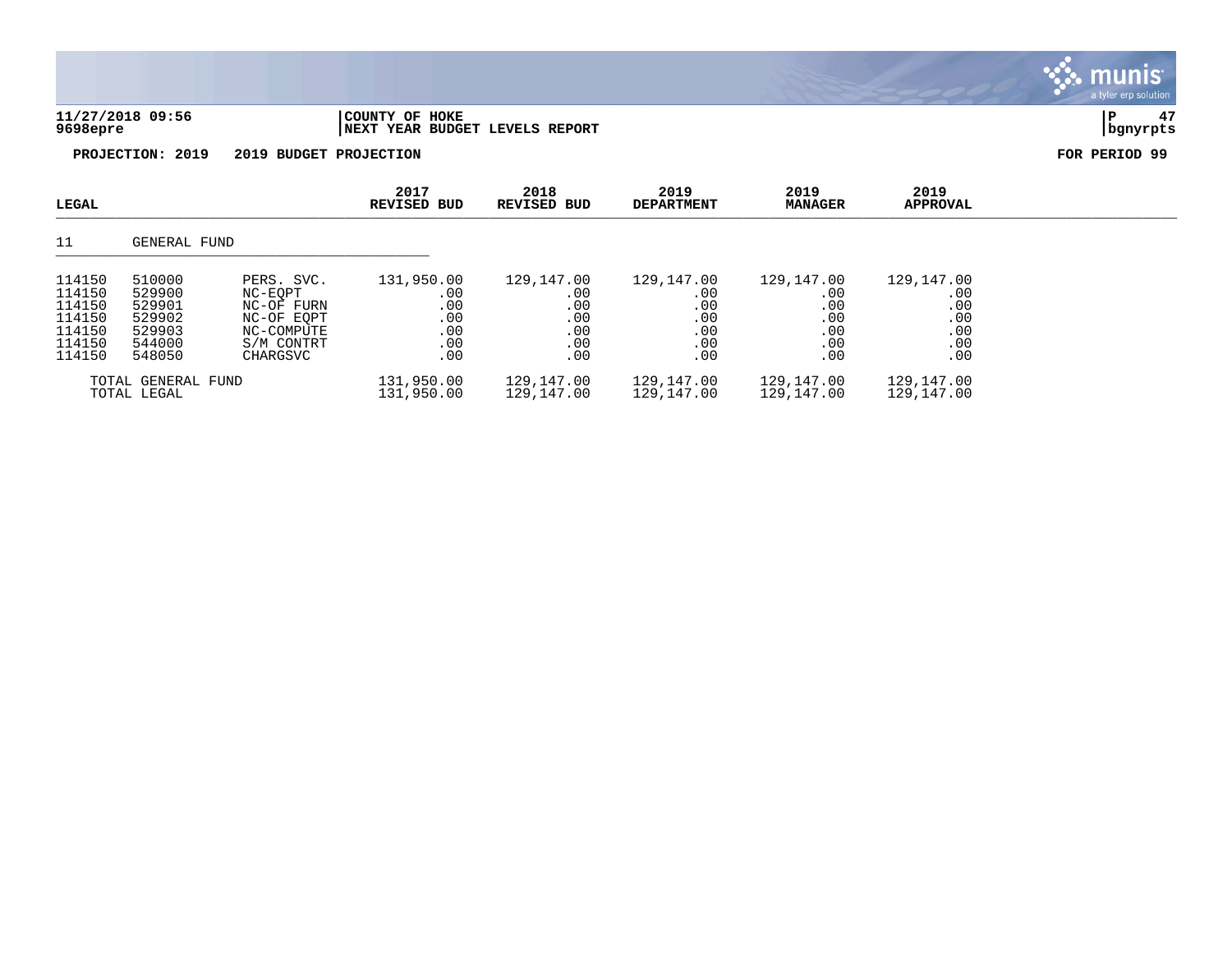# **11/27/2018 09:56 |COUNTY OF HOKE |P 47 9698epre |NEXT YEAR BUDGET LEVELS REPORT |bgnyrpts**

munis a tyler erp solution

| LEGAL                                                              |                                                                    |                                                                                           | 2017<br><b>REVISED BUD</b>                           | 2018<br><b>REVISED BUD</b>                           | 2019<br><b>DEPARTMENT</b>                            | 2019<br><b>MANAGER</b>                               | 2019<br>APPROVAL                                         |
|--------------------------------------------------------------------|--------------------------------------------------------------------|-------------------------------------------------------------------------------------------|------------------------------------------------------|------------------------------------------------------|------------------------------------------------------|------------------------------------------------------|----------------------------------------------------------|
| 11                                                                 | GENERAL FUND                                                       |                                                                                           |                                                      |                                                      |                                                      |                                                      |                                                          |
| 114150<br>114150<br>114150<br>114150<br>114150<br>114150<br>114150 | 510000<br>529900<br>529901<br>529902<br>529903<br>544000<br>548050 | PERS. SVC.<br>NC-EOPT<br>NC-OF FURN<br>NC-OF EOPT<br>NC-COMPUTE<br>S/M CONTRT<br>CHARGSVC | 131,950.00<br>.00<br>.00<br>.00<br>.00<br>.00<br>.00 | 129,147.00<br>.00<br>.00<br>.00<br>.00<br>.00<br>.00 | 129,147.00<br>.00<br>.00<br>.00<br>.00<br>.00<br>.00 | 129,147.00<br>.00<br>.00<br>.00<br>.00<br>.00<br>.00 | 129,147.00<br>.00<br>.00<br>.00<br>$.00$<br>$.00$<br>.00 |
|                                                                    | TOTAL GENERAL FUND<br>TOTAL LEGAL                                  |                                                                                           | 131,950.00<br>131,950.00                             | 129,147.00<br>129,147.00                             | 129,147.00<br>129,147.00                             | 129,147.00<br>129,147.00                             | 129,147.00<br>129,147.00                                 |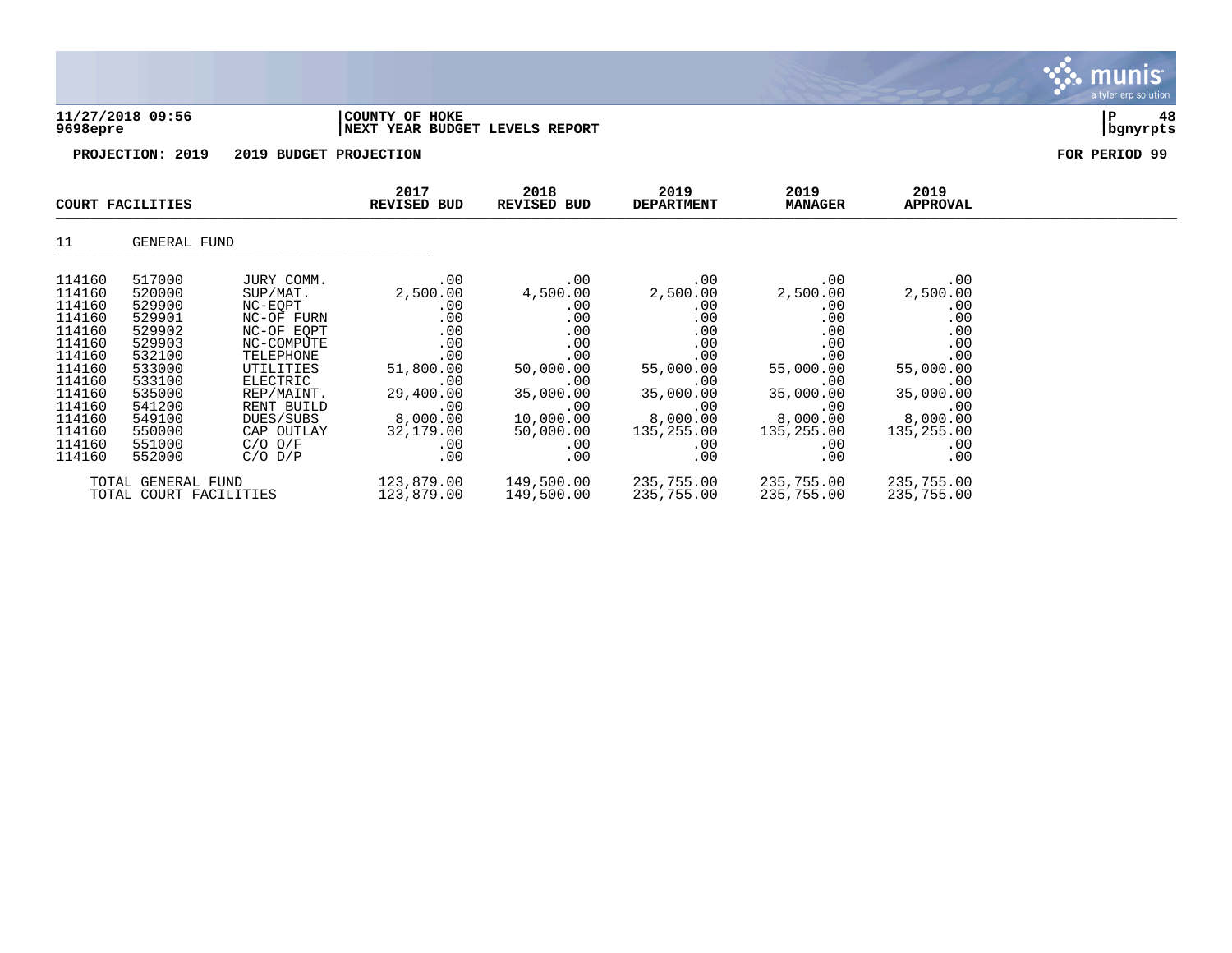

|                                                                                                                                          | COURT FACILITIES                                                                                                                         |                                                                                                                                                                                         | 2017<br><b>REVISED BUD</b>                                                                                                 | 2018<br>REVISED BUD                                                                                                                   | 2019<br><b>DEPARTMENT</b>                                                                                                   | 2019<br><b>MANAGER</b>                                                                                                      | 2019<br>APPROVAL                                                                                                            |  |
|------------------------------------------------------------------------------------------------------------------------------------------|------------------------------------------------------------------------------------------------------------------------------------------|-----------------------------------------------------------------------------------------------------------------------------------------------------------------------------------------|----------------------------------------------------------------------------------------------------------------------------|---------------------------------------------------------------------------------------------------------------------------------------|-----------------------------------------------------------------------------------------------------------------------------|-----------------------------------------------------------------------------------------------------------------------------|-----------------------------------------------------------------------------------------------------------------------------|--|
| 11                                                                                                                                       | GENERAL FUND                                                                                                                             |                                                                                                                                                                                         |                                                                                                                            |                                                                                                                                       |                                                                                                                             |                                                                                                                             |                                                                                                                             |  |
| 114160<br>114160<br>114160<br>114160<br>114160<br>114160<br>114160<br>114160<br>114160<br>114160<br>114160<br>114160<br>114160<br>114160 | 517000<br>520000<br>529900<br>529901<br>529902<br>529903<br>532100<br>533000<br>533100<br>535000<br>541200<br>549100<br>550000<br>551000 | JURY COMM.<br>SUP/MAT.<br>NC-EQPT<br>NC-OF FURN<br>NC-OF EOPT<br>NC-COMPUTE<br>TELEPHONE<br>UTILITIES<br>ELECTRIC<br>REP/MAINT.<br>RENT BUILD<br>DUES/SUBS<br>CAP OUTLAY<br>$C/O$ $O/F$ | .00<br>2,500.00<br>.00<br>.00<br>.00<br>.00<br>.00<br>51,800.00<br>.00<br>29,400.00<br>.00<br>8,000.00<br>32,179.00<br>.00 | .00<br>4,500.00<br>.00<br>.00<br>$.00 \,$<br>.00<br>.00<br>50,000.00<br>.00<br>35,000.00<br>.00<br>10,000.00<br>50,000.00<br>$.00 \,$ | .00<br>2,500.00<br>.00<br>.00<br>.00<br>.00<br>.00<br>55,000.00<br>.00<br>35,000.00<br>.00<br>8,000.00<br>135,255.00<br>.00 | .00<br>2,500.00<br>.00<br>.00<br>.00<br>.00<br>.00<br>55,000.00<br>.00<br>35,000.00<br>.00<br>8,000.00<br>135,255.00<br>.00 | .00<br>2,500.00<br>.00<br>.00<br>.00<br>.00<br>.00<br>55,000.00<br>.00<br>35,000.00<br>.00<br>8,000.00<br>135,255.00<br>.00 |  |
| 114160                                                                                                                                   | 552000                                                                                                                                   | $C/O$ $D/P$                                                                                                                                                                             | .00                                                                                                                        | .00                                                                                                                                   | .00                                                                                                                         | .00                                                                                                                         | .00                                                                                                                         |  |
|                                                                                                                                          | TOTAL GENERAL FUND<br>TOTAL COURT FACILITIES                                                                                             |                                                                                                                                                                                         | 123,879.00<br>123,879.00                                                                                                   | 149,500.00<br>149,500.00                                                                                                              | 235,755.00<br>235,755.00                                                                                                    | 235,755.00<br>235,755.00                                                                                                    | 235,755.00<br>235,755.00                                                                                                    |  |

munis a tyler erp solution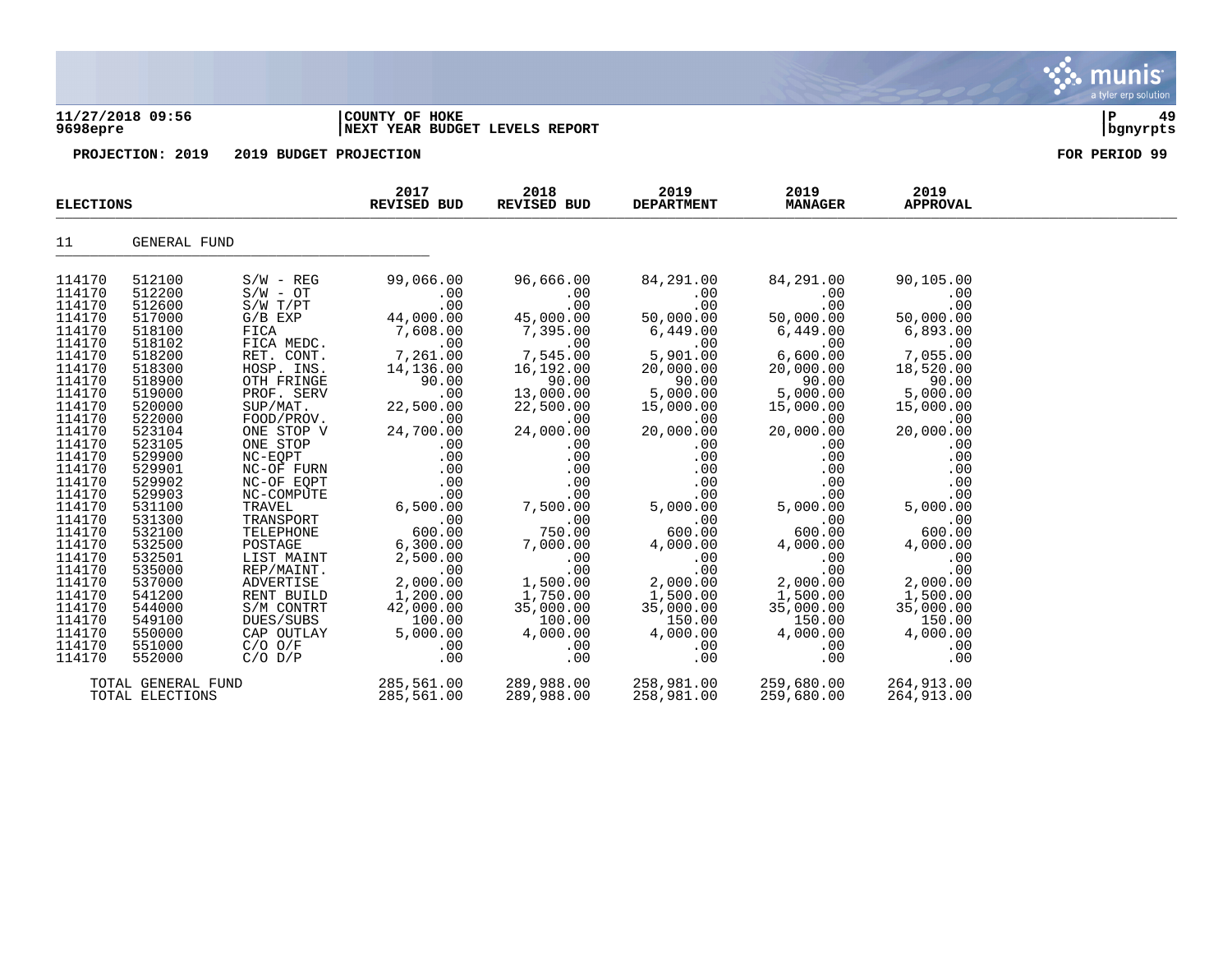### **11/27/2018 09:56 |COUNTY OF HOKE |P 49 9698epre |NEXT YEAR BUDGET LEVELS REPORT |bgnyrpts**

| <b>ELECTIONS</b>                                                                                                                                                                                                                   |                                                                                                                                                                                                                                    |                                                                                                                                                                                                                                                                                                          | 2017<br>REVISED BUD                                                                                                                                                                                                       | 2018<br>REVISED BUD                                                                                                                                                                                                                  | 2019<br><b>DEPARTMENT</b>                                                                                                                                                                                                        | 2019<br><b>MANAGER</b>                                                                                                                                                                                                    | 2019<br><b>APPROVAL</b>                                                                                                                                                                                                   |  |
|------------------------------------------------------------------------------------------------------------------------------------------------------------------------------------------------------------------------------------|------------------------------------------------------------------------------------------------------------------------------------------------------------------------------------------------------------------------------------|----------------------------------------------------------------------------------------------------------------------------------------------------------------------------------------------------------------------------------------------------------------------------------------------------------|---------------------------------------------------------------------------------------------------------------------------------------------------------------------------------------------------------------------------|--------------------------------------------------------------------------------------------------------------------------------------------------------------------------------------------------------------------------------------|----------------------------------------------------------------------------------------------------------------------------------------------------------------------------------------------------------------------------------|---------------------------------------------------------------------------------------------------------------------------------------------------------------------------------------------------------------------------|---------------------------------------------------------------------------------------------------------------------------------------------------------------------------------------------------------------------------|--|
| 11                                                                                                                                                                                                                                 | GENERAL FUND                                                                                                                                                                                                                       |                                                                                                                                                                                                                                                                                                          |                                                                                                                                                                                                                           |                                                                                                                                                                                                                                      |                                                                                                                                                                                                                                  |                                                                                                                                                                                                                           |                                                                                                                                                                                                                           |  |
| 114170<br>114170<br>114170<br>114170<br>114170<br>114170<br>114170<br>114170<br>114170<br>114170<br>114170<br>114170<br>114170<br>114170<br>114170<br>114170<br>114170<br>114170<br>114170<br>114170<br>114170<br>114170<br>114170 | 512100<br>512200<br>512600<br>517000<br>518100<br>518102<br>518200<br>518300<br>518900<br>519000<br>520000<br>522000<br>523104<br>523105<br>529900<br>529901<br>529902<br>529903<br>531100<br>531300<br>532100<br>532500<br>532501 | $S/W - REG$<br>$S/W - OT$<br>S/W T/PT<br>$G/B$ $EXP$<br>FICA<br>FICA MEDC.<br>RET. CONT.<br>HOSP. INS.<br>OTH FRINGE<br>PROF. SERV<br>SUP/MAT.<br>FOOD/PROV.<br>ONE STOP V<br>ONE STOP<br>NC-EQPT<br>NC-OF FURN<br>NC-OF EQPT<br>NC-COMPUTE<br>TRAVEL<br>TRANSPORT<br>TELEPHONE<br>POSTAGE<br>LIST MAINT | 99,066.00<br>.00<br>.00<br>44,000.00<br>7,608.00<br>.00<br>7,261.00<br>14,136.00<br>90.00<br>.00<br>22,500.00<br>.00<br>24,700.00<br>.00<br>.00<br>.00<br>.00<br>.00<br>6,500.00<br>.00<br>600.00<br>6,300.00<br>2,500.00 | 96,666.00<br>$.00 \,$<br>.00<br>45,000.00<br>7,395.00<br>.00<br>7,545.00<br>16,192.00<br>90.00<br>13,000.00<br>22,500.00<br>.00<br>24,000.00<br>.00<br>.00<br>.00<br>.00<br>.00<br>7,500.00<br>.00<br>750.00<br>7,000.00<br>$.00 \,$ | 84,291.00<br>$.00 \ \,$<br>.00<br>50,000.00<br>6,449.00<br>.00<br>5,901.00<br>20,000.00<br>90.00<br>5,000.00<br>15,000.00<br>.00<br>20,000.00<br>.00<br>.00<br>.00<br>.00<br>.00<br>5,000.00<br>.00<br>600.00<br>4,000.00<br>.00 | 84,291.00<br>.00<br>.00<br>50,000.00<br>6,449.00<br>.00<br>6,600.00<br>20,000.00<br>90.00<br>5,000.00<br>15,000.00<br>.00<br>20,000.00<br>.00<br>.00<br>.00<br>.00<br>.00<br>5,000.00<br>.00<br>600.00<br>4,000.00<br>.00 | 90,105.00<br>.00<br>.00<br>50,000.00<br>6,893.00<br>.00<br>7,055.00<br>18,520.00<br>90.00<br>5,000.00<br>15,000.00<br>.00<br>20,000.00<br>.00<br>.00<br>.00<br>.00<br>.00<br>5,000.00<br>.00<br>600.00<br>4,000.00<br>.00 |  |
| 114170<br>114170<br>114170<br>114170<br>114170<br>114170<br>114170<br>114170                                                                                                                                                       | 535000<br>537000<br>541200<br>544000<br>549100<br>550000<br>551000<br>552000                                                                                                                                                       | REP/MAINT.<br>ADVERTISE<br>RENT BUILD<br>S/M CONTRT<br>DUES/SUBS<br>CAP OUTLAY<br>$C/O$ $O/F$<br>$C/O$ $D/P$                                                                                                                                                                                             | .00<br>2,000.00<br>1,200.00<br>42,000.00<br>100.00<br>5,000.00<br>.00<br>.00                                                                                                                                              | .00<br>1,500.00<br>1,750.00<br>35,000.00<br>100.00<br>4,000.00<br>.00<br>.00                                                                                                                                                         | .00<br>2,000.00<br>1,500.00<br>35,000.00<br>150.00<br>4,000.00<br>.00<br>.00                                                                                                                                                     | .00<br>2,000.00<br>1,500.00<br>35,000.00<br>150.00<br>4,000.00<br>.00<br>.00                                                                                                                                              | .00<br>2,000.00<br>1,500.00<br>35,000.00<br>150.00<br>4,000.00<br>.00<br>.00                                                                                                                                              |  |
|                                                                                                                                                                                                                                    | TOTAL GENERAL FUND<br>TOTAL ELECTIONS                                                                                                                                                                                              |                                                                                                                                                                                                                                                                                                          | 285,561.00<br>285,561.00                                                                                                                                                                                                  | 289,988.00<br>289,988.00                                                                                                                                                                                                             | 258,981.00<br>258,981.00                                                                                                                                                                                                         | 259,680.00<br>259,680.00                                                                                                                                                                                                  | 264,913.00<br>264,913.00                                                                                                                                                                                                  |  |

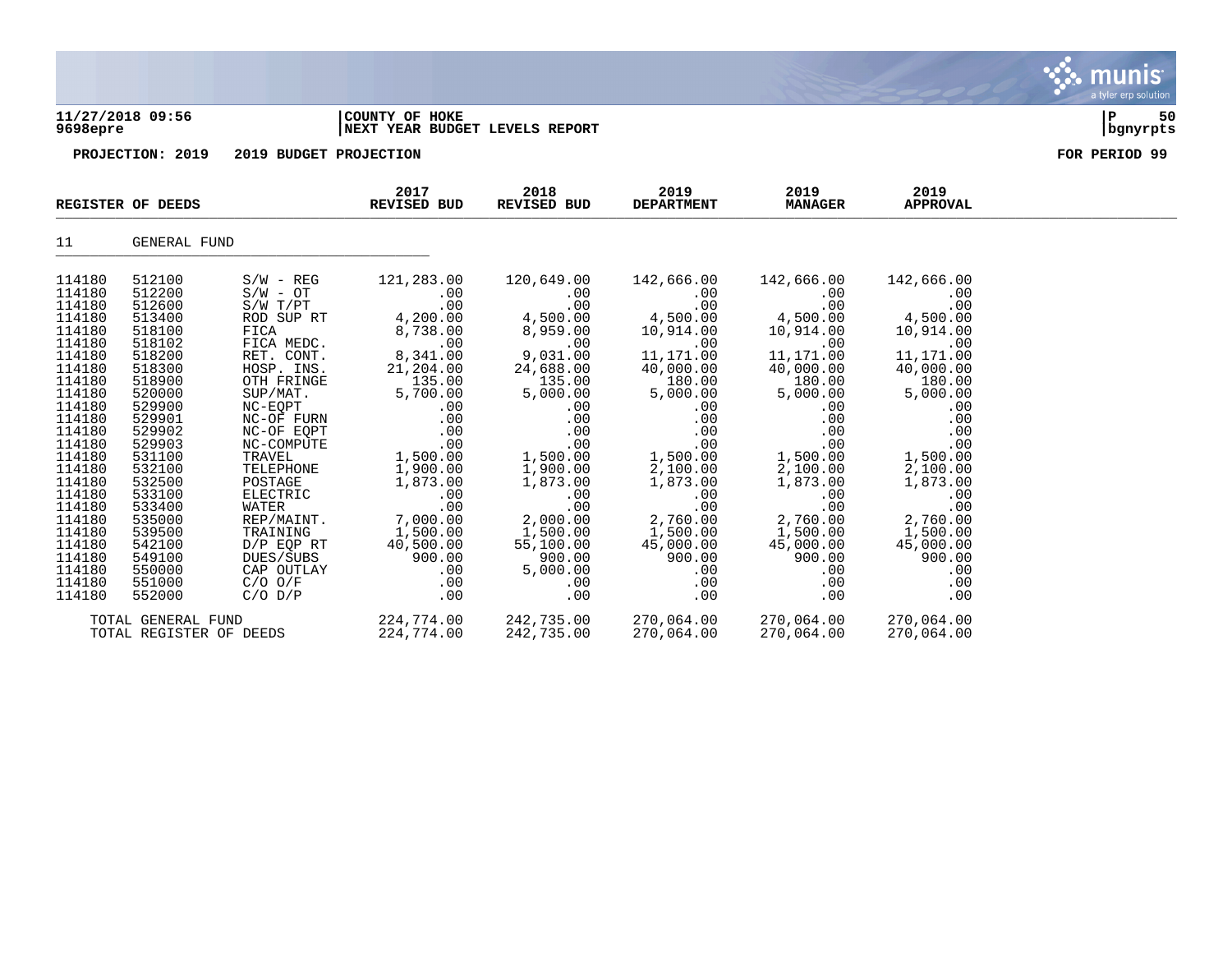

## **11/27/2018 09:56 |COUNTY OF HOKE |P 50 9698epre |NEXT YEAR BUDGET LEVELS REPORT |bgnyrpts**

|                  | REGISTER OF DEEDS       |                     | 2017<br>REVISED BUD  | 2018<br>REVISED BUD  | 2019<br><b>DEPARTMENT</b> | 2019<br><b>MANAGER</b> | 2019<br><b>APPROVAL</b> |  |
|------------------|-------------------------|---------------------|----------------------|----------------------|---------------------------|------------------------|-------------------------|--|
| 11               | GENERAL FUND            |                     |                      |                      |                           |                        |                         |  |
| 114180           | 512100                  | $S/W - REG$         | 121,283.00           | 120,649.00           | 142,666.00                | 142,666.00             | 142,666.00              |  |
| 114180           | 512200                  | $S/W - OT$          | $.00 \,$             | $.00 \,$             | $.00 \,$                  | $.00 \,$               | .00                     |  |
| 114180           | 512600                  | $S/W$ $T/PT$        | .00                  | .00                  | .00                       | .00                    | .00                     |  |
| 114180           | 513400                  | ROD SUP RT          | 4,200.00             | 4,500.00             | 4,500.00                  | 4,500.00               | 4,500.00                |  |
| 114180           | 518100                  | FICA                | 8,738.00             | 8,959.00             | 10,914.00                 | 10,914.00              | 10,914.00               |  |
| 114180           | 518102                  | FICA MEDC.          | .00                  | .00                  | .00                       | .00                    | .00                     |  |
| 114180           | 518200                  | RET. CONT.          | 8,341.00             | 9,031.00             | 11,171.00                 | 11,171.00              | 11,171.00               |  |
| 114180           | 518300                  | HOSP. INS.          | 21,204.00            | 24,688.00            | 40,000.00                 | 40,000.00              | 40,000.00               |  |
| 114180           | 518900                  | OTH FRINGE          | 135.00               | 135.00               | 180.00                    | 180.00                 | 180.00                  |  |
| 114180<br>114180 | 520000<br>529900        | SUP/MAT.<br>NC-EQPT | 5,700.00<br>.00      | 5,000.00<br>$.00 \,$ | 5,000.00<br>.00           | 5,000.00<br>.00        | 5,000.00<br>.00         |  |
| 114180           | 529901                  | NC-OF FURN          | .00                  | .00                  | .00                       | .00                    | .00                     |  |
| 114180           | 529902                  | NC-OF EQPT          | .00                  | .00                  | .00                       | .00                    | .00                     |  |
| 114180           | 529903                  | NC-COMPUTE          | .00                  | .00                  | .00                       | .00                    | .00                     |  |
| 114180           | 531100                  | TRAVEL              |                      | 1,500.00             | 1,500.00                  |                        | 1,500.00                |  |
| 114180           | 532100                  | TELEPHONE           | 1,500.00<br>1,900.00 | 1,900.00             | 2,100.00                  | 1,500.00<br>2,100.00   | 2,100.00                |  |
| 114180           | 532500                  | POSTAGE             | 1,873.00             | 1,873.00             | 1,873.00                  | 1,873.00               | 1,873.00                |  |
| 114180           | 533100                  | ELECTRIC            | .00                  | .00                  | .00                       | .00                    | .00                     |  |
| 114180           | 533400                  | WATER               | .00                  | .00                  | .00                       | .00                    | .00                     |  |
| 114180           | 535000                  | REP/MAINT.          | 7,000.00             | 2,000.00             | 2,760.00                  | 2,760.00               | 2,760.00                |  |
| 114180           | 539500                  | TRAINING            | 1,500.00             | 1,500.00             | 1,500.00                  | 1,500.00               | 1,500.00                |  |
| 114180           | 542100                  | $D/P$ EOP RT        | 40,500.00            | 55,100.00            | 45,000.00                 | 45,000.00              | 45,000.00               |  |
| 114180           | 549100                  | DUES/SUBS           | 900.00               | 900.00               | 900.00                    | 900.00                 | 900.00                  |  |
| 114180           | 550000                  | CAP OUTLAY          | .00                  | 5,000.00             | .00                       | .00                    | .00                     |  |
| 114180           | 551000                  | $C/O$ $O/F$         | .00                  | $.00\,$              | .00                       | .00                    | .00                     |  |
| 114180           | 552000                  | $C/O$ $D/P$         | $.00 \,$             | .00                  | .00                       | .00                    | .00                     |  |
|                  | TOTAL GENERAL FUND      |                     | 224,774.00           | 242,735.00           | 270,064.00                | 270,064.00             | 270,064.00              |  |
|                  | TOTAL REGISTER OF DEEDS |                     | 224,774.00           | 242,735.00           | 270,064.00                | 270,064.00             | 270,064.00              |  |

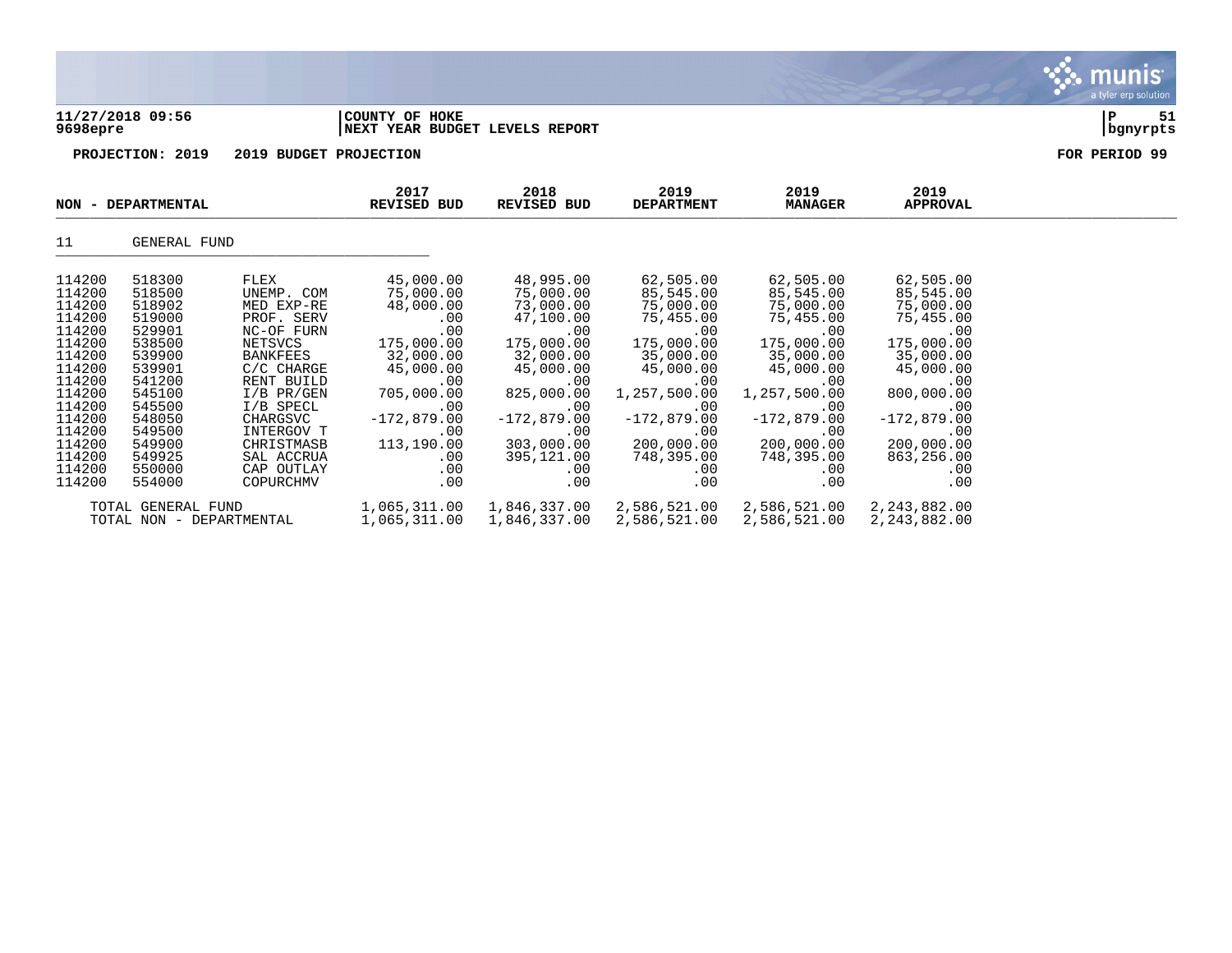|                                                                                                            | 11/27/2018 09:56<br>9698epre<br>PROJECTION: 2019                                                           |                                                                                                                                                     | COUNTY OF HOKE<br>NEXT YEAR BUDGET LEVELS REPORT                                                                      |                                                                                                                             |                                                                                                                               |                                                                                                                               |                                                                                                                             | 51<br>P<br>  bgnyrpts |
|------------------------------------------------------------------------------------------------------------|------------------------------------------------------------------------------------------------------------|-----------------------------------------------------------------------------------------------------------------------------------------------------|-----------------------------------------------------------------------------------------------------------------------|-----------------------------------------------------------------------------------------------------------------------------|-------------------------------------------------------------------------------------------------------------------------------|-------------------------------------------------------------------------------------------------------------------------------|-----------------------------------------------------------------------------------------------------------------------------|-----------------------|
|                                                                                                            |                                                                                                            | 2019 BUDGET PROJECTION                                                                                                                              |                                                                                                                       |                                                                                                                             |                                                                                                                               |                                                                                                                               |                                                                                                                             | FOR PERIOD 99         |
| <b>NON</b>                                                                                                 | - DEPARTMENTAL                                                                                             |                                                                                                                                                     | 2017<br><b>REVISED BUD</b>                                                                                            | 2018<br>REVISED BUD                                                                                                         | 2019<br><b>DEPARTMENT</b>                                                                                                     | 2019<br><b>MANAGER</b>                                                                                                        | 2019<br><b>APPROVAL</b>                                                                                                     |                       |
| 11                                                                                                         | GENERAL FUND                                                                                               |                                                                                                                                                     |                                                                                                                       |                                                                                                                             |                                                                                                                               |                                                                                                                               |                                                                                                                             |                       |
| 114200<br>114200<br>114200<br>114200<br>114200<br>114200<br>114200<br>114200<br>114200<br>114200<br>114200 | 518300<br>518500<br>518902<br>519000<br>529901<br>538500<br>539900<br>539901<br>541200<br>545100<br>545500 | FLEX<br>UNEMP. COM<br>MED EXP-RE<br>PROF. SERV<br>NC-OF FURN<br>NETSVCS<br><b>BANKFEES</b><br>C/C CHARGE<br>RENT BUILD<br>$I/B$ PR/GEN<br>I/B SPECL | 45,000.00<br>75,000.00<br>48,000.00<br>.00<br>.00<br>175,000.00<br>32,000.00<br>45,000.00<br>.00<br>705,000.00<br>.00 | 48,995.00<br>75,000.00<br>73,000.00<br>47,100.00<br>.00<br>175,000.00<br>32,000.00<br>45,000.00<br>.00<br>825,000.00<br>.00 | 62,505.00<br>85,545.00<br>75,000.00<br>75,455.00<br>.00<br>175,000.00<br>35,000.00<br>45,000.00<br>.00<br>1,257,500.00<br>.00 | 62,505.00<br>85,545.00<br>75,000.00<br>75,455.00<br>.00<br>175,000.00<br>35,000.00<br>45,000.00<br>.00<br>1,257,500.00<br>.00 | 62,505.00<br>85,545.00<br>75,000.00<br>75,455.00<br>.00<br>175,000.00<br>35,000.00<br>45,000.00<br>.00<br>800,000.00<br>.00 |                       |

114200 545500 I/B SPECL .00 .00 .00 .00 .00 114200 548050 CHARGSVC -172,879.00 -172,879.00 -172,879.00 -172,879.00 -172,879.00 114200 549500 INTERGOV T .00 .00 .00 .00 .00 114200 549500 1N1ERGOV 1<br>114200 549900 CHRISTMASB 113,190.00 303,000.00 200,000.00 200,000.00 200,000.00<br>114200 549925 SALACCRUA .00 395,121.00 748,395.00 748,395.00 863,256.00 114200 549925 SAL ACCRUA .00 395,121.00 748,395.00 748,395.00 863,256.00 114200 550000 CAP OUTLAY .00 .00 .00 .00 .00 114200 554000 COPURCHMV .00 .00 .00 .00 .00

TOTAL GENERAL FUND 1,065,311.00 1,846,337.00 2,586,521.00 2,586,521.00 2,243,882.00

TOTAL NON - DEPARTMENTAL 1,065,311.00 1,846,337.00 2,586,521.00 2,586,521.00 2,243,882.00

 $\mathbf{X}$  munis

a tyler erp solution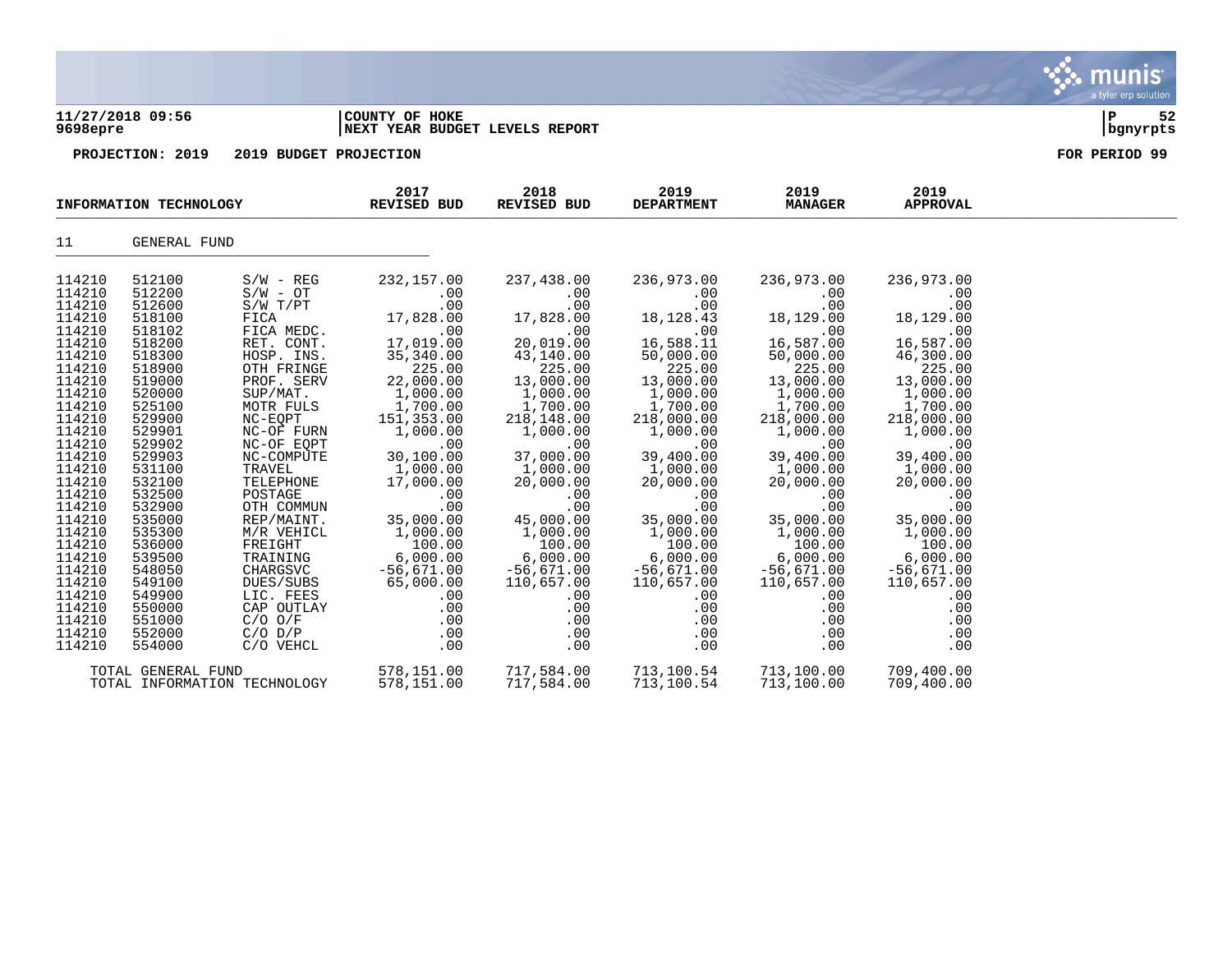**11/27/2018 09:56 |COUNTY OF HOKE |P 52 9698epre |NEXT YEAR BUDGET LEVELS REPORT |bgnyrpts**

**PROJECTION: 2019 2019 BUDGET PROJECTION FOR PERIOD 99**

|                                                                                                                                                                                                                                                                                      | INFORMATION TECHNOLOGY                                                                                                                                                                                                                                                               |                                                                                                                                                                                                                                                                                                                                                                         | 2017<br>REVISED BUD                                                                                                                                                                                                                                                                                           | 2018<br>REVISED BUD                                                                                                                                                                                                                                                                                               | 2019<br><b>DEPARTMENT</b>                                                                                                                                                                                                                                                                                        | 2019<br><b>MANAGER</b>                                                                                                                                                                                                                                                                                       | 2019<br><b>APPROVAL</b>                                                                                                                                                                                                                                                                                      |  |
|--------------------------------------------------------------------------------------------------------------------------------------------------------------------------------------------------------------------------------------------------------------------------------------|--------------------------------------------------------------------------------------------------------------------------------------------------------------------------------------------------------------------------------------------------------------------------------------|-------------------------------------------------------------------------------------------------------------------------------------------------------------------------------------------------------------------------------------------------------------------------------------------------------------------------------------------------------------------------|---------------------------------------------------------------------------------------------------------------------------------------------------------------------------------------------------------------------------------------------------------------------------------------------------------------|-------------------------------------------------------------------------------------------------------------------------------------------------------------------------------------------------------------------------------------------------------------------------------------------------------------------|------------------------------------------------------------------------------------------------------------------------------------------------------------------------------------------------------------------------------------------------------------------------------------------------------------------|--------------------------------------------------------------------------------------------------------------------------------------------------------------------------------------------------------------------------------------------------------------------------------------------------------------|--------------------------------------------------------------------------------------------------------------------------------------------------------------------------------------------------------------------------------------------------------------------------------------------------------------|--|
| 11                                                                                                                                                                                                                                                                                   | GENERAL FUND                                                                                                                                                                                                                                                                         |                                                                                                                                                                                                                                                                                                                                                                         |                                                                                                                                                                                                                                                                                                               |                                                                                                                                                                                                                                                                                                                   |                                                                                                                                                                                                                                                                                                                  |                                                                                                                                                                                                                                                                                                              |                                                                                                                                                                                                                                                                                                              |  |
| 114210<br>114210<br>114210<br>114210<br>114210<br>114210<br>114210<br>114210<br>114210<br>114210<br>114210<br>114210<br>114210<br>114210<br>114210<br>114210<br>114210<br>114210<br>114210<br>114210<br>114210<br>114210<br>114210<br>114210<br>114210<br>114210<br>114210<br>114210 | 512100<br>512200<br>512600<br>518100<br>518102<br>518200<br>518300<br>518900<br>519000<br>520000<br>525100<br>529900<br>529901<br>529902<br>529903<br>531100<br>532100<br>532500<br>532900<br>535000<br>535300<br>536000<br>539500<br>548050<br>549100<br>549900<br>550000<br>551000 | $S/W - REG$<br>$S/W - OT$<br>S/W T/PT<br>FICA<br>FICA MEDC.<br>RET. CONT.<br>HOSP. INS.<br>OTH FRINGE<br>PROF. SERV<br>SUP/MAT.<br>MOTR FULS<br>NC-EQPT<br>NC-OF FURN<br>NC-OF EQPT<br>NC-COMPUTE<br>TRAVEL<br>TELEPHONE<br>POSTAGE<br>OTH COMMUN<br>REP/MAINT.<br>M/R VEHICL<br>FREIGHT<br>TRAINING<br>CHARGSVC<br>DUES/SUBS<br>LIC. FEES<br>CAP OUTLAY<br>$C/O$ $O/F$ | 232,157.00<br>.00<br>.00<br>17,828.00<br>.00<br>17,019.00<br>35,340.00<br>225.00<br>22,000.00<br>1,000.00<br>1,700.00<br>151,353.00<br>1,000.00<br>.00<br>30,100.00<br>$1,000.00$<br>17 000.00<br>.00<br>.00<br>35,000.00<br>1,000.00<br>100.00<br>6,000.00<br>$-56,671.00$<br>65,000.00<br>.00<br>.00<br>.00 | 237,438.00<br>.00<br>.00<br>17,828.00<br>.00<br>20,019.00<br>43,140.00<br>225.00<br>13,000.00<br>1,000.00<br>1,700.00<br>218,148.00<br>1,000.00<br>.00<br>37,000.00<br>1,000.00<br>20,000.00<br>.00<br>$.00 \,$<br>45,000.00<br>1,000.00<br>100.00<br>6,000.00<br>$-56,671.00$<br>110,657.00<br>.00<br>.00<br>.00 | 236,973.00<br>.00<br>.00<br>18, 128. 43<br>.00<br>16,588.11<br>50,000.00<br>225.00<br>13,000.00<br>1,000.00<br>1,700.00<br>218,000.00<br>1,000.00<br>.00<br>400.00 / برے<br>1,000.00<br>20.000 ^<br>.00<br>.00<br>35,000.00<br>1,000.00<br>100.00<br>6,000.00<br>$-56,671.00$<br>110,657.00<br>.00<br>.00<br>.00 | 236,973.00<br>.00<br>.00<br>18,129.00<br>.00<br>16,587.00<br>50,000.00<br>225.00<br>13,000.00<br>1,000.00<br>1,700.00<br>218,000.00<br>1,000.00<br>.00<br>39,400.00<br>1,000.00<br>20,000.00<br>.00<br>.00<br>35,000.00<br>1,000.00<br>100.00<br>6,000.00<br>$-56,671.00$<br>110,657.00<br>.00<br>.00<br>.00 | 236,973.00<br>.00<br>.00<br>18,129.00<br>.00<br>16,587.00<br>46,300.00<br>225.00<br>13,000.00<br>1,000.00<br>1,700.00<br>218,000.00<br>1,000.00<br>.00<br>39,400.00<br>1,000.00<br>20,000.00<br>.00<br>.00<br>35,000.00<br>1,000.00<br>100.00<br>6,000.00<br>$-56,671.00$<br>110,657.00<br>.00<br>.00<br>.00 |  |
| 114210<br>114210                                                                                                                                                                                                                                                                     | 552000<br>554000                                                                                                                                                                                                                                                                     | $C/O$ $D/P$<br>C/O VEHCL                                                                                                                                                                                                                                                                                                                                                | .00<br>.00                                                                                                                                                                                                                                                                                                    | $.00 \,$<br>.00                                                                                                                                                                                                                                                                                                   | .00<br>.00                                                                                                                                                                                                                                                                                                       | .00<br>.00                                                                                                                                                                                                                                                                                                   | .00<br>.00                                                                                                                                                                                                                                                                                                   |  |
|                                                                                                                                                                                                                                                                                      | TOTAL GENERAL FUND                                                                                                                                                                                                                                                                   | TOTAL INFORMATION TECHNOLOGY                                                                                                                                                                                                                                                                                                                                            | 578,151.00<br>578,151.00                                                                                                                                                                                                                                                                                      | 717,584.00<br>717,584.00                                                                                                                                                                                                                                                                                          | 713,100.54<br>713,100.54                                                                                                                                                                                                                                                                                         | 713,100.00<br>713,100.00                                                                                                                                                                                                                                                                                     | 709,400.00<br>709,400.00                                                                                                                                                                                                                                                                                     |  |

munis a tyler erp solution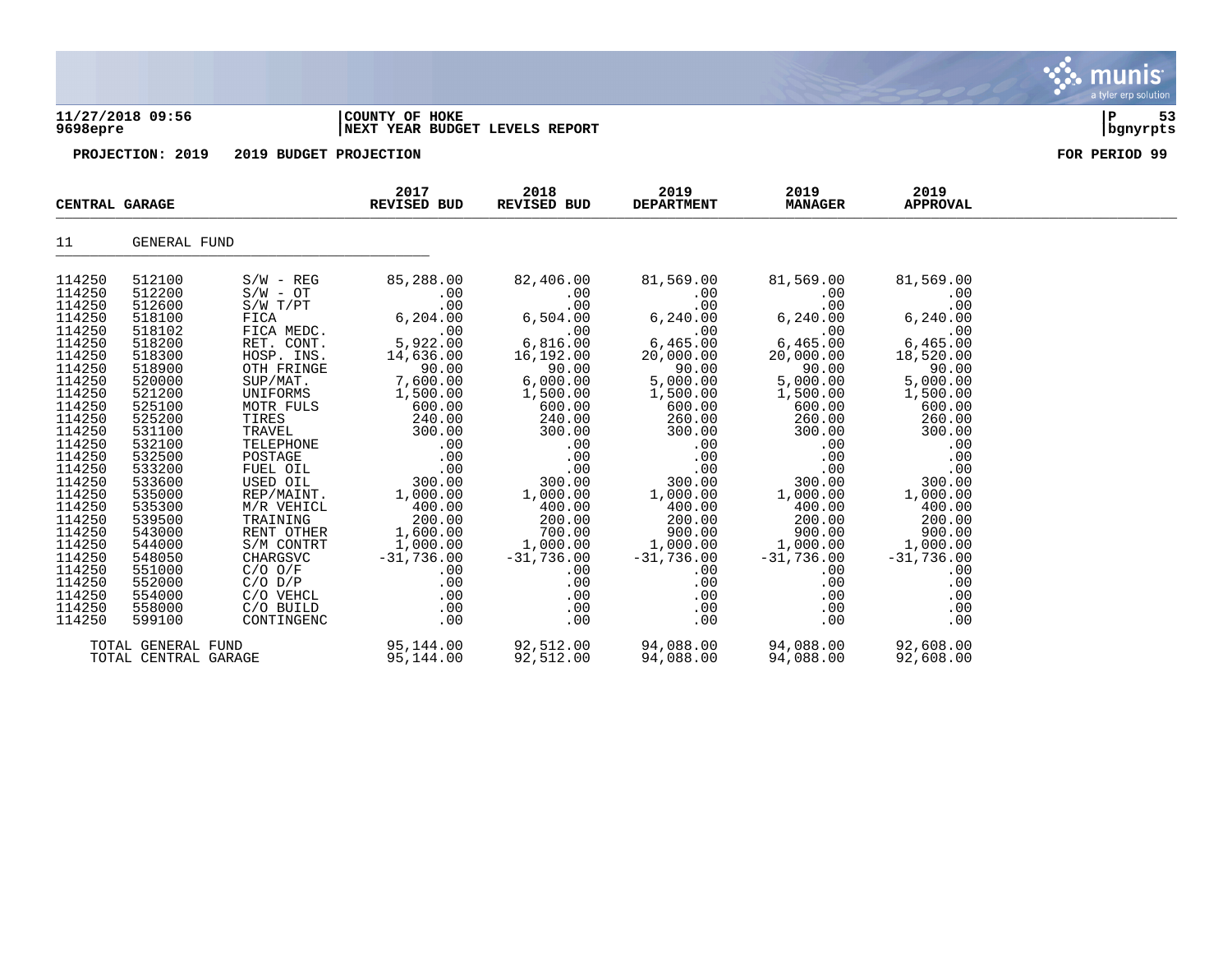### **11/27/2018 09:56 |COUNTY OF HOKE |P 53 9698epre |NEXT YEAR BUDGET LEVELS REPORT |bgnyrpts**

| CENTRAL GARAGE                                                                                                                                                                                                                               |                                                                                                                                                                                                                                              |                                                                                                                                                                                                                                                                                                                  | 2017<br>REVISED BUD                                                                                                                                                                                                                               | 2018<br>REVISED BUD                                                                                                                                                                                                                                                                                | 2019<br><b>DEPARTMENT</b>                                                                                                                                                                                                                                                                        | 2019<br><b>MANAGER</b>                                                                                                                                                                                                             | 2019<br><b>APPROVAL</b>                                                                                                                                                                                                                         |  |
|----------------------------------------------------------------------------------------------------------------------------------------------------------------------------------------------------------------------------------------------|----------------------------------------------------------------------------------------------------------------------------------------------------------------------------------------------------------------------------------------------|------------------------------------------------------------------------------------------------------------------------------------------------------------------------------------------------------------------------------------------------------------------------------------------------------------------|---------------------------------------------------------------------------------------------------------------------------------------------------------------------------------------------------------------------------------------------------|----------------------------------------------------------------------------------------------------------------------------------------------------------------------------------------------------------------------------------------------------------------------------------------------------|--------------------------------------------------------------------------------------------------------------------------------------------------------------------------------------------------------------------------------------------------------------------------------------------------|------------------------------------------------------------------------------------------------------------------------------------------------------------------------------------------------------------------------------------|-------------------------------------------------------------------------------------------------------------------------------------------------------------------------------------------------------------------------------------------------|--|
| 11                                                                                                                                                                                                                                           | GENERAL FUND                                                                                                                                                                                                                                 |                                                                                                                                                                                                                                                                                                                  |                                                                                                                                                                                                                                                   |                                                                                                                                                                                                                                                                                                    |                                                                                                                                                                                                                                                                                                  |                                                                                                                                                                                                                                    |                                                                                                                                                                                                                                                 |  |
| 114250<br>114250<br>114250<br>114250<br>114250<br>114250<br>114250<br>114250<br>114250<br>114250<br>114250<br>114250<br>114250<br>114250<br>114250<br>114250<br>114250<br>114250<br>114250<br>114250<br>114250<br>114250<br>114250<br>114250 | 512100<br>512200<br>512600<br>518100<br>518102<br>518200<br>518300<br>518900<br>520000<br>521200<br>525100<br>525200<br>531100<br>532100<br>532500<br>533200<br>533600<br>535000<br>535300<br>539500<br>543000<br>544000<br>548050<br>551000 | $S/W - REG$<br>$S/W - OT$<br>$S/W$ $T/PT$<br>FICA<br>FICA MEDC.<br>RET. CONT.<br>HOSP. INS.<br>OTH FRINGE<br>SUP/MAT.<br>UNIFORMS<br>MOTR FULS<br>TIRES<br>TRAVEL<br>TELEPHONE<br>POSTAGE<br>FUEL OIL<br>USED OIL<br>REP/MAINT.<br>M/R VEHICL<br>TRAINING<br>RENT OTHER<br>S/M CONTRT<br>CHARGSVC<br>$C/O$ $O/F$ | 85,288.00<br>.00<br>.00<br>6, 204.00<br>.00<br>5,922.00<br>14,636.00<br>90.00<br>7,600.00<br>1,500.00<br>600.00<br>240.00<br>300.00<br>.00<br>.00<br>.00<br>300.00<br>1,000.00<br>400.00<br>200.00<br>1,600.00<br>1,000.00<br>$-31,736.00$<br>.00 | 82,406.00<br>.00<br>.00<br>6,504.00<br>.00<br>6,816.00<br>16,192.00<br>90.00<br>6,000.00<br>1,500.00<br>600.00<br>240.00<br>300.00<br>$.00 \,$<br>.00<br>.00<br>300.00<br>1,000.00<br>400.00<br>$\begin{array}{r} 400.00\ 200.00\ 700.00\ 1,000.00\ -31,736.00 \end{array}$<br>$-31,736.00$<br>.00 | 81,569.00<br>.00<br>.00<br>6,240.00<br>.00<br>6,465.00<br>20,000.00<br>90.00<br>5,000.00<br>1,500.00<br>600.00<br>260.00<br>300.00<br>.00<br>.00<br>.00<br>300.00<br>1,000.00<br>400.00<br>200.00<br>900.00<br>$1,000.00$<br>$-31,736.00$<br>$-31,736.00$<br>$-31,736.00$<br>$-31,736.00$<br>.00 | 81,569.00<br>.00<br>.00<br>6,240.00<br>.00<br>6,465.00<br>20,000.00<br>90.00<br>5,000.00<br>1,500.00<br>600.00<br>260.00<br>300.00<br>.00<br>.00<br>.00<br>300.00<br>1,000.00<br>400.00<br>200.00<br>900.00<br>$-31,736.00$<br>.00 | 81,569.00<br>.00<br>.00<br>6, 240.00<br>.00<br>6,465.00<br>18,520.00<br>90.00<br>5,000.00<br>1,500.00<br>600.00<br>260.00<br>300.00<br>.00<br>.00<br>.00<br>300.00<br>1,000.00<br>400.00<br>200.00<br>900.00<br>1,000.00<br>$-31,736.00$<br>.00 |  |
| 114250<br>114250<br>114250<br>114250                                                                                                                                                                                                         | 552000<br>554000<br>558000<br>599100                                                                                                                                                                                                         | $C/O$ $D/P$<br>C/O VEHCL<br>C/O BUILD<br>CONTINGENC                                                                                                                                                                                                                                                              | .00<br>.00<br>.00<br>.00                                                                                                                                                                                                                          | .00<br>.00<br>.00<br>.00                                                                                                                                                                                                                                                                           | .00<br>.00<br>.00<br>.00                                                                                                                                                                                                                                                                         | .00<br>.00<br>.00<br>.00                                                                                                                                                                                                           | .00<br>.00<br>.00<br>.00                                                                                                                                                                                                                        |  |
|                                                                                                                                                                                                                                              | TOTAL GENERAL FUND<br>TOTAL CENTRAL GARAGE                                                                                                                                                                                                   |                                                                                                                                                                                                                                                                                                                  | 95,144.00<br>95,144.00                                                                                                                                                                                                                            | 92,512.00<br>92,512.00                                                                                                                                                                                                                                                                             | 94,088.00<br>94,088.00                                                                                                                                                                                                                                                                           | 94,088.00<br>94,088.00                                                                                                                                                                                                             | 92,608.00<br>92,608.00                                                                                                                                                                                                                          |  |

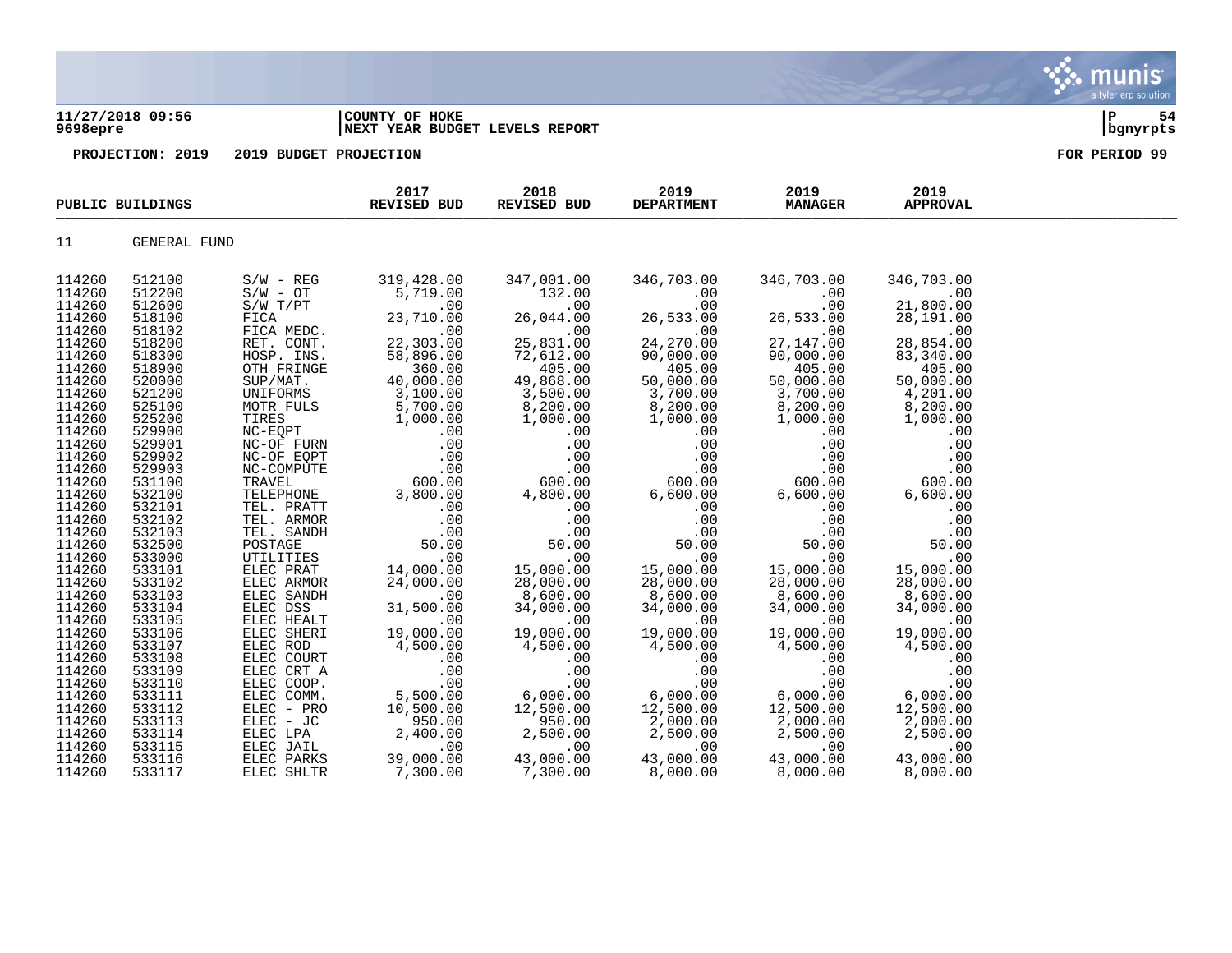### **11/27/2018 09:56 |COUNTY OF HOKE |P 54 9698epre |NEXT YEAR BUDGET LEVELS REPORT |bgnyrpts**

|                  | PUBLIC BUILDINGS |                          | 2017<br>REVISED BUD   | 2018<br>REVISED BUD | 2019<br><b>DEPARTMENT</b> | 2019<br><b>MANAGER</b> | 2019<br><b>APPROVAL</b> |  |
|------------------|------------------|--------------------------|-----------------------|---------------------|---------------------------|------------------------|-------------------------|--|
| 11               | GENERAL FUND     |                          |                       |                     |                           |                        |                         |  |
| 114260           | 512100           | $S/W - REG$              | 319,428.00            | 347,001.00          | 346,703.00                | 346,703.00             | 346,703.00              |  |
| 114260           | 512200           | $S/W - OT$               | 5,719.00              | 132.00              | .00                       | .00                    | .00                     |  |
| 114260           | 512600           | $S/W$ $T/PT$             | .00                   | .00                 | .00                       | .00                    | 21,800.00               |  |
| 114260           | 518100           | FICA                     | 23,710.00             | 26,044.00           | 26,533.00                 | 26,533.00              | 28,191.00               |  |
| 114260           | 518102           | FICA MEDC.               | .00                   | .00                 | .00                       | .00                    | .00                     |  |
| 114260           | 518200           | RET. CONT.               | 22,303.00             | 25,831.00           | 24,270.00                 | 27, 147.00             | 28,854.00               |  |
| 114260           | 518300           | HOSP. INS.               | 58,896.00             | 72,612.00           | 90,000.00                 | 90,000.00              | 83,340.00               |  |
| 114260           | 518900           | OTH FRINGE               | 360.00                | 405.00              | 405.00                    | 405.00                 | 405.00                  |  |
| 114260           | 520000           | SUP/MAT.                 | 40,000.00             | 49,868.00           | 50,000.00                 | 50,000.00              | 50,000.00               |  |
| 114260           | 521200           | UNIFORMS                 | 3,100.00              | 3,500.00            | 3,700.00                  | 3,700.00               | 4,201.00                |  |
| 114260           | 525100           | MOTR FULS                | 5,700.00              | 8,200.00            | 8,200.00                  | 8,200.00               | 8,200.00                |  |
| 114260           | 525200           | TIRES                    | 1,000.00              | 1,000.00            | 1,000.00                  | 1,000.00               | 1,000.00                |  |
| 114260           | 529900           | NC-EQPT                  | .00                   | .00                 | .00                       | .00                    | .00                     |  |
| 114260           | 529901           | NC-OF FURN               | .00                   | .00                 | .00                       | .00                    | .00                     |  |
| 114260<br>114260 | 529902<br>529903 | NC-OF EQPT<br>NC-COMPUTE | .00<br>.00            | .00<br>.00          | .00<br>.00                | .00<br>.00             | .00<br>.00              |  |
| 114260           | 531100           | TRAVEL                   | 600.00                | 600.00              | 600.00                    | 600.00                 | 600.00                  |  |
| 114260           | 532100           | TELEPHONE                | 3,800.00              | 4,800.00            | 6,600.00                  | 6,600.00               | 6,600.00                |  |
| 114260           | 532101           | TEL. PRATT               | .00                   | .00                 | .00                       | .00                    | .00                     |  |
| 114260           | 532102           | TEL. ARMOR               | .00                   | .00                 | .00                       | .00                    | .00                     |  |
| 114260           | 532103           | TEL. SANDH               | .00                   | .00                 | .00                       | .00                    | .00                     |  |
| 114260           | 532500           | POSTAGE                  | 50.00                 | 50.00               | 50.00                     | 50.00                  | 50.00                   |  |
| 114260           | 533000           | UTILITIES                | .00                   | .00                 | .00                       | .00                    | .00                     |  |
| 114260           | 533101           | ELEC PRAT                | 14,000.00             | 15,000.00           | 15,000.00                 | 15,000.00              | 15,000.00               |  |
| 114260           | 533102           | ELEC ARMOR               | 24,000.00             | 28,000.00           | 28,000.00                 | 28,000.00              | 28,000.00               |  |
| 114260           | 533103           | ELEC SANDH               | .00                   | 8,600.00            | 8,600.00                  | 8,600.00               | 8,600.00                |  |
| 114260           | 533104           | ELEC DSS                 | 31,500.00             | 34,000.00           | 34,000.00                 | 34,000.00              | 34,000.00               |  |
| 114260           | 533105           | ELEC HEALT               | .00                   | .00                 | .00                       | .00                    | .00                     |  |
| 114260           | 533106           | ELEC SHERI               | 19,000.00             | 19,000.00           | 19,000.00                 | 19,000.00              | 19,000.00               |  |
| 114260           | 533107           | ELEC ROD                 | 4,500.00              | 4,500.00            | 4,500.00                  | 4,500.00               | 4,500.00                |  |
| 114260           | 533108           | ELEC COURT               | .00                   | .00                 | .00                       | .00                    | .00                     |  |
| 114260           | 533109           | ELEC CRT A               | .00                   | .00                 | .00                       | .00                    | .00                     |  |
| 114260           | 533110           | ELEC COOP.               | .00                   | .00                 | .00                       | .00                    | .00                     |  |
| 114260           | 533111           | ELEC COMM.               | 5,500.00              | 6,000.00            | 6,000.00                  | 6,000.00               | 6,000.00                |  |
| 114260           | 533112           | ELEC - PRO               | 10,500.00             | 12,500.00           | 12,500.00                 | 12,500.00              | 12,500.00               |  |
| 114260           | 533113           | ELEC - JC                | 950.00                | 950.00              | 2,000.00                  | 2,000.00               | 2,000.00                |  |
| 114260           | 533114           | ELEC LPA                 | 2,400.00              | 2,500.00            | 2,500.00                  | 2,500.00               | 2,500.00                |  |
| 114260           | 533115           | ELEC JAIL                | .00                   | .00                 | .00                       | .00                    | .00                     |  |
| 114260<br>114260 | 533116<br>533117 | ELEC PARKS<br>ELEC SHLTR | 39,000.00<br>7,300.00 | 43,000.00           | 43,000.00                 | 43,000.00<br>8,000.00  | 43,000.00<br>8,000.00   |  |
|                  |                  |                          |                       | 7,300.00            | 8,000.00                  |                        |                         |  |

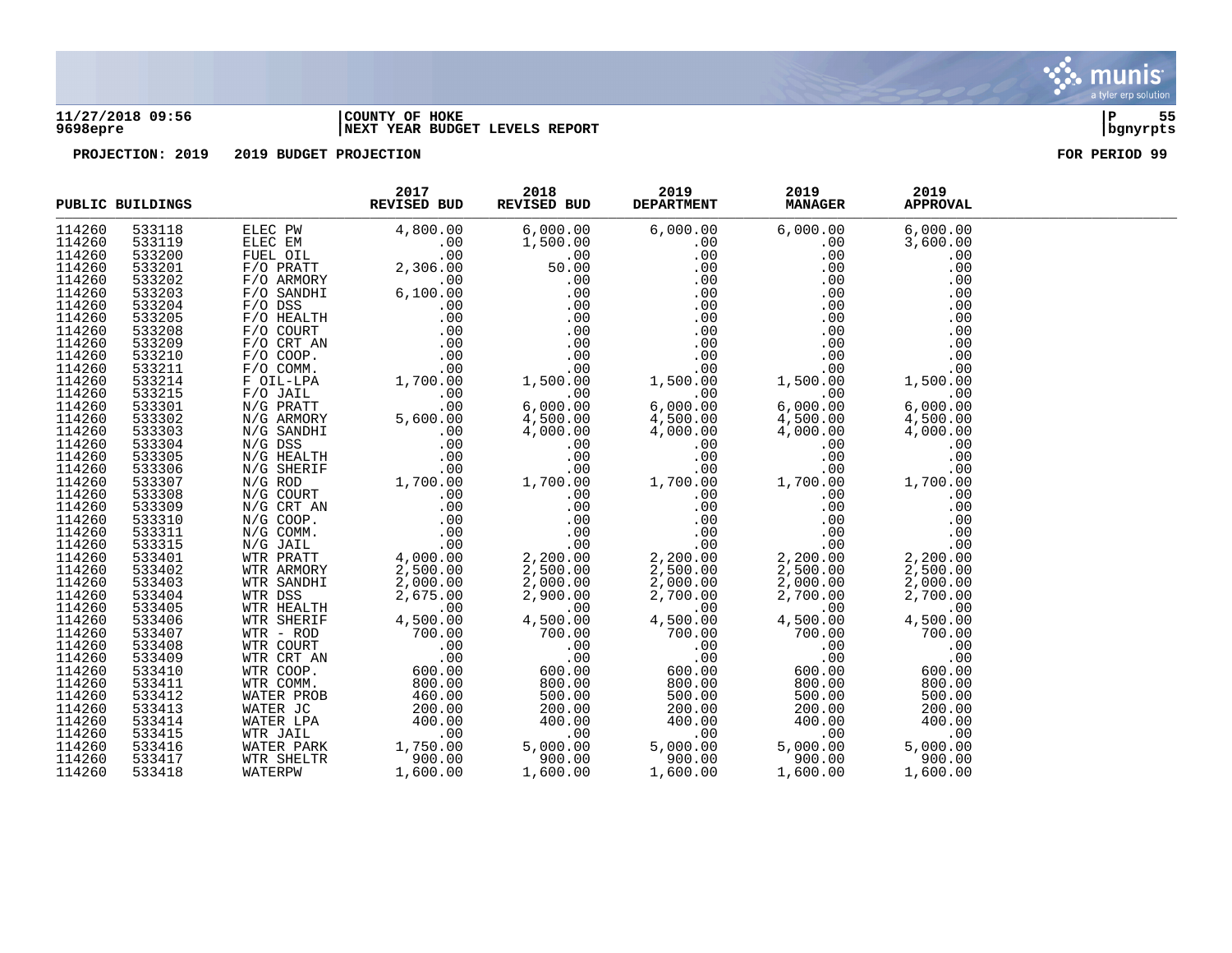

### **11/27/2018 09:56 |COUNTY OF HOKE |P 55 9698epre |NEXT YEAR BUDGET LEVELS REPORT |bgnyrpts**

|                  | PUBLIC BUILDINGS | 2017<br>REVISED BUD<br>$\begin{tabular}{l cccc} \textbf{SUBLINEG} & \textbf{REVED BUD} & \textbf{REVEB DUD} & \textbf{REVEB DUD} & \textbf{REVEB DUD} & \textbf{REVEBID} & \textbf{DEPAERIHEM} & \textbf{80.149} & \textbf{80.140} & \textbf{80.140} & \textbf{80.140} & \textbf{80.140} & \textbf{80.140} & \textbf{80.140} & \textbf{80.140} & \textbf{80.140} & \textbf{80.140} & \textbf{80.140} & \text$ | 2018 | 2019<br>REVISED BUD DEPARTMENT MANAGER | 2019 | 2019<br><b>APPROVAL</b> |  |
|------------------|------------------|---------------------------------------------------------------------------------------------------------------------------------------------------------------------------------------------------------------------------------------------------------------------------------------------------------------------------------------------------------------------------------------------------------------|------|----------------------------------------|------|-------------------------|--|
| 114260           |                  |                                                                                                                                                                                                                                                                                                                                                                                                               |      |                                        |      |                         |  |
| 114260           |                  |                                                                                                                                                                                                                                                                                                                                                                                                               |      |                                        |      |                         |  |
| 114260           |                  |                                                                                                                                                                                                                                                                                                                                                                                                               |      |                                        |      |                         |  |
| 114260           |                  |                                                                                                                                                                                                                                                                                                                                                                                                               |      |                                        |      |                         |  |
| 114260           |                  |                                                                                                                                                                                                                                                                                                                                                                                                               |      |                                        |      |                         |  |
| 114260           |                  |                                                                                                                                                                                                                                                                                                                                                                                                               |      |                                        |      |                         |  |
| 114260           |                  |                                                                                                                                                                                                                                                                                                                                                                                                               |      |                                        |      |                         |  |
| 114260           |                  |                                                                                                                                                                                                                                                                                                                                                                                                               |      |                                        |      |                         |  |
| 114260           |                  |                                                                                                                                                                                                                                                                                                                                                                                                               |      |                                        |      |                         |  |
| 114260           |                  |                                                                                                                                                                                                                                                                                                                                                                                                               |      |                                        |      |                         |  |
| 114260           |                  |                                                                                                                                                                                                                                                                                                                                                                                                               |      |                                        |      |                         |  |
| 114260           |                  |                                                                                                                                                                                                                                                                                                                                                                                                               |      |                                        |      |                         |  |
| 114260           |                  |                                                                                                                                                                                                                                                                                                                                                                                                               |      |                                        |      |                         |  |
| 114260           |                  |                                                                                                                                                                                                                                                                                                                                                                                                               |      |                                        |      |                         |  |
| 114260           |                  |                                                                                                                                                                                                                                                                                                                                                                                                               |      |                                        |      |                         |  |
| 114260           |                  |                                                                                                                                                                                                                                                                                                                                                                                                               |      |                                        |      |                         |  |
| 114260           |                  |                                                                                                                                                                                                                                                                                                                                                                                                               |      |                                        |      |                         |  |
| 114260           |                  |                                                                                                                                                                                                                                                                                                                                                                                                               |      |                                        |      |                         |  |
| 114260           |                  |                                                                                                                                                                                                                                                                                                                                                                                                               |      |                                        |      |                         |  |
| 114260           |                  |                                                                                                                                                                                                                                                                                                                                                                                                               |      |                                        |      |                         |  |
| 114260           |                  |                                                                                                                                                                                                                                                                                                                                                                                                               |      |                                        |      |                         |  |
| 114260           |                  |                                                                                                                                                                                                                                                                                                                                                                                                               |      |                                        |      |                         |  |
| 114260           |                  |                                                                                                                                                                                                                                                                                                                                                                                                               |      |                                        |      |                         |  |
| 114260           |                  |                                                                                                                                                                                                                                                                                                                                                                                                               |      |                                        |      |                         |  |
| 114260           |                  |                                                                                                                                                                                                                                                                                                                                                                                                               |      |                                        |      |                         |  |
| 114260           |                  |                                                                                                                                                                                                                                                                                                                                                                                                               |      |                                        |      |                         |  |
| 114260           |                  |                                                                                                                                                                                                                                                                                                                                                                                                               |      |                                        |      |                         |  |
| 114260           |                  |                                                                                                                                                                                                                                                                                                                                                                                                               |      |                                        |      |                         |  |
| 114260           |                  |                                                                                                                                                                                                                                                                                                                                                                                                               |      |                                        |      |                         |  |
| 114260           |                  |                                                                                                                                                                                                                                                                                                                                                                                                               |      |                                        |      |                         |  |
| 114260           |                  |                                                                                                                                                                                                                                                                                                                                                                                                               |      |                                        |      |                         |  |
| 114260           |                  |                                                                                                                                                                                                                                                                                                                                                                                                               |      |                                        |      |                         |  |
| 114260           |                  |                                                                                                                                                                                                                                                                                                                                                                                                               |      |                                        |      |                         |  |
| 114260           |                  |                                                                                                                                                                                                                                                                                                                                                                                                               |      |                                        |      |                         |  |
| 114260           |                  |                                                                                                                                                                                                                                                                                                                                                                                                               |      |                                        |      |                         |  |
| 114260           |                  |                                                                                                                                                                                                                                                                                                                                                                                                               |      |                                        |      |                         |  |
| 114260           |                  |                                                                                                                                                                                                                                                                                                                                                                                                               |      |                                        |      |                         |  |
| 114260           |                  |                                                                                                                                                                                                                                                                                                                                                                                                               |      |                                        |      |                         |  |
| 114260           |                  |                                                                                                                                                                                                                                                                                                                                                                                                               |      |                                        |      |                         |  |
| 114260           |                  |                                                                                                                                                                                                                                                                                                                                                                                                               |      |                                        |      |                         |  |
| 114260<br>114260 |                  |                                                                                                                                                                                                                                                                                                                                                                                                               |      |                                        |      |                         |  |
| 114260           |                  |                                                                                                                                                                                                                                                                                                                                                                                                               |      |                                        |      |                         |  |
| 114260           |                  |                                                                                                                                                                                                                                                                                                                                                                                                               |      |                                        |      |                         |  |
|                  |                  |                                                                                                                                                                                                                                                                                                                                                                                                               |      |                                        |      |                         |  |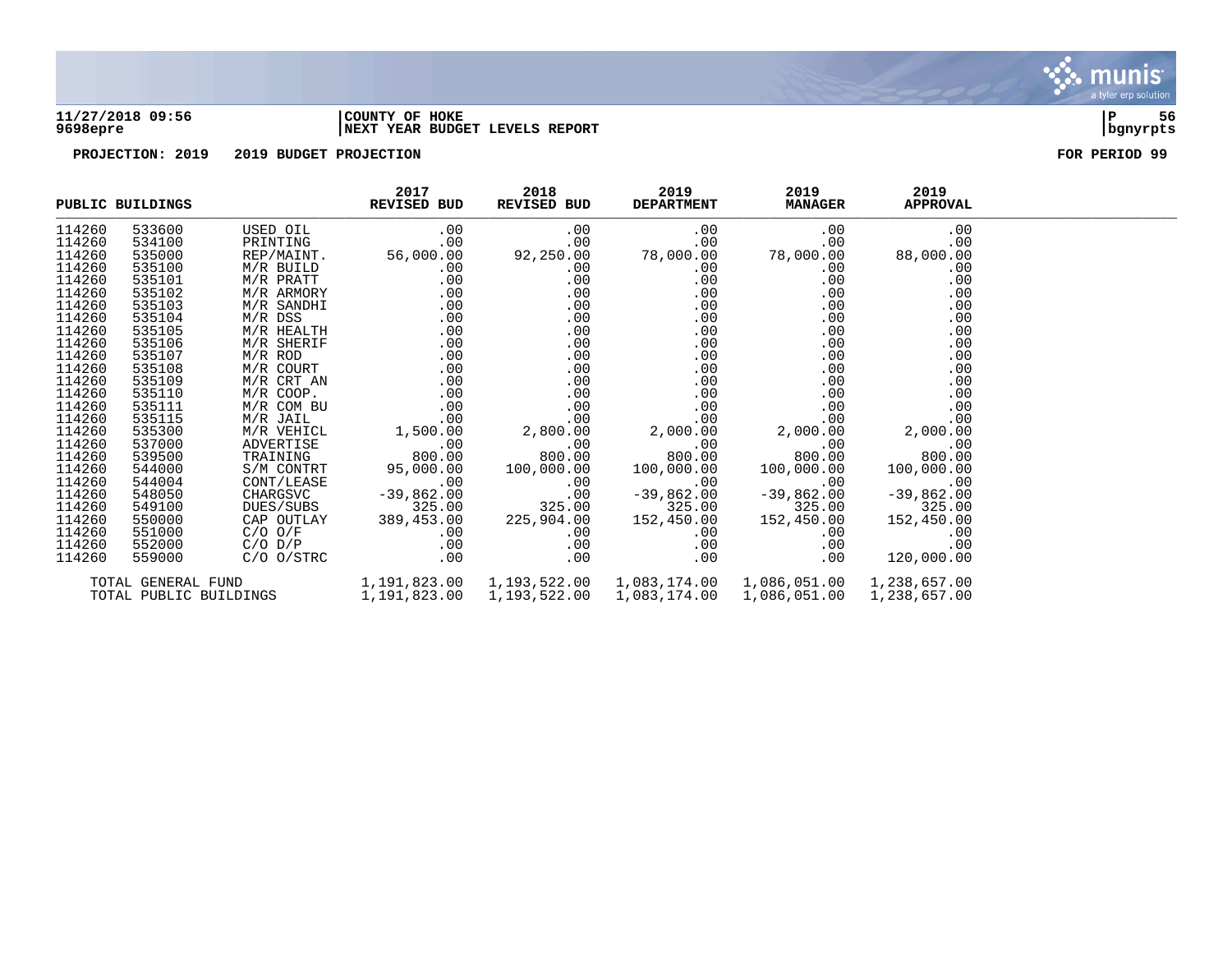

### **11/27/2018 09:56 |COUNTY OF HOKE |P 56 9698epre |NEXT YEAR BUDGET LEVELS REPORT |bgnyrpts**



|        | PUBLIC BUILDINGS | REVISED BUD | 2017                                                                                                                                                                                               | 2018<br>REVISED BUD | 2019 | 2019<br>DEPARTMENT MANAGER | 2019<br><b>APPROVAL</b> |  |
|--------|------------------|-------------|----------------------------------------------------------------------------------------------------------------------------------------------------------------------------------------------------|---------------------|------|----------------------------|-------------------------|--|
| 114260 | 533600           |             |                                                                                                                                                                                                    |                     |      |                            |                         |  |
| 114260 | 534100           |             |                                                                                                                                                                                                    |                     |      |                            |                         |  |
| 114260 | 535000           |             |                                                                                                                                                                                                    |                     |      |                            |                         |  |
| 114260 | 535100           |             |                                                                                                                                                                                                    |                     |      |                            |                         |  |
| 114260 | 535101           |             |                                                                                                                                                                                                    |                     |      |                            |                         |  |
| 114260 | 535102           |             |                                                                                                                                                                                                    |                     |      |                            |                         |  |
| 114260 | 535103           |             |                                                                                                                                                                                                    |                     |      |                            |                         |  |
| 114260 | 535104           |             |                                                                                                                                                                                                    |                     |      |                            |                         |  |
| 114260 | 535105           |             |                                                                                                                                                                                                    |                     |      |                            |                         |  |
| 114260 | 535106           |             |                                                                                                                                                                                                    |                     |      |                            |                         |  |
| 114260 | 535107           |             |                                                                                                                                                                                                    |                     |      |                            |                         |  |
| 114260 | 535108           |             |                                                                                                                                                                                                    |                     |      |                            |                         |  |
| 114260 | 535109           |             |                                                                                                                                                                                                    |                     |      |                            |                         |  |
| 114260 | 535110           |             |                                                                                                                                                                                                    |                     |      |                            |                         |  |
| 114260 | 535111           |             |                                                                                                                                                                                                    |                     |      |                            |                         |  |
| 114260 | 535115           |             |                                                                                                                                                                                                    |                     |      |                            |                         |  |
| 114260 | 535300           |             |                                                                                                                                                                                                    |                     |      |                            |                         |  |
| 114260 | 537000           |             |                                                                                                                                                                                                    |                     |      |                            |                         |  |
| 114260 | 539500           |             |                                                                                                                                                                                                    |                     |      |                            |                         |  |
| 114260 | 544000           |             |                                                                                                                                                                                                    |                     |      |                            |                         |  |
| 114260 | 544004           |             |                                                                                                                                                                                                    |                     |      |                            |                         |  |
| 114260 | 548050           |             |                                                                                                                                                                                                    |                     |      |                            |                         |  |
| 114260 | 549100           |             |                                                                                                                                                                                                    |                     |      |                            |                         |  |
| 114260 | 550000           |             |                                                                                                                                                                                                    |                     |      |                            |                         |  |
| 114260 | 551000           |             |                                                                                                                                                                                                    |                     |      |                            |                         |  |
| 114260 | 552000           |             |                                                                                                                                                                                                    |                     |      |                            | .00                     |  |
| 114260 | 559000           |             |                                                                                                                                                                                                    |                     |      |                            | 120,000.00              |  |
|        |                  |             | TOTAL GENERAL FUND $1,191,823.00$ $1,193,522.00$ $1,083,174.00$ $1,086,051.00$ $1,238,657.00$<br>TOTAL PUBLIC BUILDINGS $1,191,823.00$ $1,193,522.00$ $1,083,174.00$ $1,086,051.00$ $1,238,657.00$ |                     |      |                            |                         |  |
|        |                  |             |                                                                                                                                                                                                    |                     |      |                            |                         |  |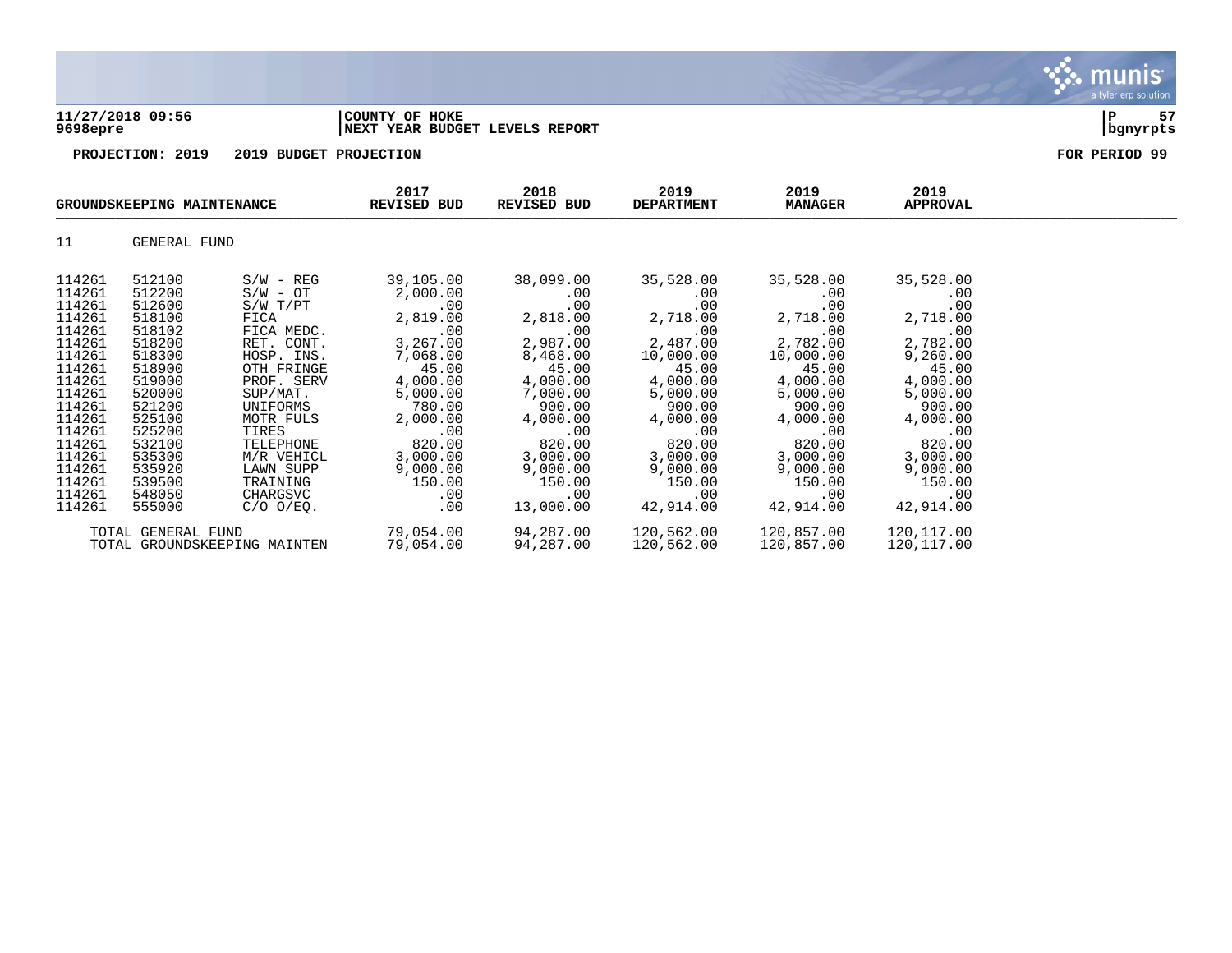



|                                                                                                                                                                                            | GROUNDSKEEPING MAINTENANCE                                                                                                                                                                 |                                                                                                                                                                                                                                                         | 2017<br>REVISED BUD                                                                                                                                                                                          | 2018<br>REVISED BUD                                                                                                                                                                              | 2019<br><b>DEPARTMENT</b>                                                                                                                                                                              | 2019<br><b>MANAGER</b>                                                                                                                                                                            | 2019<br>APPROVAL                                                                                                                                                                                 |  |
|--------------------------------------------------------------------------------------------------------------------------------------------------------------------------------------------|--------------------------------------------------------------------------------------------------------------------------------------------------------------------------------------------|---------------------------------------------------------------------------------------------------------------------------------------------------------------------------------------------------------------------------------------------------------|--------------------------------------------------------------------------------------------------------------------------------------------------------------------------------------------------------------|--------------------------------------------------------------------------------------------------------------------------------------------------------------------------------------------------|--------------------------------------------------------------------------------------------------------------------------------------------------------------------------------------------------------|---------------------------------------------------------------------------------------------------------------------------------------------------------------------------------------------------|--------------------------------------------------------------------------------------------------------------------------------------------------------------------------------------------------|--|
| 11                                                                                                                                                                                         | GENERAL FUND                                                                                                                                                                               |                                                                                                                                                                                                                                                         |                                                                                                                                                                                                              |                                                                                                                                                                                                  |                                                                                                                                                                                                        |                                                                                                                                                                                                   |                                                                                                                                                                                                  |  |
| 114261<br>114261<br>114261<br>114261<br>114261<br>114261<br>114261<br>114261<br>114261<br>114261<br>114261<br>114261<br>114261<br>114261<br>114261<br>114261<br>114261<br>114261<br>114261 | 512100<br>512200<br>512600<br>518100<br>518102<br>518200<br>518300<br>518900<br>519000<br>520000<br>521200<br>525100<br>525200<br>532100<br>535300<br>535920<br>539500<br>548050<br>555000 | $S/W - REG$<br>$S/W - OT$<br>$S/W$ $T/PT$<br>FICA<br>FICA MEDC.<br>RET. CONT.<br>HOSP. INS.<br>OTH FRINGE<br>PROF. SERV<br>SUP/MAT.<br>UNIFORMS<br>MOTR FULS<br>TIRES<br>TELEPHONE<br>M/R VEHICL<br>LAWN SUPP<br>TRAINING<br>CHARGSVC<br>$C/O$ $O/EQ$ . | 39,105.00<br>2,000.00<br>.00<br>2,819.00<br>.00<br>3,267.00<br>7,068.00<br>45.00<br>4,000.00<br>5,000.00<br>780.00<br>2,000.00<br>.00<br>820.00<br>3,000.00<br>9,000.00<br>150.00<br>$.00 \,$<br>$.00 \ \rm$ | 38,099.00<br>.00<br>.00<br>2,818.00<br>.00<br>2,987.00<br>8,468.00<br>45.00<br>4,000.00<br>7,000.00<br>900.00<br>4,000.00<br>.00<br>820.00<br>3,000.00<br>9,000.00<br>150.00<br>.00<br>13,000.00 | 35,528.00<br>$.00 \,$<br>.00<br>2,718.00<br>.00<br>2,487.00<br>10,000.00<br>45.00<br>4,000.00<br>5,000.00<br>900.00<br>4,000.00<br>.00<br>820.00<br>3,000.00<br>9,000.00<br>150.00<br>.00<br>42,914.00 | 35,528.00<br>.00<br>.00<br>2,718.00<br>.00<br>2,782.00<br>10,000.00<br>45.00<br>4,000.00<br>5,000.00<br>900.00<br>4,000.00<br>.00<br>820.00<br>3,000.00<br>9,000.00<br>150.00<br>.00<br>42,914.00 | 35,528.00<br>.00<br>.00<br>2,718.00<br>.00<br>2,782.00<br>9,260.00<br>45.00<br>4,000.00<br>5,000.00<br>900.00<br>4,000.00<br>.00<br>820.00<br>3,000.00<br>9,000.00<br>150.00<br>.00<br>42,914.00 |  |
|                                                                                                                                                                                            | TOTAL GENERAL FUND                                                                                                                                                                         | TOTAL GROUNDSKEEPING MAINTEN                                                                                                                                                                                                                            | 79,054.00<br>79,054.00                                                                                                                                                                                       | 94,287.00<br>94,287.00                                                                                                                                                                           | 120,562.00<br>120,562.00                                                                                                                                                                               | 120,857.00<br>120,857.00                                                                                                                                                                          | 120,117.00<br>120,117.00                                                                                                                                                                         |  |

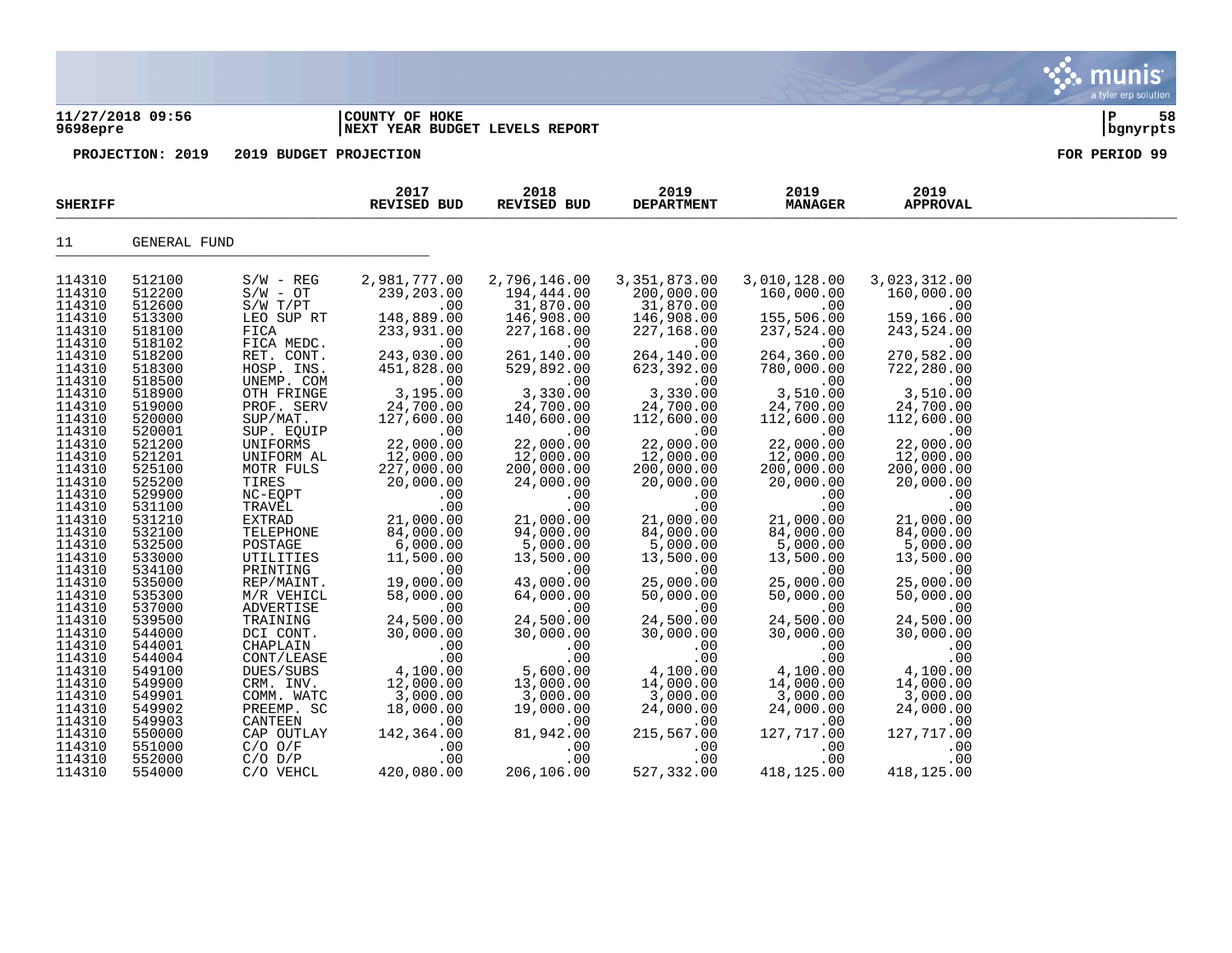### **11/27/2018 09:56 |COUNTY OF HOKE |P 58 9698epre |NEXT YEAR BUDGET LEVELS REPORT |bgnyrpts**



| <b>SHERIFF</b>   |                  |                         | 2017<br><b>REVISED BUD</b> | 2018<br>REVISED BUD     | 2019<br><b>DEPARTMENT</b> | 2019<br><b>MANAGER</b>  | 2019<br><b>APPROVAL</b> |  |
|------------------|------------------|-------------------------|----------------------------|-------------------------|---------------------------|-------------------------|-------------------------|--|
| 11               | GENERAL FUND     |                         |                            |                         |                           |                         |                         |  |
| 114310           | 512100           | $S/W - REG$             | 2,981,777.00               | 2,796,146.00            | 3, 351, 873.00            | 3,010,128.00            | 3,023,312.00            |  |
| 114310<br>114310 | 512200<br>512600 | $S/W - OT$<br>S/W T/PT  | 239,203.00<br>.00          | 194,444.00<br>31,870.00 | 200,000.00<br>31,870.00   | 160,000.00<br>.00       | 160,000.00<br>.00       |  |
| 114310           | 513300           | LEO SUP RT              | 148,889.00                 | 146,908.00              | 146,908.00                | 155,506.00              | 159,166.00              |  |
| 114310           | 518100           | FICA                    | 233,931.00                 | 227,168.00              | 227,168.00                | 237,524.00              | 243,524.00              |  |
| 114310           | 518102           | FICA MEDC.              | .00                        | .00                     | .00                       | .00                     | .00                     |  |
| 114310           | 518200           | RET. CONT.              | 243,030.00                 | 261,140.00              | 264,140.00                | 264,360.00              | 270,582.00              |  |
| 114310           | 518300           | HOSP. INS.              | 451,828.00                 | 529,892.00              | 623,392.00                | 780,000.00              | 722,280.00              |  |
| 114310           | 518500           | UNEMP. COM              | .00                        | .00                     | .00                       | .00                     | .00                     |  |
| 114310           | 518900           | OTH FRINGE              | 3,195.00                   | 3,330.00                | 3,330.00                  | 3,510.00                | 3,510.00                |  |
| 114310<br>114310 | 519000<br>520000 | PROF. SERV<br>SUP/MAT.  | 24,700.00<br>127,600.00    | 24,700.00<br>140,600.00 | 24,700.00<br>112,600.00   | 24,700.00<br>112,600.00 | 24,700.00<br>112,600.00 |  |
| 114310           | 520001           | SUP. EQUIP              | .00                        | .00                     | .00                       | .00                     | .00                     |  |
| 114310           | 521200           | UNIFORMS                | 22,000.00                  | 22,000.00               | 22,000.00                 | 22,000.00               | 22,000.00               |  |
| 114310           | 521201           | UNIFORM AL              | 12,000.00                  | 12,000.00               | 12,000.00                 | 12,000.00               | 12,000.00               |  |
| 114310           | 525100           | MOTR FULS               | 227,000.00                 | 200,000.00              | 200,000.00                | 200,000.00              | 200,000.00              |  |
| 114310           | 525200           | TIRES                   | 20,000.00                  | 24,000.00               | 20,000.00                 | 20,000.00               | 20,000.00               |  |
| 114310           | 529900           | NC-EQPT                 | .00                        | .00                     | .00                       | .00                     | .00                     |  |
| 114310<br>114310 | 531100<br>531210 | TRAVEL<br><b>EXTRAD</b> | .00<br>21,000.00           | .00<br>21,000.00        | .00<br>21,000.00          | .00<br>21,000.00        | .00<br>21,000.00        |  |
| 114310           | 532100           | TELEPHONE               | 84,000.00                  | 94,000.00               | 84,000.00                 | 84,000.00               | 84,000.00               |  |
| 114310           | 532500           | POSTAGE                 | 6,000.00                   | 5,000.00                | 5,000.00                  | 5,000.00                | 5,000.00                |  |
| 114310           | 533000           | UTILITIES               | 11,500.00                  | 13,500.00               | 13,500.00                 | 13,500.00               | 13,500.00               |  |
| 114310           | 534100           | PRINTING                | .00                        | .00                     | .00                       | .00                     | .00                     |  |
| 114310           | 535000           | REP/MAINT.              | 19,000.00                  | 43,000.00               | 25,000.00                 | 25,000.00               | 25,000.00               |  |
| 114310           | 535300           | M/R VEHICL              | 58,000.00                  | 64,000.00               | 50,000.00                 | 50,000.00               | 50,000.00               |  |
| 114310<br>114310 | 537000           | ADVERTISE               | .00<br>24,500.00           | .00<br>24,500.00        | .00                       | .00<br>24,500.00        | .00                     |  |
| 114310           | 539500<br>544000 | TRAINING<br>DCI CONT.   | 30,000.00                  | 30,000.00               | 24,500.00<br>30,000.00    | 30,000.00               | 24,500.00<br>30,000.00  |  |
| 114310           | 544001           | CHAPLAIN                | .00                        | .00                     | .00                       | .00                     | .00                     |  |
| 114310           | 544004           | CONT/LEASE              | .00                        | .00                     | .00                       | .00                     | .00                     |  |
| 114310           | 549100           | DUES/SUBS               | 4,100.00                   | 5,600.00                | 4,100.00                  | 4,100.00                | 4,100.00                |  |
| 114310           | 549900           | CRM. INV.               | 12,000.00                  | 13,000.00               | 14,000.00                 | 14,000.00               | 14,000.00               |  |
| 114310           | 549901           | COMM. WATC              | 3,000.00                   | 3,000.00                | 3,000.00                  | 3,000.00                | 3,000.00                |  |
| 114310<br>114310 | 549902<br>549903 | PREEMP. SC<br>CANTEEN   | 18,000.00                  | 19,000.00               | 24,000.00                 | 24,000.00               | 24,000.00               |  |
| 114310           | 550000           | CAP OUTLAY              | .00<br>142,364.00          | .00<br>81,942.00        | .00<br>215,567.00         | .00<br>127,717.00       | .00<br>127,717.00       |  |
| 114310           | 551000           | $C/O$ $O/F$             | .00                        | .00                     | .00                       | .00                     | .00                     |  |
| 114310           | 552000           | $C/O$ $D/P$             | .00                        | .00                     | .00                       | .00                     | .00                     |  |
| 114310           | 554000           | C/O VEHCL               | 420,080.00                 | 206,106.00              | 527,332.00                | 418,125.00              | 418,125.00              |  |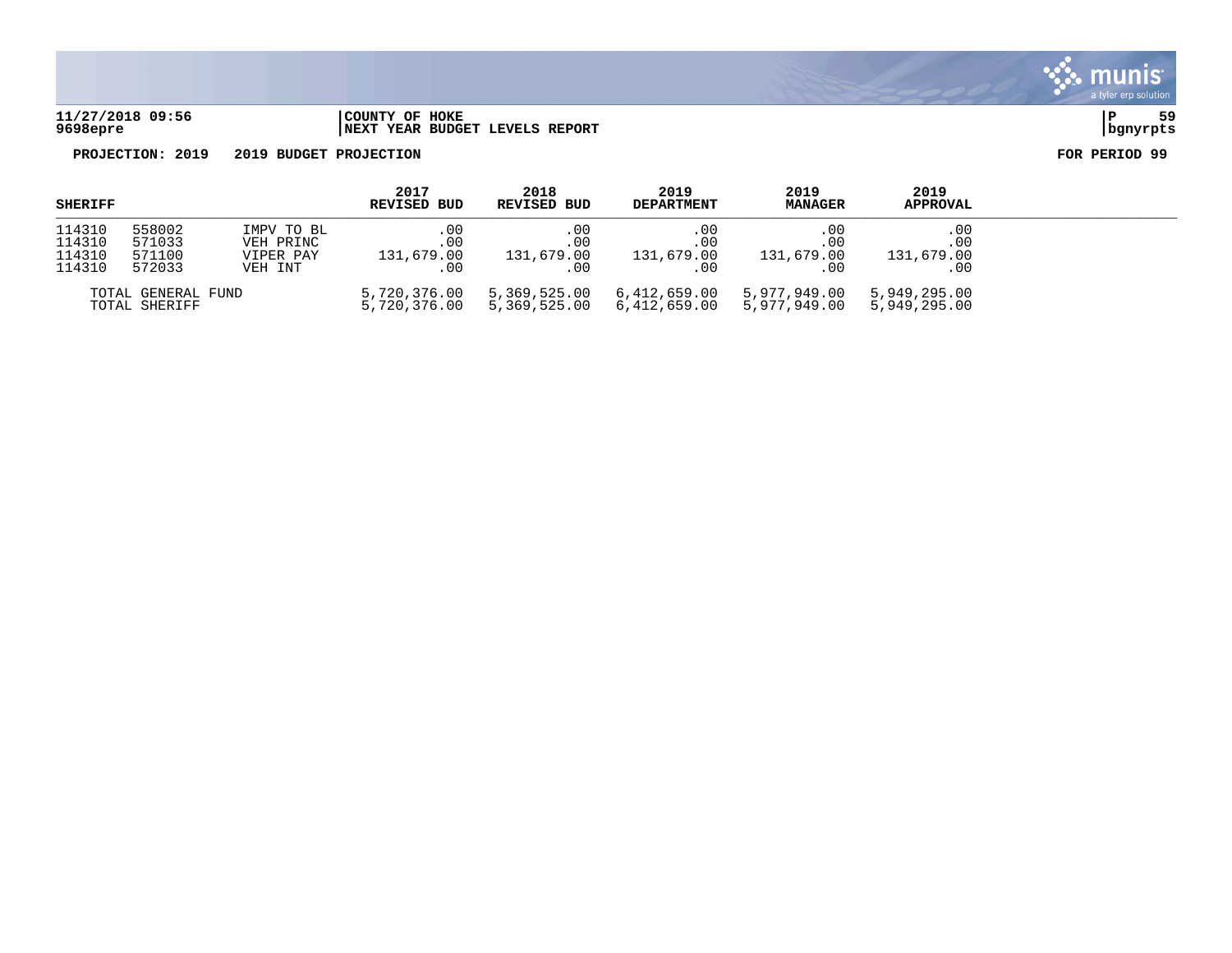

### **11/27/2018 09:56 |COUNTY OF HOKE |P 59 9698epre |NEXT YEAR BUDGET LEVELS REPORT |bgnyrpts**

| <b>SHERIFF</b>                       |                                      | 2017<br><b>REVISED BUD</b>                      | 2018<br><b>REVISED BUD</b>           | 2019<br><b>DEPARTMENT</b>         | 2019<br><b>MANAGER</b>               | 2019<br><b>APPROVAL</b>         |                                           |  |
|--------------------------------------|--------------------------------------|-------------------------------------------------|--------------------------------------|-----------------------------------|--------------------------------------|---------------------------------|-------------------------------------------|--|
| 114310<br>114310<br>114310<br>114310 | 558002<br>571033<br>571100<br>572033 | IMPV TO BL<br>VEH PRINC<br>VIPER PAY<br>VEH INT | .00<br>$.00 \,$<br>131,679.00<br>.00 | . 00<br>.00<br>131,679.00<br>. 00 | .00<br>$.00 \,$<br>131,679.00<br>.00 | .00<br>.00<br>131,679.00<br>.00 | $.00 \,$<br>$.00 \,$<br>131,679.00<br>.00 |  |
|                                      | TOTAL GENERAL FUND<br>TOTAL SHERIFF  |                                                 | 5,720,376.00<br>5,720,376.00         | 5,369,525.00<br>5,369,525.00      | 6,412,659.00<br>6,412,659.00         | 5,977,949.00<br>5,977,949.00    | 5,949,295.00<br>5,949,295.00              |  |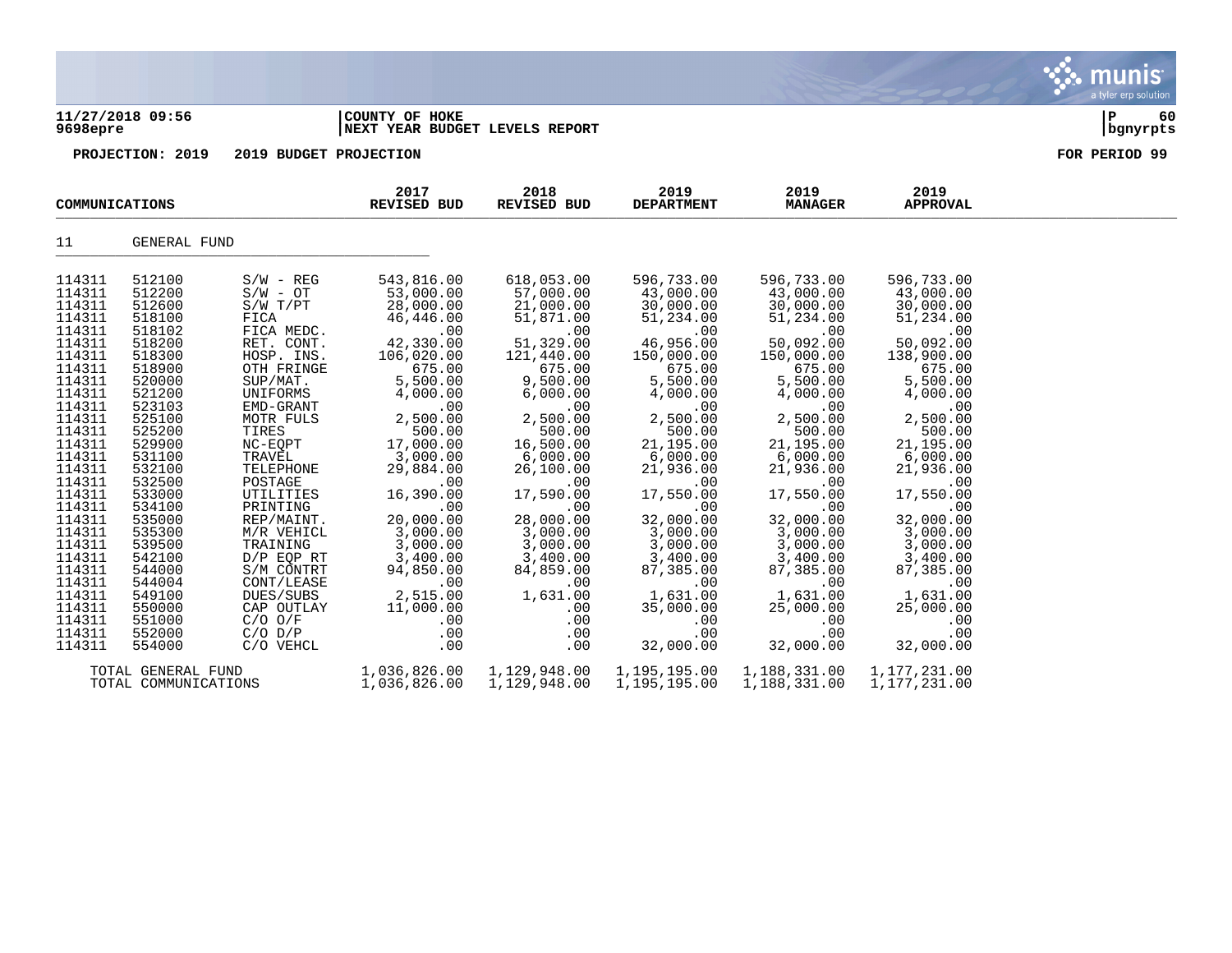| 9698epre                                                                                                                                                                                                                                                                                                 | 11/27/2018 09:56                                                                                                                                                                                                                                                                                         |                                                                                                                                                                                                                                                                                                                                                                                                  | COUNTY OF HOKE<br>NEXT YEAR BUDGET LEVELS REPORT                                                                                                                                                                                                                                                                                       |                                                                                                                                                                                                                                                                                                                                  |                                                                                                                                                                                                                                                                                                                                              |                                                                                                                                                                                                                                                                                                                                              |                                                                                                                                                                                                                                                                                                                                              | ΙP<br>60<br>bgnyrpts |
|----------------------------------------------------------------------------------------------------------------------------------------------------------------------------------------------------------------------------------------------------------------------------------------------------------|----------------------------------------------------------------------------------------------------------------------------------------------------------------------------------------------------------------------------------------------------------------------------------------------------------|--------------------------------------------------------------------------------------------------------------------------------------------------------------------------------------------------------------------------------------------------------------------------------------------------------------------------------------------------------------------------------------------------|----------------------------------------------------------------------------------------------------------------------------------------------------------------------------------------------------------------------------------------------------------------------------------------------------------------------------------------|----------------------------------------------------------------------------------------------------------------------------------------------------------------------------------------------------------------------------------------------------------------------------------------------------------------------------------|----------------------------------------------------------------------------------------------------------------------------------------------------------------------------------------------------------------------------------------------------------------------------------------------------------------------------------------------|----------------------------------------------------------------------------------------------------------------------------------------------------------------------------------------------------------------------------------------------------------------------------------------------------------------------------------------------|----------------------------------------------------------------------------------------------------------------------------------------------------------------------------------------------------------------------------------------------------------------------------------------------------------------------------------------------|----------------------|
|                                                                                                                                                                                                                                                                                                          | PROJECTION: 2019                                                                                                                                                                                                                                                                                         | 2019 BUDGET PROJECTION                                                                                                                                                                                                                                                                                                                                                                           |                                                                                                                                                                                                                                                                                                                                        |                                                                                                                                                                                                                                                                                                                                  |                                                                                                                                                                                                                                                                                                                                              |                                                                                                                                                                                                                                                                                                                                              |                                                                                                                                                                                                                                                                                                                                              | FOR PERIOD 99        |
| COMMUNICATIONS                                                                                                                                                                                                                                                                                           |                                                                                                                                                                                                                                                                                                          |                                                                                                                                                                                                                                                                                                                                                                                                  | 2017<br><b>REVISED BUD</b>                                                                                                                                                                                                                                                                                                             | 2018<br>REVISED BUD                                                                                                                                                                                                                                                                                                              | 2019<br><b>DEPARTMENT</b>                                                                                                                                                                                                                                                                                                                    | 2019<br><b>MANAGER</b>                                                                                                                                                                                                                                                                                                                       | 2019<br><b>APPROVAL</b>                                                                                                                                                                                                                                                                                                                      |                      |
| 11                                                                                                                                                                                                                                                                                                       | GENERAL FUND                                                                                                                                                                                                                                                                                             |                                                                                                                                                                                                                                                                                                                                                                                                  |                                                                                                                                                                                                                                                                                                                                        |                                                                                                                                                                                                                                                                                                                                  |                                                                                                                                                                                                                                                                                                                                              |                                                                                                                                                                                                                                                                                                                                              |                                                                                                                                                                                                                                                                                                                                              |                      |
| 114311<br>114311<br>114311<br>114311<br>114311<br>114311<br>114311<br>114311<br>114311<br>114311<br>114311<br>114311<br>114311<br>114311<br>114311<br>114311<br>114311<br>114311<br>114311<br>114311<br>114311<br>114311<br>114311<br>114311<br>114311<br>114311<br>114311<br>114311<br>114311<br>114311 | 512100<br>512200<br>512600<br>518100<br>518102<br>518200<br>518300<br>518900<br>520000<br>521200<br>523103<br>525100<br>525200<br>529900<br>531100<br>532100<br>532500<br>533000<br>534100<br>535000<br>535300<br>539500<br>542100<br>544000<br>544004<br>549100<br>550000<br>551000<br>552000<br>554000 | $S/W - REG$<br>$S/W - OT$<br>S/W T/PT<br>FICA<br>FICA MEDC.<br>RET. CONT.<br>HOSP. INS.<br>OTH FRINGE<br>SUP/MAT.<br>UNIFORMS<br>EMD-GRANT<br>MOTR FULS<br>TIRES<br>NC-EQPT<br>TRAVEL<br>TELEPHONE<br>POSTAGE<br>UTILITIES<br>PRINTING<br>REP/MAINT.<br>M/R VEHICL<br>TRAINING<br>$D/P$ EQP RT<br>S/M CONTRT<br>CONT/LEASE<br>DUES/SUBS<br>CAP OUTLAY<br>$C/O$ $O/F$<br>$C/O$ $D/P$<br>C/O VEHCL | 543,816.00<br>53,000.00<br>28,000.00<br>46,446.00<br>.00<br>42,330.00<br>106,020.00<br>675.00<br>5,500.00<br>4,000.00<br>.00<br>2,500.00<br>500.00<br>17,000.00<br>3,000.00<br>29,884.00<br>.00<br>16,390.00<br>.00<br>20,000.00<br>3,000.00<br>3,000.00<br>3,400.00<br>94,850.00<br>.00<br>2,515.00<br>11,000.00<br>.00<br>.00<br>.00 | 618,053.00<br>57,000.00<br>21,000.00<br>51,871.00<br>.00<br>51,329.00<br>121,440.00<br>675.00<br>9,500.00<br>6,000.00<br>.00<br>2,500.00<br>500.00<br>16,500.00<br>6,000.00<br>26,100.00<br>.00<br>17,590.00<br>.00<br>28,000.00<br>3,000.00<br>3,000.00<br>3,400.00<br>84,859.00<br>.00<br>1,631.00<br>.00<br>.00<br>.00<br>.00 | 596,733.00<br>43,000.00<br>30,000.00<br>51,234.00<br>.00<br>46,956.00<br>150,000.00<br>675.00<br>5,500.00<br>4,000.00<br>.00<br>2,500.00<br>500.00<br>21,195.00<br>6,000.00<br>21,936.00<br>.00<br>17,550.00<br>.00<br>32,000.00<br>3,000.00<br>3,000.00<br>3,400.00<br>87,385.00<br>.00<br>1,631.00<br>35,000.00<br>.00<br>.00<br>32,000.00 | 596,733.00<br>43,000.00<br>30,000.00<br>51,234.00<br>.00<br>50,092.00<br>150,000.00<br>675.00<br>5,500.00<br>4,000.00<br>.00<br>2,500.00<br>500.00<br>21,195.00<br>6,000.00<br>21,936.00<br>.00<br>17,550.00<br>.00<br>32,000.00<br>3,000.00<br>3,000.00<br>3,400.00<br>87,385.00<br>.00<br>1,631.00<br>25,000.00<br>.00<br>.00<br>32,000.00 | 596,733.00<br>43,000.00<br>30,000.00<br>51,234.00<br>.00<br>50,092.00<br>138,900.00<br>675.00<br>5,500.00<br>4,000.00<br>.00<br>2,500.00<br>500.00<br>21,195.00<br>6,000.00<br>21,936.00<br>.00<br>17,550.00<br>.00<br>32,000.00<br>3,000.00<br>3,000.00<br>3,400.00<br>87,385.00<br>.00<br>1,631.00<br>25,000.00<br>.00<br>.00<br>32,000.00 |                      |
|                                                                                                                                                                                                                                                                                                          | TOTAL GENERAL FUND                                                                                                                                                                                                                                                                                       |                                                                                                                                                                                                                                                                                                                                                                                                  | 1,036,826.00                                                                                                                                                                                                                                                                                                                           | 1,129,948.00                                                                                                                                                                                                                                                                                                                     | 1,195,195.00                                                                                                                                                                                                                                                                                                                                 | 1,188,331.00                                                                                                                                                                                                                                                                                                                                 | 1,177,231.00                                                                                                                                                                                                                                                                                                                                 |                      |

 $\ddot{\mathbf{w}}$  munis

TOTAL COMMUNICATIONS 1,036,826.00 1,129,948.00 1,195,195.00 1,188,331.00 1,177,231.00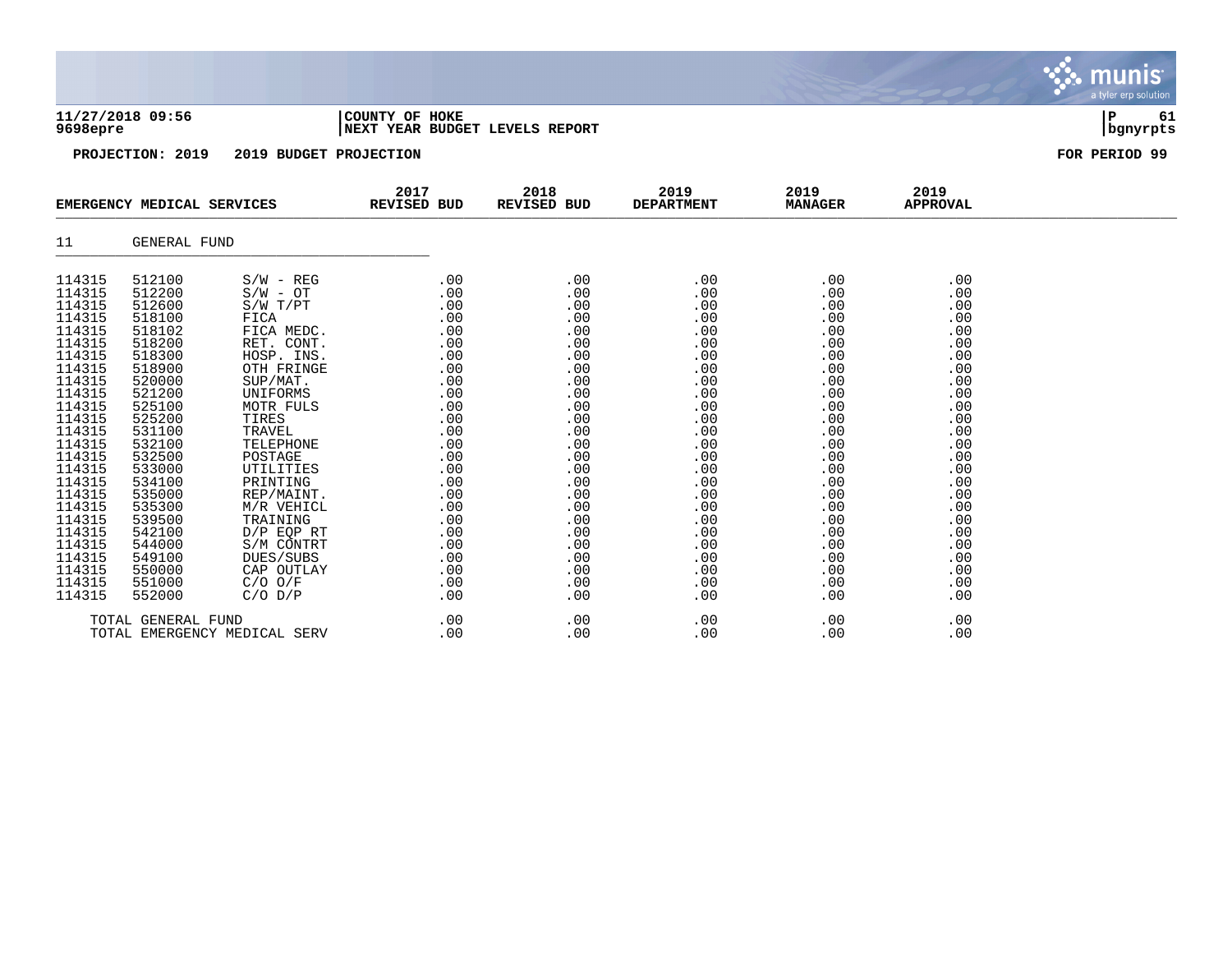| 11/27/2018 09:56<br>9698epre |                            |                        | COUNTY OF HOKE<br>NEXT YEAR BUDGET LEVELS REPORT | 61<br>Р<br>bgnyrpts |                           |                        |                         |               |
|------------------------------|----------------------------|------------------------|--------------------------------------------------|---------------------|---------------------------|------------------------|-------------------------|---------------|
|                              | PROJECTION: 2019           | 2019 BUDGET PROJECTION |                                                  |                     |                           |                        |                         | FOR PERIOD 99 |
|                              | EMERGENCY MEDICAL SERVICES |                        | 2017<br>REVISED BUD                              | 2018<br>REVISED BUD | 2019<br><b>DEPARTMENT</b> | 2019<br><b>MANAGER</b> | 2019<br><b>APPROVAL</b> |               |
| 11                           | GENERAL FUND               |                        |                                                  |                     |                           |                        |                         |               |
| 114315                       | 512100                     | $S/W - REG$            | .00                                              | .00                 | .00                       | .00                    | .00                     |               |
| 114315<br>114315             | 512200<br>512600           | $S/W - OT$             | .00                                              | .00                 | .00                       | .00                    | .00                     |               |
| 114315                       | 518100                     | S/W T/PT<br>FICA       | .00<br>.00                                       | .00<br>.00          | .00<br>.00                | .00<br>.00             | .00<br>.00              |               |
| 114315                       | 518102                     | FICA MEDC.             | .00                                              | .00                 | .00                       | .00                    | .00                     |               |
| 114315                       | 518200                     | RET. CONT.             | .00                                              | .00                 | .00                       | .00                    | .00                     |               |
| 114315                       | 518300                     | HOSP. INS.             | .00                                              | .00                 | .00                       | .00                    | .00                     |               |
| 114315                       | 518900                     | OTH FRINGE             | .00                                              | .00                 | .00                       | .00                    | .00                     |               |
| 114315                       | 520000                     | SUP/MAT.               | .00                                              | .00                 | .00                       | .00                    | .00                     |               |
| 114315                       | 521200                     | UNIFORMS               | .00                                              | .00                 | .00                       | .00                    | .00                     |               |
| 114315                       | 525100                     | MOTR FULS              | .00                                              | .00                 | .00                       | .00                    | .00                     |               |
| 114315<br>114315             | 525200                     | TIRES                  | .00                                              | .00                 | .00                       | .00                    | .00                     |               |
|                              | 531100                     | TRAVEL                 | .00                                              | .00                 | .00                       | .00                    | .00                     |               |
| 114315                       | 532100                     | TELEPHONE              | .00                                              | .00                 | .00                       | .00                    | .00                     |               |
| 114315                       | 532500                     | POSTAGE                | .00                                              | .00                 | .00                       | .00                    | .00                     |               |
| 114315                       | 533000                     | UTILITIES              | .00                                              | .00                 | .00                       | .00                    | .00                     |               |
| 114315                       | 534100                     | PRINTING               | .00                                              | .00                 | .00                       | .00                    | .00                     |               |
| 114315                       | 535000                     | REP/MAINT.             | .00                                              | .00                 | .00                       | .00                    | .00                     |               |
| 114315                       | 535300                     | M/R VEHICL             | .00                                              | .00                 | .00                       | .00                    | .00                     |               |
| 114315                       | 539500                     | TRAINING               | .00                                              | .00                 | .00                       | .00                    | .00                     |               |
| 114315                       | 542100                     | $D/P$ EQP RT           | .00                                              | .00                 | .00                       | .00                    | .00                     |               |
| 114315                       | 544000                     | S/M CONTRT             | .00                                              | .00                 | .00                       | .00                    | .00                     |               |
| 114315                       | 549100                     | DUES/SUBS              | .00                                              | .00                 | .00                       | .00                    | .00                     |               |
| 114315                       | 550000                     | CAP OUTLAY             | .00                                              | .00                 | .00                       | .00                    | .00                     |               |
| 114315                       | 551000                     | $C/O$ $O/F$            | .00                                              | .00                 | .00                       | .00                    | .00                     |               |
| 114315                       | 552000                     | $C/O$ $D/P$            | .00                                              | .00                 | .00                       | .00                    | .00                     |               |

Sive munis

a tyler erp solution

TOTAL GENERAL FUND .00 .00 .00 .00 .00 TOTAL EMERGENCY MEDICAL SERV .00 .00 .00 .00 .00 .00 .00 .00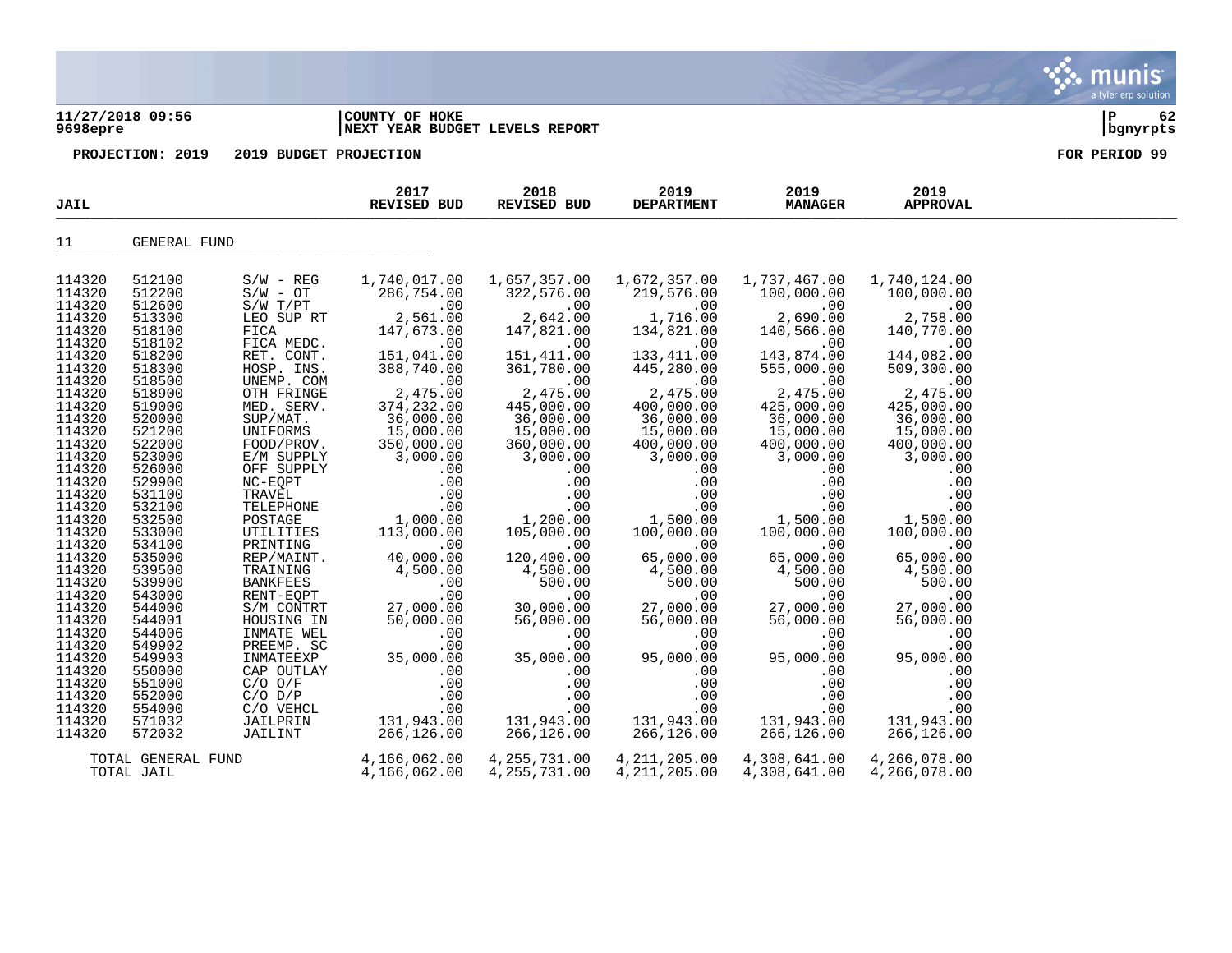### **11/27/2018 09:56 |COUNTY OF HOKE |P 62 9698epre |NEXT YEAR BUDGET LEVELS REPORT |bgnyrpts**

| <b>JAIL</b> |                                  |                 | 2017<br>REVISED BUD          | 2018<br>REVISED BUD              | 2019<br><b>DEPARTMENT</b>        | 2019<br><b>MANAGER</b>       | 2019<br><b>APPROVAL</b>      |  |
|-------------|----------------------------------|-----------------|------------------------------|----------------------------------|----------------------------------|------------------------------|------------------------------|--|
| 11          | GENERAL FUND                     |                 |                              |                                  |                                  |                              |                              |  |
| 114320      | 512100                           | $S/W - REG$     | 1,740,017.00                 | 1,657,357.00                     | 1,672,357.00                     | 1,737,467.00                 | 1,740,124.00                 |  |
| 114320      | 512200                           | $S/W - OT$      | 286,754.00                   | 322,576.00                       | 219,576.00                       | 100,000.00                   | 100,000.00                   |  |
| 114320      | 512600                           | $S/W$ $T/PT$    | .00                          | .00                              | .00                              | .00                          | .00                          |  |
| 114320      | 513300                           | LEO SUP RT      | 2,561.00                     | 2,642.00                         | 1,716.00                         | 2,690.00                     | 2,758.00                     |  |
| 114320      | 518100                           | FICA            | 147,673.00                   | 147,821.00                       | 134,821.00                       | 140,566.00                   | 140,770.00                   |  |
| 114320      | 518102                           | FICA MEDC.      | .00                          | .00                              | .00                              | .00                          | .00                          |  |
| 114320      | 518200                           | RET. CONT.      | 151,041.00                   | 151,411.00                       | 133, 411.00                      | 143,874.00                   | 144,082.00                   |  |
| 114320      | 518300                           | HOSP. INS.      | 388,740.00                   | 361,780.00                       | 445,280.00                       | 555,000.00                   | 509,300.00                   |  |
| 114320      | 518500                           | UNEMP. COM      | .00                          | .00                              | .00                              | .00                          | .00                          |  |
| 114320      | 518900                           | OTH FRINGE      | 2,475.00                     | 2,475.00                         | 2,475.00                         | 2,475.00                     | 2,475.00                     |  |
| 114320      | 519000                           | MED. SERV.      | 374,232.00                   | 445,000.00                       | 400,000.00                       | 425,000.00                   | 425,000.00                   |  |
| 114320      | 520000                           | SUP/MAT.        | 36,000.00                    | 36,000.00                        | 36,000.00                        | 36,000.00                    | 36,000.00                    |  |
| 114320      | 521200                           | UNIFORMS        | 15,000.00                    | 15,000.00                        | 15,000.00                        | 15,000.00                    | 15,000.00                    |  |
| 114320      | 522000                           | FOOD/PROV.      | 350,000.00                   | 360,000.00                       | 400,000.00                       | 400,000.00                   | 400,000.00                   |  |
| 114320      | 523000                           | E/M SUPPLY      | 3,000.00                     | 3,000.00                         | 3,000.00                         | 3,000.00                     | 3,000.00                     |  |
| 114320      | 526000                           | OFF SUPPLY      | .00                          | .00                              | .00                              | .00                          | .00                          |  |
| 114320      | 529900                           | $NC-EQPT$       | .00                          | .00                              | .00                              | .00                          | .00                          |  |
| 114320      | 531100                           | TRAVEL          | .00                          | .00                              | .00                              | .00                          | .00                          |  |
| 114320      | 532100                           | TELEPHONE       | .00                          | .00                              | .00                              | .00                          | .00                          |  |
| 114320      | 532500                           | POSTAGE         | 1,000.00                     | 1,200.00                         | 1,500.00                         | 1,500.00                     | 1,500.00                     |  |
| 114320      | 533000                           | UTILITIES       | 113,000.00                   | 105,000.00                       | 100,000.00                       | 100,000.00                   | 100,000.00                   |  |
| 114320      | 534100                           | PRINTING        | .00                          | .00                              | .00                              | .00                          | .00                          |  |
| 114320      | 535000                           | REP/MAINT.      | 40,000.00                    | 120,400.00                       | 65,000.00                        | 65,000.00                    | 65,000.00                    |  |
| 114320      | 539500                           | TRAINING        | 4,500.00                     | 4,500.00                         | 4,500.00                         | 4,500.00                     | 4,500.00                     |  |
| 114320      | 539900                           | <b>BANKFEES</b> | .00                          | 500.00                           | 500.00                           | 500.00                       | 500.00                       |  |
| 114320      | 543000                           | RENT-EQPT       | .00                          | .00                              | .00                              | .00                          | .00                          |  |
| 114320      | 544000                           | S/M CONTRT      | 27,000.00                    | 30,000.00                        | 27,000.00                        | 27,000.00                    | 27,000.00                    |  |
| 114320      | 544001                           | HOUSING IN      | 50,000.00                    | 56,000.00                        | 56,000.00                        | 56,000.00                    | 56,000.00                    |  |
| 114320      | 544006                           | INMATE WEL      | .00                          | .00                              | .00                              | .00                          | .00                          |  |
| 114320      | 549902                           | PREEMP. SC      | .00                          | .00                              | .00                              | .00                          | .00                          |  |
| 114320      | 549903                           | INMATEEXP       | 35,000.00                    | 35,000.00                        | 95,000.00                        | 95,000.00                    | 95,000.00                    |  |
| 114320      | 550000                           | CAP OUTLAY      | .00                          | .00                              | .00                              | .00                          | .00                          |  |
| 114320      | 551000                           | $C/O$ $O/F$     | .00                          | .00                              | .00                              | .00                          | .00                          |  |
| 114320      | 552000                           | $C/O$ $D/P$     | .00                          | .00                              | .00                              | .00                          | .00                          |  |
| 114320      | 554000                           | C/O VEHCL       | .00                          | .00                              | .00                              | .00                          | .00                          |  |
| 114320      | 571032                           | JAILPRIN        | 131,943.00                   | 131,943.00                       | 131,943.00                       | 131,943.00                   | 131,943.00                   |  |
| 114320      | 572032                           | JAILINT         | 266,126.00                   | 266,126.00                       | 266,126.00                       | 266,126.00                   | 266,126.00                   |  |
|             | TOTAL GENERAL FUND<br>TOTAL JAIL |                 | 4,166,062.00<br>4,166,062.00 | 4, 255, 731.00<br>4, 255, 731.00 | 4, 211, 205.00<br>4, 211, 205.00 | 4,308,641.00<br>4,308,641.00 | 4,266,078.00<br>4,266,078.00 |  |

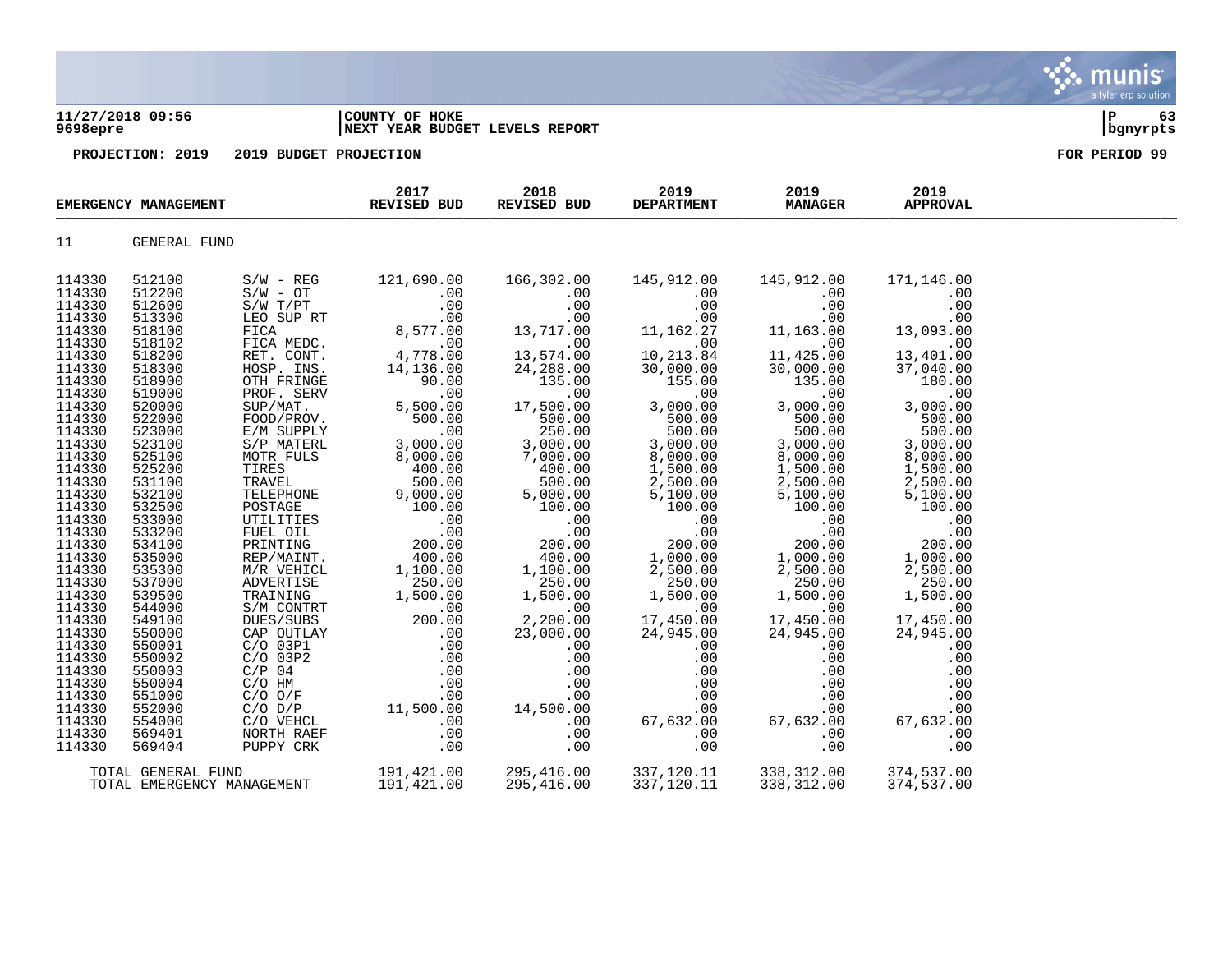### **11/27/2018 09:56 |COUNTY OF HOKE |P 63 9698epre |NEXT YEAR BUDGET LEVELS REPORT |bgnyrpts**

|                  | EMERGENCY MANAGEMENT |                            | 2017<br>REVISED BUD                                                                                                                                                                                                   | 2018<br>REVISED BUD                   | 2019<br><b>DEPARTMENT</b>                                                                                                                                                                                            | 2019<br><b>MANAGER</b>                                                                             | 2019<br><b>APPROVAL</b>                |  |
|------------------|----------------------|----------------------------|-----------------------------------------------------------------------------------------------------------------------------------------------------------------------------------------------------------------------|---------------------------------------|----------------------------------------------------------------------------------------------------------------------------------------------------------------------------------------------------------------------|----------------------------------------------------------------------------------------------------|----------------------------------------|--|
| 11               | GENERAL FUND         |                            |                                                                                                                                                                                                                       |                                       |                                                                                                                                                                                                                      |                                                                                                    |                                        |  |
| 114330           | 512100               | $S/W - REG$                | 121,690.00                                                                                                                                                                                                            | 166,302.00                            | 145,912.00                                                                                                                                                                                                           | 145,912.00                                                                                         | 171,146.00                             |  |
| 114330           | 512200               | $S/W - OT$                 | .00                                                                                                                                                                                                                   | .00                                   | .00                                                                                                                                                                                                                  | .00                                                                                                | .00                                    |  |
| 114330           | 512600               | $S/W$ $T/PT$               | .00                                                                                                                                                                                                                   | .00                                   |                                                                                                                                                                                                                      | .00                                                                                                |                                        |  |
| 114330           | 513300               | LEO SUP RT                 | 00 .<br>00 .<br>8 , 577 . 00 .<br>00 .                                                                                                                                                                                | .00                                   | $\begin{array}{c} .00\ 0.00\ 0.01\ 0.02\ 0.01\ 0.213.84\ 0.000.00\ 0.000.00\ \end{array}$                                                                                                                            | .00                                                                                                |                                        |  |
| 114330           | 518100               | FICA                       |                                                                                                                                                                                                                       | 13,717.00                             |                                                                                                                                                                                                                      | $11,163.00 \ 00 \ 00 \ 11,425.00 \ 30,000.00$                                                      |                                        |  |
| 114330           | 518102               | FICA MEDC.                 |                                                                                                                                                                                                                       | $\overline{00}$                       |                                                                                                                                                                                                                      |                                                                                                    | .00                                    |  |
| 114330<br>114330 | 518200<br>518300     |                            |                                                                                                                                                                                                                       | $13,574.00$<br>24.288.00<br>24,288.00 |                                                                                                                                                                                                                      |                                                                                                    | 13,401.00                              |  |
| 114330           | 518900               |                            |                                                                                                                                                                                                                       | 135.00                                |                                                                                                                                                                                                                      | 135.00                                                                                             | 37,040.00<br>180.00                    |  |
| 114330           | 519000               |                            | PET. CONT. 4,778.00<br>HOSP. INS. 14,136.00<br>OTH FRINGE 90.00<br>PROF. SERV .000<br>SUP/MAT. 5,500.00                                                                                                               |                                       | $\begin{array}{r} 155.00 \\ 155.00 \\ .00 \\ 3,000.00 \end{array}$<br>$155.00$<br>$3,000.00$<br>$500.00$<br>$500.00$<br>$3,000.00$<br>$3,000.00$<br>$1,500.00$<br>$1,500.00$<br>$2,500.00$<br>$5,100.00$<br>$100.00$ | .00                                                                                                | .00                                    |  |
| 114330           | 520000               |                            |                                                                                                                                                                                                                       | 17,500.00<br>17,500.00                | $\begin{array}{r} .00000000\ 3,0000000\ 5000000\ 3,000000\ 8,000000\ 1,500000\ 2,500000\ 5,100000\ 1000000\ 0.00000\ 0.00\ 0.00\ \end{array}$                                                                        | 3,000.00                                                                                           | 3,000.00                               |  |
| 114330           | 522000               |                            | FOOD/PROV.<br>E/M SUPPLY 500.00<br>S/P MATERL 3,000.00<br>MOTR FULS 8,000.00                                                                                                                                          |                                       |                                                                                                                                                                                                                      | 500.00                                                                                             | 500.00                                 |  |
| 114330           | 523000               |                            |                                                                                                                                                                                                                       | $500.00$<br>$250.00$                  |                                                                                                                                                                                                                      |                                                                                                    | 500.00                                 |  |
| 114330           | 523100               |                            |                                                                                                                                                                                                                       |                                       |                                                                                                                                                                                                                      | $500.00$<br>3,000.00                                                                               | 3,000.00                               |  |
| 114330           | 525100               |                            |                                                                                                                                                                                                                       |                                       |                                                                                                                                                                                                                      |                                                                                                    | 8,000.00                               |  |
| 114330           | 525200               |                            |                                                                                                                                                                                                                       |                                       |                                                                                                                                                                                                                      | $8,000.00$<br>$1,500.00$<br>$2,500.00$                                                             | 1,500.00                               |  |
| 114330           | 531100               |                            |                                                                                                                                                                                                                       |                                       |                                                                                                                                                                                                                      |                                                                                                    | 2,500.00                               |  |
| 114330           | 532100               |                            | MOTRES 8,000.00<br>TRES 400.00<br>TRAVEL 400.00<br>TELEPHONE 9,000.00<br>POSTAGE 100.00<br>UTILITIES 100.00<br>UTILITIES 100.00<br>PRINTING 200.00<br>REP/MAINT. 400.00<br>M/R VEHICL 1,100.00<br>M/R VEHICL 1,100.00 |                                       |                                                                                                                                                                                                                      | 5,100.00                                                                                           |                                        |  |
| 114330           | 532500               |                            |                                                                                                                                                                                                                       |                                       |                                                                                                                                                                                                                      | 100.00                                                                                             |                                        |  |
| 114330           | 533000               |                            |                                                                                                                                                                                                                       |                                       |                                                                                                                                                                                                                      | $\frac{00}{00}$                                                                                    |                                        |  |
| 114330           | 533200               |                            |                                                                                                                                                                                                                       |                                       | .00                                                                                                                                                                                                                  |                                                                                                    |                                        |  |
| 114330           | 534100               |                            |                                                                                                                                                                                                                       |                                       |                                                                                                                                                                                                                      | $\begin{array}{c} .00.00 \\ 200.00 \\ 1,000.00 \\ 2,500.00 \end{array}$                            |                                        |  |
| 114330           | 535000               |                            |                                                                                                                                                                                                                       |                                       |                                                                                                                                                                                                                      |                                                                                                    |                                        |  |
| 114330           | 535300<br>537000     |                            |                                                                                                                                                                                                                       |                                       |                                                                                                                                                                                                                      | $2,500.00$<br>250.00                                                                               | 250.00                                 |  |
| 114330<br>114330 | 539500               |                            |                                                                                                                                                                                                                       |                                       |                                                                                                                                                                                                                      | 1,500.00                                                                                           | 1,500.00                               |  |
| 114330           | 544000               |                            |                                                                                                                                                                                                                       |                                       |                                                                                                                                                                                                                      | $\sim$ 00                                                                                          | .00                                    |  |
| 114330           | 549100               |                            |                                                                                                                                                                                                                       |                                       | $\begin{array}{r} .00\ 200.00\ 1,000.00\ 2,500.00\ 250.00\ 1,500.00\ 17,450.00\ \end{array}$                                                                                                                         | 17,450.00                                                                                          | 17,450.00                              |  |
| 114330           | 550000               |                            |                                                                                                                                                                                                                       |                                       | 24,945.00                                                                                                                                                                                                            | 24,945.00                                                                                          | 24,945.00                              |  |
| 114330           | 550001               |                            |                                                                                                                                                                                                                       |                                       | .00                                                                                                                                                                                                                  | .00                                                                                                | .00                                    |  |
| 114330           | 550002               |                            |                                                                                                                                                                                                                       |                                       | .00                                                                                                                                                                                                                  | .00                                                                                                | .00                                    |  |
| 114330           | 550003               |                            |                                                                                                                                                                                                                       |                                       | .00                                                                                                                                                                                                                  |                                                                                                    | .00                                    |  |
| 114330           | 550004               |                            |                                                                                                                                                                                                                       |                                       | .00                                                                                                                                                                                                                  |                                                                                                    | .00                                    |  |
| 114330           | 551000               |                            |                                                                                                                                                                                                                       |                                       | .00                                                                                                                                                                                                                  |                                                                                                    | .00                                    |  |
| 114330           | 552000               |                            |                                                                                                                                                                                                                       |                                       | $-1, 5$<br>.00                                                                                                                                                                                                       | 67, 6<br>$\begin{bmatrix} 0 \\ .00 \\ .00 \\ .00 \\ .00 \\ .00 \\ .00 \\ .00 \\ .00 \end{bmatrix}$ | .00                                    |  |
| 114330           | 554000               |                            |                                                                                                                                                                                                                       |                                       | 67,632.00                                                                                                                                                                                                            | 67,632.00                                                                                          | 67,632.00                              |  |
| 114330           | 569401               |                            |                                                                                                                                                                                                                       |                                       | .00                                                                                                                                                                                                                  |                                                                                                    | .00                                    |  |
| 114330           | 569404               |                            |                                                                                                                                                                                                                       |                                       | .00                                                                                                                                                                                                                  | .00                                                                                                | .00                                    |  |
|                  | TOTAL GENERAL FUND   |                            | 191,421.00                                                                                                                                                                                                            | 295,416.00                            | 337,120.11                                                                                                                                                                                                           | 338, 312.00                                                                                        |                                        |  |
|                  |                      | TOTAL EMERGENCY MANAGEMENT | 191,421.00                                                                                                                                                                                                            | 295,416.00                            | 337,120.11                                                                                                                                                                                                           | 338,312.00                                                                                         | 374,537.00<br>374,537.00<br>374,537.00 |  |

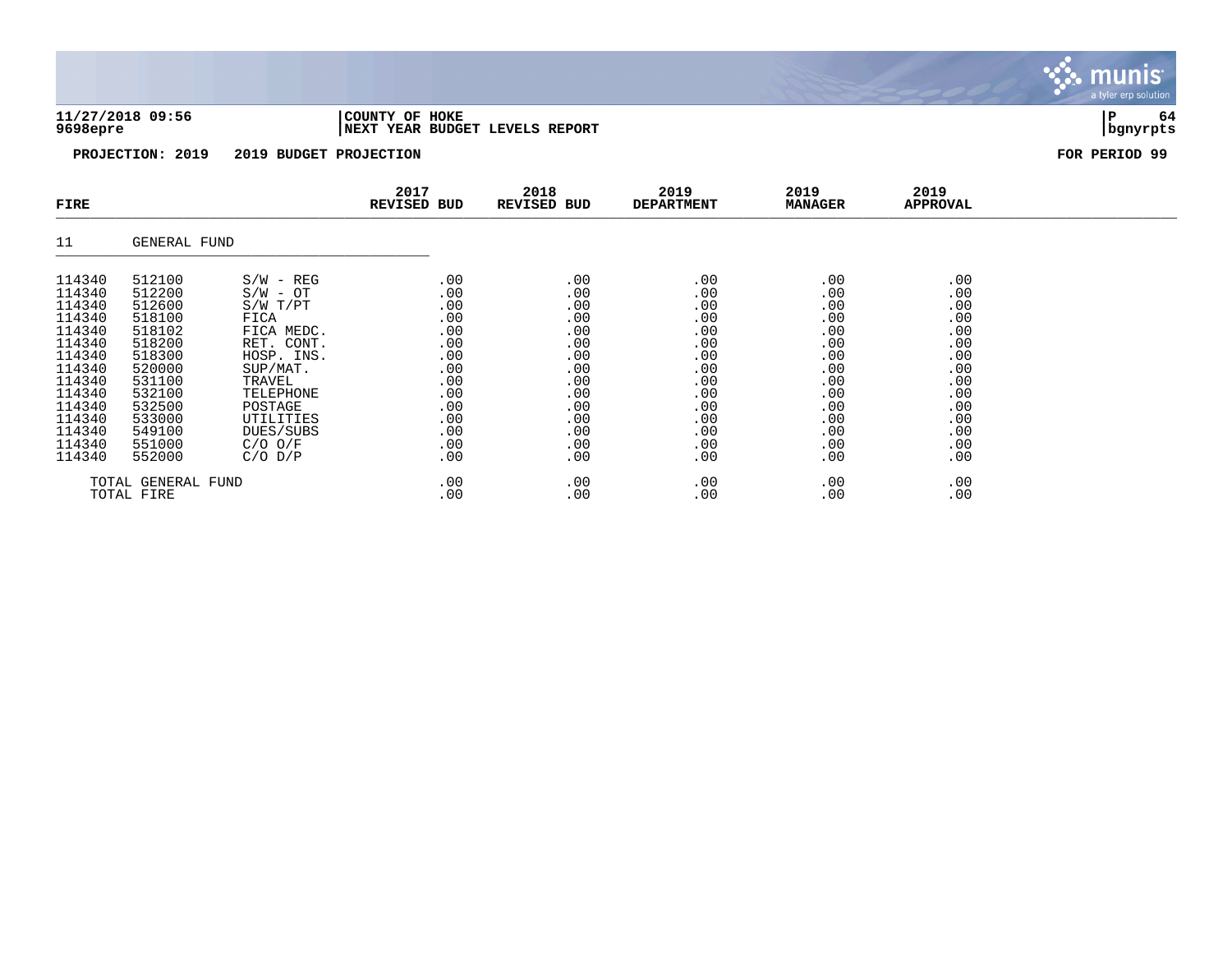**11/27/2018 09:56 |COUNTY OF HOKE |P 64 9698epre |NEXT YEAR BUDGET LEVELS REPORT |bgnyrpts**

**munis** a tyler erp solution

| FIRE                                                                                                                                               |                                                                                                                                                    |                                                                                                                                                                                               | 2017<br><b>REVISED BUD</b>                                                                            | 2018<br><b>REVISED BUD</b>                                                                            | 2019<br><b>DEPARTMENT</b>                                                                             | 2019<br><b>MANAGER</b>                                                                                | 2019<br>APPROVAL                                                                                      |  |
|----------------------------------------------------------------------------------------------------------------------------------------------------|----------------------------------------------------------------------------------------------------------------------------------------------------|-----------------------------------------------------------------------------------------------------------------------------------------------------------------------------------------------|-------------------------------------------------------------------------------------------------------|-------------------------------------------------------------------------------------------------------|-------------------------------------------------------------------------------------------------------|-------------------------------------------------------------------------------------------------------|-------------------------------------------------------------------------------------------------------|--|
| 11                                                                                                                                                 | GENERAL FUND                                                                                                                                       |                                                                                                                                                                                               |                                                                                                       |                                                                                                       |                                                                                                       |                                                                                                       |                                                                                                       |  |
| 114340<br>114340<br>114340<br>114340<br>114340<br>114340<br>114340<br>114340<br>114340<br>114340<br>114340<br>114340<br>114340<br>114340<br>114340 | 512100<br>512200<br>512600<br>518100<br>518102<br>518200<br>518300<br>520000<br>531100<br>532100<br>532500<br>533000<br>549100<br>551000<br>552000 | $S/W - REG$<br>$S/W - OT$<br>S/W T/PT<br>FICA<br>FICA MEDC.<br>RET. CONT.<br>HOSP. INS.<br>SUP/MAT.<br>TRAVEL<br>TELEPHONE<br>POSTAGE<br>UTILITIES<br>DUES/SUBS<br>$C/O$ $O/F$<br>$C/O$ $D/P$ | .00<br>.00<br>.00<br>.00<br>.00<br>.00<br>.00<br>.00<br>.00<br>.00<br>.00<br>.00<br>.00<br>.00<br>.00 | .00<br>.00<br>.00<br>.00<br>.00<br>.00<br>.00<br>.00<br>.00<br>.00<br>.00<br>.00<br>.00<br>.00<br>.00 | .00<br>.00<br>.00<br>.00<br>.00<br>.00<br>.00<br>.00<br>.00<br>.00<br>.00<br>.00<br>.00<br>.00<br>.00 | .00<br>.00<br>.00<br>.00<br>.00<br>.00<br>.00<br>.00<br>.00<br>.00<br>.00<br>.00<br>.00<br>.00<br>.00 | .00<br>.00<br>.00<br>.00<br>.00<br>.00<br>.00<br>.00<br>.00<br>.00<br>.00<br>.00<br>.00<br>.00<br>.00 |  |
|                                                                                                                                                    | TOTAL GENERAL FUND<br>TOTAL FIRE                                                                                                                   |                                                                                                                                                                                               | .00<br>.00                                                                                            | .00<br>.00                                                                                            | .00<br>.00                                                                                            | .00<br>.00                                                                                            | .00<br>.00                                                                                            |  |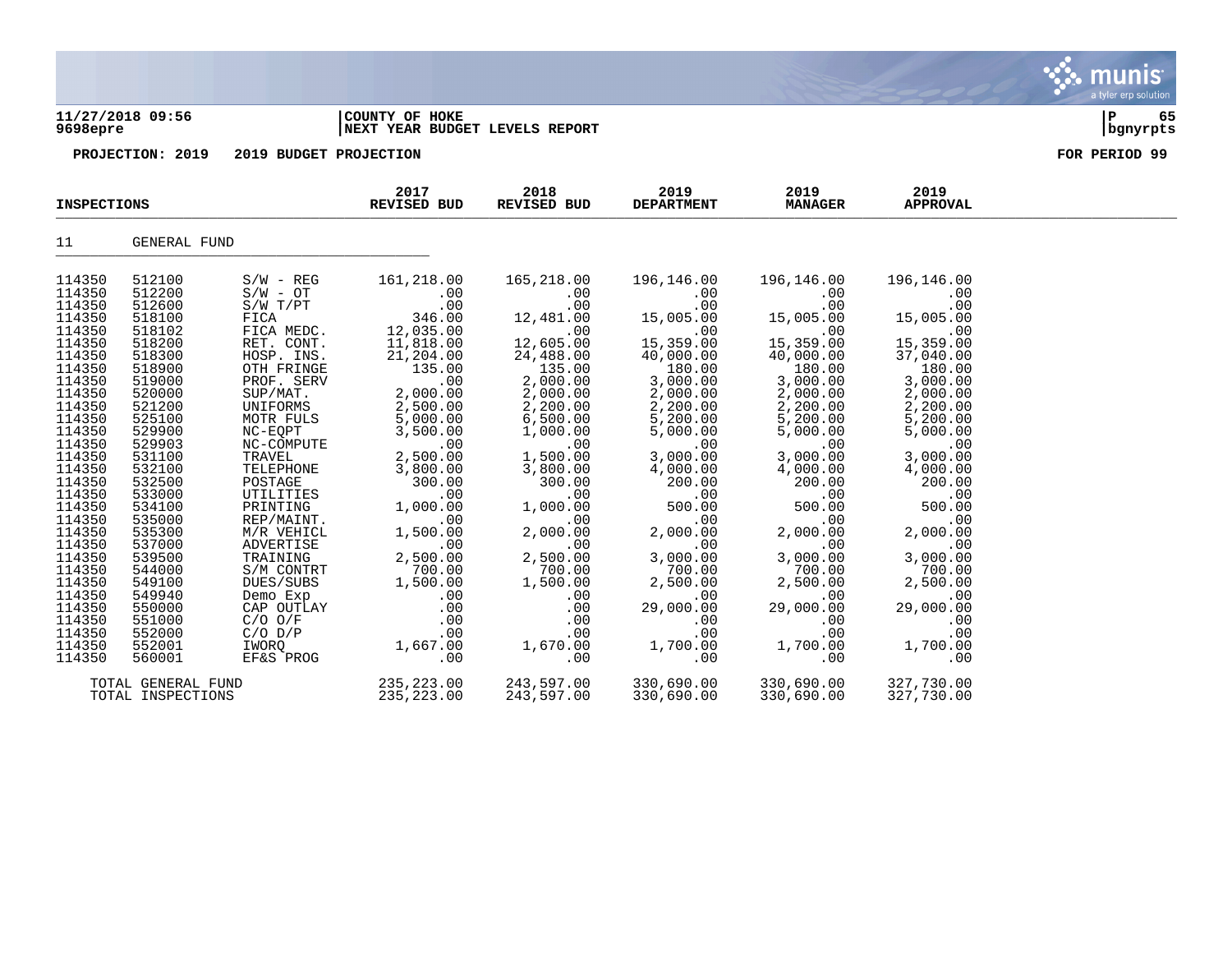### **11/27/2018 09:56 |COUNTY OF HOKE |P 65 9698epre |NEXT YEAR BUDGET LEVELS REPORT |bgnyrpts**

|                    | <b>INSPECTIONS</b> |                          | 2017<br><b>REVISED BUD</b> | 2018<br>REVISED BUD | 2019<br><b>DEPARTMENT</b> | 2019<br><b>MANAGER</b> | 2019<br><b>APPROVAL</b> |  |
|--------------------|--------------------|--------------------------|----------------------------|---------------------|---------------------------|------------------------|-------------------------|--|
| 11                 | GENERAL FUND       |                          |                            |                     |                           |                        |                         |  |
| 114350             | 512100             | $S/W - REG$              | 161,218.00                 | 165,218.00          | 196,146.00                | 196,146.00             | 196,146.00              |  |
| 114350             | 512200             | $S/W - OT$               | .00                        | .00                 | .00                       | .00                    | .00                     |  |
| 114350             | 512600             | S/W T/PT                 | .00                        | .00                 | .00                       | .00                    | .00                     |  |
| 114350             | 518100             | FICA                     | 346.00                     | 12,481.00           | 15,005.00                 | 15,005.00              | 15,005.00               |  |
| 114350             | 518102             | FICA MEDC.               | 12,035.00                  | .00                 | .00                       | .00                    | .00                     |  |
| 114350<br>114350   | 518200             | RET. CONT.<br>HOSP. INS. | 11,818.00                  | 12,605.00           | 15,359.00                 | 15,359.00              | 15,359.00<br>37,040.00  |  |
| 114350             | 518300<br>518900   | OTH FRINGE               | 21,204.00<br>135.00        | 24,488.00<br>135.00 | 40,000.00<br>180.00       | 40,000.00<br>180.00    | 180.00                  |  |
| 114350             | 519000             | PROF. SERV               | .00                        | 2,000.00            | 3,000.00                  | 3,000.00               | 3,000.00                |  |
| 114350             | 520000             | SUP/MAT.                 | 2,000.00                   | 2,000.00            | 2,000.00                  | 2,000.00               | 2,000.00                |  |
| 114350             | 521200             | UNIFORMS                 | 2,500.00                   | 2,200.00            | 2,200.00                  | 2,200.00               | 2,200.00                |  |
| 114350             | 525100             | MOTR FULS                | 5,000.00                   | 6,500.00            | 5,200.00                  | 5,200.00               | 5,200.00                |  |
| 114350             | 529900             | NC-EQPT                  | 3,500.00                   | 1,000.00            | 5,000.00                  | 5,000.00               | 5,000.00                |  |
| 114350             | 529903             | NC-COMPUTE               | .00                        | .00                 | .00                       | .00                    | .00                     |  |
| 114350             | 531100             | TRAVEL                   | 2,500.00                   | 1,500.00            | 3,000.00                  | 3,000.00               | 3,000.00                |  |
| 114350             | 532100             | TELEPHONE                | 3,800.00                   | 3,800.00            | 4,000.00                  | 4,000.00               | 4,000.00                |  |
| 114350             | 532500             | POSTAGE                  | 300.00                     | 300.00              | 200.00                    | 200.00                 | 200.00                  |  |
| 114350             | 533000             | UTILITIES                | .00                        | .00                 | .00                       | .00                    | .00                     |  |
| 114350             | 534100             | PRINTING                 | 1,000.00                   | 1,000.00            | 500.00                    | 500.00                 | 500.00                  |  |
| 114350             | 535000             | REP/MAINT.               | .00                        | .00                 | .00                       | .00                    | .00                     |  |
| 114350             | 535300             | M/R VEHICL               | 1,500.00                   | 2,000.00            | 2,000.00                  | 2,000.00               | 2,000.00                |  |
| 114350<br>114350   | 537000<br>539500   | ADVERTISE<br>TRAINING    | .00<br>2,500.00            | .00                 | .00<br>3,000.00           | .00<br>3,000.00        | .00<br>3,000.00         |  |
| 114350             | 544000             | S/M CONTRT               | 700.00                     | 2,500.00<br>700.00  | 700.00                    | 700.00                 | 700.00                  |  |
| 114350             | 549100             | DUES/SUBS                | 1,500.00                   | 1,500.00            | 2,500.00                  | 2,500.00               | 2,500.00                |  |
| 114350             | 549940             | Demo Exp                 | .00                        | .00                 | .00                       | .00                    | .00                     |  |
| 114350             | 550000             | CAP OUTLAY               | .00                        | .00                 | 29,000.00                 | 29,000.00              | 29,000.00               |  |
| 114350             | 551000             | $C/O$ $O/F$              | .00                        | .00                 | .00                       | .00                    | .00                     |  |
| 114350             | 552000             | $C/O$ $D/P$              | .00                        | .00                 | .00                       | .00                    | .00                     |  |
| 114350             | 552001             | IWORO                    | 1,667.00                   | 1,670.00            | 1,700.00                  | 1,700.00               | 1,700.00                |  |
| 114350             | 560001             | EF&S PROG                | .00                        | .00                 | .00                       | .00                    | .00                     |  |
| TOTAL GENERAL FUND |                    | 235,223.00               | 243,597.00                 | 330,690.00          | 330,690.00                | 327,730.00             |                         |  |
|                    | TOTAL INSPECTIONS  |                          | 235, 223.00                | 243,597.00          | 330,690.00                | 330,690.00             | 327,730.00              |  |

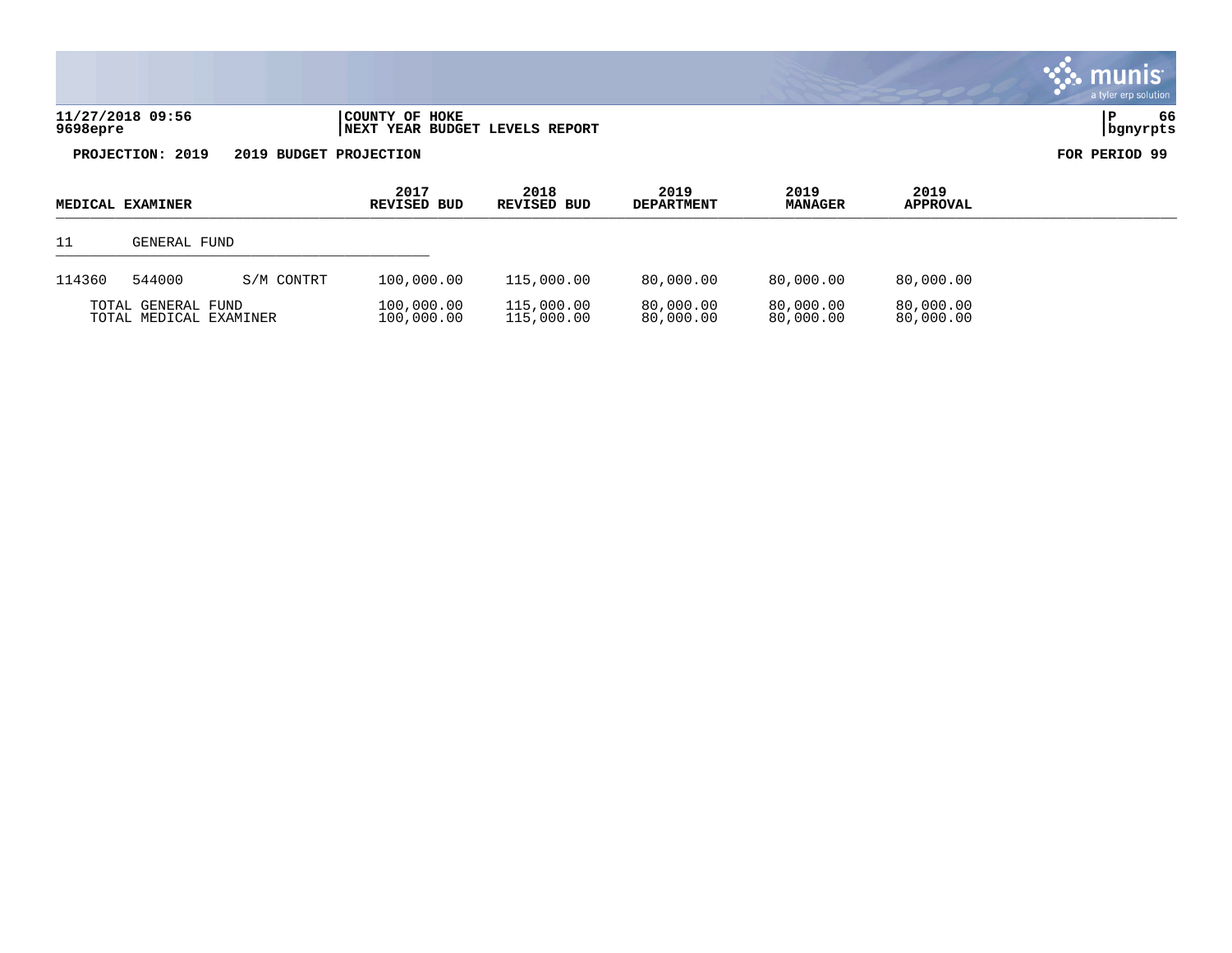| 11/27/2018 09:56 | COUNTY OF HOKE                  |          | 66 |
|------------------|---------------------------------|----------|----|
| 9698epre         | INEXT YEAR BUDGET LEVELS REPORT | bgnyrpts |    |



| <b>MEDICAL EXAMINER</b>                      |              |                          | 2017<br>REVISED BUD      | 2018<br>REVISED BUD    | 2019<br><b>DEPARTMENT</b> | 2019<br><b>MANAGER</b> | 2019<br><b>APPROVAL</b> |  |
|----------------------------------------------|--------------|--------------------------|--------------------------|------------------------|---------------------------|------------------------|-------------------------|--|
| 11                                           | GENERAL FUND |                          |                          |                        |                           |                        |                         |  |
| 114360                                       | 544000       | S/M CONTRT               | 100,000.00               | 115,000.00             | 80,000.00                 | 80,000,00              | 80,000.00               |  |
| TOTAL GENERAL FUND<br>TOTAL MEDICAL EXAMINER |              | 100,000.00<br>100,000.00 | 115,000.00<br>115,000.00 | 80,000.00<br>80,000.00 | 80,000.00<br>80,000.00    | 80,000.00<br>80,000.00 |                         |  |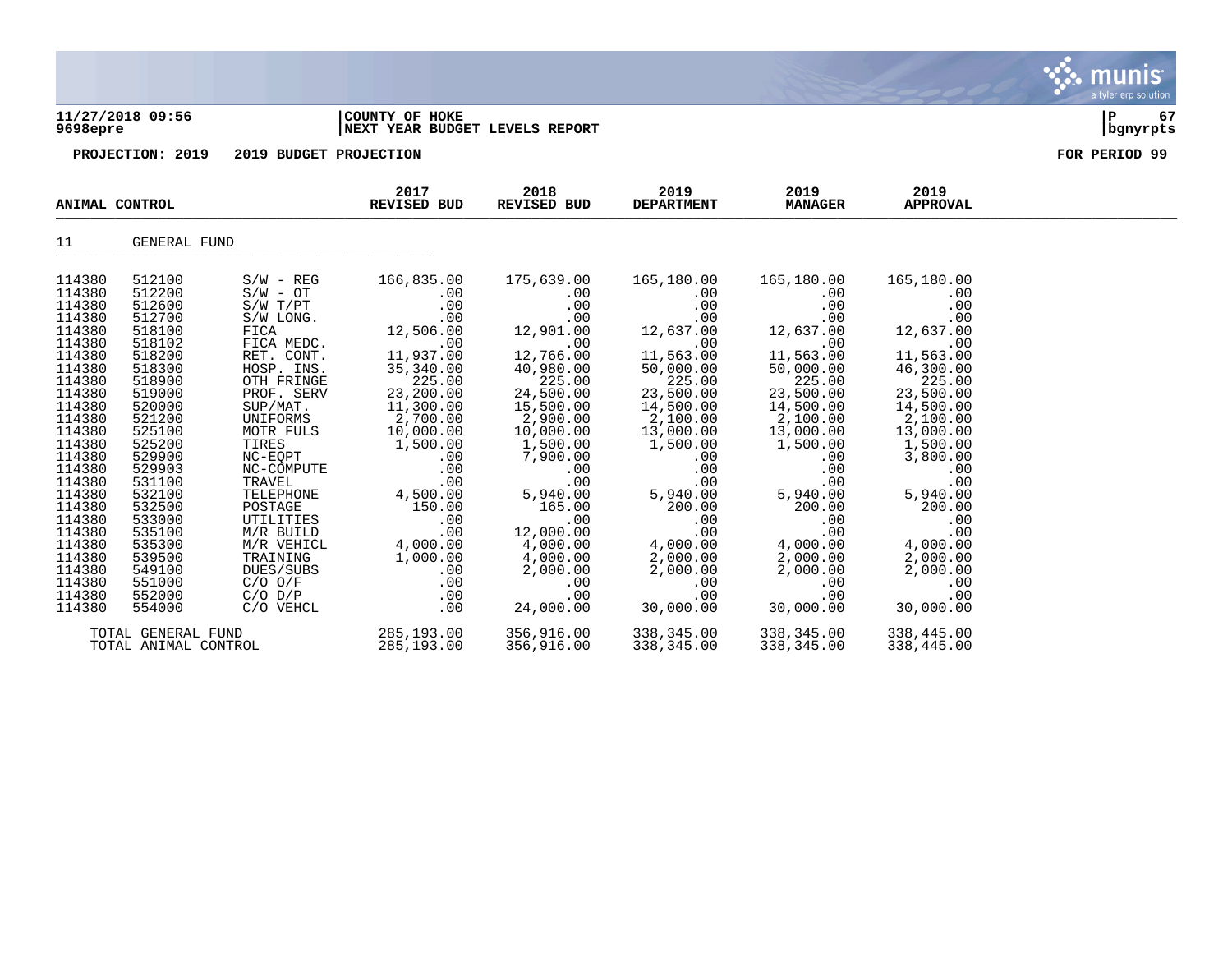### **11/27/2018 09:56 |COUNTY OF HOKE |P 67 9698epre |NEXT YEAR BUDGET LEVELS REPORT |bgnyrpts**

|                    | ANIMAL CONTROL       |                      | 2017<br><b>REVISED BUD</b> | 2018<br><b>REVISED BUD</b> | 2019<br><b>DEPARTMENT</b> | 2019<br><b>MANAGER</b> | 2019<br><b>APPROVAL</b> |  |
|--------------------|----------------------|----------------------|----------------------------|----------------------------|---------------------------|------------------------|-------------------------|--|
| 11                 | GENERAL FUND         |                      |                            |                            |                           |                        |                         |  |
| 114380             | 512100               | $S/W - REG$          | 166,835.00                 | 175,639.00                 | 165,180.00                | 165,180.00             | 165,180.00              |  |
| 114380             | 512200               | $S/W - OT$           | .00                        | .00                        | .00                       | .00                    | .00                     |  |
| 114380             | 512600               | $S/W$ $T/PT$         | .00                        | .00                        | .00                       | .00                    | .00                     |  |
| 114380             | 512700               | S/W LONG.            | .00                        | .00                        | .00                       | .00                    | .00                     |  |
| 114380<br>114380   | 518100<br>518102     | FICA<br>FICA MEDC.   | 12,506.00<br>.00           | 12,901.00<br>.00           | 12,637.00<br>.00          | 12,637.00<br>.00       | 12,637.00<br>.00        |  |
| 114380             | 518200               | RET. CONT.           | 11,937.00                  | 12,766.00                  | 11,563.00                 | 11,563.00              | 11,563.00               |  |
| 114380             | 518300               | HOSP. INS.           | 35,340.00                  | 40,980.00                  | 50,000.00                 | 50,000.00              | 46,300.00               |  |
| 114380             | 518900               | OTH FRINGE           | 225.00                     | 225.00                     | 225.00                    | 225.00                 | 225.00                  |  |
| 114380             | 519000               | PROF. SERV           | 23,200.00                  | 24,500.00                  | 23,500.00                 | 23,500.00              | 23,500.00               |  |
| 114380             | 520000               | SUP/MAT.             | 11,300.00                  | 15,500.00                  | 14,500.00                 | 14,500.00              | 14,500.00               |  |
| 114380             | 521200               | UNIFORMS             | 2,700.00                   | 2,900.00                   | 2,100.00                  | 2,100.00               | 2,100.00                |  |
| 114380             | 525100               | MOTR FULS            | 10,000.00                  | 10,000.00                  | 13,000.00                 | 13,000.00              | 13,000.00               |  |
| 114380             | 525200               | TIRES                | 1,500.00                   | 1,500.00                   | 1,500.00                  | 1,500.00               | 1,500.00                |  |
| 114380             | 529900               | NC-EQPT              | .00                        | 7,900.00                   | .00                       | .00                    | 3,800.00                |  |
| 114380<br>114380   | 529903<br>531100     | NC-COMPUTE<br>TRAVEL | .00<br>.00                 | .00                        | .00                       | .00<br>.00             | .00<br>.00              |  |
| 114380             | 532100               | TELEPHONE            | 4,500.00                   | .00<br>5,940.00            | .00<br>5,940.00           | 5,940.00               | 5,940.00                |  |
| 114380             | 532500               | POSTAGE              | 150.00                     | 165.00                     | 200.00                    | 200.00                 | 200.00                  |  |
| 114380             | 533000               | UTILITIES            | .00                        | .00                        | .00                       | .00                    | .00                     |  |
| 114380             | 535100               | M/R BUILD            | .00                        | 12,000.00                  | .00                       | .00                    | .00                     |  |
| 114380             | 535300               | M/R VEHICL           | 4,000.00                   | 4,000.00                   | 4,000.00                  | 4,000.00               | 4,000.00                |  |
| 114380             | 539500               | TRAINING             | 1,000.00                   | 4,000.00                   | 2,000.00                  | 2,000.00               | 2,000.00                |  |
| 114380             | 549100               | DUES/SUBS            | .00                        | 2,000.00                   | 2,000.00                  | 2,000.00               | 2,000.00                |  |
| 114380             | 551000               | $C/O$ $O/F$          | .00                        | .00                        | .00                       | .00                    | .00                     |  |
| 114380             | 552000               | $C/O$ $D/P$          | .00                        | .00                        | .00                       | .00                    | .00                     |  |
| 114380             | 554000               | C/O VEHCL            | .00                        | 24,000.00                  | 30,000.00                 | 30,000.00              | 30,000.00               |  |
| TOTAL GENERAL FUND |                      | 285, 193.00          | 356,916.00                 | 338,345.00                 | 338,345.00                | 338,445.00             |                         |  |
|                    | TOTAL ANIMAL CONTROL |                      | 285,193.00                 | 356,916.00                 | 338,345.00                | 338,345.00             | 338,445.00              |  |

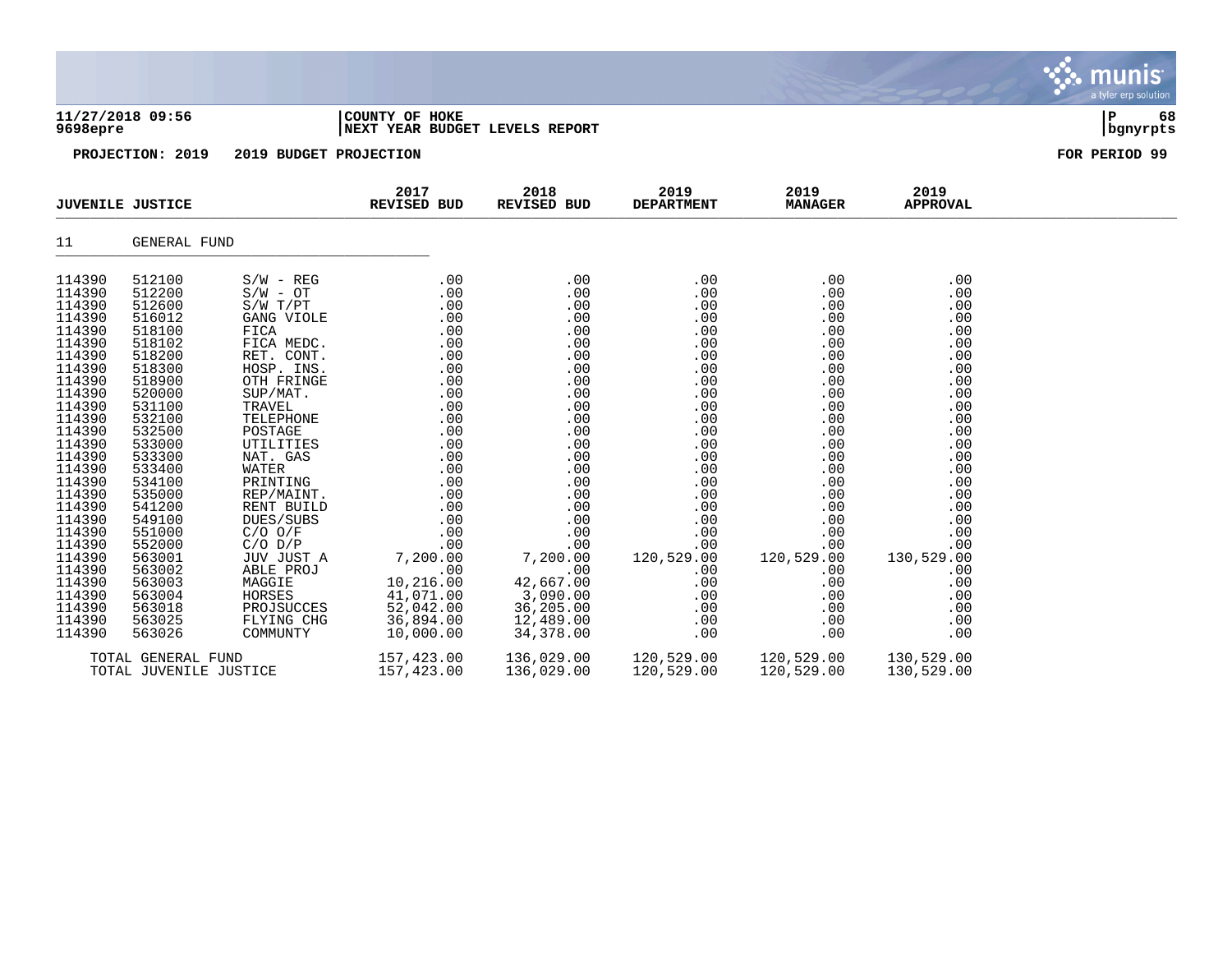| 11/27/2018 09:56<br>9698epre<br>PROJECTION: 2019                                                                                                                                                                                                                           |                                                                                                                                                                                                                                                                            | COUNTY OF HOKE<br>NEXT YEAR BUDGET LEVELS REPORT | ${\bf P}$<br>68<br>bgnyrpts                                                                                                                                                                                                                                                                                                                                                                                                                                  |                                                 |                                                                                                                                                                                                                                                  |                                                                                                                                                                                                                                                                                    |                                                                                                                                                                                                  |               |
|----------------------------------------------------------------------------------------------------------------------------------------------------------------------------------------------------------------------------------------------------------------------------|----------------------------------------------------------------------------------------------------------------------------------------------------------------------------------------------------------------------------------------------------------------------------|--------------------------------------------------|--------------------------------------------------------------------------------------------------------------------------------------------------------------------------------------------------------------------------------------------------------------------------------------------------------------------------------------------------------------------------------------------------------------------------------------------------------------|-------------------------------------------------|--------------------------------------------------------------------------------------------------------------------------------------------------------------------------------------------------------------------------------------------------|------------------------------------------------------------------------------------------------------------------------------------------------------------------------------------------------------------------------------------------------------------------------------------|--------------------------------------------------------------------------------------------------------------------------------------------------------------------------------------------------|---------------|
|                                                                                                                                                                                                                                                                            |                                                                                                                                                                                                                                                                            | 2019 BUDGET PROJECTION                           |                                                                                                                                                                                                                                                                                                                                                                                                                                                              |                                                 |                                                                                                                                                                                                                                                  |                                                                                                                                                                                                                                                                                    |                                                                                                                                                                                                  | FOR PERIOD 99 |
|                                                                                                                                                                                                                                                                            | <b>JUVENILE JUSTICE</b>                                                                                                                                                                                                                                                    |                                                  | 2017<br><b>REVISED BUD</b>                                                                                                                                                                                                                                                                                                                                                                                                                                   | 2018<br><b>REVISED BUD</b>                      | 2019<br><b>DEPARTMENT</b>                                                                                                                                                                                                                        | 2019<br><b>MANAGER</b>                                                                                                                                                                                                                                                             | 2019<br><b>APPROVAL</b>                                                                                                                                                                          |               |
| 11                                                                                                                                                                                                                                                                         | GENERAL FUND                                                                                                                                                                                                                                                               |                                                  |                                                                                                                                                                                                                                                                                                                                                                                                                                                              |                                                 |                                                                                                                                                                                                                                                  |                                                                                                                                                                                                                                                                                    |                                                                                                                                                                                                  |               |
| 114390<br>114390<br>114390<br>114390<br>114390<br>114390<br>114390<br>114390<br>114390<br>114390<br>114390<br>114390<br>114390<br>114390<br>114390<br>114390<br>114390<br>114390<br>114390<br>114390<br>114390<br>114390<br>114390<br>114390<br>114390<br>114390<br>114390 | 512100<br>512200<br>512600<br>516012<br>518100<br>518102<br>518200<br>518300<br>518900<br>520000<br>531100<br>532100<br>532500<br>533000<br>533300<br>533400<br>534100<br>535000<br>541200<br>549100<br>551000<br>552000<br>563001<br>563002<br>563003<br>563004<br>563018 |                                                  | $\begin{array}{cccc} S/W \; - \; \text{REG} & 0.00 & 0.00 \\ S/W \; - \; \text{OT} & 0.00 & 0.00 \\ S/W \; \text{T/PT} & 0.00 & 0.00 \\ \text{GANG VIOLE} & 0.0 & 0.00 \\ \text{FICA} & 0.00 & 0.00 \\ \text{FICA} & 0.00 & 0.00 \\ \text{FICA} & 0.00 & 0.00 \\ \text{RET. CONT.} & 0.00 & 0.00 \\ \text{TOR} & 0.00 & 0.00 \\ \text{OTR} & 0.00 & 0.00 \\ \text$<br>ABLE 10, 216.00<br>HORSES 41, 071.00<br>PROJSUCCES 52, 042.00<br>FLYING CHG 36, 894.00 | 42,667.00<br>3,090.00<br>36,205.00<br>12,489.00 | .00<br>.00<br>.00<br>.00<br>.00<br>.00<br>.00<br>.00<br>.00<br>.00<br>.00<br>.00<br>.00<br>.00<br>.00<br>.00<br>.00<br>.00<br>.00<br>.00<br>.00<br>.00<br>120,529.00<br>.00<br>.00<br>.00<br>.00<br>$\begin{array}{c} 0.00 \\ -0.00 \end{array}$ | .00<br>.00<br>.00<br>$\begin{array}{c} .00 \\ .00 \\ .00 \end{array}$<br>.00<br>.00<br>.00<br>$00$<br>.00<br>00<br>.00<br>.00<br>$\begin{array}{c} 0.00 \\ -0.00 \end{array}$<br>$.00\,$<br>.00<br>.00<br>.00<br>.00<br>00 .<br>00 .<br>120 , 529 , 00<br>.00<br>.00<br>.00<br>.00 | .00<br>.00<br>.00<br>.00<br>.00<br>.00<br>.00<br>.00<br>.00<br>.00<br>.00<br>.00<br>.00<br>.00<br>.00<br>.00<br>.00<br>.00<br>.00<br>.00<br>.00<br>.00<br>130,529.00<br>.00<br>.00<br>.00<br>.00 |               |
| 114390<br>114390                                                                                                                                                                                                                                                           | 563025<br>563026<br>TOTAL GENERAL FUND<br>TOTAL JUVENILE JUSTICE                                                                                                                                                                                                           | COMMUNTY                                         | 10,000.00<br>157,423.00<br>157,423.00                                                                                                                                                                                                                                                                                                                                                                                                                        | 34,378.00<br>136,029.00<br>136,029.00           | .00<br>120,529.00 120,529.00<br>120,529.00                                                                                                                                                                                                       | .00<br>.00<br>120,529.00                                                                                                                                                                                                                                                           | .00<br>.00<br>130,529.00<br>130,529.00                                                                                                                                                           |               |

**∵ munis** 

a tyler erp solution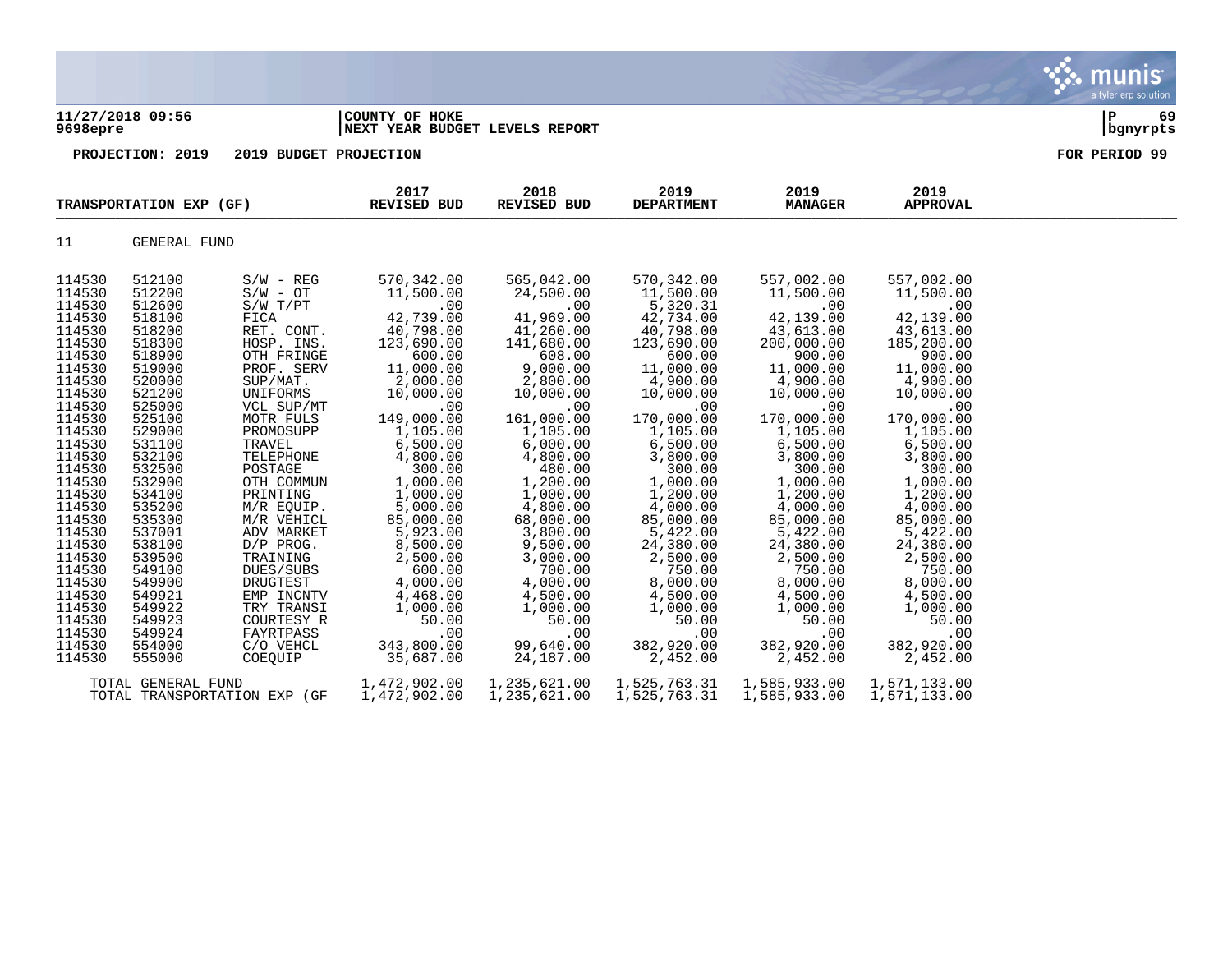|                                                                                                                                                                                                                                                                                                                    |                                                                                                                                                                                                                                                                                                                    |                                                                                                                                                                                                                                                                                                                                                                                                              |                                                                                                                                                                                                                                                                                                                                                                          |                                                                                                                                                                                                                                                                                                                                                                       |                                                                                                                                                                                                                                                                                                                                                                              |                                                                                                                                                                                                                                                                                                                                                                         |                                                                                                                                                                                                                                                                                                                                                                         | munis<br>a tyler erp solution |
|--------------------------------------------------------------------------------------------------------------------------------------------------------------------------------------------------------------------------------------------------------------------------------------------------------------------|--------------------------------------------------------------------------------------------------------------------------------------------------------------------------------------------------------------------------------------------------------------------------------------------------------------------|--------------------------------------------------------------------------------------------------------------------------------------------------------------------------------------------------------------------------------------------------------------------------------------------------------------------------------------------------------------------------------------------------------------|--------------------------------------------------------------------------------------------------------------------------------------------------------------------------------------------------------------------------------------------------------------------------------------------------------------------------------------------------------------------------|-----------------------------------------------------------------------------------------------------------------------------------------------------------------------------------------------------------------------------------------------------------------------------------------------------------------------------------------------------------------------|------------------------------------------------------------------------------------------------------------------------------------------------------------------------------------------------------------------------------------------------------------------------------------------------------------------------------------------------------------------------------|-------------------------------------------------------------------------------------------------------------------------------------------------------------------------------------------------------------------------------------------------------------------------------------------------------------------------------------------------------------------------|-------------------------------------------------------------------------------------------------------------------------------------------------------------------------------------------------------------------------------------------------------------------------------------------------------------------------------------------------------------------------|-------------------------------|
| 9698epre                                                                                                                                                                                                                                                                                                           | 11/27/2018 09:56                                                                                                                                                                                                                                                                                                   |                                                                                                                                                                                                                                                                                                                                                                                                              | COUNTY OF HOKE<br>NEXT YEAR BUDGET LEVELS REPORT                                                                                                                                                                                                                                                                                                                         | lР<br>69<br>  bgnyrpts                                                                                                                                                                                                                                                                                                                                                |                                                                                                                                                                                                                                                                                                                                                                              |                                                                                                                                                                                                                                                                                                                                                                         |                                                                                                                                                                                                                                                                                                                                                                         |                               |
|                                                                                                                                                                                                                                                                                                                    | PROJECTION: 2019                                                                                                                                                                                                                                                                                                   | 2019 BUDGET PROJECTION                                                                                                                                                                                                                                                                                                                                                                                       |                                                                                                                                                                                                                                                                                                                                                                          |                                                                                                                                                                                                                                                                                                                                                                       |                                                                                                                                                                                                                                                                                                                                                                              |                                                                                                                                                                                                                                                                                                                                                                         |                                                                                                                                                                                                                                                                                                                                                                         | FOR PERIOD 99                 |
|                                                                                                                                                                                                                                                                                                                    | TRANSPORTATION EXP (GF)                                                                                                                                                                                                                                                                                            |                                                                                                                                                                                                                                                                                                                                                                                                              | 2017<br><b>REVISED BUD</b>                                                                                                                                                                                                                                                                                                                                               | 2018<br><b>REVISED BUD</b>                                                                                                                                                                                                                                                                                                                                            | 2019<br><b>DEPARTMENT</b>                                                                                                                                                                                                                                                                                                                                                    | 2019<br><b>MANAGER</b>                                                                                                                                                                                                                                                                                                                                                  | 2019<br><b>APPROVAL</b>                                                                                                                                                                                                                                                                                                                                                 |                               |
| 11                                                                                                                                                                                                                                                                                                                 | <b>GENERAL FUND</b>                                                                                                                                                                                                                                                                                                |                                                                                                                                                                                                                                                                                                                                                                                                              |                                                                                                                                                                                                                                                                                                                                                                          |                                                                                                                                                                                                                                                                                                                                                                       |                                                                                                                                                                                                                                                                                                                                                                              |                                                                                                                                                                                                                                                                                                                                                                         |                                                                                                                                                                                                                                                                                                                                                                         |                               |
| 114530<br>114530<br>114530<br>114530<br>114530<br>114530<br>114530<br>114530<br>114530<br>114530<br>114530<br>114530<br>114530<br>114530<br>114530<br>114530<br>114530<br>114530<br>114530<br>114530<br>114530<br>114530<br>114530<br>114530<br>114530<br>114530<br>114530<br>114530<br>114530<br>114530<br>114530 | 512100<br>512200<br>512600<br>518100<br>518200<br>518300<br>518900<br>519000<br>520000<br>521200<br>525000<br>525100<br>529000<br>531100<br>532100<br>532500<br>532900<br>534100<br>535200<br>535300<br>537001<br>538100<br>539500<br>549100<br>549900<br>549921<br>549922<br>549923<br>549924<br>554000<br>555000 | $S/W - REG$<br>$S/W - OT$<br>S/W T/PT<br>FICA<br>RET. CONT.<br>HOSP. INS.<br>OTH FRINGE<br>PROF. SERV<br>SUP/MAT.<br>UNIFORMS<br>VCL SUP/MT<br>MOTR FULS<br>PROMOSUPP<br>TRAVEL<br>TELEPHONE<br>POSTAGE<br>OTH COMMUN<br>PRINTING<br>M/R EQUIP.<br>M/R VEHICL<br>ADV MARKET<br>D/P PROG.<br>TRAINING<br>DUES/SUBS<br>DRUGTEST<br>EMP INCNTV<br>TRY TRANSI<br>COURTESY R<br>FAYRTPASS<br>C/O VEHCL<br>COEOUIP | 570, 342.00<br>11,500.00<br>.00<br>42,739.00<br>40,798.00<br>123,690.00<br>600.00<br>11,000.00<br>2,000.00<br>10,000.00<br>.00<br>149,000.00<br>1,105.00<br>6,500.00<br>4,800.00<br>300.00<br>1,000.00<br>1,000.00<br>5,000.00<br>85,000.00<br>5,923.00<br>8,500.00<br>2,500.00<br>600.00<br>4,000.00<br>4,468.00<br>1,000.00<br>50.00<br>.00<br>343,800.00<br>35,687.00 | 565,042.00<br>24,500.00<br>.00<br>41,969.00<br>41,260.00<br>141,680.00<br>608.00<br>9,000.00<br>2,800.00<br>10,000.00<br>.00<br>161,000.00<br>1,105.00<br>6,000.00<br>4,800.00<br>480.00<br>1,200.00<br>1,000.00<br>4,800.00<br>68,000.00<br>3,800.00<br>9,500.00<br>3,000.00<br>700.00<br>4,000.00<br>4,500.00<br>1,000.00<br>50.00<br>.00<br>99,640.00<br>24,187.00 | 570,342.00<br>11,500.00<br>5,320.31<br>42,734.00<br>40,798.00<br>123,690.00<br>600.00<br>11,000.00<br>4,900.00<br>10,000.00<br>.00<br>170,000.00<br>1,105.00<br>6,500.00<br>3,800.00<br>300.00<br>1,000.00<br>1,200.00<br>4,000.00<br>85,000.00<br>5,422.00<br>24,380.00<br>2,500.00<br>750.00<br>8,000.00<br>4,500.00<br>1,000.00<br>50.00<br>.00<br>382,920.00<br>2,452.00 | 557,002.00<br>11,500.00<br>.00<br>42,139.00<br>43,613.00<br>200,000.00<br>900.00<br>11,000.00<br>4,900.00<br>10,000.00<br>.00<br>170,000.00<br>1,105.00<br>6,500.00<br>3,800.00<br>300.00<br>1,000.00<br>1,200.00<br>4,000.00<br>85,000.00<br>5,422.00<br>24,380.00<br>2,500.00<br>750.00<br>8,000.00<br>4,500.00<br>1,000.00<br>50.00<br>.00<br>382,920.00<br>2,452.00 | 557,002.00<br>11,500.00<br>.00<br>42,139.00<br>43,613.00<br>185,200.00<br>900.00<br>11,000.00<br>4,900.00<br>10,000.00<br>.00<br>170,000.00<br>1,105.00<br>6,500.00<br>3,800.00<br>300.00<br>1,000.00<br>1,200.00<br>4,000.00<br>85,000.00<br>5,422.00<br>24,380.00<br>2,500.00<br>750.00<br>8,000.00<br>4,500.00<br>1,000.00<br>50.00<br>.00<br>382,920.00<br>2,452.00 |                               |

TOTAL GENERAL FUND 1,472,902.00 1,235,621.00 1,525,763.31 1,585,933.00 1,571,133.00 TOTAL TRANSPORTATION EXP (GF 1,472,902.00 1,235,621.00 1,525,763.31 1,585,933.00 1,571,133.00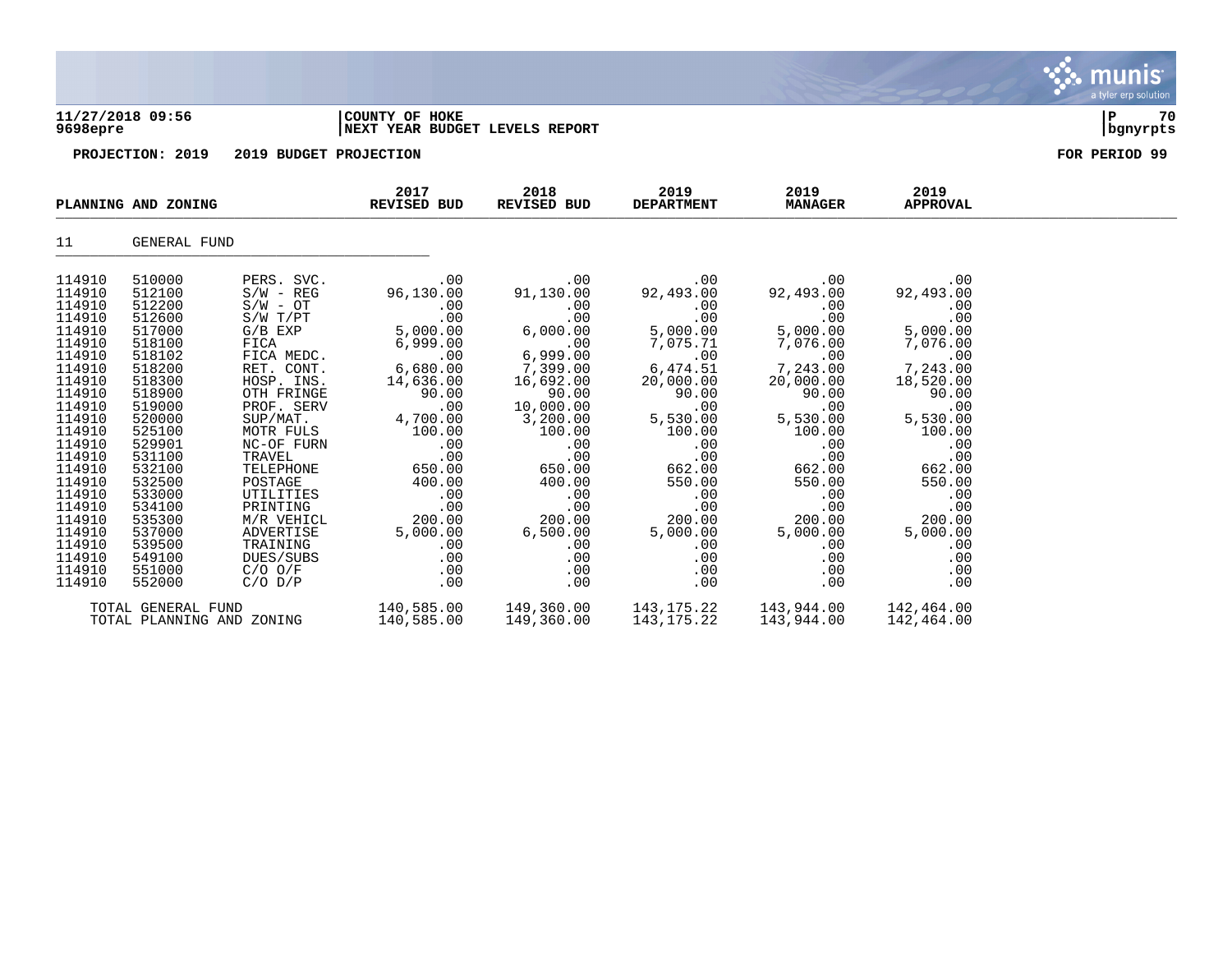| 11/27/2018 09:56<br>9698epre                                                                               |                                                                                                            | COUNTY OF HOKE<br>NEXT YEAR BUDGET LEVELS REPORT                                                                                                   |                                                                                                        |                                                                                                              |                                                                                                        |                                                                                                        |                                                                                                        |  |
|------------------------------------------------------------------------------------------------------------|------------------------------------------------------------------------------------------------------------|----------------------------------------------------------------------------------------------------------------------------------------------------|--------------------------------------------------------------------------------------------------------|--------------------------------------------------------------------------------------------------------------|--------------------------------------------------------------------------------------------------------|--------------------------------------------------------------------------------------------------------|--------------------------------------------------------------------------------------------------------|--|
|                                                                                                            | 2019 BUDGET PROJECTION<br>PROJECTION: 2019                                                                 |                                                                                                                                                    |                                                                                                        | FOR PERIOD 99                                                                                                |                                                                                                        |                                                                                                        |                                                                                                        |  |
|                                                                                                            | PLANNING AND ZONING                                                                                        |                                                                                                                                                    | 2017<br>REVISED BUD                                                                                    | 2018<br>REVISED BUD                                                                                          | 2019<br><b>DEPARTMENT</b>                                                                              | 2019<br><b>MANAGER</b>                                                                                 | 2019<br><b>APPROVAL</b>                                                                                |  |
| 11                                                                                                         | GENERAL FUND                                                                                               |                                                                                                                                                    |                                                                                                        |                                                                                                              |                                                                                                        |                                                                                                        |                                                                                                        |  |
| 114910<br>114910<br>114910<br>114910<br>114910<br>114910<br>114910<br>114910<br>114910<br>114910<br>114910 | 510000<br>512100<br>512200<br>512600<br>517000<br>518100<br>518102<br>518200<br>518300<br>518900<br>519000 | PERS. SVC.<br>$S/W - REG$<br>$S/W - OT$<br>$S/W$ $T/PT$<br>$G/B$ EXP<br>FICA<br>FICA MEDC.<br>RET. CONT.<br>HOSP. INS.<br>OTH FRINGE<br>PROF. SERV | .00<br>96,130.00<br>.00<br>.00<br>5,000.00<br>6,999.00<br>.00<br>6,680.00<br>14,636.00<br>90.00<br>.00 | .00<br>91,130.00<br>.00<br>.00<br>6,000.00<br>.00<br>6,999.00<br>7,399.00<br>16,692.00<br>90.00<br>10,000.00 | .00<br>92,493.00<br>.00<br>.00<br>5,000.00<br>7,075.71<br>.00<br>6,474.51<br>20,000.00<br>90.00<br>.00 | .00<br>92,493.00<br>.00<br>.00<br>5,000.00<br>7,076.00<br>.00<br>7,243.00<br>20,000.00<br>90.00<br>.00 | .00<br>92,493.00<br>.00<br>.00<br>5,000.00<br>7,076.00<br>.00<br>7,243.00<br>18,520.00<br>90.00<br>.00 |  |
| 114910<br>114910<br>114910<br>114910<br>114910<br>114910<br>114910<br>114910<br>114910<br>114910<br>114910 | 520000<br>525100<br>529901<br>531100<br>532100<br>532500<br>533000<br>534100<br>535300<br>537000<br>539500 | SUP/MAT.<br>MOTR FULS<br>NC-OF FURN<br>TRAVEL<br>TELEPHONE<br>POSTAGE<br>UTILITIES<br>PRINTING<br>M/R VEHICL<br>ADVERTISE<br>TRAINING              | 4,700.00<br>100.00<br>.00<br>.00<br>650.00<br>400.00<br>.00<br>.00<br>200.00<br>5,000.00<br>.00        | 3,200.00<br>100.00<br>.00<br>.00<br>650.00<br>400.00<br>.00<br>.00<br>200.00<br>6,500.00<br>.00              | 5,530.00<br>100.00<br>.00<br>.00<br>662.00<br>550.00<br>.00<br>.00<br>200.00<br>5,000.00<br>.00        | 5,530.00<br>100.00<br>.00<br>.00<br>662.00<br>550.00<br>.00<br>.00<br>200.00<br>5,000.00<br>.00        | 5,530.00<br>100.00<br>.00<br>.00<br>662.00<br>550.00<br>.00<br>.00<br>200.00<br>5,000.00<br>.00        |  |

114910 549100 DUES/SUBS .00 .00 .00 .00 .00 114910 551000 C/O O/F .00 .00 .00 .00 .00 114910 552000 C/O D/P .00 .00 .00 .00 .00

TOTAL GENERAL FUND 140,585.00 149,360.00 143,175.22 143,944.00 142,464.00

TOTAL PLANNING AND ZONING

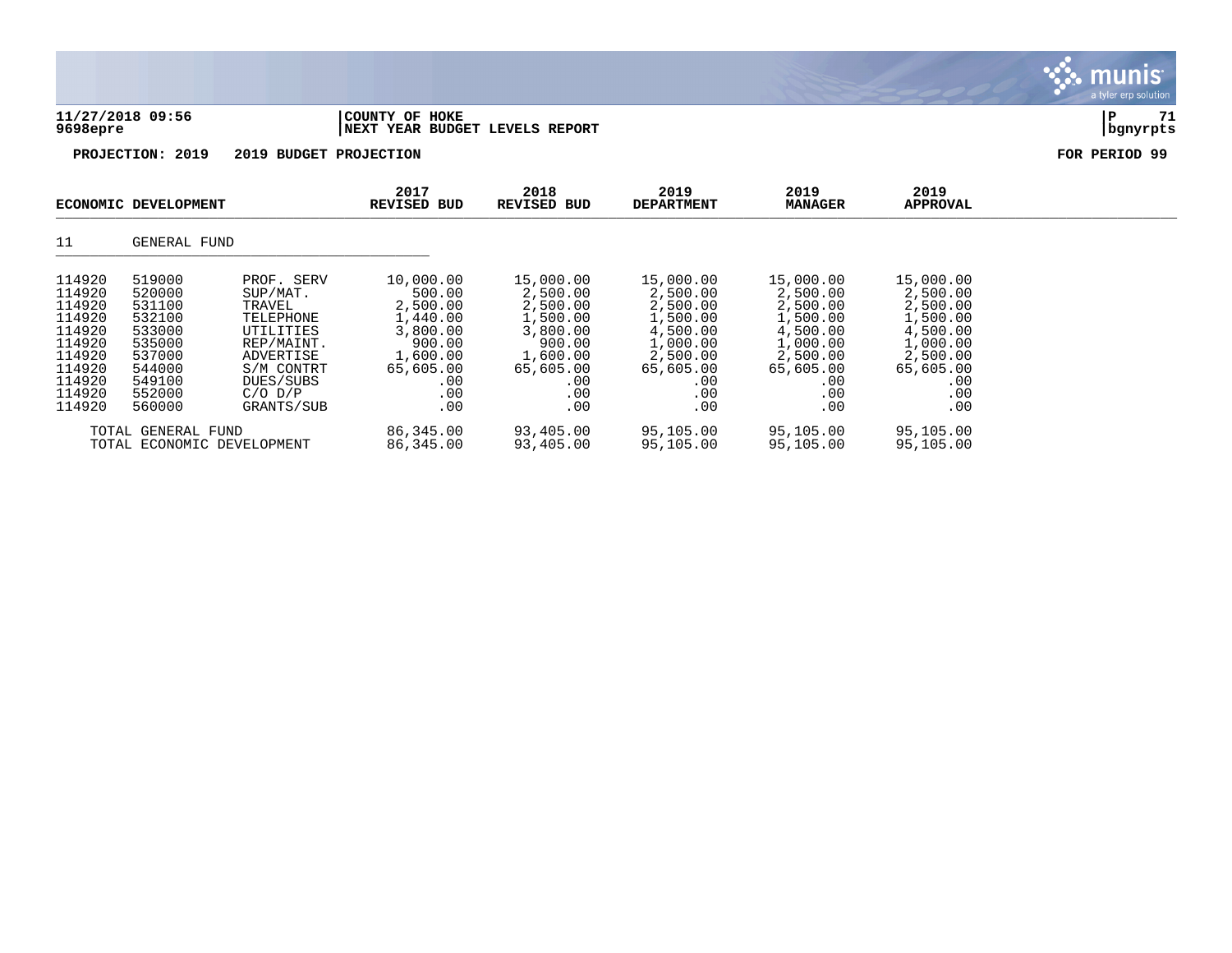|                                                          |                                                          |                                                                          |                                                                   |                                                                     |                                                                       |                                                                       |                                                                       | $\alpha$ cyclocopy contains. |  |
|----------------------------------------------------------|----------------------------------------------------------|--------------------------------------------------------------------------|-------------------------------------------------------------------|---------------------------------------------------------------------|-----------------------------------------------------------------------|-----------------------------------------------------------------------|-----------------------------------------------------------------------|------------------------------|--|
| 9698epre                                                 | 11/27/2018 09:56                                         |                                                                          | COUNTY OF HOKE<br>NEXT YEAR BUDGET LEVELS REPORT                  |                                                                     |                                                                       |                                                                       |                                                                       | P<br>71<br>bgnyrpts          |  |
| PROJECTION: 2019<br>2019 BUDGET PROJECTION               |                                                          |                                                                          |                                                                   |                                                                     | FOR PERIOD 99                                                         |                                                                       |                                                                       |                              |  |
|                                                          | ECONOMIC DEVELOPMENT                                     |                                                                          | 2017<br><b>REVISED BUD</b>                                        | 2018<br>REVISED BUD                                                 | 2019<br><b>DEPARTMENT</b>                                             | 2019<br><b>MANAGER</b>                                                | 2019<br>APPROVAL                                                      |                              |  |
| 11                                                       | GENERAL FUND                                             |                                                                          |                                                                   |                                                                     |                                                                       |                                                                       |                                                                       |                              |  |
| 114920<br>114920<br>114920<br>114920<br>114920<br>114920 | 519000<br>520000<br>531100<br>532100<br>533000<br>535000 | PROF. SERV<br>SUP/MAT.<br>TRAVEL<br>TELEPHONE<br>UTILITIES<br>REP/MAINT. | 10,000.00<br>500.00<br>2,500.00<br>1,440.00<br>3,800.00<br>900.00 | 15,000.00<br>2,500.00<br>2,500.00<br>1,500.00<br>3,800.00<br>900.00 | 15,000.00<br>2,500.00<br>2,500.00<br>1,500.00<br>4,500.00<br>1,000.00 | 15,000.00<br>2,500.00<br>2,500.00<br>1,500.00<br>4,500.00<br>1,000.00 | 15,000.00<br>2,500.00<br>2,500.00<br>1,500.00<br>4,500.00<br>1,000.00 |                              |  |

 $\mathbf{\cdot}$  munis

114920 537000 ADVERTISE 1,600.00 1,600.00 2,500.00 2,500.00 2,500.00 114920 544000 S/M CONTRT 65,605.00 65,605.00 65,605.00 65,605.00 65,605.00 114920 549100 DUES/SUBS .00 .00 .00 .00 .00 114920 552000 C/O D/P .00 .00 .00 .00 .00 114920 560000 GRANTS/SUB .00 .00 .00 .00 .00

TOTAL GENERAL FUND 86,345.00 93,405.00 95,105.00 95,105.00 95,105.00<br>TOTAL ECONOMIC DEVELOPMENT 86,345.00 93,405.00 95,105.00 95,105.00 95,105.00

TOTAL ECONOMIC DEVELOPMENT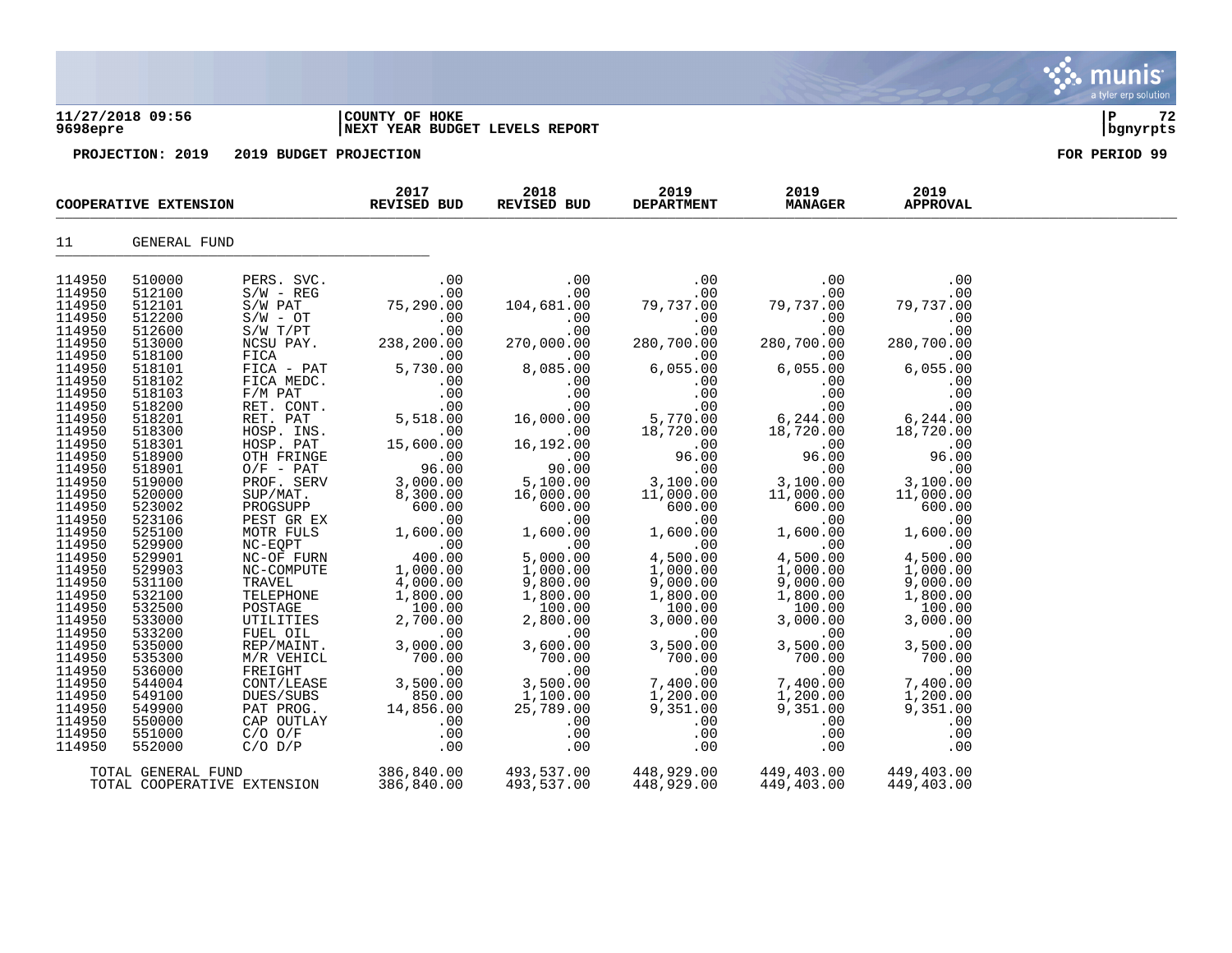| 9698epre                                |                            |                                     | NEXT YEAR BUDGET LEVELS REPORT                                              | bgnyrpts                                  |                                                   |                                            |                                      |  |
|-----------------------------------------|----------------------------|-------------------------------------|-----------------------------------------------------------------------------|-------------------------------------------|---------------------------------------------------|--------------------------------------------|--------------------------------------|--|
| PROJECTION: 2019 2019 BUDGET PROJECTION |                            |                                     |                                                                             | FOR PERIOD 99                             |                                                   |                                            |                                      |  |
| COOPERATIVE EXTENSION                   |                            |                                     | 2017<br>REVISED BUD                                                         | 2018<br>REVISED BUD                       | 2019<br><b>DEPARTMENT</b>                         | 2019<br><b>MANAGER</b>                     | 2019<br><b>APPROVAL</b>              |  |
| 11                                      | <b>GENERAL FUND</b>        |                                     |                                                                             |                                           |                                                   |                                            |                                      |  |
| 114950<br>114950                        | 510000<br>512100           | PERS. SVC.<br>$S/W - REG$           | .00<br>.00                                                                  | .00<br>.00                                | .00<br>.00                                        | .00<br>.00                                 | .00<br>.00                           |  |
| 114950<br>114950                        | 512101<br>512200<br>512600 | S/W PAT<br>$S/W - OT$               | 75, 290.00<br>.00<br>.00                                                    | 104,681.00<br>.00                         | 79,737.00<br>.00<br>.00                           | 79,737.00<br>.00<br>.00                    | 79,737.00<br>.00                     |  |
| 114950<br>114950<br>114950              | 513000<br>518100           | $S/W$ $T/PT$<br>NCSU PAY.<br>FICA   | 238,200.00                                                                  | .00<br>270,000.00<br>.00                  | 280,700.00<br>.00                                 | 280,700.00<br>.00                          | 00.<br>280,700.00<br>00.<br>6,055.00 |  |
| 114950<br>114950                        | 518101<br>518102           | FICA - PAT<br>FICA MEDC.            | $00$ .<br>5,730.00<br>.00                                                   | 8,085.00<br>.00                           | 6,055.00<br>.00                                   | 6,055.00<br>.00                            | .00                                  |  |
| 114950<br>114950<br>114950              | 518103<br>518200<br>518201 | $F/M$ PAT<br>RET. CONT.<br>RET. PAT | $\begin{array}{c} .00\ .00\ .00\ .00\ .00\ .00\ .00\ .00\ .00\ \end{array}$ | .00<br>.00                                | .00<br>.00<br>5,770.00                            | .00<br>$00$<br>00.944<br>18.720.00         |                                      |  |
| 114950<br>114950                        | 518300<br>518301           | HOSP. INS.<br>HOSP. PAT             | 15,600.00                                                                   | 16,000.00<br>00.<br>$.00 \,$<br>16,192.00 | 18,720.00<br>.00                                  | $\overline{00}$                            | .00                                  |  |
| 114950<br>114950<br>114950              | 518900<br>518901           | OTH FRINGE<br>$O/F$ - PAT           | 96.00<br>96.00                                                              | 00.<br>חח חף<br>90.00                     | 96.00<br>.00                                      | 96.00<br>$\ddot{\phantom{0}}$ .00          | 96.00<br>.00                         |  |
| 114950<br>114950                        | 519000<br>520000<br>523002 | PROF. SERV<br>SUP/MAT.<br>PROGSUPP  | 3,000.00<br>8,300.00<br>600.00                                              | 5,100.00<br>16,000.00<br>600.00           | $\overline{1}$<br>3,100.00<br>11,000.00<br>600.00 | 3,100.00<br>11,000.00<br>600.00            | 3,100.00<br>11,000.00<br>600.00      |  |
| 114950<br>114950                        | 523106<br>525100           | PEST GR EX<br>MOTR FULS             | $00$ .<br>1.600.00<br>1,600.00                                              | $1500.00$<br>00.00                        | 1500.00                                           | $1,600.00$<br>0.00<br>4,500.00<br>1.500.00 | .00<br>1,600.00                      |  |
| 114950<br>114950<br>114950              | 529900<br>529901<br>529903 | NC-EOPT<br>NC-OF FURN<br>NC-COMPUTE | .00<br>400.00<br>1,000.00                                                   | $5,000.00$<br>$1,000.00$<br>1,000.00      | .00<br>4,500.00<br>1,000.00                       | 1,000.00                                   | $\ddotsc$ 00<br>4,500.00<br>1,000.00 |  |
| 114950<br>114950                        | 531100<br>532100           | TRAVEL<br>TELEPHONE                 | 4,000.00<br>1,800.00                                                        | 9,800.00<br>1,800.00                      | 9,000.00<br>1,800.00                              | 9,000.00<br>1,800.00                       | 9,000.00<br>1,800.00                 |  |
| 114950<br>114950<br>114950              | 532500<br>533000<br>533200 | POSTAGE<br>UTILITIES<br>FUEL OIL    | 100.00<br>2,700.00<br>.00                                                   | 100.00<br>2,800.00<br>.00                 | 100.00<br>3,000.00<br>.00                         | 100.00<br>3,000.00<br>.00                  | 100.00<br>3,000.00<br>.00            |  |
| 114950<br>114950                        | 535000<br>535300           | REP/MAINT.<br>M/R VEHICL            | 3,000.00<br>700.00                                                          | 3,600.00<br>700.00                        | $3,500$<br>700.00<br>.00                          | 3,500.00<br>700.00                         | 3,500.00<br>700.00                   |  |
| 114950<br>114950                        | 536000<br>544004           | FREIGHT<br>CONT/LEASE               | $\sim 00$<br>3,500.00                                                       | .00<br>3,500.00                           | 7,400.00                                          | .00<br>7,400.00                            | .00<br>7,400.00                      |  |

114950 549100 DUES/SUBS 850.00 1,100.00 1,200.00 1,200.00 1,200.00 114950 549900 PAT PROG. 14,856.00 25,789.00 9,351.00 9,351.00 9,351.00 114950 550000 CAP OUTLAY .00 .00 .00 .00 .00 114950 551000 C/O O/F .00 .00 .00 .00 .00 114950 552000 C/O D/P .00 .00 .00 .00 .00

TOTAL GENERAL FUND 386,840.00 493,537.00 448,929.00 449,403.00 449,403.00

TOTAL COOPERATIVE EXTENSION

# **11/27/2018 09:56 |COUNTY OF HOKE |P 72**

munis a tyler erp solutior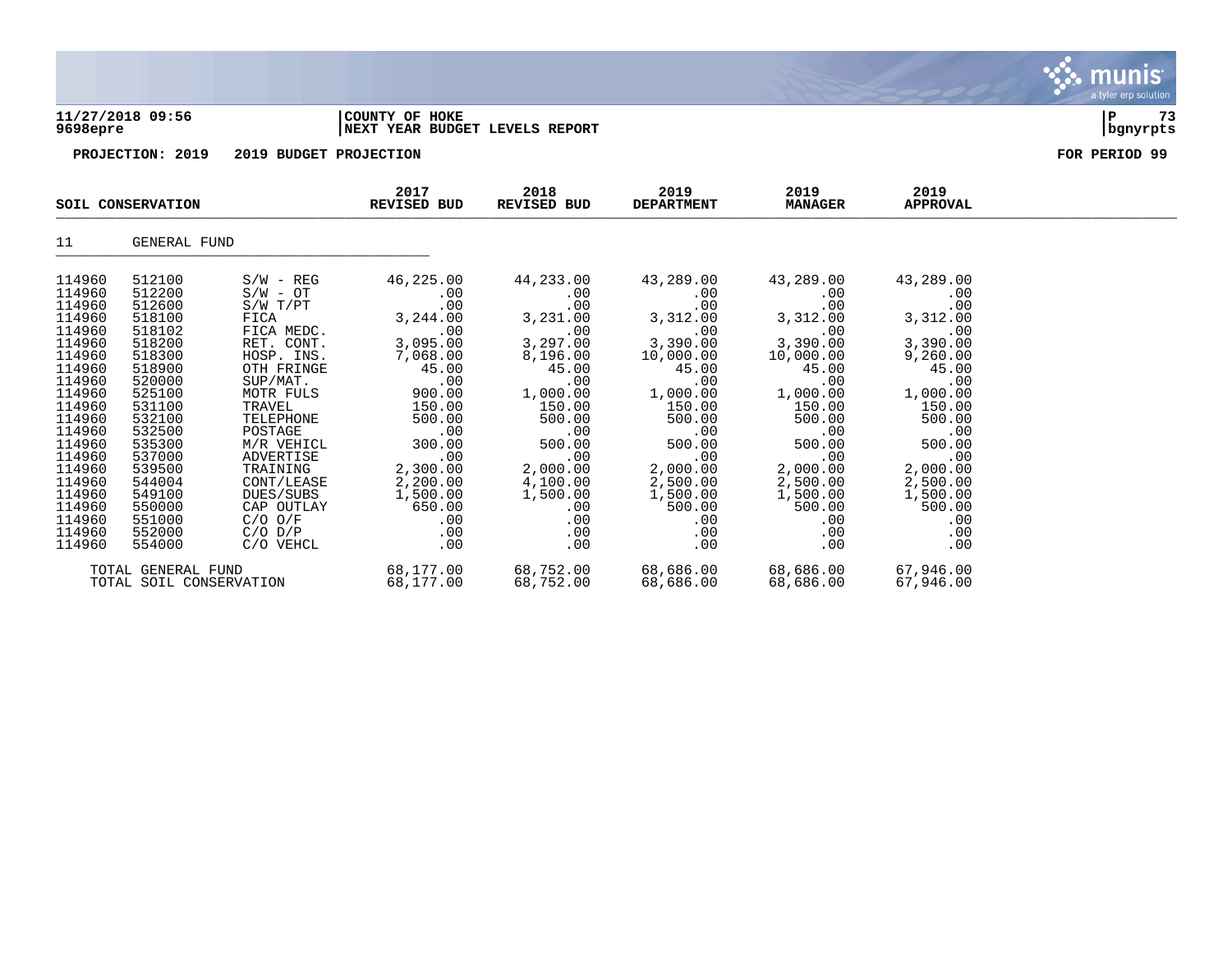

## **11/27/2018 09:56 |COUNTY OF HOKE |P 73 9698epre |NEXT YEAR BUDGET LEVELS REPORT |bgnyrpts**



|                         | SOIL CONSERVATION  |              | 2017<br>2018<br><b>REVISED BUD</b><br>REVISED BUD |           | 2019<br><b>DEPARTMENT</b>                                  | 2019<br><b>MANAGER</b>                                         | 2019<br><b>APPROVAL</b> |  |
|-------------------------|--------------------|--------------|---------------------------------------------------|-----------|------------------------------------------------------------|----------------------------------------------------------------|-------------------------|--|
| 11                      | GENERAL FUND       |              |                                                   |           |                                                            |                                                                |                         |  |
| 114960                  | 512100             | $S/W - REG$  | 46,225.00                                         | 44,233.00 | 43,289.00                                                  | 43,289.00                                                      | 43,289.00               |  |
| 114960                  | 512200             | $S/W - OT$   | .00                                               | $.00 \,$  | .00                                                        | .00                                                            | .00                     |  |
| 114960                  | 512600             | $S/W$ $T/PT$ | .00                                               | .00       | .00                                                        | .00                                                            | .00                     |  |
| 114960                  | 518100             | FICA         | 3,244.00                                          | 3,231.00  | 3,312.00                                                   | 3,312.00                                                       | 3,312.00                |  |
| 114960                  | 518102             | FICA MEDC.   | .00                                               | .00       | .00                                                        | .00                                                            | .00                     |  |
| 114960                  | 518200             | RET. CONT.   | 3,095.00                                          | 3,297.00  | 3,390.00                                                   | 3,390.00                                                       | 3,390.00                |  |
| 114960                  | 518300             | HOSP. INS.   | 7,068.00                                          | 8,196.00  | 10,000.00                                                  | 10,000.00                                                      | 9,260.00                |  |
| 114960                  | 518900             | OTH FRINGE   | 45.00                                             | 45.00     | 45.00                                                      | 45.00                                                          | 45.00                   |  |
| 114960                  | 520000             | SUP/MAT.     | .00                                               | .00       | .00                                                        | .00                                                            | .00                     |  |
| 114960                  | 525100             | MOTR FULS    | 900.00                                            | 1,000.00  | 1,000.00                                                   | 1,000.00                                                       | 1,000.00                |  |
| 114960                  | 531100             | TRAVEL       | 150.00                                            | 150.00    | 150.00                                                     | 150.00                                                         | 150.00                  |  |
| 114960                  | 532100             | TELEPHONE    | 500.00                                            | 500.00    | 500.00                                                     | 500.00                                                         | 500.00                  |  |
| 114960                  | 532500             | POSTAGE      | $\sim 00$                                         | .00       | $\begin{array}{c} \texttt{.00} \ \texttt{.00} \end{array}$ | $\begin{array}{c} \texttt{.00} \\ \texttt{500.00} \end{array}$ | $\sim 00$               |  |
| 114960                  | 535300             | M/R VEHICL   | 300.00                                            | 500.00    | 500.00                                                     |                                                                | 500.00                  |  |
| 114960                  | 537000             | ADVERTISE    | .00                                               | .00       | .00                                                        | .00                                                            | $\sim$ 00               |  |
| 114960                  | 539500             | TRAINING     | 2,300.00                                          | 2,000.00  | 2,000.00                                                   | 2,000.00                                                       | 2,000.00                |  |
| 114960                  | 544004             | CONT/LEASE   | 2,200.00                                          | 4,100.00  | 2,500.00                                                   | 2,500.00                                                       | 2,500.00                |  |
| 114960                  | 549100             | DUES/SUBS    | 1,500.00                                          | 1,500.00  | 1,500.00                                                   | 1,500.00                                                       | 1,500.00                |  |
| 114960                  | 550000             |              | CAP OUTLAY 650.00                                 | .00       | 500.00                                                     | 500.00                                                         | 500.00                  |  |
| 114960                  | 551000             | C/O O/F      | $.00 \,$                                          | $.00 \,$  | .00                                                        | $.00 \,$                                                       | .00                     |  |
| 114960                  | 552000             | $C/O$ $D/P$  | .00                                               | $.00 \,$  | .00                                                        | .00                                                            | .00                     |  |
| 114960                  | 554000             | C/O VEHCL    | .00                                               | .00       | .00                                                        | .00                                                            | .00                     |  |
|                         | TOTAL GENERAL FUND |              |                                                   |           | 68,177.00 68,752.00 68,686.00                              | 68,686.00                                                      | 67,946.00               |  |
| TOTAL SOIL CONSERVATION |                    | 68,177.00    | 68,752.00                                         | 68,686.00 | 68,686.00                                                  | 67,946.00                                                      |                         |  |

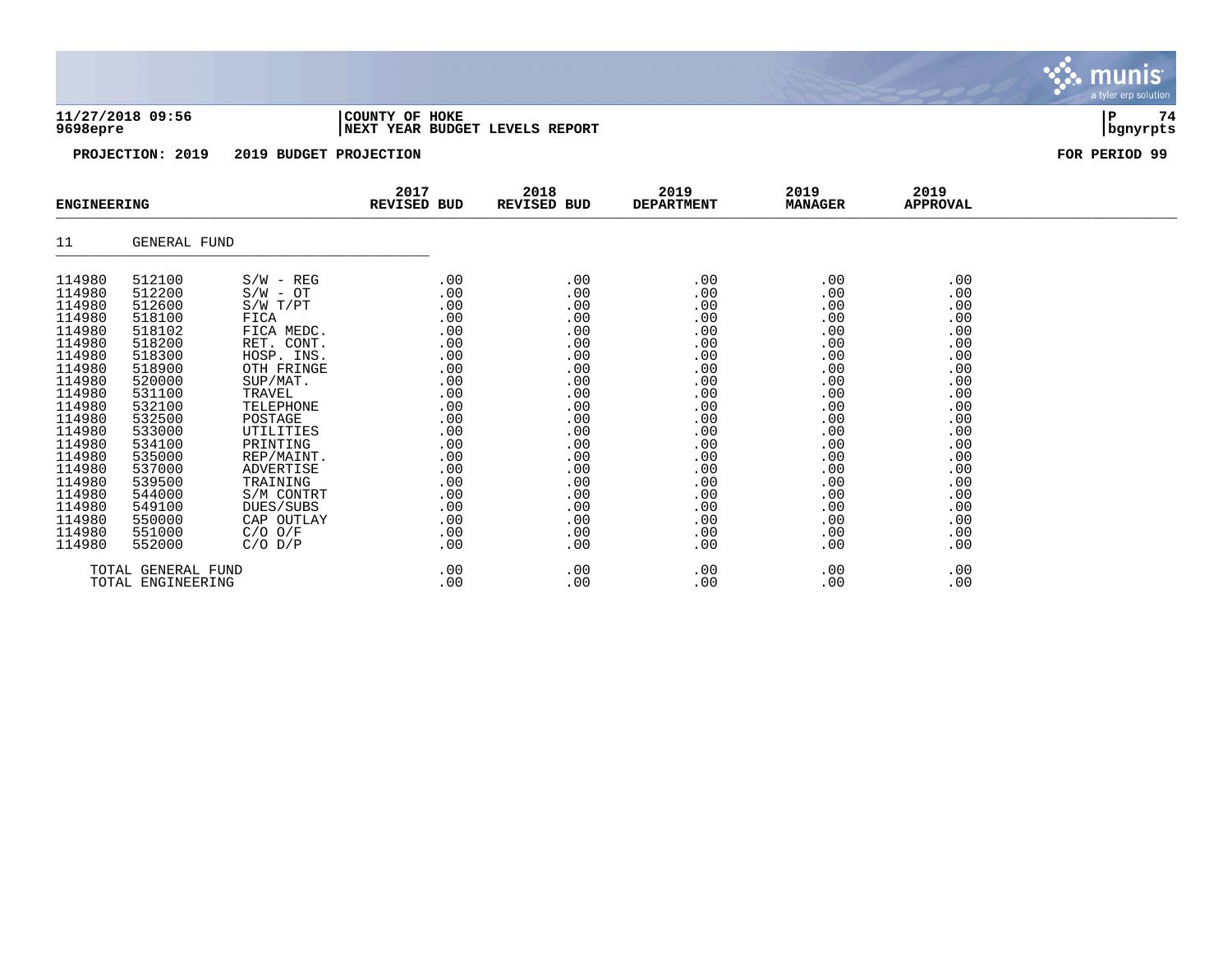### **11/27/2018 09:56 |COUNTY OF HOKE |P 74 9698epre |NEXT YEAR BUDGET LEVELS REPORT |bgnyrpts**

**PROJECTION: 2019 2019 BUDGET PROJECTION FOR PERIOD 99**

| <b>ENGINEERING</b> |                    |              | 2017<br>REVISED BUD | 2018<br>REVISED BUD | 2019<br><b>DEPARTMENT</b> | 2019<br><b>MANAGER</b> | 2019<br><b>APPROVAL</b> |  |
|--------------------|--------------------|--------------|---------------------|---------------------|---------------------------|------------------------|-------------------------|--|
| 11                 | GENERAL FUND       |              |                     |                     |                           |                        |                         |  |
| 114980             | 512100             | $S/W - REG$  | .00                 | .00                 | .00                       | .00                    | .00                     |  |
| 114980             | 512200             | $S/W - OT$   | $.00 \,$            | .00                 | $.00 \,$                  | .00                    | .00                     |  |
| 114980             | 512600             | $S/W$ $T/PT$ | $.00 \,$            | .00                 | .00                       | .00                    | .00                     |  |
| 114980             | 518100             | FICA         | .00                 | .00                 | .00                       | .00                    | .00                     |  |
| 114980             | 518102             | FICA MEDC.   | .00                 | .00                 | .00                       | .00                    | .00                     |  |
| 114980             | 518200             | RET. CONT.   | .00                 | .00                 | .00                       | .00                    | .00                     |  |
| 114980             | 518300             | HOSP. INS.   | .00                 | .00                 | .00                       | .00                    | .00                     |  |
| 114980             | 518900             | OTH FRINGE   | .00                 | .00                 | .00                       | .00                    | .00                     |  |
| 114980             | 520000             | SUP/MAT.     | .00                 | .00                 | .00                       | .00                    | .00                     |  |
| 114980             | 531100             | TRAVEL       | .00                 | .00                 | .00                       | .00                    | .00                     |  |
| 114980             | 532100             | TELEPHONE    | .00                 | .00                 | .00                       | .00                    | .00                     |  |
| 114980             | 532500             | POSTAGE      | .00                 | .00                 | .00                       | .00                    | .00                     |  |
| 114980             | 533000             | UTILITIES    | .00                 | .00                 | .00                       | .00                    | .00                     |  |
| 114980             | 534100             | PRINTING     | .00                 | .00                 | .00                       | .00                    | .00                     |  |
| 114980             | 535000             | REP/MAINT.   | .00                 | .00                 | .00                       | .00                    | .00                     |  |
| 114980             | 537000             | ADVERTISE    | .00                 | .00                 | .00                       | .00                    | .00                     |  |
| 114980             | 539500             | TRAINING     | .00                 | .00                 | .00                       | .00                    | .00                     |  |
| 114980             | 544000             | S/M CONTRT   | .00                 | .00                 | .00                       | .00                    | .00                     |  |
| 114980             | 549100             | DUES/SUBS    | .00                 | .00                 | .00                       | .00                    | .00                     |  |
| 114980             | 550000             | CAP OUTLAY   | .00                 | .00                 | .00                       | .00                    | .00                     |  |
| 114980             | 551000             | $C/O$ $O/F$  | .00                 | .00                 | .00                       | .00                    | .00                     |  |
| 114980             | 552000             | $C/O$ $D/P$  | .00                 | .00                 | .00                       | .00                    | .00                     |  |
|                    | TOTAL GENERAL FUND |              | .00                 | .00                 | .00                       | .00                    | .00                     |  |
|                    | TOTAL ENGINEERING  |              | .00                 | .00                 | .00                       | .00                    | .00                     |  |

munis a tyler erp solution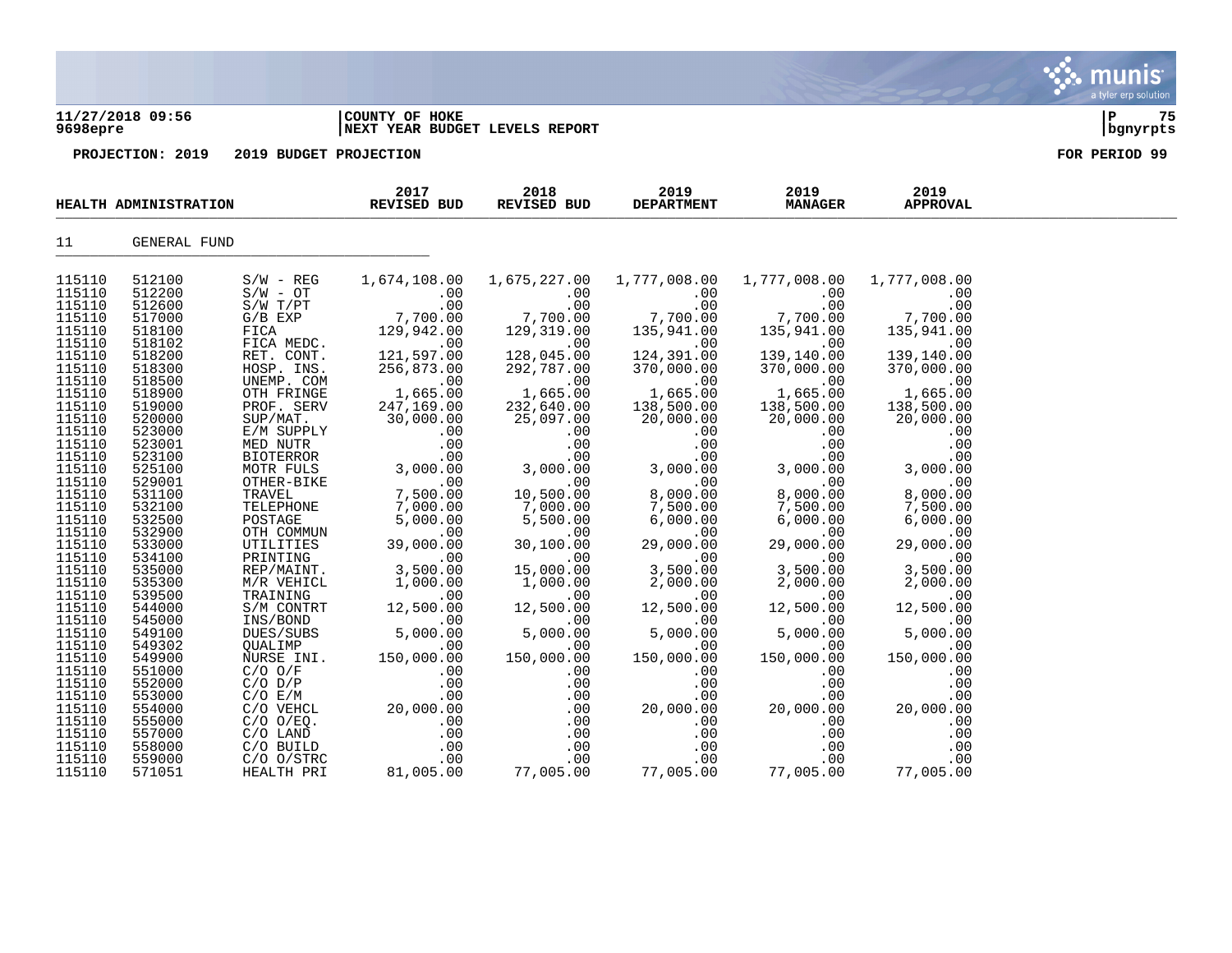### **11/27/2018 09:56 |COUNTY OF HOKE |P 75 9698epre |NEXT YEAR BUDGET LEVELS REPORT |bgnyrpts**

**PROJECTION: 2019 2019 BUDGET PROJECTION FOR PERIOD 99**

|                  | HEALTH ADMINISTRATION |                                                                                                                                                                                                                                              | 2017<br>REVISED BUD                                                                                                                                                                                                                           | 2018<br>REVISED BUD                          | 2019<br><b>DEPARTMENT</b>                                                                                                                                | 2019<br><b>MANAGER</b>                                                                                                                                                                                                                                                     | 2019<br><b>APPROVAL</b>                                                                        |  |
|------------------|-----------------------|----------------------------------------------------------------------------------------------------------------------------------------------------------------------------------------------------------------------------------------------|-----------------------------------------------------------------------------------------------------------------------------------------------------------------------------------------------------------------------------------------------|----------------------------------------------|----------------------------------------------------------------------------------------------------------------------------------------------------------|----------------------------------------------------------------------------------------------------------------------------------------------------------------------------------------------------------------------------------------------------------------------------|------------------------------------------------------------------------------------------------|--|
| 11               | GENERAL FUND          |                                                                                                                                                                                                                                              |                                                                                                                                                                                                                                               |                                              |                                                                                                                                                          |                                                                                                                                                                                                                                                                            |                                                                                                |  |
| 115110           | 512100                | $S/W - REG$                                                                                                                                                                                                                                  |                                                                                                                                                                                                                                               | 1,674,108.00    1,675,227.00    1,777,008.00 |                                                                                                                                                          | 1,777,008.00                                                                                                                                                                                                                                                               | 1,777,008.00                                                                                   |  |
| 115110           | 512200                | S/W - REG<br>S/W - OT<br>S/W T/PT<br>G/B EXP<br>FICA<br>FICA MEDC<br>RET. CONT<br>HOSP. INS<br>UNEMP. CC<br>UNEMP. CC                                                                                                                        | 5/W - OT<br>S/W T/PT 00 00<br>G/B EXP 7,700.00 7,700.00<br>FICA 129,942.00 129,319.00<br>FICA 129,942.00 129,319.00<br>RET. CONT. 121,597.00 128,045.00<br>RET. TWE 356,597.00 128,045.00                                                     |                                              |                                                                                                                                                          | $\begin{bmatrix} .00 & 1, 77, 000.00 & 0.00 & 0.00 & 0.00 & 0.00 & 0.00 & 0.00 & 0.00 & 0.00 & 0.00 & 0.00 & 0.00 & 0.00 & 0.00 & 0.00 & 0.00 & 0.00 & 0.00 & 0.00 & 0.00 & 0.00 & 0.00 & 0.00 & 0.00 & 0.00 & 0.00 & 0.00 & 0.00 & 0.00 & 0.00 & 0.00 & 0.00 & 0.00 & 0.$ |                                                                                                |  |
| 115110           | 512600                |                                                                                                                                                                                                                                              |                                                                                                                                                                                                                                               |                                              |                                                                                                                                                          |                                                                                                                                                                                                                                                                            |                                                                                                |  |
| 115110           | 517000                |                                                                                                                                                                                                                                              |                                                                                                                                                                                                                                               |                                              |                                                                                                                                                          |                                                                                                                                                                                                                                                                            |                                                                                                |  |
| 115110           | 518100                |                                                                                                                                                                                                                                              |                                                                                                                                                                                                                                               |                                              |                                                                                                                                                          |                                                                                                                                                                                                                                                                            |                                                                                                |  |
| 115110           | 518102                |                                                                                                                                                                                                                                              |                                                                                                                                                                                                                                               |                                              |                                                                                                                                                          |                                                                                                                                                                                                                                                                            |                                                                                                |  |
| 115110           | 518200                |                                                                                                                                                                                                                                              |                                                                                                                                                                                                                                               |                                              |                                                                                                                                                          |                                                                                                                                                                                                                                                                            |                                                                                                |  |
| 115110           | 518300                |                                                                                                                                                                                                                                              |                                                                                                                                                                                                                                               |                                              |                                                                                                                                                          |                                                                                                                                                                                                                                                                            |                                                                                                |  |
| 115110           | 518500                |                                                                                                                                                                                                                                              | FIGRE MELT.<br>CONT. 121, 597.00 128, 045.00<br>HOSP. INS. 256, 873.00 292, 787.00<br>UNEMPLOM (1.65.00 1, 665.00<br>PROF. SERV 247, 169.00 232, 640.00<br>SUP/MATT. 30, 000.00 25, 097.00<br>MED NUTR .00 .00<br>MED NUTR .00 .00 .00<br>MED |                                              | $170,000.00$<br>$1,665.00$<br>$138,500.00$<br>$20,000.00$                                                                                                | $\frac{1370,000.00}{0.00} \ \frac{1}{370,000.00} \ \frac{1}{138,500.00} \ \frac{138,500.00}{20,000.00}$                                                                                                                                                                    | $\frac{370,000.00}{000.00}$<br>00.00<br>1,665.00<br>138,500.00                                 |  |
| 115110           | 518900                |                                                                                                                                                                                                                                              |                                                                                                                                                                                                                                               |                                              |                                                                                                                                                          |                                                                                                                                                                                                                                                                            |                                                                                                |  |
| 115110           | 519000                |                                                                                                                                                                                                                                              |                                                                                                                                                                                                                                               |                                              |                                                                                                                                                          |                                                                                                                                                                                                                                                                            |                                                                                                |  |
| 115110           | 520000                |                                                                                                                                                                                                                                              |                                                                                                                                                                                                                                               |                                              |                                                                                                                                                          |                                                                                                                                                                                                                                                                            | 20,000.00                                                                                      |  |
| 115110           | 523000                |                                                                                                                                                                                                                                              |                                                                                                                                                                                                                                               |                                              |                                                                                                                                                          |                                                                                                                                                                                                                                                                            |                                                                                                |  |
| 115110           | 523001                |                                                                                                                                                                                                                                              |                                                                                                                                                                                                                                               |                                              |                                                                                                                                                          |                                                                                                                                                                                                                                                                            |                                                                                                |  |
| 115110           | 523100                |                                                                                                                                                                                                                                              |                                                                                                                                                                                                                                               |                                              |                                                                                                                                                          |                                                                                                                                                                                                                                                                            |                                                                                                |  |
| 115110           | 525100                |                                                                                                                                                                                                                                              |                                                                                                                                                                                                                                               |                                              |                                                                                                                                                          |                                                                                                                                                                                                                                                                            |                                                                                                |  |
| 115110           | 529001                |                                                                                                                                                                                                                                              |                                                                                                                                                                                                                                               |                                              |                                                                                                                                                          |                                                                                                                                                                                                                                                                            |                                                                                                |  |
| 115110           | 531100                |                                                                                                                                                                                                                                              |                                                                                                                                                                                                                                               |                                              |                                                                                                                                                          |                                                                                                                                                                                                                                                                            |                                                                                                |  |
| 115110           | 532100                |                                                                                                                                                                                                                                              |                                                                                                                                                                                                                                               |                                              |                                                                                                                                                          |                                                                                                                                                                                                                                                                            |                                                                                                |  |
| 115110           | 532500                |                                                                                                                                                                                                                                              |                                                                                                                                                                                                                                               |                                              |                                                                                                                                                          |                                                                                                                                                                                                                                                                            |                                                                                                |  |
| 115110           | 532900                |                                                                                                                                                                                                                                              |                                                                                                                                                                                                                                               |                                              |                                                                                                                                                          |                                                                                                                                                                                                                                                                            |                                                                                                |  |
| 115110           | 533000                |                                                                                                                                                                                                                                              |                                                                                                                                                                                                                                               |                                              |                                                                                                                                                          |                                                                                                                                                                                                                                                                            |                                                                                                |  |
| 115110           | 534100                |                                                                                                                                                                                                                                              |                                                                                                                                                                                                                                               |                                              |                                                                                                                                                          |                                                                                                                                                                                                                                                                            |                                                                                                |  |
| 115110           | 535000                |                                                                                                                                                                                                                                              |                                                                                                                                                                                                                                               |                                              |                                                                                                                                                          |                                                                                                                                                                                                                                                                            |                                                                                                |  |
| 115110           | 535300                |                                                                                                                                                                                                                                              |                                                                                                                                                                                                                                               |                                              |                                                                                                                                                          |                                                                                                                                                                                                                                                                            |                                                                                                |  |
| 115110<br>115110 | 539500<br>544000      |                                                                                                                                                                                                                                              |                                                                                                                                                                                                                                               |                                              |                                                                                                                                                          |                                                                                                                                                                                                                                                                            |                                                                                                |  |
| 115110           | 545000                |                                                                                                                                                                                                                                              |                                                                                                                                                                                                                                               |                                              |                                                                                                                                                          |                                                                                                                                                                                                                                                                            |                                                                                                |  |
| 115110           | 549100                |                                                                                                                                                                                                                                              |                                                                                                                                                                                                                                               |                                              | $\begin{array}{r} 3\, ,500\, .00\ 2\, ,000\, .00\ 0\, 12\, ,500\, .00\ 12\, ,500\, .00\ 5\, ,000\, .00\ 150\, ,000\, .00\ 150\, ,000\, .00\ \end{array}$ |                                                                                                                                                                                                                                                                            | $\begin{array}{r} 3,500.00\ 2,000.00\ 12,500.00\ 12,500.00\ 5,000.00\ 150,000.00\ \end{array}$ |  |
| 115110           | 549302                |                                                                                                                                                                                                                                              |                                                                                                                                                                                                                                               |                                              |                                                                                                                                                          |                                                                                                                                                                                                                                                                            |                                                                                                |  |
| 115110           | 549900                |                                                                                                                                                                                                                                              |                                                                                                                                                                                                                                               |                                              |                                                                                                                                                          | 00.<br>150,000.00                                                                                                                                                                                                                                                          |                                                                                                |  |
| 115110           | 551000                |                                                                                                                                                                                                                                              |                                                                                                                                                                                                                                               |                                              |                                                                                                                                                          |                                                                                                                                                                                                                                                                            |                                                                                                |  |
| 115110           | 552000                |                                                                                                                                                                                                                                              |                                                                                                                                                                                                                                               |                                              |                                                                                                                                                          |                                                                                                                                                                                                                                                                            |                                                                                                |  |
| 115110           | 553000                |                                                                                                                                                                                                                                              |                                                                                                                                                                                                                                               |                                              |                                                                                                                                                          |                                                                                                                                                                                                                                                                            |                                                                                                |  |
| 115110           | 554000                |                                                                                                                                                                                                                                              |                                                                                                                                                                                                                                               |                                              |                                                                                                                                                          |                                                                                                                                                                                                                                                                            |                                                                                                |  |
| 115110           | 555000                |                                                                                                                                                                                                                                              |                                                                                                                                                                                                                                               |                                              |                                                                                                                                                          |                                                                                                                                                                                                                                                                            |                                                                                                |  |
| 115110           | 557000                |                                                                                                                                                                                                                                              |                                                                                                                                                                                                                                               |                                              |                                                                                                                                                          |                                                                                                                                                                                                                                                                            |                                                                                                |  |
| 115110           | 558000                |                                                                                                                                                                                                                                              |                                                                                                                                                                                                                                               |                                              |                                                                                                                                                          |                                                                                                                                                                                                                                                                            |                                                                                                |  |
| 115110           | 559000                |                                                                                                                                                                                                                                              |                                                                                                                                                                                                                                               |                                              |                                                                                                                                                          |                                                                                                                                                                                                                                                                            |                                                                                                |  |
| 115110           | 571051                | 0 11 COMMUN 3 39,000.00<br>PRINTING 39,000.00 30,100.00<br>REP/MAINT. 3,500.00 15,000.00<br>M/R VEHICL 1,000.00 15,000.00<br>TRAINING .00 15,000.00<br>S/M CONTRT 12,500.00 12,500.00<br>S/M CONTRT 12,500.00 12,500.00<br>DUES/SUBS 5,000.0 |                                                                                                                                                                                                                                               |                                              |                                                                                                                                                          |                                                                                                                                                                                                                                                                            |                                                                                                |  |

munis a tyler erp solution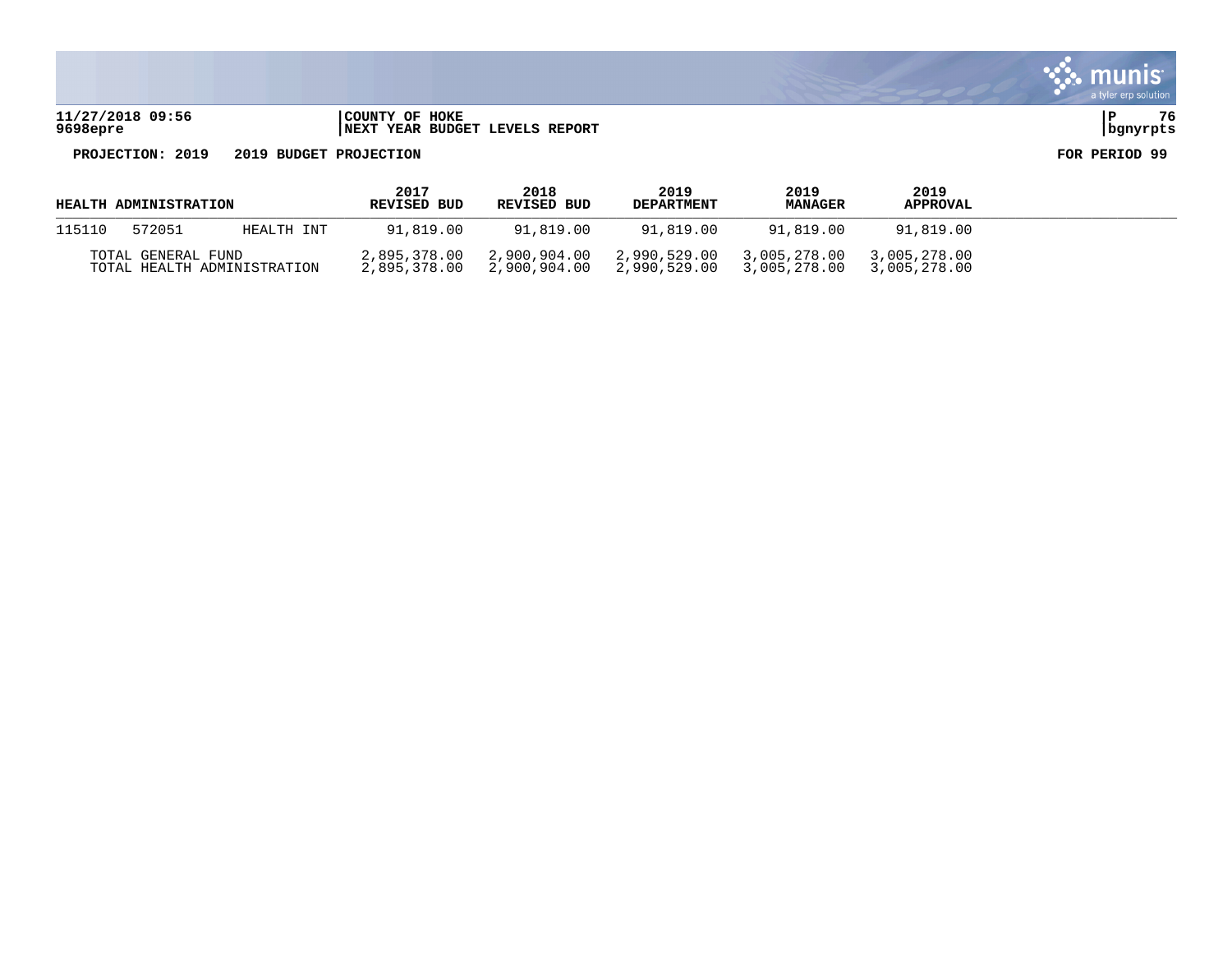**11/27/2018 09:56 |COUNTY OF HOKE |P 76 9698epre |NEXT YEAR BUDGET LEVELS REPORT |bgnyrpts**

| <b>HEALTH ADMINISTRATION</b> |                    |                             | 2017<br><b>REVISED BUD</b> | 2018<br><b>REVISED BUD</b>                             | 2019<br><b>DEPARTMENT</b>                              | 2019<br><b>MANAGER</b> | 2019<br><b>APPROVAL</b>      |  |
|------------------------------|--------------------|-----------------------------|----------------------------|--------------------------------------------------------|--------------------------------------------------------|------------------------|------------------------------|--|
| 115110                       | 572051             | HEALTH INT                  | 91,819.00                  | 91,819.00                                              | 91,819.00                                              | 91,819.00              | 91,819.00                    |  |
|                              | TOTAL GENERAL FUND | TOTAL HEALTH ADMINISTRATION |                            | 2,895,378.00 2,900,904.00<br>2,895,378.00 2,900,904.00 | 2,990,529.00 3,005,278.00<br>2,990,529.00 3,005,278.00 |                        | 3,005,278.00<br>3,005,278.00 |  |

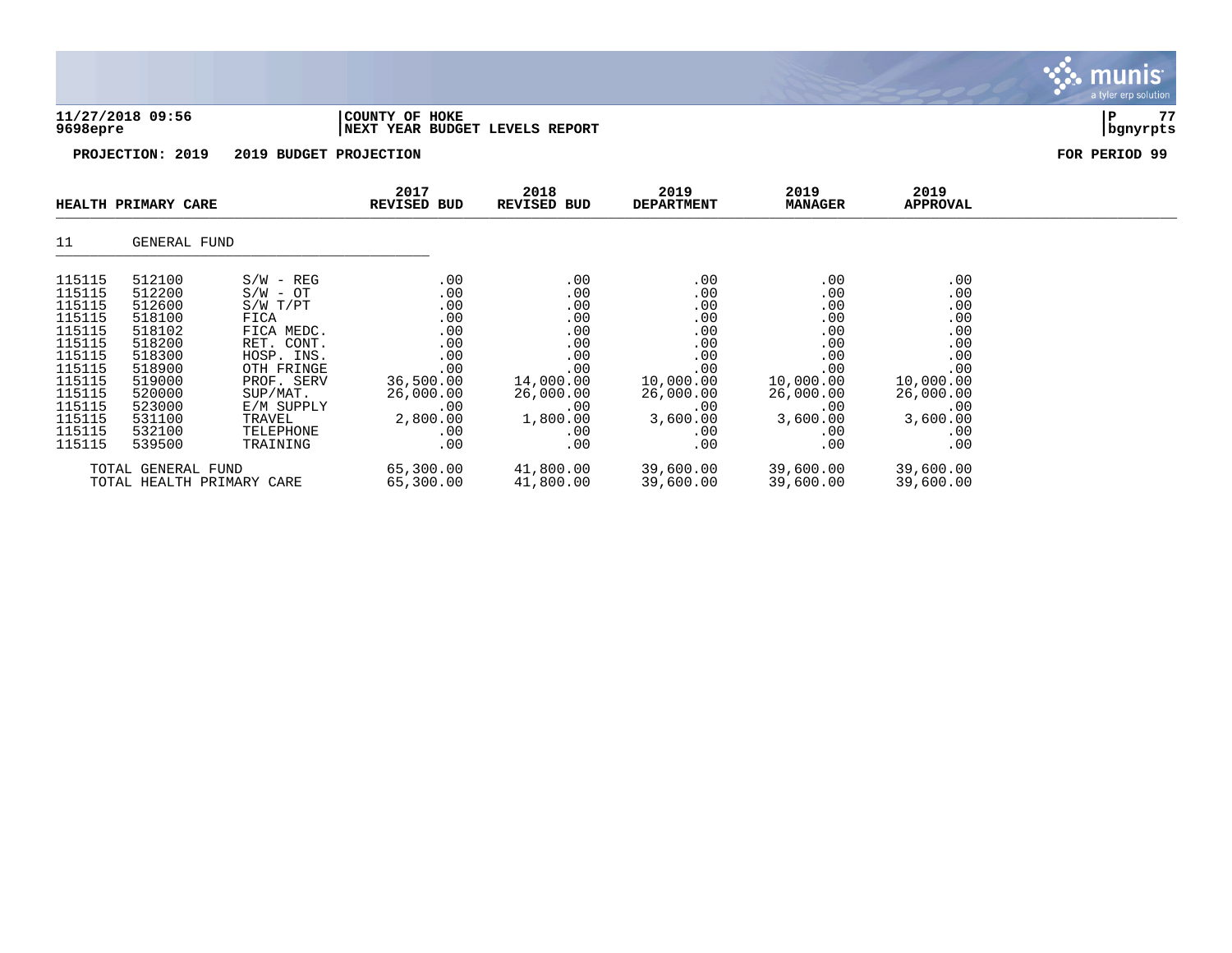| 9698epre                                                                                                                                 | 11/27/2018 09:56                                                                                                                         | COUNTY OF HOKE<br>NEXT YEAR BUDGET LEVELS REPORT                                                                                                                                     |                                                                                                                 |                                                                                                                 |                                                                                                                             |                                                                                                                 | 77<br>P<br>bgnyrpts                                                                                             |               |
|------------------------------------------------------------------------------------------------------------------------------------------|------------------------------------------------------------------------------------------------------------------------------------------|--------------------------------------------------------------------------------------------------------------------------------------------------------------------------------------|-----------------------------------------------------------------------------------------------------------------|-----------------------------------------------------------------------------------------------------------------|-----------------------------------------------------------------------------------------------------------------------------|-----------------------------------------------------------------------------------------------------------------|-----------------------------------------------------------------------------------------------------------------|---------------|
|                                                                                                                                          | PROJECTION: 2019                                                                                                                         | 2019 BUDGET PROJECTION                                                                                                                                                               |                                                                                                                 |                                                                                                                 |                                                                                                                             |                                                                                                                 |                                                                                                                 | FOR PERIOD 99 |
|                                                                                                                                          | HEALTH PRIMARY CARE                                                                                                                      |                                                                                                                                                                                      | 2017<br><b>REVISED BUD</b>                                                                                      | 2018<br>REVISED BUD                                                                                             | 2019<br><b>DEPARTMENT</b>                                                                                                   | 2019<br><b>MANAGER</b>                                                                                          | 2019<br>APPROVAL                                                                                                |               |
| 11                                                                                                                                       | GENERAL FUND                                                                                                                             |                                                                                                                                                                                      |                                                                                                                 |                                                                                                                 |                                                                                                                             |                                                                                                                 |                                                                                                                 |               |
| 115115<br>115115<br>115115<br>115115<br>115115<br>115115<br>115115<br>115115<br>115115<br>115115<br>115115<br>115115<br>115115<br>115115 | 512100<br>512200<br>512600<br>518100<br>518102<br>518200<br>518300<br>518900<br>519000<br>520000<br>523000<br>531100<br>532100<br>539500 | $S/W - REG$<br>$S/W - OT$<br>$S/W$ $T/PT$<br>FICA<br>FICA MEDC.<br>RET. CONT.<br>HOSP. INS.<br>OTH FRINGE<br>PROF. SERV<br>SUP/MAT.<br>E/M SUPPLY<br>TRAVEL<br>TELEPHONE<br>TRAINING | .00<br>.00<br>.00<br>.00<br>.00<br>.00<br>.00<br>.00<br>36,500.00<br>26,000.00<br>.00<br>2,800.00<br>.00<br>.00 | .00<br>.00<br>.00<br>.00<br>.00<br>.00<br>.00<br>.00<br>14,000.00<br>26,000.00<br>.00<br>1,800.00<br>.00<br>.00 | $.00 \ \,$<br>.00<br>.00<br>.00<br>.00<br>.00<br>.00<br>.00<br>10,000.00<br>26,000.00<br>.00<br>3,600.00<br>$.00 \,$<br>.00 | .00<br>.00<br>.00<br>.00<br>.00<br>.00<br>.00<br>.00<br>10,000.00<br>26,000.00<br>.00<br>3,600.00<br>.00<br>.00 | .00<br>.00<br>.00<br>.00<br>.00<br>.00<br>.00<br>.00<br>10,000.00<br>26,000.00<br>.00<br>3,600.00<br>.00<br>.00 |               |
|                                                                                                                                          | $T$ הווזה זגמהוהיה זגת                                                                                                                   |                                                                                                                                                                                      | CE 200 00                                                                                                       | 11 000 00                                                                                                       | 20 COO OO                                                                                                                   | 20 COO OO                                                                                                       | 20 COO OO                                                                                                       |               |

 $\ddot{\mathbf{w}}$  munis

TOTAL GENERAL FUND 65,300.00 41,800.00 39,600.00 39,600.00 39,600.00 TOTAL HEALTH PRIMARY CARE 65,300.00 41,800.00 39,600.00 39,600.00 39,600.00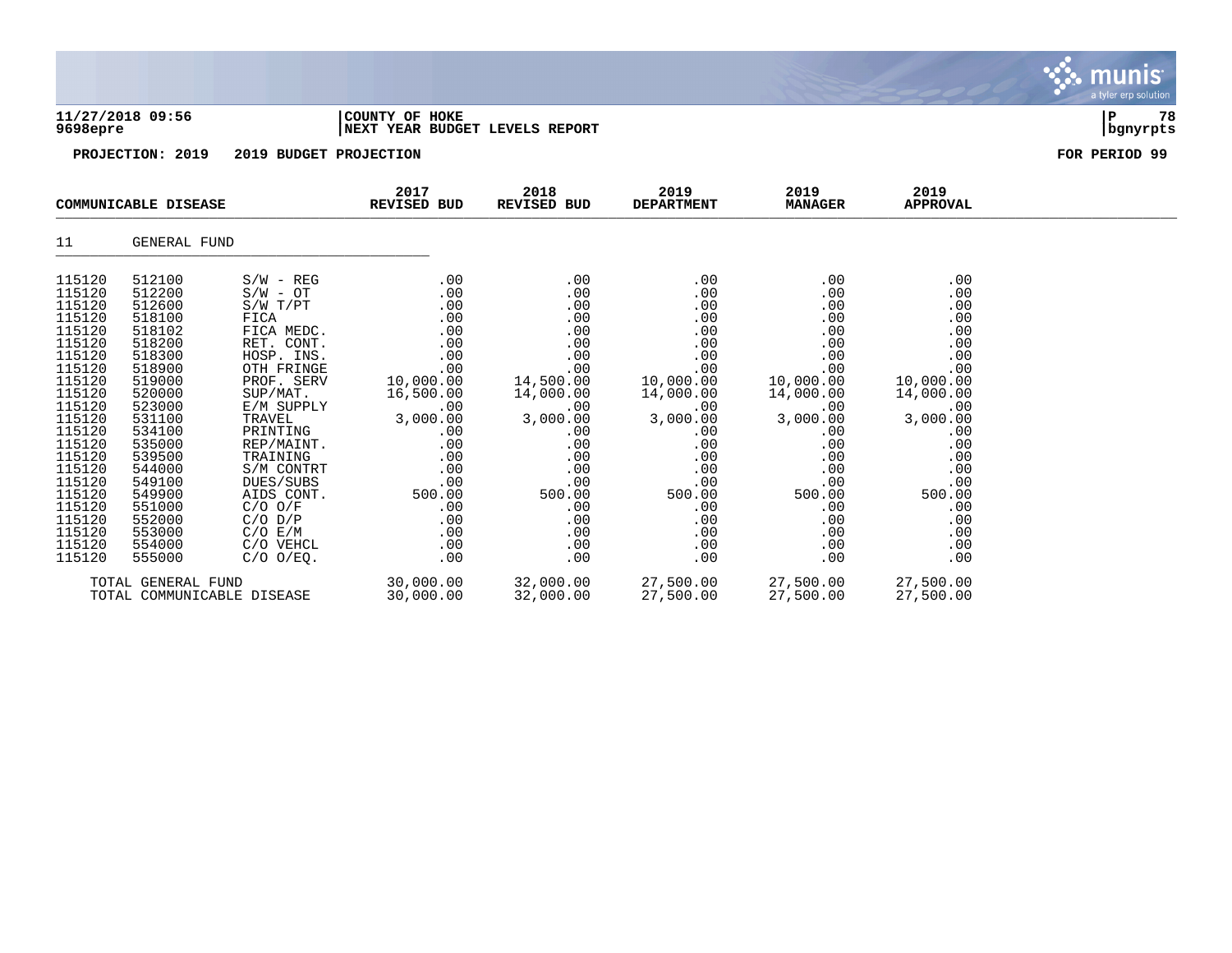|                                                                                                                                                                                                                                    |                                                                                                                                                                                                                                    |                                                                                                                                                                                                                                                                                                                |                                                                                                                                                                                   |                                                                                                                                                                                   |                                                                                                                                                                                   |                                                                                                                                                                                   |                                                                                                                                                                                   | munis<br>a tyler erp solution |
|------------------------------------------------------------------------------------------------------------------------------------------------------------------------------------------------------------------------------------|------------------------------------------------------------------------------------------------------------------------------------------------------------------------------------------------------------------------------------|----------------------------------------------------------------------------------------------------------------------------------------------------------------------------------------------------------------------------------------------------------------------------------------------------------------|-----------------------------------------------------------------------------------------------------------------------------------------------------------------------------------|-----------------------------------------------------------------------------------------------------------------------------------------------------------------------------------|-----------------------------------------------------------------------------------------------------------------------------------------------------------------------------------|-----------------------------------------------------------------------------------------------------------------------------------------------------------------------------------|-----------------------------------------------------------------------------------------------------------------------------------------------------------------------------------|-------------------------------|
| 9698epre                                                                                                                                                                                                                           | 11/27/2018 09:56                                                                                                                                                                                                                   |                                                                                                                                                                                                                                                                                                                | COUNTY OF HOKE<br>NEXT YEAR BUDGET LEVELS REPORT                                                                                                                                  |                                                                                                                                                                                   |                                                                                                                                                                                   |                                                                                                                                                                                   |                                                                                                                                                                                   | P<br>78<br>  bgnyrpts         |
|                                                                                                                                                                                                                                    | PROJECTION: 2019                                                                                                                                                                                                                   | 2019 BUDGET PROJECTION                                                                                                                                                                                                                                                                                         |                                                                                                                                                                                   |                                                                                                                                                                                   |                                                                                                                                                                                   |                                                                                                                                                                                   |                                                                                                                                                                                   | FOR PERIOD 99                 |
|                                                                                                                                                                                                                                    | COMMUNICABLE DISEASE                                                                                                                                                                                                               |                                                                                                                                                                                                                                                                                                                | 2017<br>REVISED BUD                                                                                                                                                               | 2018<br>REVISED BUD                                                                                                                                                               | 2019<br><b>DEPARTMENT</b>                                                                                                                                                         | 2019<br><b>MANAGER</b>                                                                                                                                                            | 2019<br><b>APPROVAL</b>                                                                                                                                                           |                               |
| 11                                                                                                                                                                                                                                 | GENERAL FUND                                                                                                                                                                                                                       |                                                                                                                                                                                                                                                                                                                |                                                                                                                                                                                   |                                                                                                                                                                                   |                                                                                                                                                                                   |                                                                                                                                                                                   |                                                                                                                                                                                   |                               |
| 115120<br>115120<br>115120<br>115120<br>115120<br>115120<br>115120<br>115120<br>115120<br>115120<br>115120<br>115120<br>115120<br>115120<br>115120<br>115120<br>115120<br>115120<br>115120<br>115120<br>115120<br>115120<br>115120 | 512100<br>512200<br>512600<br>518100<br>518102<br>518200<br>518300<br>518900<br>519000<br>520000<br>523000<br>531100<br>534100<br>535000<br>539500<br>544000<br>549100<br>549900<br>551000<br>552000<br>553000<br>554000<br>555000 | $S/W - REG$<br>$S/W - OT$<br>S/W T/PT<br>FICA<br>FICA MEDC.<br>RET. CONT.<br>HOSP. INS.<br>OTH FRINGE<br>PROF. SERV<br>SUP/MAT.<br>E/M SUPPLY<br>TRAVEL<br>PRINTING<br>REP/MAINT.<br>TRAINING<br>S/M CONTRT<br>DUES/SUBS<br>AIDS CONT.<br>$C/O$ $O/F$<br>$C/O$ $D/P$<br>C/O E/M<br>C/O VEHCL<br>$C/O$ $O/EO$ . | .00<br>.00<br>.00<br>.00<br>.00<br>.00<br>.00<br>.00<br>10,000.00<br>16,500.00<br>.00<br>3,000.00<br>.00<br>.00<br>.00<br>.00<br>.00<br>500.00<br>.00<br>.00<br>.00<br>.00<br>.00 | .00<br>.00<br>.00<br>.00<br>.00<br>.00<br>.00<br>.00<br>14,500.00<br>14,000.00<br>.00<br>3,000.00<br>.00<br>.00<br>.00<br>.00<br>.00<br>500.00<br>.00<br>.00<br>.00<br>.00<br>.00 | .00<br>.00<br>.00<br>.00<br>.00<br>.00<br>.00<br>.00<br>10,000.00<br>14,000.00<br>.00<br>3,000.00<br>.00<br>.00<br>.00<br>.00<br>.00<br>500.00<br>.00<br>.00<br>.00<br>.00<br>.00 | .00<br>.00<br>.00<br>.00<br>.00<br>.00<br>.00<br>.00<br>10,000.00<br>14,000.00<br>.00<br>3,000.00<br>.00<br>.00<br>.00<br>.00<br>.00<br>500.00<br>.00<br>.00<br>.00<br>.00<br>.00 | .00<br>.00<br>.00<br>.00<br>.00<br>.00<br>.00<br>.00<br>10,000.00<br>14,000.00<br>.00<br>3,000.00<br>.00<br>.00<br>.00<br>.00<br>.00<br>500.00<br>.00<br>.00<br>.00<br>.00<br>.00 |                               |
|                                                                                                                                                                                                                                    | TOTAL GENERAL FUND<br>TOTAL COMMUNICABLE DISEASE                                                                                                                                                                                   |                                                                                                                                                                                                                                                                                                                | 30,000.00<br>30,000.00                                                                                                                                                            | 32,000.00<br>32,000.00                                                                                                                                                            | 27,500.00<br>27,500.00                                                                                                                                                            | 27,500.00<br>27,500.00                                                                                                                                                            | 27,500.00<br>27,500.00                                                                                                                                                            |                               |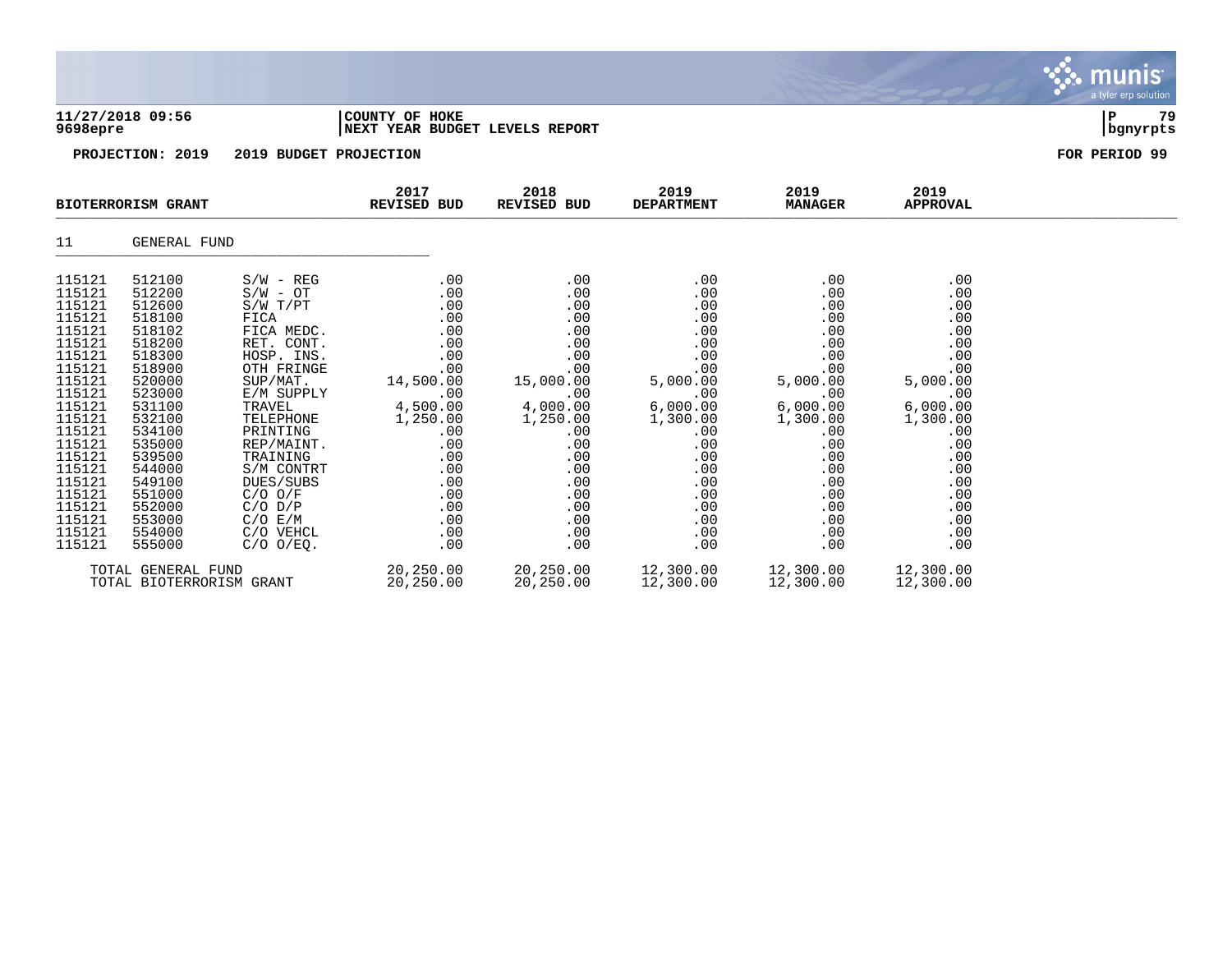|                                                                                                                                                                                                                          |                                                                                                                                                                                                                          |                                                                                                                                                                                                                                                                                                 |                                                                                                                                                                        |                                                                                                                                                                        |                                                                                                                                                                       |                                                                                                                                                                       |                                                                                                                                                                       | munis <sup>.</sup><br>a tyler erp solution |
|--------------------------------------------------------------------------------------------------------------------------------------------------------------------------------------------------------------------------|--------------------------------------------------------------------------------------------------------------------------------------------------------------------------------------------------------------------------|-------------------------------------------------------------------------------------------------------------------------------------------------------------------------------------------------------------------------------------------------------------------------------------------------|------------------------------------------------------------------------------------------------------------------------------------------------------------------------|------------------------------------------------------------------------------------------------------------------------------------------------------------------------|-----------------------------------------------------------------------------------------------------------------------------------------------------------------------|-----------------------------------------------------------------------------------------------------------------------------------------------------------------------|-----------------------------------------------------------------------------------------------------------------------------------------------------------------------|--------------------------------------------|
| 9698epre                                                                                                                                                                                                                 | 11/27/2018 09:56                                                                                                                                                                                                         |                                                                                                                                                                                                                                                                                                 | COUNTY OF HOKE<br>NEXT YEAR BUDGET LEVELS REPORT                                                                                                                       |                                                                                                                                                                        |                                                                                                                                                                       |                                                                                                                                                                       |                                                                                                                                                                       | 79<br>ΙP<br>bgnyrpts                       |
|                                                                                                                                                                                                                          | PROJECTION: 2019                                                                                                                                                                                                         | 2019 BUDGET PROJECTION                                                                                                                                                                                                                                                                          |                                                                                                                                                                        |                                                                                                                                                                        |                                                                                                                                                                       |                                                                                                                                                                       |                                                                                                                                                                       | FOR PERIOD 99                              |
|                                                                                                                                                                                                                          | <b>BIOTERRORISM GRANT</b>                                                                                                                                                                                                |                                                                                                                                                                                                                                                                                                 | 2017<br><b>REVISED BUD</b>                                                                                                                                             | 2018<br>REVISED BUD                                                                                                                                                    | 2019<br><b>DEPARTMENT</b>                                                                                                                                             | 2019<br><b>MANAGER</b>                                                                                                                                                | 2019<br><b>APPROVAL</b>                                                                                                                                               |                                            |
| 11                                                                                                                                                                                                                       | <b>GENERAL FUND</b>                                                                                                                                                                                                      |                                                                                                                                                                                                                                                                                                 |                                                                                                                                                                        |                                                                                                                                                                        |                                                                                                                                                                       |                                                                                                                                                                       |                                                                                                                                                                       |                                            |
| 115121<br>115121<br>115121<br>115121<br>115121<br>115121<br>115121<br>115121<br>115121<br>115121<br>115121<br>115121<br>115121<br>115121<br>115121<br>115121<br>115121<br>115121<br>115121<br>115121<br>115121<br>115121 | 512100<br>512200<br>512600<br>518100<br>518102<br>518200<br>518300<br>518900<br>520000<br>523000<br>531100<br>532100<br>534100<br>535000<br>539500<br>544000<br>549100<br>551000<br>552000<br>553000<br>554000<br>555000 | $S/W - REG$<br>$S/W - OT$<br>S/W T/PT<br>FICA<br>FICA MEDC.<br>RET. CONT.<br>HOSP. INS.<br>OTH FRINGE<br>SUP/MAT.<br>E/M SUPPLY<br>TRAVEL<br>TELEPHONE<br>PRINTING<br>REP/MAINT.<br>TRAINING<br>S/M CONTRT<br>DUES/SUBS<br>$C/O$ $O/F$<br>$C/O$ $D/P$<br>C/O E/M<br>C/O VEHCL<br>$C/O$ $O/EQ$ . | .00<br>.00<br>.00<br>.00<br>.00<br>.00<br>.00<br>.00<br>14,500.00<br>.00<br>4,500.00<br>1,250.00<br>.00<br>.00<br>.00<br>.00<br>.00<br>.00<br>.00<br>.00<br>.00<br>.00 | .00<br>.00<br>.00<br>.00<br>.00<br>.00<br>.00<br>.00<br>15,000.00<br>.00<br>4,000.00<br>1,250.00<br>.00<br>.00<br>.00<br>.00<br>.00<br>.00<br>.00<br>.00<br>.00<br>.00 | .00<br>.00<br>.00<br>.00<br>.00<br>.00<br>.00<br>.00<br>5,000.00<br>.00<br>6,000.00<br>1,300.00<br>.00<br>.00<br>.00<br>.00<br>.00<br>.00<br>.00<br>.00<br>.00<br>.00 | .00<br>.00<br>.00<br>.00<br>.00<br>.00<br>.00<br>.00<br>5,000.00<br>.00<br>6,000.00<br>1,300.00<br>.00<br>.00<br>.00<br>.00<br>.00<br>.00<br>.00<br>.00<br>.00<br>.00 | .00<br>.00<br>.00<br>.00<br>.00<br>.00<br>.00<br>.00<br>5,000.00<br>.00<br>6,000.00<br>1,300.00<br>.00<br>.00<br>.00<br>.00<br>.00<br>.00<br>.00<br>.00<br>.00<br>.00 |                                            |
|                                                                                                                                                                                                                          | TOTAL GENERAL FUND                                                                                                                                                                                                       |                                                                                                                                                                                                                                                                                                 | 20,250.00                                                                                                                                                              | 20,250.00                                                                                                                                                              | 12,300.00                                                                                                                                                             | 12,300.00                                                                                                                                                             | 12,300.00                                                                                                                                                             |                                            |

TOTAL BIOTERRORISM GRANT 20,250.00 20,250.00 12,300.00 12,300.00 12,300.00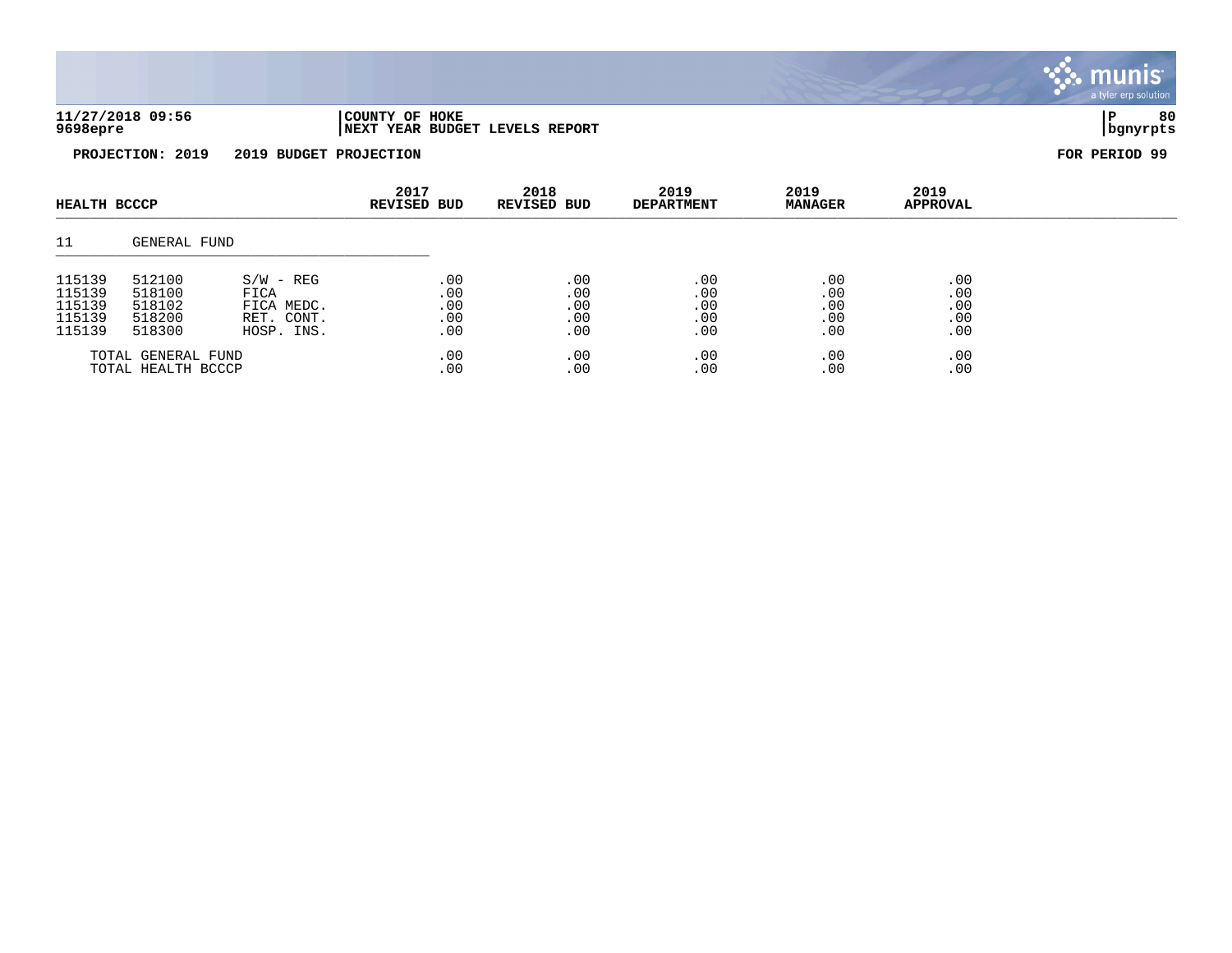

|                    | HEALTH BCCCP |             |     |     | 40 L I<br><b>REVISED BUD</b> | ∠∪⊥⊙<br><b>REVISED BUD</b> | 40 L J<br><b>DEPARTMENT</b> | 40 L J<br><b>MANAGER</b> | 40 L.J<br>APPROVAL |  |  |  |
|--------------------|--------------|-------------|-----|-----|------------------------------|----------------------------|-----------------------------|--------------------------|--------------------|--|--|--|
| 11                 | GENERAL FUND |             |     |     |                              |                            |                             |                          |                    |  |  |  |
| 115139             | 512100       | $S/W - REG$ | .00 | .00 | .00                          | .00                        | .00                         |                          |                    |  |  |  |
| 115139             | 518100       | FICA        | .00 | .00 | $.00 \,$                     | .00                        | .00                         |                          |                    |  |  |  |
| 115139             | 518102       | FICA MEDC.  | .00 | .00 | .00                          | .00                        | .00                         |                          |                    |  |  |  |
| 115139             | 518200       | RET. CONT.  | .00 | .00 | .00                          | .00                        | .00                         |                          |                    |  |  |  |
| 115139             | 518300       | HOSP. INS.  | .00 | .00 | .00                          | .00                        | .00                         |                          |                    |  |  |  |
| TOTAL GENERAL FUND |              | .00         | .00 | .00 | .00                          | .00                        |                             |                          |                    |  |  |  |
| TOTAL HEALTH BCCCP |              | .00         | .00 | .00 | .00                          | .00                        |                             |                          |                    |  |  |  |

munis a tyler erp solution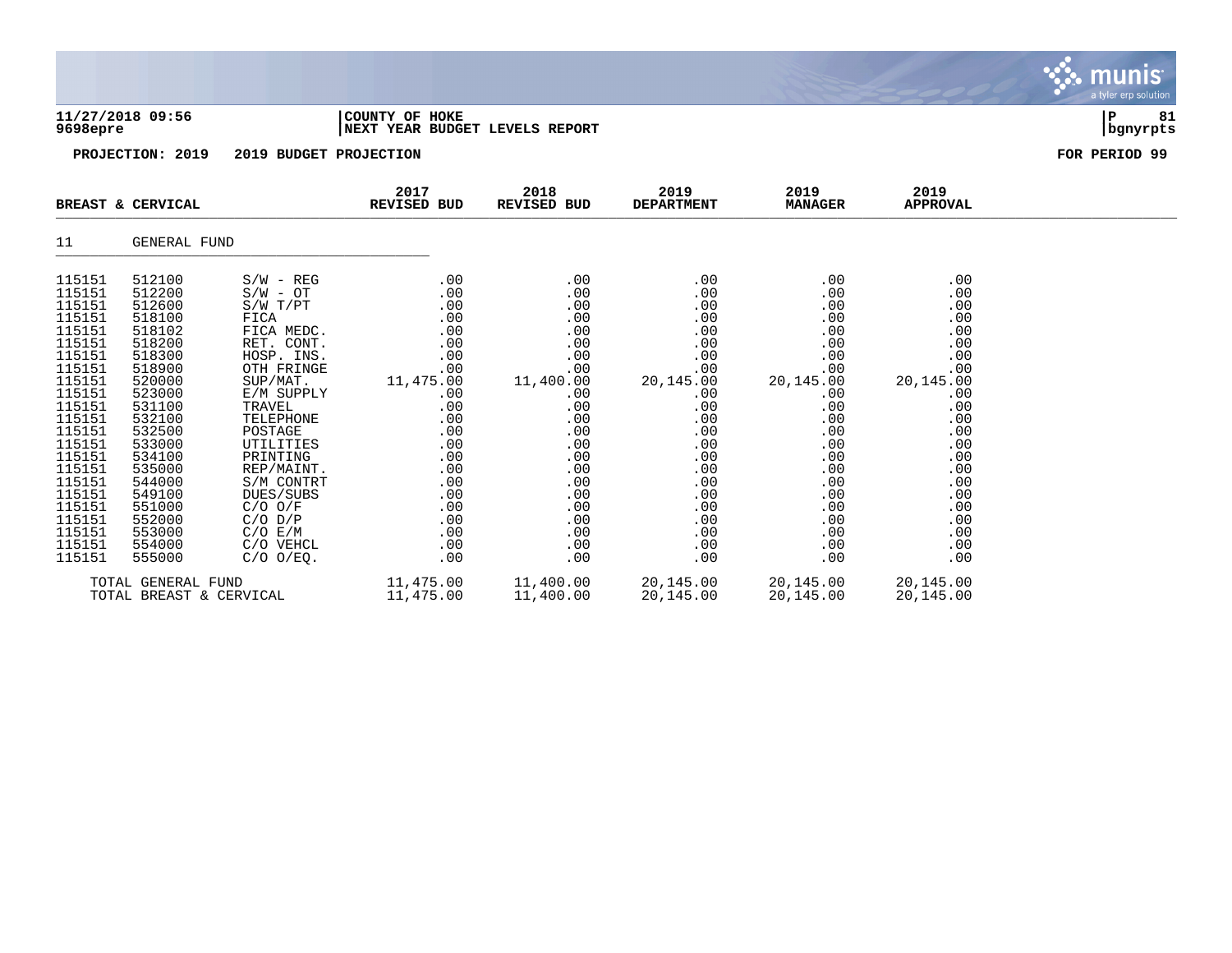|                                                                                                                                                                                                                                    |                                                                                                                                                                                                                                    |                                                                                                                                                                                                                                                                                                             |                                                                                                                                                                     |                                                                                                                                                                     |                                                                                                                                                                     |                                                                                                                                                                     |                                                                                                                                                                     | munis <sup>.</sup><br>a tyler erp solution |
|------------------------------------------------------------------------------------------------------------------------------------------------------------------------------------------------------------------------------------|------------------------------------------------------------------------------------------------------------------------------------------------------------------------------------------------------------------------------------|-------------------------------------------------------------------------------------------------------------------------------------------------------------------------------------------------------------------------------------------------------------------------------------------------------------|---------------------------------------------------------------------------------------------------------------------------------------------------------------------|---------------------------------------------------------------------------------------------------------------------------------------------------------------------|---------------------------------------------------------------------------------------------------------------------------------------------------------------------|---------------------------------------------------------------------------------------------------------------------------------------------------------------------|---------------------------------------------------------------------------------------------------------------------------------------------------------------------|--------------------------------------------|
| 9698epre                                                                                                                                                                                                                           | 11/27/2018 09:56                                                                                                                                                                                                                   |                                                                                                                                                                                                                                                                                                             | COUNTY OF HOKE<br>NEXT YEAR BUDGET LEVELS REPORT                                                                                                                    |                                                                                                                                                                     |                                                                                                                                                                     |                                                                                                                                                                     |                                                                                                                                                                     | 81<br> P<br>  bgnyrpts                     |
|                                                                                                                                                                                                                                    | PROJECTION: 2019                                                                                                                                                                                                                   | 2019 BUDGET PROJECTION                                                                                                                                                                                                                                                                                      |                                                                                                                                                                     |                                                                                                                                                                     |                                                                                                                                                                     |                                                                                                                                                                     |                                                                                                                                                                     | FOR PERIOD 99                              |
|                                                                                                                                                                                                                                    | BREAST & CERVICAL                                                                                                                                                                                                                  |                                                                                                                                                                                                                                                                                                             | 2017<br>REVISED BUD                                                                                                                                                 | 2018<br><b>REVISED BUD</b>                                                                                                                                          | 2019<br><b>DEPARTMENT</b>                                                                                                                                           | 2019<br><b>MANAGER</b>                                                                                                                                              | 2019<br><b>APPROVAL</b>                                                                                                                                             |                                            |
| 11                                                                                                                                                                                                                                 | GENERAL FUND                                                                                                                                                                                                                       |                                                                                                                                                                                                                                                                                                             |                                                                                                                                                                     |                                                                                                                                                                     |                                                                                                                                                                     |                                                                                                                                                                     |                                                                                                                                                                     |                                            |
| 115151<br>115151<br>115151<br>115151<br>115151<br>115151<br>115151<br>115151<br>115151<br>115151<br>115151<br>115151<br>115151<br>115151<br>115151<br>115151<br>115151<br>115151<br>115151<br>115151<br>115151<br>115151<br>115151 | 512100<br>512200<br>512600<br>518100<br>518102<br>518200<br>518300<br>518900<br>520000<br>523000<br>531100<br>532100<br>532500<br>533000<br>534100<br>535000<br>544000<br>549100<br>551000<br>552000<br>553000<br>554000<br>555000 | $S/W - REG$<br>$S/W - OT$<br>S/W T/PT<br>FICA<br>FICA MEDC.<br>RET. CONT.<br>HOSP. INS.<br>OTH FRINGE<br>SUP/MAT.<br>E/M SUPPLY<br>TRAVEL<br>TELEPHONE<br>POSTAGE<br>UTILITIES<br>PRINTING<br>REP/MAINT.<br>S/M CONTRT<br>DUES/SUBS<br>$C/O$ $O/F$<br>$C/O$ $D/P$<br>C/O E/M<br>C/O VEHCL<br>$C/O$ $O/EQ$ . | .00<br>.00<br>.00<br>.00<br>.00<br>.00<br>.00<br>.00<br>11,475.00<br>.00<br>.00<br>.00<br>.00<br>.00<br>.00<br>.00<br>.00<br>.00<br>.00<br>.00<br>.00<br>.00<br>.00 | .00<br>.00<br>.00<br>.00<br>.00<br>.00<br>.00<br>.00<br>11,400.00<br>.00<br>.00<br>.00<br>.00<br>.00<br>.00<br>.00<br>.00<br>.00<br>.00<br>.00<br>.00<br>.00<br>.00 | .00<br>.00<br>.00<br>.00<br>.00<br>.00<br>.00<br>.00<br>20,145.00<br>.00<br>.00<br>.00<br>.00<br>.00<br>.00<br>.00<br>.00<br>.00<br>.00<br>.00<br>.00<br>.00<br>.00 | .00<br>.00<br>.00<br>.00<br>.00<br>.00<br>.00<br>.00<br>20,145.00<br>.00<br>.00<br>.00<br>.00<br>.00<br>.00<br>.00<br>.00<br>.00<br>.00<br>.00<br>.00<br>.00<br>.00 | .00<br>.00<br>.00<br>.00<br>.00<br>.00<br>.00<br>.00<br>20,145.00<br>.00<br>.00<br>.00<br>.00<br>.00<br>.00<br>.00<br>.00<br>.00<br>.00<br>.00<br>.00<br>.00<br>.00 |                                            |
|                                                                                                                                                                                                                                    | TOTAL GENERAL FUND                                                                                                                                                                                                                 |                                                                                                                                                                                                                                                                                                             | 11,475.00                                                                                                                                                           | 11,400.00                                                                                                                                                           | 20,145.00                                                                                                                                                           | 20,145.00                                                                                                                                                           | 20,145.00                                                                                                                                                           |                                            |

TOTAL BREAST & CERVICAL 11,475.00 11,400.00 20,145.00 20,145.00 20,145.00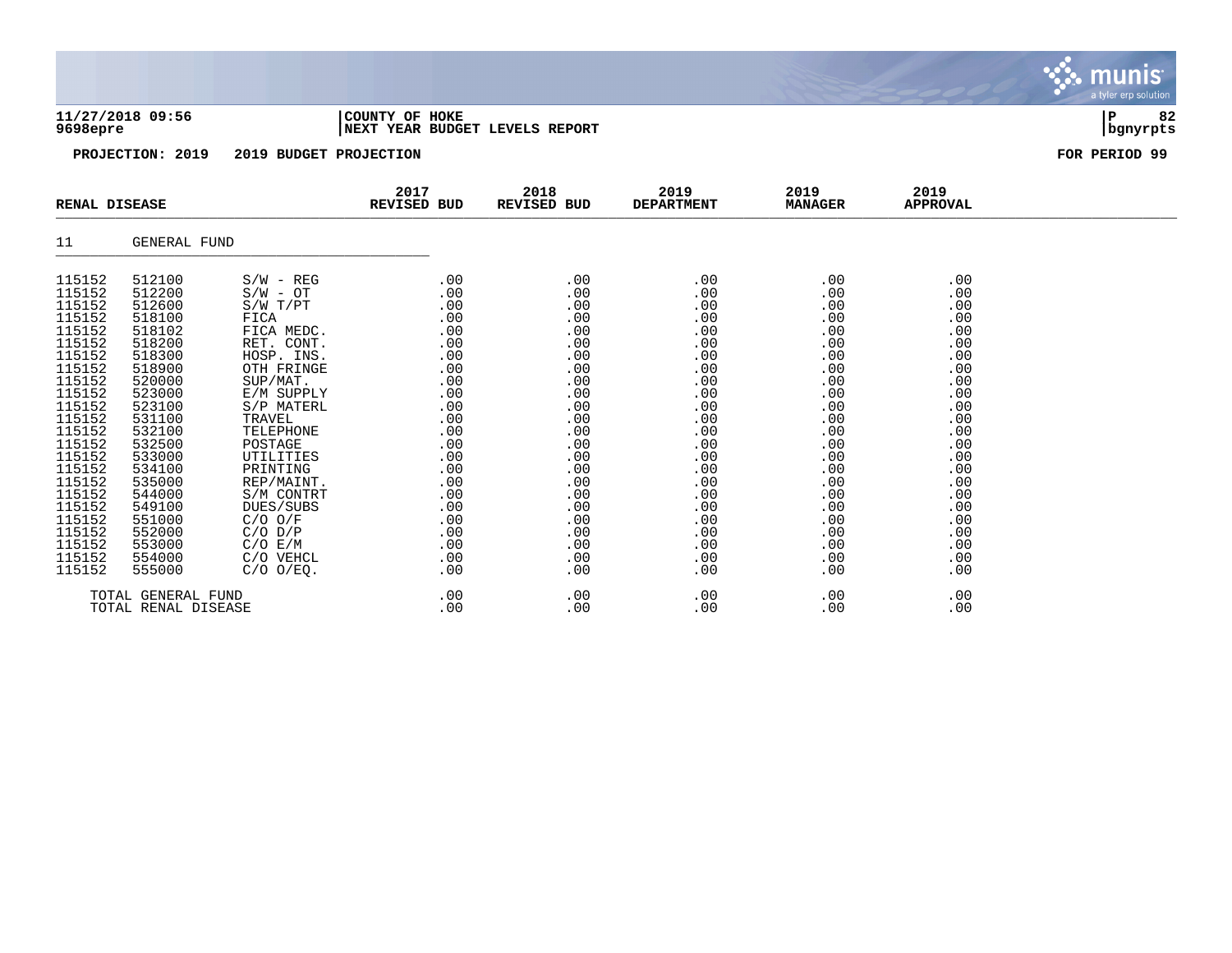### **11/27/2018 09:56 |COUNTY OF HOKE |P 82 9698epre |NEXT YEAR BUDGET LEVELS REPORT |bgnyrpts**

|                                                                                                                                                                                                                          | <b>RENAL DISEASE</b>                                                                                                                                                                                                     |                                                                                                                                                                                                                                                                                                    | 2017<br>REVISED BUD                                                                                                                                         | 2018<br>REVISED BUD                                                                                                                                    | 2019<br><b>DEPARTMENT</b>                                                                                                                              | 2019<br><b>MANAGER</b>                                                                                                                                 | 2019<br><b>APPROVAL</b>                                                                                                                                |  |
|--------------------------------------------------------------------------------------------------------------------------------------------------------------------------------------------------------------------------|--------------------------------------------------------------------------------------------------------------------------------------------------------------------------------------------------------------------------|----------------------------------------------------------------------------------------------------------------------------------------------------------------------------------------------------------------------------------------------------------------------------------------------------|-------------------------------------------------------------------------------------------------------------------------------------------------------------|--------------------------------------------------------------------------------------------------------------------------------------------------------|--------------------------------------------------------------------------------------------------------------------------------------------------------|--------------------------------------------------------------------------------------------------------------------------------------------------------|--------------------------------------------------------------------------------------------------------------------------------------------------------|--|
| 11                                                                                                                                                                                                                       | <b>GENERAL FUND</b>                                                                                                                                                                                                      |                                                                                                                                                                                                                                                                                                    |                                                                                                                                                             |                                                                                                                                                        |                                                                                                                                                        |                                                                                                                                                        |                                                                                                                                                        |  |
| 115152<br>115152<br>115152<br>115152<br>115152<br>115152<br>115152<br>115152<br>115152<br>115152<br>115152<br>115152<br>115152<br>115152<br>115152<br>115152<br>115152<br>115152<br>115152<br>115152<br>115152<br>115152 | 512100<br>512200<br>512600<br>518100<br>518102<br>518200<br>518300<br>518900<br>520000<br>523000<br>523100<br>531100<br>532100<br>532500<br>533000<br>534100<br>535000<br>544000<br>549100<br>551000<br>552000<br>553000 | $S/W - REG$<br>$S/W - OT$<br>$S/W$ $T/PT$<br>FICA<br>FICA MEDC.<br>RET. CONT.<br>HOSP. INS.<br>OTH FRINGE<br>SUP/MAT.<br>E/M SUPPLY<br>S/P MATERL<br>TRAVEL<br>TELEPHONE<br>POSTAGE<br>UTILITIES<br>PRINTING<br>REP/MAINT.<br>S/M CONTRT<br>DUES/SUBS<br>$C/O$ $O/F$<br>$C/O$ $D/P$<br>$C/O$ $E/M$ | .00<br>.00<br>.00<br>.00<br>.00<br>.00<br>.00<br>.00<br>.00<br>.00<br>.00<br>.00<br>.00<br>.00<br>.00<br>.00<br>.00<br>.00<br>.00<br>.00<br>$.00 \,$<br>.00 | .00<br>.00<br>.00<br>.00<br>.00<br>.00<br>.00<br>.00<br>.00<br>.00<br>.00<br>.00<br>.00<br>.00<br>.00<br>.00<br>.00<br>.00<br>.00<br>.00<br>.00<br>.00 | .00<br>.00<br>.00<br>.00<br>.00<br>.00<br>.00<br>.00<br>.00<br>.00<br>.00<br>.00<br>.00<br>.00<br>.00<br>.00<br>.00<br>.00<br>.00<br>.00<br>.00<br>.00 | .00<br>.00<br>.00<br>.00<br>.00<br>.00<br>.00<br>.00<br>.00<br>.00<br>.00<br>.00<br>.00<br>.00<br>.00<br>.00<br>.00<br>.00<br>.00<br>.00<br>.00<br>.00 | .00<br>.00<br>.00<br>.00<br>.00<br>.00<br>.00<br>.00<br>.00<br>.00<br>.00<br>.00<br>.00<br>.00<br>.00<br>.00<br>.00<br>.00<br>.00<br>.00<br>.00<br>.00 |  |
| 115152<br>115152                                                                                                                                                                                                         | 554000<br>555000                                                                                                                                                                                                         | C/O VEHCL<br>$C/O$ $O/EQ$ .                                                                                                                                                                                                                                                                        | $.00 \,$<br>.00                                                                                                                                             | .00<br>.00                                                                                                                                             | .00<br>.00                                                                                                                                             | .00<br>.00                                                                                                                                             | .00<br>.00                                                                                                                                             |  |
|                                                                                                                                                                                                                          | TOTAL GENERAL FUND<br>TOTAL RENAL DISEASE                                                                                                                                                                                |                                                                                                                                                                                                                                                                                                    | .00<br>.00                                                                                                                                                  | .00<br>.00                                                                                                                                             | .00<br>.00                                                                                                                                             | .00<br>.00                                                                                                                                             | .00<br>.00                                                                                                                                             |  |

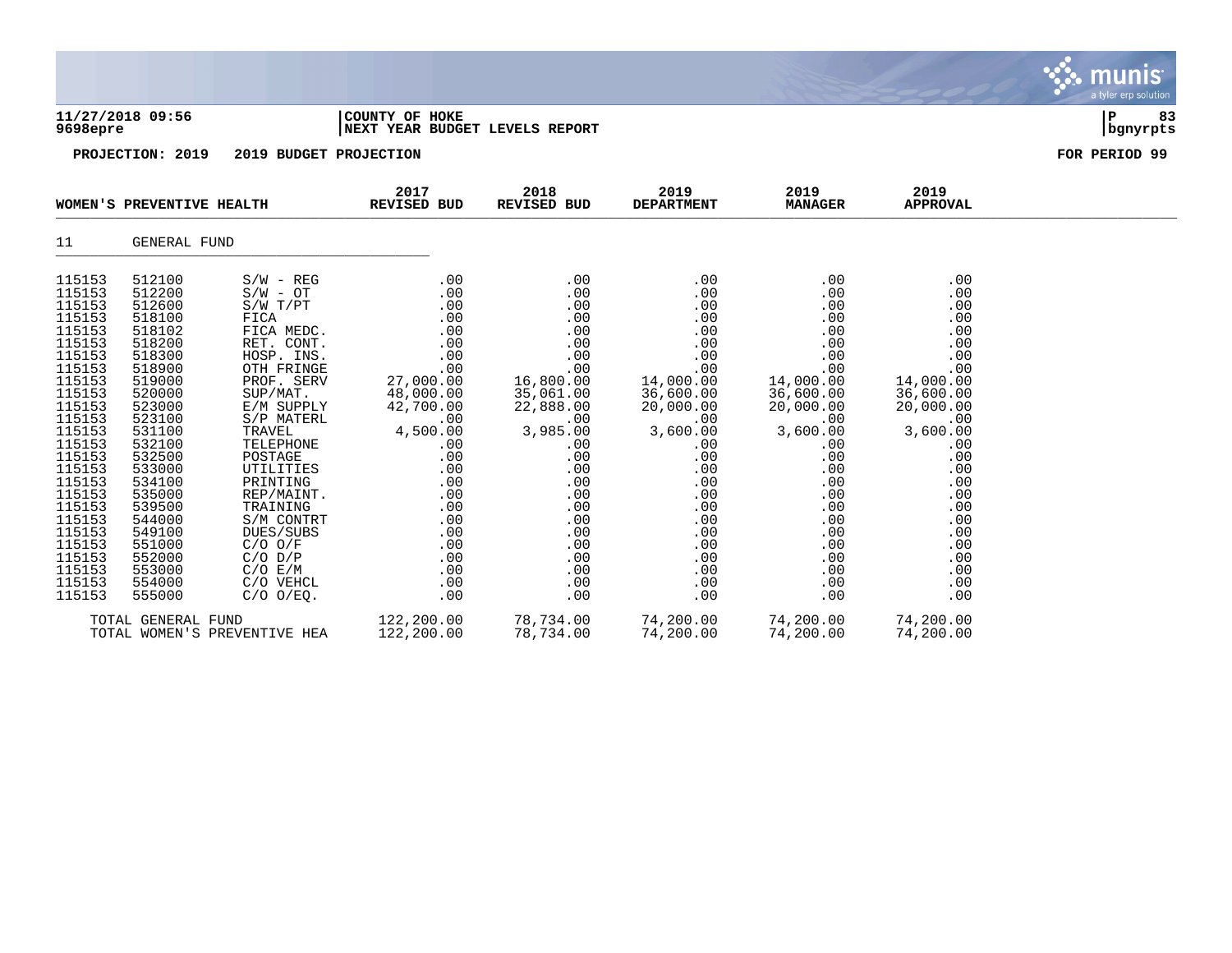|                                                                                                                                                                                                                                                                  |                                                                                                                                                                                                                                                                  |                                                                                                                                                                                                                                                                                                                                                     |                                                                                                                                                                                                           |                                                                                                                                                                                                           |                                                                                                                                                                                                           |                                                                                                                                                                                                           |                                                                                                                                                                                                           | munis<br>a tyler erp solution |
|------------------------------------------------------------------------------------------------------------------------------------------------------------------------------------------------------------------------------------------------------------------|------------------------------------------------------------------------------------------------------------------------------------------------------------------------------------------------------------------------------------------------------------------|-----------------------------------------------------------------------------------------------------------------------------------------------------------------------------------------------------------------------------------------------------------------------------------------------------------------------------------------------------|-----------------------------------------------------------------------------------------------------------------------------------------------------------------------------------------------------------|-----------------------------------------------------------------------------------------------------------------------------------------------------------------------------------------------------------|-----------------------------------------------------------------------------------------------------------------------------------------------------------------------------------------------------------|-----------------------------------------------------------------------------------------------------------------------------------------------------------------------------------------------------------|-----------------------------------------------------------------------------------------------------------------------------------------------------------------------------------------------------------|-------------------------------|
| 9698epre                                                                                                                                                                                                                                                         | 11/27/2018 09:56                                                                                                                                                                                                                                                 |                                                                                                                                                                                                                                                                                                                                                     | COUNTY OF HOKE<br>NEXT YEAR BUDGET LEVELS REPORT                                                                                                                                                          |                                                                                                                                                                                                           |                                                                                                                                                                                                           |                                                                                                                                                                                                           |                                                                                                                                                                                                           | ΙP<br>83<br>bgnyrpts          |
|                                                                                                                                                                                                                                                                  | PROJECTION: 2019                                                                                                                                                                                                                                                 | 2019 BUDGET PROJECTION                                                                                                                                                                                                                                                                                                                              |                                                                                                                                                                                                           |                                                                                                                                                                                                           |                                                                                                                                                                                                           |                                                                                                                                                                                                           |                                                                                                                                                                                                           | FOR PERIOD 99                 |
|                                                                                                                                                                                                                                                                  | WOMEN'S PREVENTIVE HEALTH                                                                                                                                                                                                                                        |                                                                                                                                                                                                                                                                                                                                                     | 2017<br>REVISED BUD                                                                                                                                                                                       | 2018<br>REVISED BUD                                                                                                                                                                                       | 2019<br><b>DEPARTMENT</b>                                                                                                                                                                                 | 2019<br><b>MANAGER</b>                                                                                                                                                                                    | 2019<br><b>APPROVAL</b>                                                                                                                                                                                   |                               |
| 11                                                                                                                                                                                                                                                               | GENERAL FUND                                                                                                                                                                                                                                                     |                                                                                                                                                                                                                                                                                                                                                     |                                                                                                                                                                                                           |                                                                                                                                                                                                           |                                                                                                                                                                                                           |                                                                                                                                                                                                           |                                                                                                                                                                                                           |                               |
| 115153<br>115153<br>115153<br>115153<br>115153<br>115153<br>115153<br>115153<br>115153<br>115153<br>115153<br>115153<br>115153<br>115153<br>115153<br>115153<br>115153<br>115153<br>115153<br>115153<br>115153<br>115153<br>115153<br>115153<br>115153<br>115153 | 512100<br>512200<br>512600<br>518100<br>518102<br>518200<br>518300<br>518900<br>519000<br>520000<br>523000<br>523100<br>531100<br>532100<br>532500<br>533000<br>534100<br>535000<br>539500<br>544000<br>549100<br>551000<br>552000<br>553000<br>554000<br>555000 | $S/W - REG$<br>$S/W - OT$<br>S/W T/PT<br>FICA<br>FICA MEDC.<br>RET. CONT.<br>HOSP. INS.<br>OTH FRINGE<br>PROF. SERV<br>SUP/MAT.<br>E/M SUPPLY<br>S/P MATERL<br>TRAVEL<br>TELEPHONE<br>POSTAGE<br>UTILITIES<br>PRINTING<br>REP/MAINT.<br>TRAINING<br>S/M CONTRT<br>DUES/SUBS<br>$C/O$ $O/F$<br>$C/O$ $D/P$<br>C/O E/M<br>C/O VEHCL<br>$C/O$ $O/EQ$ . | .00<br>.00<br>.00<br>.00<br>.00<br>.00<br>.00<br>.00<br>27,000.00<br>48,000.00<br>42,700.00<br>.00<br>4,500.00<br>.00<br>.00<br>.00<br>.00<br>.00<br>.00<br>.00<br>.00<br>.00<br>.00<br>.00<br>.00<br>.00 | .00<br>.00<br>.00<br>.00<br>.00<br>.00<br>.00<br>.00<br>16,800.00<br>35,061.00<br>22,888.00<br>.00<br>3,985.00<br>.00<br>.00<br>.00<br>.00<br>.00<br>.00<br>.00<br>.00<br>.00<br>.00<br>.00<br>.00<br>.00 | .00<br>.00<br>.00<br>.00<br>.00<br>.00<br>.00<br>.00<br>14,000.00<br>36,600.00<br>20,000.00<br>.00<br>3,600.00<br>.00<br>.00<br>.00<br>.00<br>.00<br>.00<br>.00<br>.00<br>.00<br>.00<br>.00<br>.00<br>.00 | .00<br>.00<br>.00<br>.00<br>.00<br>.00<br>.00<br>.00<br>14,000.00<br>36,600.00<br>20,000.00<br>.00<br>3,600.00<br>.00<br>.00<br>.00<br>.00<br>.00<br>.00<br>.00<br>.00<br>.00<br>.00<br>.00<br>.00<br>.00 | .00<br>.00<br>.00<br>.00<br>.00<br>.00<br>.00<br>.00<br>14,000.00<br>36,600.00<br>20,000.00<br>.00<br>3,600.00<br>.00<br>.00<br>.00<br>.00<br>.00<br>.00<br>.00<br>.00<br>.00<br>.00<br>.00<br>.00<br>.00 |                               |
|                                                                                                                                                                                                                                                                  | TOTAL GENERAL FUND                                                                                                                                                                                                                                               | TOTAL WOMEN'S PREVENTIVE HEA                                                                                                                                                                                                                                                                                                                        | 122,200.00<br>122,200.00                                                                                                                                                                                  | 78,734.00<br>78,734.00                                                                                                                                                                                    | 74,200.00<br>74,200.00                                                                                                                                                                                    | 74,200.00<br>74,200.00                                                                                                                                                                                    | 74,200.00<br>74,200.00                                                                                                                                                                                    |                               |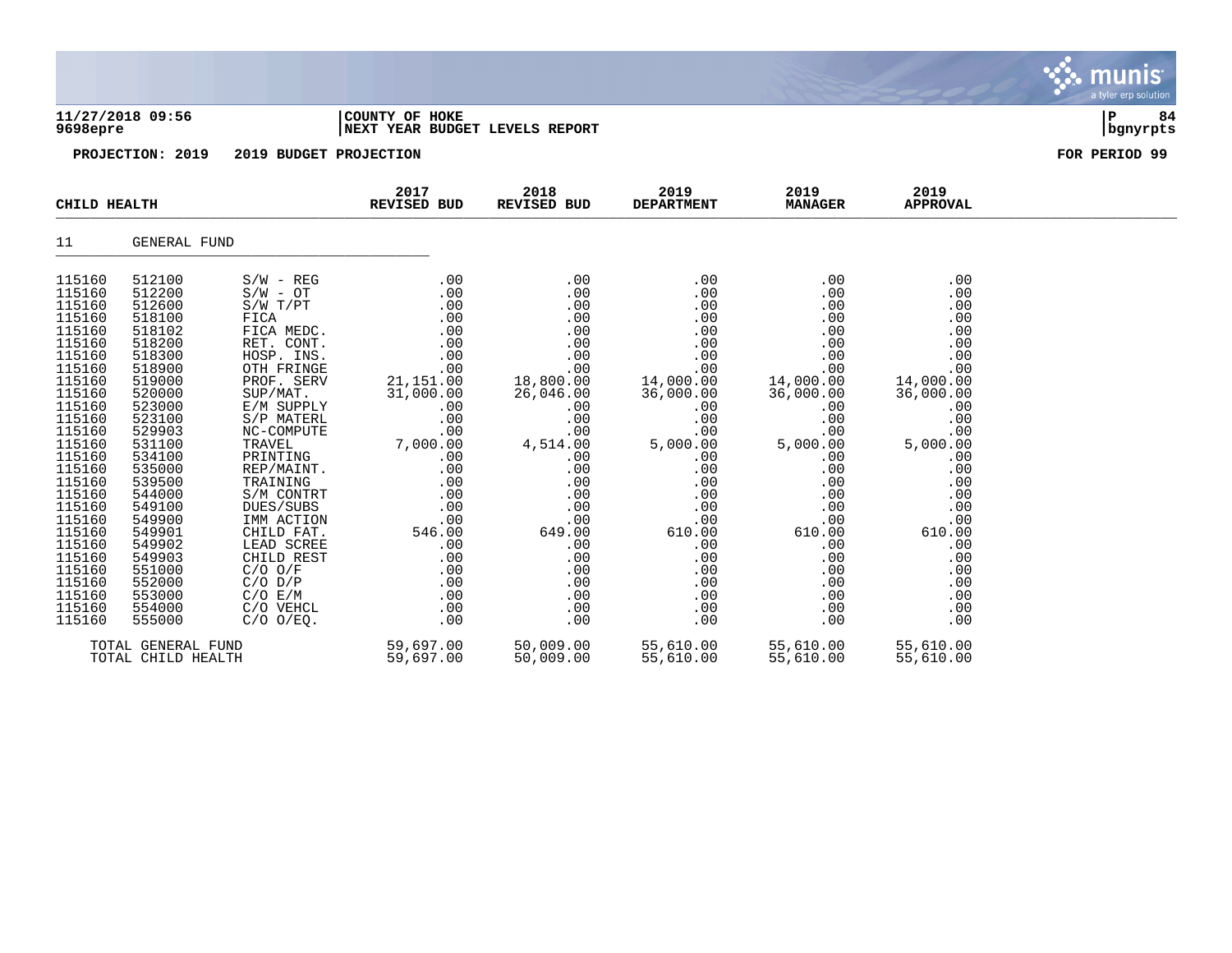|                                                                                                                                                                                                                                                                                      |                                                                                                                                                                                                                                                                                      |                                                                                                                                                                                                                                                                                                                                                                                      |                                                                                                                                                                                                                      |                                                                                                                                                                                                                      |                                                                                                                                                                                                                      |                                                                                                                                                                                                                      |                                                                                                                                                                                                                      | munis<br>a tyler erp solution |
|--------------------------------------------------------------------------------------------------------------------------------------------------------------------------------------------------------------------------------------------------------------------------------------|--------------------------------------------------------------------------------------------------------------------------------------------------------------------------------------------------------------------------------------------------------------------------------------|--------------------------------------------------------------------------------------------------------------------------------------------------------------------------------------------------------------------------------------------------------------------------------------------------------------------------------------------------------------------------------------|----------------------------------------------------------------------------------------------------------------------------------------------------------------------------------------------------------------------|----------------------------------------------------------------------------------------------------------------------------------------------------------------------------------------------------------------------|----------------------------------------------------------------------------------------------------------------------------------------------------------------------------------------------------------------------|----------------------------------------------------------------------------------------------------------------------------------------------------------------------------------------------------------------------|----------------------------------------------------------------------------------------------------------------------------------------------------------------------------------------------------------------------|-------------------------------|
| 9698epre                                                                                                                                                                                                                                                                             | 11/27/2018 09:56                                                                                                                                                                                                                                                                     |                                                                                                                                                                                                                                                                                                                                                                                      | COUNTY OF HOKE<br>NEXT YEAR BUDGET LEVELS REPORT                                                                                                                                                                     |                                                                                                                                                                                                                      |                                                                                                                                                                                                                      |                                                                                                                                                                                                                      |                                                                                                                                                                                                                      | ΙP<br>84<br>bgnyrpts          |
|                                                                                                                                                                                                                                                                                      | PROJECTION: 2019                                                                                                                                                                                                                                                                     | 2019 BUDGET PROJECTION                                                                                                                                                                                                                                                                                                                                                               |                                                                                                                                                                                                                      |                                                                                                                                                                                                                      |                                                                                                                                                                                                                      |                                                                                                                                                                                                                      |                                                                                                                                                                                                                      | FOR PERIOD 99                 |
| CHILD HEALTH                                                                                                                                                                                                                                                                         |                                                                                                                                                                                                                                                                                      |                                                                                                                                                                                                                                                                                                                                                                                      | 2017<br>REVISED BUD                                                                                                                                                                                                  | 2018<br>REVISED BUD                                                                                                                                                                                                  | 2019<br><b>DEPARTMENT</b>                                                                                                                                                                                            | 2019<br><b>MANAGER</b>                                                                                                                                                                                               | 2019<br><b>APPROVAL</b>                                                                                                                                                                                              |                               |
| 11                                                                                                                                                                                                                                                                                   | GENERAL FUND                                                                                                                                                                                                                                                                         |                                                                                                                                                                                                                                                                                                                                                                                      |                                                                                                                                                                                                                      |                                                                                                                                                                                                                      |                                                                                                                                                                                                                      |                                                                                                                                                                                                                      |                                                                                                                                                                                                                      |                               |
| 115160<br>115160<br>115160<br>115160<br>115160<br>115160<br>115160<br>115160<br>115160<br>115160<br>115160<br>115160<br>115160<br>115160<br>115160<br>115160<br>115160<br>115160<br>115160<br>115160<br>115160<br>115160<br>115160<br>115160<br>115160<br>115160<br>115160<br>115160 | 512100<br>512200<br>512600<br>518100<br>518102<br>518200<br>518300<br>518900<br>519000<br>520000<br>523000<br>523100<br>529903<br>531100<br>534100<br>535000<br>539500<br>544000<br>549100<br>549900<br>549901<br>549902<br>549903<br>551000<br>552000<br>553000<br>554000<br>555000 | $S/W - REG$<br>$S/W - OT$<br>S/W T/PT<br>FICA<br>FICA MEDC.<br>RET. CONT.<br>HOSP. INS.<br>OTH FRINGE<br>PROF. SERV<br>SUP/MAT.<br>E/M SUPPLY<br>S/P MATERL<br>NC-COMPUTE<br>TRAVEL<br>PRINTING<br>REP/MAINT.<br>TRAINING<br>S/M CONTRT<br>DUES/SUBS<br>IMM ACTION<br>CHILD FAT.<br>LEAD SCREE<br>CHILD REST<br>$C/O$ $O/F$<br>$C/O$ $D/P$<br>C/O E/M<br>C/O VEHCL<br>$C/O$ $O/EQ$ . | .00<br>.00<br>.00<br>.00<br>.00<br>.00<br>.00<br>.00<br>21,151.00<br>31,000.00<br>.00<br>.00<br>.00<br>7,000.00<br>.00<br>.00<br>.00<br>.00<br>.00<br>.00<br>546.00<br>.00<br>.00<br>.00<br>.00<br>.00<br>.00<br>.00 | .00<br>.00<br>.00<br>.00<br>.00<br>.00<br>.00<br>.00<br>18,800.00<br>26,046.00<br>.00<br>.00<br>.00<br>4,514.00<br>.00<br>.00<br>.00<br>.00<br>.00<br>.00<br>649.00<br>.00<br>.00<br>.00<br>.00<br>.00<br>.00<br>.00 | .00<br>.00<br>.00<br>.00<br>.00<br>.00<br>.00<br>.00<br>14,000.00<br>36,000.00<br>.00<br>.00<br>.00<br>5,000.00<br>.00<br>.00<br>.00<br>.00<br>.00<br>.00<br>610.00<br>.00<br>.00<br>.00<br>.00<br>.00<br>.00<br>.00 | .00<br>.00<br>.00<br>.00<br>.00<br>.00<br>.00<br>.00<br>14,000.00<br>36,000.00<br>.00<br>.00<br>.00<br>5,000.00<br>.00<br>.00<br>.00<br>.00<br>.00<br>.00<br>610.00<br>.00<br>.00<br>.00<br>.00<br>.00<br>.00<br>.00 | .00<br>.00<br>.00<br>.00<br>.00<br>.00<br>.00<br>.00<br>14,000.00<br>36,000.00<br>.00<br>.00<br>.00<br>5,000.00<br>.00<br>.00<br>.00<br>.00<br>.00<br>.00<br>610.00<br>.00<br>.00<br>.00<br>.00<br>.00<br>.00<br>.00 |                               |
|                                                                                                                                                                                                                                                                                      | TOTAL GENERAL FUND<br>TOTAL CHILD HEALTH                                                                                                                                                                                                                                             |                                                                                                                                                                                                                                                                                                                                                                                      | 59,697.00<br>59,697.00                                                                                                                                                                                               | 50,009.00<br>50,009.00                                                                                                                                                                                               | 55,610.00<br>55,610.00                                                                                                                                                                                               | 55,610.00<br>55,610.00                                                                                                                                                                                               | 55,610.00<br>55,610.00                                                                                                                                                                                               |                               |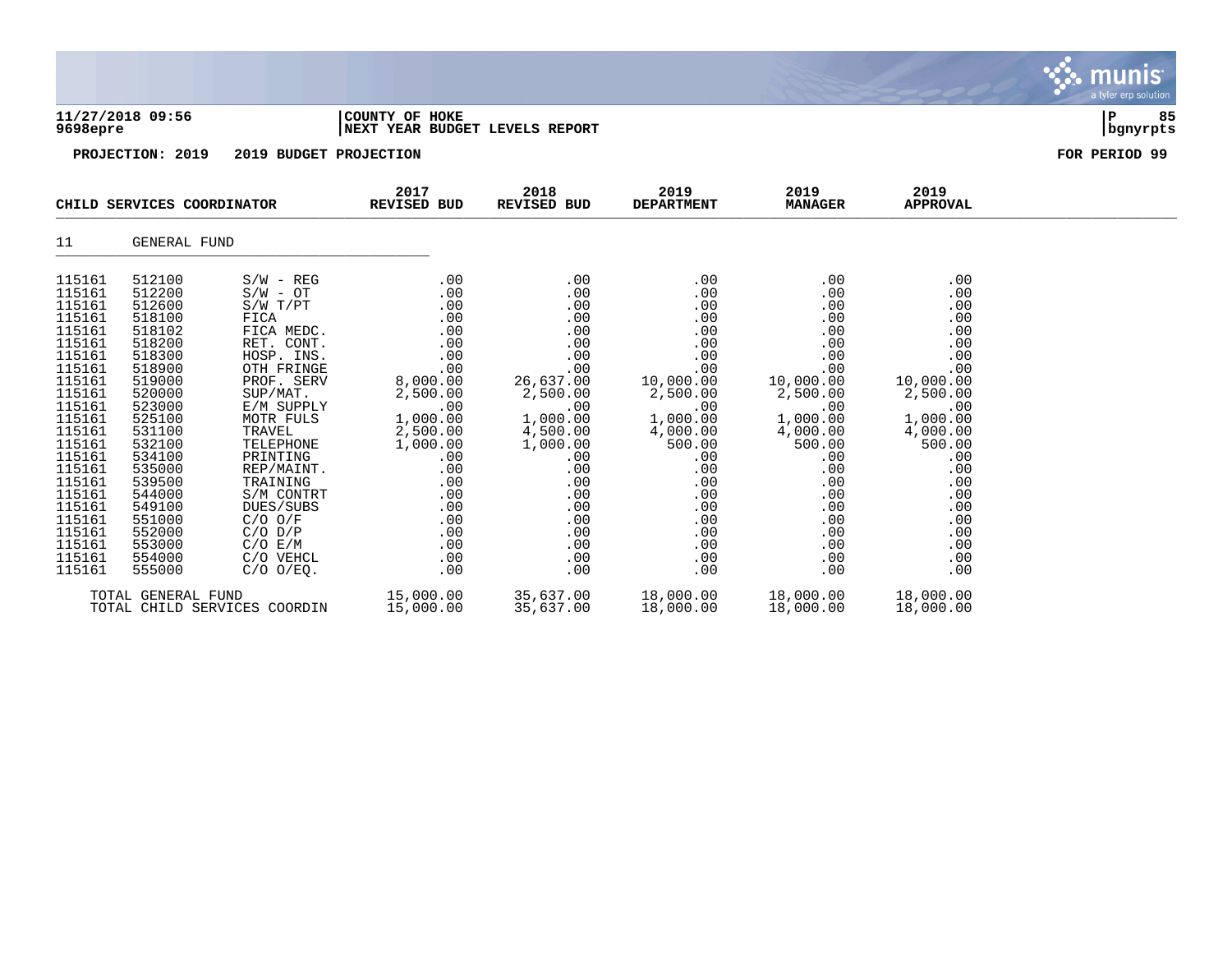|                                                                                                                                                                                                                                              |                                                                                                                                                                                                                                              |                                                                                                                                                                                                                                                                                                                            |                                                                                                                                                                                               |                                                                                                                                                                                                |                                                                                                                                                                                              |                                                                                                                                                                                              |                                                                                                                                                                                              | munis<br>a tyler erp solution |
|----------------------------------------------------------------------------------------------------------------------------------------------------------------------------------------------------------------------------------------------|----------------------------------------------------------------------------------------------------------------------------------------------------------------------------------------------------------------------------------------------|----------------------------------------------------------------------------------------------------------------------------------------------------------------------------------------------------------------------------------------------------------------------------------------------------------------------------|-----------------------------------------------------------------------------------------------------------------------------------------------------------------------------------------------|------------------------------------------------------------------------------------------------------------------------------------------------------------------------------------------------|----------------------------------------------------------------------------------------------------------------------------------------------------------------------------------------------|----------------------------------------------------------------------------------------------------------------------------------------------------------------------------------------------|----------------------------------------------------------------------------------------------------------------------------------------------------------------------------------------------|-------------------------------|
| 9698epre                                                                                                                                                                                                                                     | 11/27/2018 09:56                                                                                                                                                                                                                             | COUNTY OF HOKE<br>NEXT YEAR BUDGET LEVELS REPORT                                                                                                                                                                                                                                                                           |                                                                                                                                                                                               |                                                                                                                                                                                                |                                                                                                                                                                                              |                                                                                                                                                                                              |                                                                                                                                                                                              | 85<br>ΙP<br>  bgnyrpts        |
|                                                                                                                                                                                                                                              | PROJECTION: 2019                                                                                                                                                                                                                             | 2019 BUDGET PROJECTION                                                                                                                                                                                                                                                                                                     |                                                                                                                                                                                               |                                                                                                                                                                                                |                                                                                                                                                                                              |                                                                                                                                                                                              |                                                                                                                                                                                              | FOR PERIOD 99                 |
|                                                                                                                                                                                                                                              | CHILD SERVICES COORDINATOR                                                                                                                                                                                                                   |                                                                                                                                                                                                                                                                                                                            | 2017<br><b>REVISED BUD</b>                                                                                                                                                                    | 2018<br>REVISED BUD                                                                                                                                                                            | 2019<br><b>DEPARTMENT</b>                                                                                                                                                                    | 2019<br><b>MANAGER</b>                                                                                                                                                                       | 2019<br><b>APPROVAL</b>                                                                                                                                                                      |                               |
| 11                                                                                                                                                                                                                                           | GENERAL FUND                                                                                                                                                                                                                                 |                                                                                                                                                                                                                                                                                                                            |                                                                                                                                                                                               |                                                                                                                                                                                                |                                                                                                                                                                                              |                                                                                                                                                                                              |                                                                                                                                                                                              |                               |
| 115161<br>115161<br>115161<br>115161<br>115161<br>115161<br>115161<br>115161<br>115161<br>115161<br>115161<br>115161<br>115161<br>115161<br>115161<br>115161<br>115161<br>115161<br>115161<br>115161<br>115161<br>115161<br>115161<br>115161 | 512100<br>512200<br>512600<br>518100<br>518102<br>518200<br>518300<br>518900<br>519000<br>520000<br>523000<br>525100<br>531100<br>532100<br>534100<br>535000<br>539500<br>544000<br>549100<br>551000<br>552000<br>553000<br>554000<br>555000 | $S/W - REG$<br>$S/W - OT$<br>S/W T/PT<br>FICA<br>FICA MEDC.<br>RET. CONT.<br>HOSP. INS.<br>OTH FRINGE<br>PROF. SERV<br>SUP/MAT.<br>E/M SUPPLY<br>MOTR FULS<br>TRAVEL<br>TELEPHONE<br>PRINTING<br>REP/MAINT.<br>TRAINING<br>S/M CONTRT<br>DUES/SUBS<br>$C/O$ $O/F$<br>$C/O$ $D/P$<br>C/O E/M<br>C/O VEHCL<br>$C/O$ $O/EQ$ . | .00<br>.00<br>.00<br>.00<br>.00<br>.00<br>.00<br>.00<br>8,000.00<br>2,500.00<br>.00<br>1,000.00<br>2,500.00<br>1,000.00<br>.00<br>.00<br>.00<br>.00<br>.00<br>.00<br>.00<br>.00<br>.00<br>.00 | .00<br>.00<br>.00<br>.00<br>.00<br>.00<br>.00<br>.00<br>26,637.00<br>2,500.00<br>.00<br>1,000.00<br>4,500.00<br>1,000.00<br>.00<br>.00<br>.00<br>.00<br>.00<br>.00<br>.00<br>.00<br>.00<br>.00 | .00<br>.00<br>.00<br>.00<br>.00<br>.00<br>.00<br>.00<br>10,000.00<br>2,500.00<br>.00<br>1,000.00<br>4,000.00<br>500.00<br>.00<br>.00<br>.00<br>.00<br>.00<br>.00<br>.00<br>.00<br>.00<br>.00 | .00<br>.00<br>.00<br>.00<br>.00<br>.00<br>.00<br>.00<br>10,000.00<br>2,500.00<br>.00<br>1,000.00<br>4,000.00<br>500.00<br>.00<br>.00<br>.00<br>.00<br>.00<br>.00<br>.00<br>.00<br>.00<br>.00 | .00<br>.00<br>.00<br>.00<br>.00<br>.00<br>.00<br>.00<br>10,000.00<br>2,500.00<br>.00<br>1,000.00<br>4,000.00<br>500.00<br>.00<br>.00<br>.00<br>.00<br>.00<br>.00<br>.00<br>.00<br>.00<br>.00 |                               |
|                                                                                                                                                                                                                                              | TOTAL GENERAL FUND                                                                                                                                                                                                                           | TOTAL CHILD SERVICES COORDIN                                                                                                                                                                                                                                                                                               | 15,000.00<br>15,000.00                                                                                                                                                                        | 35,637.00<br>35,637.00                                                                                                                                                                         | 18,000.00<br>18,000.00                                                                                                                                                                       | 18,000.00<br>18,000.00                                                                                                                                                                       | 18,000.00<br>18,000.00                                                                                                                                                                       |                               |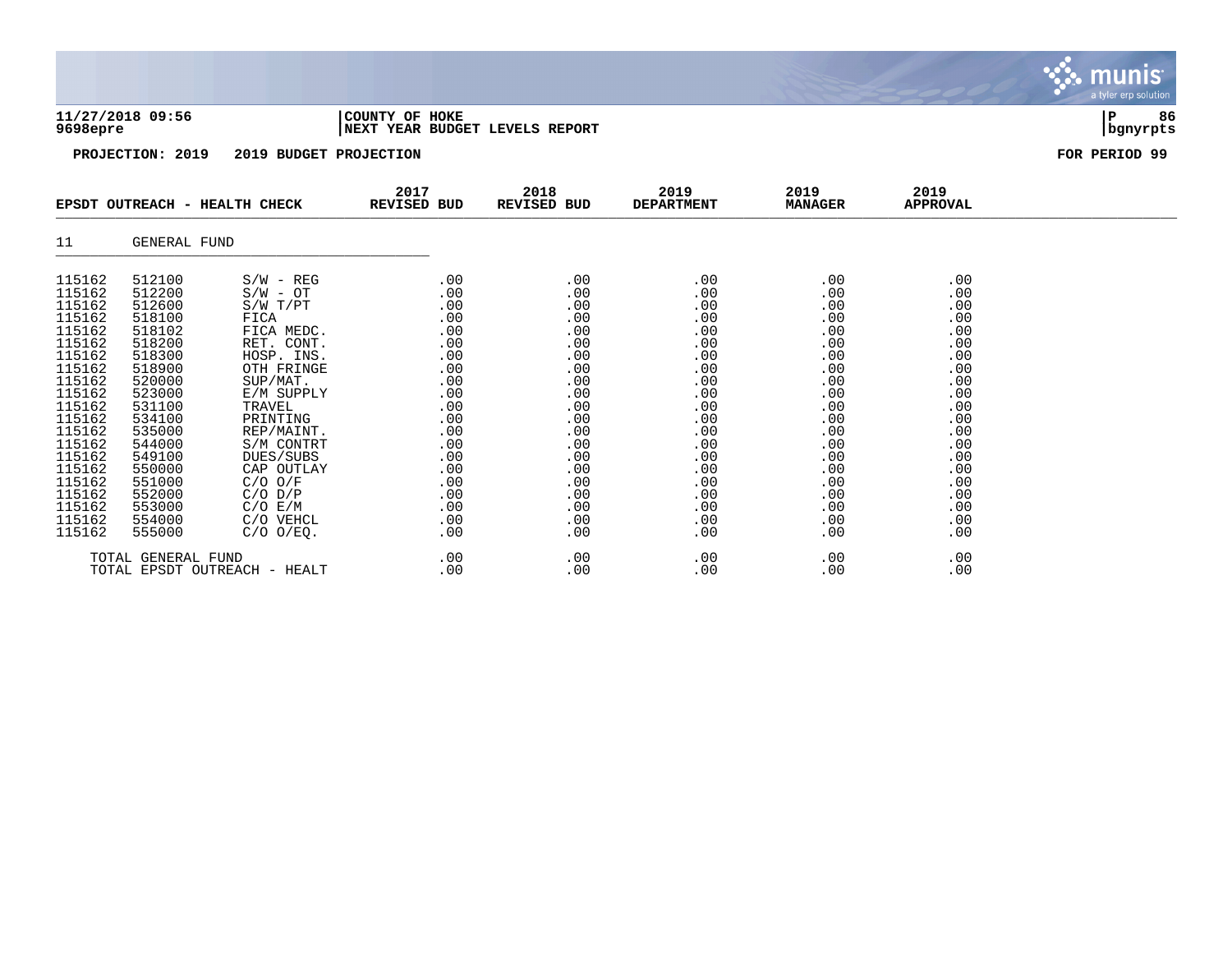|                                                                                                                                                                                                                | 11/27/2018 09:56<br>9698epre<br>PROJECTION: 2019<br>2019 BUDGET PROJECTION                                                                                                                                     |                                                                                                                                                                                                                                                                                          | COUNTY OF HOKE                                                                                                                                  | NEXT YEAR BUDGET LEVELS REPORT                                                                                                                  |                                                                                                                                                 |                                                                                                                                                 |                                                                                                                                                 | 86<br>Р<br>bgnyrpts |
|----------------------------------------------------------------------------------------------------------------------------------------------------------------------------------------------------------------|----------------------------------------------------------------------------------------------------------------------------------------------------------------------------------------------------------------|------------------------------------------------------------------------------------------------------------------------------------------------------------------------------------------------------------------------------------------------------------------------------------------|-------------------------------------------------------------------------------------------------------------------------------------------------|-------------------------------------------------------------------------------------------------------------------------------------------------|-------------------------------------------------------------------------------------------------------------------------------------------------|-------------------------------------------------------------------------------------------------------------------------------------------------|-------------------------------------------------------------------------------------------------------------------------------------------------|---------------------|
|                                                                                                                                                                                                                |                                                                                                                                                                                                                |                                                                                                                                                                                                                                                                                          |                                                                                                                                                 |                                                                                                                                                 |                                                                                                                                                 |                                                                                                                                                 |                                                                                                                                                 | FOR PERIOD 99       |
|                                                                                                                                                                                                                | EPSDT OUTREACH - HEALTH CHECK                                                                                                                                                                                  |                                                                                                                                                                                                                                                                                          | 2017<br><b>REVISED BUD</b>                                                                                                                      | 2018<br><b>REVISED BUD</b>                                                                                                                      | 2019<br><b>DEPARTMENT</b>                                                                                                                       | 2019<br><b>MANAGER</b>                                                                                                                          | 2019<br><b>APPROVAL</b>                                                                                                                         |                     |
| 11                                                                                                                                                                                                             | GENERAL FUND                                                                                                                                                                                                   |                                                                                                                                                                                                                                                                                          |                                                                                                                                                 |                                                                                                                                                 |                                                                                                                                                 |                                                                                                                                                 |                                                                                                                                                 |                     |
| 115162<br>115162<br>115162<br>115162<br>115162<br>115162<br>115162<br>115162<br>115162<br>115162<br>115162<br>115162<br>115162<br>115162<br>115162<br>115162<br>115162<br>115162<br>115162<br>115162<br>115162 | 512100<br>512200<br>512600<br>518100<br>518102<br>518200<br>518300<br>518900<br>520000<br>523000<br>531100<br>534100<br>535000<br>544000<br>549100<br>550000<br>551000<br>552000<br>553000<br>554000<br>555000 | $S/W - REG$<br>$S/W - OT$<br>S/W T/PT<br>FICA<br>FICA MEDC.<br>RET. CONT.<br>HOSP. INS.<br>OTH FRINGE<br>SUP/MAT.<br>E/M SUPPLY<br>TRAVEL<br>PRINTING<br>REP/MAINT.<br>S/M CONTRT<br>DUES/SUBS<br>CAP OUTLAY<br>$C/O$ $O/F$<br>$C/O$ $D/P$<br>$C/O$ $E/M$<br>C/O VEHCL<br>$C/O$ $O/EQ$ . | .00<br>.00<br>.00<br>.00<br>.00<br>.00<br>.00<br>.00<br>.00<br>.00<br>.00<br>.00<br>.00<br>.00<br>.00<br>.00<br>.00<br>.00<br>.00<br>.00<br>.00 | .00<br>.00<br>.00<br>.00<br>.00<br>.00<br>.00<br>.00<br>.00<br>.00<br>.00<br>.00<br>.00<br>.00<br>.00<br>.00<br>.00<br>.00<br>.00<br>.00<br>.00 | .00<br>.00<br>.00<br>.00<br>.00<br>.00<br>.00<br>.00<br>.00<br>.00<br>.00<br>.00<br>.00<br>.00<br>.00<br>.00<br>.00<br>.00<br>.00<br>.00<br>.00 | .00<br>.00<br>.00<br>.00<br>.00<br>.00<br>.00<br>.00<br>.00<br>.00<br>.00<br>.00<br>.00<br>.00<br>.00<br>.00<br>.00<br>.00<br>.00<br>.00<br>.00 | .00<br>.00<br>.00<br>.00<br>.00<br>.00<br>.00<br>.00<br>.00<br>.00<br>.00<br>.00<br>.00<br>.00<br>.00<br>.00<br>.00<br>.00<br>.00<br>.00<br>.00 |                     |

**BASE** 

munis a tyler erp solutior

TOTAL GENERAL FUND .00 .00 .00 .00 .00 TOTAL EPSDT OUTREACH - HEALT .00 .00 .00 .00 .00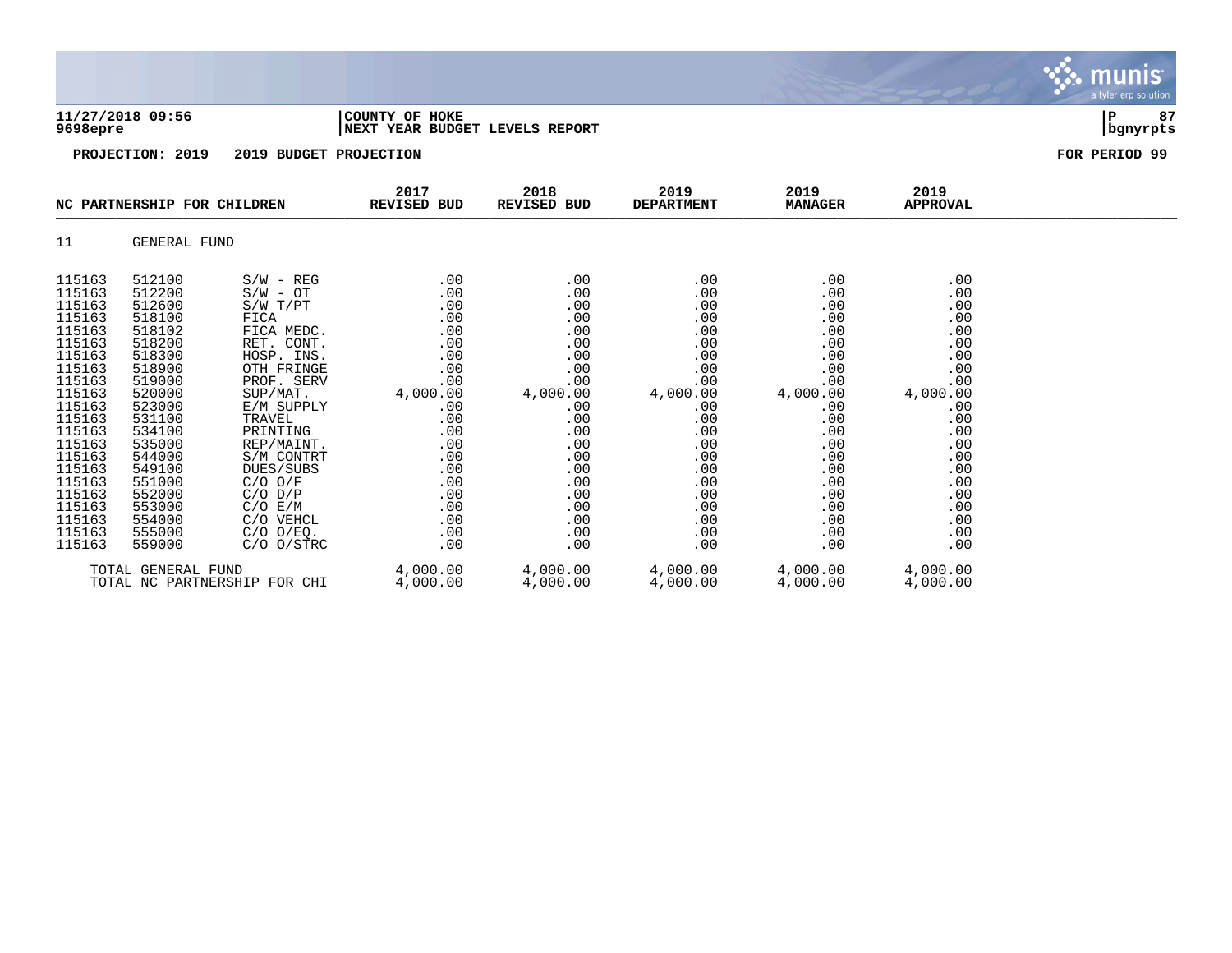|                                                                                                                                                                                                                          |                                                                                                                                                                                                                          |                                                                                                                                                                                                                                                                                                        |                                                                                                                                                             |                                                                                                                                                             |                                                                                                                                                             |                                                                                                                                                             |                                                                                                                                                             | <b>munis</b><br>a tyler erp solution |
|--------------------------------------------------------------------------------------------------------------------------------------------------------------------------------------------------------------------------|--------------------------------------------------------------------------------------------------------------------------------------------------------------------------------------------------------------------------|--------------------------------------------------------------------------------------------------------------------------------------------------------------------------------------------------------------------------------------------------------------------------------------------------------|-------------------------------------------------------------------------------------------------------------------------------------------------------------|-------------------------------------------------------------------------------------------------------------------------------------------------------------|-------------------------------------------------------------------------------------------------------------------------------------------------------------|-------------------------------------------------------------------------------------------------------------------------------------------------------------|-------------------------------------------------------------------------------------------------------------------------------------------------------------|--------------------------------------|
| 9698epre                                                                                                                                                                                                                 | 11/27/2018 09:56                                                                                                                                                                                                         |                                                                                                                                                                                                                                                                                                        | COUNTY OF HOKE<br>NEXT YEAR BUDGET LEVELS REPORT                                                                                                            |                                                                                                                                                             |                                                                                                                                                             |                                                                                                                                                             |                                                                                                                                                             | 87<br>P<br>  bgnyrpts                |
|                                                                                                                                                                                                                          | PROJECTION: 2019                                                                                                                                                                                                         | 2019 BUDGET PROJECTION                                                                                                                                                                                                                                                                                 |                                                                                                                                                             |                                                                                                                                                             |                                                                                                                                                             |                                                                                                                                                             |                                                                                                                                                             | FOR PERIOD 99                        |
|                                                                                                                                                                                                                          | NC PARTNERSHIP FOR CHILDREN                                                                                                                                                                                              |                                                                                                                                                                                                                                                                                                        | 2017<br><b>REVISED BUD</b>                                                                                                                                  | 2018<br>REVISED BUD                                                                                                                                         | 2019<br><b>DEPARTMENT</b>                                                                                                                                   | 2019<br><b>MANAGER</b>                                                                                                                                      | 2019<br><b>APPROVAL</b>                                                                                                                                     |                                      |
| 11                                                                                                                                                                                                                       | GENERAL FUND                                                                                                                                                                                                             |                                                                                                                                                                                                                                                                                                        |                                                                                                                                                             |                                                                                                                                                             |                                                                                                                                                             |                                                                                                                                                             |                                                                                                                                                             |                                      |
| 115163<br>115163<br>115163<br>115163<br>115163<br>115163<br>115163<br>115163<br>115163<br>115163<br>115163<br>115163<br>115163<br>115163<br>115163<br>115163<br>115163<br>115163<br>115163<br>115163<br>115163<br>115163 | 512100<br>512200<br>512600<br>518100<br>518102<br>518200<br>518300<br>518900<br>519000<br>520000<br>523000<br>531100<br>534100<br>535000<br>544000<br>549100<br>551000<br>552000<br>553000<br>554000<br>555000<br>559000 | $S/W - REG$<br>$S/W - OT$<br>S/W T/PT<br>FICA<br>FICA MEDC.<br>RET. CONT.<br>HOSP. INS.<br>OTH FRINGE<br>PROF. SERV<br>SUP/MAT.<br>E/M SUPPLY<br>TRAVEL<br>PRINTING<br>REP/MAINT.<br>S/M CONTRT<br>DUES/SUBS<br>$C/O$ $O/F$<br>$C/O$ $D/P$<br>C/O E/M<br>C/O VEHCL<br>$C/O$ $O/EQ$ .<br>$C/O$ $O/STRC$ | .00<br>.00<br>.00<br>.00<br>.00<br>.00<br>.00<br>.00<br>.00<br>4,000.00<br>.00<br>.00<br>.00<br>.00<br>.00<br>.00<br>.00<br>.00<br>.00<br>.00<br>.00<br>.00 | .00<br>.00<br>.00<br>.00<br>.00<br>.00<br>.00<br>.00<br>.00<br>4,000.00<br>.00<br>.00<br>.00<br>.00<br>.00<br>.00<br>.00<br>.00<br>.00<br>.00<br>.00<br>.00 | .00<br>.00<br>.00<br>.00<br>.00<br>.00<br>.00<br>.00<br>.00<br>4,000.00<br>.00<br>.00<br>.00<br>.00<br>.00<br>.00<br>.00<br>.00<br>.00<br>.00<br>.00<br>.00 | .00<br>.00<br>.00<br>.00<br>.00<br>.00<br>.00<br>.00<br>.00<br>4,000.00<br>.00<br>.00<br>.00<br>.00<br>.00<br>.00<br>.00<br>.00<br>.00<br>.00<br>.00<br>.00 | .00<br>.00<br>.00<br>.00<br>.00<br>.00<br>.00<br>.00<br>.00<br>4,000.00<br>.00<br>.00<br>.00<br>.00<br>.00<br>.00<br>.00<br>.00<br>.00<br>.00<br>.00<br>.00 |                                      |
|                                                                                                                                                                                                                          | TOTAL GENERAL FUND                                                                                                                                                                                                       | TOTAL NC PARTNERSHIP FOR CHI                                                                                                                                                                                                                                                                           | 4,000.00<br>4,000.00                                                                                                                                        | 4,000.00<br>4,000.00                                                                                                                                        | 4,000.00<br>4,000.00                                                                                                                                        | 4,000.00<br>4,000.00                                                                                                                                        | 4,000.00<br>4,000.00                                                                                                                                        |                                      |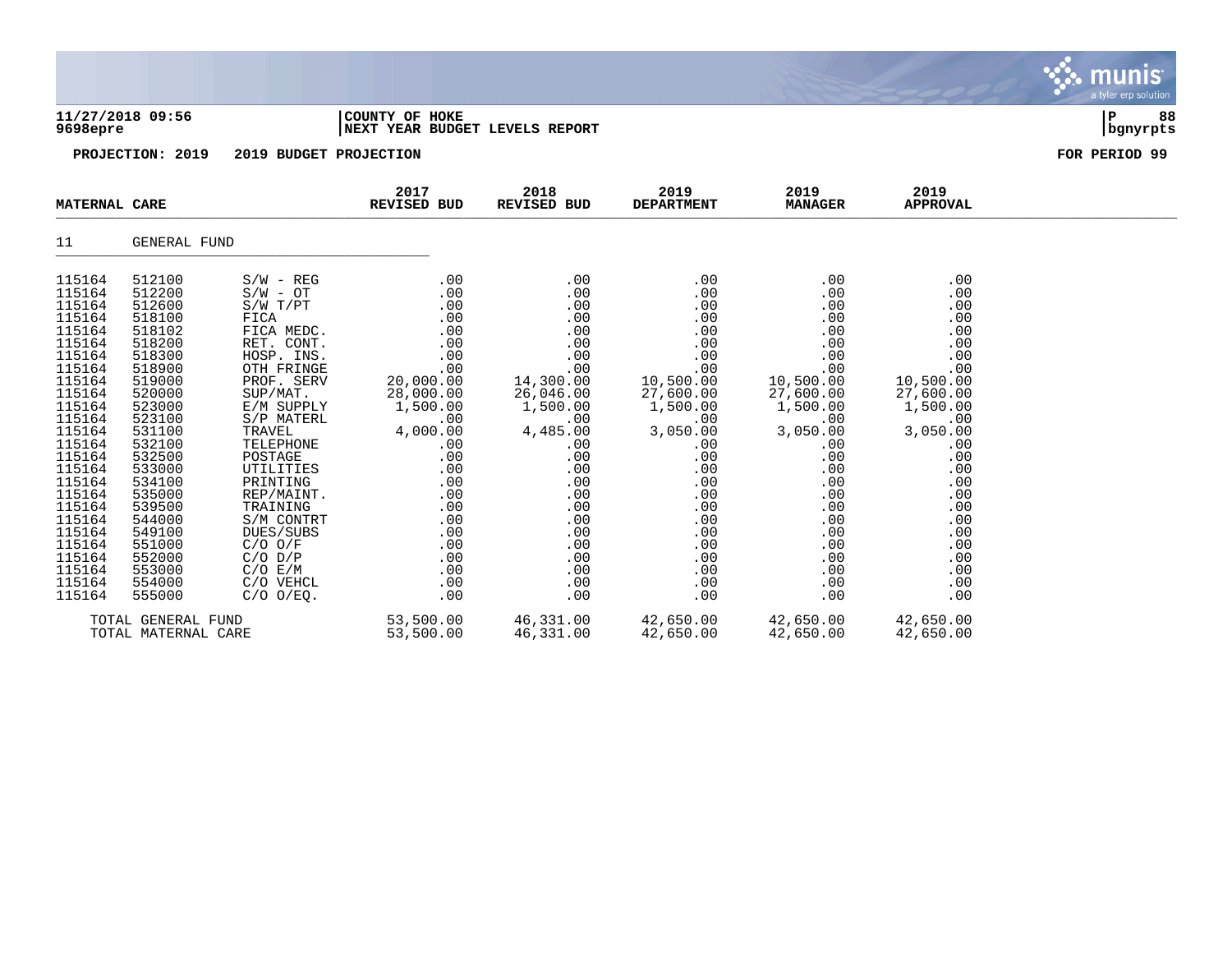|                                                                                                                                                                                                                                                                  |                                                                                                                                                                                                                                                                  |                                                                                                                                                                                                                                                                                                                                                            |                                                                                                                                                                                                          |                                                                                                                                                                                                          |                                                                                                                                                                                                          |                                                                                                                                                                                                          |                                                                                                                                                                                                          | munis<br>a tyler erp solution |
|------------------------------------------------------------------------------------------------------------------------------------------------------------------------------------------------------------------------------------------------------------------|------------------------------------------------------------------------------------------------------------------------------------------------------------------------------------------------------------------------------------------------------------------|------------------------------------------------------------------------------------------------------------------------------------------------------------------------------------------------------------------------------------------------------------------------------------------------------------------------------------------------------------|----------------------------------------------------------------------------------------------------------------------------------------------------------------------------------------------------------|----------------------------------------------------------------------------------------------------------------------------------------------------------------------------------------------------------|----------------------------------------------------------------------------------------------------------------------------------------------------------------------------------------------------------|----------------------------------------------------------------------------------------------------------------------------------------------------------------------------------------------------------|----------------------------------------------------------------------------------------------------------------------------------------------------------------------------------------------------------|-------------------------------|
| 11/27/2018 09:56<br>9698epre                                                                                                                                                                                                                                     |                                                                                                                                                                                                                                                                  |                                                                                                                                                                                                                                                                                                                                                            | COUNTY OF HOKE<br>NEXT YEAR BUDGET LEVELS REPORT                                                                                                                                                         |                                                                                                                                                                                                          |                                                                                                                                                                                                          |                                                                                                                                                                                                          |                                                                                                                                                                                                          | 88<br>∣P<br>  bgnyrpts        |
|                                                                                                                                                                                                                                                                  | PROJECTION: 2019                                                                                                                                                                                                                                                 | 2019 BUDGET PROJECTION                                                                                                                                                                                                                                                                                                                                     |                                                                                                                                                                                                          |                                                                                                                                                                                                          |                                                                                                                                                                                                          |                                                                                                                                                                                                          |                                                                                                                                                                                                          | FOR PERIOD 99                 |
| <b>MATERNAL CARE</b>                                                                                                                                                                                                                                             |                                                                                                                                                                                                                                                                  |                                                                                                                                                                                                                                                                                                                                                            | 2017<br>REVISED BUD                                                                                                                                                                                      | 2018<br><b>REVISED BUD</b>                                                                                                                                                                               | 2019<br><b>DEPARTMENT</b>                                                                                                                                                                                | 2019<br><b>MANAGER</b>                                                                                                                                                                                   | 2019<br><b>APPROVAL</b>                                                                                                                                                                                  |                               |
| 11                                                                                                                                                                                                                                                               | GENERAL FUND                                                                                                                                                                                                                                                     |                                                                                                                                                                                                                                                                                                                                                            |                                                                                                                                                                                                          |                                                                                                                                                                                                          |                                                                                                                                                                                                          |                                                                                                                                                                                                          |                                                                                                                                                                                                          |                               |
| 115164<br>115164<br>115164<br>115164<br>115164<br>115164<br>115164<br>115164<br>115164<br>115164<br>115164<br>115164<br>115164<br>115164<br>115164<br>115164<br>115164<br>115164<br>115164<br>115164<br>115164<br>115164<br>115164<br>115164<br>115164<br>115164 | 512100<br>512200<br>512600<br>518100<br>518102<br>518200<br>518300<br>518900<br>519000<br>520000<br>523000<br>523100<br>531100<br>532100<br>532500<br>533000<br>534100<br>535000<br>539500<br>544000<br>549100<br>551000<br>552000<br>553000<br>554000<br>555000 | $S/W - REG$<br>$S/W - OT$<br>S/W T/PT<br>FICA<br>FICA MEDC.<br>RET. CONT.<br>HOSP. INS.<br>OTH FRINGE<br>PROF. SERV<br>SUP/MAT.<br>E/M SUPPLY<br>S/P MATERL<br><b>TRAVEL</b><br>TELEPHONE<br>POSTAGE<br>UTILITIES<br>PRINTING<br>REP/MAINT.<br>TRAINING<br>S/M CONTRT<br>DUES/SUBS<br>$C/O$ $O/F$<br>$C/O$ $D/P$<br>C/O E/M<br>C/O VEHCL<br>$C/O$ $O/EQ$ . | .00<br>.00<br>.00<br>.00<br>.00<br>.00<br>.00<br>.00<br>20,000.00<br>28,000.00<br>1,500.00<br>.00<br>4,000.00<br>.00<br>.00<br>.00<br>.00<br>.00<br>.00<br>.00<br>.00<br>.00<br>.00<br>.00<br>.00<br>.00 | .00<br>.00<br>.00<br>.00<br>.00<br>.00<br>.00<br>.00<br>14,300.00<br>26,046.00<br>1,500.00<br>.00<br>4,485.00<br>.00<br>.00<br>.00<br>.00<br>.00<br>.00<br>.00<br>.00<br>.00<br>.00<br>.00<br>.00<br>.00 | .00<br>.00<br>.00<br>.00<br>.00<br>.00<br>.00<br>.00<br>10,500.00<br>27,600.00<br>1,500.00<br>.00<br>3,050.00<br>.00<br>.00<br>.00<br>.00<br>.00<br>.00<br>.00<br>.00<br>.00<br>.00<br>.00<br>.00<br>.00 | .00<br>.00<br>.00<br>.00<br>.00<br>.00<br>.00<br>.00<br>10,500.00<br>27,600.00<br>1,500.00<br>.00<br>3,050.00<br>.00<br>.00<br>.00<br>.00<br>.00<br>.00<br>.00<br>.00<br>.00<br>.00<br>.00<br>.00<br>.00 | .00<br>.00<br>.00<br>.00<br>.00<br>.00<br>.00<br>.00<br>10,500.00<br>27,600.00<br>1,500.00<br>.00<br>3,050.00<br>.00<br>.00<br>.00<br>.00<br>.00<br>.00<br>.00<br>.00<br>.00<br>.00<br>.00<br>.00<br>.00 |                               |
|                                                                                                                                                                                                                                                                  | TOTAL GENERAL FUND<br>TOTAL MATERNAL CARE                                                                                                                                                                                                                        |                                                                                                                                                                                                                                                                                                                                                            | 53,500.00<br>53,500.00                                                                                                                                                                                   | 46,331.00<br>46,331.00                                                                                                                                                                                   | 42,650.00<br>42,650.00                                                                                                                                                                                   | 42,650.00<br>42,650.00                                                                                                                                                                                   | 42,650.00<br>42,650.00                                                                                                                                                                                   |                               |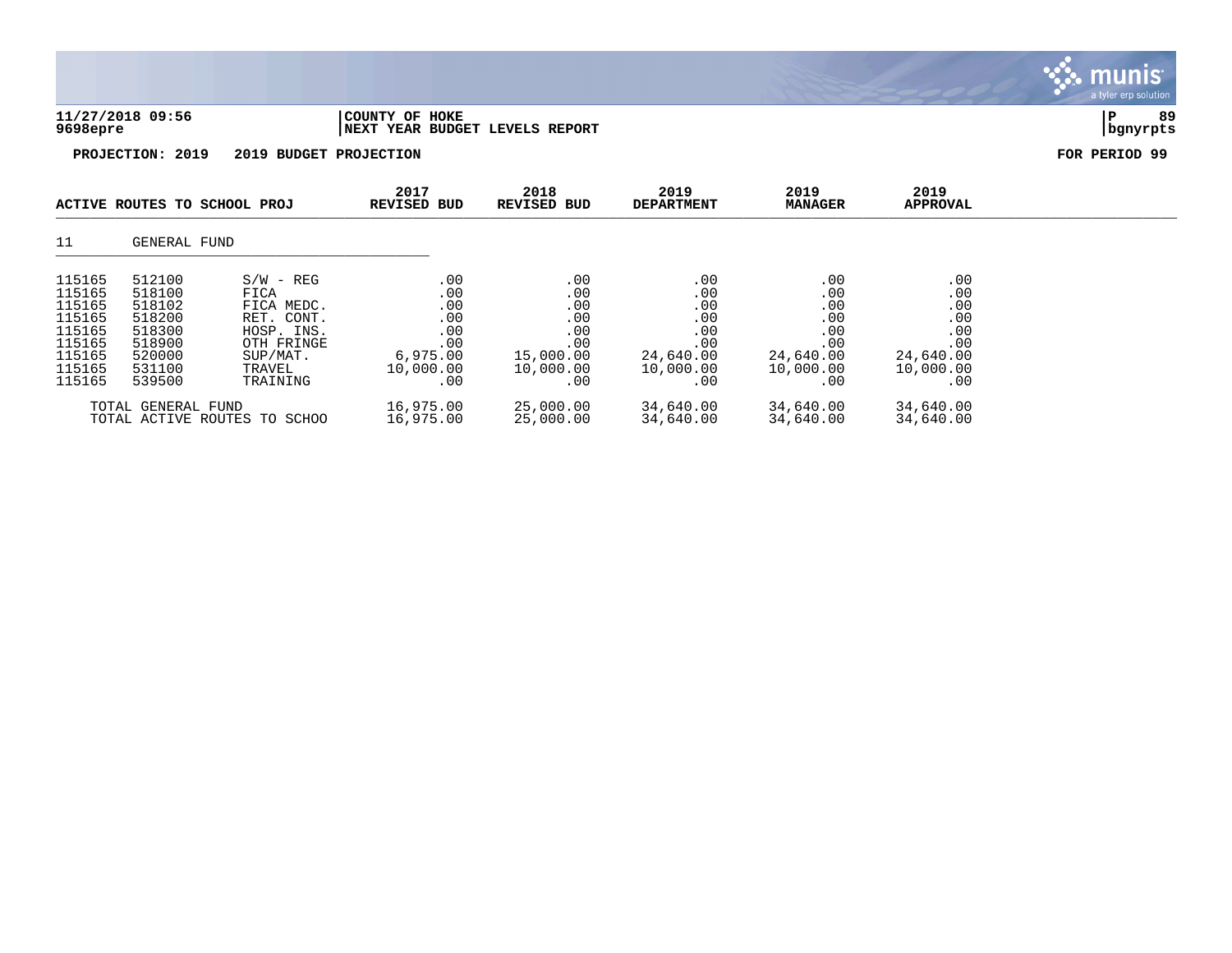|                                                                                        |                                                                                        |                                                                                                               |                                                                        |                                                                         |                                                                         |                                                                         |                                                                         | munis <sup>.</sup><br>a tyler erp solution |
|----------------------------------------------------------------------------------------|----------------------------------------------------------------------------------------|---------------------------------------------------------------------------------------------------------------|------------------------------------------------------------------------|-------------------------------------------------------------------------|-------------------------------------------------------------------------|-------------------------------------------------------------------------|-------------------------------------------------------------------------|--------------------------------------------|
| 9698epre                                                                               | 11/27/2018 09:56                                                                       |                                                                                                               | COUNTY OF HOKE<br>NEXT YEAR BUDGET LEVELS REPORT                       |                                                                         |                                                                         |                                                                         |                                                                         | 89<br>${\bf P}$<br>bgnyrpts                |
|                                                                                        | PROJECTION: 2019                                                                       | 2019 BUDGET PROJECTION                                                                                        |                                                                        |                                                                         |                                                                         |                                                                         |                                                                         | FOR PERIOD 99                              |
|                                                                                        | ACTIVE ROUTES TO SCHOOL PROJ                                                           |                                                                                                               | 2017<br><b>REVISED BUD</b>                                             | 2018<br><b>REVISED BUD</b>                                              | 2019<br><b>DEPARTMENT</b>                                               | 2019<br><b>MANAGER</b>                                                  | 2019<br><b>APPROVAL</b>                                                 |                                            |
| 11                                                                                     | GENERAL FUND                                                                           |                                                                                                               |                                                                        |                                                                         |                                                                         |                                                                         |                                                                         |                                            |
| 115165<br>115165<br>115165<br>115165<br>115165<br>115165<br>115165<br>115165<br>115165 | 512100<br>518100<br>518102<br>518200<br>518300<br>518900<br>520000<br>531100<br>539500 | $S/W - REG$<br>FICA<br>FICA MEDC.<br>RET. CONT.<br>HOSP. INS.<br>OTH FRINGE<br>SUP/MAT.<br>TRAVEL<br>TRAINING | .00<br>.00<br>.00<br>.00<br>.00<br>.00<br>6,975.00<br>10,000.00<br>.00 | .00<br>.00<br>.00<br>.00<br>.00<br>.00<br>15,000.00<br>10,000.00<br>.00 | .00<br>.00<br>.00<br>.00<br>.00<br>.00<br>24,640.00<br>10,000.00<br>.00 | .00<br>.00<br>.00<br>.00<br>.00<br>.00<br>24,640.00<br>10,000.00<br>.00 | .00<br>.00<br>.00<br>.00<br>.00<br>.00<br>24,640.00<br>10,000.00<br>.00 |                                            |
| TOTAL GENERAL FUND                                                                     |                                                                                        | 16,975.00                                                                                                     | 25,000.00                                                              | 34,640.00                                                               | 34,640.00                                                               | 34,640.00                                                               |                                                                         |                                            |

TOTAL ACTIVE ROUTES TO SCHOO 16,975.00 25,000.00 34,640.00 34,640.00 34,640.00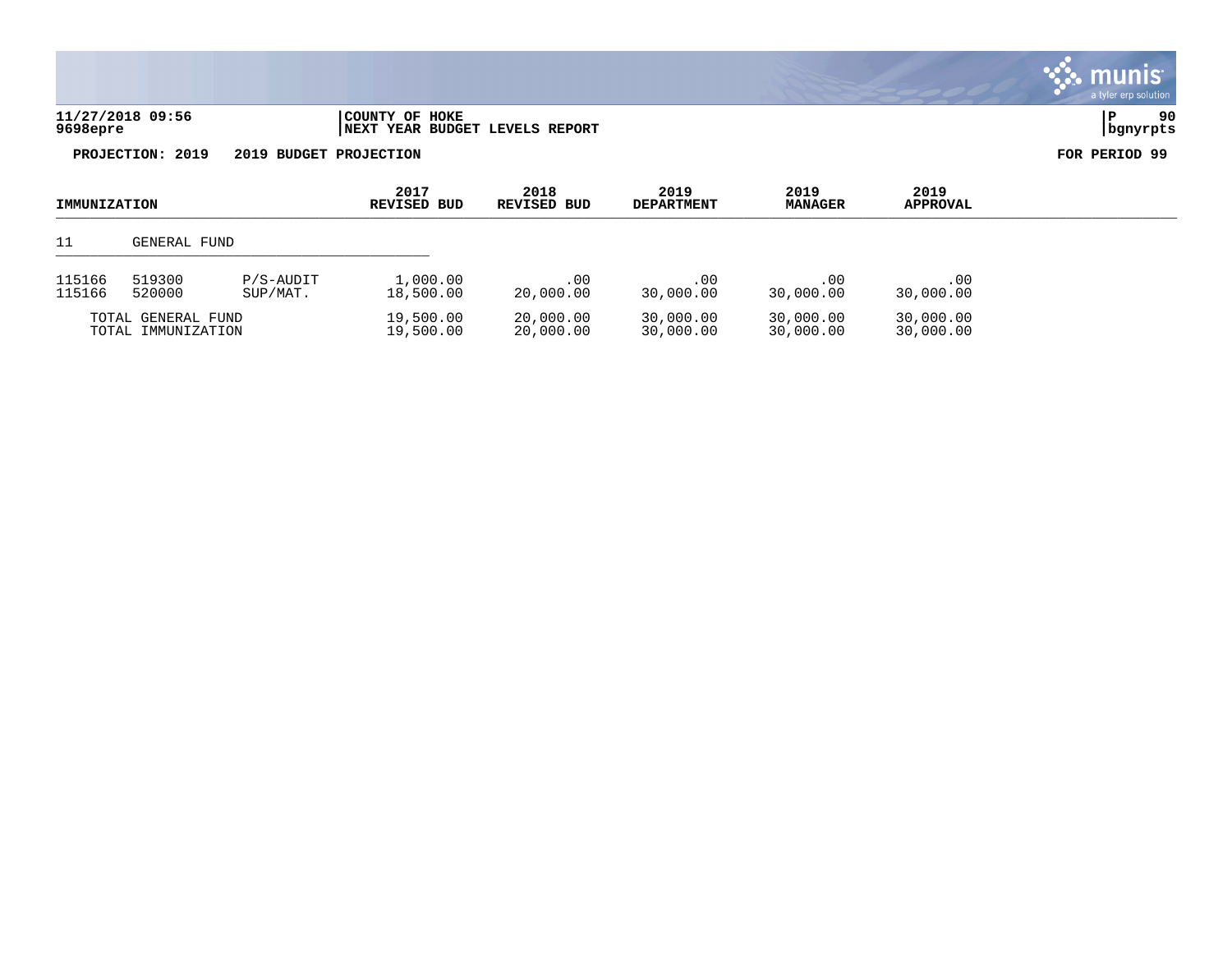| 11/27/2018 09:56 | 'COUNTY OF HOKE                | i P      | 90 |
|------------------|--------------------------------|----------|----|
| 9698epre         | NEXT YEAR BUDGET LEVELS REPORT | banvrpts |    |



| IMMUNIZATION                             |                                           | 2017<br>REVISED BUD    | 2018<br>REVISED BUD    | 2019<br><b>DEPARTMENT</b> | 2019<br><b>MANAGER</b> | 2019<br><b>APPROVAL</b> |                  |  |
|------------------------------------------|-------------------------------------------|------------------------|------------------------|---------------------------|------------------------|-------------------------|------------------|--|
| 11                                       | GENERAL FUND                              |                        |                        |                           |                        |                         |                  |  |
| 115166<br>115166                         | 519300<br>P/S-AUDIT<br>520000<br>SUP/MAT. |                        | 1,000.00<br>18,500.00  | $.00 \,$<br>20,000.00     | .00<br>30,000.00       | .00<br>30,000.00        | .00<br>30,000.00 |  |
| TOTAL GENERAL FUND<br>TOTAL IMMUNIZATION |                                           | 19,500.00<br>19,500.00 | 20,000.00<br>20,000.00 | 30,000.00<br>30,000.00    | 30,000.00<br>30,000.00 | 30,000.00<br>30,000.00  |                  |  |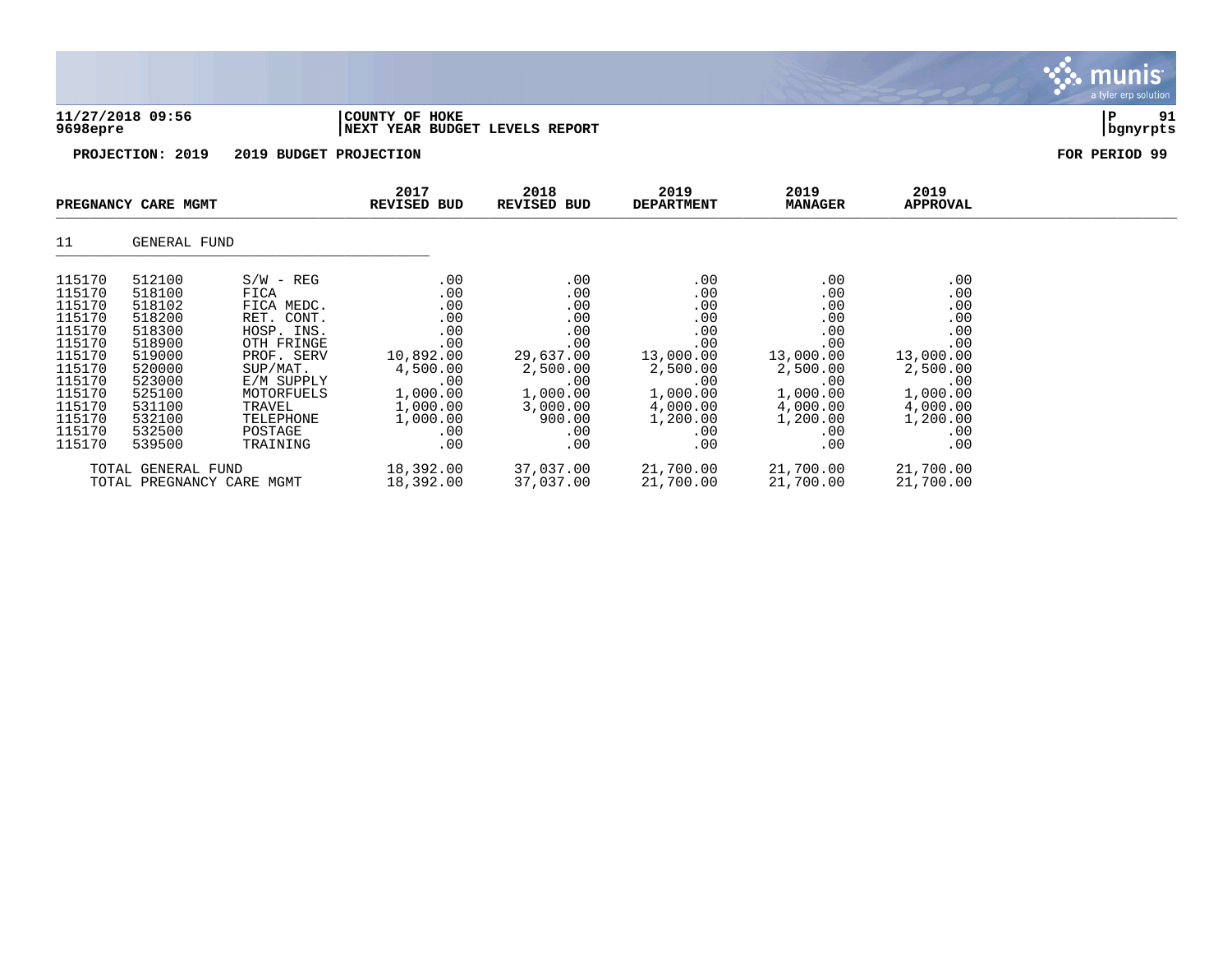|                  | 11/27/2018 09:56<br>9698epre |                        | COUNTY OF HOKE             |            | NEXT YEAR BUDGET LEVELS REPORT |                           |                        |                  | 91<br>P<br>bgnyrpts |
|------------------|------------------------------|------------------------|----------------------------|------------|--------------------------------|---------------------------|------------------------|------------------|---------------------|
|                  | PROJECTION: 2019             | 2019 BUDGET PROJECTION |                            |            |                                |                           |                        |                  | FOR PERIOD 99       |
|                  | PREGNANCY CARE MGMT          |                        | 2017<br><b>REVISED BUD</b> |            | 2018<br><b>REVISED BUD</b>     | 2019<br><b>DEPARTMENT</b> | 2019<br><b>MANAGER</b> | 2019<br>APPROVAL |                     |
| 11               | GENERAL FUND                 |                        |                            |            |                                |                           |                        |                  |                     |
| 115170           | 512100                       | $S/W - REG$            |                            | .00        | .00                            | .00                       | .00                    | .00              |                     |
| 115170<br>115170 | 518100<br>518102             | FICA<br>FICA MEDC.     |                            | .00<br>.00 | .00<br>.00                     | .00<br>.00                | .00<br>.00             | .00<br>.00       |                     |
| 115170           | 518200                       | RET. CONT.             |                            | .00        | .00                            | .00                       | .00                    | .00              |                     |
| 115170           | 518300                       | HOSP. INS.             |                            | .00        | .00                            | .00                       | .00                    | .00              |                     |
| 115170           | 518900                       | OTH FRINGE             |                            | .00        | .00                            | .00                       | .00                    | .00              |                     |
| 115170           | 519000                       | PROF. SERV             | 10,892.00                  |            | 29,637.00                      | 13,000.00                 | 13,000.00              | 13,000.00        |                     |
| 115170           | 520000                       | SUP/MAT.               | 4,500.00                   |            | 2,500.00                       | 2,500.00                  | 2,500.00               | 2,500.00         |                     |
| 115170           | 523000                       | E/M SUPPLY             |                            | .00        | .00                            | .00                       | .00                    | .00              |                     |
| 115170           | 525100                       | MOTORFUELS             | 1,000.00                   |            | 1,000.00                       | 1,000.00                  | 1,000.00               | 1,000.00         |                     |
| 115170           | 531100                       | TRAVEL                 | 1,000.00                   |            | 3,000.00                       | 4,000.00                  | 4,000.00               | 4,000.00         |                     |
| 115170<br>115170 | 532100<br>532500             | TELEPHONE<br>POSTAGE   | 1,000.00                   | .00        | 900.00<br>.00                  | 1,200.00<br>.00           | 1,200.00<br>.00        | 1,200.00<br>.00  |                     |
| 115170           | 539500                       | TRAINING               |                            | .00        | .00                            | .00                       | .00                    | .00              |                     |

 $m<sub>l</sub>$ 

TOTAL GENERAL FUND 18,392.00 37,037.00 21,700.00 21,700.00 21,700.00 TOTAL PREGNANCY CARE MGMT 18,392.00 37,037.00 21,700.00 21,700.00 21,700.00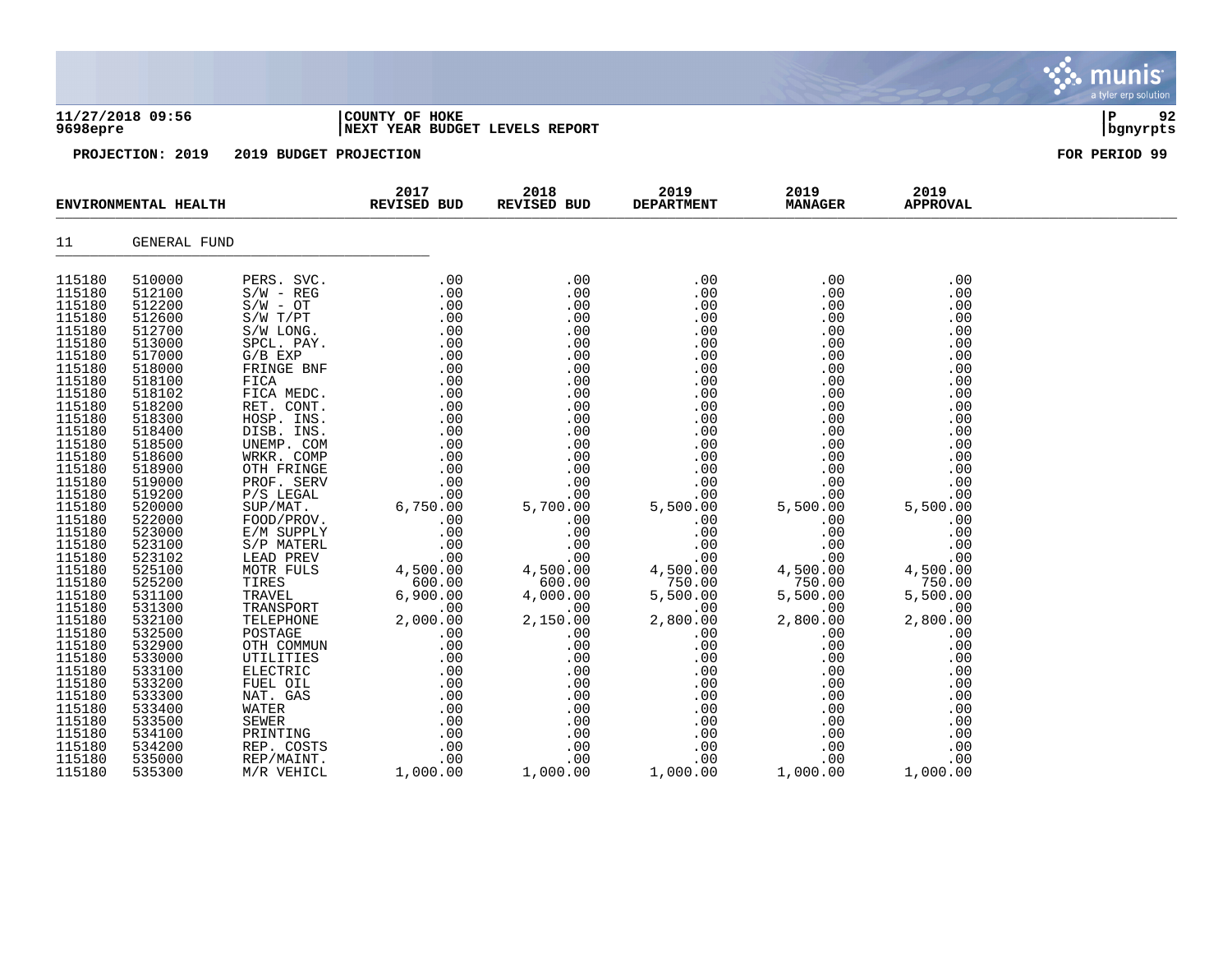|                                                                                                                                                                                                                                                                                                                                                                      | 11/27/2018 09:56<br>9698epre                                                                                                                                                                                                                                                                                                                                         |                                         | COUNTY OF HOKE<br>NEXT YEAR BUDGET LEVELS REPORT |                        |                                  |                        |                         | ΙP<br>92<br>  bgnyrpts |
|----------------------------------------------------------------------------------------------------------------------------------------------------------------------------------------------------------------------------------------------------------------------------------------------------------------------------------------------------------------------|----------------------------------------------------------------------------------------------------------------------------------------------------------------------------------------------------------------------------------------------------------------------------------------------------------------------------------------------------------------------|-----------------------------------------|--------------------------------------------------|------------------------|----------------------------------|------------------------|-------------------------|------------------------|
|                                                                                                                                                                                                                                                                                                                                                                      |                                                                                                                                                                                                                                                                                                                                                                      | PROJECTION: 2019 2019 BUDGET PROJECTION |                                                  |                        |                                  |                        |                         | FOR PERIOD 99          |
| ENVIRONMENTAL HEALTH REVISED BUD                                                                                                                                                                                                                                                                                                                                     |                                                                                                                                                                                                                                                                                                                                                                      |                                         | 2017                                             | 2018 70<br>REVISED BUD | 2019 — 2019<br><b>DEPARTMENT</b> | 2019<br><b>MANAGER</b> | 2019<br><b>APPROVAL</b> |                        |
| 11                                                                                                                                                                                                                                                                                                                                                                   | GENERAL FUND                                                                                                                                                                                                                                                                                                                                                         |                                         |                                                  |                        |                                  |                        |                         |                        |
| 115180<br>115180<br>115180<br>115180<br>115180<br>115180<br>115180<br>115180<br>115180<br>115180<br>115180<br>115180<br>115180<br>115180<br>115180<br>115180<br>115180<br>115180<br>115180<br>115180<br>115180<br>115180<br>115180<br>115180<br>115180<br>115180<br>115180<br>115180<br>115180<br>115180<br>115180<br>115180<br>115180<br>115180<br>115180<br>115180 | 510000<br>512100<br>512200<br>512600<br>512700<br>513000<br>517000<br>518000<br>518100<br>518102<br>518200<br>518300<br>518400<br>518500<br>518600<br>518900<br>519000<br>519200<br>520000<br>522000<br>523000<br>523100<br>523102<br>525100<br>525200<br>531100<br>531300<br>532100<br>532500<br>532900<br>533000<br>533100<br>533200<br>533300<br>533400<br>533500 |                                         |                                                  |                        |                                  |                        |                         |                        |
| 115180<br>115180<br>115180                                                                                                                                                                                                                                                                                                                                           | 534100<br>534200<br>535000                                                                                                                                                                                                                                                                                                                                           |                                         |                                                  |                        |                                  |                        |                         |                        |

S. munis

115180 535300 M/R VEHICL 1,000.00 1,000.00 1,000.00 1,000.00 1,000.00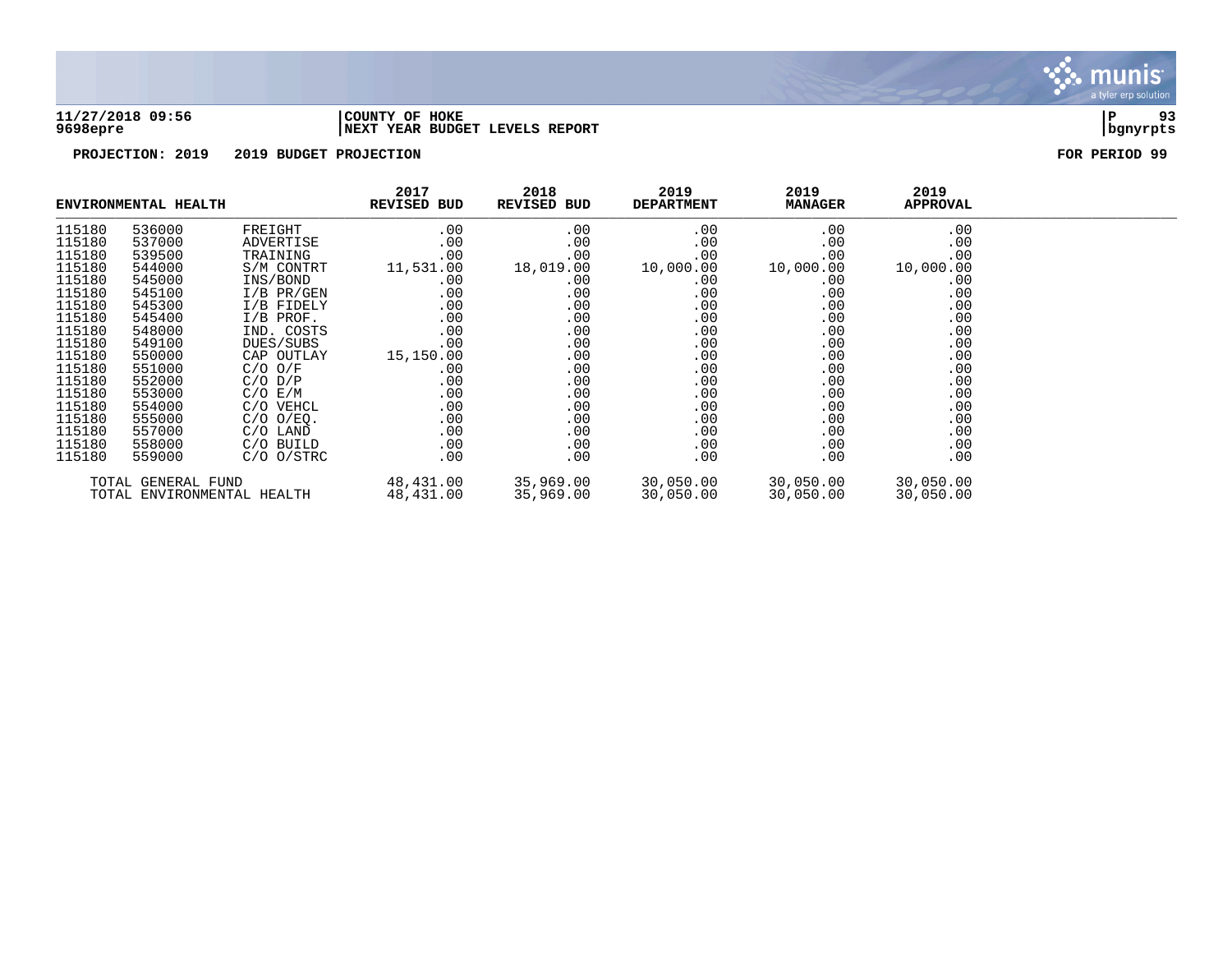

### **11/27/2018 09:56 |COUNTY OF HOKE |P 93 9698epre |NEXT YEAR BUDGET LEVELS REPORT |bgnyrpts**

|                                                  | ENVIRONMENTAL HEALTH |                        | 2017<br><b>REVISED BUD</b> | 2018<br>REVISED BUD    | 2019<br><b>DEPARTMENT</b> | 2019<br><b>MANAGER</b> | 2019<br><b>APPROVAL</b> |  |
|--------------------------------------------------|----------------------|------------------------|----------------------------|------------------------|---------------------------|------------------------|-------------------------|--|
| 115180                                           | 536000               | FREIGHT                | .00                        | .00                    | .00                       | .00                    | .00                     |  |
| 115180                                           | 537000               | ADVERTISE              | .00                        | $.00 \,$               | .00                       | .00                    | .00                     |  |
| 115180                                           | 539500               | TRAINING               | .00                        | $.00 \,$               | .00                       | .00                    | .00                     |  |
| 115180                                           | 544000               | S/M CONTRT             | 11,531.00                  | 18,019.00              | 10,000.00                 | 10,000.00              | 10,000.00               |  |
| 115180                                           | 545000               | INS/BOND               | .00                        | $.00 \,$               | .00                       | .00                    | .00                     |  |
| 115180                                           | 545100               | I/B PR/GEN             | .00                        | .00                    | .00                       | .00                    | .00                     |  |
| 115180                                           | 545300               | I/B FIDELY             | .00                        | .00                    | .00                       | .00                    | .00                     |  |
| 115180                                           | 545400               | $I/B$ PROF.            | .00                        | .00                    | .00                       | .00                    | .00                     |  |
| 115180                                           | 548000               | IND. COSTS             | .00                        | $.00 \,$               | .00                       | .00                    | .00                     |  |
| 115180                                           | 549100               | DUES/SUBS              | .00                        | $.00 \,$               | .00                       | .00                    | .00                     |  |
| 115180                                           | 550000               | CAP OUTLAY             | 15,150.00                  | .00                    | .00                       | .00                    | .00                     |  |
| 115180                                           | 551000               | $C/O$ $O/F$            | .00                        | .00                    | .00                       | .00                    | .00                     |  |
| 115180                                           | 552000               | $C/O$ $D/P$            | .00                        | .00                    | .00                       | .00                    | .00                     |  |
| 115180                                           | 553000               | C/O E/M                | .00                        | $.00 \,$               | .00                       | .00                    | .00                     |  |
| 115180                                           | 554000               | C/O VEHCL              | .00                        | $.00 \,$               | .00                       | .00                    | .00                     |  |
| 115180                                           | 555000               | $C/O$ $O/EQ$ .         | .00                        | .00                    | .00                       | .00                    | .00                     |  |
| 115180                                           | 557000               | C/O LAND               | .00                        | .00                    | .00                       | .00                    | .00                     |  |
| 115180                                           | 558000               | C/O BUILD              | .00                        | .00                    | .00                       | .00                    | .00                     |  |
| 115180                                           | 559000               | $C/O$ $O/STRC$         | .00                        | $.00 \,$               | .00                       | .00                    | .00                     |  |
| TOTAL GENERAL FUND<br>TOTAL ENVIRONMENTAL HEALTH |                      | 48,431.00<br>48,431.00 | 35,969.00<br>35,969.00     | 30,050.00<br>30,050.00 | 30,050.00<br>30,050.00    | 30,050.00<br>30,050.00 |                         |  |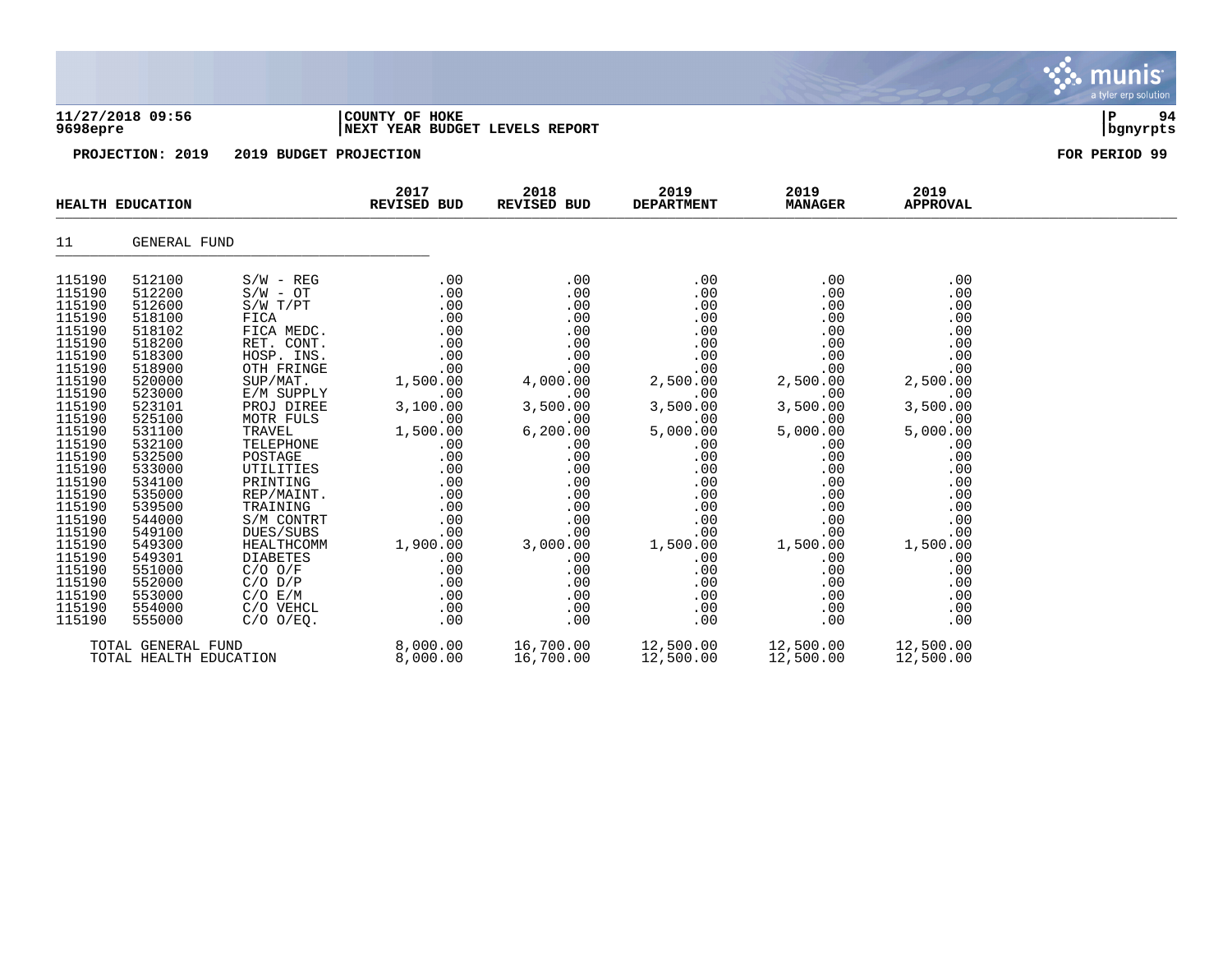|                                                                                                                                                                                                                                                                                      |                                                                                                                                                                                                                                                                                      |                                                                                                                                                                                                                                                                                                                                                                                     |                                                                                                                                                                                                                      |                                                                                                                                                                                                                       |                                                                                                                                                                                                                      |                                                                                                                                                                                                                      |                                                                                                                                                                                                                      | <b>munis</b><br>a tyler erp solution |
|--------------------------------------------------------------------------------------------------------------------------------------------------------------------------------------------------------------------------------------------------------------------------------------|--------------------------------------------------------------------------------------------------------------------------------------------------------------------------------------------------------------------------------------------------------------------------------------|-------------------------------------------------------------------------------------------------------------------------------------------------------------------------------------------------------------------------------------------------------------------------------------------------------------------------------------------------------------------------------------|----------------------------------------------------------------------------------------------------------------------------------------------------------------------------------------------------------------------|-----------------------------------------------------------------------------------------------------------------------------------------------------------------------------------------------------------------------|----------------------------------------------------------------------------------------------------------------------------------------------------------------------------------------------------------------------|----------------------------------------------------------------------------------------------------------------------------------------------------------------------------------------------------------------------|----------------------------------------------------------------------------------------------------------------------------------------------------------------------------------------------------------------------|--------------------------------------|
| 9698epre                                                                                                                                                                                                                                                                             | 11/27/2018 09:56                                                                                                                                                                                                                                                                     |                                                                                                                                                                                                                                                                                                                                                                                     | COUNTY OF HOKE<br>NEXT YEAR BUDGET LEVELS REPORT                                                                                                                                                                     |                                                                                                                                                                                                                       |                                                                                                                                                                                                                      |                                                                                                                                                                                                                      |                                                                                                                                                                                                                      | 94<br>P<br>bgnyrpts                  |
|                                                                                                                                                                                                                                                                                      | PROJECTION: 2019                                                                                                                                                                                                                                                                     | 2019 BUDGET PROJECTION                                                                                                                                                                                                                                                                                                                                                              |                                                                                                                                                                                                                      |                                                                                                                                                                                                                       |                                                                                                                                                                                                                      |                                                                                                                                                                                                                      |                                                                                                                                                                                                                      | FOR PERIOD 99                        |
|                                                                                                                                                                                                                                                                                      | <b>HEALTH EDUCATION</b>                                                                                                                                                                                                                                                              |                                                                                                                                                                                                                                                                                                                                                                                     | 2017<br><b>REVISED BUD</b>                                                                                                                                                                                           | 2018<br>REVISED BUD                                                                                                                                                                                                   | 2019<br><b>DEPARTMENT</b>                                                                                                                                                                                            | 2019<br><b>MANAGER</b>                                                                                                                                                                                               | 2019<br><b>APPROVAL</b>                                                                                                                                                                                              |                                      |
| 11                                                                                                                                                                                                                                                                                   | GENERAL FUND                                                                                                                                                                                                                                                                         |                                                                                                                                                                                                                                                                                                                                                                                     |                                                                                                                                                                                                                      |                                                                                                                                                                                                                       |                                                                                                                                                                                                                      |                                                                                                                                                                                                                      |                                                                                                                                                                                                                      |                                      |
| 115190<br>115190<br>115190<br>115190<br>115190<br>115190<br>115190<br>115190<br>115190<br>115190<br>115190<br>115190<br>115190<br>115190<br>115190<br>115190<br>115190<br>115190<br>115190<br>115190<br>115190<br>115190<br>115190<br>115190<br>115190<br>115190<br>115190<br>115190 | 512100<br>512200<br>512600<br>518100<br>518102<br>518200<br>518300<br>518900<br>520000<br>523000<br>523101<br>525100<br>531100<br>532100<br>532500<br>533000<br>534100<br>535000<br>539500<br>544000<br>549100<br>549300<br>549301<br>551000<br>552000<br>553000<br>554000<br>555000 | $S/W - REG$<br>$S/W - OT$<br>S/W T/PT<br>FICA<br>FICA MEDC.<br>RET. CONT.<br>HOSP. INS.<br>OTH FRINGE<br>SUP/MAT.<br>E/M SUPPLY<br>PROJ DIREE<br>MOTR FULS<br>TRAVEL<br>TELEPHONE<br>POSTAGE<br>UTILITIES<br>PRINTING<br>REP/MAINT.<br>TRAINING<br>S/M CONTRT<br>DUES/SUBS<br>HEALTHCOMM<br><b>DIABETES</b><br>$C/O$ $O/F$<br>$C/O$ $D/P$<br>C/O E/M<br>C/O VEHCL<br>$C/O$ $O/EO$ . | .00<br>.00<br>.00<br>.00<br>.00<br>.00<br>.00<br>.00<br>1,500.00<br>.00<br>3,100.00<br>.00<br>1,500.00<br>.00<br>.00<br>.00<br>.00<br>.00<br>.00<br>.00<br>.00<br>1,900.00<br>.00<br>.00<br>.00<br>.00<br>.00<br>.00 | .00<br>.00<br>.00<br>.00<br>.00<br>.00<br>.00<br>.00<br>4,000.00<br>.00<br>3,500.00<br>.00<br>6, 200.00<br>.00<br>.00<br>.00<br>.00<br>.00<br>.00<br>.00<br>.00<br>3,000.00<br>.00<br>.00<br>.00<br>.00<br>.00<br>.00 | .00<br>.00<br>.00<br>.00<br>.00<br>.00<br>.00<br>.00<br>2,500.00<br>.00<br>3,500.00<br>.00<br>5,000.00<br>.00<br>.00<br>.00<br>.00<br>.00<br>.00<br>.00<br>.00<br>1,500.00<br>.00<br>.00<br>.00<br>.00<br>.00<br>.00 | .00<br>.00<br>.00<br>.00<br>.00<br>.00<br>.00<br>.00<br>2,500.00<br>.00<br>3,500.00<br>.00<br>5,000.00<br>.00<br>.00<br>.00<br>.00<br>.00<br>.00<br>.00<br>.00<br>1,500.00<br>.00<br>.00<br>.00<br>.00<br>.00<br>.00 | .00<br>.00<br>.00<br>.00<br>.00<br>.00<br>.00<br>.00<br>2,500.00<br>.00<br>3,500.00<br>.00<br>5,000.00<br>.00<br>.00<br>.00<br>.00<br>.00<br>.00<br>.00<br>.00<br>1,500.00<br>.00<br>.00<br>.00<br>.00<br>.00<br>.00 |                                      |
|                                                                                                                                                                                                                                                                                      | TOTAL GENERAL FUND<br>TOTAL HEALTH EDUCATION                                                                                                                                                                                                                                         |                                                                                                                                                                                                                                                                                                                                                                                     | 8,000.00<br>8,000.00                                                                                                                                                                                                 | 16,700.00<br>16,700.00                                                                                                                                                                                                | 12,500.00<br>12,500.00                                                                                                                                                                                               | 12,500.00<br>12,500.00                                                                                                                                                                                               | 12,500.00<br>12,500.00                                                                                                                                                                                               |                                      |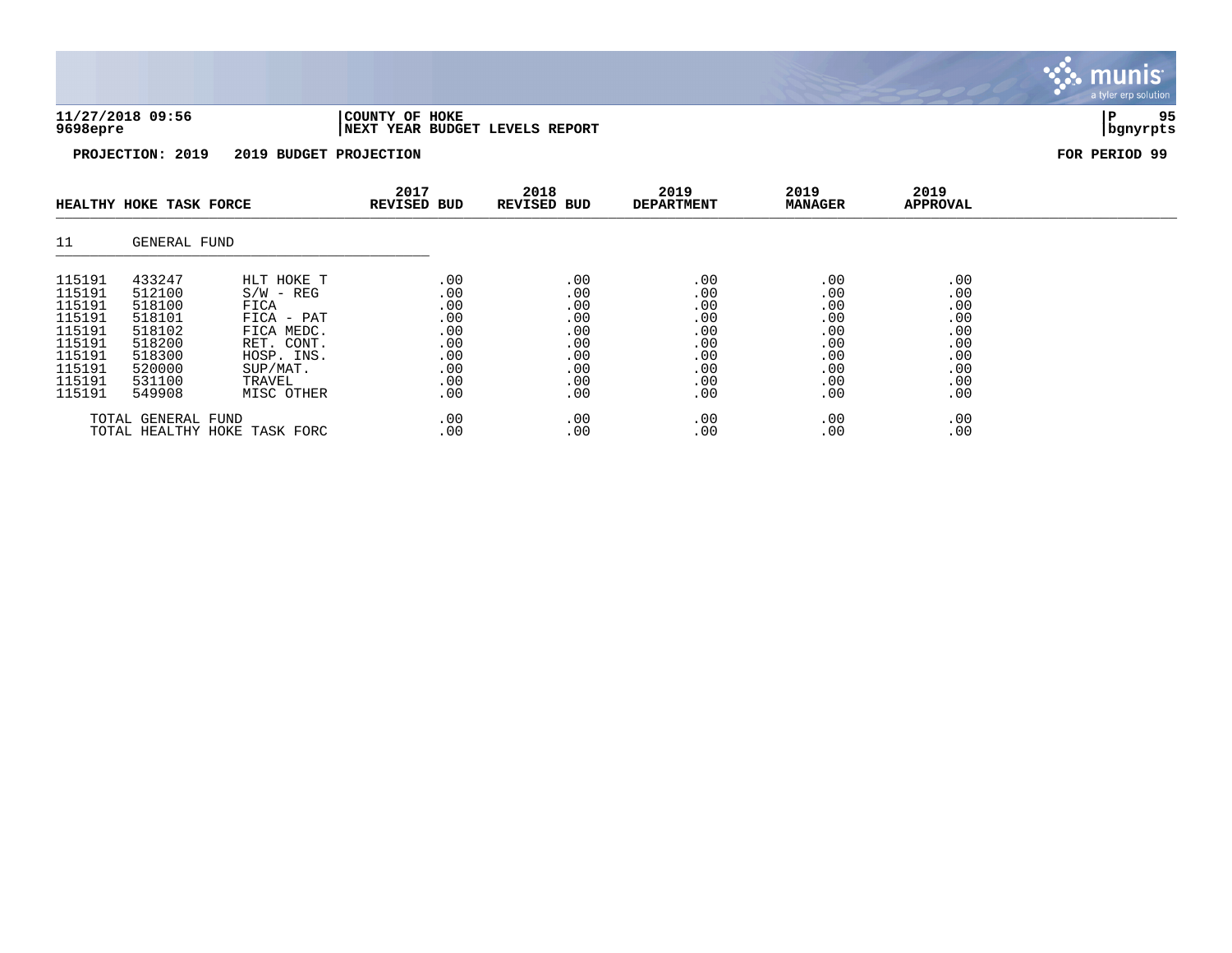| 11/27/2018 09:56 | 'COUNTY OF HOKE                 |          | QE |
|------------------|---------------------------------|----------|----|
| 9698epre         | INEXT YEAR BUDGET LEVELS REPORT | banvrpts |    |

**PROJECTION: 2019 2019 BUDGET PROJECTION FOR PERIOD 99**

|                                                                                                  | HEALTHY HOKE TASK FORCE                                                                          |                                                                                                                                 | 2017<br><b>REVISED BUD</b>                                         | 2018<br>REVISED BUD                                                | 2019<br><b>DEPARTMENT</b>                                          | 2019<br><b>MANAGER</b>                                             | 2019<br><b>APPROVAL</b>                                            |  |
|--------------------------------------------------------------------------------------------------|--------------------------------------------------------------------------------------------------|---------------------------------------------------------------------------------------------------------------------------------|--------------------------------------------------------------------|--------------------------------------------------------------------|--------------------------------------------------------------------|--------------------------------------------------------------------|--------------------------------------------------------------------|--|
| 11                                                                                               | GENERAL FUND                                                                                     |                                                                                                                                 |                                                                    |                                                                    |                                                                    |                                                                    |                                                                    |  |
| 115191<br>115191<br>115191<br>115191<br>115191<br>115191<br>115191<br>115191<br>115191<br>115191 | 433247<br>512100<br>518100<br>518101<br>518102<br>518200<br>518300<br>520000<br>531100<br>549908 | HLT HOKE T<br>$S/W - REG$<br>FICA<br>$FIGA - PAT$<br>FICA MEDC.<br>RET. CONT.<br>HOSP. INS.<br>SUP/MAT.<br>TRAVEL<br>MISC OTHER | .00<br>.00<br>.00<br>.00<br>.00<br>.00<br>.00<br>.00<br>.00<br>.00 | .00<br>.00<br>.00<br>.00<br>.00<br>.00<br>.00<br>.00<br>.00<br>.00 | .00<br>.00<br>.00<br>.00<br>.00<br>.00<br>.00<br>.00<br>.00<br>.00 | .00<br>.00<br>.00<br>.00<br>.00<br>.00<br>.00<br>.00<br>.00<br>.00 | .00<br>.00<br>.00<br>.00<br>.00<br>.00<br>.00<br>.00<br>.00<br>.00 |  |
|                                                                                                  | TOTAL GENERAL FUND                                                                               | TOTAL HEALTHY HOKE TASK FORC                                                                                                    | .00<br>.00                                                         | .00<br>.00                                                         | .00<br>.00                                                         | .00<br>.00                                                         | .00<br>.00                                                         |  |

a tyler erp solution

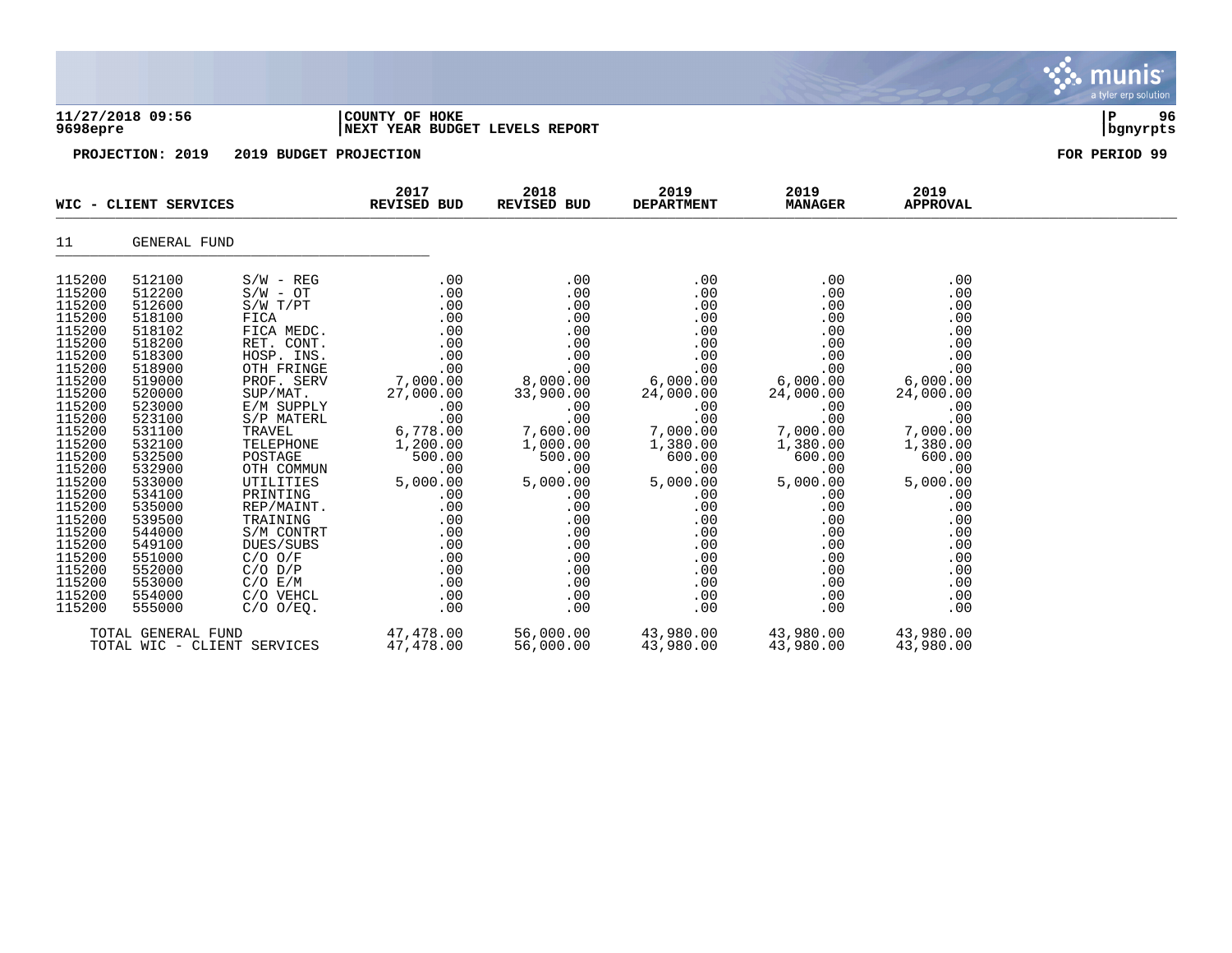|                                                                                                                                                                                                                                                                            |                                                                                                                                                                                                                                                                            |                       |                                                                                                                                                                                                                                   |                                     |     |                        |                         | a tyler erp solution  |
|----------------------------------------------------------------------------------------------------------------------------------------------------------------------------------------------------------------------------------------------------------------------------|----------------------------------------------------------------------------------------------------------------------------------------------------------------------------------------------------------------------------------------------------------------------------|-----------------------|-----------------------------------------------------------------------------------------------------------------------------------------------------------------------------------------------------------------------------------|-------------------------------------|-----|------------------------|-------------------------|-----------------------|
| 9698epre                                                                                                                                                                                                                                                                   | 11/27/2018 09:56<br>PROJECTION: 2019 2019 BUDGET PROJECTION                                                                                                                                                                                                                |                       | COUNTY OF HOKE<br>NEXT YEAR BUDGET LEVELS REPORT                                                                                                                                                                                  |                                     |     |                        |                         | P<br>96<br>  bgnyrpts |
|                                                                                                                                                                                                                                                                            |                                                                                                                                                                                                                                                                            |                       |                                                                                                                                                                                                                                   |                                     |     |                        |                         | FOR PERIOD 99         |
|                                                                                                                                                                                                                                                                            |                                                                                                                                                                                                                                                                            | WIC - CLIENT SERVICES | 2017<br><b>REVISED BUD</b>                                                                                                                                                                                                        | 2018 2019<br>REVISED BUD DEPARTMENT |     | 2019<br><b>MANAGER</b> | 2019<br><b>APPROVAL</b> |                       |
| 11                                                                                                                                                                                                                                                                         | GENERAL FUND                                                                                                                                                                                                                                                               |                       |                                                                                                                                                                                                                                   |                                     |     |                        |                         |                       |
| 115200<br>115200<br>115200<br>115200<br>115200<br>115200<br>115200<br>115200<br>115200<br>115200<br>115200<br>115200<br>115200<br>115200<br>115200<br>115200<br>115200<br>115200<br>115200<br>115200<br>115200<br>115200<br>115200<br>115200<br>115200<br>115200<br>115200 | 512100<br>512200<br>512600<br>518100<br>518102<br>518200<br>518300<br>518900<br>519000<br>520000<br>523000<br>523100<br>531100<br>532100<br>532500<br>532900<br>533000<br>534100<br>535000<br>539500<br>544000<br>549100<br>551000<br>552000<br>553000<br>554000<br>555000 | $S/W - REG$           | .00                                                                                                                                                                                                                               | .00                                 | .00 | .00                    | .00                     |                       |
|                                                                                                                                                                                                                                                                            |                                                                                                                                                                                                                                                                            |                       | TOTAL GENERAL FUND                             47,478.00      56,000.00      43,980.00      43,980.00      43,980.00<br>TOTAL WIC - CLIENT SERVICES           47,478.00     56,000.00     43,980.00      43,980.00      43,980.00 |                                     |     |                        |                         |                       |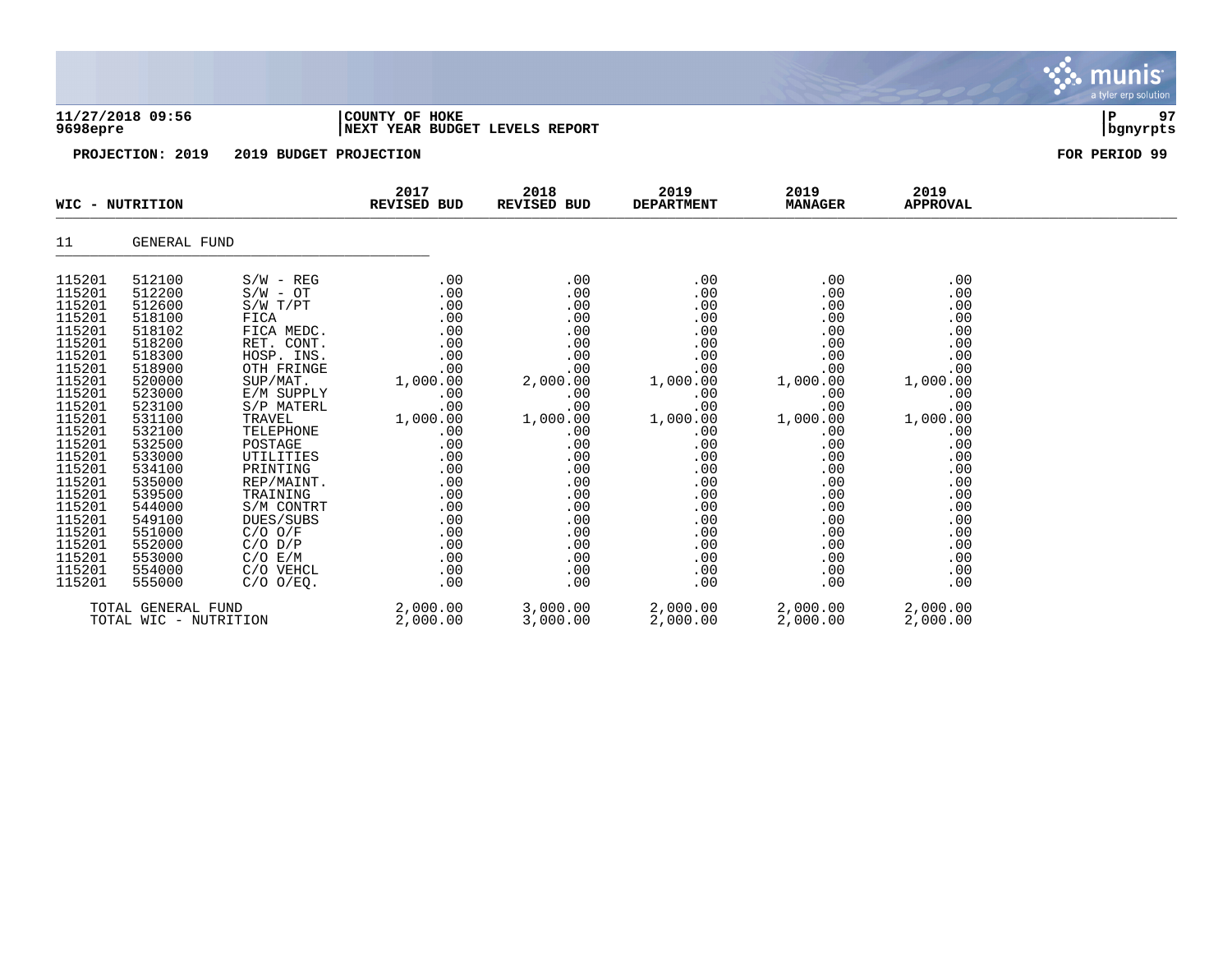|                                                                                                                                                                                                                                                        |                                                                                                                                                                                                                                                        |                                                                                                                                                                                                                                                                                                                                       |                                                                                                                                                                                       |                                                                                                                                                                                       |                                                                                                                                                                                       |                                                                                                                                                                                       |                                                                                                                                                                                       | <b>munis</b><br>a tyler erp solution |
|--------------------------------------------------------------------------------------------------------------------------------------------------------------------------------------------------------------------------------------------------------|--------------------------------------------------------------------------------------------------------------------------------------------------------------------------------------------------------------------------------------------------------|---------------------------------------------------------------------------------------------------------------------------------------------------------------------------------------------------------------------------------------------------------------------------------------------------------------------------------------|---------------------------------------------------------------------------------------------------------------------------------------------------------------------------------------|---------------------------------------------------------------------------------------------------------------------------------------------------------------------------------------|---------------------------------------------------------------------------------------------------------------------------------------------------------------------------------------|---------------------------------------------------------------------------------------------------------------------------------------------------------------------------------------|---------------------------------------------------------------------------------------------------------------------------------------------------------------------------------------|--------------------------------------|
| 9698epre                                                                                                                                                                                                                                               | 11/27/2018 09:56                                                                                                                                                                                                                                       |                                                                                                                                                                                                                                                                                                                                       | COUNTY OF HOKE<br>NEXT YEAR BUDGET LEVELS REPORT                                                                                                                                      |                                                                                                                                                                                       |                                                                                                                                                                                       |                                                                                                                                                                                       |                                                                                                                                                                                       | 97<br>ΙP<br>  bgnyrpts               |
|                                                                                                                                                                                                                                                        | PROJECTION: 2019                                                                                                                                                                                                                                       | 2019 BUDGET PROJECTION                                                                                                                                                                                                                                                                                                                |                                                                                                                                                                                       |                                                                                                                                                                                       |                                                                                                                                                                                       |                                                                                                                                                                                       |                                                                                                                                                                                       | FOR PERIOD 99                        |
|                                                                                                                                                                                                                                                        | WIC - NUTRITION                                                                                                                                                                                                                                        |                                                                                                                                                                                                                                                                                                                                       | 2017<br><b>REVISED BUD</b>                                                                                                                                                            | 2018<br>REVISED BUD                                                                                                                                                                   | 2019<br><b>DEPARTMENT</b>                                                                                                                                                             | 2019<br><b>MANAGER</b>                                                                                                                                                                | 2019<br><b>APPROVAL</b>                                                                                                                                                               |                                      |
| 11                                                                                                                                                                                                                                                     | GENERAL FUND                                                                                                                                                                                                                                           |                                                                                                                                                                                                                                                                                                                                       |                                                                                                                                                                                       |                                                                                                                                                                                       |                                                                                                                                                                                       |                                                                                                                                                                                       |                                                                                                                                                                                       |                                      |
| 115201<br>115201<br>115201<br>115201<br>115201<br>115201<br>115201<br>115201<br>115201<br>115201<br>115201<br>115201<br>115201<br>115201<br>115201<br>115201<br>115201<br>115201<br>115201<br>115201<br>115201<br>115201<br>115201<br>115201<br>115201 | 512100<br>512200<br>512600<br>518100<br>518102<br>518200<br>518300<br>518900<br>520000<br>523000<br>523100<br>531100<br>532100<br>532500<br>533000<br>534100<br>535000<br>539500<br>544000<br>549100<br>551000<br>552000<br>553000<br>554000<br>555000 | $S/W - REG$<br>$S/W - OT$<br>S/W T/PT<br>FICA<br>FICA MEDC.<br>RET. CONT.<br>HOSP. INS.<br>OTH FRINGE<br>SUP/MAT.<br>E/M SUPPLY<br>S/P MATERL<br>TRAVEL<br>TELEPHONE<br>POSTAGE<br>UTILITIES<br>PRINTING<br>REP/MAINT.<br>TRAINING<br>S/M CONTRT<br>DUES/SUBS<br>$C/O$ $O/F$<br>$C/O$ $D/P$<br>C/O E/M<br>C/O VEHCL<br>$C/O$ $O/EQ$ . | .00<br>.00<br>.00<br>.00<br>.00<br>.00<br>.00<br>.00<br>1,000.00<br>.00<br>.00<br>1,000.00<br>.00<br>.00<br>.00<br>.00<br>.00<br>.00<br>.00<br>.00<br>.00<br>.00<br>.00<br>.00<br>.00 | .00<br>.00<br>.00<br>.00<br>.00<br>.00<br>.00<br>.00<br>2,000.00<br>.00<br>.00<br>1,000.00<br>.00<br>.00<br>.00<br>.00<br>.00<br>.00<br>.00<br>.00<br>.00<br>.00<br>.00<br>.00<br>.00 | .00<br>.00<br>.00<br>.00<br>.00<br>.00<br>.00<br>.00<br>1,000.00<br>.00<br>.00<br>1,000.00<br>.00<br>.00<br>.00<br>.00<br>.00<br>.00<br>.00<br>.00<br>.00<br>.00<br>.00<br>.00<br>.00 | .00<br>.00<br>.00<br>.00<br>.00<br>.00<br>.00<br>.00<br>1,000.00<br>.00<br>.00<br>1,000.00<br>.00<br>.00<br>.00<br>.00<br>.00<br>.00<br>.00<br>.00<br>.00<br>.00<br>.00<br>.00<br>.00 | .00<br>.00<br>.00<br>.00<br>.00<br>.00<br>.00<br>.00<br>1,000.00<br>.00<br>.00<br>1,000.00<br>.00<br>.00<br>.00<br>.00<br>.00<br>.00<br>.00<br>.00<br>.00<br>.00<br>.00<br>.00<br>.00 |                                      |
|                                                                                                                                                                                                                                                        | TOTAL GENERAL FUND<br>TOTAL WIC - NUTRITION                                                                                                                                                                                                            |                                                                                                                                                                                                                                                                                                                                       | 2,000.00<br>2,000.00                                                                                                                                                                  | 3,000.00<br>3,000.00                                                                                                                                                                  | 2,000.00<br>2,000.00                                                                                                                                                                  | 2,000.00<br>2,000.00                                                                                                                                                                  | 2,000.00<br>2,000.00                                                                                                                                                                  |                                      |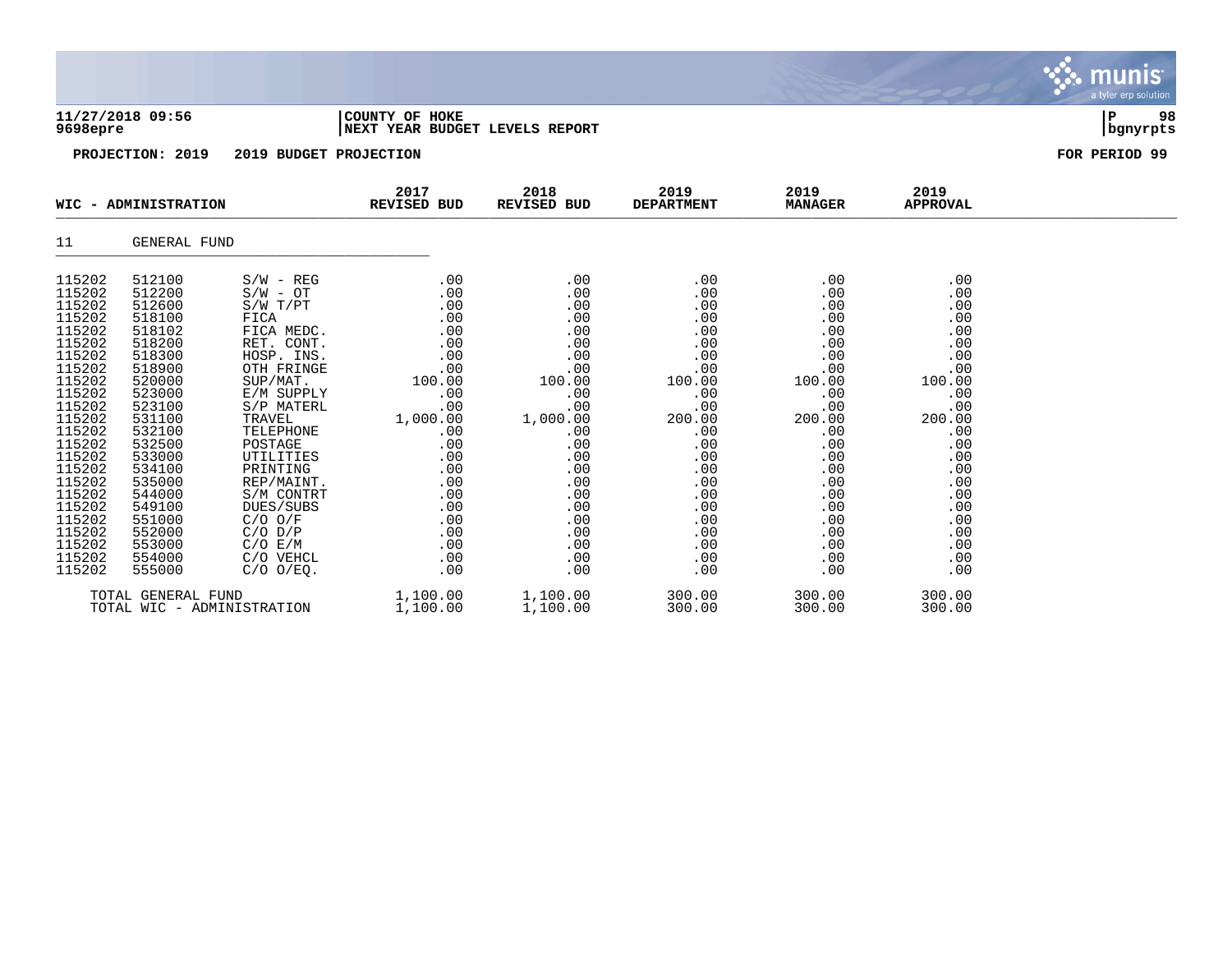|                                                                                                                                                                                                                                              | 11/27/2018 09:56<br>9698epre                                                                                                                                                                                                                 |                                                                                                                                                                                                                                                                                                                                   | COUNTY OF HOKE<br>NEXT YEAR BUDGET LEVELS REPORT                                                                                                                             |                                                                                                                                                                                   |                                                                                                                                                                            |                                                                                                                                                                            |                                                                                                                                                                            | 98<br>l P<br>  bgnyrpts |
|----------------------------------------------------------------------------------------------------------------------------------------------------------------------------------------------------------------------------------------------|----------------------------------------------------------------------------------------------------------------------------------------------------------------------------------------------------------------------------------------------|-----------------------------------------------------------------------------------------------------------------------------------------------------------------------------------------------------------------------------------------------------------------------------------------------------------------------------------|------------------------------------------------------------------------------------------------------------------------------------------------------------------------------|-----------------------------------------------------------------------------------------------------------------------------------------------------------------------------------|----------------------------------------------------------------------------------------------------------------------------------------------------------------------------|----------------------------------------------------------------------------------------------------------------------------------------------------------------------------|----------------------------------------------------------------------------------------------------------------------------------------------------------------------------|-------------------------|
|                                                                                                                                                                                                                                              | PROJECTION: 2019                                                                                                                                                                                                                             | 2019 BUDGET PROJECTION                                                                                                                                                                                                                                                                                                            |                                                                                                                                                                              |                                                                                                                                                                                   |                                                                                                                                                                            |                                                                                                                                                                            |                                                                                                                                                                            | FOR PERIOD 99           |
|                                                                                                                                                                                                                                              | WIC - ADMINISTRATION                                                                                                                                                                                                                         |                                                                                                                                                                                                                                                                                                                                   | 2017<br>REVISED BUD                                                                                                                                                          | 2018<br>REVISED BUD                                                                                                                                                               | 2019<br><b>DEPARTMENT</b>                                                                                                                                                  | 2019<br><b>MANAGER</b>                                                                                                                                                     | 2019<br><b>APPROVAL</b>                                                                                                                                                    |                         |
| 11                                                                                                                                                                                                                                           | GENERAL FUND                                                                                                                                                                                                                                 |                                                                                                                                                                                                                                                                                                                                   |                                                                                                                                                                              |                                                                                                                                                                                   |                                                                                                                                                                            |                                                                                                                                                                            |                                                                                                                                                                            |                         |
| 115202<br>115202<br>115202<br>115202<br>115202<br>115202<br>115202<br>115202<br>115202<br>115202<br>115202<br>115202<br>115202<br>115202<br>115202<br>115202<br>115202<br>115202<br>115202<br>115202<br>115202<br>115202<br>115202<br>115202 | 512100<br>512200<br>512600<br>518100<br>518102<br>518200<br>518300<br>518900<br>520000<br>523000<br>523100<br>531100<br>532100<br>532500<br>533000<br>534100<br>535000<br>544000<br>549100<br>551000<br>552000<br>553000<br>554000<br>555000 | $S/W - REG$<br>$S/W - OT$<br>$S/W$ $T/PT$<br>FICA<br>FICA MEDC.<br>RET. CONT.<br>HOSP. INS.<br>OTH FRINGE<br>SUP/MAT.<br>E/M SUPPLY<br>S/P MATERL<br>TRAVEL<br>TELEPHONE<br>POSTAGE<br>UTILITIES<br>PRINTING<br>REP/MAINT.<br>S/M CONTRT<br>DUES/SUBS<br>$C/O$ $O/F$<br>$C/O$ $D/P$<br>$C/O$ $E/M$<br>C/O VEHCL<br>$C/O$ $O/EQ$ . | .00<br>.00<br>.00<br>.00<br>.00<br>.00<br>.00<br>.00<br>100.00<br>.00<br>.00<br>1,000.00<br>.00<br>.00<br>.00<br>.00<br>.00<br>.00<br>.00<br>.00<br>.00<br>.00<br>.00<br>.00 | .00<br>.00<br>.00<br>.00<br>.00<br>.00<br>.00<br>.00<br>100.00<br>.00<br>.00<br>1,000.00<br>.00<br>.00<br>.00<br>.00<br>.00<br>.00<br>.00<br>.00<br>.00<br>.00<br>$.00 \,$<br>.00 | .00<br>.00<br>.00<br>.00<br>.00<br>.00<br>.00<br>.00<br>100.00<br>.00<br>.00<br>200.00<br>.00<br>.00<br>.00<br>.00<br>.00<br>.00<br>.00<br>.00<br>.00<br>.00<br>.00<br>.00 | .00<br>.00<br>.00<br>.00<br>.00<br>.00<br>.00<br>.00<br>100.00<br>.00<br>.00<br>200.00<br>.00<br>.00<br>.00<br>.00<br>.00<br>.00<br>.00<br>.00<br>.00<br>.00<br>.00<br>.00 | .00<br>.00<br>.00<br>.00<br>.00<br>.00<br>.00<br>.00<br>100.00<br>.00<br>.00<br>200.00<br>.00<br>.00<br>.00<br>.00<br>.00<br>.00<br>.00<br>.00<br>.00<br>.00<br>.00<br>.00 |                         |
|                                                                                                                                                                                                                                              | TOTAL GENERAL FUND                                                                                                                                                                                                                           | TOTAL WIC - ADMINISTRATION                                                                                                                                                                                                                                                                                                        | 1,100.00<br>1,100.00                                                                                                                                                         | 1,100.00<br>1,100.00                                                                                                                                                              | 300.00<br>300.00                                                                                                                                                           | 300.00<br>300.00                                                                                                                                                           | 300.00<br>300.00                                                                                                                                                           |                         |

**∵∴** munis

a tyler erp solution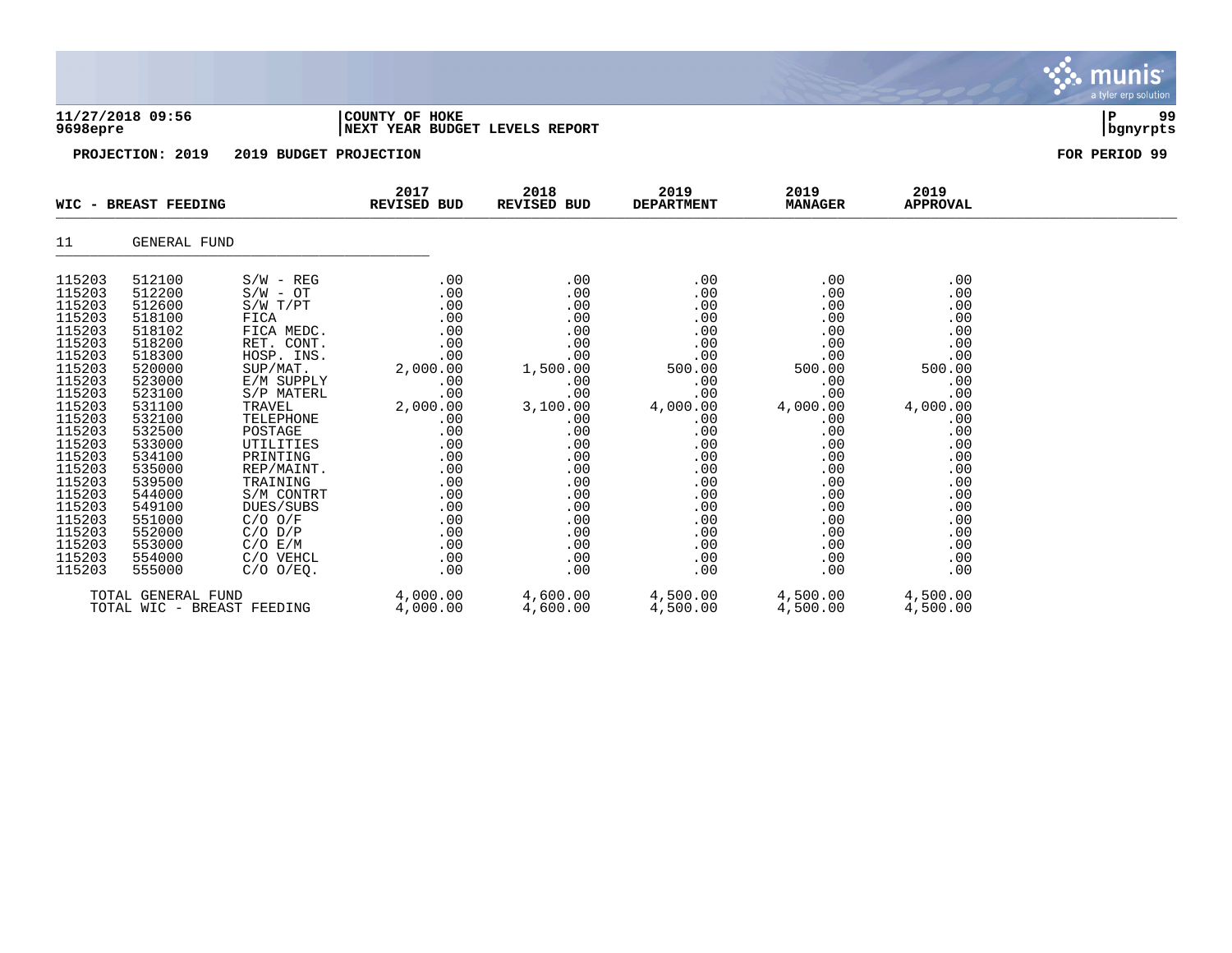|                                                                                                                                                                                                                                              | 11/27/2018 09:56<br>9698epre                                                                                                                                                                                                                 |                                                                                                                                                                                                                                                                                                                             | COUNTY OF HOKE                                                                                                                                                                 | NEXT YEAR BUDGET LEVELS REPORT                                                                                                                                                 |                                                                                                                                                                              |                                                                                                                                                                              |                                                                                                                                                                              |               |  |  |  |
|----------------------------------------------------------------------------------------------------------------------------------------------------------------------------------------------------------------------------------------------|----------------------------------------------------------------------------------------------------------------------------------------------------------------------------------------------------------------------------------------------|-----------------------------------------------------------------------------------------------------------------------------------------------------------------------------------------------------------------------------------------------------------------------------------------------------------------------------|--------------------------------------------------------------------------------------------------------------------------------------------------------------------------------|--------------------------------------------------------------------------------------------------------------------------------------------------------------------------------|------------------------------------------------------------------------------------------------------------------------------------------------------------------------------|------------------------------------------------------------------------------------------------------------------------------------------------------------------------------|------------------------------------------------------------------------------------------------------------------------------------------------------------------------------|---------------|--|--|--|
|                                                                                                                                                                                                                                              | PROJECTION: 2019                                                                                                                                                                                                                             | 2019 BUDGET PROJECTION                                                                                                                                                                                                                                                                                                      |                                                                                                                                                                                |                                                                                                                                                                                |                                                                                                                                                                              |                                                                                                                                                                              |                                                                                                                                                                              | FOR PERIOD 99 |  |  |  |
|                                                                                                                                                                                                                                              | WIC - BREAST FEEDING                                                                                                                                                                                                                         |                                                                                                                                                                                                                                                                                                                             | 2017<br><b>REVISED BUD</b>                                                                                                                                                     | 2018<br>REVISED BUD                                                                                                                                                            | 2019<br><b>DEPARTMENT</b>                                                                                                                                                    | 2019<br><b>MANAGER</b>                                                                                                                                                       | 2019<br><b>APPROVAL</b>                                                                                                                                                      |               |  |  |  |
| 11                                                                                                                                                                                                                                           | GENERAL FUND                                                                                                                                                                                                                                 |                                                                                                                                                                                                                                                                                                                             |                                                                                                                                                                                |                                                                                                                                                                                |                                                                                                                                                                              |                                                                                                                                                                              |                                                                                                                                                                              |               |  |  |  |
| 115203<br>115203<br>115203<br>115203<br>115203<br>115203<br>115203<br>115203<br>115203<br>115203<br>115203<br>115203<br>115203<br>115203<br>115203<br>115203<br>115203<br>115203<br>115203<br>115203<br>115203<br>115203<br>115203<br>115203 | 512100<br>512200<br>512600<br>518100<br>518102<br>518200<br>518300<br>520000<br>523000<br>523100<br>531100<br>532100<br>532500<br>533000<br>534100<br>535000<br>539500<br>544000<br>549100<br>551000<br>552000<br>553000<br>554000<br>555000 | $S/W - REG$<br>$S/W - OT$<br>$S/W$ $T/PT$<br>FICA<br>FICA MEDC.<br>RET. CONT.<br>HOSP. INS.<br>SUP/MAT.<br>E/M SUPPLY<br>S/P MATERL<br>TRAVEL<br>TELEPHONE<br>POSTAGE<br>UTILITIES<br>PRINTING<br>REP/MAINT.<br>TRAINING<br>S/M CONTRT<br>DUES/SUBS<br>$C/O$ $O/F$<br>$C/O$ $D/P$<br>C/O E/M<br>C/O VEHCL<br>$C/O$ $O/EQ$ . | .00<br>.00<br>.00<br>.00<br>.00<br>.00<br>.00<br>2,000.00<br>.00<br>.00<br>2,000.00<br>.00<br>.00<br>.00<br>.00<br>.00<br>.00<br>.00<br>.00<br>.00<br>.00<br>.00<br>.00<br>.00 | .00<br>.00<br>.00<br>.00<br>.00<br>.00<br>.00<br>1,500.00<br>.00<br>.00<br>3,100.00<br>.00<br>.00<br>.00<br>.00<br>.00<br>.00<br>.00<br>.00<br>.00<br>.00<br>.00<br>.00<br>.00 | .00<br>.00<br>.00<br>.00<br>.00<br>.00<br>.00<br>500.00<br>.00<br>.00<br>4,000.00<br>.00<br>.00<br>.00<br>.00<br>.00<br>.00<br>.00<br>.00<br>.00<br>.00<br>.00<br>.00<br>.00 | .00<br>.00<br>.00<br>.00<br>.00<br>.00<br>.00<br>500.00<br>.00<br>.00<br>4,000.00<br>.00<br>.00<br>.00<br>.00<br>.00<br>.00<br>.00<br>.00<br>.00<br>.00<br>.00<br>.00<br>.00 | .00<br>.00<br>.00<br>.00<br>.00<br>.00<br>.00<br>500.00<br>.00<br>.00<br>4,000.00<br>.00<br>.00<br>.00<br>.00<br>.00<br>.00<br>.00<br>.00<br>.00<br>.00<br>.00<br>.00<br>.00 |               |  |  |  |
|                                                                                                                                                                                                                                              | TOTAL GENERAL FUND                                                                                                                                                                                                                           |                                                                                                                                                                                                                                                                                                                             | 4,000.00                                                                                                                                                                       | 4,600.00                                                                                                                                                                       | 4,500.00                                                                                                                                                                     | 4,500.00                                                                                                                                                                     | 4,500.00                                                                                                                                                                     |               |  |  |  |

S. munis

a tyler erp solution

TOTAL WIC - BREAST FEEDING 4,000.00 4,600.00 4,500.00 4,500.00 4,500.00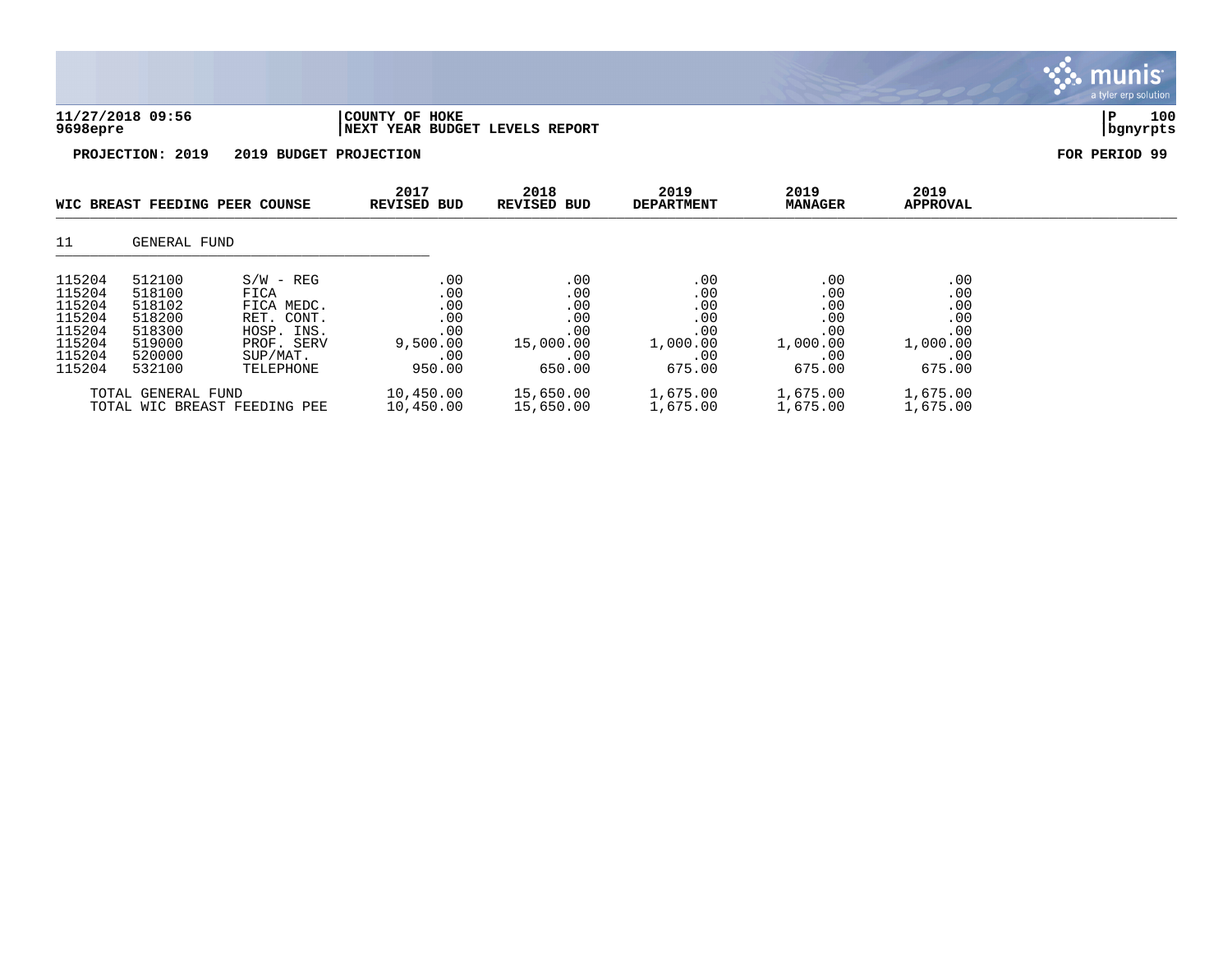|                                                                              |                                                                              |                                                                                                      |                                                              |                                                               |                                                              |                                                              |                                                              | <b>munis</b><br>a tyler erp solution |
|------------------------------------------------------------------------------|------------------------------------------------------------------------------|------------------------------------------------------------------------------------------------------|--------------------------------------------------------------|---------------------------------------------------------------|--------------------------------------------------------------|--------------------------------------------------------------|--------------------------------------------------------------|--------------------------------------|
| 9698epre                                                                     | 11/27/2018 09:56                                                             |                                                                                                      | COUNTY OF<br><b>HOKE</b><br>NEXT YEAR BUDGET LEVELS REPORT   |                                                               |                                                              |                                                              |                                                              | 100<br>P<br>bgnyrpts                 |
|                                                                              | PROJECTION: 2019                                                             | 2019 BUDGET PROJECTION                                                                               |                                                              |                                                               |                                                              |                                                              |                                                              | FOR PERIOD 99                        |
|                                                                              | WIC BREAST FEEDING PEER COUNSE                                               |                                                                                                      | 2017<br>REVISED BUD                                          | 2018<br>REVISED BUD                                           | 2019<br><b>DEPARTMENT</b>                                    | 2019<br><b>MANAGER</b>                                       | 2019<br>APPROVAL                                             |                                      |
| 11                                                                           | GENERAL FUND                                                                 |                                                                                                      |                                                              |                                                               |                                                              |                                                              |                                                              |                                      |
| 115204<br>115204<br>115204<br>115204<br>115204<br>115204<br>115204<br>115204 | 512100<br>518100<br>518102<br>518200<br>518300<br>519000<br>520000<br>532100 | $S/W - REG$<br>FICA<br>FICA MEDC.<br>RET. CONT.<br>HOSP. INS.<br>PROF. SERV<br>SUP/MAT.<br>TELEPHONE | .00<br>.00<br>.00<br>.00<br>.00<br>9,500.00<br>.00<br>950.00 | .00<br>.00<br>.00<br>.00<br>.00<br>15,000.00<br>.00<br>650.00 | .00<br>.00<br>.00<br>.00<br>.00<br>1,000.00<br>.00<br>675.00 | .00<br>.00<br>.00<br>.00<br>.00<br>1,000.00<br>.00<br>675.00 | .00<br>.00<br>.00<br>.00<br>.00<br>1,000.00<br>.00<br>675.00 |                                      |
|                                                                              | TOTAL GENERAL FUND<br>TOTAL WIC BREAST FEEDING PEE                           |                                                                                                      | 10,450.00<br>10,450.00                                       | 15,650.00<br>15,650.00                                        | 1,675.00<br>1,675.00                                         | 1,675.00<br>1,675.00                                         | 1,675.00<br>1,675.00                                         |                                      |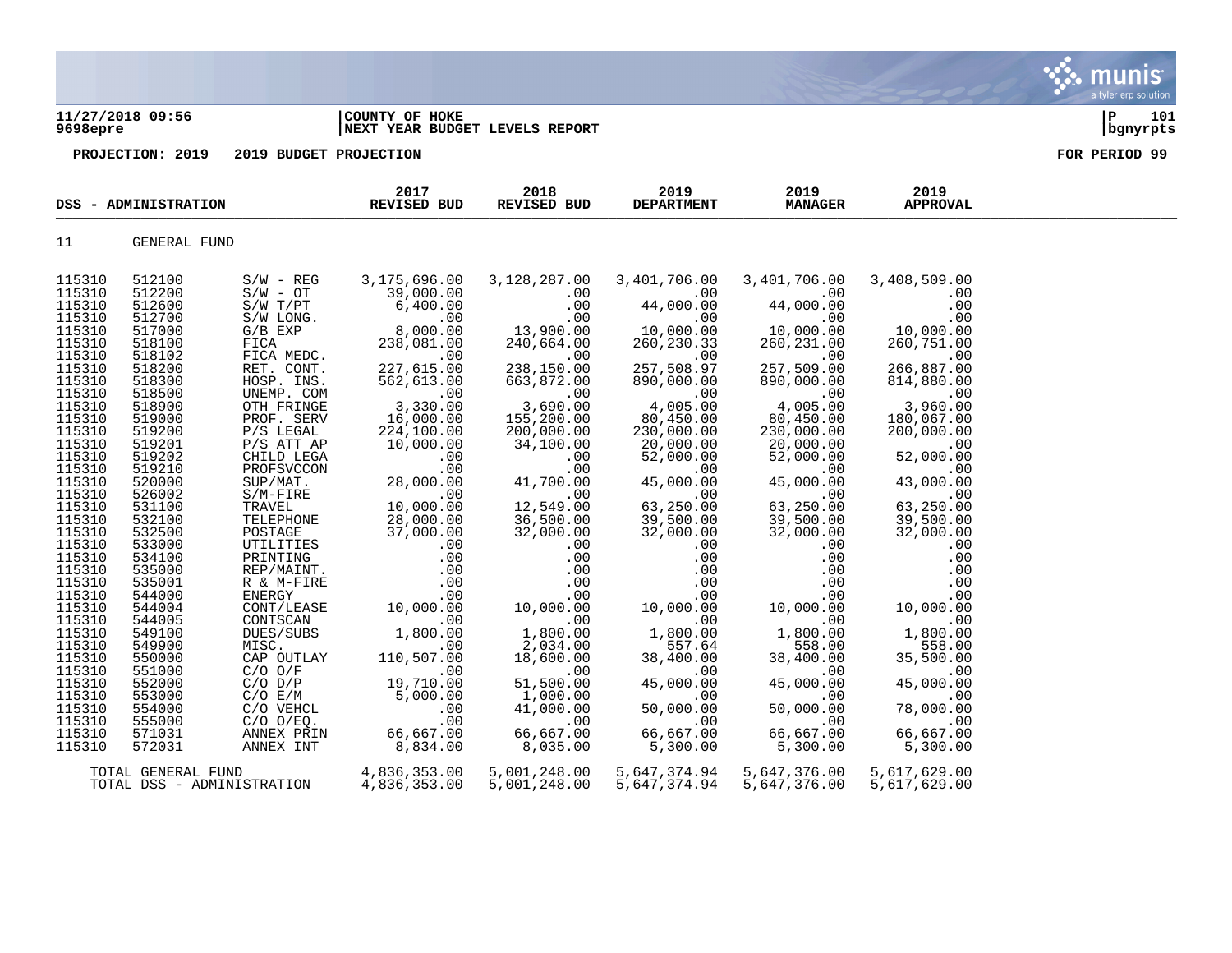### **11/27/2018 09:56 |COUNTY OF HOKE |P 101 9698epre |NEXT YEAR BUDGET LEVELS REPORT |bgnyrpts**

|                    | DSS - ADMINISTRATION       |                                  | 2017<br><b>REVISED BUD</b> | 2018<br>REVISED BUD     | 2019<br><b>DEPARTMENT</b> | 2019<br><b>MANAGER</b>  | 2019<br><b>APPROVAL</b> |  |
|--------------------|----------------------------|----------------------------------|----------------------------|-------------------------|---------------------------|-------------------------|-------------------------|--|
| 11                 | GENERAL FUND               |                                  |                            |                         |                           |                         |                         |  |
| 115310             | 512100                     | $S/W - REG$                      | 3,175,696.00               | 3,128,287.00            | 3,401,706.00              | 3,401,706.00            | 3,408,509.00            |  |
| 115310             | 512200                     | $S/W - OT$                       | 39,000.00                  | .00                     | .00                       | .00                     | .00                     |  |
| 115310             | 512600                     | $S/W$ $T/PT$                     | 6,400.00                   | .00                     | 44,000.00                 | 44,000.00               | .00                     |  |
| 115310             | 512700                     | S/W LONG.                        | .00                        | .00                     | .00                       | .00                     | .00                     |  |
| 115310             | 517000                     | $G/B$ $EXP$                      | 8,000.00                   | 13,900.00               | 10,000.00                 | 10,000.00               | 10,000.00               |  |
| 115310             | 518100                     | FICA                             | 238,081.00                 | 240,664.00              | 260, 230. 33              | 260, 231.00             | 260,751.00              |  |
| 115310             | 518102                     | FICA MEDC.                       | .00                        | .00                     |                           | .00                     | .00                     |  |
| 115310             | 518200                     | RET. CONT.                       | 227,615.00                 | 238,150.00              | 257,508.97                | 257,509.00              | 266,887.00              |  |
| 115310             | 518300                     | HOSP. INS.                       | 562,613.00                 | 663,872.00              | 890,000.00                | 890,000.00              | 814,880.00              |  |
| 115310             | 518500                     | UNEMP. COM                       | .00                        | .00                     | .00                       | .00                     | .00                     |  |
| 115310             | 518900                     | OTH FRINGE                       | 3,330.00                   | 3,690.00                | 4,005.00                  | 4,005.00                | 3,960.00                |  |
| 115310             | 519000                     | PROF. SERV                       | 16,000.00                  | 155,200.00              | 80,450.00                 | 80,450.00               | 180,067.00              |  |
| 115310<br>115310   | 519200<br>519201           | P/S LEGAL<br>$P/S$ ATT AP        | 224,100.00<br>10,000.00    | 200,000.00<br>34,100.00 | 230,000.00<br>20,000.00   | 230,000.00<br>20,000.00 | 200,000.00<br>.00       |  |
| 115310             | 519202                     | CHILD LEGA                       | .00                        | .00                     | 52,000.00                 | 52,000.00               | 52,000.00               |  |
| 115310             | 519210                     | PROFSVCCON                       | .00                        | .00                     | .00                       | .00                     | .00                     |  |
| 115310             | 520000                     | SUP/MAT.                         | 28,000.00                  | 41,700.00               | 45,000.00                 | 45,000.00               | 43,000.00               |  |
| 115310             | 526002                     | $S/M-FIRE$                       | $\overline{00}$            | .00                     | .00                       | .00                     | .00                     |  |
| 115310             | 531100                     | TRAVEL                           | 10,000.00                  | 12,549.00               | 63,250.00                 | 63,250.00               | 63,250.00               |  |
| 115310             | 532100                     | TELEPHONE                        | 28,000.00                  | 36,500.00               | 39,500.00                 | 39,500.00               | 39,500.00               |  |
| 115310             | 532500                     | POSTAGE                          | 37,000.00                  | 32,000.00               | 32,000.00                 | 32,000.00               | 32,000.00               |  |
| 115310             | 533000                     | UTILITIES                        | .00                        | .00                     | .00                       | .00                     | .00                     |  |
| 115310             | 534100                     | DEE (11)<br>PRINTING<br>PEE (11) | .00                        | .00                     | .00                       | .00                     | .00                     |  |
| 115310             | 535000                     | REP/MAINT.                       | .00                        | .00                     | .00                       | .00                     | .00                     |  |
| 115310             | 535001                     | R & M-FIRE                       | .00                        | .00                     | .00                       | .00                     | .00                     |  |
| 115310             | 544000                     | ENERGY                           | .00                        | .00                     | .00                       | .00                     | .00                     |  |
| 115310             | 544004                     | CONT/LEASE                       | 10,000.00                  | 10,000.00               | 10,000.00                 | 10,000.00               | 10,000.00               |  |
| 115310             | 544005                     | CONTSCAN                         | .00                        | .00                     | .00                       | .00                     | .00                     |  |
| 115310             | 549100                     | DUES/SUBS                        | 1,800.00                   | 1,800.00                | 1,800.00                  | 1,800.00                | 1,800.00                |  |
| 115310<br>115310   | 549900<br>550000           | MISC.<br>CAP OUTLAY              | .00<br>110,507.00          | 2,034.00<br>18,600.00   | 557.64<br>38,400.00       | 558.00<br>38,400.00     | 558.00<br>35,500.00     |  |
| 115310             | 551000                     | $C/O$ $O/F$                      | .00                        | .00                     | .00                       | .00                     | .00                     |  |
| 115310             | 552000                     | $C/O$ $D/P$                      | 19,710.00                  | 51,500.00               | 45,000.00                 | 45,000.00               | 45,000.00               |  |
| 115310             | 553000                     | C/O E/M                          | 5,000.00                   | 1,000.00                | .00                       | .00                     | .00                     |  |
| 115310             | 554000                     | C/O VEHCL                        | .00                        | 41,000.00               | 50,000.00                 | 50,000.00               | 78,000.00               |  |
| 115310             | 555000                     | $C/O$ $O/EQ$ .                   | .00                        | .00                     | .00                       | .00                     | .00                     |  |
| 115310             | 571031                     | ANNEX PRIN                       | 66,667.00                  | 66,667.00               | 66,667.00                 | 66,667.00               | 66,667.00               |  |
| 115310             | 572031                     | ANNEX INT                        | 8,834.00                   | 8,035.00                | 5,300.00                  | 5,300.00                | 5,300.00                |  |
| TOTAL GENERAL FUND |                            |                                  | 4,836,353.00               | 5,001,248.00            | 5,647,374.94              | 5,647,376.00            | 5,617,629.00            |  |
|                    | TOTAL DSS - ADMINISTRATION |                                  | 4,836,353.00               | 5,001,248.00            | 5,647,374.94              | 5,647,376.00            | 5,617,629.00            |  |

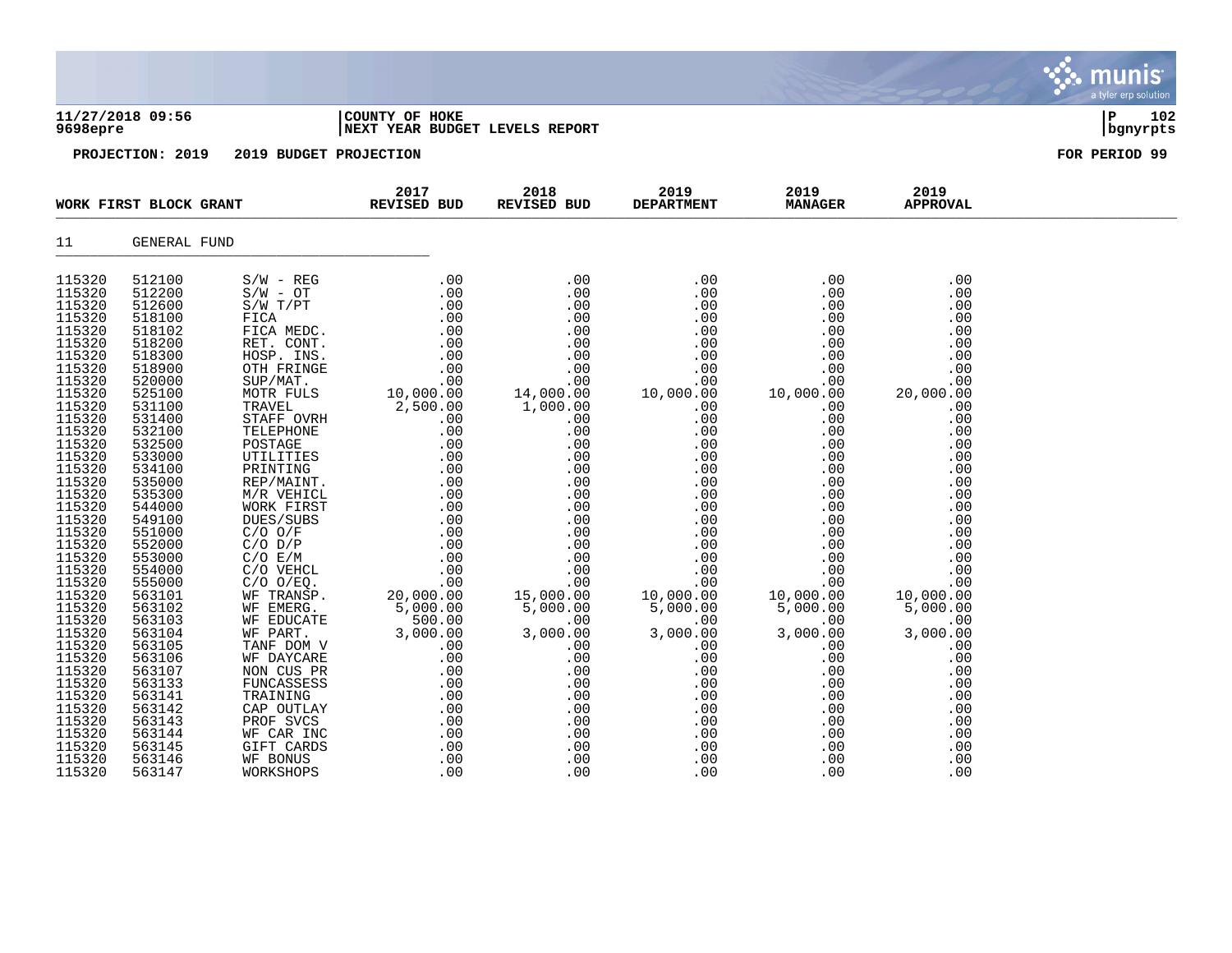|                                                                                                                                                                                                                                                                                                                                                                                                              |                                                                                                                                                                                                                                                                                                                                                                                                              |                        |                                                                                                                                                                                                                                                     |                     |                                                                                                                                                                                                                                      |                                                                                                                                                                                                                                       |                                                                                                                                                                                                                                                                                                            | munis <sup>®</sup><br>a tyler erp solution |
|--------------------------------------------------------------------------------------------------------------------------------------------------------------------------------------------------------------------------------------------------------------------------------------------------------------------------------------------------------------------------------------------------------------|--------------------------------------------------------------------------------------------------------------------------------------------------------------------------------------------------------------------------------------------------------------------------------------------------------------------------------------------------------------------------------------------------------------|------------------------|-----------------------------------------------------------------------------------------------------------------------------------------------------------------------------------------------------------------------------------------------------|---------------------|--------------------------------------------------------------------------------------------------------------------------------------------------------------------------------------------------------------------------------------|---------------------------------------------------------------------------------------------------------------------------------------------------------------------------------------------------------------------------------------|------------------------------------------------------------------------------------------------------------------------------------------------------------------------------------------------------------------------------------------------------------------------------------------------------------|--------------------------------------------|
| 9698epre                                                                                                                                                                                                                                                                                                                                                                                                     | 11/27/2018 09:56                                                                                                                                                                                                                                                                                                                                                                                             |                        | COUNTY OF HOKE<br>NEXT YEAR BUDGET LEVELS REPORT                                                                                                                                                                                                    |                     |                                                                                                                                                                                                                                      |                                                                                                                                                                                                                                       |                                                                                                                                                                                                                                                                                                            | ΙP<br>102<br>bgnyrpts                      |
|                                                                                                                                                                                                                                                                                                                                                                                                              | PROJECTION: 2019                                                                                                                                                                                                                                                                                                                                                                                             | 2019 BUDGET PROJECTION |                                                                                                                                                                                                                                                     |                     |                                                                                                                                                                                                                                      |                                                                                                                                                                                                                                       |                                                                                                                                                                                                                                                                                                            | FOR PERIOD 99                              |
|                                                                                                                                                                                                                                                                                                                                                                                                              | WORK FIRST BLOCK GRANT                                                                                                                                                                                                                                                                                                                                                                                       |                        | 2017<br>REVISED BUD                                                                                                                                                                                                                                 | 2018<br>REVISED BUD | 2019<br><b>DEPARTMENT</b>                                                                                                                                                                                                            | 2019<br><b>MANAGER</b>                                                                                                                                                                                                                | 2019<br><b>APPROVAL</b>                                                                                                                                                                                                                                                                                    |                                            |
| 11                                                                                                                                                                                                                                                                                                                                                                                                           | GENERAL FUND                                                                                                                                                                                                                                                                                                                                                                                                 |                        |                                                                                                                                                                                                                                                     |                     |                                                                                                                                                                                                                                      |                                                                                                                                                                                                                                       |                                                                                                                                                                                                                                                                                                            |                                            |
| 115320<br>115320<br>115320<br>115320<br>115320<br>115320<br>115320<br>115320<br>115320<br>115320<br>115320<br>115320<br>115320<br>115320<br>115320<br>115320<br>115320<br>115320<br>115320<br>115320<br>115320<br>115320<br>115320<br>115320<br>115320<br>115320<br>115320<br>115320<br>115320<br>115320<br>115320<br>115320<br>115320<br>115320<br>115320<br>115320<br>115320<br>115320<br>115320<br>115320 | 512100<br>512200<br>512600<br>518100<br>518102<br>518200<br>518300<br>518900<br>520000<br>525100<br>531100<br>531400<br>532100<br>532500<br>533000<br>534100<br>535000<br>535300<br>544000<br>549100<br>551000<br>552000<br>553000<br>554000<br>555000<br>563101<br>563102<br>563103<br>563104<br>563105<br>563106<br>563107<br>563133<br>563141<br>563142<br>563143<br>563144<br>563145<br>563146<br>563147 |                        | WE PART.<br>TANE DOM V 00 00 00 00 00<br>WE DAYCARE 00 00 00<br>NOM CUS PR 00 00 00<br>FUNCASSESS 00 00 00<br>TRAINING 00 00 00<br>CAP OUTLAY 00 00 00<br>PROF SVCS 00 00 00<br>WE CAR INC 00 00 00<br>WE BONUS 00 00 00<br>WE BONUS 00 00 00<br>WE |                     | .00<br>.00<br>.00<br>.00<br>.00<br>.00<br>$00 \ .00 \ .00$<br>0.00 0.00 0.00<br>.00<br>.00<br>.00<br>.00<br>.00<br>.00<br>.00<br>.00<br>.00<br>3,000.00<br>.00<br>.00<br>.00<br>.00<br>.00<br>.00<br>.00<br>.00<br>.00<br>.00<br>.00 | .00<br>.00<br>.00<br>.00<br>.00<br>.00<br>.00<br>.00<br>.00<br>10,000.00<br>.00<br>.00<br>.00<br>.00<br>$00$<br>10,000.00<br>5,000.00<br>.00<br>3,000.00<br>.00<br>.00<br>.00<br>.00<br>.00<br>.00<br>.00<br>.00<br>.00<br>.00<br>.00 | .00<br>.00<br>.00<br>.00<br>.00<br>.00<br>.00<br>.00<br>.00<br>20,000.00<br>.00<br>.00<br>.00<br>.00<br>.00<br>.00<br>.00<br>.00<br>.00<br>.00<br>.00<br>.00<br>.00<br>.00<br>.00<br>10,000.00<br>5,000.00<br>.00<br>3,000.00<br>.00<br>.00<br>.00<br>.00<br>.00<br>.00<br>.00<br>.00<br>.00<br>.00<br>.00 |                                            |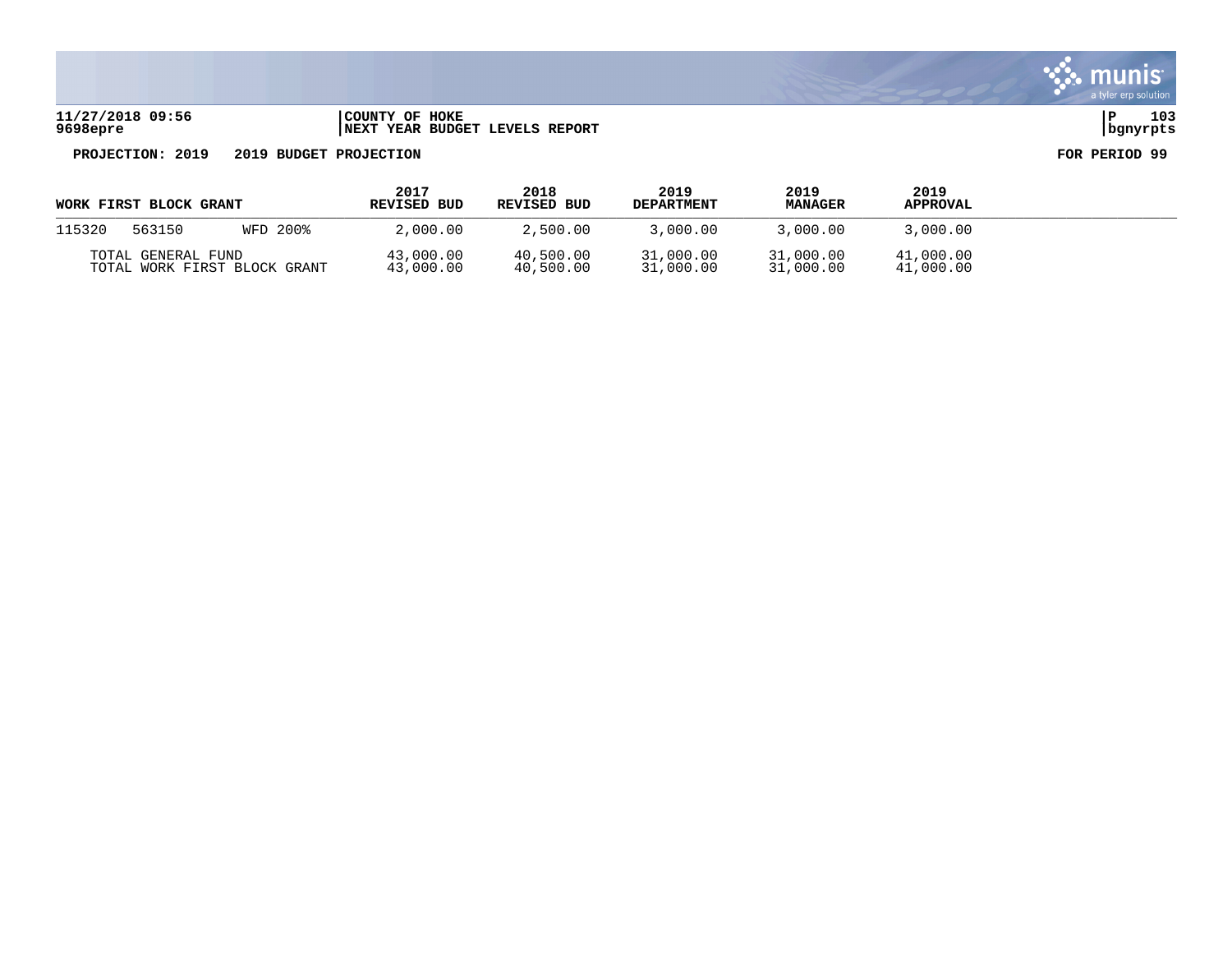**11/27/2018 09:56 |COUNTY OF HOKE |P 103 9698epre |NEXT YEAR BUDGET LEVELS REPORT |bgnyrpts**

| WORK FIRST BLOCK GRANT                             |  |  | 2017<br><b>REVISED BUD</b> | 2018<br>REVISED BUD    | 2019<br><b>DEPARTMENT</b> | 2019<br><b>MANAGER</b> | 2019<br><b>APPROVAL</b> |  |
|----------------------------------------------------|--|--|----------------------------|------------------------|---------------------------|------------------------|-------------------------|--|
| 115320<br>563150<br>WFD 200%                       |  |  | 2,000.00                   | 2,500.00               | 3,000.00                  | 3,000.00               | 3,000.00                |  |
| TOTAL GENERAL FUND<br>TOTAL WORK FIRST BLOCK GRANT |  |  | 43,000.00<br>43,000.00     | 40,500.00<br>40,500.00 | 31,000.00<br>31,000.00    | 31,000.00<br>31,000.00 | 41,000.00<br>41,000.00  |  |

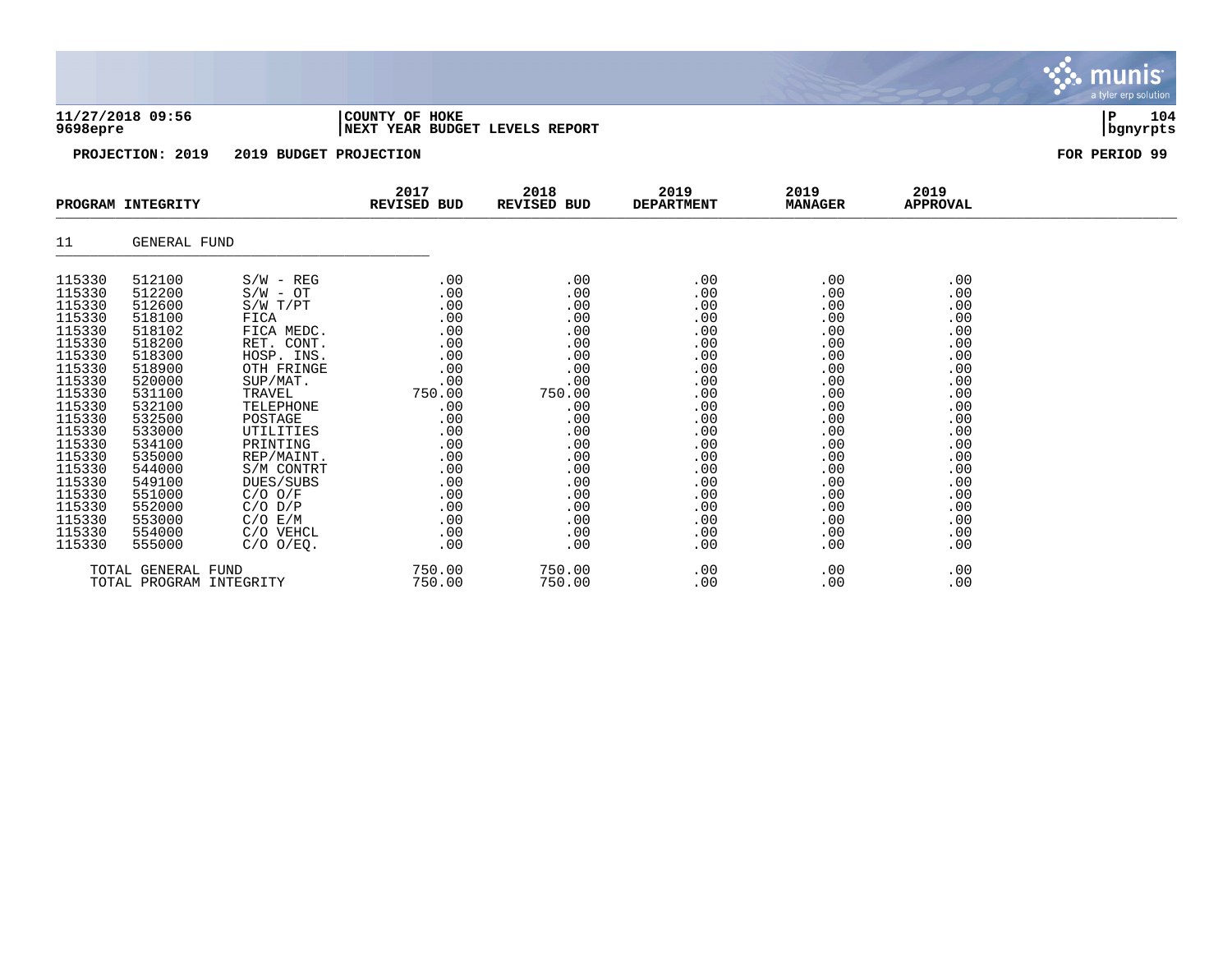| 9698epre         | 11/27/2018 09:56  |                        | COUNTY OF HOKE<br>NEXT YEAR BUDGET LEVELS REPORT |                     |                           |                        |                         | 104<br>P<br>bgnyrpts |
|------------------|-------------------|------------------------|--------------------------------------------------|---------------------|---------------------------|------------------------|-------------------------|----------------------|
|                  | PROJECTION: 2019  | 2019 BUDGET PROJECTION |                                                  |                     |                           |                        |                         | FOR PERIOD 99        |
|                  | PROGRAM INTEGRITY |                        | 2017<br>REVISED BUD                              | 2018<br>REVISED BUD | 2019<br><b>DEPARTMENT</b> | 2019<br><b>MANAGER</b> | 2019<br><b>APPROVAL</b> |                      |
| 11               | GENERAL FUND      |                        |                                                  |                     |                           |                        |                         |                      |
| 115330           | 512100            | $S/W - REG$            | .00                                              | .00                 | .00                       | .00                    | .00                     |                      |
| 115330           | 512200            | $S/W - OT$             | .00                                              | .00                 | .00                       | .00                    | .00                     |                      |
| 115330           | 512600            | S/W T/PT               | .00                                              | .00                 | .00                       | .00                    | .00                     |                      |
| 115330           | 518100            | FICA                   | .00                                              | .00                 | .00                       | .00                    | .00                     |                      |
| 115330           | 518102            | FICA MEDC.             | .00                                              | .00                 | .00                       | .00                    | .00                     |                      |
| 115330           | 518200            | RET. CONT.             | .00                                              | .00                 | .00                       | .00                    | .00                     |                      |
| 115330           | 518300            | HOSP. INS.             | .00                                              | .00                 | .00                       | .00                    | .00                     |                      |
| 115330           | 518900            | OTH FRINGE             | .00                                              | .00                 | .00                       | .00                    | .00                     |                      |
| 115330           | 520000            | SUP/MAT.               | .00                                              | .00                 | .00                       | .00                    | .00                     |                      |
| 115330<br>115330 | 531100<br>532100  | TRAVEL<br>TELEPHONE    | 750.00<br>.00                                    | 750.00<br>.00       | .00<br>.00                | .00<br>.00             | .00<br>.00              |                      |
| 115330           | 532500            | POSTAGE                | .00                                              | .00                 | .00                       | .00                    | .00                     |                      |
| 115330           | 533000            | UTILITIES              | .00                                              | .00                 | .00                       | .00                    | .00                     |                      |
| 115330           | 534100            | PRINTING               | .00                                              | .00                 | .00                       | .00                    | .00                     |                      |
| 115330           | 535000            | REP/MAINT.             | .00                                              | .00                 | .00                       | .00                    | .00                     |                      |
| 115330           | 544000            | S/M CONTRT             | .00                                              | .00                 | .00                       | .00                    | .00                     |                      |
| 115330           | 549100            | DUES/SUBS              | .00                                              | .00                 | .00                       | .00                    | .00                     |                      |
| 115330           | 551000            | $C/O$ $O/F$            | .00                                              | .00                 | .00                       | .00                    | .00                     |                      |
| 115330           | 552000            | $C/O$ $D/P$            |                                                  | .00                 | .00                       | .00                    | .00                     |                      |
| 115330           | 553000            | C/O E/M                | .00                                              | .00                 | .00                       | .00                    | .00                     |                      |
|                  |                   |                        | .00                                              |                     |                           |                        |                         |                      |

115330 554000 C/O VEHCL .00 .00 .00 .00 .00 115330 555000 C/O O/EQ. .00 .00 .00 .00 .00 TOTAL GENERAL FUND 750.00 750.00 .00 .00 .00 TOTAL PROGRAM INTEGRITY

# **∵ munis** a tyler erp solution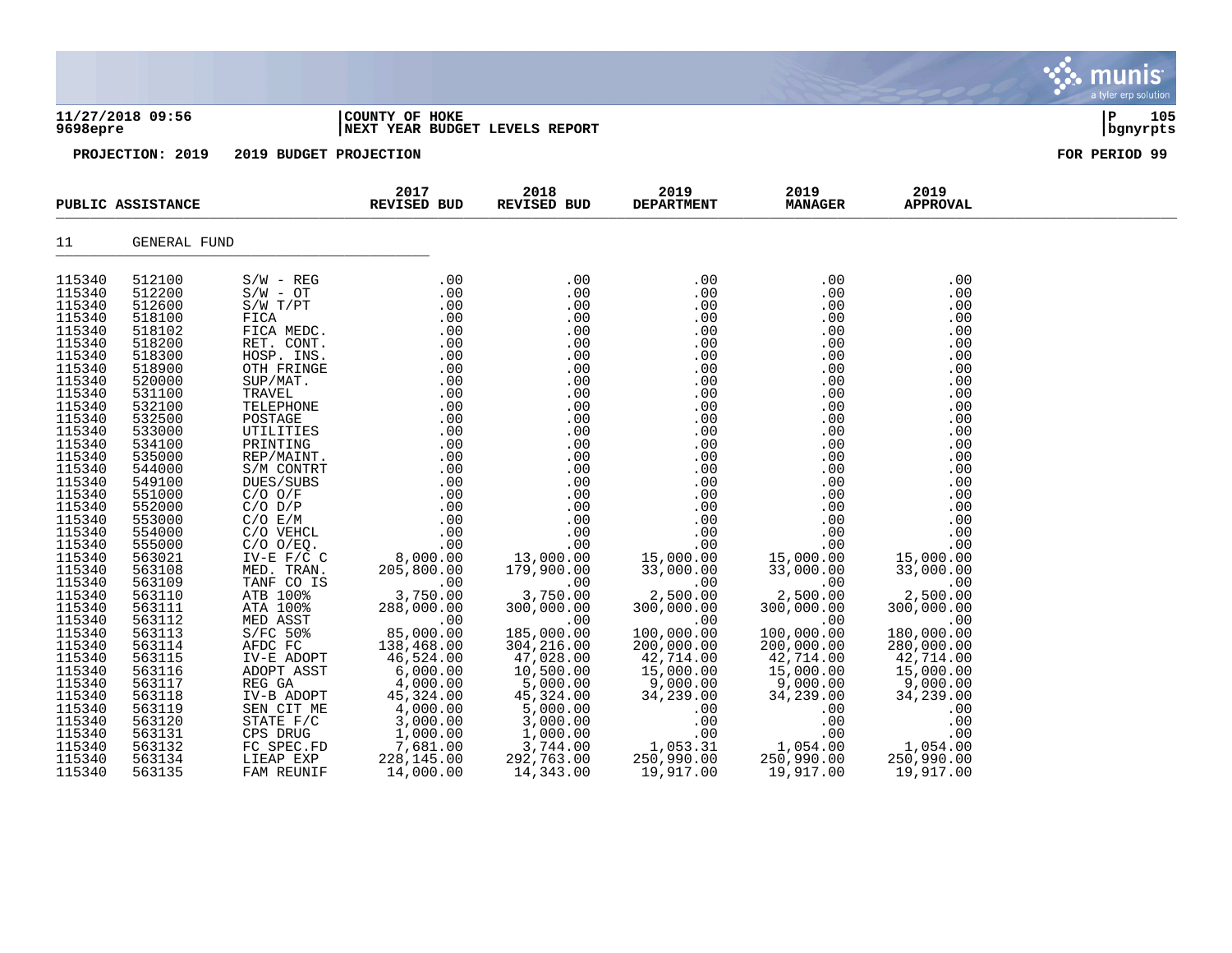|                                                                                                                                                                                                                                                                                                                                                                                                    |                                                                                                                                                                                                                                                                                                                                                                                                    |                                                                                                                                                                                                           |                                                                                                                                                                  |                                                                                                                                                                  |                                                                                                                                                                                                                                                                                                                                                               |                                                                                                                                                                                                                                                                                                                                                         |                                                                                                                                                                                                                                                                                                                                                        | munis<br>a tyler erp solution |
|----------------------------------------------------------------------------------------------------------------------------------------------------------------------------------------------------------------------------------------------------------------------------------------------------------------------------------------------------------------------------------------------------|----------------------------------------------------------------------------------------------------------------------------------------------------------------------------------------------------------------------------------------------------------------------------------------------------------------------------------------------------------------------------------------------------|-----------------------------------------------------------------------------------------------------------------------------------------------------------------------------------------------------------|------------------------------------------------------------------------------------------------------------------------------------------------------------------|------------------------------------------------------------------------------------------------------------------------------------------------------------------|---------------------------------------------------------------------------------------------------------------------------------------------------------------------------------------------------------------------------------------------------------------------------------------------------------------------------------------------------------------|---------------------------------------------------------------------------------------------------------------------------------------------------------------------------------------------------------------------------------------------------------------------------------------------------------------------------------------------------------|--------------------------------------------------------------------------------------------------------------------------------------------------------------------------------------------------------------------------------------------------------------------------------------------------------------------------------------------------------|-------------------------------|
| 9698epre                                                                                                                                                                                                                                                                                                                                                                                           | 11/27/2018 09:56                                                                                                                                                                                                                                                                                                                                                                                   |                                                                                                                                                                                                           | COUNTY OF HOKE<br>NEXT YEAR BUDGET LEVELS REPORT                                                                                                                 |                                                                                                                                                                  |                                                                                                                                                                                                                                                                                                                                                               |                                                                                                                                                                                                                                                                                                                                                         |                                                                                                                                                                                                                                                                                                                                                        | ∣P<br>105<br>bgnyrpts         |
|                                                                                                                                                                                                                                                                                                                                                                                                    | PROJECTION: 2019                                                                                                                                                                                                                                                                                                                                                                                   | 2019 BUDGET PROJECTION                                                                                                                                                                                    |                                                                                                                                                                  |                                                                                                                                                                  |                                                                                                                                                                                                                                                                                                                                                               |                                                                                                                                                                                                                                                                                                                                                         |                                                                                                                                                                                                                                                                                                                                                        | FOR PERIOD 99                 |
|                                                                                                                                                                                                                                                                                                                                                                                                    | PUBLIC ASSISTANCE                                                                                                                                                                                                                                                                                                                                                                                  |                                                                                                                                                                                                           | 2017<br>REVISED BUD                                                                                                                                              | 2018<br>REVISED BUD                                                                                                                                              | 2019<br><b>DEPARTMENT</b>                                                                                                                                                                                                                                                                                                                                     | 2019<br><b>MANAGER</b>                                                                                                                                                                                                                                                                                                                                  | 2019<br><b>APPROVAL</b>                                                                                                                                                                                                                                                                                                                                |                               |
| 11                                                                                                                                                                                                                                                                                                                                                                                                 | GENERAL FUND                                                                                                                                                                                                                                                                                                                                                                                       |                                                                                                                                                                                                           |                                                                                                                                                                  |                                                                                                                                                                  |                                                                                                                                                                                                                                                                                                                                                               |                                                                                                                                                                                                                                                                                                                                                         |                                                                                                                                                                                                                                                                                                                                                        |                               |
| 115340<br>115340<br>115340<br>115340<br>115340<br>115340<br>115340<br>115340<br>115340<br>115340<br>115340<br>115340<br>115340<br>115340<br>115340<br>115340<br>115340<br>115340<br>115340<br>115340<br>115340<br>115340<br>115340<br>115340<br>115340<br>115340<br>115340<br>115340<br>115340<br>115340<br>115340<br>115340<br>115340<br>115340<br>115340<br>115340<br>115340<br>115340<br>115340 | 512100<br>512200<br>512600<br>518100<br>518102<br>518200<br>518300<br>518900<br>520000<br>531100<br>532100<br>532500<br>533000<br>534100<br>535000<br>544000<br>549100<br>551000<br>552000<br>553000<br>554000<br>555000<br>563021<br>563108<br>563109<br>563110<br>563111<br>563112<br>563113<br>563114<br>563115<br>563116<br>563117<br>563118<br>563119<br>563120<br>563131<br>563132<br>563134 | TANF CO IS<br>ATB 100%<br>ATA 100%<br>MED ASST<br>MED ASST<br>S/FC 50%<br>AFDC FC<br>IV-E ADOPT<br>ADOPT ASST<br>REG GA<br>$IV-B$ ADOPT<br>SEN CIT ME<br>STATE F/C<br>CPS DRUG<br>FC SPEC.FD<br>LIEAP EXP | 288,000.00<br>$00$<br>85,000.00<br>138,468.00<br>46,524.00<br>6,000.00<br>4,000.00<br>45, 324.00<br>$4,000.00$<br>3,000.00<br>1,000.00<br>7,681.00<br>228,145.00 | 300,000.00<br>.00<br>185,000.00<br>304,216.00<br>47,028.00<br>10,500.00<br>5,000.00<br>45,324.00<br>5,000.00<br>3,000.00<br>$1,000.00$<br>3,744.00<br>292,763.00 | .00<br>.00<br>.00<br>.00<br>.00<br>.00<br>.00<br>.00<br>.00<br>.00<br>.00<br>.00<br>.00<br>.00<br>.00<br>.00<br>.00<br>.00<br>.00<br>.00<br>.00<br>.00<br>15,000.00<br>33,000.00<br>$2,500.00$<br>300,000<br>300,000.00<br>.00<br>100,000.00<br>200,000.00<br>42,714.00<br>15,000.00<br>9,000.00<br>34, 239.00<br>.00<br>.00<br>.00<br>1,053.31<br>250,990.00 | .00<br>.00<br>.00<br>.00<br>.00<br>.00<br>.00<br>.00<br>.00<br>.00<br>.00<br>.00<br>.00<br>.00<br>.00<br>.00<br>.00<br>.00<br>.00<br>.00<br>.00<br>.00<br>15,000.00<br>33,000.00<br>.00<br>2,500.00<br>300,000.00<br>.00<br>100,000.00<br>200,000.00<br>42,714.00<br>15,000.00<br>9,000.00<br>34, 239.00<br>.00<br>.00<br>00.<br>1,054.00<br>250,990.00 | .00<br>.00<br>.00<br>.00<br>.00<br>.00<br>.00<br>.00<br>.00<br>.00<br>.00<br>.00<br>.00<br>.00<br>.00<br>.00<br>.00<br>.00<br>.00<br>.00<br>.00<br>.00<br>15,000.00<br>33,000.00<br>.00<br>2,500.00<br>300,000.00<br>.00<br>180,000.00<br>280,000.00<br>42,714.00<br>15,000.00<br>9,000.00<br>34,239.00<br>.00<br>.00<br>.00<br>1,054.00<br>250,990.00 |                               |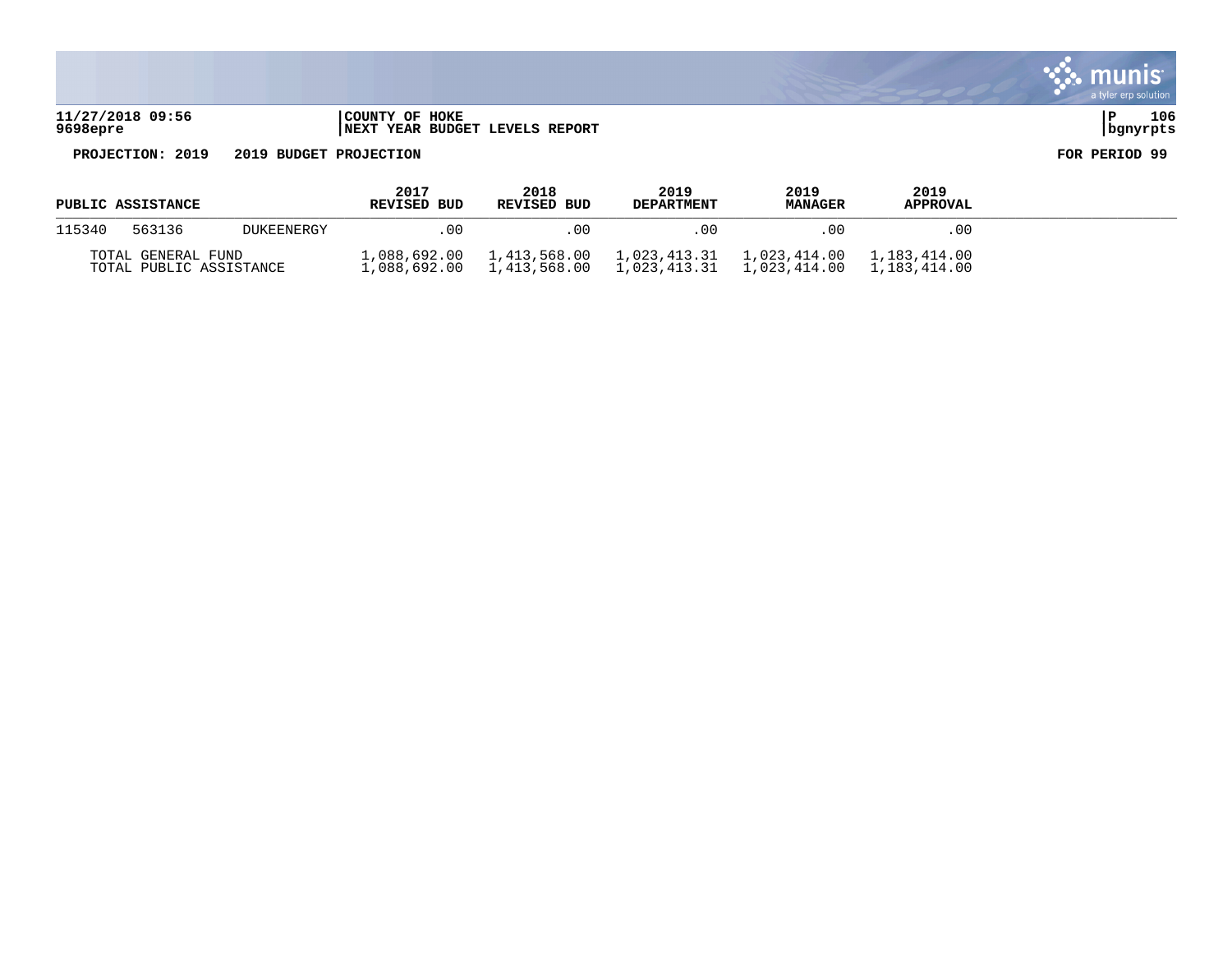| 11/27/2018 09:56 | COUNTY OF HOKE                               |          | 106 |
|------------------|----------------------------------------------|----------|-----|
| 9698epre         | <b>T YEAR BUDGET LEVELS REPORT</b><br>  NEXT | bqnyrpts |     |

a tyler erp solution

munis

 $\ddot{\cdot}$ 

| <b>PUBLIC ASSISTANCE</b>                      |        |                   | 2017<br><b>REVISED BUD</b>   | 2018<br><b>REVISED BUD</b>   | 2019<br><b>DEPARTMENT</b> | 2019<br><b>MANAGER</b> | 2019<br><b>APPROVAL</b>      |  |
|-----------------------------------------------|--------|-------------------|------------------------------|------------------------------|---------------------------|------------------------|------------------------------|--|
| 115340                                        | 563136 | <b>DUKEENERGY</b> | 0 <sub>0</sub>               | . 00                         | 00                        |                        | .00                          |  |
| TOTAL GENERAL FUND<br>TOTAL PUBLIC ASSISTANCE |        |                   | 1,088,692.00<br>1,088,692.00 | 1,413,568.00<br>1,413,568.00 | 1,023,413.31              | 1,023,414.00           | 1,183,414.00<br>1,183,414.00 |  |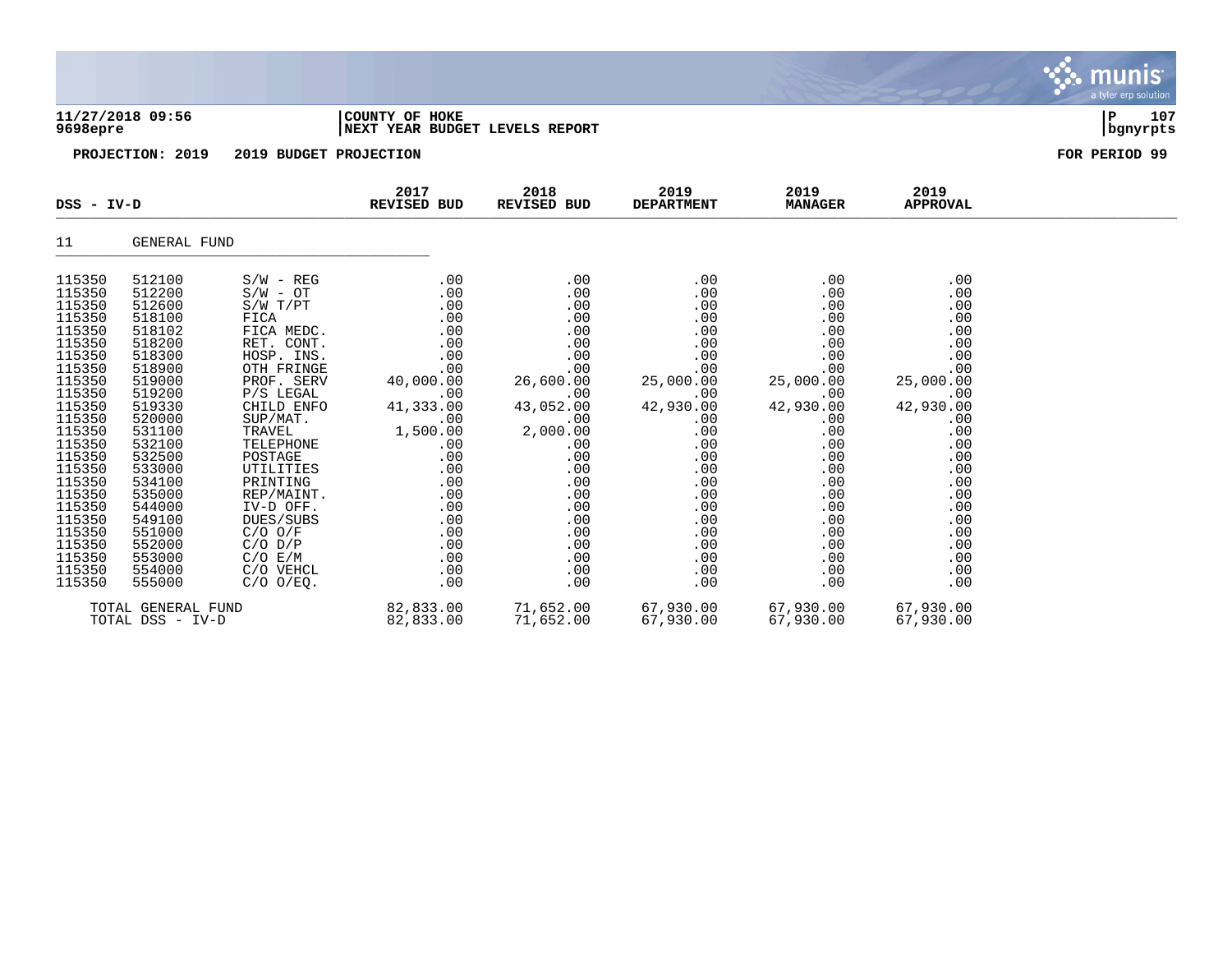|                                                                                                                                                                                                                                                        |                                                                                                                                                                                                                                                        |                                                                                                                                                                                                                                                                                                                                              |                                                                                                                                                                                              |                                                                                                                                                                                              |                                                                                                                                                                                         |                                                                                                                                                                                           |                                                                                                                                                                                         | <b>munis</b><br>a tyler erp solution |
|--------------------------------------------------------------------------------------------------------------------------------------------------------------------------------------------------------------------------------------------------------|--------------------------------------------------------------------------------------------------------------------------------------------------------------------------------------------------------------------------------------------------------|----------------------------------------------------------------------------------------------------------------------------------------------------------------------------------------------------------------------------------------------------------------------------------------------------------------------------------------------|----------------------------------------------------------------------------------------------------------------------------------------------------------------------------------------------|----------------------------------------------------------------------------------------------------------------------------------------------------------------------------------------------|-----------------------------------------------------------------------------------------------------------------------------------------------------------------------------------------|-------------------------------------------------------------------------------------------------------------------------------------------------------------------------------------------|-----------------------------------------------------------------------------------------------------------------------------------------------------------------------------------------|--------------------------------------|
| 11/27/2018 09:56<br>9698epre<br>PROJECTION: 2019                                                                                                                                                                                                       |                                                                                                                                                                                                                                                        | COUNTY OF HOKE<br>NEXT YEAR BUDGET LEVELS REPORT                                                                                                                                                                                                                                                                                             |                                                                                                                                                                                              |                                                                                                                                                                                              |                                                                                                                                                                                         |                                                                                                                                                                                           | 107<br>ΙP<br>bgnyrpts                                                                                                                                                                   |                                      |
|                                                                                                                                                                                                                                                        |                                                                                                                                                                                                                                                        | 2019 BUDGET PROJECTION                                                                                                                                                                                                                                                                                                                       |                                                                                                                                                                                              |                                                                                                                                                                                              |                                                                                                                                                                                         |                                                                                                                                                                                           |                                                                                                                                                                                         | FOR PERIOD 99                        |
| $DSS - IV-D$                                                                                                                                                                                                                                           |                                                                                                                                                                                                                                                        |                                                                                                                                                                                                                                                                                                                                              | 2017<br>REVISED BUD                                                                                                                                                                          | 2018<br><b>REVISED BUD</b>                                                                                                                                                                   | 2019<br><b>DEPARTMENT</b>                                                                                                                                                               | 2019<br><b>MANAGER</b>                                                                                                                                                                    | 2019<br><b>APPROVAL</b>                                                                                                                                                                 |                                      |
| 11                                                                                                                                                                                                                                                     | GENERAL FUND                                                                                                                                                                                                                                           |                                                                                                                                                                                                                                                                                                                                              |                                                                                                                                                                                              |                                                                                                                                                                                              |                                                                                                                                                                                         |                                                                                                                                                                                           |                                                                                                                                                                                         |                                      |
| 115350<br>115350<br>115350<br>115350<br>115350<br>115350<br>115350<br>115350<br>115350<br>115350<br>115350<br>115350<br>115350<br>115350<br>115350<br>115350<br>115350<br>115350<br>115350<br>115350<br>115350<br>115350<br>115350<br>115350<br>115350 | 512100<br>512200<br>512600<br>518100<br>518102<br>518200<br>518300<br>518900<br>519000<br>519200<br>519330<br>520000<br>531100<br>532100<br>532500<br>533000<br>534100<br>535000<br>544000<br>549100<br>551000<br>552000<br>553000<br>554000<br>555000 | $S/W - REG$<br>$S/W - OT$<br>S/W T/PT<br>FICA<br>FICA MEDC.<br>RET. CONT.<br>HOSP. INS.<br>OTH FRINGE<br>PROF. SERV<br>P/S LEGAL<br>CHILD ENFO<br>SUP/MAT.<br>TRAVEL<br>TELEPHONE<br>POSTAGE<br><b>UTILITIES</b><br>PRINTING<br>REP/MAINT.<br>IV-D OFF.<br>DUES/SUBS<br>$C/O$ $O/F$<br>$C/O$ $D/P$<br>C/O E/M<br>C/O VEHCL<br>$C/O$ $O/EQ$ . | .00<br>.00<br>.00<br>.00<br>.00<br>.00<br>.00<br>.00<br>40,000.00<br>.00<br>41,333.00<br>.00<br>1,500.00<br>.00<br>.00<br>.00<br>.00<br>.00<br>.00<br>.00<br>.00<br>.00<br>.00<br>.00<br>.00 | .00<br>.00<br>.00<br>.00<br>.00<br>.00<br>.00<br>.00<br>26,600.00<br>.00<br>43,052.00<br>.00<br>2,000.00<br>.00<br>.00<br>.00<br>.00<br>.00<br>.00<br>.00<br>.00<br>.00<br>.00<br>.00<br>.00 | .00<br>.00<br>.00<br>.00<br>.00<br>.00<br>.00<br>.00<br>25,000.00<br>.00<br>42,930.00<br>.00<br>.00<br>.00<br>.00<br>.00<br>.00<br>.00<br>.00<br>.00<br>.00<br>.00<br>.00<br>.00<br>.00 | .00<br>.00<br>.00<br>.00<br>.00<br>.00<br>$.00$<br>.00<br>25,000.00<br>.00<br>42,930.00<br>.00<br>.00<br>.00<br>.00<br>.00<br>.00<br>.00<br>.00<br>.00<br>.00<br>.00<br>.00<br>.00<br>.00 | .00<br>.00<br>.00<br>.00<br>.00<br>.00<br>.00<br>.00<br>25,000.00<br>.00<br>42,930.00<br>.00<br>.00<br>.00<br>.00<br>.00<br>.00<br>.00<br>.00<br>.00<br>.00<br>.00<br>.00<br>.00<br>.00 |                                      |
| TOTAL GENERAL FUND                                                                                                                                                                                                                                     |                                                                                                                                                                                                                                                        |                                                                                                                                                                                                                                                                                                                                              | 82,833.00                                                                                                                                                                                    | 71,652.00                                                                                                                                                                                    | 67,930.00                                                                                                                                                                               | 67,930.00                                                                                                                                                                                 | 67,930.00                                                                                                                                                                               |                                      |

TOTAL DSS - IV-D 82,833.00 71,652.00 67,930.00 67,930.00 67,930.00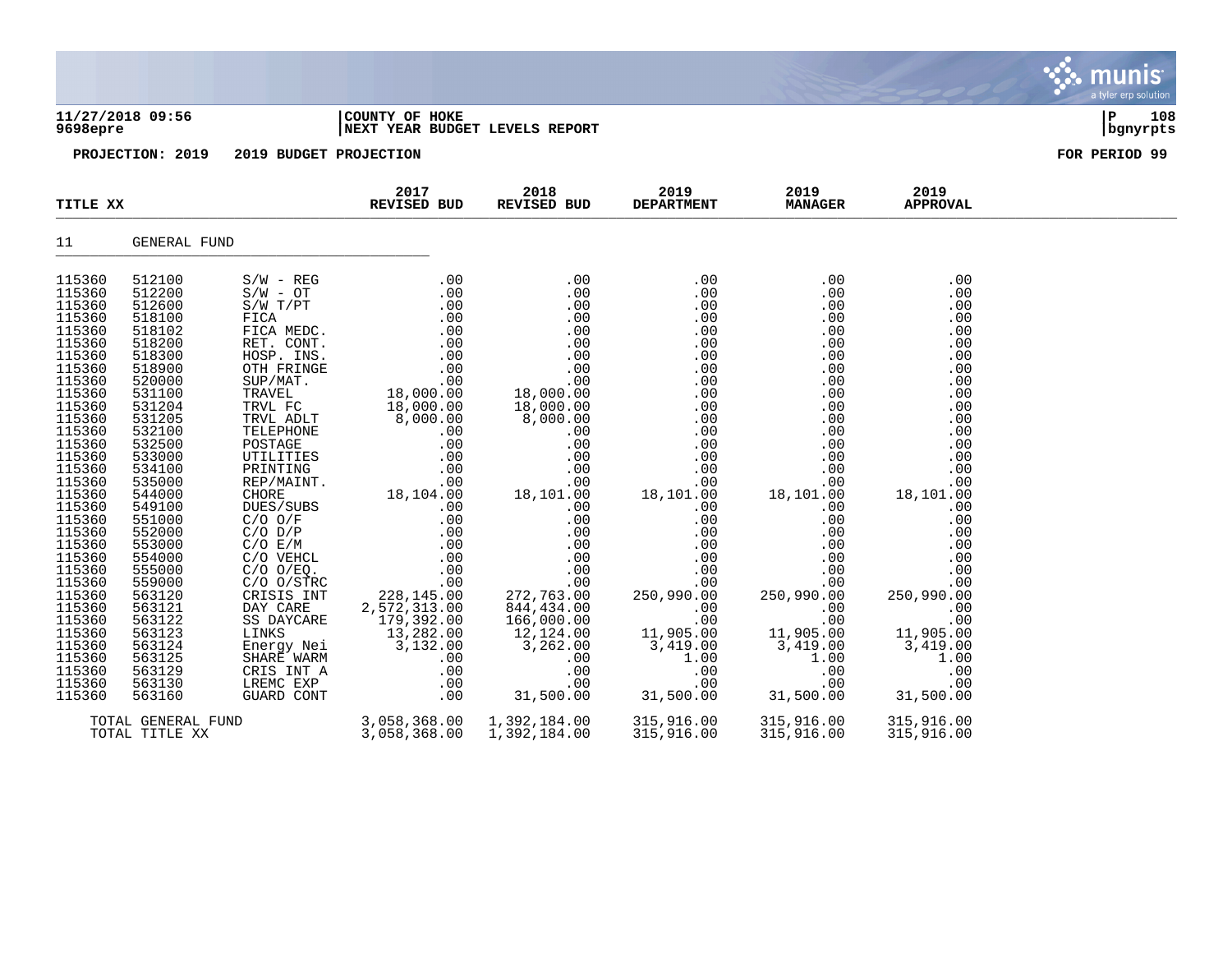| 11/27/2018 09:56<br>9698epre                                                                                                             |                                                                                                                                          | COUNTY OF HOKE<br>NEXT YEAR BUDGET LEVELS REPORT                                                                                                                                | P<br>108<br>  bgnyrpts                                                                                          |                                                                                                                 |                                                                                                |                                                                                                |                                                                                                |  |
|------------------------------------------------------------------------------------------------------------------------------------------|------------------------------------------------------------------------------------------------------------------------------------------|---------------------------------------------------------------------------------------------------------------------------------------------------------------------------------|-----------------------------------------------------------------------------------------------------------------|-----------------------------------------------------------------------------------------------------------------|------------------------------------------------------------------------------------------------|------------------------------------------------------------------------------------------------|------------------------------------------------------------------------------------------------|--|
| PROJECTION: 2019                                                                                                                         |                                                                                                                                          | 2019 BUDGET PROJECTION                                                                                                                                                          |                                                                                                                 | FOR PERIOD 99                                                                                                   |                                                                                                |                                                                                                |                                                                                                |  |
| TITLE XX                                                                                                                                 |                                                                                                                                          |                                                                                                                                                                                 | 2017<br>REVISED BUD                                                                                             | 2018<br><b>REVISED BUD</b>                                                                                      | 2019<br><b>DEPARTMENT</b>                                                                      | 2019<br><b>MANAGER</b>                                                                         | 2019<br><b>APPROVAL</b>                                                                        |  |
| 11                                                                                                                                       | <b>GENERAL FUND</b>                                                                                                                      |                                                                                                                                                                                 |                                                                                                                 |                                                                                                                 |                                                                                                |                                                                                                |                                                                                                |  |
| 115360<br>115360<br>115360<br>115360<br>115360<br>115360<br>115360<br>115360<br>115360<br>115360<br>115360<br>115360<br>115360<br>115360 | 512100<br>512200<br>512600<br>518100<br>518102<br>518200<br>518300<br>518900<br>520000<br>531100<br>531204<br>531205<br>532100<br>532500 | $S/W - REG$<br>$S/W - OT$<br>$S/W$ $T/PT$<br>FICA<br>FICA MEDC.<br>RET. CONT.<br>HOSP. INS.<br>OTH FRINGE<br>SUP/MAT.<br>TRAVEL<br>TRVL FC<br>TRVL ADLT<br>TELEPHONE<br>POSTAGE | .00<br>.00<br>.00<br>.00<br>.00<br>.00<br>.00<br>.00<br>.00<br>18,000.00<br>18,000.00<br>8,000.00<br>.00<br>.00 | .00<br>.00<br>.00<br>.00<br>.00<br>.00<br>.00<br>.00<br>.00<br>18,000.00<br>18,000.00<br>8,000.00<br>.00<br>.00 | .00<br>.00<br>.00<br>.00<br>.00<br>.00<br>.00<br>.00<br>.00<br>.00<br>.00<br>.00<br>.00<br>.00 | .00<br>.00<br>.00<br>.00<br>.00<br>.00<br>.00<br>.00<br>.00<br>.00<br>.00<br>.00<br>.00<br>.00 | .00<br>.00<br>.00<br>.00<br>.00<br>.00<br>.00<br>.00<br>.00<br>.00<br>.00<br>.00<br>.00<br>.00 |  |
| 115360<br>115360<br>115360<br>115360<br>115360<br>115360<br>115360<br>115360                                                             | 533000<br>534100<br>535000<br>544000<br>549100<br>551000<br>552000<br>553000                                                             | UTILITIES<br>PRINTING<br>REP/MAINT.<br>CHORE<br>DUES/SUBS<br>$C/O$ $O/F$<br>$C/O$ $D/P$<br>C/O E/M                                                                              | .00<br>.00<br>.00<br>18,104.00<br>.00<br>.00<br>.00<br>.00                                                      | .00<br>.00<br>.00<br>18,101.00<br>.00<br>.00<br>.00<br>.00                                                      | .00<br>.00<br>.00<br>18,101.00<br>.00<br>.00<br>.00<br>.00                                     | .00<br>.00<br>.00<br>18,101.00<br>.00<br>.00<br>.00<br>.00                                     | .00<br>.00<br>.00<br>18,101.00<br>.00<br>.00<br>.00<br>.00                                     |  |

 $\mathbf{X}$  munis

a tyler erp solution

115360 554000 C/O VEHCL .00 .00 .00 .00 .00 115360 555000 C/O O/EQ. .00 .00 .00 .00 .00 115360 559000 C/O O/STRC .00 .00 .00 .00 .00 115360 563120 CRISIS INT 228,145.00 272,763.00 250,990.00 250,990.00 250,990.00 115360 563121 DAY CARE 2,572,313.00 844,434.00 .00 .00 .00 115360 563122 SS DAYCARE 179,392.00 166,000.00 .00 .00 .00 .00 115360 563123 LINKS 13,282.00 12,124.00 11,905.00 11,905.00 11,905.00 115360 563124 Energy Nei 3,132.00 3,262.00 3,419.00 3,419.00 3,419.00 115360 563125 SHARE WARM .00 .00 1.00 1.00 1.00 115360 563129 CRIS INT A .00 .00 .00 .00 .00 115360 563130 LREMC EXP .00 .00 .00 .00 .00 115360 563160 GUARD CONT .00 31,500.00 31,500.00 31,500.00 31,500.00

TOTAL GENERAL FUND 3,058,368.00 1,392,184.00 315,916.00 315,916.00 315,916.00

3,058,368.00 1,392,184.00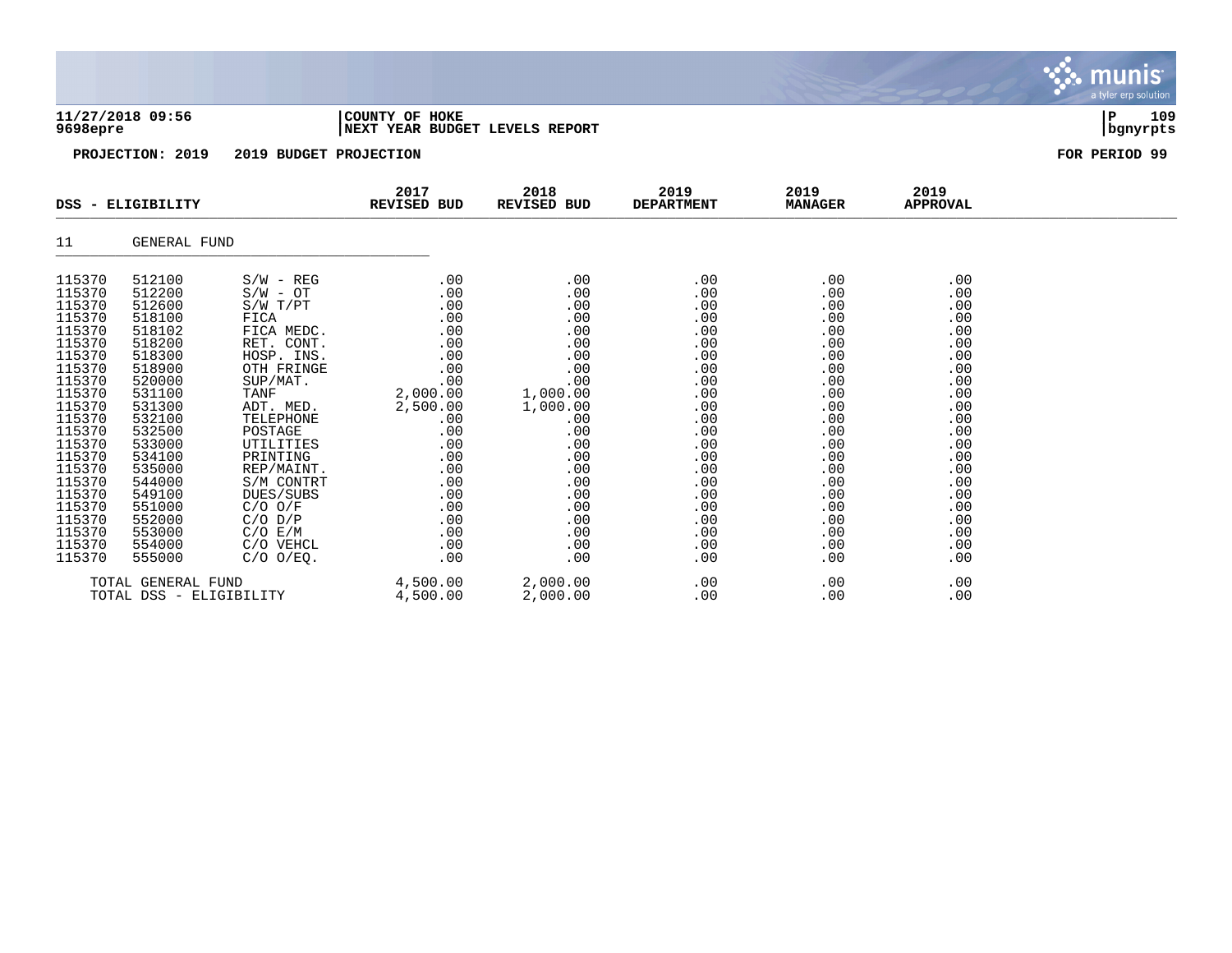| 9698epre                                                                                                                       | 11/27/2018 09:56                                                                                                               |                                                                                                                                                                | COUNTY OF HOKE<br>NEXT YEAR BUDGET LEVELS REPORT                                                  | 109<br>ΙP<br>  bgnyrpts                                                                           |                                                                                         |                                                                                         |                                                                                         |               |
|--------------------------------------------------------------------------------------------------------------------------------|--------------------------------------------------------------------------------------------------------------------------------|----------------------------------------------------------------------------------------------------------------------------------------------------------------|---------------------------------------------------------------------------------------------------|---------------------------------------------------------------------------------------------------|-----------------------------------------------------------------------------------------|-----------------------------------------------------------------------------------------|-----------------------------------------------------------------------------------------|---------------|
|                                                                                                                                | PROJECTION: 2019                                                                                                               | 2019 BUDGET PROJECTION                                                                                                                                         |                                                                                                   |                                                                                                   |                                                                                         |                                                                                         |                                                                                         | FOR PERIOD 99 |
|                                                                                                                                | DSS - ELIGIBILITY                                                                                                              |                                                                                                                                                                | 2017<br>REVISED BUD                                                                               | 2018<br><b>REVISED BUD</b>                                                                        | 2019<br><b>DEPARTMENT</b>                                                               | 2019<br><b>MANAGER</b>                                                                  | 2019<br><b>APPROVAL</b>                                                                 |               |
| 11                                                                                                                             | GENERAL FUND                                                                                                                   |                                                                                                                                                                |                                                                                                   |                                                                                                   |                                                                                         |                                                                                         |                                                                                         |               |
| 115370<br>115370<br>115370<br>115370<br>115370<br>115370<br>115370<br>115370<br>115370<br>115370<br>115370<br>115370<br>115370 | 512100<br>512200<br>512600<br>518100<br>518102<br>518200<br>518300<br>518900<br>520000<br>531100<br>531300<br>532100<br>532500 | $S/W - REG$<br>$S/W - OT$<br>S/W T/PT<br>FICA<br>FICA MEDC.<br>RET. CONT.<br>HOSP. INS.<br>OTH FRINGE<br>SUP/MAT.<br>TANF<br>ADT. MED.<br>TELEPHONE<br>POSTAGE | .00<br>.00<br>.00<br>.00<br>.00<br>.00<br>.00<br>.00<br>.00<br>2,000.00<br>2,500.00<br>.00<br>.00 | .00<br>.00<br>.00<br>.00<br>.00<br>.00<br>.00<br>.00<br>.00<br>1,000.00<br>1,000.00<br>.00<br>.00 | .00<br>.00<br>.00<br>.00<br>.00<br>.00<br>.00<br>.00<br>.00<br>.00<br>.00<br>.00<br>.00 | .00<br>.00<br>.00<br>.00<br>.00<br>.00<br>.00<br>.00<br>.00<br>.00<br>.00<br>.00<br>.00 | .00<br>.00<br>.00<br>.00<br>.00<br>.00<br>.00<br>.00<br>.00<br>.00<br>.00<br>.00<br>.00 |               |
| 115370<br>115370<br>115370<br>115370<br>115370<br>115370<br>115370<br>115370                                                   | 533000<br>534100<br>535000<br>544000<br>549100<br>551000<br>552000<br>553000                                                   | UTILITIES<br>PRINTING<br>REP/MAINT.<br>S/M CONTRT<br>DUES/SUBS<br>$C/O$ $O/F$<br>$C/O$ $D/P$<br>C/O E/M                                                        | .00<br>.00<br>.00<br>.00<br>.00<br>.00<br>.00<br>.00                                              | .00<br>.00<br>.00<br>.00<br>.00<br>.00<br>.00<br>.00                                              | .00<br>.00<br>.00<br>.00<br>.00<br>.00<br>.00<br>.00                                    | .00<br>.00<br>.00<br>.00<br>.00<br>.00<br>.00<br>.00                                    | .00<br>.00<br>.00<br>.00<br>.00<br>.00<br>.00<br>.00                                    |               |

S. munis

a tyler erp solutior

115370 554000 C/O VEHCL .00 .00 .00 .00 .00 115370 555000 C/O O/EQ. .00 .00 .00 .00 .00

TOTAL DSS - ELIGIBILITY

TOTAL GENERAL FUND 4,500.00 2,000.00 .00 .00 .00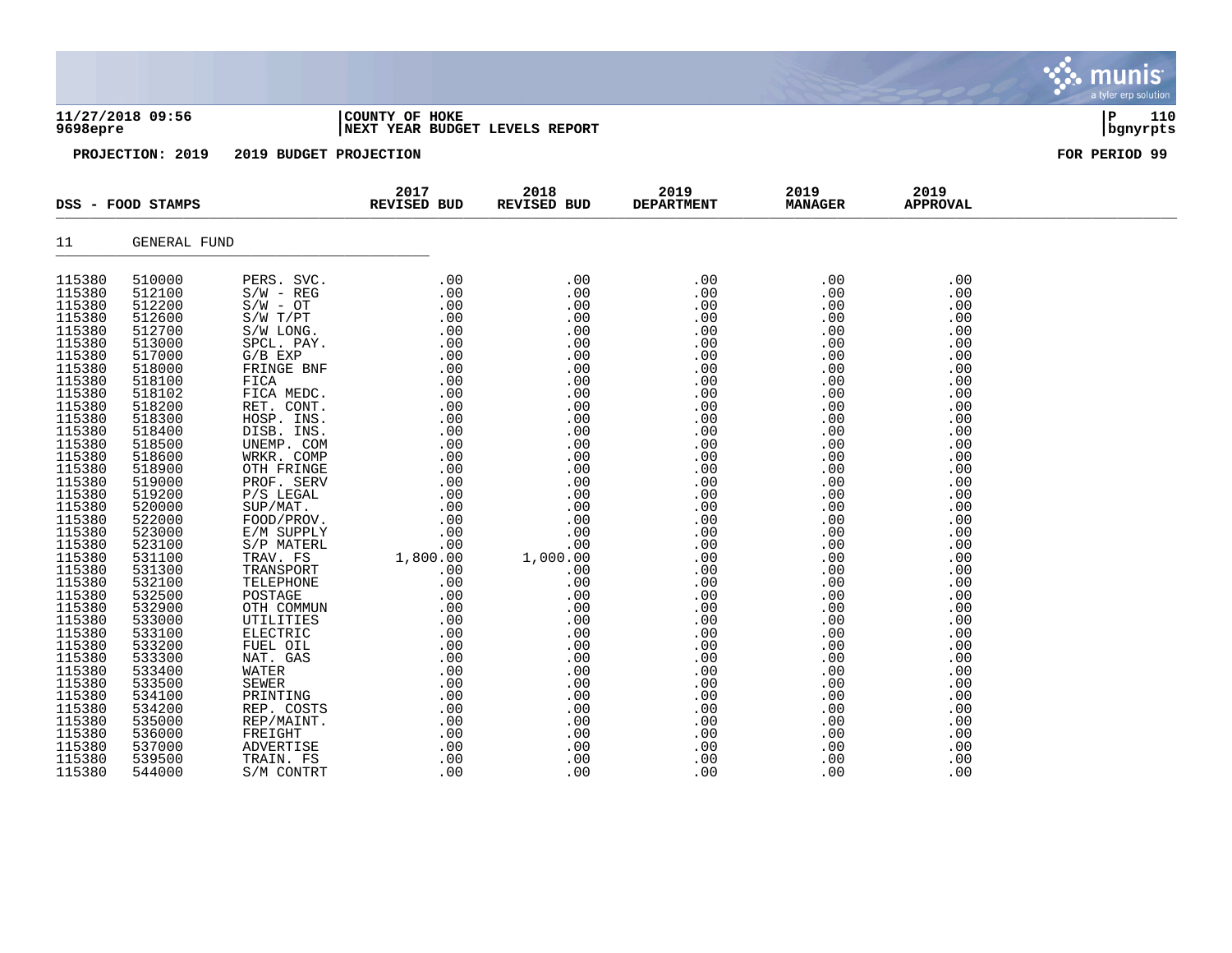| 9698epre                                                                                                                                                                                                                                                                                                                     | 11/27/2018 09:56                                                                                                                                                                                                                                                                                                             |                                                                                                                                                                                                                                                                                                                                                                                                                                     | COUNTY OF HOKE<br>NEXT YEAR BUDGET LEVELS REPORT                                                                                                                                                                                                                                                                                         |                                                                                                                                                                                                                                   |                                                                                                                                                                                                                              |                                                                                                                                                                                                                              |                                                                                                                                                                                                                              |               |  |  |
|------------------------------------------------------------------------------------------------------------------------------------------------------------------------------------------------------------------------------------------------------------------------------------------------------------------------------|------------------------------------------------------------------------------------------------------------------------------------------------------------------------------------------------------------------------------------------------------------------------------------------------------------------------------|-------------------------------------------------------------------------------------------------------------------------------------------------------------------------------------------------------------------------------------------------------------------------------------------------------------------------------------------------------------------------------------------------------------------------------------|------------------------------------------------------------------------------------------------------------------------------------------------------------------------------------------------------------------------------------------------------------------------------------------------------------------------------------------|-----------------------------------------------------------------------------------------------------------------------------------------------------------------------------------------------------------------------------------|------------------------------------------------------------------------------------------------------------------------------------------------------------------------------------------------------------------------------|------------------------------------------------------------------------------------------------------------------------------------------------------------------------------------------------------------------------------|------------------------------------------------------------------------------------------------------------------------------------------------------------------------------------------------------------------------------|---------------|--|--|
|                                                                                                                                                                                                                                                                                                                              | PROJECTION: 2019                                                                                                                                                                                                                                                                                                             | 2019 BUDGET PROJECTION                                                                                                                                                                                                                                                                                                                                                                                                              |                                                                                                                                                                                                                                                                                                                                          |                                                                                                                                                                                                                                   |                                                                                                                                                                                                                              |                                                                                                                                                                                                                              |                                                                                                                                                                                                                              | FOR PERIOD 99 |  |  |
|                                                                                                                                                                                                                                                                                                                              | DSS - FOOD STAMPS                                                                                                                                                                                                                                                                                                            |                                                                                                                                                                                                                                                                                                                                                                                                                                     | 2017<br><b>REVISED BUD</b>                                                                                                                                                                                                                                                                                                               | 2018<br>REVISED BUD                                                                                                                                                                                                               | 2019<br><b>DEPARTMENT</b>                                                                                                                                                                                                    | 2019<br><b>MANAGER</b>                                                                                                                                                                                                       | 2019<br><b>APPROVAL</b>                                                                                                                                                                                                      |               |  |  |
| 11                                                                                                                                                                                                                                                                                                                           | <b>GENERAL FUND</b>                                                                                                                                                                                                                                                                                                          |                                                                                                                                                                                                                                                                                                                                                                                                                                     |                                                                                                                                                                                                                                                                                                                                          |                                                                                                                                                                                                                                   |                                                                                                                                                                                                                              |                                                                                                                                                                                                                              |                                                                                                                                                                                                                              |               |  |  |
| 115380<br>115380<br>115380<br>115380<br>115380<br>115380<br>115380<br>115380<br>115380<br>115380<br>115380<br>115380<br>115380<br>115380<br>115380<br>115380<br>115380<br>115380<br>115380<br>115380<br>115380<br>115380<br>115380<br>115380<br>115380<br>115380<br>115380<br>115380<br>115380<br>115380<br>115380<br>115380 | 510000<br>512100<br>512200<br>512600<br>512700<br>513000<br>517000<br>518000<br>518100<br>518102<br>518200<br>518300<br>518400<br>518500<br>518600<br>518900<br>519000<br>519200<br>520000<br>522000<br>523000<br>523100<br>531100<br>531300<br>532100<br>532500<br>532900<br>533000<br>533100<br>533200<br>533300<br>533400 | PERS. SVC.<br>$S/W - REG$<br>$S/W - OT$<br>$S/W$ $T/PT$<br>S/W LONG.<br>SPCL. PAY.<br>$G/B$ EXP<br>FRINGE BNF<br>FICA<br>FICA MEDC.<br>RET. CONT.<br>HOSP. INS.<br>DISB. INS.<br>UNEMP. COM<br>WRKR. COMP<br>OTH FRINGE<br>PROF. SERV<br>$P/S$ LEGAL<br>SUP/MAT.<br>FOOD/PROV.<br>E/M SUPPLY<br>S/P MATERL<br>TRAV. FS<br>TRANSPORT<br>TELEPHONE<br>POSTAGE<br>OTH COMMUN<br>UTILITIES<br>ELECTRIC<br>FUEL OIL<br>NAT. GAS<br>WATER | .00<br>.00<br>$\begin{array}{r} .000\ 0.000\ 0.000\ 0.000\ 0.000\ 0.000\ 0.000\ 0.000\ 0.000\ 0.000\ 0.000\ 0.000\ 0.000\ 0.000\ 0.000\ 0.000\ 0.000\ 0.00\ 0.00\ 0.00\ 0.00\ 0.00\ 0.00\ 0.00\ 0.00\ 0.00\ 0.00\ 0.00\ 0.00\ 0.00\ 0.00\ 0.00\ 0.00\$<br>.00<br>1,800.00<br>.00<br>.00<br>.00<br>.00<br>.00<br>.00<br>.00<br>.00<br>.00 | .00<br>.00<br>.00<br>.00<br>.00<br>.00<br>.00<br>.00<br>.00<br>.00<br>.00<br>.00<br>.00<br>.00<br>.00<br>.00<br>.00<br>.00<br>.00<br>.00<br>.00<br>.00<br>1,000.00<br>.00<br>.00<br>.00<br>.00<br>.00<br>.00<br>.00<br>.00<br>.00 | .00<br>.00<br>.00<br>.00<br>.00<br>.00<br>.00<br>.00<br>.00<br>.00<br>.00<br>.00<br>.00<br>.00<br>.00<br>.00<br>.00<br>.00<br>.00<br>.00<br>.00<br>.00<br>.00<br>.00<br>.00<br>.00<br>.00<br>.00<br>.00<br>.00<br>.00<br>.00 | .00<br>.00<br>.00<br>.00<br>.00<br>.00<br>.00<br>.00<br>.00<br>.00<br>.00<br>.00<br>.00<br>.00<br>.00<br>.00<br>.00<br>.00<br>.00<br>.00<br>.00<br>.00<br>.00<br>.00<br>.00<br>.00<br>.00<br>.00<br>.00<br>.00<br>.00<br>.00 | .00<br>.00<br>.00<br>.00<br>.00<br>.00<br>.00<br>.00<br>.00<br>.00<br>.00<br>.00<br>.00<br>.00<br>.00<br>.00<br>.00<br>.00<br>.00<br>.00<br>.00<br>.00<br>.00<br>.00<br>.00<br>.00<br>.00<br>.00<br>.00<br>.00<br>.00<br>.00 |               |  |  |
| 115380<br>115380                                                                                                                                                                                                                                                                                                             | 533500<br>534100                                                                                                                                                                                                                                                                                                             | <b>SEWER</b><br>PRINTING                                                                                                                                                                                                                                                                                                                                                                                                            | .00<br>.00                                                                                                                                                                                                                                                                                                                               | .00<br>.00                                                                                                                                                                                                                        | .00<br>.00                                                                                                                                                                                                                   | .00<br>.00                                                                                                                                                                                                                   | .00<br>.00                                                                                                                                                                                                                   |               |  |  |

115380 534200 REP.COSTS .00 .00 .00 .00 .00 .00 .00 .00 115380 535000 REP/MAINT. .00 .00 .00 .00 .00 115380 536000 FREIGHT .00 .00 .00 .00 .00 115380 537000 ADVERTISE .00 .00 .00 .00 .00 115380 539500 TRAIN. FS .00 .00 .00 .00 .00 115380 544000 S/M CONTRT .00 .00 .00 .00 .00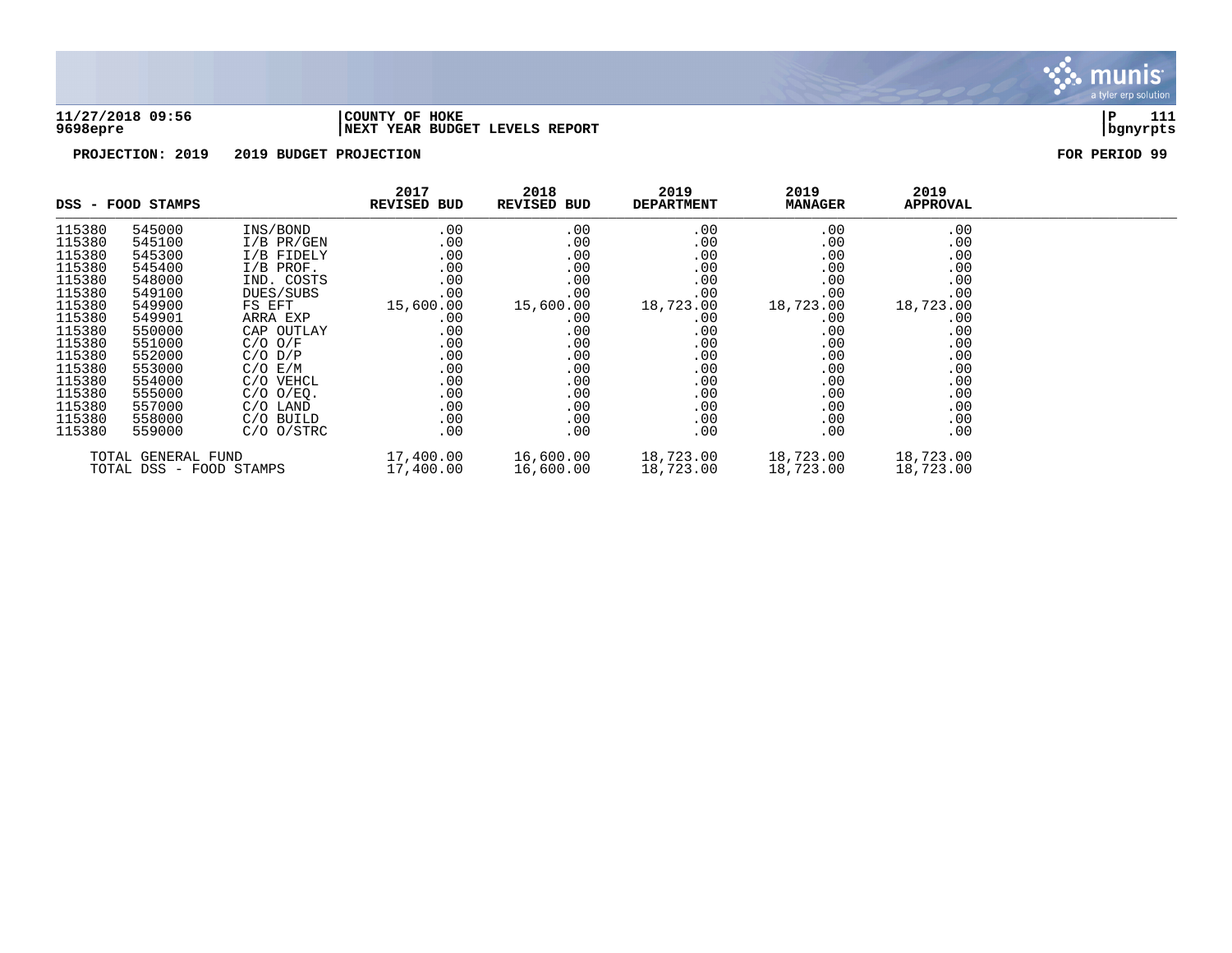

### **11/27/2018 09:56 |COUNTY OF HOKE |P 111 9698epre |NEXT YEAR BUDGET LEVELS REPORT |bgnyrpts**

|                                               | DSS - FOOD STAMPS |                        | 2017<br>REVISED BUD    | 2018<br>REVISED BUD    | 2019<br><b>DEPARTMENT</b> | 2019<br><b>MANAGER</b> | 2019<br><b>APPROVAL</b> |  |
|-----------------------------------------------|-------------------|------------------------|------------------------|------------------------|---------------------------|------------------------|-------------------------|--|
| 115380                                        | 545000            | INS/BOND               | .00                    | .00                    | .00                       | .00                    | .00                     |  |
| 115380                                        | 545100            | $I/B$ PR/GEN           | .00                    | .00                    | $.00 \,$                  | .00                    | .00                     |  |
| 115380                                        | 545300            | I/B FIDELY             | .00                    | .00                    | .00                       | .00                    | .00                     |  |
| 115380                                        | 545400            | $I/B$ PROF.            | .00                    | .00                    | .00                       | .00                    | .00                     |  |
| 115380                                        | 548000            | IND. COSTS             | .00                    | .00                    | .00                       | .00                    | .00                     |  |
| 115380                                        | 549100            | DUES/SUBS              | .00                    | .00                    | .00                       | .00                    | .00                     |  |
| 115380                                        | 549900            | FS EFT                 | 15,600.00              | 15,600.00              | 18,723.00                 | 18,723.00              | 18,723.00               |  |
| 115380                                        | 549901            | ARRA EXP               | .00                    | .00                    | $.00 \,$                  | .00                    | .00                     |  |
| 115380                                        | 550000            | CAP OUTLAY             | .00                    | .00                    | .00                       | .00                    | .00                     |  |
| 115380                                        | 551000            | $C/O$ $O/F$            | .00                    | .00                    | $.00 \,$                  | .00                    | .00                     |  |
| 115380                                        | 552000            | $C/O$ $D/P$            | .00                    | .00                    | $.00 \,$                  | .00                    | .00                     |  |
| 115380                                        | 553000            | $C/O$ $E/M$            | .00                    | .00                    | $.00 \,$                  | .00                    | .00                     |  |
| 115380                                        | 554000            | C/O VEHCL              | .00                    | .00                    | .00                       | .00                    | .00                     |  |
| 115380                                        | 555000            | $C/O$ $O/EQ$ .         | .00                    | .00                    | .00                       | .00                    | .00                     |  |
| 115380                                        | 557000            | C/O LAND               | .00                    | .00                    | $.00 \,$                  | .00                    | .00                     |  |
| 115380                                        | 558000            | C/O BUILD              | $.00 \,$               | .00                    | $.00 \,$                  | .00                    | .00                     |  |
| 115380                                        | 559000            | $C/O$ $O/STRC$         | $.00 \,$               | .00                    | .00                       | .00                    | .00                     |  |
| TOTAL GENERAL FUND<br>TOTAL DSS - FOOD STAMPS |                   | 17,400.00<br>17,400.00 | 16,600.00<br>16,600.00 | 18,723.00<br>18,723.00 | 18,723.00<br>18,723.00    | 18,723.00<br>18,723.00 |                         |  |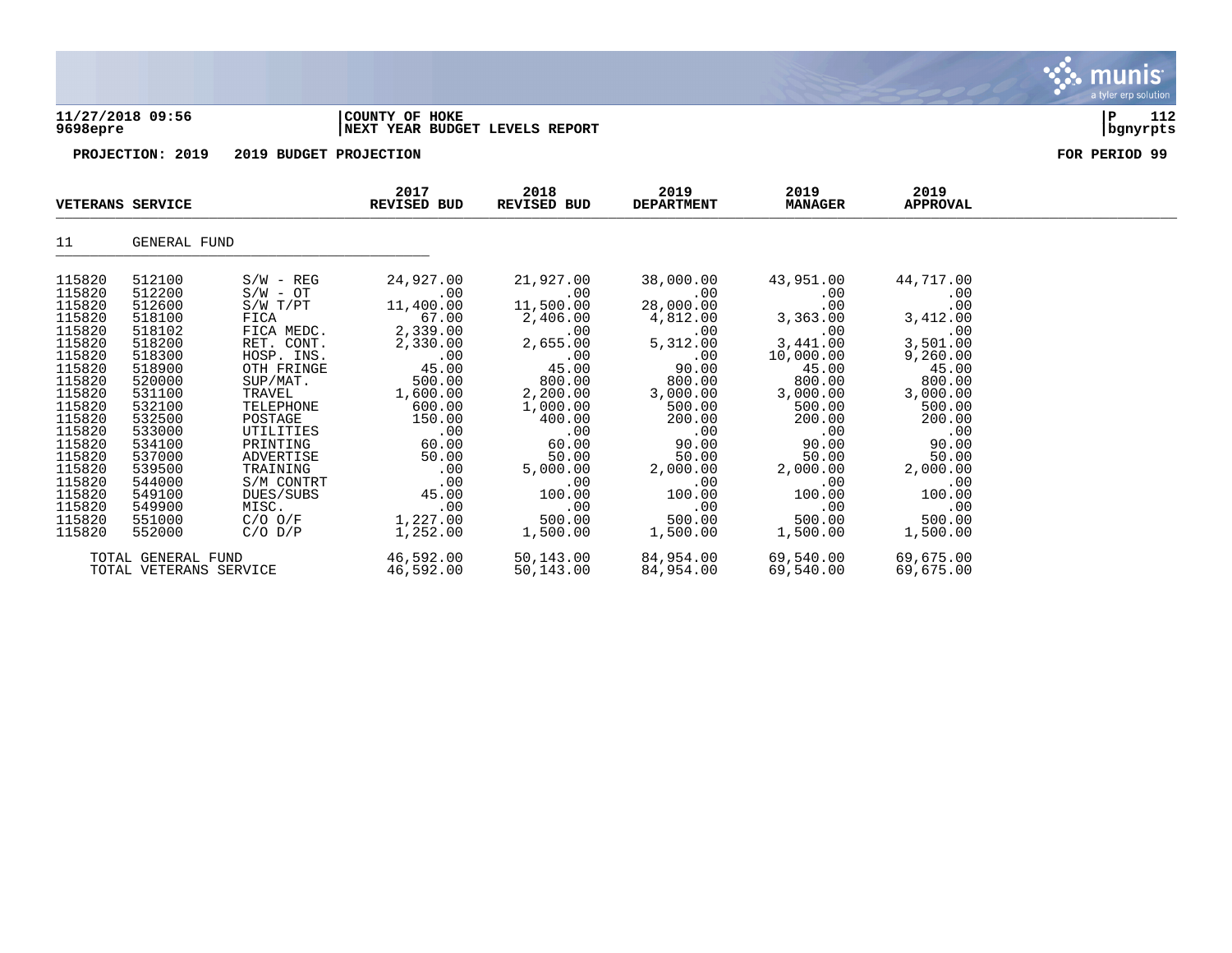### **11/27/2018 09:56 |COUNTY OF HOKE |P 112 9698epre |NEXT YEAR BUDGET LEVELS REPORT |bgnyrpts**

| <b>VETERANS SERVICE</b>                                                                                                                                                                              |                                                                                                                                                                                                      |                                                                                                                                                                                                                                                              | 2017<br>REVISED BUD                                                                                                                                                                         | 2018<br>REVISED BUD                                                                                                                                                                             | 2019<br><b>DEPARTMENT</b>                                                                                                                                                                     | 2019<br><b>MANAGER</b>                                                                                                                                                                        | 2019<br><b>APPROVAL</b>                                                                                                                                                                      |  |
|------------------------------------------------------------------------------------------------------------------------------------------------------------------------------------------------------|------------------------------------------------------------------------------------------------------------------------------------------------------------------------------------------------------|--------------------------------------------------------------------------------------------------------------------------------------------------------------------------------------------------------------------------------------------------------------|---------------------------------------------------------------------------------------------------------------------------------------------------------------------------------------------|-------------------------------------------------------------------------------------------------------------------------------------------------------------------------------------------------|-----------------------------------------------------------------------------------------------------------------------------------------------------------------------------------------------|-----------------------------------------------------------------------------------------------------------------------------------------------------------------------------------------------|----------------------------------------------------------------------------------------------------------------------------------------------------------------------------------------------|--|
| 11                                                                                                                                                                                                   | GENERAL FUND                                                                                                                                                                                         |                                                                                                                                                                                                                                                              |                                                                                                                                                                                             |                                                                                                                                                                                                 |                                                                                                                                                                                               |                                                                                                                                                                                               |                                                                                                                                                                                              |  |
| 115820<br>115820<br>115820<br>115820<br>115820<br>115820<br>115820<br>115820<br>115820<br>115820<br>115820<br>115820<br>115820<br>115820<br>115820<br>115820<br>115820<br>115820<br>115820<br>115820 | 512100<br>512200<br>512600<br>518100<br>518102<br>518200<br>518300<br>518900<br>520000<br>531100<br>532100<br>532500<br>533000<br>534100<br>537000<br>539500<br>544000<br>549100<br>549900<br>551000 | $S/W - REG$<br>$S/W - OT$<br>$S/W$ $T/PT$<br>FICA<br>FICA MEDC.<br>RET. CONT.<br>HOSP. INS.<br>OTH FRINGE<br>SUP/MAT.<br>TRAVEL<br>TELEPHONE<br>POSTAGE<br>UTILITIES<br>PRINTING<br>ADVERTISE<br>TRAINING<br>S/M CONTRT<br>DUES/SUBS<br>MISC.<br>$C/O$ $O/F$ | 24,927.00<br>.00<br>11,400.00<br>67.00<br>2,339.00<br>2,330.00<br>.00<br>45.00<br>500.00<br>1,600.00<br>600.00<br>150.00<br>.00<br>60.00<br>50.00<br>.00<br>.00<br>45.00<br>.00<br>1,227.00 | 21,927.00<br>.00<br>11,500.00<br>2,406.00<br>.00<br>2,655.00<br>.00<br>45.00<br>800.00<br>2,200.00<br>1,000.00<br>400.00<br>.00<br>60.00<br>50.00<br>5,000.00<br>.00<br>100.00<br>.00<br>500.00 | 38,000.00<br>.00<br>28,000.00<br>4,812.00<br>.00<br>5,312.00<br>.00<br>90.00<br>800.00<br>3,000.00<br>500.00<br>200.00<br>.00<br>90.00<br>50.00<br>2,000.00<br>.00<br>100.00<br>.00<br>500.00 | 43,951.00<br>.00<br>.00<br>3,363.00<br>.00<br>3,441.00<br>10,000.00<br>45.00<br>800.00<br>3,000.00<br>500.00<br>200.00<br>.00<br>90.00<br>50.00<br>2,000.00<br>.00<br>100.00<br>.00<br>500.00 | 44,717.00<br>.00<br>.00<br>3,412.00<br>.00<br>3,501.00<br>9,260.00<br>45.00<br>800.00<br>3,000.00<br>500.00<br>200.00<br>.00<br>90.00<br>50.00<br>2,000.00<br>.00<br>100.00<br>.00<br>500.00 |  |
| 115820                                                                                                                                                                                               | 552000<br>TOTAL GENERAL FUND<br>TOTAL VETERANS SERVICE                                                                                                                                               | $C/O$ $D/P$                                                                                                                                                                                                                                                  | 1,252.00<br>46,592.00<br>46,592.00                                                                                                                                                          | 1,500.00<br>50,143.00<br>50,143.00                                                                                                                                                              | 1,500.00<br>84,954.00<br>84,954.00                                                                                                                                                            | 1,500.00<br>69,540.00<br>69,540.00                                                                                                                                                            | 1,500.00<br>69,675.00<br>69,675.00                                                                                                                                                           |  |

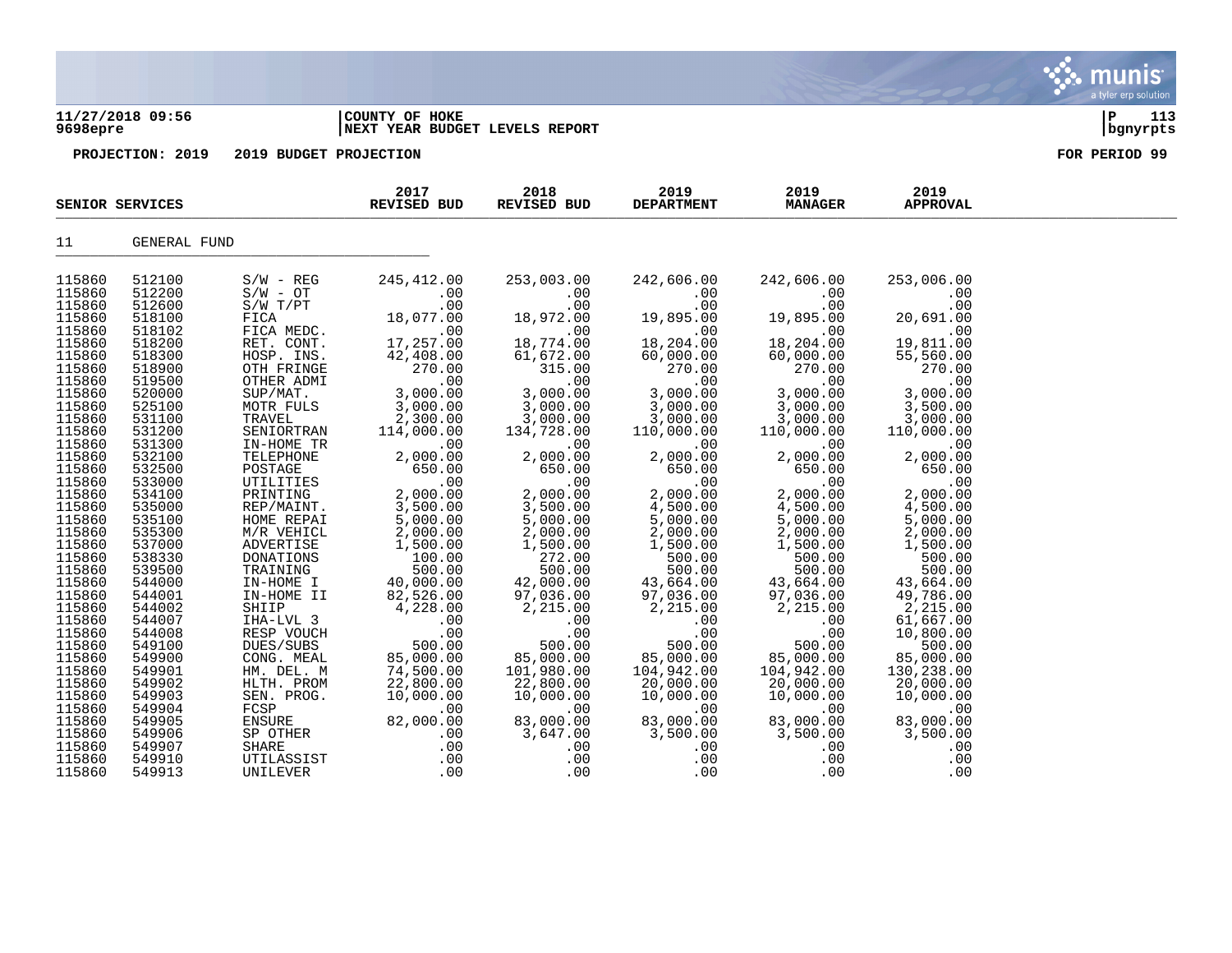### **11/27/2018 09:56 |COUNTY OF HOKE |P 113 9698epre |NEXT YEAR BUDGET LEVELS REPORT |bgnyrpts**

|                  | SENIOR SERVICES |                       | 2017<br>REVISED BUD                                                                                                                                                                                      | 2018<br>REVISED BUD                                                              | 2019<br><b>DEPARTMENT</b>                                                        | 2019<br><b>MANAGER</b>     | 2019<br><b>APPROVAL</b>    |  |
|------------------|-----------------|-----------------------|----------------------------------------------------------------------------------------------------------------------------------------------------------------------------------------------------------|----------------------------------------------------------------------------------|----------------------------------------------------------------------------------|----------------------------|----------------------------|--|
| 11               | GENERAL FUND    |                       |                                                                                                                                                                                                          |                                                                                  |                                                                                  |                            |                            |  |
| 115860           | 512100          | $S/W - REG$           | 245,412.00                                                                                                                                                                                               | 253,003.00                                                                       | 242,606.00                                                                       | 242,606.00                 | 253,006.00                 |  |
| 115860           | 512200          | $S/W - OT$            | $.00 \,$                                                                                                                                                                                                 | $.00 \,$                                                                         | .00                                                                              | .00                        | .00                        |  |
| 115860           | 512600          | $S/W$ $T/PT$          | .00                                                                                                                                                                                                      | .00                                                                              |                                                                                  | .00                        | .00                        |  |
| 115860           | 518100          | FICA                  | 18,077.00                                                                                                                                                                                                | 18,972.00                                                                        | $\begin{array}{c} .00\ 0.00\ 0.01\ 19,895.00\ 18,204.00\ 60,000.00\ \end{array}$ | 19,895.00                  | 20,691.00                  |  |
| 115860           | 518102          | FICA MEDC.            | .00                                                                                                                                                                                                      |                                                                                  |                                                                                  | $\overline{00}$            | .00                        |  |
| 115860           | 518200          | RET. CONT.            | 17,257.00                                                                                                                                                                                                | 00.<br>18,774.00                                                                 |                                                                                  | 18,204.00                  | 19.81<br>19,811.00         |  |
| 115860           | 518300          | HOSP. INS.            | 42,408.00                                                                                                                                                                                                | 61,672.00                                                                        | 60,000.00                                                                        | 60,000.00                  | 55,560.00                  |  |
| 115860           | 518900          | OTH FRINGE            | 270.00                                                                                                                                                                                                   | 315.00                                                                           | 270.00                                                                           | 270.00                     | 270.00                     |  |
| 115860           | 519500          | OTHER ADMI            | .00                                                                                                                                                                                                      | .00                                                                              | .00                                                                              | .00                        | .00                        |  |
| 115860           | 520000          | SUP/MAT.              | 3,000.00                                                                                                                                                                                                 | 3,000.00                                                                         | 3,000.00                                                                         | 3,000.00                   | 3,000.00                   |  |
| 115860           | 525100          | MOTR FULS             | 3,000.00                                                                                                                                                                                                 | 3,000.00                                                                         | 3,000.00                                                                         | 3,000.00                   | 3,500.00                   |  |
| 115860           | 531100          | TRAVEL                | 2,300.00                                                                                                                                                                                                 | 3,000.00                                                                         | 3,000.00                                                                         | 3,000.00                   | 3,000.00                   |  |
| 115860           | 531200          | SENIORTRAN            |                                                                                                                                                                                                          | 134,728.00                                                                       | 110,000.00                                                                       | 110,000.00                 | 110,000.00                 |  |
| 115860           | 531300          | IN-HOME TR            | $114,000$<br>00.00                                                                                                                                                                                       | .00                                                                              | .00                                                                              | .00                        | .00                        |  |
| 115860           | 532100          | TELEPHONE             | 2,000.00                                                                                                                                                                                                 | 2,000.00                                                                         | 2,000.00                                                                         | 2,000.00                   | 2,000.00                   |  |
| 115860           | 532500          |                       |                                                                                                                                                                                                          | 650.00                                                                           | 650.00                                                                           | 650.00                     | 650.00                     |  |
| 115860           | 533000          |                       | POSTAGE 50.00<br>POSTAGE 650.00<br>UTILITIES .00<br>PRINTING 2,000.00<br>REP/MAINT. 3,500.00<br>HOME REPAI 5,000.00<br>M/R VEHICL 2,000.00<br>ADVERTISE 1,500.00<br>CONTIGE 1,500.00<br>CONTIGE 1,500.00 | .00                                                                              | .00                                                                              | .00                        | 00<br>2,000.00<br>4,500.00 |  |
| 115860           | 534100          |                       |                                                                                                                                                                                                          | 2,000.00                                                                         | 2,000.00                                                                         | 2,000.00                   |                            |  |
| 115860           | 535000          |                       |                                                                                                                                                                                                          | 3,500.00                                                                         | 4,500.00                                                                         | 4,500.00                   |                            |  |
| 115860           | 535100          |                       |                                                                                                                                                                                                          | 5,000.00                                                                         | 5,000.00                                                                         | 5,000.00                   | 5,000.00                   |  |
| 115860           | 535300          |                       |                                                                                                                                                                                                          | 2,000.00                                                                         | 2,000.00                                                                         | 2,000.00                   | 2,000.00                   |  |
| 115860           | 537000          |                       |                                                                                                                                                                                                          | 1,500.00                                                                         | 1,500.00                                                                         | 1,500.00                   | 1,500.00                   |  |
| 115860           | 538330          | DONATIONS<br>TRAINING | 100.00                                                                                                                                                                                                   |                                                                                  | 500.00                                                                           | 500.00                     | 500.00                     |  |
| 115860           | 539500          |                       | 500.00                                                                                                                                                                                                   |                                                                                  | 500.00                                                                           | 500.00                     | 500.00                     |  |
| 115860           | 544000          | IN-HOME I             | 40,000.00                                                                                                                                                                                                | $\begin{array}{r} 272.00 \\ 272.00 \\ 500.00 \\ 42,000.00 \\ 97.036 \end{array}$ | $\frac{4}{9}$<br>43,664.00                                                       | $\frac{1}{2}$<br>43,664.00 | 43,664.00                  |  |
| 115860           | 544001          | IN-HOME II            | 82,526.00                                                                                                                                                                                                |                                                                                  | 97,036.00                                                                        | 97,036.00                  | 49,786.00                  |  |
| 115860           | 544002          | SHIIP                 | 4,228.00                                                                                                                                                                                                 | 2,215.00                                                                         | 2,215.00                                                                         | 2,215.00                   | 2,215.00                   |  |
| 115860           | 544007          | IHA-LVL 3             | $\begin{array}{c} . & 0 \\ . & 0 \end{array}$                                                                                                                                                            | .00                                                                              | .00                                                                              | .00                        | 61,667.00                  |  |
| 115860           | 544008          | RESP VOUCH            |                                                                                                                                                                                                          | .00                                                                              | .00                                                                              | .00                        | 10,800.00                  |  |
| 115860           | 549100          | DUES/SUBS             | 500.00                                                                                                                                                                                                   | 500.00                                                                           | 500.00                                                                           | 500.00                     | 500.00                     |  |
| 115860           | 549900          | CONG. MEAL            | 85,000.00                                                                                                                                                                                                | 85,000.00                                                                        | 85,000.00                                                                        | 85,000.00                  | 85,000.00                  |  |
| 115860           | 549901          | HM. DEL. M            | 74,500.00                                                                                                                                                                                                | 101,980.00                                                                       | 104,942.00                                                                       | 104,942.00                 | 130,238.00                 |  |
| 115860           | 549902          | HLTH. PROM            | 22,800.00                                                                                                                                                                                                | 22,800.00                                                                        | 20,000.00                                                                        | 20,000.00                  | 20,000.00                  |  |
| 115860           | 549903          | SEN. PROG.            | 10,000.00                                                                                                                                                                                                | 10,000.00                                                                        | 10,000.00                                                                        | 10,000.00                  | 10,000.00                  |  |
| 115860           | 549904          | FCSP<br>ENSURE        | .00                                                                                                                                                                                                      | .00                                                                              | $\overline{00}$                                                                  | .00                        | .00                        |  |
| 115860           | 549905          |                       | 82,000.00                                                                                                                                                                                                | 83,000.00                                                                        | 83,000.00                                                                        | 83,000.00                  | 83,000.00                  |  |
| 115860<br>115860 | 549906          | SP OTHER              | .00                                                                                                                                                                                                      | 3,647.00<br>.00                                                                  | 3,500.00                                                                         | 3,500.00                   | 3,500.00                   |  |
|                  | 549907          | SHARE                 | .00                                                                                                                                                                                                      | .00                                                                              | .00                                                                              | .00<br>.00                 | .00                        |  |
| 115860           | 549910          | UTILASSIST            | .00                                                                                                                                                                                                      |                                                                                  | .00                                                                              |                            | .00                        |  |
| 115860           | 549913          | UNILEVER              | .00                                                                                                                                                                                                      | .00                                                                              | .00                                                                              | .00                        | .00                        |  |

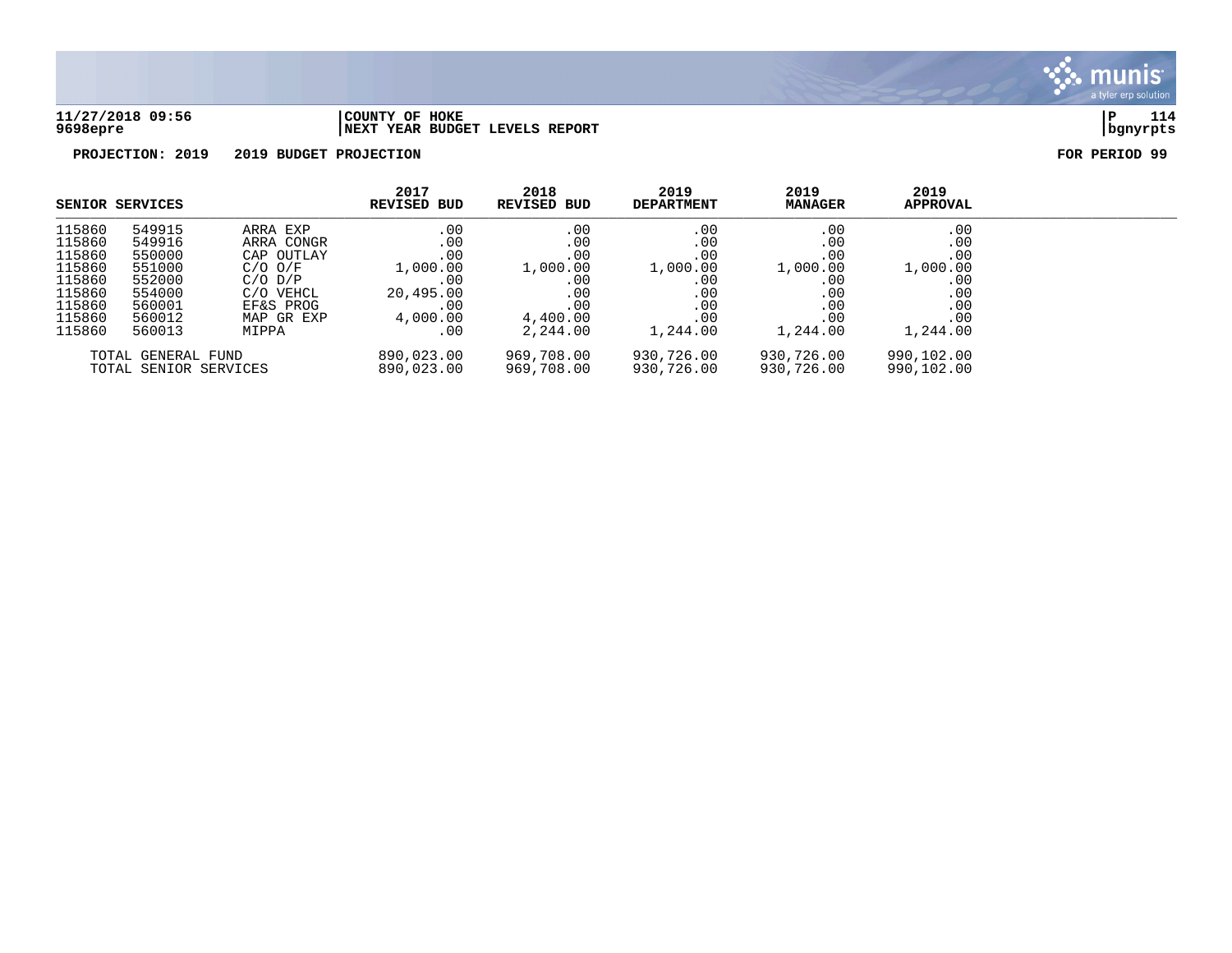

### **11/27/2018 09:56 |COUNTY OF HOKE |P 114 9698epre |NEXT YEAR BUDGET LEVELS REPORT |bgnyrpts**

|                                             | <b>SENIOR SERVICES</b> |                           | 2017<br><b>REVISED BUD</b> | 2018<br><b>REVISED BUD</b> | 2019<br><b>DEPARTMENT</b> | 2019<br><b>MANAGER</b>   | 2019<br><b>APPROVAL</b> |  |
|---------------------------------------------|------------------------|---------------------------|----------------------------|----------------------------|---------------------------|--------------------------|-------------------------|--|
| 115860                                      | 549915                 | ARRA EXP                  | .00                        | .00                        | .00                       | .00                      | .00                     |  |
| 115860                                      | 549916                 | ARRA CONGR                | .00                        | .00                        | .00                       | .00                      | .00                     |  |
| 115860<br>115860                            | 550000<br>551000       | CAP OUTLAY<br>$C/O$ $O/F$ | .00<br>1,000.00            | .00<br>1,000.00            | .00<br>1,000.00           | .00<br>1,000.00          | .00<br>1,000.00         |  |
| 115860                                      | 552000                 | $C/O$ $D/P$               | .00                        | .00                        | .00                       | .00                      | .00                     |  |
| 115860                                      | 554000                 | C/O VEHCL                 | 20,495.00                  | .00                        | .00                       | .00                      | .00                     |  |
| 115860                                      | 560001                 | EF&S PROG                 | .00                        | .00                        | .00                       | .00                      | .00                     |  |
| 115860                                      | 560012                 | MAP GR EXP                | 4,000.00                   | 4,400.00                   | .00                       | .00                      | .00                     |  |
| 115860                                      | 560013                 | MIPPA                     | .00                        | 2,244.00                   | 1,244.00                  | 1,244.00                 | 1,244.00                |  |
| TOTAL GENERAL FUND<br>TOTAL SENIOR SERVICES |                        | 890,023.00<br>890,023.00  | 969,708.00<br>969,708.00   | 930,726.00<br>930,726.00   | 930,726.00<br>930,726.00  | 990,102.00<br>990,102.00 |                         |  |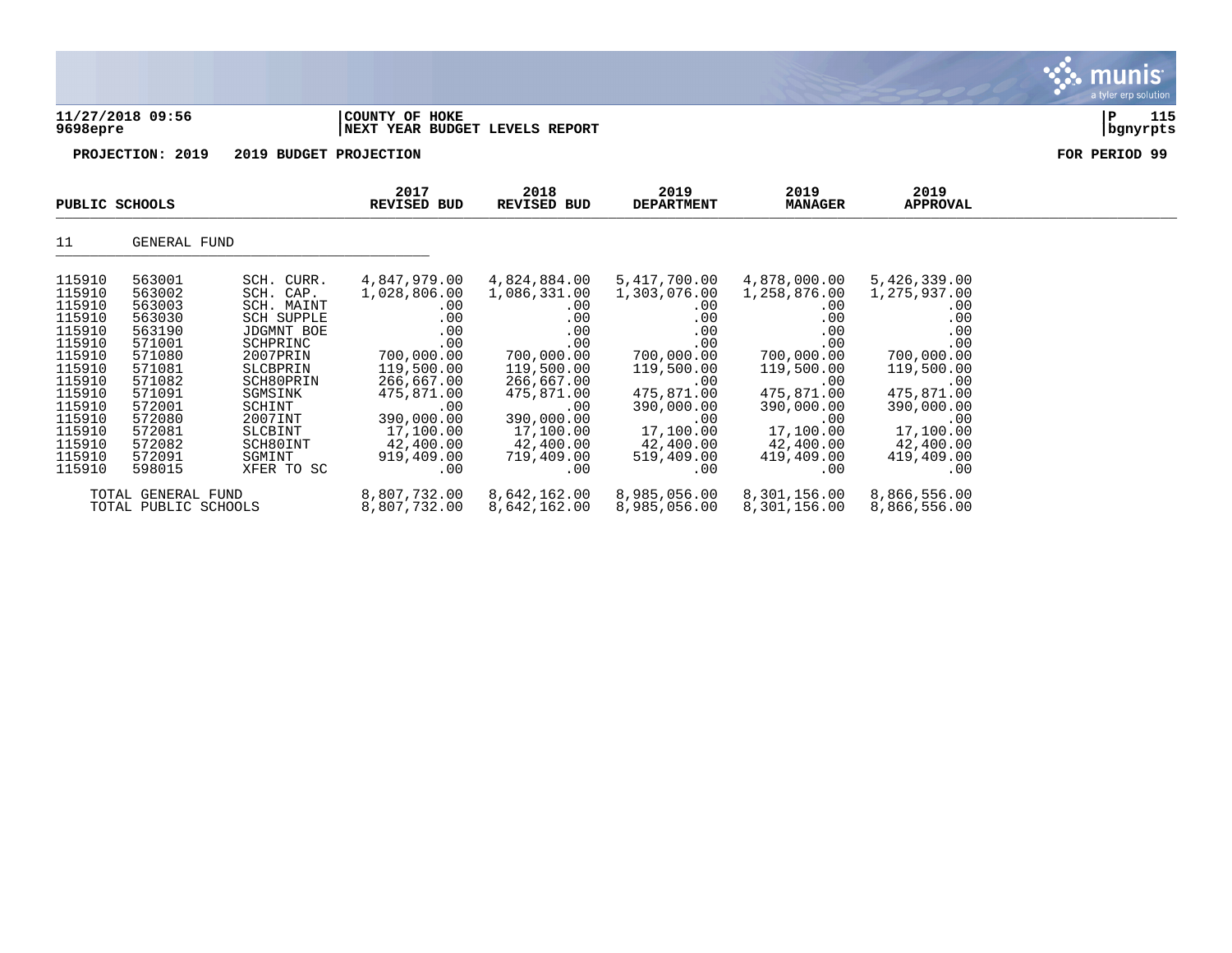| 11/27/2018 09:56<br>9698epre | COUNTY OF HOKE<br>NEXT YEAR BUDGET LEVELS REPORT |                     |                           |                        |                         | 115<br>  bgnyrpts |
|------------------------------|--------------------------------------------------|---------------------|---------------------------|------------------------|-------------------------|-------------------|
| PROJECTION: 2019             | 2019 BUDGET PROJECTION                           |                     |                           |                        |                         | FOR PERIOD 99     |
| PUBLIC SCHOOLS               | 2017<br><b>REVISED BUD</b>                       | 2018<br>REVISED BUD | 2019<br><b>DEPARTMENT</b> | 2019<br><b>MANAGER</b> | 2019<br><b>APPROVAL</b> |                   |

| 11     | GENERAL FUND         |                   |              |              |              |              |              |  |  |  |  |  |
|--------|----------------------|-------------------|--------------|--------------|--------------|--------------|--------------|--|--|--|--|--|
| 115910 | 563001               | SCH. CURR.        | 4,847,979.00 | 4,824,884.00 | 5,417,700.00 | 4,878,000.00 | 5,426,339.00 |  |  |  |  |  |
| 115910 | 563002               | SCH. CAP.         | 1,028,806.00 | 1,086,331.00 | 1,303,076.00 | 1,258,876.00 | 1,275,937.00 |  |  |  |  |  |
| 115910 | 563003               | SCH. MAINT        | .00.         | .00          | .00          | .00          | $.00 \,$     |  |  |  |  |  |
| 115910 | 563030               | <b>SCH SUPPLE</b> | .00.         | .00          | $.00 \,$     | .00          | .00          |  |  |  |  |  |
| 115910 | 563190               | <b>JDGMNT BOE</b> | .00          | .00          | .00          | .00          | .00          |  |  |  |  |  |
| 115910 | 571001               | SCHPRINC          | .00          | .00          | .00          | .00          | .00          |  |  |  |  |  |
| 115910 | 571080               | 2007PRIN          | 700,000.00   | 700,000.00   | 700,000.00   | 700,000.00   | 700,000.00   |  |  |  |  |  |
| 115910 | 571081               | SLCBPRIN          | 119,500.00   | 119,500.00   | 119,500.00   | 119,500.00   | 119,500.00   |  |  |  |  |  |
| 115910 | 571082               | SCH80PRIN         | 266,667.00   | 266,667.00   | .00          | .00          | $.00 \,$     |  |  |  |  |  |
| 115910 | 571091               | SGMSINK           | 475,871,00   | 475,871.00   | 475,871.00   | 475,871.00   | 475,871.00   |  |  |  |  |  |
| 115910 | 572001               | SCHINT            | .00          | .00          | 390,000.00   | 390,000.00   | 390,000.00   |  |  |  |  |  |
| 115910 | 572080               | 2007INT           | 390,000.00   | 390,000.00   | .00          | .00          | $.00 \,$     |  |  |  |  |  |
| 115910 | 572081               | SLCBINT           | 17,100.00    | 17,100.00    | 17,100.00    | 17,100.00    | 17,100.00    |  |  |  |  |  |
| 115910 | 572082               | SCH80INT          | 42,400.00    | 42,400.00    | 42,400.00    | 42,400.00    | 42,400.00    |  |  |  |  |  |
| 115910 | 572091               | SGMINT            | 919,409.00   | 719,409.00   | 519,409.00   | 419,409.00   | 419,409.00   |  |  |  |  |  |
| 115910 | 598015               | XFER TO SC        | .00          | .00          | .00          | .00          | .00          |  |  |  |  |  |
|        | TOTAL GENERAL FUND   |                   | 8,807,732.00 | 8,642,162.00 | 8,985,056.00 | 8,301,156.00 | 8,866,556.00 |  |  |  |  |  |
|        | TOTAL PUBLIC SCHOOLS |                   | 8,807,732.00 | 8,642,162.00 | 8,985,056.00 | 8,301,156.00 | 8,866,556.00 |  |  |  |  |  |

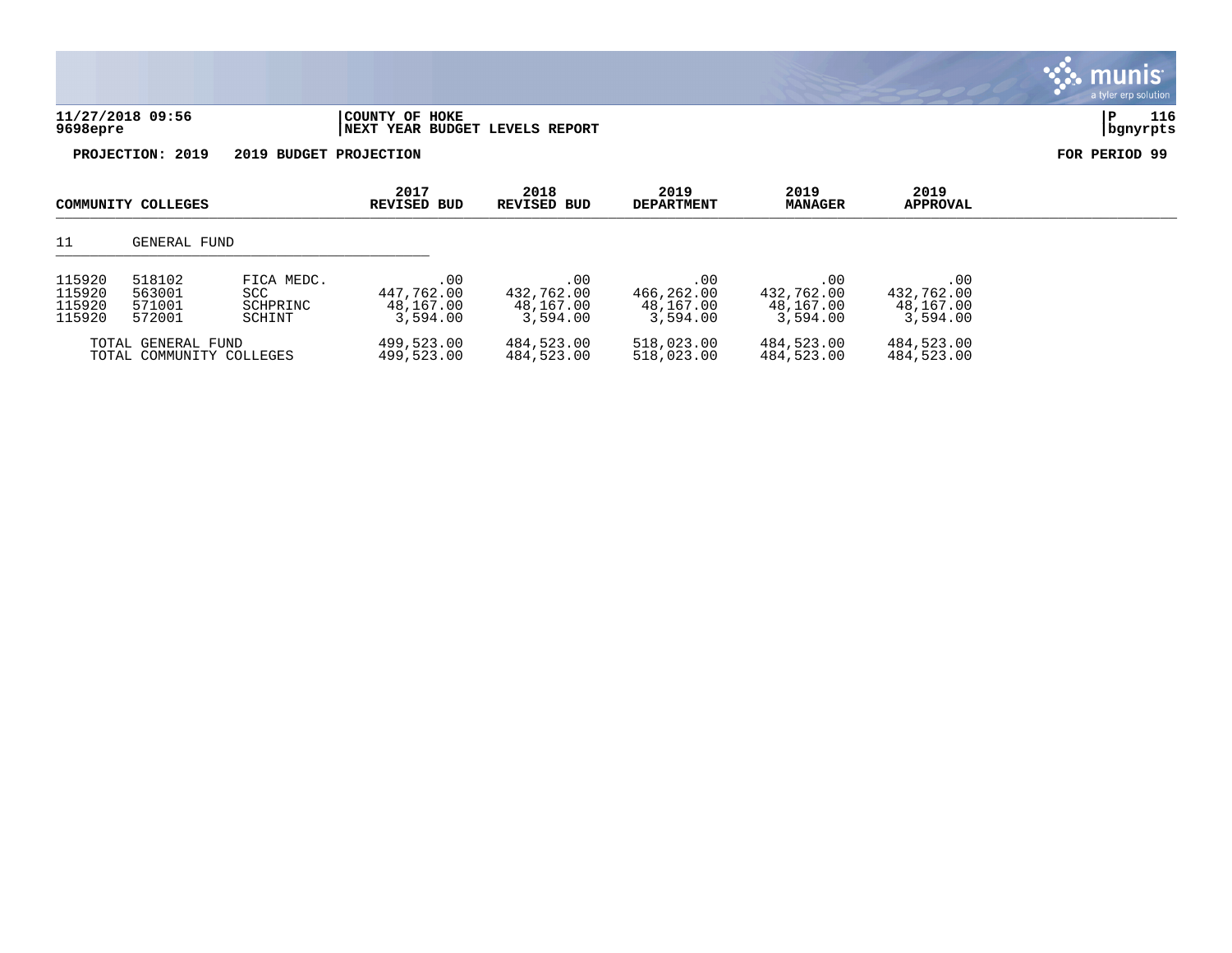|                                      |                                                |                                          |                                            |                                            |                                            |                                            |                                            | a tyler erp solution  |
|--------------------------------------|------------------------------------------------|------------------------------------------|--------------------------------------------|--------------------------------------------|--------------------------------------------|--------------------------------------------|--------------------------------------------|-----------------------|
| 9698epre                             | 11/27/2018 09:56                               |                                          | COUNTY OF HOKE                             | NEXT YEAR BUDGET LEVELS REPORT             |                                            |                                            |                                            | 116<br>∣P<br>bgnyrpts |
|                                      | PROJECTION: 2019                               | 2019 BUDGET PROJECTION                   |                                            |                                            |                                            |                                            |                                            | FOR PERIOD 99         |
|                                      | COMMUNITY COLLEGES                             |                                          | 2017<br><b>REVISED BUD</b>                 | 2018<br><b>REVISED BUD</b>                 | 2019<br><b>DEPARTMENT</b>                  | 2019<br><b>MANAGER</b>                     | 2019<br><b>APPROVAL</b>                    |                       |
| 11                                   | GENERAL FUND                                   |                                          |                                            |                                            |                                            |                                            |                                            |                       |
| 115920<br>115920<br>115920<br>115920 | 518102<br>563001<br>571001<br>572001           | FICA MEDC.<br>SCC.<br>SCHPRINC<br>SCHINT | .00<br>447,762.00<br>48,167.00<br>3.594.00 | .00<br>432,762.00<br>48,167.00<br>3,594.00 | .00<br>466,262.00<br>48,167.00<br>3,594.00 | .00<br>432,762.00<br>48,167.00<br>3,594.00 | .00<br>432,762.00<br>48,167.00<br>3,594.00 |                       |
|                                      | TOTAL GENERAL FUND<br>TOTAL COMMUNITY COLLEGES |                                          | 499,523.00<br>499,523.00                   | 484,523.00<br>484,523.00                   | 518,023.00<br>518,023.00                   | 484,523.00<br>484,523.00                   | 484,523.00<br>484,523.00                   |                       |

 $\ddot{\mathbf{z}}$  munis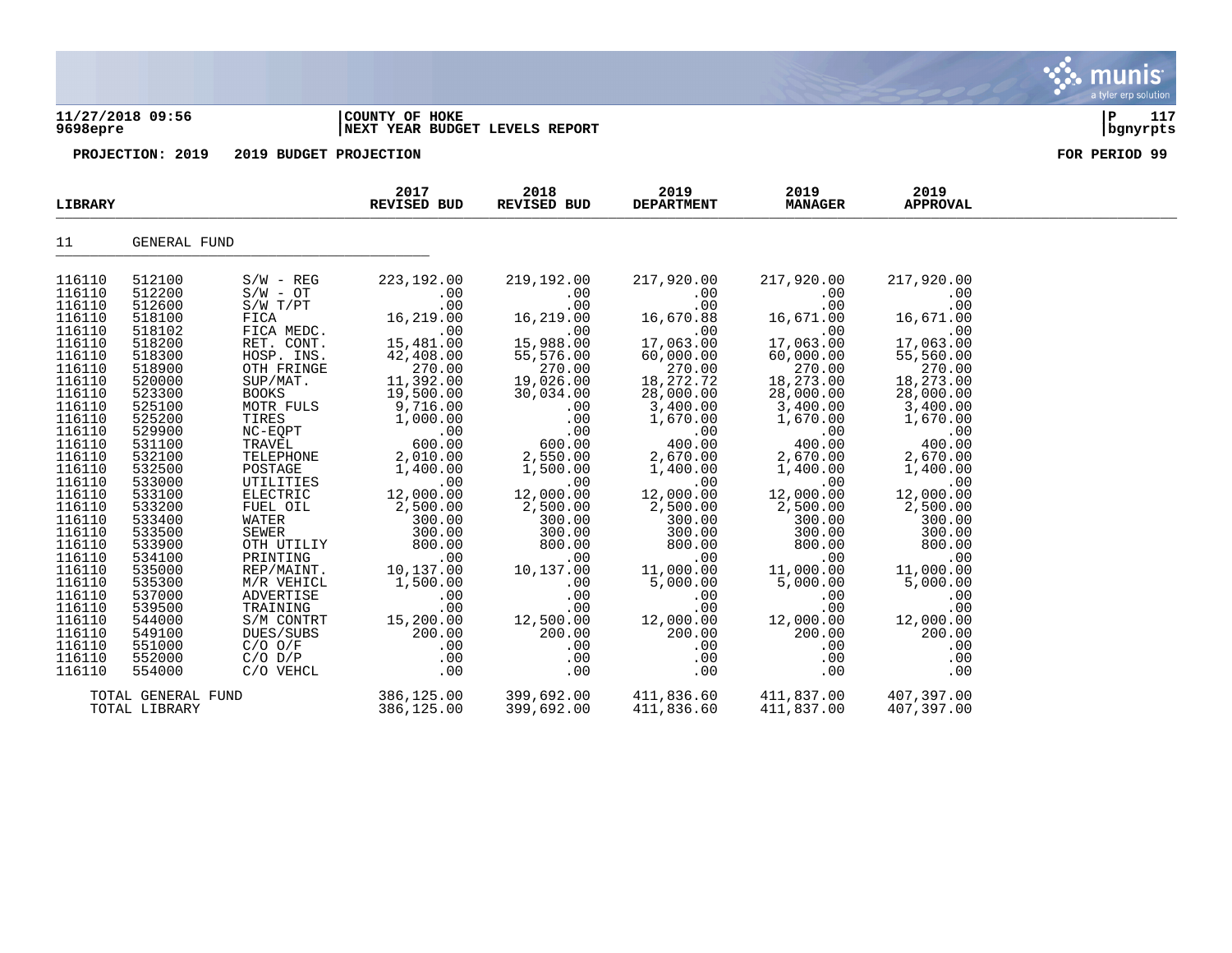### **11/27/2018 09:56 |COUNTY OF HOKE |P 117 9698epre |NEXT YEAR BUDGET LEVELS REPORT |bgnyrpts**

**PROJECTION: 2019 2019 BUDGET PROJECTION FOR PERIOD 99**

| <b>LIBRARY</b>                                                                                                                                                                                                                                                                                                               |                                                                                                                                                                                                                                                                                                                              |                                                                                                                                                                                                                                                                                                                                                                                                                  | 2017<br>REVISED BUD                                                                                                                                                                                                                                                                                                                                              | 2018<br>REVISED BUD                                                                                                                                                                                                                                                                                                       | 2019<br><b>DEPARTMENT</b>                                                                                                                                                                                                                                                                                                                  | 2019<br><b>MANAGER</b>                                                                                                                                                                                                                                                                                                                        | 2019<br><b>APPROVAL</b>                                                                                                                                                                                                                                                                                                             |  |
|------------------------------------------------------------------------------------------------------------------------------------------------------------------------------------------------------------------------------------------------------------------------------------------------------------------------------|------------------------------------------------------------------------------------------------------------------------------------------------------------------------------------------------------------------------------------------------------------------------------------------------------------------------------|------------------------------------------------------------------------------------------------------------------------------------------------------------------------------------------------------------------------------------------------------------------------------------------------------------------------------------------------------------------------------------------------------------------|------------------------------------------------------------------------------------------------------------------------------------------------------------------------------------------------------------------------------------------------------------------------------------------------------------------------------------------------------------------|---------------------------------------------------------------------------------------------------------------------------------------------------------------------------------------------------------------------------------------------------------------------------------------------------------------------------|--------------------------------------------------------------------------------------------------------------------------------------------------------------------------------------------------------------------------------------------------------------------------------------------------------------------------------------------|-----------------------------------------------------------------------------------------------------------------------------------------------------------------------------------------------------------------------------------------------------------------------------------------------------------------------------------------------|-------------------------------------------------------------------------------------------------------------------------------------------------------------------------------------------------------------------------------------------------------------------------------------------------------------------------------------|--|
| 11                                                                                                                                                                                                                                                                                                                           | GENERAL FUND                                                                                                                                                                                                                                                                                                                 |                                                                                                                                                                                                                                                                                                                                                                                                                  |                                                                                                                                                                                                                                                                                                                                                                  |                                                                                                                                                                                                                                                                                                                           |                                                                                                                                                                                                                                                                                                                                            |                                                                                                                                                                                                                                                                                                                                               |                                                                                                                                                                                                                                                                                                                                     |  |
| 116110<br>116110<br>116110<br>116110<br>116110<br>116110<br>116110<br>116110<br>116110<br>116110<br>116110<br>116110<br>116110<br>116110<br>116110<br>116110<br>116110<br>116110<br>116110<br>116110<br>116110<br>116110<br>116110<br>116110<br>116110<br>116110<br>116110<br>116110<br>116110<br>116110<br>116110<br>116110 | 512100<br>512200<br>512600<br>518100<br>518102<br>518200<br>518300<br>518900<br>520000<br>523300<br>525100<br>525200<br>529900<br>531100<br>532100<br>532500<br>533000<br>533100<br>533200<br>533400<br>533500<br>533900<br>534100<br>535000<br>535300<br>537000<br>539500<br>544000<br>549100<br>551000<br>552000<br>554000 | $S/W - REG$<br>$S/W - OT$<br>S/W T/PT<br>FICA<br>FICA MEDC.<br>RET. CONT.<br>HOSP. INS.<br>OTH FRINGE<br>SUP/MAT.<br><b>BOOKS</b><br>MOTR FULS<br>TIRES<br>NC-EQPT<br>TRAVEL<br>TELEPHONE<br>POSTAGE<br>UTILITIES<br>ELECTRIC<br>FUEL OIL<br>WATER<br>SEWER<br>OTH UTILIY<br>PRINTING<br>REP/MAINT.<br>M/R VEHICL<br>ADVERTISE<br>TRAINING<br>S/M CONTRT<br>DUES/SUBS<br>$C/O$ $O/F$<br>$C/O$ $D/P$<br>C/O VEHCL | 223, 192.00<br>$.00 \,$<br>.00<br>16,219.00<br>.00<br>15,481.00<br>42,408.00<br>270.00<br>11,392.00<br>19,500.00<br>9,716.00<br>1,000.00<br>$\overline{00}$<br>600.00<br>2,010.00<br>1,400.00<br>.00<br>12,000.00<br>2,500.00<br>300.00<br>300.00<br>800.00<br>$\sim 00$<br>10,137.00<br>1,500.00<br>.00<br>.00<br>15,200.00<br>200.00<br>.00<br>$.00 \,$<br>.00 | 219,192.00<br>.00<br>.00<br>16,219.00<br>.00<br>15,988.00<br>55,576.00<br>270.00<br>19,026.00<br>30,034.00<br>.00<br>.00<br>.00<br>600.00<br>2,550.00<br>1,500.00<br>.00<br>12,000.00<br>2,500.00<br>300.00<br>300.00<br>800.00<br>.00<br>10,137.00<br>.00<br>.00<br>.00<br>12,500.00<br>200.00<br>.00<br>.00<br>$.00 \,$ | 217,920.00<br>$.00 \ \,$<br>.00<br>16,670.88<br>.00<br>17,063.00<br>60,000.00<br>270.00<br>18,272.72<br>28,000.00<br>3,400.00<br>1,670.00<br>.00<br>400.00<br>2,670.00<br>1,400.00<br>.00<br>12,000.00<br>2,500.00<br>300.00<br>300.00<br>800.00<br>.00<br>11,000.00<br>5,000.00<br>.00<br>.00<br>12,000.00<br>200.00<br>.00<br>.00<br>.00 | 217,920.00<br>$.00 \,$<br>.00<br>16,671.00<br>.00<br>17,063.00<br>60,000.00<br>270.00<br>18,273.00<br>28,000.00<br>3,400.00<br>1,670.00<br>.00<br>400.00<br>2,670.00<br>1,400.00<br>.00<br>12,000.00<br>2,500.00<br>300.00<br>300.00<br>800.00<br>.00<br>11,000.00<br>5,000.00<br>.00<br>.00<br>12,000.00<br>200.00<br>.00<br>.00<br>$.00 \,$ | 217,920.00<br>.00<br>.00<br>16,671.00<br>.00<br>17,063.00<br>55,560.00<br>270.00<br>18,273.00<br>28,000.00<br>3,400.00<br>1,670.00<br>.00<br>400.00<br>2,670.00<br>1,400.00<br>.00<br>12,000.00<br>2,500.00<br>300.00<br>300.00<br>800.00<br>.00<br>11,000.00<br>5,000.00<br>.00<br>.00<br>12,000.00<br>200.00<br>.00<br>.00<br>.00 |  |
|                                                                                                                                                                                                                                                                                                                              | TOTAL GENERAL FUND<br>TOTAL LIBRARY                                                                                                                                                                                                                                                                                          |                                                                                                                                                                                                                                                                                                                                                                                                                  | 386,125.00<br>386,125.00                                                                                                                                                                                                                                                                                                                                         | 399,692.00<br>399,692.00                                                                                                                                                                                                                                                                                                  | 411,836.60<br>411,836.60                                                                                                                                                                                                                                                                                                                   | 411,837.00<br>411,837.00                                                                                                                                                                                                                                                                                                                      | 407,397.00<br>407,397.00                                                                                                                                                                                                                                                                                                            |  |

munis a tyler erp solution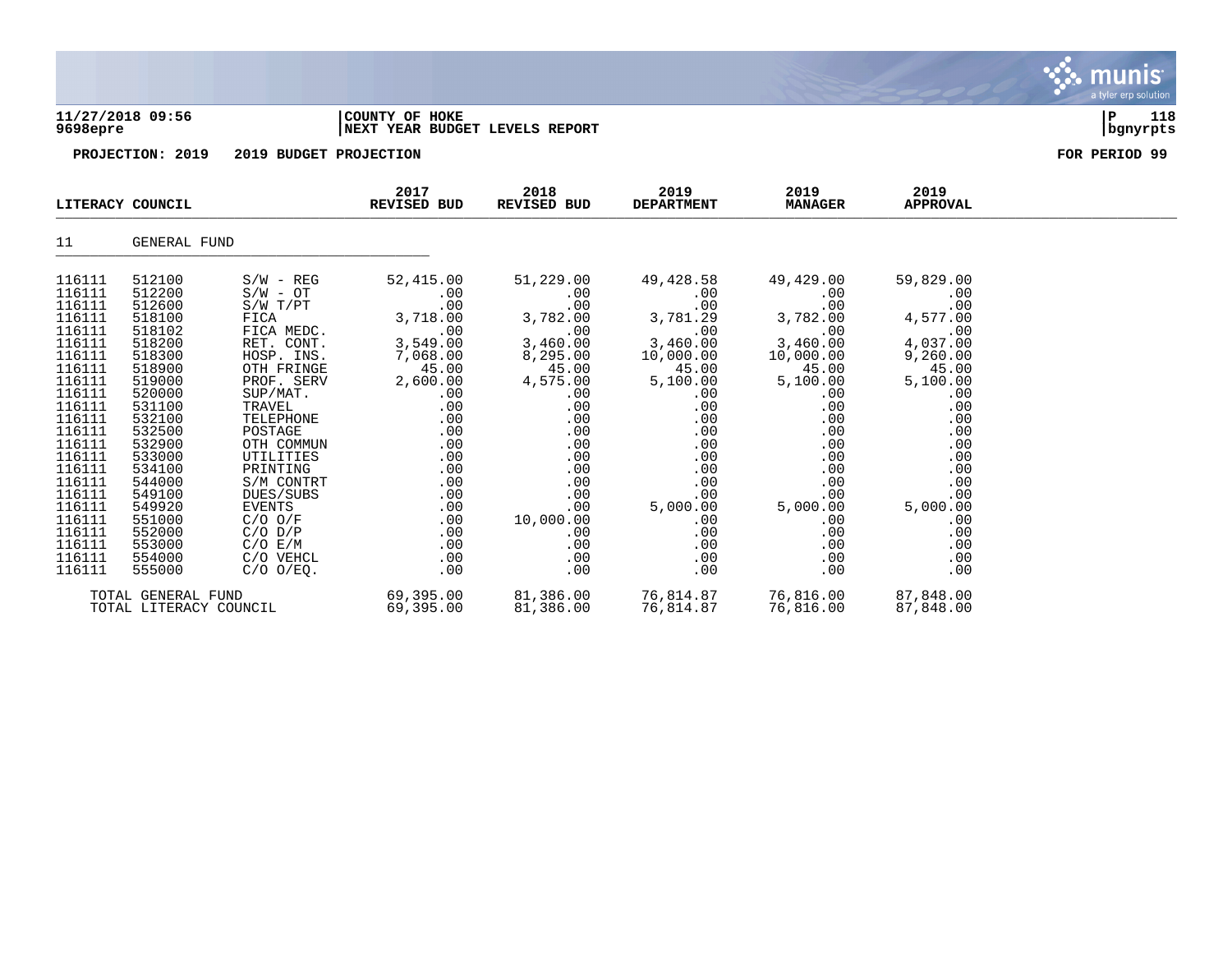

### **11/27/2018 09:56 |COUNTY OF HOKE |P 118 9698epre |NEXT YEAR BUDGET LEVELS REPORT |bgnyrpts**



| LITERACY COUNCIL                                                                                                                                                                           |                                                                                                                                                                                            |                                                                                                                                                                                                                                                   | 2017<br>REVISED BUD                                                                                                                                                     | 2018<br>REVISED BUD                                                                                                                                                     | 2019<br><b>DEPARTMENT</b>                                                                                                                                                       | 2019<br><b>MANAGER</b>                                                                                                                                              | 2019<br>APPROVAL                                                                                                                                                   |  |
|--------------------------------------------------------------------------------------------------------------------------------------------------------------------------------------------|--------------------------------------------------------------------------------------------------------------------------------------------------------------------------------------------|---------------------------------------------------------------------------------------------------------------------------------------------------------------------------------------------------------------------------------------------------|-------------------------------------------------------------------------------------------------------------------------------------------------------------------------|-------------------------------------------------------------------------------------------------------------------------------------------------------------------------|---------------------------------------------------------------------------------------------------------------------------------------------------------------------------------|---------------------------------------------------------------------------------------------------------------------------------------------------------------------|--------------------------------------------------------------------------------------------------------------------------------------------------------------------|--|
| 11                                                                                                                                                                                         | GENERAL FUND                                                                                                                                                                               |                                                                                                                                                                                                                                                   |                                                                                                                                                                         |                                                                                                                                                                         |                                                                                                                                                                                 |                                                                                                                                                                     |                                                                                                                                                                    |  |
| 116111<br>116111<br>116111<br>116111<br>116111<br>116111<br>116111<br>116111<br>116111<br>116111<br>116111<br>116111<br>116111<br>116111<br>116111<br>116111<br>116111<br>116111<br>116111 | 512100<br>512200<br>512600<br>518100<br>518102<br>518200<br>518300<br>518900<br>519000<br>520000<br>531100<br>532100<br>532500<br>532900<br>533000<br>534100<br>544000<br>549100<br>549920 | $S/W - REG$<br>$S/W - OT$<br>$S/W$ $T/PT$<br>FICA<br>FICA MEDC.<br>RET. CONT.<br>HOSP. INS.<br>OTH FRINGE<br>PROF. SERV<br>SUP/MAT.<br>TRAVEL<br>TELEPHONE<br>POSTAGE<br>OTH COMMUN<br>UTILITIES<br>PRINTING<br>S/M CONTRT<br>DUES/SUBS<br>EVENTS | 52,415.00<br>.00<br>.00<br>3,718.00<br>.00<br>3,549.00<br>7,068.00<br>45.00<br>2,600.00<br>$.00 \,$<br>.00<br>.00<br>.00<br>.00<br>.00<br>$.00 \,$<br>.00<br>.00<br>.00 | 51,229.00<br>$.00 \,$<br>.00<br>3,782.00<br>.00<br>3,460.00<br>8,295.00<br>45.00<br>4,575.00<br>$.00 \,$<br>.00<br>.00<br>.00<br>.00<br>.00<br>.00<br>.00<br>.00<br>.00 | 49,428.58<br>.00<br>.00<br>3,781.29<br>.00<br>3,460.00<br>10,000.00<br>45.00<br>5,100.00<br>$.00 \,$<br>.00<br>.00<br>.00<br>.00<br>.00<br>.00<br>.00<br>$.00 \ \,$<br>5,000.00 | 49,429.00<br>.00<br>.00<br>3,782.00<br>.00<br>3,460.00<br>10,000.00<br>45.00<br>5,100.00<br>.00<br>.00<br>.00<br>.00<br>.00<br>.00<br>.00<br>.00<br>.00<br>5,000.00 | 59,829.00<br>.00<br>.00<br>4,577.00<br>.00<br>4,037.00<br>9,260.00<br>45.00<br>5,100.00<br>.00<br>.00<br>.00<br>.00<br>.00<br>.00<br>.00<br>.00<br>.00<br>5,000.00 |  |
| 116111<br>116111<br>116111<br>116111<br>116111                                                                                                                                             | 551000<br>552000<br>553000<br>554000<br>555000                                                                                                                                             | $C/O$ $O/F$<br>$C/O$ $D/P$<br>$C/O$ $E/M$<br>C/O VEHCL<br>$C/O$ $O/EQ$ .                                                                                                                                                                          | .00<br>.00<br>.00<br>$.00 \,$<br>$.00 \,$                                                                                                                               | 10,000.00<br>.00<br>.00<br>$.00 \,$<br>.00                                                                                                                              | .00<br>.00<br>.00<br>.00<br>.00                                                                                                                                                 | .00<br>.00<br>.00<br>.00<br>.00                                                                                                                                     | .00<br>.00<br>.00<br>.00<br>.00                                                                                                                                    |  |
| TOTAL GENERAL FUND<br>TOTAL LITERACY COUNCIL                                                                                                                                               |                                                                                                                                                                                            | 69,395.00<br>69,395.00                                                                                                                                                                                                                            | 81,386.00<br>81,386.00                                                                                                                                                  | 76,814.87<br>76,814.87                                                                                                                                                  | 76,816.00<br>76,816.00                                                                                                                                                          | 87,848.00<br>87,848.00                                                                                                                                              |                                                                                                                                                                    |  |

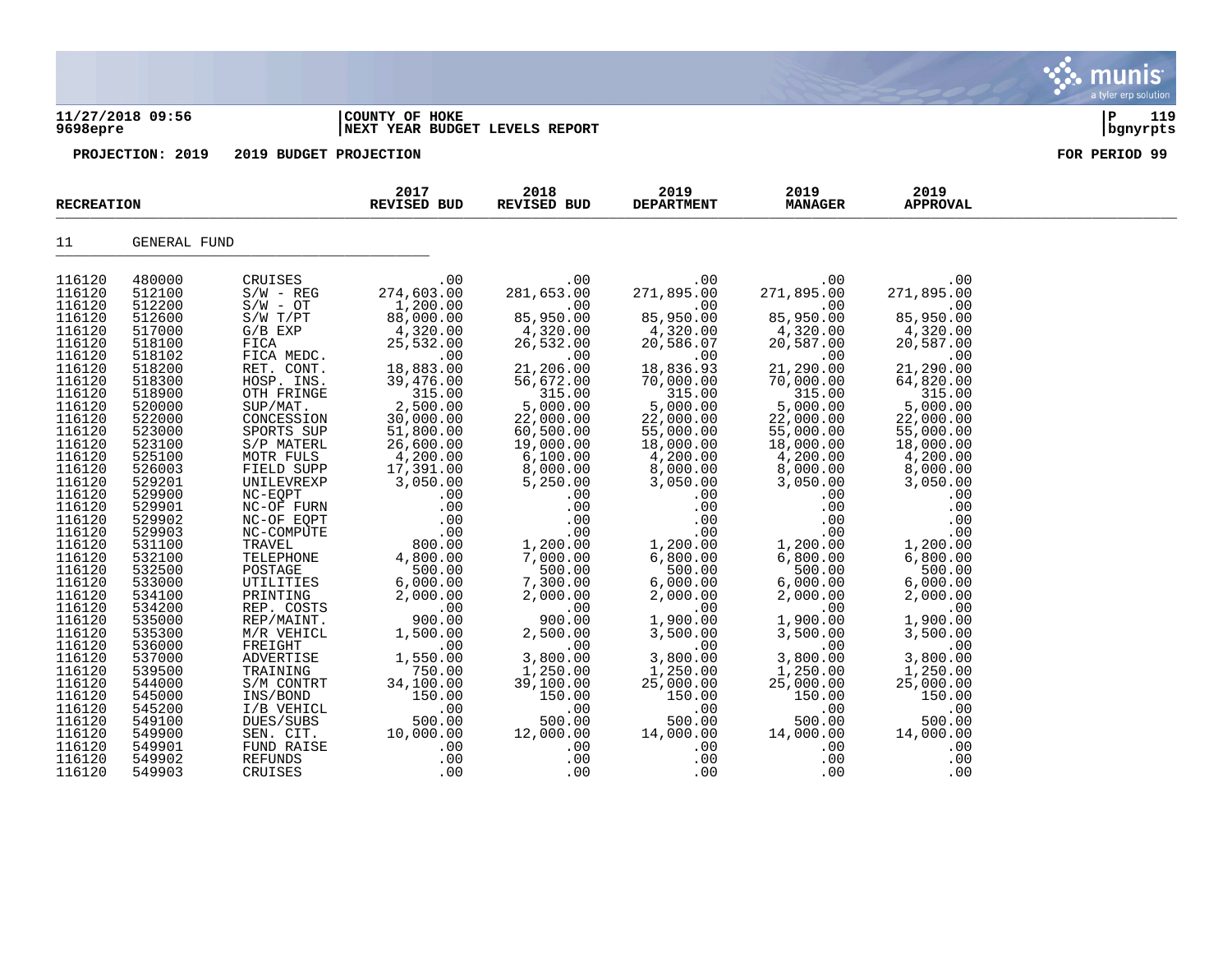# **11/27/2018 09:56 |COUNTY OF HOKE |P 119**

## **9698epre |NEXT YEAR BUDGET LEVELS REPORT |bgnyrpts**

| <b>RECREATION</b> |              |              | 2017<br>REVISED BUD | 2018<br>REVISED BUD | 2019<br><b>DEPARTMENT</b> | 2019<br><b>MANAGER</b> | 2019<br><b>APPROVAL</b> |  |
|-------------------|--------------|--------------|---------------------|---------------------|---------------------------|------------------------|-------------------------|--|
| 11                | GENERAL FUND |              |                     |                     |                           |                        |                         |  |
| 116120            | 480000       | CRUISES      | .00                 | .00                 | .00                       | .00                    | .00                     |  |
| 116120            | 512100       | $S/W - REG$  | 274,603.00          | 281,653.00          | 271,895.00                | 271,895.00             | 271,895.00              |  |
| 116120            | 512200       | $S/W - OT$   | 1,200.00            | .00                 | .00                       | .00                    | .00                     |  |
| 116120            | 512600       | $S/W$ $T/PT$ | 88,000.00           | 85,950.00           | 85,950.00                 | 85,950.00              | 85,950.00               |  |
| 116120            | 517000       | $G/B$ $EXP$  | 4,320.00            | 4,320.00            | 4,320.00                  | 4,320.00               | 4,320.00                |  |
| 116120            | 518100       | FICA         | 25,532.00           | 26,532.00           | 20,586.07                 | 20,587.00              | 20,587.00               |  |
| 116120            | 518102       | FICA MEDC.   | .00                 | .00                 | .00                       | .00                    | .00                     |  |
| 116120            | 518200       | RET. CONT.   | 18,883.00           | 21,206.00           | 18,836.93                 | 21,290.00              | 21,290.00               |  |
| 116120            | 518300       | HOSP. INS.   | 39,476.00           | 56,672.00           | 70,000.00                 | 70,000.00              | 64,820.00               |  |
| 116120            | 518900       | OTH FRINGE   | 315.00              | 315.00              | 315.00                    |                        | 315.00                  |  |
| 116120            | 520000       | SUP/MAT.     | 2,500.00            | 5,000.00            | 5,000.00                  | $315.00$<br>5,000.00   | 5,000.00                |  |
| 116120            | 522000       | CONCESSION   | 30,000.00           | 22,000.00           | 22,000.00                 | 22,000.00              | 22,000.00               |  |
| 116120            | 523000       | SPORTS SUP   | 51,800.00           | 60,500.00           | 55,000.00                 | 55,000.00              | 55,000.00               |  |
| 116120            | 523100       | S/P MATERL   | 26,600.00           | 19,000.00           | 18,000.00                 | 18,000.00              | 18,000.00               |  |
| 116120            | 525100       | MOTR FULS    | 4,200.00            | 6,100.00            | 4,200.00                  | 4,200.00               | 4,200.00                |  |
| 116120            | 526003       | FIELD SUPP   | 17,391.00           | 8,000.00            | 8,000.00                  | 8,000.00               | 8,000.00                |  |
| 116120            | 529201       | UNILEVREXP   | 3,050.00            | 5,250.00            | 3,050.00                  | 3,050.00               | 3,050.00                |  |
| 116120            | 529900       | NC-EQPT      | .00                 | .00                 | .00                       | .00                    | .00                     |  |
| 116120            | 529901       | NC-OF FURN   | .00                 | .00                 | .00                       | .00                    | .00                     |  |
| 116120            | 529902       | NC-OF EQPT   | .00                 | .00                 | .00                       | .00                    | .00                     |  |
| 116120            | 529903       | NC-COMPUTE   | .00                 | .00                 | .00                       | .00                    | .00                     |  |
| 116120            | 531100       | TRAVEL       | 800.00              | 1,200.00            | 1,200.00                  | 1,200.00               | 1,200.00                |  |
| 116120            | 532100       | TELEPHONE    | 4,800.00            | 7,000.00            | 6,800.00                  | 6,800.00               | 6,800.00                |  |
| 116120            | 532500       | POSTAGE      | 500.00              | 500.00              | 500.00                    | 500.00                 | 500.00                  |  |
| 116120            | 533000       | UTILITIES    | 6,000.00            | 7,300.00            | 6,000.00                  | 6,000.00               | 6,000.00                |  |
| 116120            | 534100       | PRINTING     | 2,000.00            | 2,000.00            | 2,000.00                  | 2,000.00               | 2,000.00                |  |
| 116120            | 534200       | REP. COSTS   | .00                 | .00                 | .00                       | .00                    | .00                     |  |
| 116120            | 535000       | REP/MAINT.   | 900.00              | 900.00              | 1,900.00                  | 1,900.00               | 1,900.00                |  |
| 116120            | 535300       | M/R VEHICL   | 1,500.00            | 2,500.00            | 3,500.00                  | 3,500.00               | 3,500.00                |  |
| 116120            | 536000       | FREIGHT      | .00                 | .00                 | .00                       | .00                    | .00                     |  |
| 116120            | 537000       | ADVERTISE    | 1,550.00            | 3,800.00            | 3,800.00                  | 3,800.00               | 3,800.00                |  |
| 116120            | 539500       | TRAINING     | 750.00              | 1,250.00            | 1,250.00                  | 1,250.00               | 1,250.00                |  |
| 116120            | 544000       | S/M CONTRT   | 34,100.00           | 39,100.00           | 25,000.00                 | 25,000.00              | 25,000.00               |  |
| 116120            | 545000       | INS/BOND     | 150.00              | 150.00              | 150.00                    | 150.00                 | 150.00                  |  |
| 116120            | 545200       | I/B VEHICL   | .00                 | .00                 | .00                       | .00                    | .00                     |  |
| 116120            | 549100       | DUES/SUBS    | 500.00              | 500.00              | 500.00                    | 500.00                 | 500.00                  |  |
| 116120            | 549900       | SEN. CIT.    | 10,000.00           | 12,000.00           | 14,000.00                 | 14,000.00              | 14,000.00               |  |
| 116120            | 549901       | FUND RAISE   | .00                 | .00                 | .00                       | .00                    | .00                     |  |
| 116120            | 549902       | REFUNDS      | .00                 | .00                 | .00                       | .00                    | .00                     |  |
| 116120            | 549903       | CRUISES      | .00                 | .00                 | .00                       | .00                    | .00                     |  |

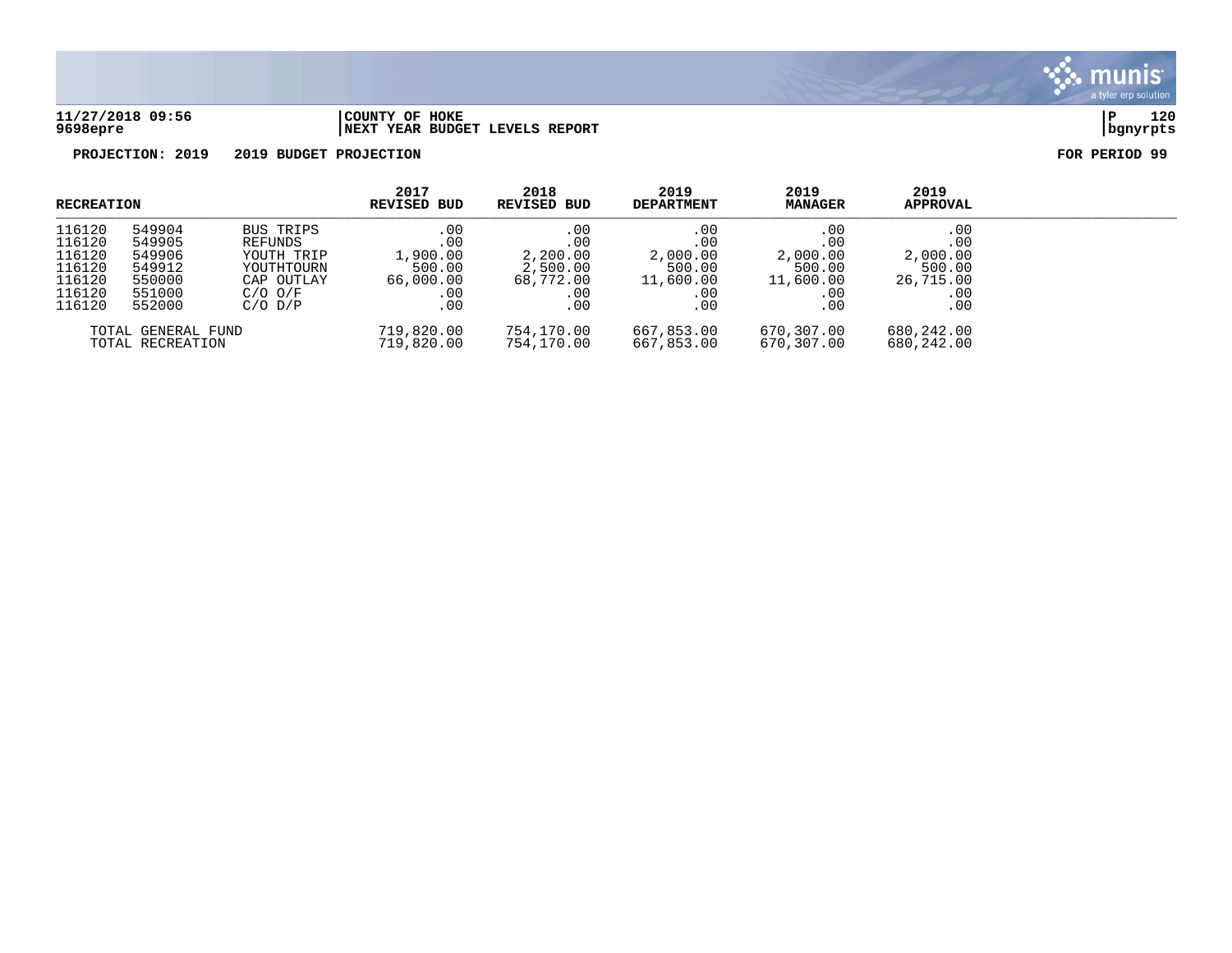

### **11/27/2018 09:56 |COUNTY OF HOKE |P 120 9698epre |NEXT YEAR BUDGET LEVELS REPORT |bgnyrpts**

| <b>RECREATION</b>  |        |             | 2017<br><b>REVISED BUD</b> | 2018<br>REVISED BUD | 2019<br><b>DEPARTMENT</b> | 2019<br><b>MANAGER</b> | 2019<br><b>APPROVAL</b> |  |
|--------------------|--------|-------------|----------------------------|---------------------|---------------------------|------------------------|-------------------------|--|
| 116120             | 549904 | BUS TRIPS   | .00                        | .00                 | .00                       | .00                    | .00                     |  |
| 116120             | 549905 | REFUNDS     | .00                        | $.00 \,$            | .00                       | .00                    | .00                     |  |
| 116120             | 549906 | YOUTH TRIP  | 1,900.00                   | 2,200.00            | 2,000.00                  | 2,000.00               | 2,000.00                |  |
| 116120             | 549912 | YOUTHTOURN  | 500.00                     | 2,500.00            | 500.00                    | 500.00                 | 500.00                  |  |
| 116120             | 550000 | CAP OUTLAY  | 66,000.00                  | 68,772.00           | 11,600.00                 | 11,600.00              | 26,715.00               |  |
| 116120             | 551000 | $C/O$ $O/F$ | .00                        | $.00\,$             | .00                       | .00                    | .00                     |  |
| 116120             | 552000 | $C/O$ $D/P$ | .00                        | .00                 | .00                       | .00                    | .00                     |  |
| TOTAL GENERAL FUND |        | 719,820.00  | 754,170.00                 | 667,853.00          | 670,307.00                | 680,242.00             |                         |  |
| TOTAL RECREATION   |        | 719,820.00  | 754,170.00                 | 667,853.00          | 670,307.00                | 680,242.00             |                         |  |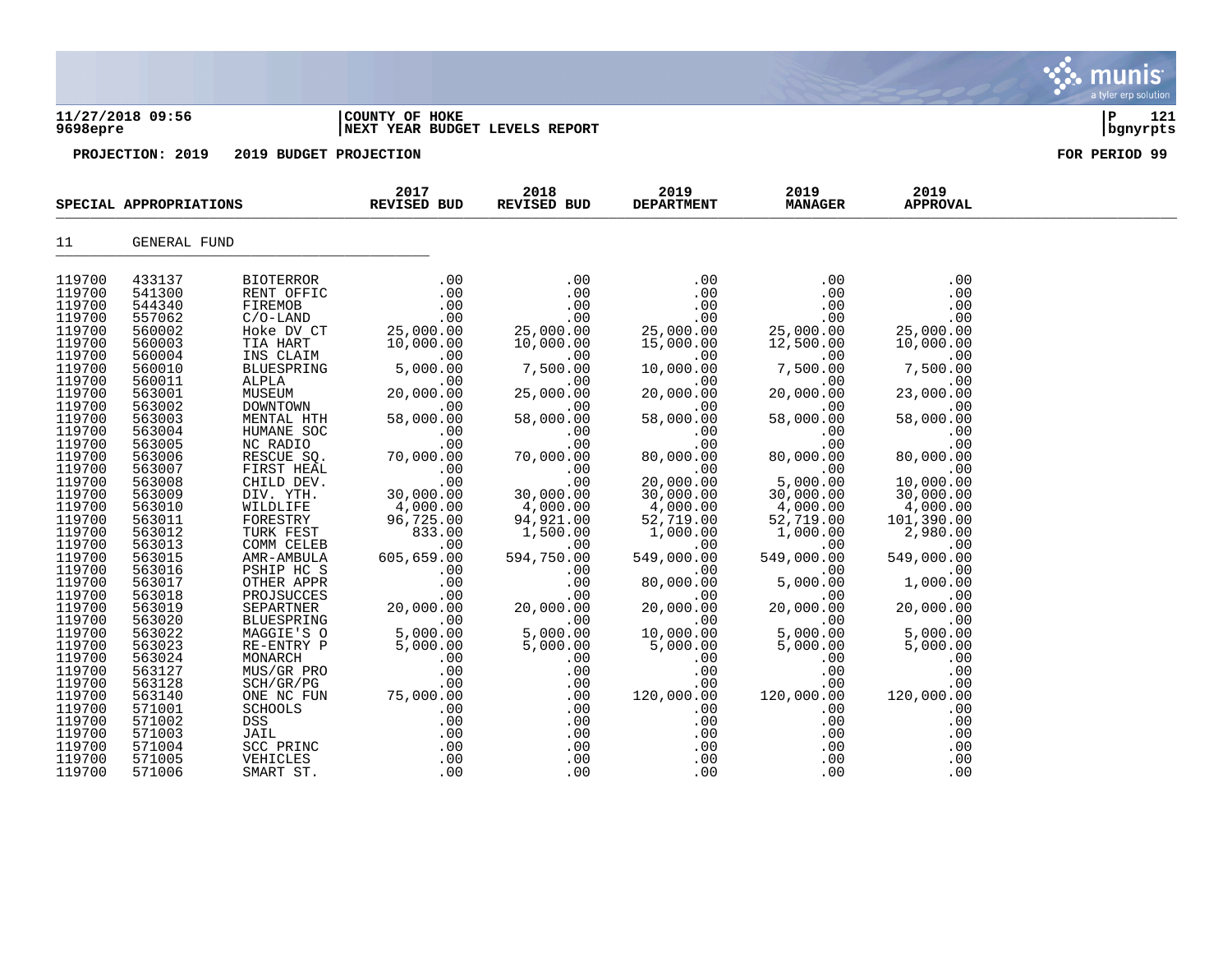| 11/27/2018 09:56<br>9698epre                                                                                                                                                                                                                                                                                                                               |                                                                                                                                                                                                                                                                                                                                                            | COUNTY OF HOKE<br>NEXT YEAR BUDGET LEVELS REPORT                                                                                                                                                                                                                                                                                                                                                                                                                                   | 121<br>P<br>  bgnyrpts                                                                                                                                                                                                                                                                                                                |                                                                                                                                                                                                                                                                                                                                   |                                                                                                                                                                                                                                                                                                                                                        |                                                                                                                                                                                                                                                                                                                                                    |                                                                                                                                                                                                                                                                                                                                                      |               |
|------------------------------------------------------------------------------------------------------------------------------------------------------------------------------------------------------------------------------------------------------------------------------------------------------------------------------------------------------------|------------------------------------------------------------------------------------------------------------------------------------------------------------------------------------------------------------------------------------------------------------------------------------------------------------------------------------------------------------|------------------------------------------------------------------------------------------------------------------------------------------------------------------------------------------------------------------------------------------------------------------------------------------------------------------------------------------------------------------------------------------------------------------------------------------------------------------------------------|---------------------------------------------------------------------------------------------------------------------------------------------------------------------------------------------------------------------------------------------------------------------------------------------------------------------------------------|-----------------------------------------------------------------------------------------------------------------------------------------------------------------------------------------------------------------------------------------------------------------------------------------------------------------------------------|--------------------------------------------------------------------------------------------------------------------------------------------------------------------------------------------------------------------------------------------------------------------------------------------------------------------------------------------------------|----------------------------------------------------------------------------------------------------------------------------------------------------------------------------------------------------------------------------------------------------------------------------------------------------------------------------------------------------|------------------------------------------------------------------------------------------------------------------------------------------------------------------------------------------------------------------------------------------------------------------------------------------------------------------------------------------------------|---------------|
|                                                                                                                                                                                                                                                                                                                                                            | PROJECTION: 2019<br>2019 BUDGET PROJECTION<br>SPECIAL APPROPRIATIONS                                                                                                                                                                                                                                                                                       |                                                                                                                                                                                                                                                                                                                                                                                                                                                                                    |                                                                                                                                                                                                                                                                                                                                       |                                                                                                                                                                                                                                                                                                                                   |                                                                                                                                                                                                                                                                                                                                                        |                                                                                                                                                                                                                                                                                                                                                    |                                                                                                                                                                                                                                                                                                                                                      | FOR PERIOD 99 |
|                                                                                                                                                                                                                                                                                                                                                            |                                                                                                                                                                                                                                                                                                                                                            |                                                                                                                                                                                                                                                                                                                                                                                                                                                                                    | 2017<br><b>REVISED BUD</b>                                                                                                                                                                                                                                                                                                            | 2018<br><b>REVISED BUD</b>                                                                                                                                                                                                                                                                                                        | 2019<br><b>DEPARTMENT</b>                                                                                                                                                                                                                                                                                                                              | 2019<br><b>MANAGER</b>                                                                                                                                                                                                                                                                                                                             | 2019<br><b>APPROVAL</b>                                                                                                                                                                                                                                                                                                                              |               |
| 11                                                                                                                                                                                                                                                                                                                                                         | <b>GENERAL FUND</b>                                                                                                                                                                                                                                                                                                                                        |                                                                                                                                                                                                                                                                                                                                                                                                                                                                                    |                                                                                                                                                                                                                                                                                                                                       |                                                                                                                                                                                                                                                                                                                                   |                                                                                                                                                                                                                                                                                                                                                        |                                                                                                                                                                                                                                                                                                                                                    |                                                                                                                                                                                                                                                                                                                                                      |               |
| 119700<br>119700<br>119700<br>119700<br>119700<br>119700<br>119700<br>119700<br>119700<br>119700<br>119700<br>119700<br>119700<br>119700<br>119700<br>119700<br>119700<br>119700<br>119700<br>119700<br>119700<br>119700<br>119700<br>119700<br>119700<br>119700<br>119700<br>119700<br>119700<br>119700<br>119700<br>119700<br>119700<br>119700<br>119700 | 433137<br>541300<br>544340<br>557062<br>560002<br>560003<br>560004<br>560010<br>560011<br>563001<br>563002<br>563003<br>563004<br>563005<br>563006<br>563007<br>563008<br>563009<br>563010<br>563011<br>563012<br>563013<br>563015<br>563016<br>563017<br>563018<br>563019<br>563020<br>563022<br>563023<br>563024<br>563127<br>563128<br>563140<br>571001 | <b>BIOTERROR</b><br>RENT OFFIC<br>FIREMOB<br>$C/O-LAND$<br>Hoke DV CT<br>TIA HART<br>INS CLAIM<br>BLUESPRING<br>ALPLA<br>MUSEUM<br>DOWNTOWN<br>MENTAL HTH<br>HUMANE SOC<br>NC RADIO<br>RESCUE SQ.<br>FIRST HEAL<br>CHILD DEV.<br>DIV. YTH.<br>WILDLIFE<br>FORESTRY<br>TURK FEST<br>COMM CELEB<br>AMR-AMBULA<br>PSHIP HC S<br>OTHER APPR<br>PROJSUCCES<br>SEPARTNER<br>BLUESPRING<br>MAGGIE'S O<br>RE-ENTRY P<br>MONARCH<br>MUS/GR PRO<br>SCH/GR/PG<br>ONE NC FUN<br><b>SCHOOLS</b> | .00<br>.00<br>.00<br>.00<br>25,000.00<br>10,000.00<br>.00<br>5,000.00<br>.00<br>20,000.00<br>.00<br>58,000.00<br>.00<br>.00<br>70,000.00<br>.00<br>.00<br>30,000.00<br>4,000.00<br>96,725.00<br>833.00<br>.00<br>605,659.00<br>.00<br>.00<br>.00<br>20,000.00<br>.00<br>5,000.00<br>5,000.00<br>.00<br>.00<br>.00<br>75,000.00<br>.00 | .00<br>.00<br>.00<br>.00<br>25,000.00<br>10,000.00<br>.00<br>7,500.00<br>.00<br>25,000.00<br>.00<br>58,000.00<br>.00<br>.00<br>70,000.00<br>.00<br>.00<br>30,000.00<br>4,000.00<br>94,921.00<br>1,500.00<br>.00<br>594,750.00<br>.00<br>.00<br>.00<br>20,000.00<br>.00<br>5,000.00<br>5,000.00<br>.00<br>.00<br>.00<br>.00<br>.00 | .00<br>.00<br>.00<br>.00<br>25,000.00<br>15,000.00<br>.00<br>10,000.00<br>.00<br>20,000.00<br>.00<br>58,000.00<br>.00<br>.00<br>80,000.00<br>.00<br>20,000.00<br>30,000.00<br>4,000.00<br>52,719.00<br>1,000.00<br>.00<br>549,000.00<br>.00<br>80,000.00<br>.00<br>20,000.00<br>.00<br>10,000.00<br>5,000.00<br>.00<br>.00<br>.00<br>120,000.00<br>.00 | .00<br>.00<br>.00<br>.00<br>25,000.00<br>12,500.00<br>.00<br>7,500.00<br>.00<br>20,000.00<br>.00<br>58,000.00<br>.00<br>.00<br>80,000.00<br>.00<br>5,000.00<br>30,000.00<br>4,000.00<br>52,719.00<br>1,000.00<br>.00<br>549,000.00<br>.00<br>5,000.00<br>.00<br>20,000.00<br>.00<br>5,000.00<br>5,000.00<br>.00<br>.00<br>.00<br>120,000.00<br>.00 | .00<br>.00<br>.00<br>.00<br>25,000.00<br>10,000.00<br>.00<br>7,500.00<br>.00<br>23,000.00<br>.00<br>58,000.00<br>.00<br>.00<br>80,000.00<br>.00<br>10,000.00<br>30,000.00<br>4,000.00<br>101,390.00<br>2,980.00<br>.00<br>549,000.00<br>.00<br>1,000.00<br>.00<br>20,000.00<br>.00<br>5,000.00<br>5,000.00<br>.00<br>.00<br>.00<br>120,000.00<br>.00 |               |
| 119700<br>119700                                                                                                                                                                                                                                                                                                                                           | 571002<br>571003                                                                                                                                                                                                                                                                                                                                           | DSS.<br>JAIL                                                                                                                                                                                                                                                                                                                                                                                                                                                                       | .00<br>.00                                                                                                                                                                                                                                                                                                                            | .00<br>.00                                                                                                                                                                                                                                                                                                                        | .00<br>.00                                                                                                                                                                                                                                                                                                                                             | .00<br>.00                                                                                                                                                                                                                                                                                                                                         | .00<br>.00                                                                                                                                                                                                                                                                                                                                           |               |

S. munis

a tyler erp solution

119700 571004 SCC PRINC .00 .00 .00 .00 .00 119700 571005 VEHICLES .00 .00 .00 .00 .00 119700 571006 SMART ST. .00 .00 .00 .00 .00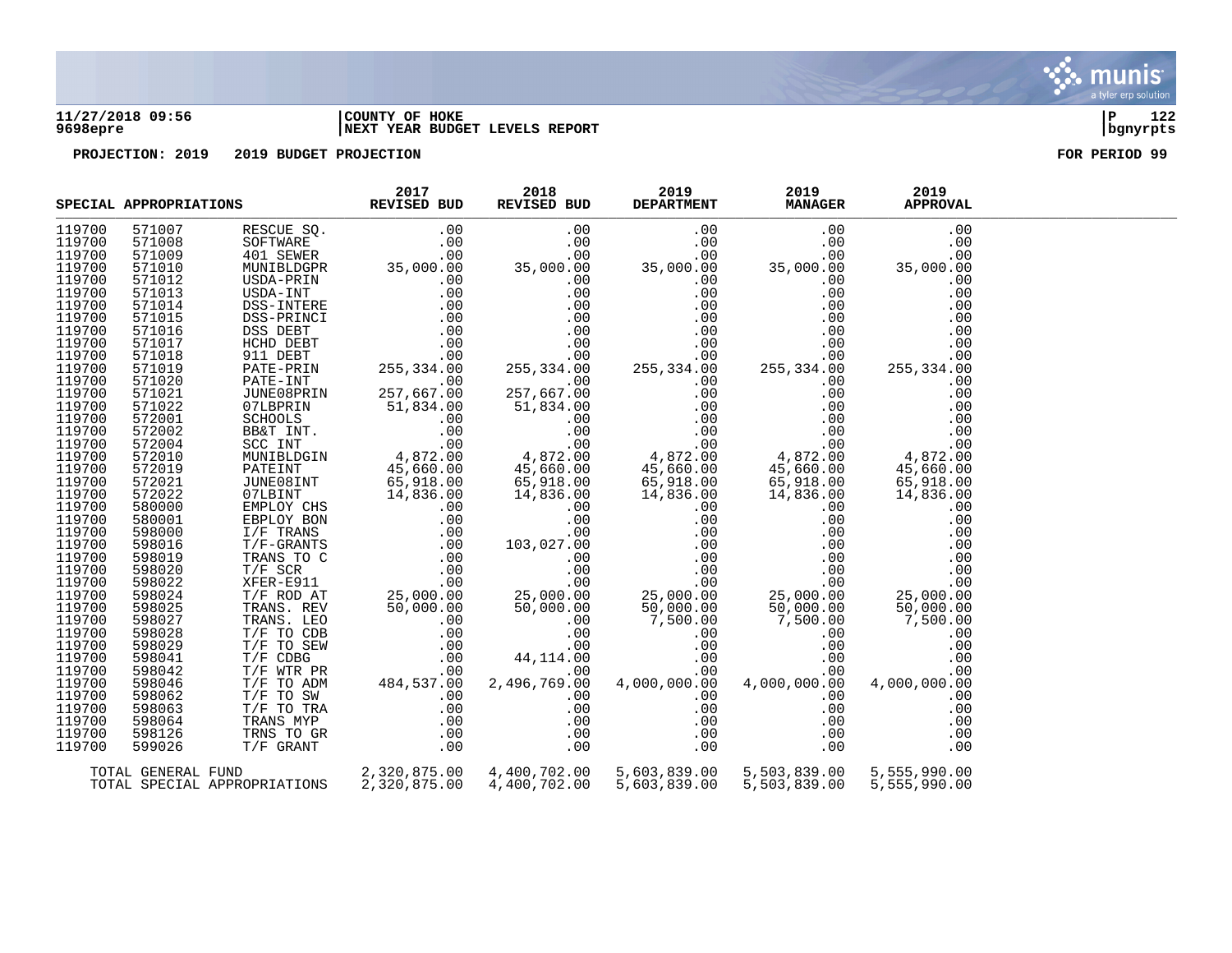### **11/27/2018 09:56 |COUNTY OF HOKE |P 122 9698epre |NEXT YEAR BUDGET LEVELS REPORT |bgnyrpts**

|        | SPECIAL APPROPRIATIONS |                                                                                                         | 2017<br><b>REVISED BUD</b>    |                           | 2019<br>2018<br>REVISED BUD<br><b>DEPARTMENT</b> |              | 2019<br><b>APPROVAL</b> |  |
|--------|------------------------|---------------------------------------------------------------------------------------------------------|-------------------------------|---------------------------|--------------------------------------------------|--------------|-------------------------|--|
| 119700 | 571007                 | RESCUE SQ.                                                                                              | .00                           | .00                       | .00                                              | .00          | .00                     |  |
| 119700 | 571008                 | SOFTWARE                                                                                                | .00                           | .00                       | .00                                              | .00          | .00                     |  |
| 119700 | 571009                 | 401 SEWER                                                                                               | .00                           | .00                       | .00                                              | .00          | .00                     |  |
| 119700 | 571010                 | MUNIBLDGPR                                                                                              | 35,000.00                     | 35,000.00                 | 35,000.00                                        | 35,000.00    | 35,000.00               |  |
| 119700 | 571012                 | USDA-PRIN                                                                                               |                               | .00                       | .00                                              | .00          | .00                     |  |
| 119700 | 571013                 | USDA-INT                                                                                                |                               | .00                       | .00                                              | .00          | .00                     |  |
| 119700 | 571014                 | DSS-INTERE                                                                                              |                               | .00                       | .00                                              | .00          | .00                     |  |
| 119700 | 571015                 | DSS-PRINCI                                                                                              |                               | .00                       | .00                                              | .00          | .00                     |  |
| 119700 | 571016                 | DSS DEBT                                                                                                |                               | .00                       | .00                                              | .00          | .00                     |  |
| 119700 | 571017                 | HCHD DEBT                                                                                               |                               | .00                       | .00                                              | .00          | .00                     |  |
| 119700 | 571018                 | 911 DEBT                                                                                                |                               | .00                       | .00                                              | .00          | .00                     |  |
| 119700 | 571019                 | PATE-PRIN                                                                                               |                               | 255,334.00                | 255, 334.00                                      | 255,334.00   | 255,334.00              |  |
| 119700 | 571020                 | PATE-INT                                                                                                | .00                           | .00                       | .00                                              | .00          | .00                     |  |
| 119700 | 571021                 | JUNE08PRIN                                                                                              | 257,667.00                    | 257,667.00                | .00                                              | .00          | .00                     |  |
| 119700 | 571022                 | 07LBPRIN                                                                                                | 51,834.00                     | 51,834.00                 | .00                                              | .00          | .00                     |  |
| 119700 | 572001                 | SCHOOLS                                                                                                 | .00                           | .00                       | .00                                              | .00          | .00                     |  |
| 119700 | 572002                 | BB&T INT.                                                                                               | .00                           | .00                       | .00                                              | .00          | .00                     |  |
| 119700 | 572004                 | SCC INT                                                                                                 | .00                           | .00                       | .00                                              | .00          | .00                     |  |
| 119700 | 572010                 | MUNIBLDGIN                                                                                              | 4,872.00<br>45,660.00         | $4,872.00$<br>$45.660.00$ | 4,872.00                                         | 4,872.00     | 4,872.00                |  |
| 119700 | 572019                 | PATEINT                                                                                                 |                               | 45,660.00                 | 45,660.00                                        | 45,660.00    | 45,660.00               |  |
| 119700 | 572021                 | JUNE08INT                                                                                               | 65,918.00                     | 65,918.00                 | 65,918.00                                        | 65,918.00    | 65,918.00               |  |
| 119700 | 572022                 | 07LBINT                                                                                                 | 14,836.00                     | 14,836.00                 | 14,836.00                                        | 14,836.00    | 14,836.00               |  |
| 119700 | 580000                 | EMPLOY CHS                                                                                              |                               | .00                       | .00                                              | .00          | .00                     |  |
| 119700 | 580001                 | EBPLOY BON                                                                                              |                               | .00                       | .00                                              | .00          | .00                     |  |
| 119700 | 598000                 | $I/F$ TRANS                                                                                             |                               | .00                       | .00                                              | .00          | .00                     |  |
| 119700 | 598016                 | $T/F-GRANTS$                                                                                            |                               | 103,027.00                | .00                                              | .00          | .00                     |  |
| 119700 | 598019                 | TRANS TO C                                                                                              |                               | .00                       | .00                                              | .00          | .00                     |  |
| 119700 | 598020                 | $T/F$ SCR                                                                                               |                               | .00                       | .00                                              | .00          | .00                     |  |
| 119700 | 598022                 | XFER-E911                                                                                               |                               | .00                       | .00                                              | .00          | .00                     |  |
| 119700 | 598024                 | T/F ROD AT                                                                                              |                               | 25,000.00<br>50,000.00    | 25,000.00                                        | 25,000.00    | 25,000.00               |  |
| 119700 | 598025                 | TRANS. REV                                                                                              |                               | 50,000.00                 | 50,000.00                                        | 50,000.00    | 50,000.00               |  |
| 119700 | 598027                 | TRANS. LEO                                                                                              | 25,000.00<br>50,000.00<br>00. | .00                       | 7,500.00                                         | 7,500.00     | 7,500.00                |  |
| 119700 | 598028                 | T/F TO CDB                                                                                              | .00                           | .00                       | .00                                              | .00          | .00                     |  |
| 119700 | 598029                 | T/F TO CDB<br>T/F TO SEW<br>T/F CDBG<br>T/F TO ADM<br>T/F TO SW<br>T/F TO TRA<br>TRANS MYP<br>TRANS MYP | .00                           | .00                       | .00                                              | .00          | .00                     |  |
| 119700 | 598041                 |                                                                                                         | .00                           | 44,114.00                 | .00                                              | .00          | .00                     |  |
| 119700 | 598042                 |                                                                                                         | .00                           | .00                       | .00                                              | .00          | .00                     |  |
| 119700 | 598046                 |                                                                                                         | 484,537.00                    | 2,496,769.00              | 4,000,000.00                                     | 4,000,000.00 | 4,000,000.00            |  |
| 119700 | 598062                 |                                                                                                         | .00                           | .00                       | .00                                              | .00          | .00                     |  |
| 119700 | 598063                 |                                                                                                         | .00                           | .00                       | .00                                              | .00          | .00                     |  |
| 119700 | 598064                 |                                                                                                         | .00                           | .00                       | .00                                              | .00          | .00                     |  |
| 119700 | 598126                 | TRNS TO GR                                                                                              | .00                           | .00                       | .00                                              | .00          | .00                     |  |
| 119700 | 599026                 | T/F GRANT                                                                                               | .00                           | .00                       | .00                                              | .00          | .00                     |  |
|        | TOTAL GENERAL FUND     |                                                                                                         | 2,320,875.00                  | 4,400,702.00              | 5,603,839.00                                     | 5,503,839.00 | 5,555,990.00            |  |
|        |                        | TOTAL SPECIAL APPROPRIATIONS                                                                            | 2,320,875.00                  | 4,400,702.00              | 5,603,839.00                                     | 5,503,839.00 | 5,555,990.00            |  |
|        |                        |                                                                                                         |                               |                           |                                                  |              |                         |  |

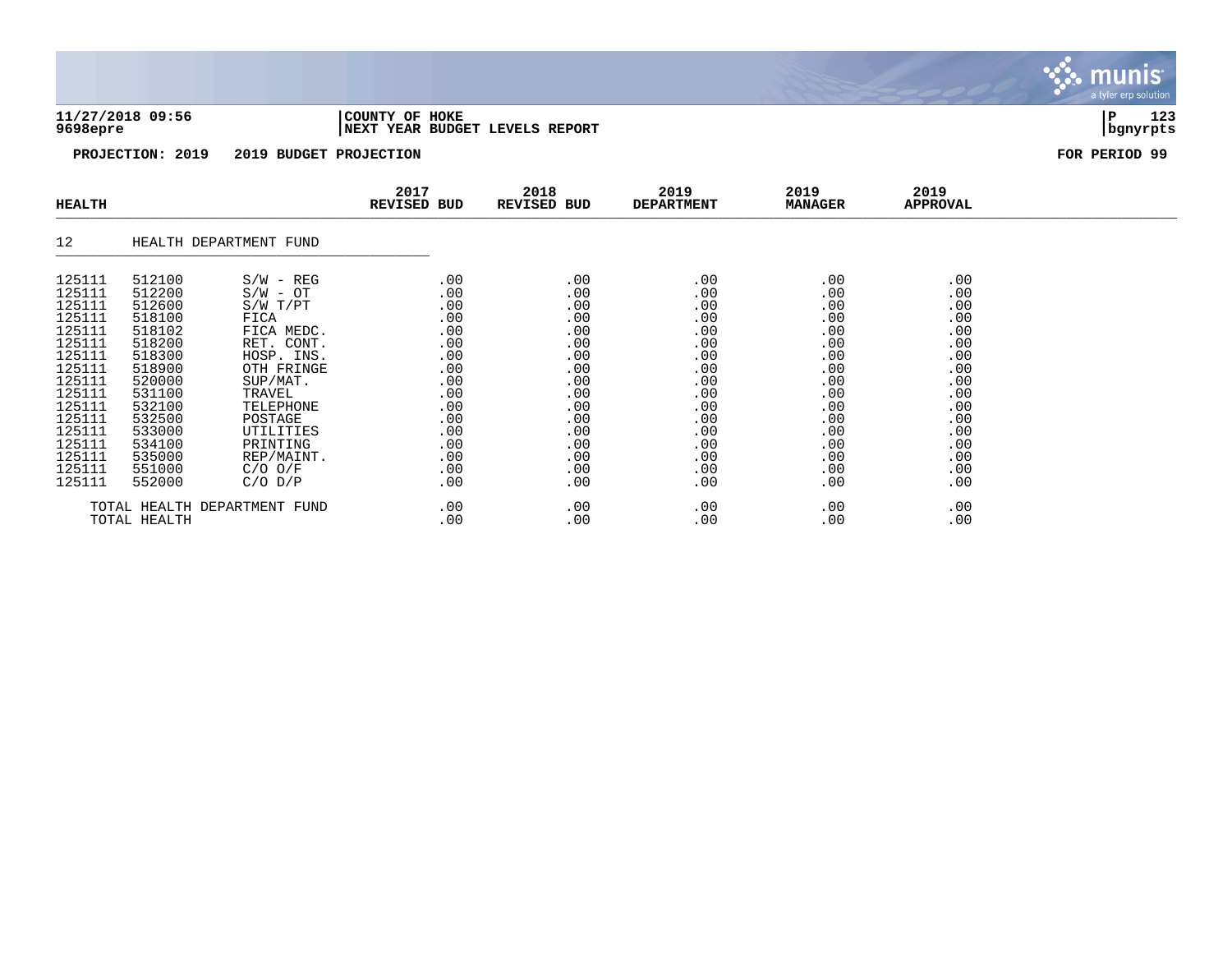### **11/27/2018 09:56 |COUNTY OF HOKE |P 123 9698epre |NEXT YEAR BUDGET LEVELS REPORT |bgnyrpts**

**PROJECTION: 2019 2019 BUDGET PROJECTION FOR PERIOD 99**

| <b>HEALTH</b>                |        |                        | 2017<br><b>REVISED BUD</b> | 2018<br>REVISED BUD | 2019<br><b>DEPARTMENT</b> | 2019<br><b>MANAGER</b> | 2019<br>APPROVAL |  |
|------------------------------|--------|------------------------|----------------------------|---------------------|---------------------------|------------------------|------------------|--|
| 12                           |        | HEALTH DEPARTMENT FUND |                            |                     |                           |                        |                  |  |
| 125111                       | 512100 | $S/W - REG$            | .00                        | .00                 | .00                       | .00                    | .00              |  |
| 125111                       | 512200 | $S/W - OT$             | .00                        | .00                 | .00                       | .00                    | .00              |  |
| 125111                       | 512600 | S/W T/PT               | .00                        | .00                 | .00                       | .00                    | .00              |  |
| 125111                       | 518100 | FICA                   | .00                        | .00                 | .00                       | .00                    | .00              |  |
| 125111                       | 518102 | FICA MEDC.             | .00                        | .00                 | .00                       | .00                    | .00              |  |
| 125111                       | 518200 | RET. CONT.             | .00                        | .00                 | .00                       | .00                    | .00              |  |
| 125111                       | 518300 | HOSP. INS.             | .00                        | .00                 | .00                       | .00                    | .00              |  |
| 125111                       | 518900 | OTH FRINGE             | .00                        | .00                 | .00                       | .00                    | .00              |  |
| 125111                       | 520000 | SUP/MAT.               | .00                        | .00                 | .00                       | .00                    | .00              |  |
| 125111                       | 531100 | TRAVEL                 | .00                        | .00                 | .00                       | .00                    | .00              |  |
| 125111                       | 532100 | TELEPHONE              | .00                        | .00                 | .00                       | .00                    | .00              |  |
| 125111                       | 532500 | POSTAGE                | .00                        | .00                 | .00                       | .00                    | .00              |  |
| 125111                       | 533000 | UTILITIES              | .00                        | .00                 | .00                       | .00                    | .00              |  |
| 125111                       | 534100 | PRINTING               | .00                        | .00                 | .00                       | .00                    | .00              |  |
| 125111                       | 535000 | REP/MAINT.             | .00                        | .00                 | .00                       | .00                    | .00              |  |
| 125111                       | 551000 | $C/O$ $O/F$            | .00                        | .00                 | .00                       | .00                    | .00              |  |
| 125111                       | 552000 | $C/O$ $D/P$            | .00                        | .00                 | .00                       | .00                    | .00              |  |
| TOTAL HEALTH DEPARTMENT FUND |        |                        | .00                        | .00                 | .00                       | .00                    | .00              |  |
| TOTAL HEALTH                 |        |                        | .00                        | .00                 | .00                       | .00                    | .00              |  |

munis a tyler erp solution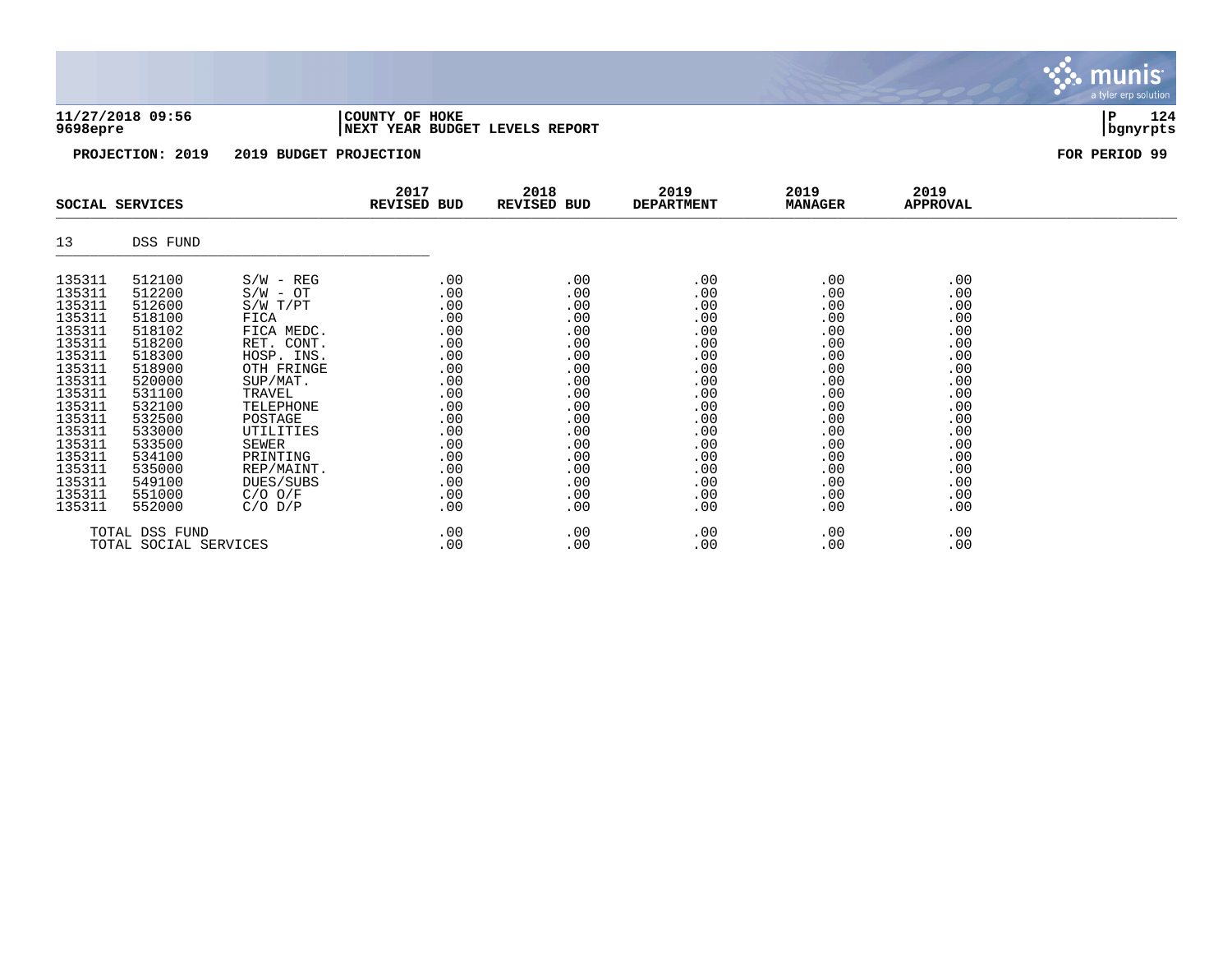### **11/27/2018 09:56 |COUNTY OF HOKE |P 124 9698epre |NEXT YEAR BUDGET LEVELS REPORT |bgnyrpts**

a tyler erp solution

munis

|                                                                                                                                                                                  | SOCIAL SERVICES                                                                                                                                                                  |                                                                                                                                                                                                                                     | 2017<br>REVISED BUD                                                                                                        | 2018<br>REVISED BUD                                                                                                        | 2019<br><b>DEPARTMENT</b>                                                                                                                                | 2019<br><b>MANAGER</b>                                                                                                     | 2019<br>APPROVAL                                                                                                           |  |
|----------------------------------------------------------------------------------------------------------------------------------------------------------------------------------|----------------------------------------------------------------------------------------------------------------------------------------------------------------------------------|-------------------------------------------------------------------------------------------------------------------------------------------------------------------------------------------------------------------------------------|----------------------------------------------------------------------------------------------------------------------------|----------------------------------------------------------------------------------------------------------------------------|----------------------------------------------------------------------------------------------------------------------------------------------------------|----------------------------------------------------------------------------------------------------------------------------|----------------------------------------------------------------------------------------------------------------------------|--|
| 13                                                                                                                                                                               | DSS FUND                                                                                                                                                                         |                                                                                                                                                                                                                                     |                                                                                                                            |                                                                                                                            |                                                                                                                                                          |                                                                                                                            |                                                                                                                            |  |
| 135311<br>135311<br>135311<br>135311<br>135311<br>135311<br>135311<br>135311<br>135311<br>135311<br>135311<br>135311<br>135311<br>135311<br>135311<br>135311<br>135311<br>135311 | 512100<br>512200<br>512600<br>518100<br>518102<br>518200<br>518300<br>518900<br>520000<br>531100<br>532100<br>532500<br>533000<br>533500<br>534100<br>535000<br>549100<br>551000 | $S/W - REG$<br>$S/W - OT$<br>$S/W$ $T/PT$<br>FICA<br>FICA MEDC.<br>RET. CONT.<br>HOSP. INS.<br>OTH FRINGE<br>SUP/MAT.<br>TRAVEL<br>TELEPHONE<br>POSTAGE<br>UTILITIES<br>SEWER<br>PRINTING<br>REP/MAINT.<br>DUES/SUBS<br>$C/O$ $O/F$ | .00<br>.00<br>.00<br>.00<br>.00<br>.00<br>.00<br>.00<br>.00<br>.00<br>.00<br>.00<br>.00<br>.00<br>.00<br>.00<br>.00<br>.00 | .00<br>.00<br>.00<br>.00<br>.00<br>.00<br>.00<br>.00<br>.00<br>.00<br>.00<br>.00<br>.00<br>.00<br>.00<br>.00<br>.00<br>.00 | .00<br>.00<br>.00<br>.00<br>.00<br>.00<br>.00<br>.00<br>.00<br>$.00 \,$<br>$.00 \,$<br>.00<br>$.00 \,$<br>.00<br>.00<br>$.00 \,$<br>$.00 \,$<br>$.00 \,$ | .00<br>.00<br>.00<br>.00<br>.00<br>.00<br>.00<br>.00<br>.00<br>.00<br>.00<br>.00<br>.00<br>.00<br>.00<br>.00<br>.00<br>.00 | .00<br>.00<br>.00<br>.00<br>.00<br>.00<br>.00<br>.00<br>.00<br>.00<br>.00<br>.00<br>.00<br>.00<br>.00<br>.00<br>.00<br>.00 |  |
| 135311<br>552000<br>$C/O$ $D/P$<br>TOTAL DSS FUND<br>TOTAL SOCIAL SERVICES                                                                                                       |                                                                                                                                                                                  |                                                                                                                                                                                                                                     | .00<br>$.00 \,$<br>.00                                                                                                     | .00<br>.00<br>.00                                                                                                          | $.00 \ \,$<br>$.00 \ \,$<br>$.00 \,$                                                                                                                     | .00<br>.00<br>.00                                                                                                          | .00<br>.00<br>.00                                                                                                          |  |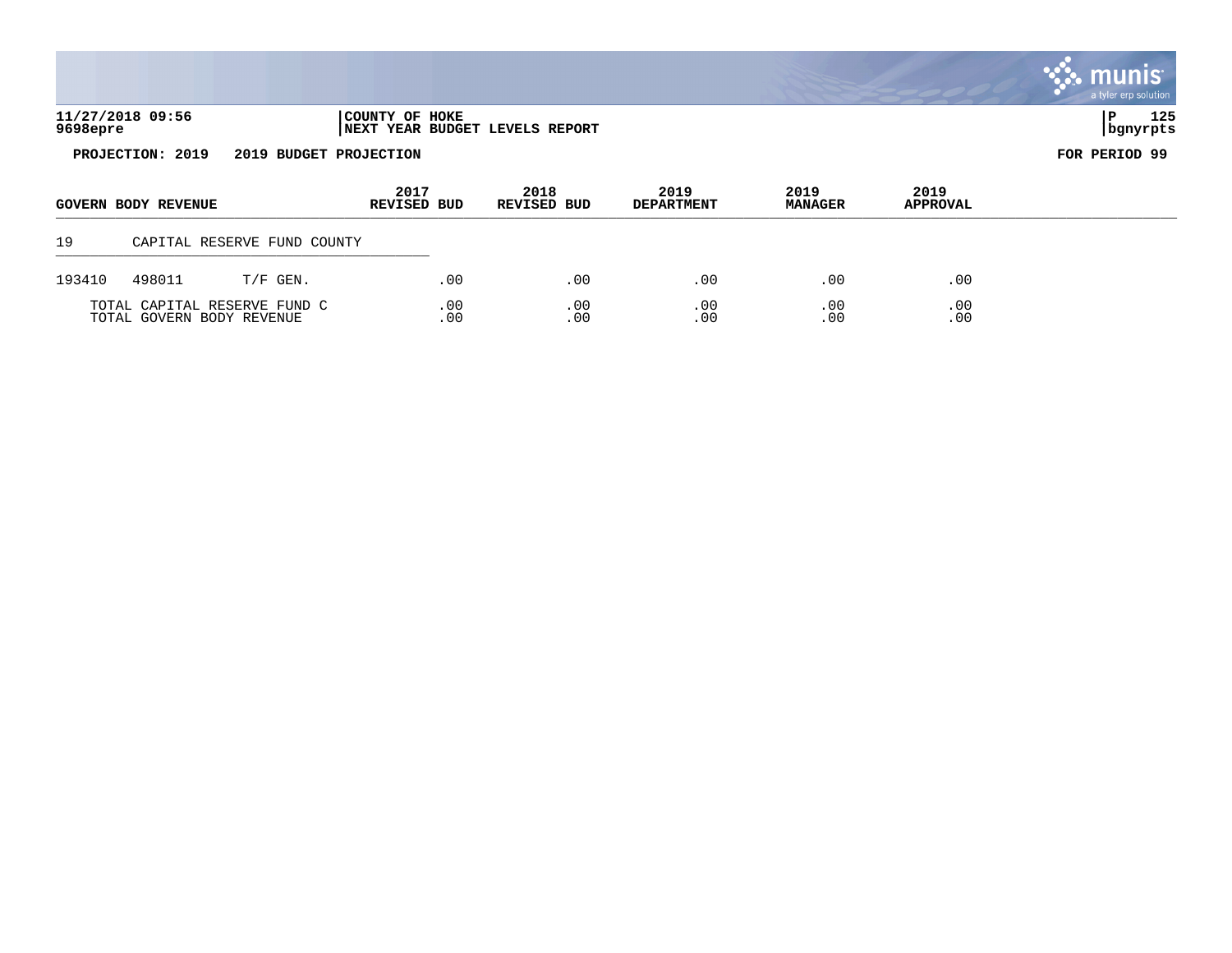|          |                            |                              |                                                         |                            |                           |                        |                  | <b>W. MUNIS</b><br>a tyler erp solution |
|----------|----------------------------|------------------------------|---------------------------------------------------------|----------------------------|---------------------------|------------------------|------------------|-----------------------------------------|
| 9698epre | 11/27/2018 09:56           |                              | COUNTY OF HOKE<br><b>NEXT YEAR BUDGET LEVELS REPORT</b> |                            |                           |                        |                  | 125<br>P<br>bgnyrpts                    |
|          | PROJECTION: 2019           | 2019 BUDGET PROJECTION       |                                                         |                            |                           |                        |                  | FOR PERIOD 99                           |
|          | <b>GOVERN BODY REVENUE</b> |                              | 2017<br><b>REVISED BUD</b>                              | 2018<br><b>REVISED BUD</b> | 2019<br><b>DEPARTMENT</b> | 2019<br><b>MANAGER</b> | 2019<br>APPROVAL |                                         |
| 19       |                            | CAPITAL RESERVE FUND COUNTY  |                                                         |                            |                           |                        |                  |                                         |
| 193410   | 498011                     | $T/F$ GEN.                   | .00                                                     | .00                        | .00                       | .00                    | .00              |                                         |
|          | TOTAL GOVERN BODY REVENUE  | TOTAL CAPITAL RESERVE FUND C | .00<br>.00                                              | .00<br>.00                 | .00<br>.00                | .00<br>.00             | .00<br>.00       |                                         |

 $\mathcal{L}$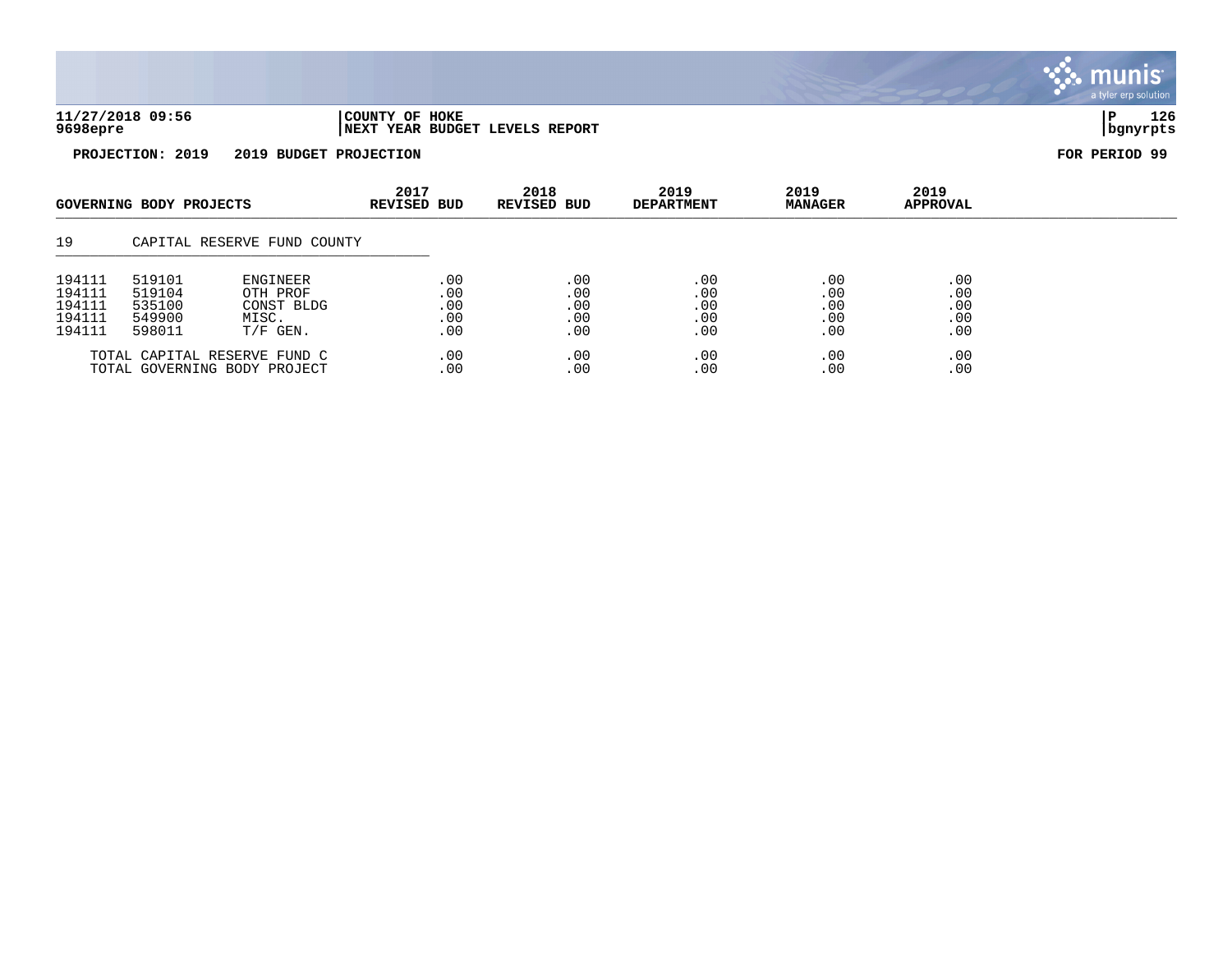

munis a tyler erp solution

| GOVERNING BODY PROJECTS                        |                                                | 2017<br><b>REVISED BUD</b>                                   | 2018<br><b>REVISED BUD</b>      | 2019<br><b>DEPARTMENT</b>            | 2019<br><b>MANAGER</b>          | 2019<br><b>APPROVAL</b>         |                                 |  |
|------------------------------------------------|------------------------------------------------|--------------------------------------------------------------|---------------------------------|--------------------------------------|---------------------------------|---------------------------------|---------------------------------|--|
| 19                                             |                                                | CAPITAL RESERVE FUND COUNTY                                  |                                 |                                      |                                 |                                 |                                 |  |
| 194111<br>194111<br>194111<br>194111<br>194111 | 519101<br>519104<br>535100<br>549900<br>598011 | ENGINEER<br>OTH PROF<br>CONST BLDG<br>MISC.<br>$T/F$ GEN.    | .00<br>.00<br>.00<br>.00<br>.00 | .00<br>.00<br>.00<br>.00<br>$.00 \,$ | .00<br>.00<br>.00<br>.00<br>.00 | .00<br>.00<br>.00<br>.00<br>.00 | .00<br>.00<br>.00<br>.00<br>.00 |  |
|                                                |                                                | TOTAL CAPITAL RESERVE FUND C<br>TOTAL GOVERNING BODY PROJECT | .00<br>.00                      | .00<br>.00                           | .00<br>.00                      | .00<br>.00                      | .00<br>.00                      |  |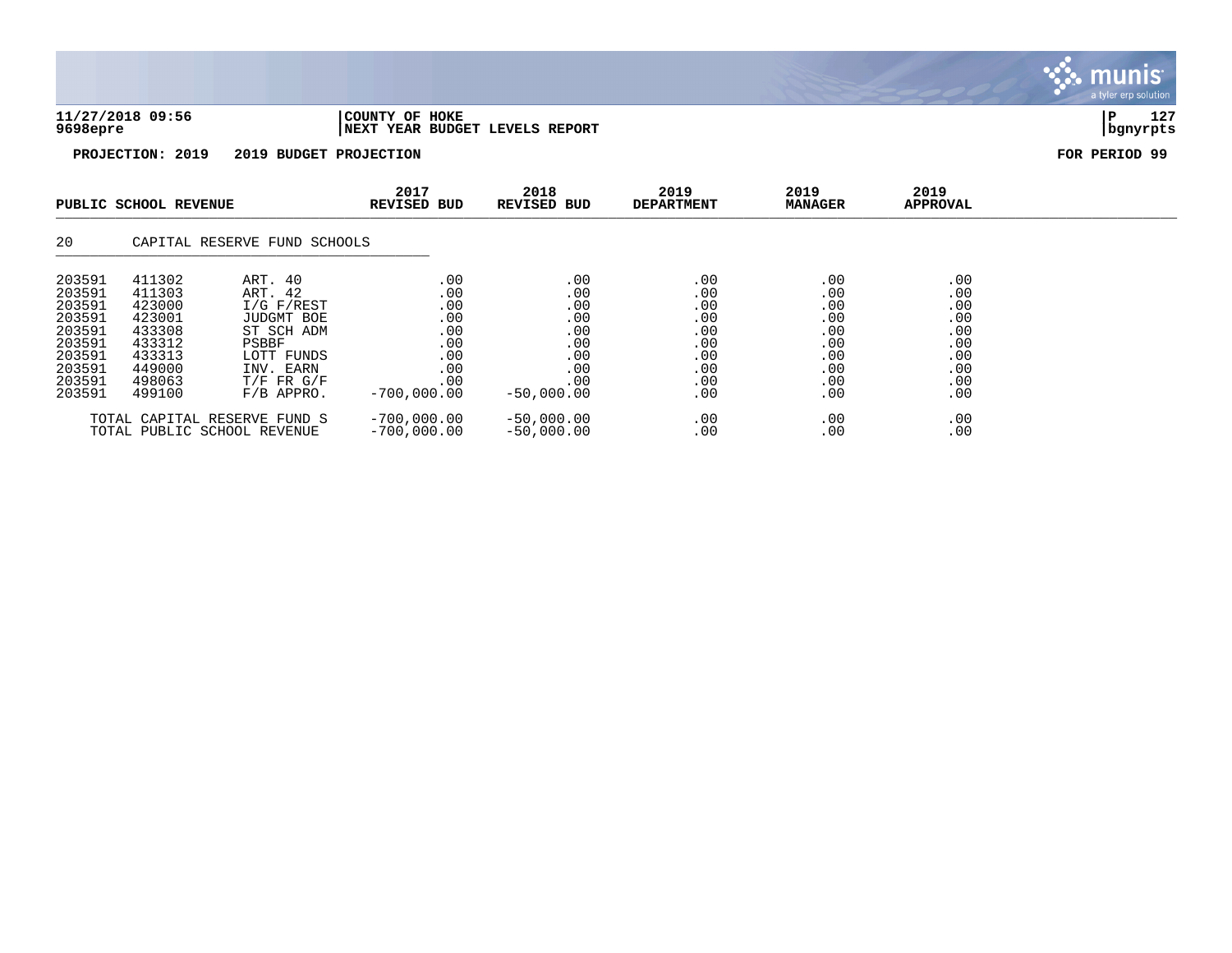| 11/27/2018 09:56 | COUNTY OF HOKE                 |          | 127 |
|------------------|--------------------------------|----------|-----|
| 9698epre         | NEXT YEAR BUDGET LEVELS REPORT | bqnyrpts |     |

| PUBLIC SCHOOL REVENUE                                                                            |                                                                                                  | 2017<br><b>REVISED BUD</b>                                                                                                                | 2018<br>REVISED BUD                                                          | 2019<br><b>DEPARTMENT</b>                                                   | 2019<br><b>MANAGER</b>                                             | 2019<br><b>APPROVAL</b>                                            |                                                                    |  |
|--------------------------------------------------------------------------------------------------|--------------------------------------------------------------------------------------------------|-------------------------------------------------------------------------------------------------------------------------------------------|------------------------------------------------------------------------------|-----------------------------------------------------------------------------|--------------------------------------------------------------------|--------------------------------------------------------------------|--------------------------------------------------------------------|--|
| 20                                                                                               |                                                                                                  | CAPITAL RESERVE FUND SCHOOLS                                                                                                              |                                                                              |                                                                             |                                                                    |                                                                    |                                                                    |  |
| 203591<br>203591<br>203591<br>203591<br>203591<br>203591<br>203591<br>203591<br>203591<br>203591 | 411302<br>411303<br>423000<br>423001<br>433308<br>433312<br>433313<br>449000<br>498063<br>499100 | ART. 40<br>ART. 42<br>I/G F/REST<br><b>JUDGMT BOE</b><br>ST SCH ADM<br>PSBBF<br>LOTT FUNDS<br>INV. EARN<br>$T/F$ FR $G/F$<br>$F/B$ APPRO. | .00<br>.00<br>.00<br>.00<br>.00<br>.00<br>.00<br>.00<br>.00<br>$-700,000.00$ | .00<br>.00<br>.00<br>.00<br>.00<br>.00<br>.00<br>.00<br>.00<br>$-50.000.00$ | .00<br>.00<br>.00<br>.00<br>.00<br>.00<br>.00<br>.00<br>.00<br>.00 | .00<br>.00<br>.00<br>.00<br>.00<br>.00<br>.00<br>.00<br>.00<br>.00 | .00<br>.00<br>.00<br>.00<br>.00<br>.00<br>.00<br>.00<br>.00<br>.00 |  |
|                                                                                                  |                                                                                                  | TOTAL CAPITAL RESERVE FUND S<br>TOTAL PUBLIC SCHOOL REVENUE                                                                               | $-700,000.00$<br>$-700,000.00$                                               | $-50,000.00$<br>$-50,000.00$                                                | .00<br>.00                                                         | .00<br>.00                                                         | .00<br>.00                                                         |  |

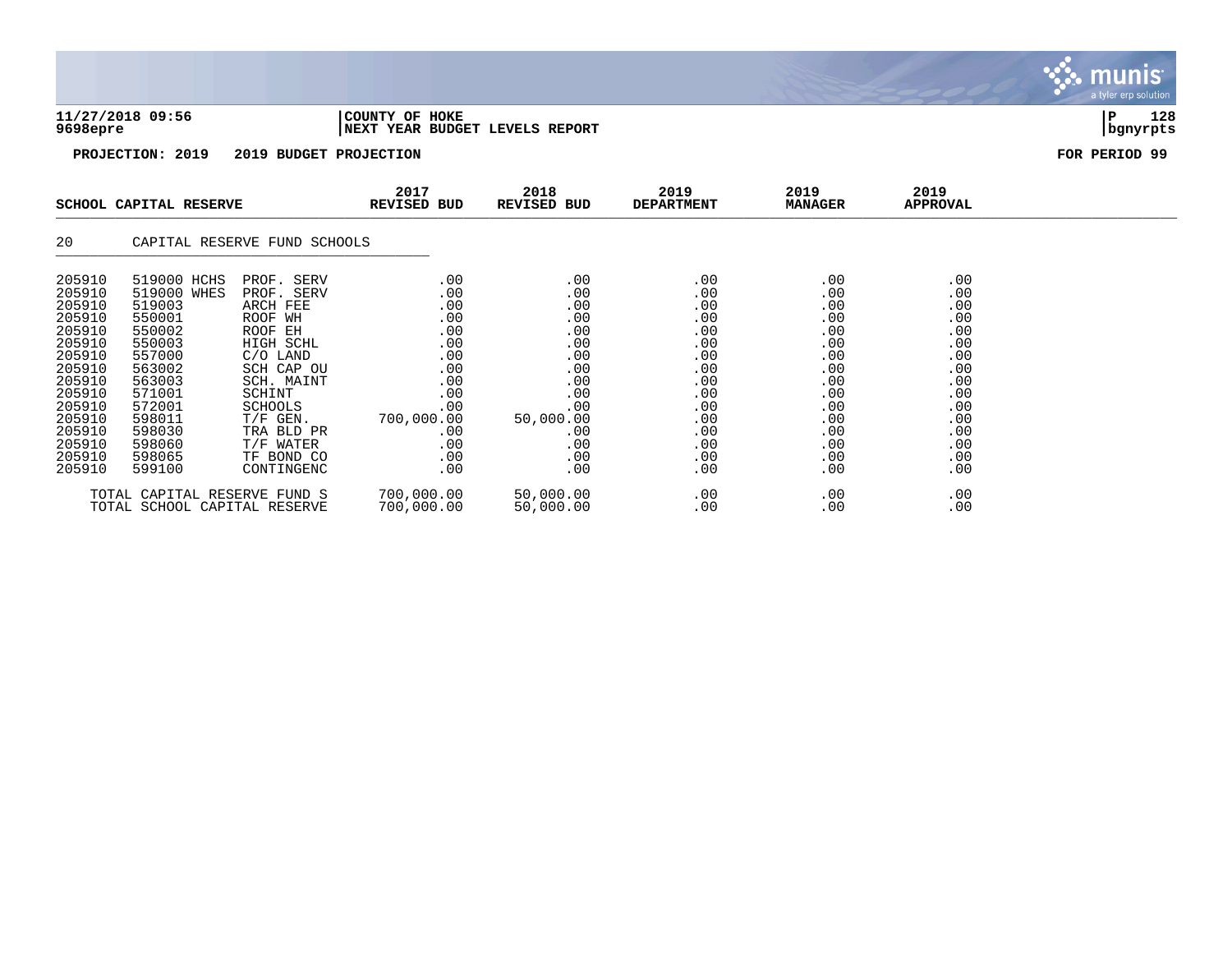| 11/27/2018 09:56<br>COUNTY OF HOKE<br>9698epre<br>INEXT YEAR BUDGET LEVELS REPORT | 128<br>  bgnyrpts |
|-----------------------------------------------------------------------------------|-------------------|

|                                                                                                                                                              | SCHOOL CAPITAL RESERVE                                                                                                                                                 |                                                                                                                                                                                                                    | 2017<br>2018<br><b>REVISED BUD</b><br>REVISED BUD                                                                                  |                                                                                                                    | 2019<br><b>DEPARTMENT</b>                                                                                    | 2019<br><b>MANAGER</b>                                                                                       | 2019<br><b>APPROVAL</b>                                                                                      |  |
|--------------------------------------------------------------------------------------------------------------------------------------------------------------|------------------------------------------------------------------------------------------------------------------------------------------------------------------------|--------------------------------------------------------------------------------------------------------------------------------------------------------------------------------------------------------------------|------------------------------------------------------------------------------------------------------------------------------------|--------------------------------------------------------------------------------------------------------------------|--------------------------------------------------------------------------------------------------------------|--------------------------------------------------------------------------------------------------------------|--------------------------------------------------------------------------------------------------------------|--|
| 20                                                                                                                                                           |                                                                                                                                                                        | CAPITAL RESERVE FUND SCHOOLS                                                                                                                                                                                       |                                                                                                                                    |                                                                                                                    |                                                                                                              |                                                                                                              |                                                                                                              |  |
| 205910<br>205910<br>205910<br>205910<br>205910<br>205910<br>205910<br>205910<br>205910<br>205910<br>205910<br>205910<br>205910<br>205910<br>205910<br>205910 | 519000 HCHS<br>519000 WHES<br>519003<br>550001<br>550002<br>550003<br>557000<br>563002<br>563003<br>571001<br>572001<br>598011<br>598030<br>598060<br>598065<br>599100 | PROF. SERV<br>PROF. SERV<br>ARCH FEE<br>ROOF WH<br>ROOF EH<br>HIGH SCHL<br>$C/O$ LAND<br>SCH CAP OU<br>SCH. MAINT<br>SCHINT<br><b>SCHOOLS</b><br>$T/F$ GEN.<br>TRA BLD PR<br>T/F WATER<br>TF BOND CO<br>CONTINGENC | .00<br>.00<br>.00<br>.00<br>.00<br>.00<br>.00<br>.00<br>.00<br>.00<br>$.00 \,$<br>700,000.00<br>$.00 \,$<br>.00<br>.00<br>$.00 \,$ | .00<br>.00<br>.00<br>.00<br>.00<br>.00<br>.00<br>.00<br>.00<br>.00<br>.00<br>50,000.00<br>.00<br>.00<br>.00<br>.00 | .00<br>.00<br>.00<br>.00<br>.00<br>.00<br>.00<br>.00<br>.00<br>.00<br>.00<br>.00<br>.00<br>.00<br>.00<br>.00 | .00<br>.00<br>.00<br>.00<br>.00<br>.00<br>.00<br>.00<br>.00<br>.00<br>.00<br>.00<br>.00<br>.00<br>.00<br>.00 | .00<br>.00<br>.00<br>.00<br>.00<br>.00<br>.00<br>.00<br>.00<br>.00<br>.00<br>.00<br>.00<br>.00<br>.00<br>.00 |  |
|                                                                                                                                                              | TOTAL CAPITAL RESERVE FUND S<br>TOTAL SCHOOL CAPITAL RESERVE                                                                                                           |                                                                                                                                                                                                                    | 700,000.00<br>700,000.00                                                                                                           | 50,000.00<br>50,000.00                                                                                             | .00<br>.00                                                                                                   | .00<br>.00                                                                                                   | .00<br>.00                                                                                                   |  |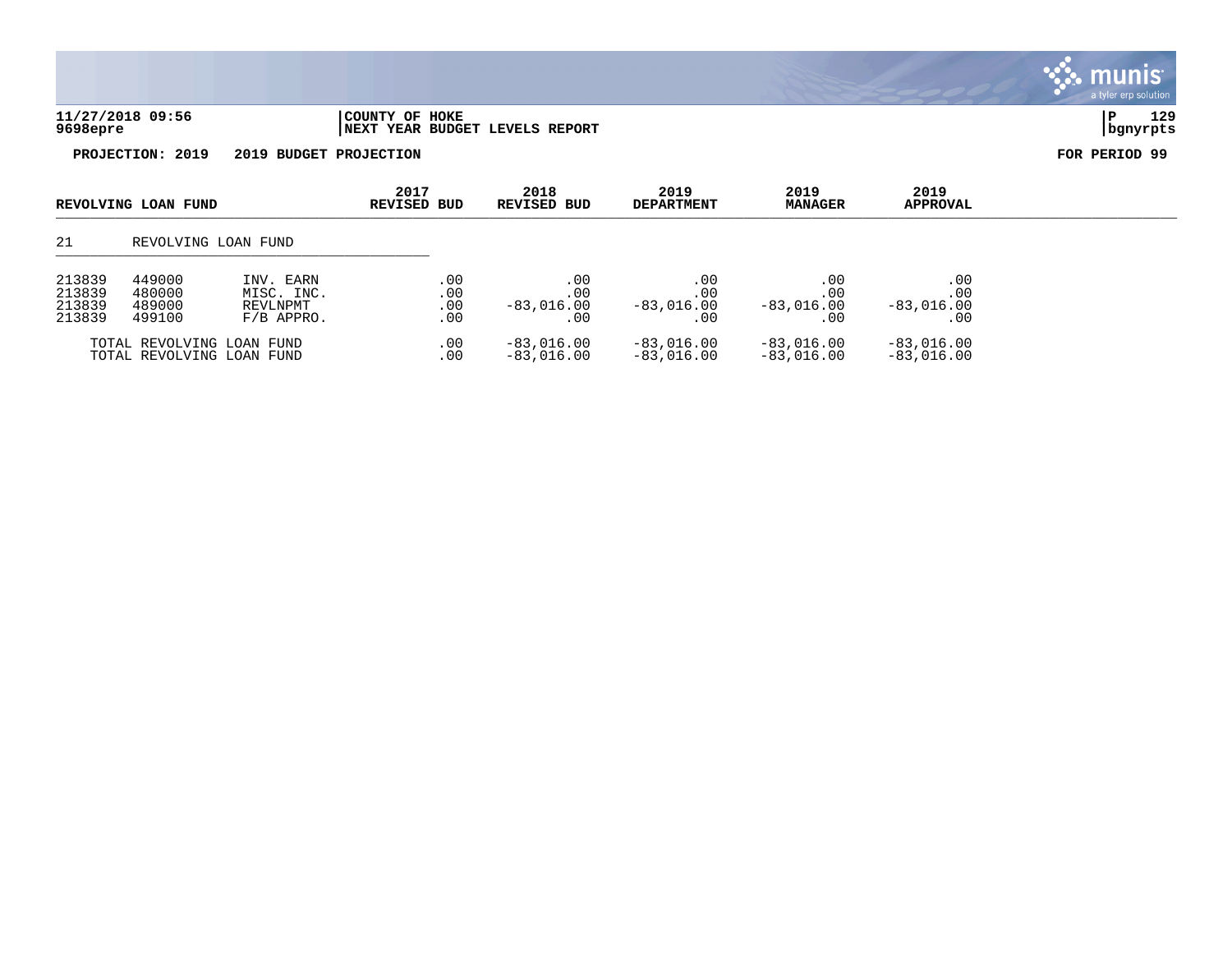| 129<br>11/27/2018 09:56<br>COUNTY OF HOKE<br>9698epre<br>YEAR BUDGET LEVELS<br>REPORT<br>l NEXT<br>bgnyrpts |  |  |  |
|-------------------------------------------------------------------------------------------------------------|--|--|--|
|                                                                                                             |  |  |  |

| REVOLVING LOAN FUND                  |                                                        | 2017<br>REVISED BUD                                 | 2018<br>REVISED BUD      | 2019<br><b>DEPARTMENT</b>          | 2019<br><b>MANAGER</b>             | 2019<br><b>APPROVAL</b>            |                                    |  |
|--------------------------------------|--------------------------------------------------------|-----------------------------------------------------|--------------------------|------------------------------------|------------------------------------|------------------------------------|------------------------------------|--|
| 21                                   | REVOLVING LOAN FUND                                    |                                                     |                          |                                    |                                    |                                    |                                    |  |
| 213839<br>213839<br>213839<br>213839 | 449000<br>480000<br>489000<br>499100                   | INV. EARN<br>MISC. INC.<br>REVLNPMT<br>$F/B$ APPRO. | .00<br>.00<br>.00<br>.00 | .00<br>.00<br>$-83,016.00$<br>. 00 | .00<br>.00<br>$-83,016.00$<br>. 00 | .00<br>.00<br>$-83,016.00$<br>. 00 | .00<br>.00<br>$-83,016.00$<br>. 00 |  |
|                                      | TOTAL REVOLVING LOAN FUND<br>TOTAL REVOLVING LOAN FUND |                                                     | .00<br>.00               | $-83,016.00$<br>$-83,016,00$       | $-83,016.00$<br>$-83,016.00$       | $-83,016.00$<br>$-83,016,00$       | $-83,016.00$<br>$-83,016.00$       |  |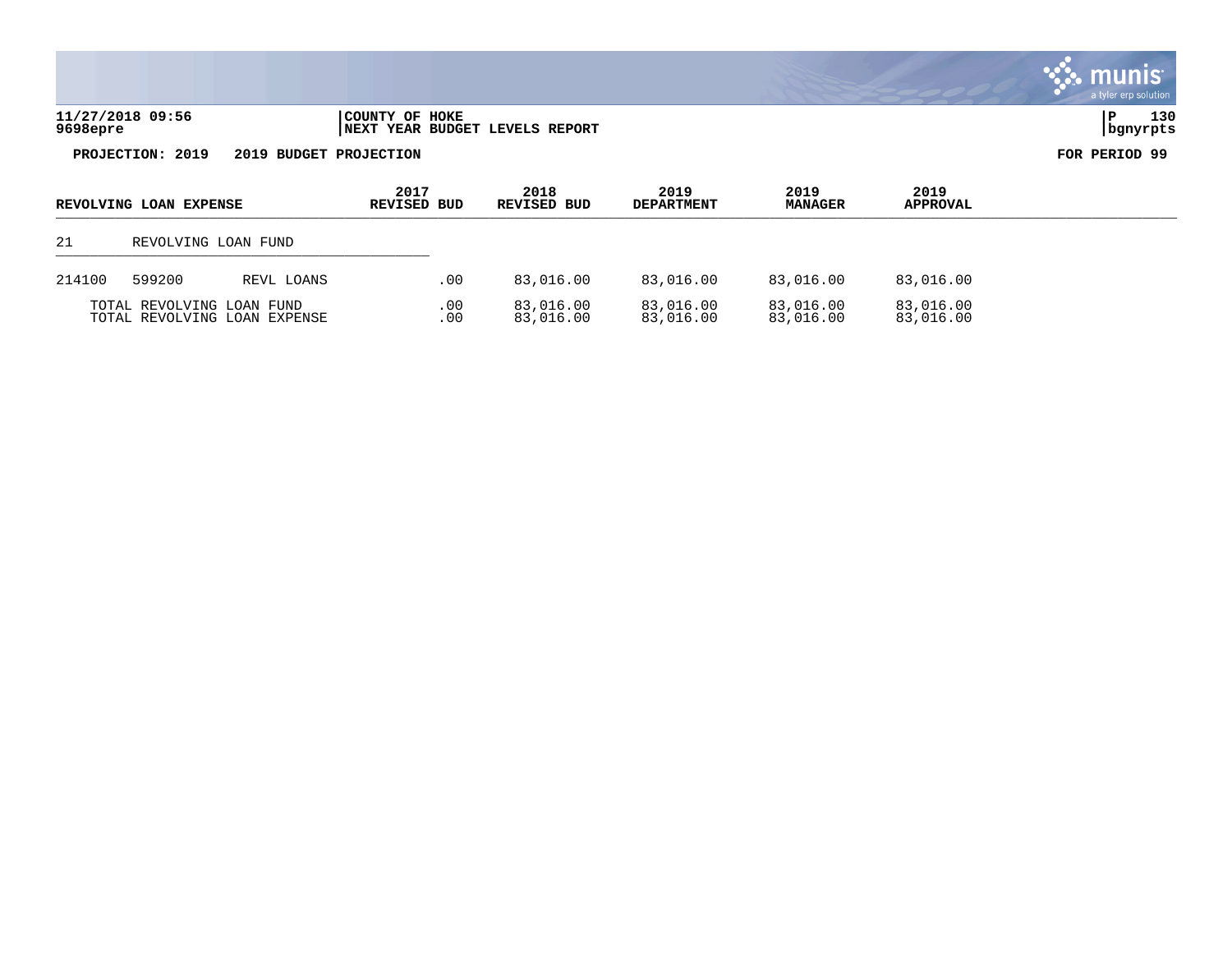| 11/27/2018 09:56 | COUNTY OF HOKE                 |          | 130 |
|------------------|--------------------------------|----------|-----|
| 9698epre         | NEXT YEAR BUDGET LEVELS REPORT | bgnyrpts |     |

| REVOLVING LOAN EXPENSE                                    |        |                     | 2017<br>REVISED BUD | 2018<br><b>REVISED BUD</b> | 2019<br><b>DEPARTMENT</b> | 2019<br><b>MANAGER</b> | 2019<br><b>APPROVAL</b> |  |
|-----------------------------------------------------------|--------|---------------------|---------------------|----------------------------|---------------------------|------------------------|-------------------------|--|
| 21                                                        |        | REVOLVING LOAN FUND |                     |                            |                           |                        |                         |  |
| 214100                                                    | 599200 | REVL LOANS          | .00.                | 83,016.00                  | 83,016.00                 | 83,016.00              | 83,016.00               |  |
| TOTAL REVOLVING LOAN FUND<br>TOTAL REVOLVING LOAN EXPENSE |        |                     | .00<br>.00          | 83,016.00<br>83,016.00     | 83,016.00<br>83,016.00    | 83,016.00<br>83,016.00 | 83,016.00<br>83,016.00  |  |

a tyler erp solution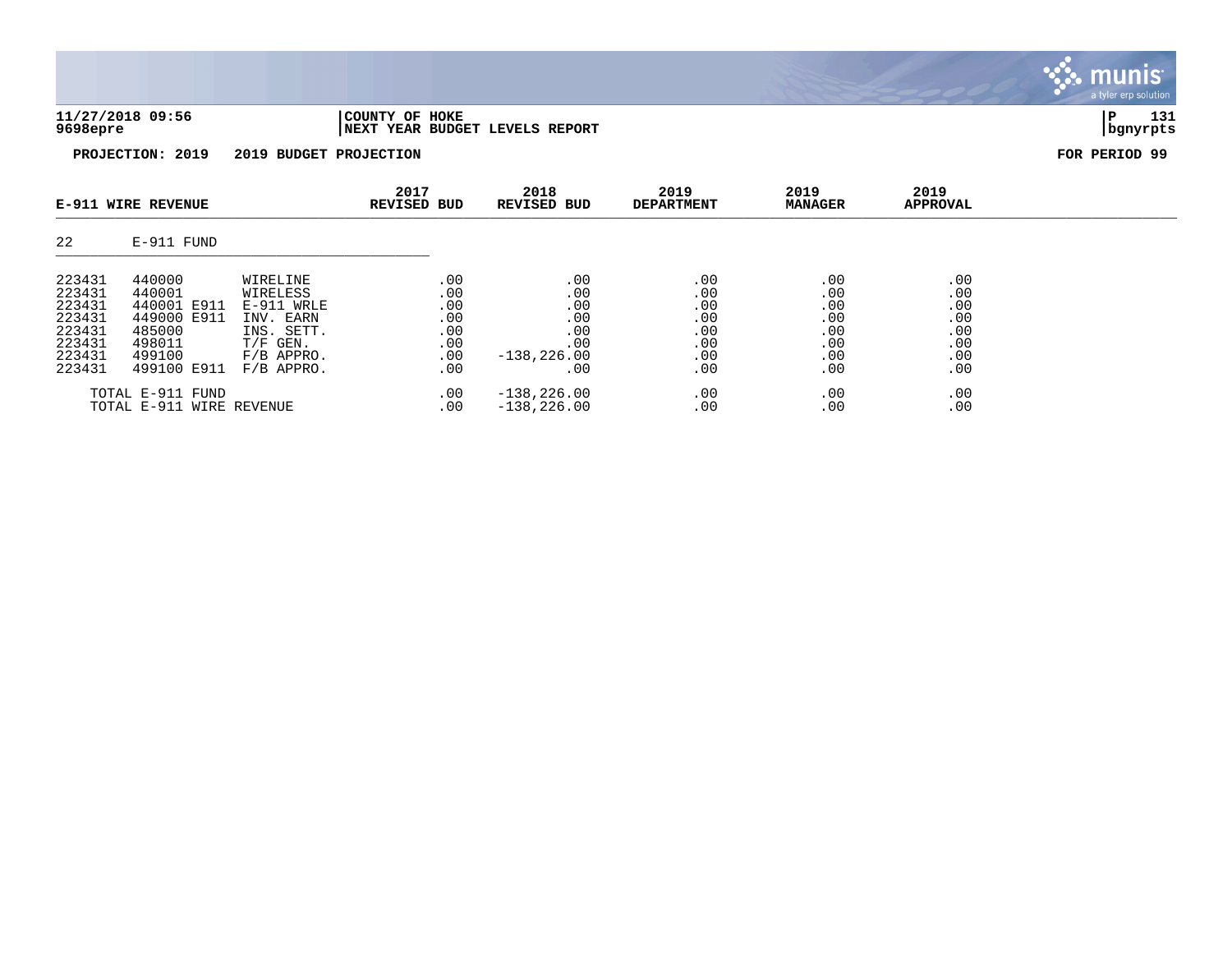| 11/27/2018 09:56 | COUNTY OF HOKE                  | 131           |
|------------------|---------------------------------|---------------|
| 9698epre         | INEXT YEAR BUDGET LEVELS REPORT | bgnyrpts      |
| PROJECTION: 2019 | 2019 BUDGET PROJECTION          | FOR PERIOD 99 |

| E-911 WIRE REVENUE |                          |                      | 2017<br><b>REVISED BUD</b> | 2018<br><b>REVISED BUD</b> | 2019<br><b>DEPARTMENT</b> | 2019<br><b>MANAGER</b> | 2019<br><b>APPROVAL</b> |  |
|--------------------|--------------------------|----------------------|----------------------------|----------------------------|---------------------------|------------------------|-------------------------|--|
| 22                 | E-911 FUND               |                      |                            |                            |                           |                        |                         |  |
| 223431<br>223431   | 440000<br>440001         | WIRELINE<br>WIRELESS | .00<br>.00                 | .00<br>.00                 | .00<br>.00                | .00<br>.00             | .00<br>.00              |  |
| 223431             | 440001 E911              | $E-911$ WRLE         | .00                        | .00                        | .00                       | .00                    | .00                     |  |
| 223431             | 449000 E911              | INV. EARN            | .00                        | .00                        | .00                       | .00                    | .00                     |  |
| 223431             | 485000                   | INS. SETT.           | .00                        | .00                        | .00                       | .00                    | .00                     |  |
| 223431             | 498011                   | $T/F$ GEN.           | .00                        | .00                        | .00                       | .00                    | .00                     |  |
| 223431             | 499100                   | $F/B$ APPRO.         | .00                        | $-138, 226.00$             | .00                       | .00                    | .00                     |  |
| 223431             | 499100 E911              | $F/B$ APPRO.         | .00                        | .00                        | .00                       | .00                    | .00                     |  |
|                    | TOTAL E-911<br>FUND      |                      | .00                        | $-138, 226.00$             | .00                       | .00                    | .00                     |  |
|                    | TOTAL E-911 WIRE REVENUE |                      | .00                        | $-138, 226.00$             | .00                       | .00                    | .00                     |  |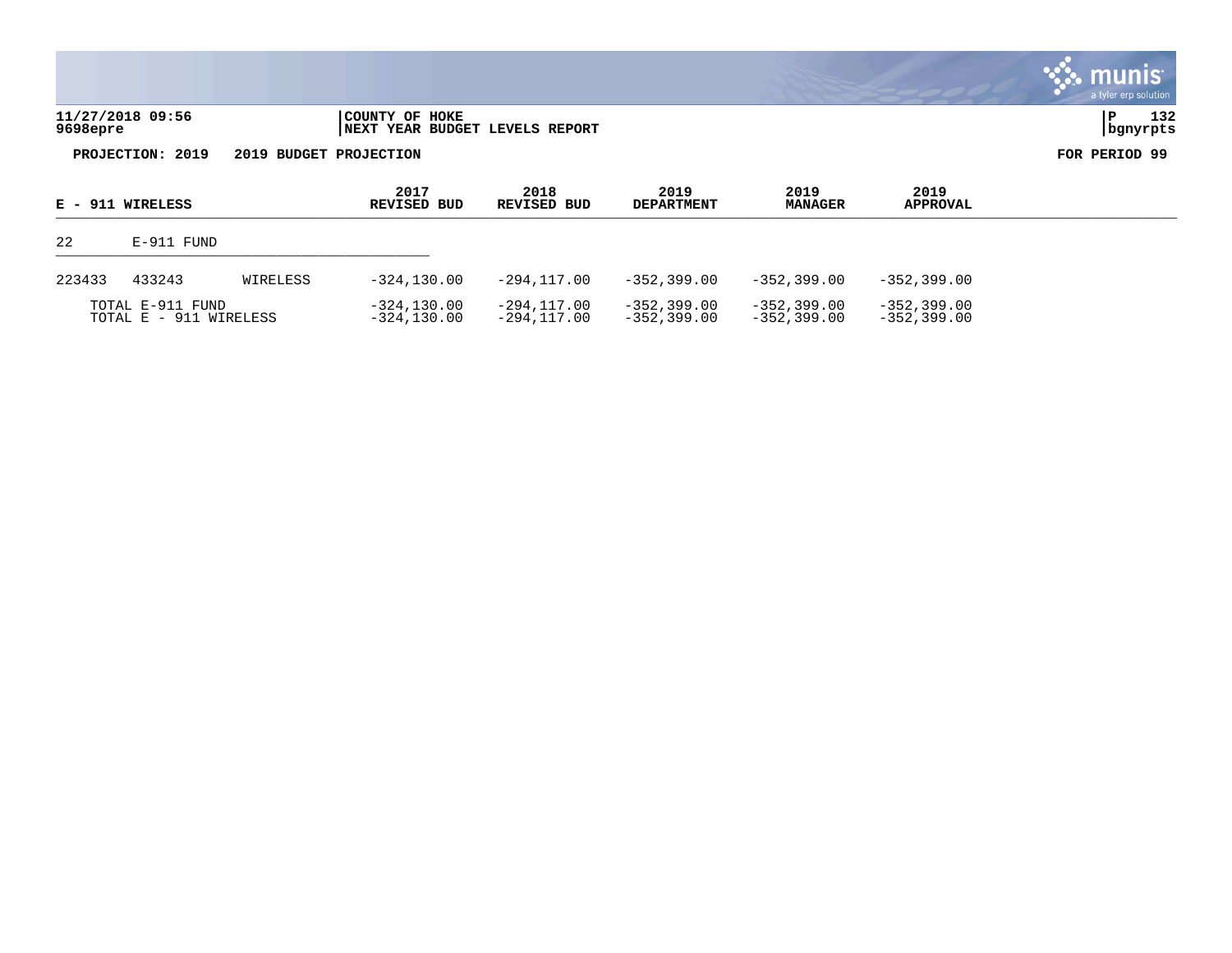|                              |                                                  |                     |                           |                        |                         | munis<br>a tyler erp solution |
|------------------------------|--------------------------------------------------|---------------------|---------------------------|------------------------|-------------------------|-------------------------------|
| 11/27/2018 09:56<br>9698epre | COUNTY OF HOKE<br>NEXT YEAR BUDGET LEVELS REPORT |                     |                           |                        |                         | 132<br>Р<br>  bgnyrpts        |
| PROJECTION: 2019             | 2019 BUDGET PROJECTION                           |                     |                           |                        |                         | FOR PERIOD 99                 |
| E - 911 WIRELESS             | 2017<br><b>REVISED BUD</b>                       | 2018<br>REVISED BUD | 2019<br><b>DEPARTMENT</b> | 2019<br><b>MANAGER</b> | 2019<br><b>APPROVAL</b> |                               |

\_\_\_\_\_\_\_\_\_\_\_\_\_\_\_\_\_\_\_\_\_\_\_\_\_\_\_\_\_\_\_\_\_\_\_\_\_\_\_\_\_\_\_\_\_\_\_\_\_\_\_\_\_\_\_\_\_\_\_\_\_\_\_\_\_\_\_\_\_\_\_\_\_\_\_\_\_\_\_\_\_\_\_\_\_\_\_\_\_\_\_\_\_\_\_\_\_\_\_\_\_\_\_\_\_\_\_\_\_\_\_\_\_\_\_\_\_\_\_\_\_\_\_\_\_\_\_\_\_\_\_\_

| 22     | E-911 FUND                                 |          |                              |                            |                                |                                |                                |  |  |  |  |
|--------|--------------------------------------------|----------|------------------------------|----------------------------|--------------------------------|--------------------------------|--------------------------------|--|--|--|--|
| 223433 | 433243                                     | WIRELESS | $-324.130.00$                | -294.117.00                | -352,399.00                    | $-352,399.00$                  | $-352.399.00$                  |  |  |  |  |
|        | TOTAL E-911 FUND<br>TOTAL E - 911 WIRELESS |          | -324,130.00<br>$-324.130.00$ | -294.117.00<br>-294.117.00 | $-352.399.00$<br>$-352.399.00$ | $-352.399.00$<br>$-352.399.00$ | $-352.399.00$<br>$-352.399.00$ |  |  |  |  |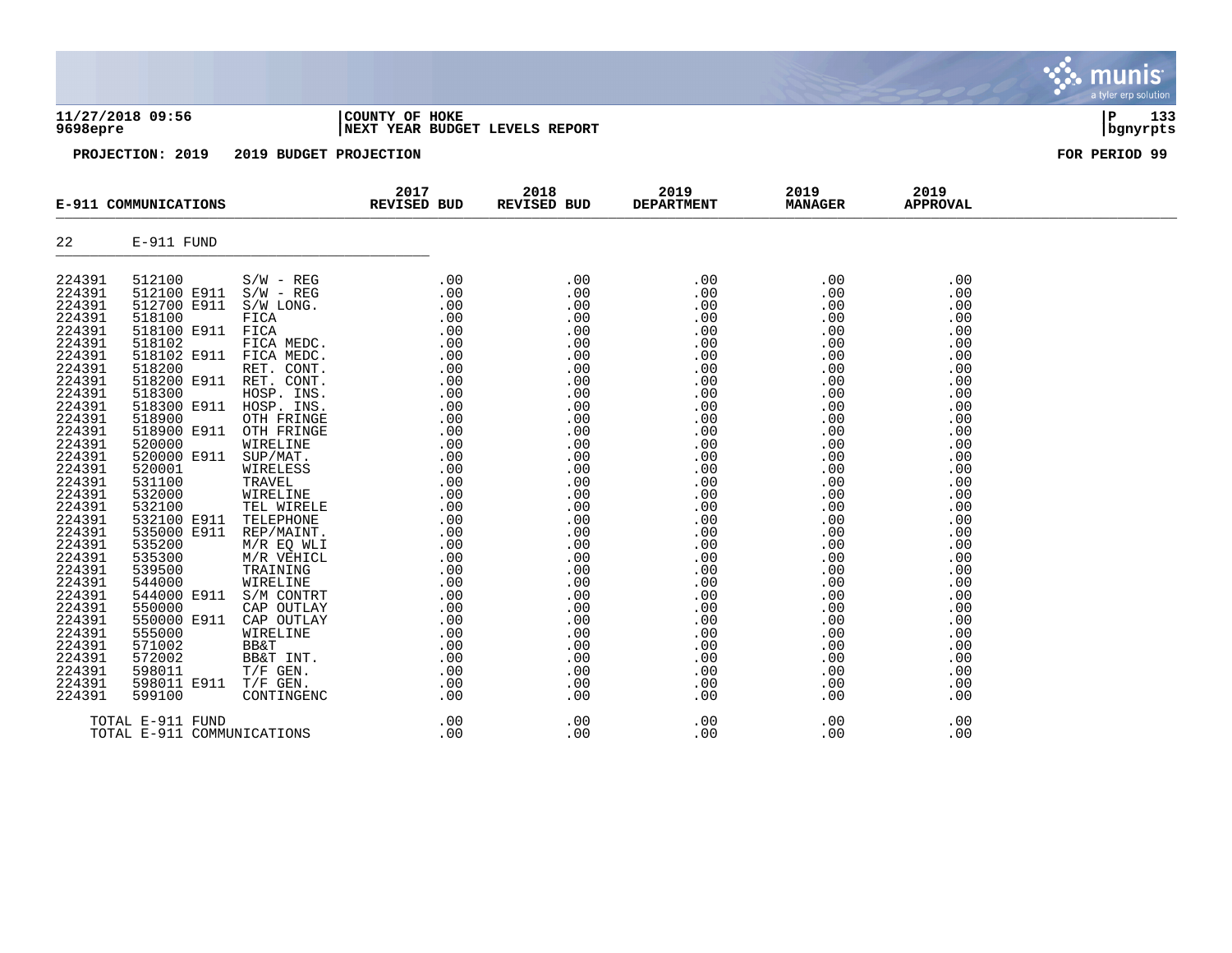| 11/27/2018 09:56<br>9698epre                                                                                                                                                                                                                                                                                                                     |                                                                                                                                                                                                                                                                                                                                                                                                                              |                                                                                                                                                                                                                                                                                                                                                                                                                                                  | COUNTY OF HOKE<br>NEXT YEAR BUDGET LEVELS REPORT | 133<br>ΙP<br>  bgnyrpts<br>FOR PERIOD 99                                                                                                                                                                                                   |                                                                                                                                                                                                                                            |                                                                                                                                                                                                                                            |                                                                                                                                                                                                                                            |  |
|--------------------------------------------------------------------------------------------------------------------------------------------------------------------------------------------------------------------------------------------------------------------------------------------------------------------------------------------------|------------------------------------------------------------------------------------------------------------------------------------------------------------------------------------------------------------------------------------------------------------------------------------------------------------------------------------------------------------------------------------------------------------------------------|--------------------------------------------------------------------------------------------------------------------------------------------------------------------------------------------------------------------------------------------------------------------------------------------------------------------------------------------------------------------------------------------------------------------------------------------------|--------------------------------------------------|--------------------------------------------------------------------------------------------------------------------------------------------------------------------------------------------------------------------------------------------|--------------------------------------------------------------------------------------------------------------------------------------------------------------------------------------------------------------------------------------------|--------------------------------------------------------------------------------------------------------------------------------------------------------------------------------------------------------------------------------------------|--------------------------------------------------------------------------------------------------------------------------------------------------------------------------------------------------------------------------------------------|--|
| PROJECTION: 2019<br>2019 BUDGET PROJECTION                                                                                                                                                                                                                                                                                                       |                                                                                                                                                                                                                                                                                                                                                                                                                              |                                                                                                                                                                                                                                                                                                                                                                                                                                                  |                                                  |                                                                                                                                                                                                                                            |                                                                                                                                                                                                                                            |                                                                                                                                                                                                                                            |                                                                                                                                                                                                                                            |  |
| E-911 COMMUNICATIONS                                                                                                                                                                                                                                                                                                                             |                                                                                                                                                                                                                                                                                                                                                                                                                              | 2017<br>REVISED BUD                                                                                                                                                                                                                                                                                                                                                                                                                              | 2018<br>REVISED BUD                              | 2019<br><b>DEPARTMENT</b>                                                                                                                                                                                                                  | 2019<br><b>MANAGER</b>                                                                                                                                                                                                                     | 2019<br><b>APPROVAL</b>                                                                                                                                                                                                                    |                                                                                                                                                                                                                                            |  |
| 22                                                                                                                                                                                                                                                                                                                                               | E-911 FUND                                                                                                                                                                                                                                                                                                                                                                                                                   |                                                                                                                                                                                                                                                                                                                                                                                                                                                  |                                                  |                                                                                                                                                                                                                                            |                                                                                                                                                                                                                                            |                                                                                                                                                                                                                                            |                                                                                                                                                                                                                                            |  |
| 224391<br>224391<br>224391<br>224391<br>224391<br>224391<br>224391<br>224391<br>224391<br>224391<br>224391<br>224391<br>224391<br>224391<br>224391<br>224391<br>224391<br>224391<br>224391<br>224391<br>224391<br>224391<br>224391<br>224391<br>224391<br>224391<br>224391<br>224391<br>224391<br>224391<br>224391<br>224391<br>224391<br>224391 | 512100<br>512100 E911<br>512700 E911<br>518100<br>518100 E911<br>518102<br>518102 E911<br>518200<br>518200 E911 RET. CONT.<br>518300<br>518300 E911<br>518900<br>518900 E911<br>520000<br>520000 E911<br>520001<br>531100<br>532000<br>532100<br>532100 E911<br>535000 E911<br>535200<br>535300<br>539500<br>544000<br>544000 E911<br>550000<br>550000 E911<br>555000<br>571002<br>572002<br>598011<br>598011 E911<br>599100 | $S/W - REG$<br>$S/W - REG$<br>S/W LONG.<br>FICA<br>FICA<br>FICA MEDC.<br>FICA MEDC.<br>RET. CONT.<br>HOSP. INS.<br>HOSP. INS.<br>OTH FRINGE<br>OTH FRINGE<br>WIRELINE<br>SUP/MAT.<br>WIRELESS<br>TRAVEL<br>WIRELINE<br>TEL WIRELE<br>TELEPHONE<br>REP/MAINT.<br>M/R EQ WLI<br>M/R VEHICL<br>TRAINING<br>WIRELINE<br>S/M CONTRT<br>CAP OUTLAY<br>CAP OUTLAY<br>WIRELINE<br><b>BB&amp;T</b><br>BB&T INT.<br>$T/F$ GEN.<br>$T/F$ GEN.<br>CONTINGENC | .00<br>.00<br>.00<br>.00                         | .00<br>.00<br>.00<br>.00<br>.00<br>.00<br>.00<br>.00<br>.00<br>.00<br>.00<br>.00<br>.00<br>.00<br>.00<br>.00<br>.00<br>.00<br>.00<br>.00<br>.00<br>.00<br>.00<br>.00<br>.00<br>.00<br>.00<br>.00<br>.00<br>.00<br>.00<br>.00<br>.00<br>.00 | .00<br>.00<br>.00<br>.00<br>.00<br>.00<br>.00<br>.00<br>.00<br>.00<br>.00<br>.00<br>.00<br>.00<br>.00<br>.00<br>.00<br>.00<br>.00<br>.00<br>.00<br>.00<br>.00<br>.00<br>.00<br>.00<br>.00<br>.00<br>.00<br>.00<br>.00<br>.00<br>.00<br>.00 | .00<br>.00<br>.00<br>.00<br>.00<br>.00<br>.00<br>.00<br>.00<br>.00<br>.00<br>.00<br>.00<br>.00<br>.00<br>.00<br>.00<br>.00<br>.00<br>.00<br>.00<br>.00<br>.00<br>.00<br>.00<br>.00<br>.00<br>.00<br>.00<br>.00<br>.00<br>.00<br>.00<br>.00 | .00<br>.00<br>.00<br>.00<br>.00<br>.00<br>.00<br>.00<br>.00<br>.00<br>.00<br>.00<br>.00<br>.00<br>.00<br>.00<br>.00<br>.00<br>.00<br>.00<br>.00<br>.00<br>.00<br>.00<br>.00<br>.00<br>.00<br>.00<br>.00<br>.00<br>.00<br>.00<br>.00<br>.00 |  |

TOTAL E-911 FUND .00 .00 .00 .00 .00 TOTAL E-911 COMMUNICATIONS .00 .00 .00 .00 .00

*<u>....</u>* 

munis a tyler erp solution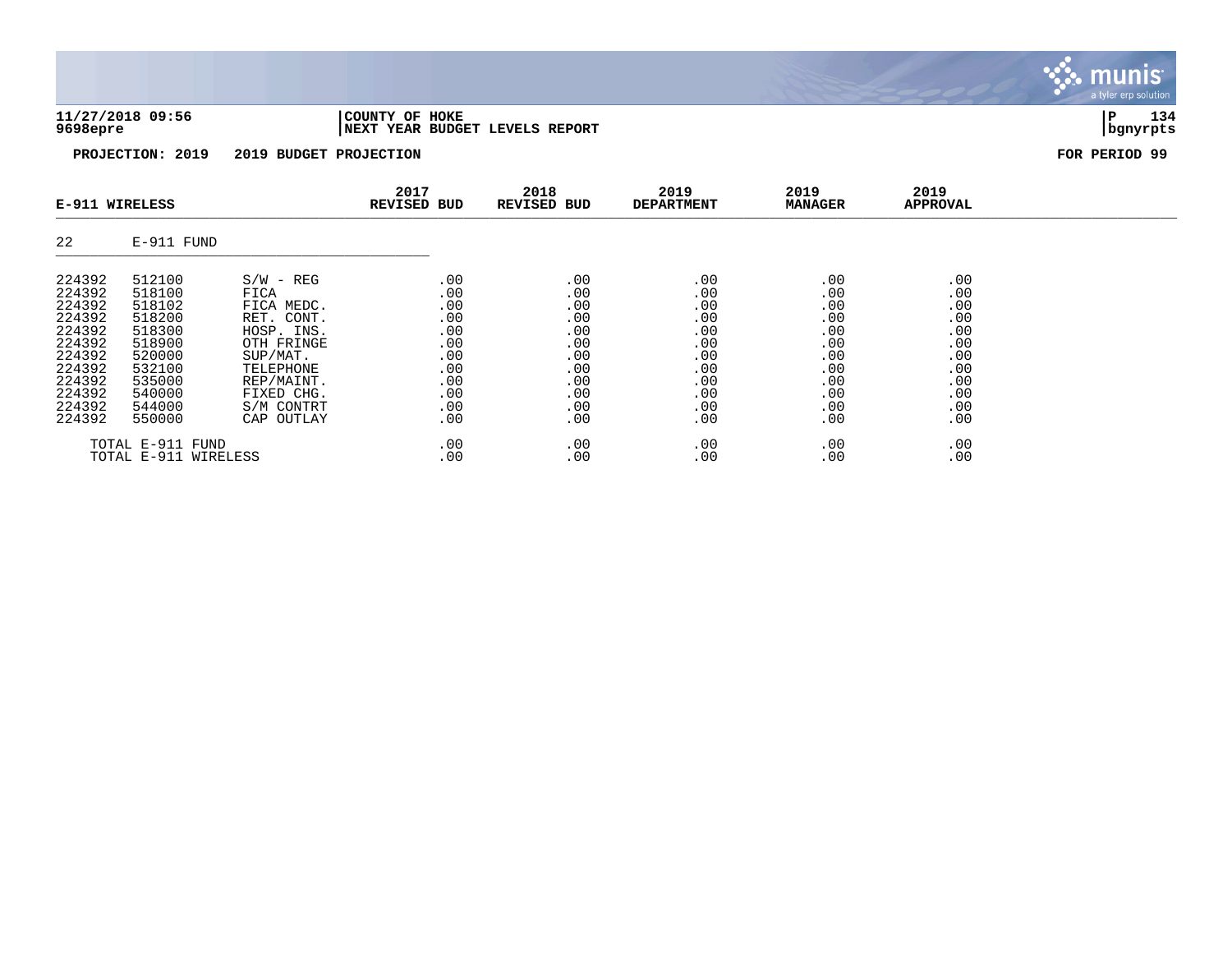| 11/27/2018 09:56 | COUNTY OF HOKE                  | Ð                  |  |
|------------------|---------------------------------|--------------------|--|
| 9698epre         | INEXT YEAR BUDGET LEVELS REPORT | , banvrpt <i>s</i> |  |

| E-911 WIRELESS                                                                                                       |                                                                                                                      |                                                                                                                                                              | 2017<br><b>REVISED BUD</b>                                                       | 2018<br><b>REVISED BUD</b>                                                       | 2019<br><b>DEPARTMENT</b>                                                        | 2019<br><b>MANAGER</b>                                                           | 2019<br><b>APPROVAL</b>                                                          |  |
|----------------------------------------------------------------------------------------------------------------------|----------------------------------------------------------------------------------------------------------------------|--------------------------------------------------------------------------------------------------------------------------------------------------------------|----------------------------------------------------------------------------------|----------------------------------------------------------------------------------|----------------------------------------------------------------------------------|----------------------------------------------------------------------------------|----------------------------------------------------------------------------------|--|
| 22                                                                                                                   | E-911 FUND                                                                                                           |                                                                                                                                                              |                                                                                  |                                                                                  |                                                                                  |                                                                                  |                                                                                  |  |
| 224392<br>224392<br>224392<br>224392<br>224392<br>224392<br>224392<br>224392<br>224392<br>224392<br>224392<br>224392 | 512100<br>518100<br>518102<br>518200<br>518300<br>518900<br>520000<br>532100<br>535000<br>540000<br>544000<br>550000 | $S/W - REG$<br>FICA<br>FICA MEDC.<br>RET. CONT.<br>HOSP. INS.<br>OTH FRINGE<br>SUP/MAT.<br>TELEPHONE<br>REP/MAINT.<br>FIXED CHG.<br>S/M CONTRT<br>CAP OUTLAY | .00<br>.00<br>.00<br>.00<br>.00<br>.00<br>.00<br>.00<br>.00<br>.00<br>.00<br>.00 | .00<br>.00<br>.00<br>.00<br>.00<br>.00<br>.00<br>.00<br>.00<br>.00<br>.00<br>.00 | .00<br>.00<br>.00<br>.00<br>.00<br>.00<br>.00<br>.00<br>.00<br>.00<br>.00<br>.00 | .00<br>.00<br>.00<br>.00<br>.00<br>.00<br>.00<br>.00<br>.00<br>.00<br>.00<br>.00 | .00<br>.00<br>.00<br>.00<br>.00<br>.00<br>.00<br>.00<br>.00<br>.00<br>.00<br>.00 |  |
|                                                                                                                      | TOTAL E-911 FUND<br>TOTAL E-911 WIRELESS                                                                             |                                                                                                                                                              | .00<br>.00                                                                       | .00<br>.00                                                                       | .00<br>.00                                                                       | .00<br>.00                                                                       | .00<br>.00                                                                       |  |

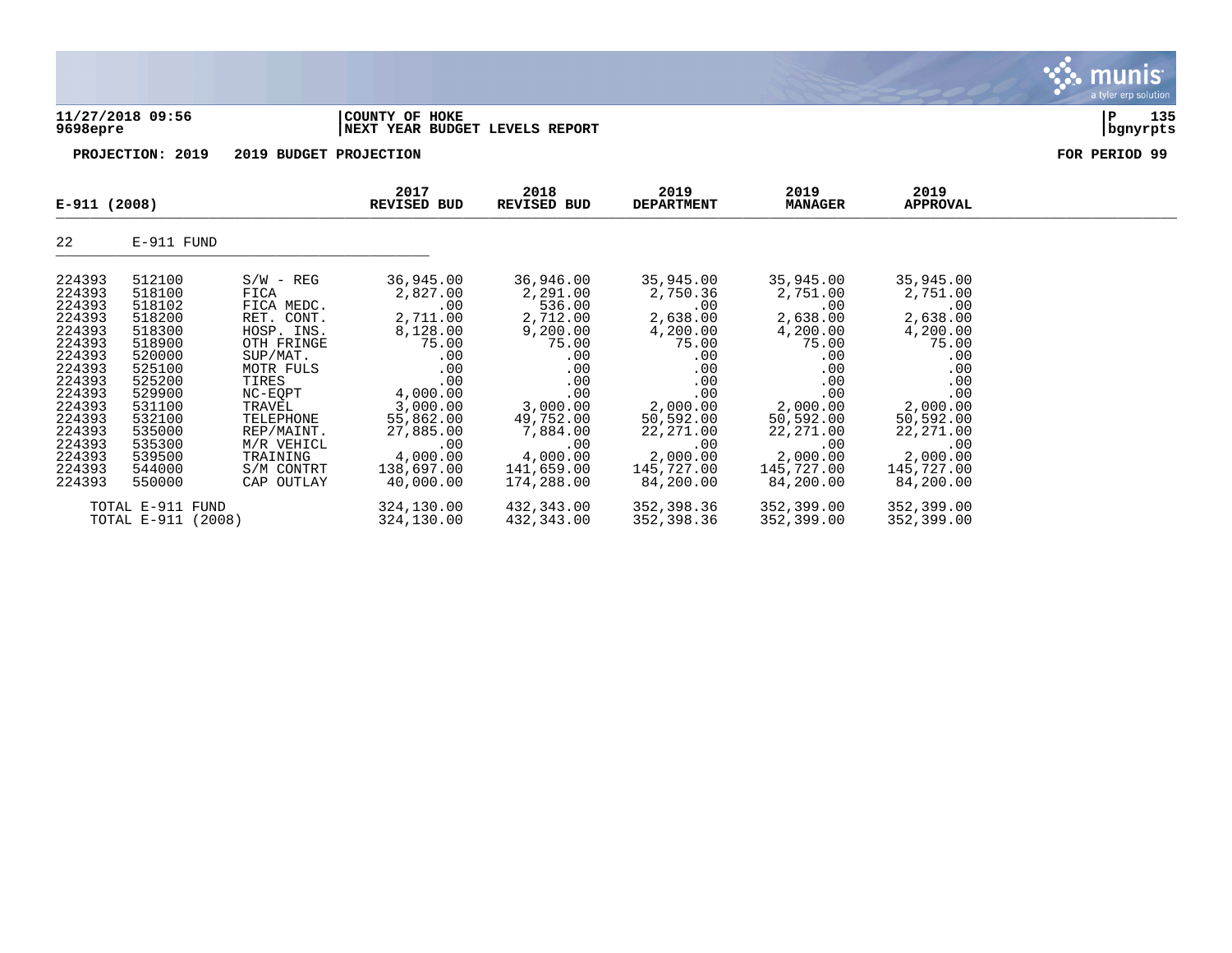**11/27/2018 09:56 |COUNTY OF HOKE |P 135 9698epre |NEXT YEAR BUDGET LEVELS REPORT |bgnyrpts**

**2017 2018 2019 2019 2019 E-911 (2008) REVISED BUD REVISED BUD DEPARTMENT MANAGER APPROVAL**   $L_{\text{EVAL}}$  (2000)  $\text{EVAL}}$   $\text{EVAL}}$   $\text{EVAL}}$   $\text{EVAL}}$   $\text{EVAL}}$   $\text{EVAL}}$   $\text{EVAL}}$   $\text{EVAL}}$   $\text{EVAL}}$   $\text{EVAL}}$   $\text{EVAL}}$   $\text{EVAL}}$   $\text{EVAL}}$   $\text{EVAL}}$   $\text{EVAL}}$   $\text{EVAL}}$   $\text{EVAL}}$   $\text{EVAL}}$   $\text{EVAL}}$   $\text{EVAL}}$   $\text{EVAL}}$   $\text{EVAL}}$   $\text{E$ 22 E-911 FUND \_\_\_\_\_\_\_\_\_\_\_\_\_\_\_\_\_\_\_\_\_\_\_\_\_\_\_\_\_\_\_\_\_\_\_\_\_\_\_\_\_\_\_\_ 224393 512100 S/W - REG 36,945.00 36,946.00 35,945.00 35,945.00 35,945.00 224393 518100 FICA 2,827.00 2,291.00 2,750.36 2,751.00 2,751.00 224393 518102 FICA MEDC. .00 536.00 .00 .00 .00 224393 518200 RET. CONT. 2,711.00 2,712.00 2,638.00 2,638.00 2,638.00 224393 518300 HOSP. INS. 8,128.00 9,200.00 4,200.00 4,200.00 4,200.00 224393 518900 OTH FRINGE 75.00 75.00 75.00 75.00 75.00 224393 520000 SUP/MAT. .00 .00 .00 .00 .00 224393 525100 MOTR FULS .00 .00 .00 .00 .00 224393 525200 TIRES .00 .00 .00 .00 .00 224393 529900 NC-EQPT 4,000.00 .00 .00 .00 .00 224393 531100 TRAVEL 3,000.00 3,000.00 2,000.00 2,000.00 2,000.00 224393 532100 TELEPHONE 55,862.00 49,752.00 50,592.00 50,592.00 50,592.00 224393 535000 REP/MAINT. 27,885.00 7,884.00 22,271.00 22,271.00 22,271.00 224393 535300 M/R VEHICL .00 .00 .00 .00 .00 224393 539500 TRAINING 4,000.00 4,000.00 2,000.00 2,000.00 2,000.00

**PROJECTION: 2019 2019 BUDGET PROJECTION FOR PERIOD 99**

224393 544000 S/M CONTRT 138,697.00 141,659.00 145,727.00 145,727.00 145,727.00 224393 550000 CAP OUTLAY 40,000.00 174,288.00 84,200.00 84,200.00 84,200.00 TOTAL E-911 FUND 324,130.00 432,343.00 352,398.36 352,399.00 352,399.00

 $TOTAL E-911 (2008)$ 

a tyler erp solutior

munis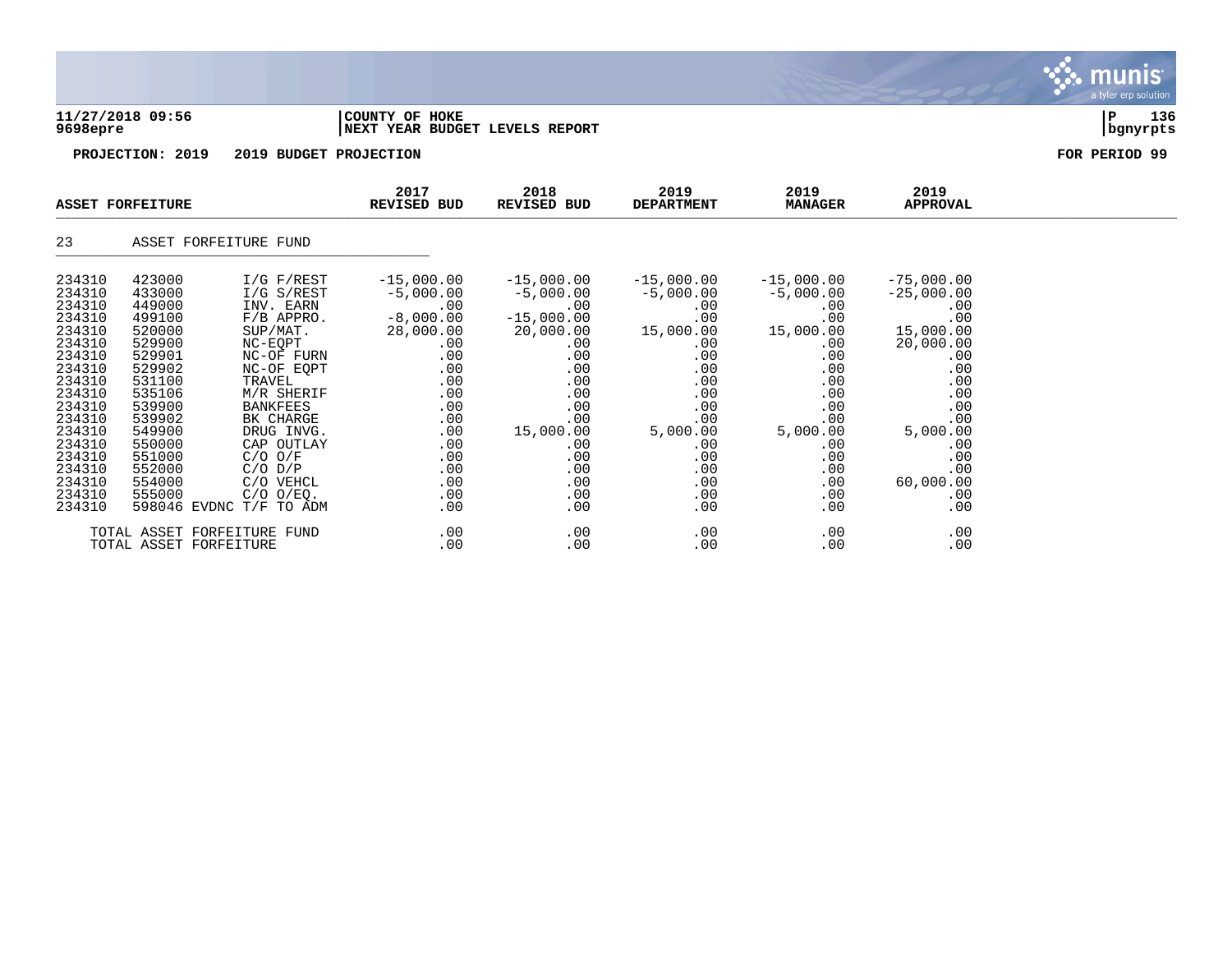### **11/27/2018 09:56 |COUNTY OF HOKE |P 136 9698epre |NEXT YEAR BUDGET LEVELS REPORT |bgnyrpts**

**PROJECTION: 2019 2019 BUDGET PROJECTION FOR PERIOD 99**

| <b>ASSET FORFEITURE</b>                                                                                                                                                                    |                                                                                                                                                                                  |                                                                                                                                                                                                                                                                                            | 2017<br><b>REVISED BUD</b>                                                                                                                                       | 2018<br>REVISED BUD                                                                                                                                                                                             | 2019<br><b>DEPARTMENT</b>                                                                                                                                     | 2019<br><b>MANAGER</b>                                                                                                                                        | 2019<br><b>APPROVAL</b>                                                                                                                                                    |  |
|--------------------------------------------------------------------------------------------------------------------------------------------------------------------------------------------|----------------------------------------------------------------------------------------------------------------------------------------------------------------------------------|--------------------------------------------------------------------------------------------------------------------------------------------------------------------------------------------------------------------------------------------------------------------------------------------|------------------------------------------------------------------------------------------------------------------------------------------------------------------|-----------------------------------------------------------------------------------------------------------------------------------------------------------------------------------------------------------------|---------------------------------------------------------------------------------------------------------------------------------------------------------------|---------------------------------------------------------------------------------------------------------------------------------------------------------------|----------------------------------------------------------------------------------------------------------------------------------------------------------------------------|--|
| 23                                                                                                                                                                                         |                                                                                                                                                                                  | ASSET FORFEITURE FUND                                                                                                                                                                                                                                                                      |                                                                                                                                                                  |                                                                                                                                                                                                                 |                                                                                                                                                               |                                                                                                                                                               |                                                                                                                                                                            |  |
| 234310<br>234310<br>234310<br>234310<br>234310<br>234310<br>234310<br>234310<br>234310<br>234310<br>234310<br>234310<br>234310<br>234310<br>234310<br>234310<br>234310<br>234310<br>234310 | 423000<br>433000<br>449000<br>499100<br>520000<br>529900<br>529901<br>529902<br>531100<br>535106<br>539900<br>539902<br>549900<br>550000<br>551000<br>552000<br>554000<br>555000 | $I/G$ $F/REST$<br>$I/G$ S/REST<br>INV. EARN<br>$F/B$ APPRO.<br>SUP/MAT.<br>NC-EQPT<br>NC-OF FURN<br>NC-OF EQPT<br>TRAVEL<br>M/R SHERIF<br><b>BANKFEES</b><br>BK CHARGE<br>DRUG INVG.<br>CAP OUTLAY<br>$C/O$ $O/F$<br>$C/O$ $D/P$<br>C/O VEHCL<br>$C/O$ $O/EQ$ .<br>598046 EVDNC T/F TO ADM | $-15,000.00$<br>$-5,000.00$<br>.00<br>$-8,000.00$<br>28,000.00<br>.00<br>.00<br>.00<br>.00<br>.00<br>.00<br>.00<br>.00<br>.00<br>.00<br>.00<br>.00<br>.00<br>.00 | $-15,000.00$<br>$-5,000.00$<br>.00<br>$-15,000.00$<br>20,000.00<br>$.00 \,$<br>.00<br>$.00 \,$<br>$.00 \,$<br>.00<br>.00<br>.00<br>15,000.00<br>$.00 \,$<br>$.00 \,$<br>.00<br>$.00 \,$<br>$.00 \,$<br>$.00 \,$ | $-15,000.00$<br>$-5,000.00$<br>.00<br>.00<br>15,000.00<br>.00<br>.00<br>.00<br>.00<br>.00<br>.00<br>.00<br>5,000.00<br>.00<br>.00<br>.00<br>.00<br>.00<br>.00 | $-15,000.00$<br>$-5,000.00$<br>.00<br>.00<br>15,000.00<br>.00<br>.00<br>.00<br>.00<br>.00<br>.00<br>.00<br>5,000.00<br>.00<br>.00<br>.00<br>.00<br>.00<br>.00 | $-75,000.00$<br>$-25,000.00$<br>.00<br>.00<br>15,000.00<br>20,000.00<br>.00<br>.00<br>.00<br>.00<br>.00<br>.00<br>5,000.00<br>.00<br>.00<br>.00<br>60,000.00<br>.00<br>.00 |  |
|                                                                                                                                                                                            | TOTAL ASSET FORFEITURE                                                                                                                                                           | TOTAL ASSET FORFEITURE FUND                                                                                                                                                                                                                                                                | .00<br>.00                                                                                                                                                       | .00<br>.00                                                                                                                                                                                                      | .00<br>.00                                                                                                                                                    | .00<br>.00                                                                                                                                                    | .00<br>.00                                                                                                                                                                 |  |

munis a tyler erp solution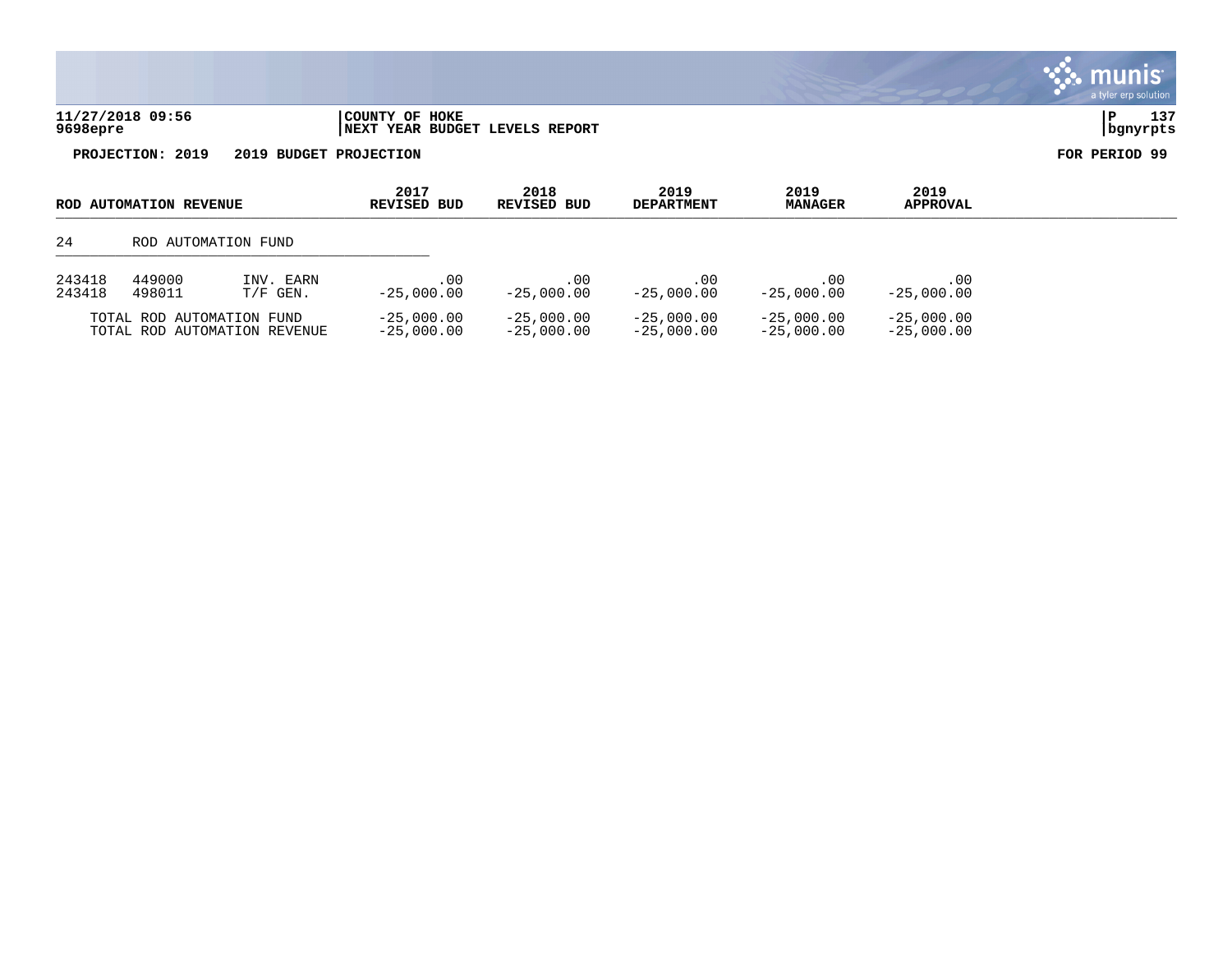|                              |                                                   | a tyler erp solution |
|------------------------------|---------------------------------------------------|----------------------|
| 11/27/2018 09:56<br>9698epre | COUNTY OF HOKE<br>INEXT YEAR BUDGET LEVELS REPORT | ىد س<br>  bgnyrpts   |
| 2019<br>PROJECTION:          | 2019 BUDGET PROJECTION                            | FOR PERIOD 99        |



| ROD AUTOMATION REVENUE       |        | 2017<br>REVISED BUD | 2018<br>REVISED BUD | 2019<br><b>DEPARTMENT</b> | 2019<br><b>MANAGER</b> | 2019<br>APPROVAL |              |  |
|------------------------------|--------|---------------------|---------------------|---------------------------|------------------------|------------------|--------------|--|
| -24                          |        | ROD AUTOMATION FUND |                     |                           |                        |                  |              |  |
| 243418                       | 449000 | INV. EARN           | .00                 | .00                       | $.00 \,$               | .00              | .00          |  |
| 243418                       | 498011 | $T/F$ GEN.          | $-25.000.00$        | $-25,000.00$              | $-25.000.00$           | $-25,000.00$     | $-25,000.00$ |  |
| TOTAL ROD AUTOMATION FUND    |        | $-25.000.00$        | $-25.000.00$        | $-25,000.00$              | $-25.000.00$           | $-25,000.00$     |              |  |
| TOTAL ROD AUTOMATION REVENUE |        | $-25,000.00$        | $-25.000.00$        | $-25,000.00$              | $-25,000.00$           | $-25,000.00$     |              |  |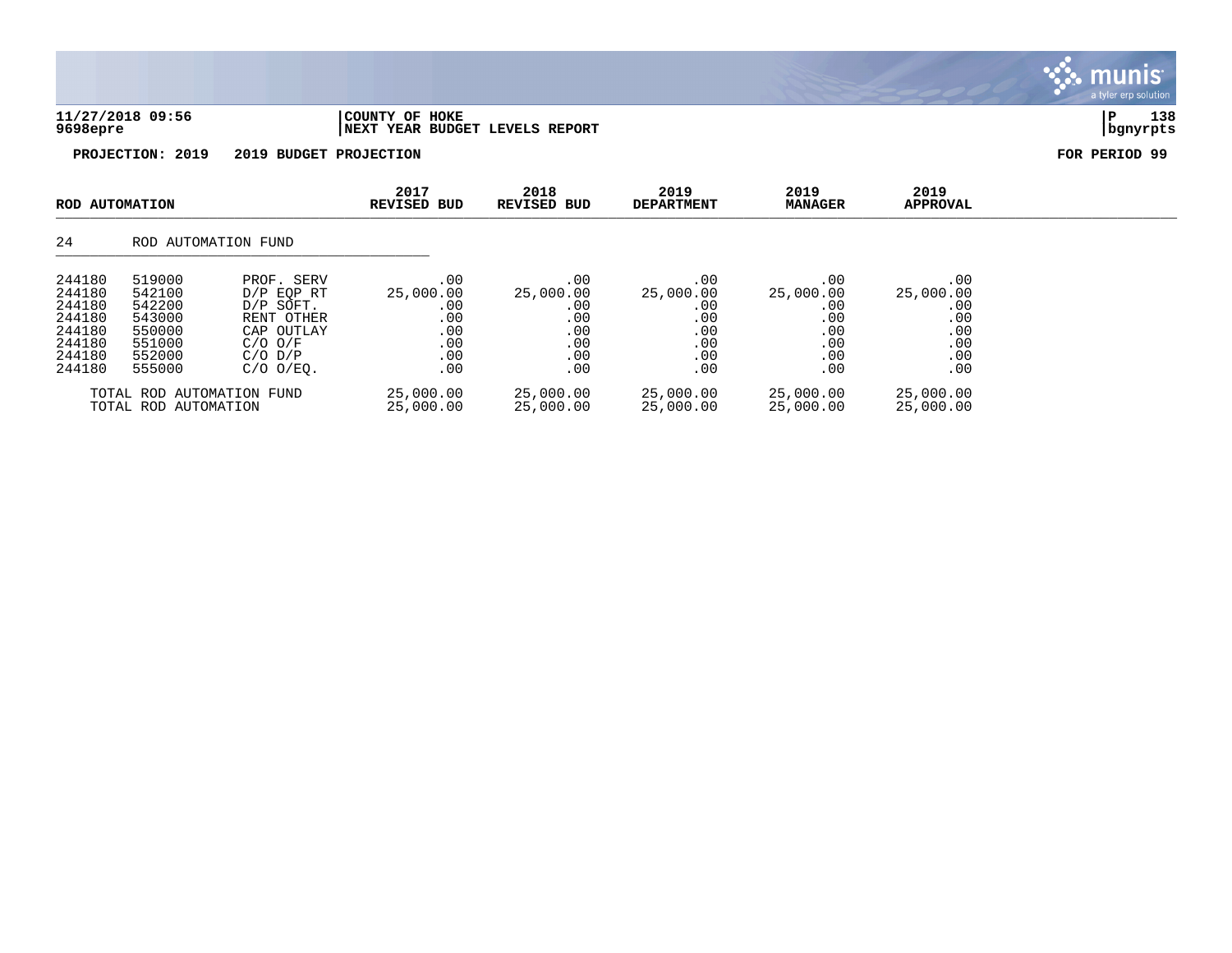| 11/27/2018 09:56<br>9698epre | COUNTY OF HOKE<br><b>INEXT YEAR BUDGET LEVELS REPORT</b> |                            |                           |                        |                         | 138<br>i P<br>  bgnyrpts |
|------------------------------|----------------------------------------------------------|----------------------------|---------------------------|------------------------|-------------------------|--------------------------|
| PROJECTION: 2019             | 2019 BUDGET PROJECTION                                   |                            |                           |                        |                         | FOR PERIOD 99            |
| ROD AUTOMATION               | 2017<br>REVISED BUD                                      | 2018<br><b>REVISED BUD</b> | 2019<br><b>DEPARTMENT</b> | 2019<br><b>MANAGER</b> | 2019<br><b>APPROVAL</b> |                          |

## 24 ROD AUTOMATION FUND

| 244180 | 519000                                            | PROF. SERV     | $.00 \,$               | .00                    | .00                    | .00                    | .00                    |
|--------|---------------------------------------------------|----------------|------------------------|------------------------|------------------------|------------------------|------------------------|
| 244180 | 542100                                            | $D/P$ EOP RT   | 25,000.00              | 25,000.00              | 25,000.00              | 25,000.00              | 25,000.00              |
| 244180 | 542200                                            | D/P SOFT.      | .00                    | $.00 \,$               | .00                    | .00                    | .00                    |
| 244180 | 543000                                            | RENT OTHER     | .00                    | .00                    | .00                    | .00                    | .00                    |
| 244180 | 550000                                            | CAP OUTLAY     | .00                    | .00                    | .00                    | .00                    | .00                    |
| 244180 | 551000                                            | $C/O$ $O/F$    | .00                    | .00                    | .00                    | .00                    | .00                    |
| 244180 | 552000                                            | $C/O$ $D/P$    | $.00 \,$               | .00                    | .00                    | .00                    | .00                    |
| 244180 | 555000                                            | $C/O$ $O/EQ$ . | .00                    | $.00 \,$               | .00                    | .00                    | .00                    |
|        | TOTAL ROD AUTOMATION FUND<br>TOTAL ROD AUTOMATION |                | 25,000.00<br>25,000.00 | 25,000.00<br>25,000.00 | 25,000.00<br>25,000.00 | 25,000.00<br>25,000.00 | 25,000.00<br>25,000.00 |

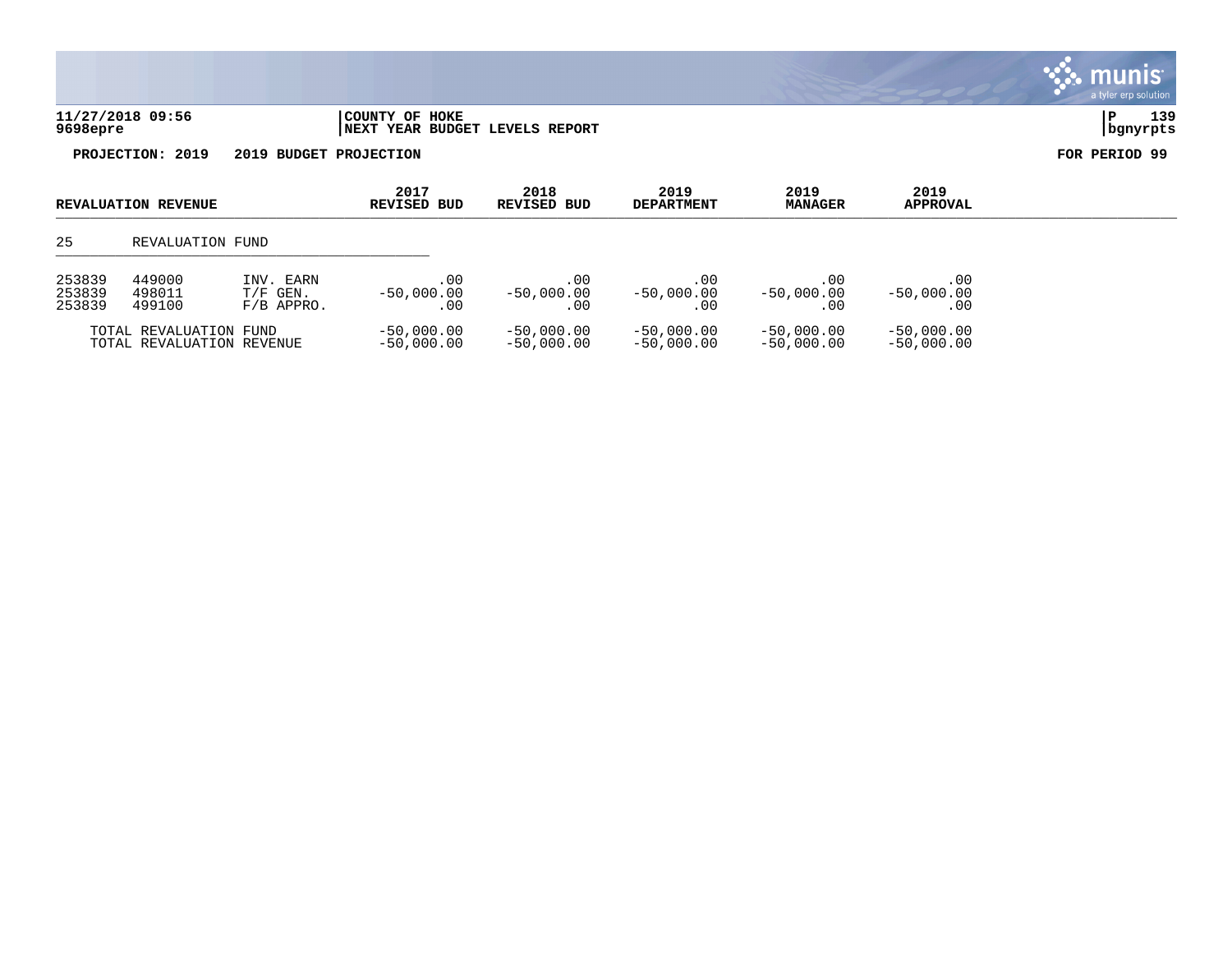| 11/27/2018 09:56 | COUNTY OF HOKE                  |          | 120 |
|------------------|---------------------------------|----------|-----|
| 9698epre         | INEXT YEAR BUDGET LEVELS REPORT | banvrpts |     |

a tyler erp solution

S. munis

| <b>REVALUATION REVENUE</b>                                                                          |                  | 2017<br><b>REVISED BUD</b>   | 2018<br>REVISED BUD          |                              | 2019<br><b>MANAGER</b>       | 2019<br><b>APPROVAL</b>      |  |  |
|-----------------------------------------------------------------------------------------------------|------------------|------------------------------|------------------------------|------------------------------|------------------------------|------------------------------|--|--|
| 25                                                                                                  | REVALUATION FUND |                              |                              |                              |                              |                              |  |  |
| 253839<br>449000<br>INV. EARN<br>253839<br>498011<br>$T/F$ GEN.<br>253839<br>499100<br>$F/B$ APPRO. |                  | .00<br>$-50,000.00$<br>.00   | .00<br>$-50.000.00$<br>.00   | .00<br>$-50,000.00$<br>. 00  | .00.<br>$-50,000.00$<br>. 00 | .00<br>$-50,000.00$<br>. 00  |  |  |
| TOTAL REVALUATION FUND<br>TOTAL REVALUATION REVENUE                                                 |                  | $-50,000.00$<br>$-50,000.00$ | $-50,000.00$<br>$-50,000,00$ | $-50,000.00$<br>$-50.000.00$ | $-50,000.00$<br>$-50.000.00$ | $-50,000.00$<br>$-50,000.00$ |  |  |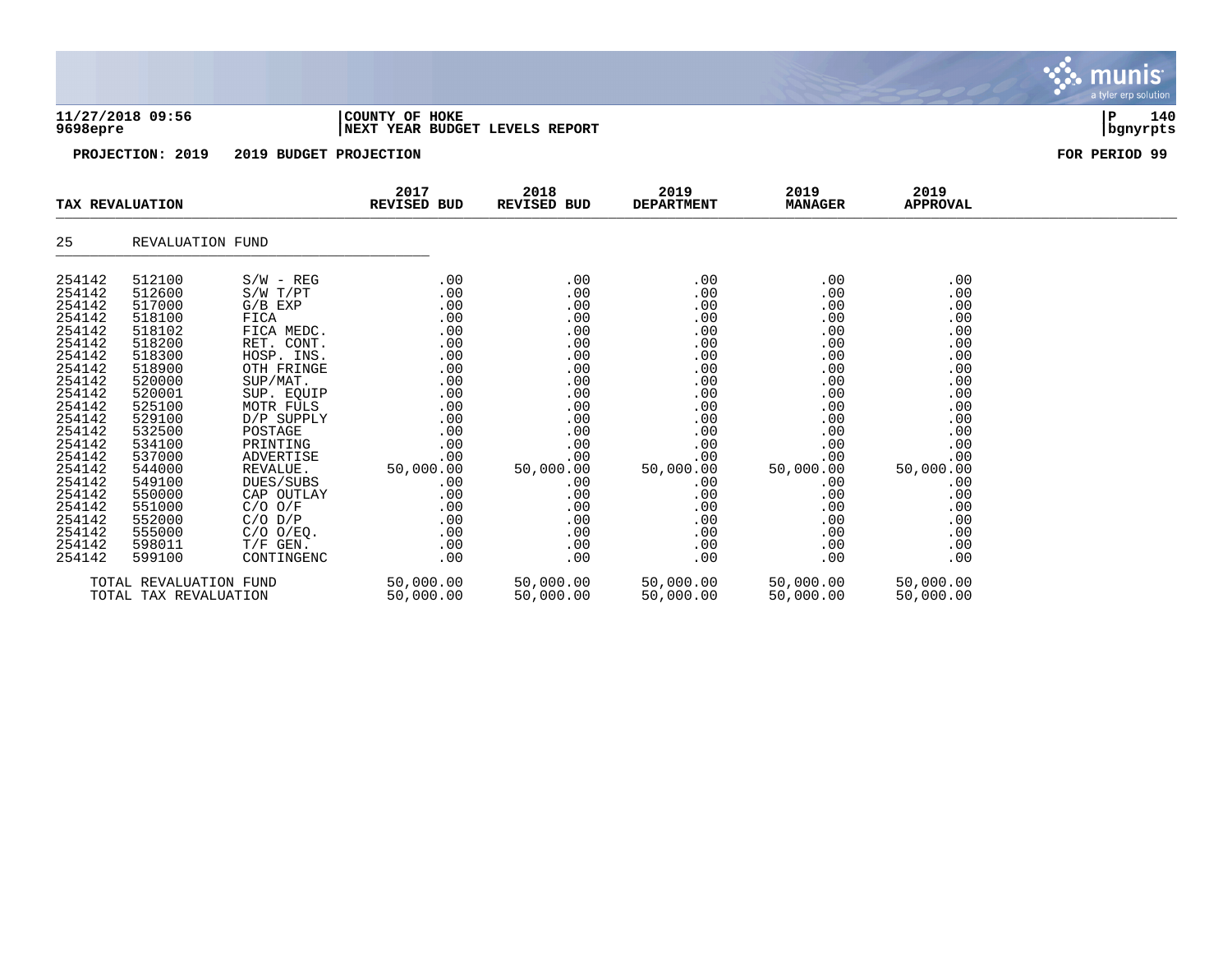| 11/27/2018 09:56<br>9698epre                                                                                                                                                                                                       |                                                                                                                                                                                                                                    |                                                                                                                                                                                                                                                                                                                    | COUNTY OF HOKE<br>NEXT YEAR BUDGET LEVELS REPORT                                |                                                                                                                                                                     |                                                                                                                                                                     |                                                                                                                                                                     |                                                                                                                                                                     | 140<br>P<br>  bgnyrpts |
|------------------------------------------------------------------------------------------------------------------------------------------------------------------------------------------------------------------------------------|------------------------------------------------------------------------------------------------------------------------------------------------------------------------------------------------------------------------------------|--------------------------------------------------------------------------------------------------------------------------------------------------------------------------------------------------------------------------------------------------------------------------------------------------------------------|---------------------------------------------------------------------------------|---------------------------------------------------------------------------------------------------------------------------------------------------------------------|---------------------------------------------------------------------------------------------------------------------------------------------------------------------|---------------------------------------------------------------------------------------------------------------------------------------------------------------------|---------------------------------------------------------------------------------------------------------------------------------------------------------------------|------------------------|
|                                                                                                                                                                                                                                    | PROJECTION: 2019                                                                                                                                                                                                                   |                                                                                                                                                                                                                                                                                                                    | 2019 BUDGET PROJECTION                                                          |                                                                                                                                                                     |                                                                                                                                                                     |                                                                                                                                                                     |                                                                                                                                                                     | FOR PERIOD 99          |
|                                                                                                                                                                                                                                    | TAX REVALUATION                                                                                                                                                                                                                    |                                                                                                                                                                                                                                                                                                                    | 2017<br><b>REVISED BUD</b>                                                      | 2018<br>REVISED BUD                                                                                                                                                 | 2019<br><b>DEPARTMENT</b>                                                                                                                                           | 2019<br><b>MANAGER</b>                                                                                                                                              | 2019<br><b>APPROVAL</b>                                                                                                                                             |                        |
| 25                                                                                                                                                                                                                                 | REVALUATION FUND                                                                                                                                                                                                                   |                                                                                                                                                                                                                                                                                                                    |                                                                                 |                                                                                                                                                                     |                                                                                                                                                                     |                                                                                                                                                                     |                                                                                                                                                                     |                        |
| 254142<br>254142<br>254142<br>254142<br>254142<br>254142<br>254142<br>254142<br>254142<br>254142<br>254142<br>254142<br>254142<br>254142<br>254142<br>254142<br>254142<br>254142<br>254142<br>254142<br>254142<br>254142<br>254142 | 512100<br>512600<br>517000<br>518100<br>518102<br>518200<br>518300<br>518900<br>520000<br>520001<br>525100<br>529100<br>532500<br>534100<br>537000<br>544000<br>549100<br>550000<br>551000<br>552000<br>555000<br>598011<br>599100 | $S/W - REG$<br>S/W T/PT<br>$G/B$ $EXP$<br>FICA<br>FICA MEDC.<br>RET. CONT.<br>HOSP. INS.<br>OTH FRINGE<br>SUP/MAT.<br>SUP. EQUIP<br>MOTR FULS<br>D/P SUPPLY<br>POSTAGE<br>PRINTING<br>ADVERTISE<br>REVALUE.<br>DUES/SUBS<br>CAP OUTLAY<br>$C/O$ $O/F$<br>$C/O$ $D/P$<br>$C/O$ $O/EQ$ .<br>$T/F$ GEN.<br>CONTINGENC | .00<br>.00<br>.00<br>50,000.00<br>.00<br>.00<br>.00<br>.00<br>.00<br>.00<br>.00 | .00<br>.00<br>.00<br>.00<br>.00<br>.00<br>.00<br>.00<br>.00<br>.00<br>.00<br>.00<br>.00<br>.00<br>00.<br>50,000.00<br>.00<br>.00<br>.00<br>.00<br>.00<br>.00<br>.00 | .00<br>.00<br>.00<br>.00<br>.00<br>.00<br>.00<br>.00<br>.00<br>.00<br>.00<br>.00<br>.00<br>.00<br>.00<br>50,000.00<br>.00<br>.00<br>.00<br>.00<br>.00<br>.00<br>.00 | .00<br>.00<br>.00<br>.00<br>.00<br>.00<br>.00<br>.00<br>.00<br>.00<br>.00<br>.00<br>.00<br>.00<br>.00<br>50,000.00<br>.00<br>.00<br>.00<br>.00<br>.00<br>.00<br>.00 | .00<br>.00<br>.00<br>.00<br>.00<br>.00<br>.00<br>.00<br>.00<br>.00<br>.00<br>.00<br>.00<br>.00<br>.00<br>50,000.00<br>.00<br>.00<br>.00<br>.00<br>.00<br>.00<br>.00 |                        |
|                                                                                                                                                                                                                                    | TOTAL REVALUATION FUND                                                                                                                                                                                                             |                                                                                                                                                                                                                                                                                                                    | 50,000.00                                                                       | 50,000.00                                                                                                                                                           | 50,000.00                                                                                                                                                           | 50,000.00                                                                                                                                                           | 50,000.00                                                                                                                                                           |                        |

**∵∴** munis

a tyler erp solution

TOTAL TAX REVALUATION 50,000.00 50,000.00 50,000.00 50,000.00 50,000.00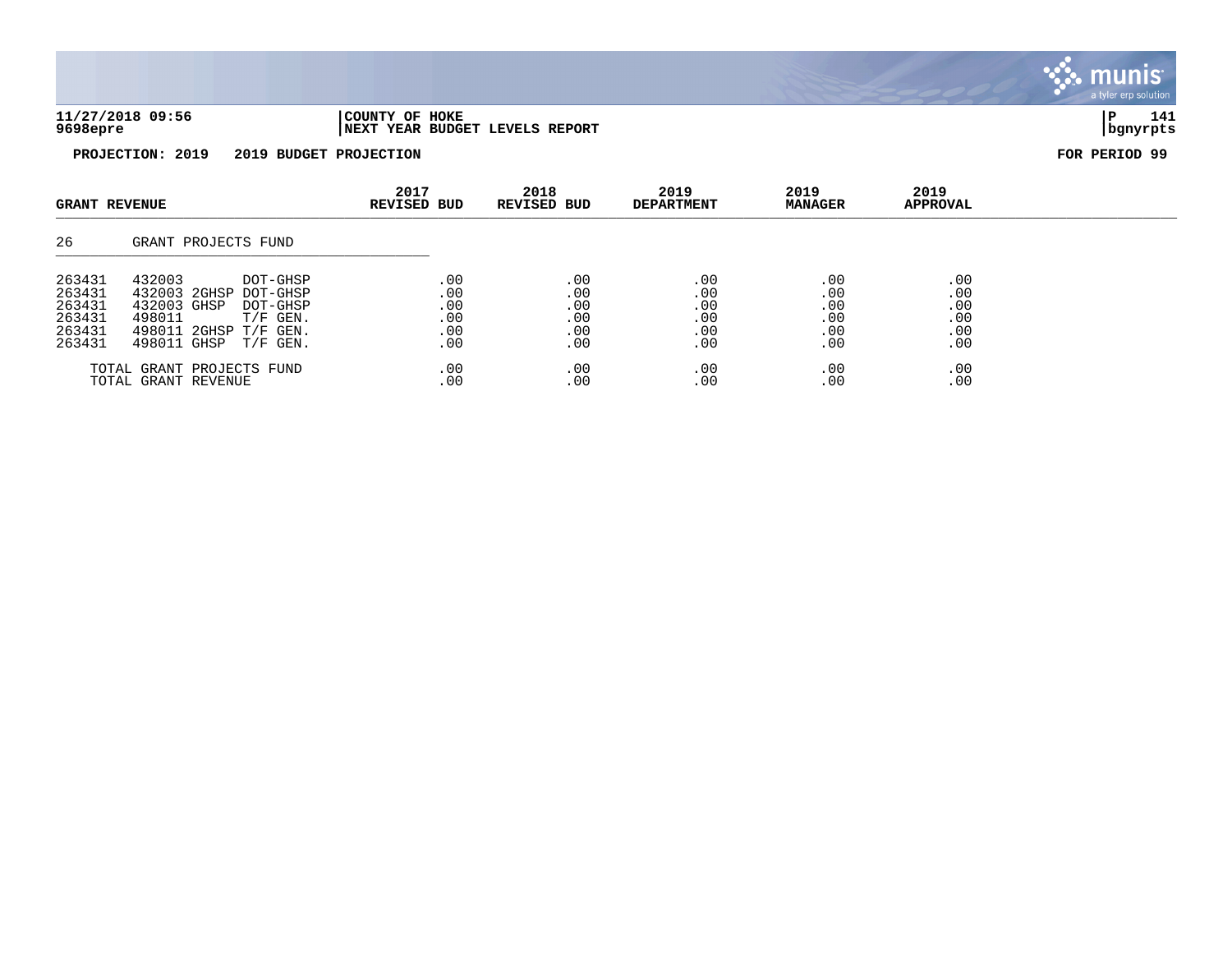| 09:56<br>72018<br>HOKE<br>127<br>OF<br>COUNTY<br>9698epre<br><b>REPORT</b><br><b>BUDGET</b><br>YEAR<br>LEVELS<br>, NEXT<br>$mrrm$ r $\sim$ |  |  |     |
|--------------------------------------------------------------------------------------------------------------------------------------------|--|--|-----|
|                                                                                                                                            |  |  | 141 |

| <b>GRANT REVENUE</b>                                     |                                                                                                                                                              | 2017<br><b>REVISED BUD</b>             | 2018<br><b>REVISED BUD</b>                  | 2019<br><b>DEPARTMENT</b>              | 2019<br><b>MANAGER</b>                 | 2019<br><b>APPROVAL</b>                |  |
|----------------------------------------------------------|--------------------------------------------------------------------------------------------------------------------------------------------------------------|----------------------------------------|---------------------------------------------|----------------------------------------|----------------------------------------|----------------------------------------|--|
| 26                                                       | GRANT PROJECTS FUND                                                                                                                                          |                                        |                                             |                                        |                                        |                                        |  |
| 263431<br>263431<br>263431<br>263431<br>263431<br>263431 | 432003<br>DOT-GHSP<br>432003 2GHSP<br>DOT-GHSP<br>432003 GHSP<br>DOT-GHSP<br>498011<br>$T/F$ GEN.<br>498011 2GHSP<br>$T/F$ GEN.<br>498011 GHSP<br>$T/F$ GEN. | .00<br>.00<br>.00<br>.00<br>.00<br>.00 | .00<br>$.00 \,$<br>.00<br>.00<br>.00<br>.00 | .00<br>.00<br>.00<br>.00<br>.00<br>.00 | .00<br>.00<br>.00<br>.00<br>.00<br>.00 | .00<br>.00<br>.00<br>.00<br>.00<br>.00 |  |
|                                                          | TOTAL GRANT PROJECTS FUND<br>TOTAL GRANT REVENUE                                                                                                             | .00<br>.00                             | .00<br>.00                                  | .00<br>.00                             | .00<br>.00                             | .00<br>.00                             |  |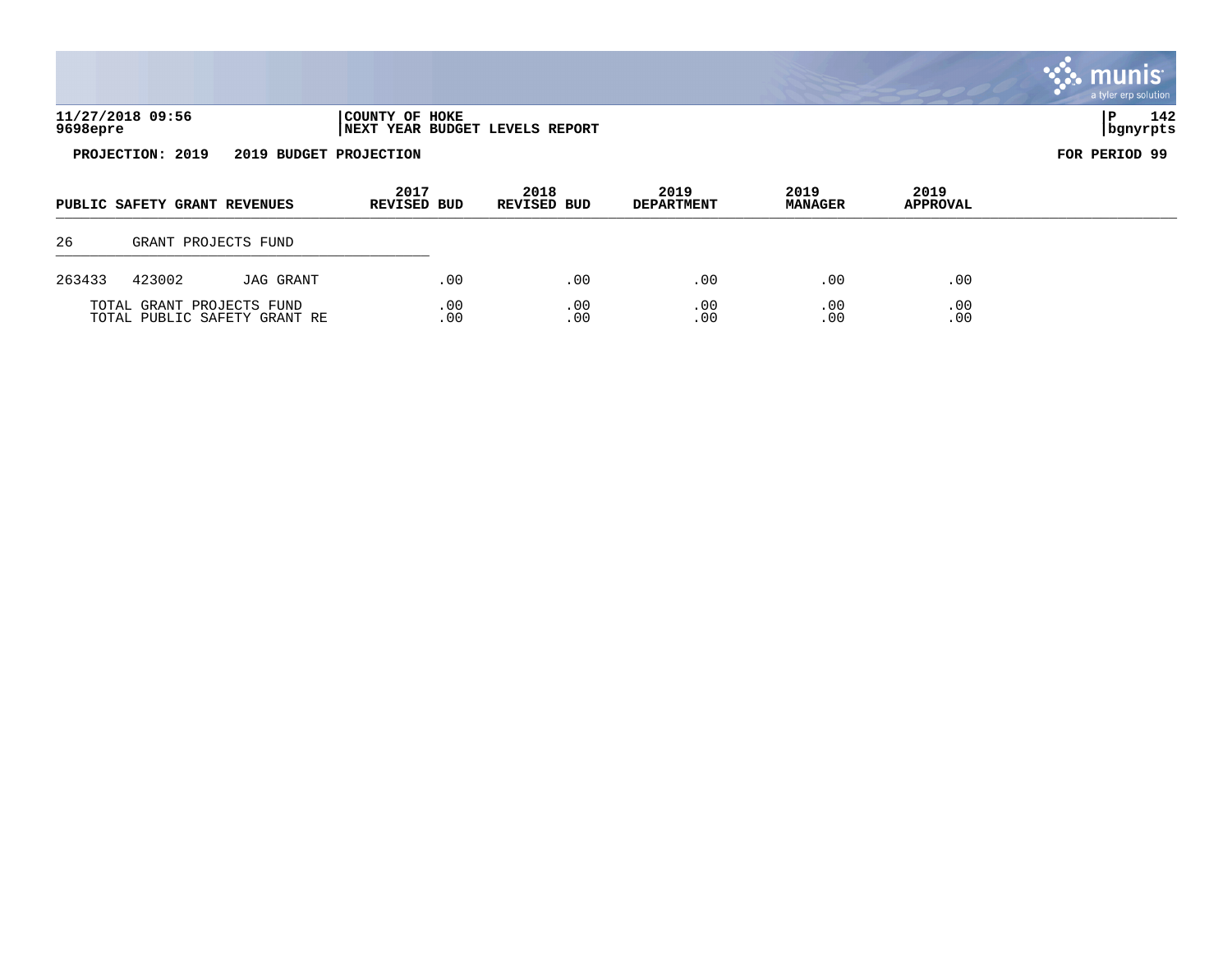|          |                              |                                                           |                            |            |                                |                           |                        |                         | <b>S.S. MUNIS</b><br>a tyler erp solution |
|----------|------------------------------|-----------------------------------------------------------|----------------------------|------------|--------------------------------|---------------------------|------------------------|-------------------------|-------------------------------------------|
| 9698epre | 11/27/2018 09:56             |                                                           | COUNTY OF HOKE             |            | NEXT YEAR BUDGET LEVELS REPORT |                           |                        |                         | 142<br>P<br>bgnyrpts                      |
|          | PROJECTION: 2019             | 2019 BUDGET PROJECTION                                    |                            |            |                                |                           |                        |                         | FOR PERIOD 99                             |
|          | PUBLIC SAFETY GRANT REVENUES |                                                           | 2017<br><b>REVISED BUD</b> |            | 2018<br><b>REVISED BUD</b>     | 2019<br><b>DEPARTMENT</b> | 2019<br><b>MANAGER</b> | 2019<br><b>APPROVAL</b> |                                           |
| 26       |                              | GRANT PROJECTS FUND                                       |                            |            |                                |                           |                        |                         |                                           |
| 263433   | 423002                       | JAG GRANT                                                 |                            | .00        | .00                            | .00                       | .00                    | .00                     |                                           |
|          |                              | TOTAL GRANT PROJECTS FUND<br>TOTAL PUBLIC SAFETY GRANT RE |                            | .00<br>.00 | .00<br>.00                     | .00<br>.00                | .00<br>.00             | .00<br>.00              |                                           |

 $\mathbf{r}$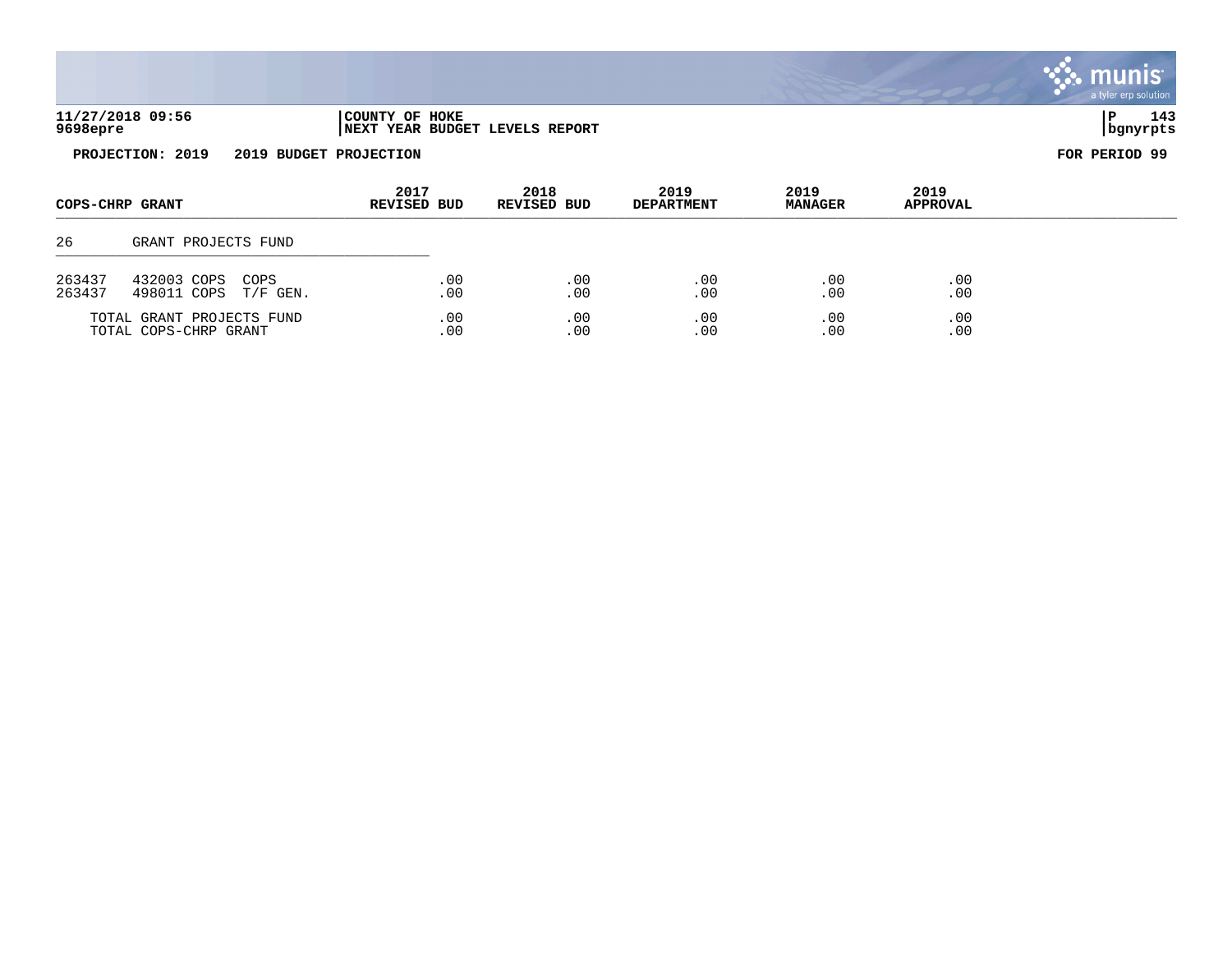|                  |                                                    |                        |            |                                |                           |                        |                         | <b>munist</b><br>a tyler erp solution |
|------------------|----------------------------------------------------|------------------------|------------|--------------------------------|---------------------------|------------------------|-------------------------|---------------------------------------|
| 9698epre         | 11/27/2018 09:56                                   | COUNTY OF HOKE         |            | NEXT YEAR BUDGET LEVELS REPORT |                           |                        |                         | 143<br>P<br>  bgnyrpts                |
|                  | PROJECTION: 2019                                   | 2019 BUDGET PROJECTION |            |                                |                           |                        |                         | FOR PERIOD 99                         |
|                  | COPS-CHRP GRANT                                    | 2017<br>REVISED BUD    |            | 2018<br>REVISED BUD            | 2019<br><b>DEPARTMENT</b> | 2019<br><b>MANAGER</b> | 2019<br><b>APPROVAL</b> |                                       |
| 26               | GRANT PROJECTS FUND                                |                        |            |                                |                           |                        |                         |                                       |
| 263437<br>263437 | 432003 COPS<br>COPS<br>498011 COPS<br>$T/F$ GEN.   |                        | .00<br>.00 | .00<br>.00                     | .00<br>.00                | .00<br>.00             | .00<br>.00              |                                       |
|                  | TOTAL GRANT PROJECTS FUND<br>TOTAL COPS-CHRP GRANT |                        | .00<br>.00 | .00<br>.00                     | .00<br>.00                | .00<br>.00             | .00<br>.00              |                                       |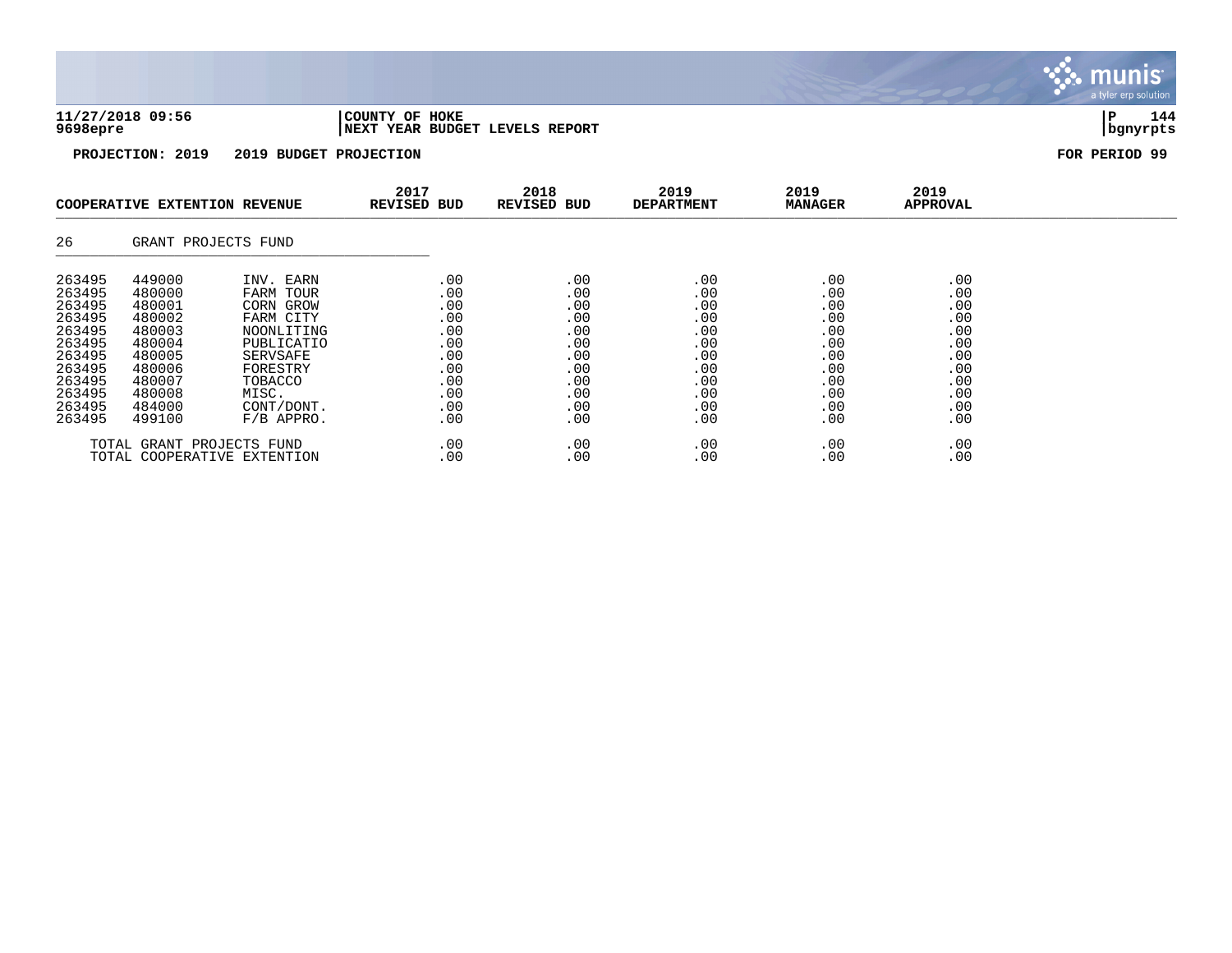| 11/27/2018 09:56 | COUNTY OF HOKE                  |          | 144 |
|------------------|---------------------------------|----------|-----|
| 9698epre         | INEXT YEAR BUDGET LEVELS REPORT | bqnyrpts |     |

|                                                                                                                      | COOPERATIVE EXTENTION REVENUE                                                                                        |                                                                                                                                                        | 2017<br>REVISED BUD                                                              | 2018<br>REVISED BUD                                                              | 2019<br><b>DEPARTMENT</b>                                                        | 2019<br><b>MANAGER</b>                                                           | 2019<br>APPROVAL                                                                 |  |
|----------------------------------------------------------------------------------------------------------------------|----------------------------------------------------------------------------------------------------------------------|--------------------------------------------------------------------------------------------------------------------------------------------------------|----------------------------------------------------------------------------------|----------------------------------------------------------------------------------|----------------------------------------------------------------------------------|----------------------------------------------------------------------------------|----------------------------------------------------------------------------------|--|
| 26                                                                                                                   | GRANT PROJECTS FUND                                                                                                  |                                                                                                                                                        |                                                                                  |                                                                                  |                                                                                  |                                                                                  |                                                                                  |  |
| 263495<br>263495<br>263495<br>263495<br>263495<br>263495<br>263495<br>263495<br>263495<br>263495<br>263495<br>263495 | 449000<br>480000<br>480001<br>480002<br>480003<br>480004<br>480005<br>480006<br>480007<br>480008<br>484000<br>499100 | INV. EARN<br>FARM TOUR<br>CORN GROW<br>FARM CITY<br>NOONLITING<br>PUBLICATIO<br>SERVSAFE<br>FORESTRY<br>TOBACCO<br>MISC.<br>CONT/DONT.<br>$F/B$ APPRO. | .00<br>.00<br>.00<br>.00<br>.00<br>.00<br>.00<br>.00<br>.00<br>.00<br>.00<br>.00 | .00<br>.00<br>.00<br>.00<br>.00<br>.00<br>.00<br>.00<br>.00<br>.00<br>.00<br>.00 | .00<br>.00<br>.00<br>.00<br>.00<br>.00<br>.00<br>.00<br>.00<br>.00<br>.00<br>.00 | .00<br>.00<br>.00<br>.00<br>.00<br>.00<br>.00<br>.00<br>.00<br>.00<br>.00<br>.00 | .00<br>.00<br>.00<br>.00<br>.00<br>.00<br>.00<br>.00<br>.00<br>.00<br>.00<br>.00 |  |
|                                                                                                                      | TOTAL GRANT PROJECTS FUND                                                                                            | TOTAL COOPERATIVE EXTENTION                                                                                                                            | .00<br>.00                                                                       | .00<br>.00                                                                       | .00<br>.00                                                                       | .00<br>.00                                                                       | .00<br>.00                                                                       |  |

munis<sup>.</sup> a tyler erp solution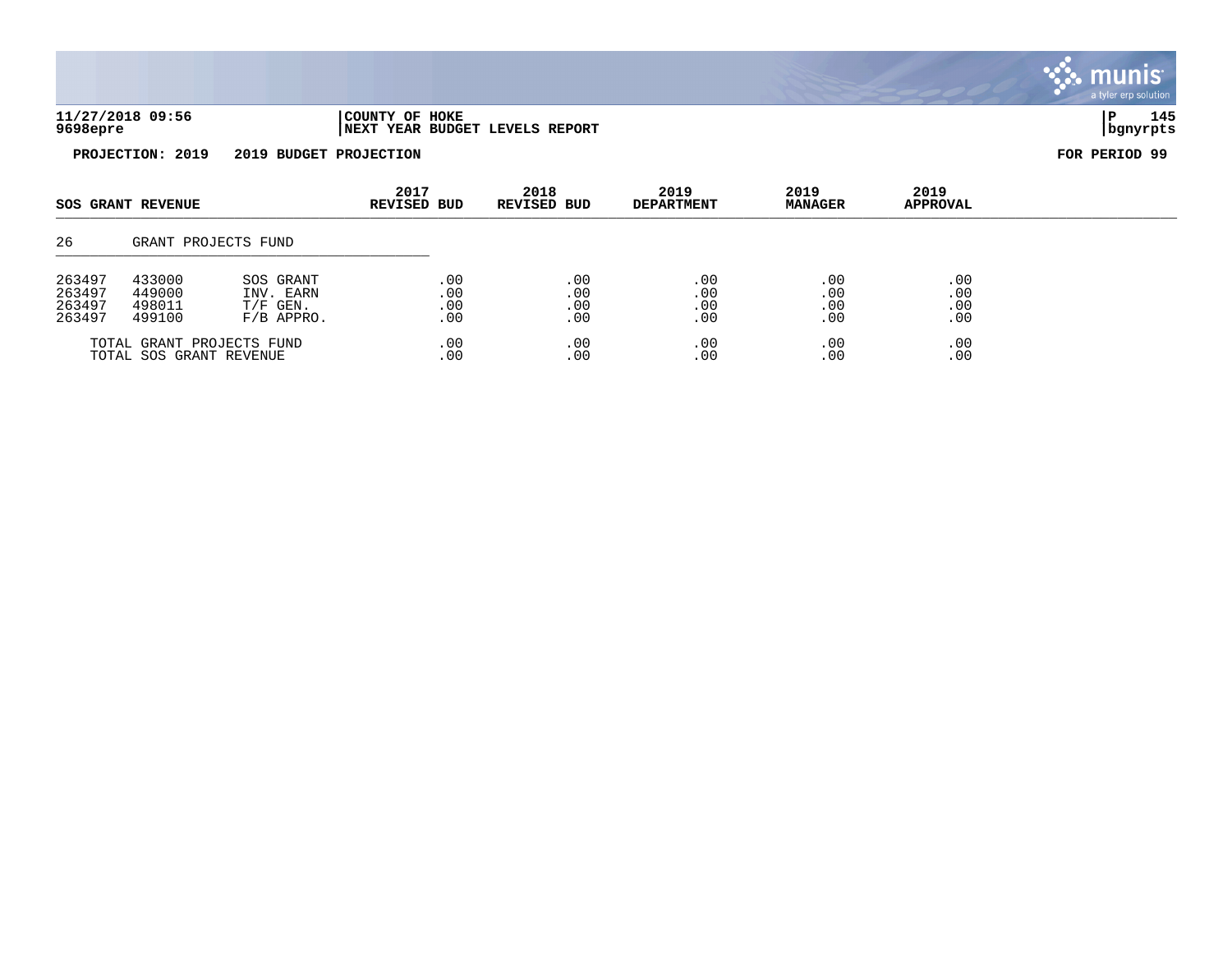|                              |                                                          |      |      |      |      | a tyrch dip solution. |
|------------------------------|----------------------------------------------------------|------|------|------|------|-----------------------|
| 11/27/2018 09:56<br>9698epre | COUNTY OF HOKE<br><b>INEXT YEAR BUDGET LEVELS REPORT</b> |      |      |      |      | 145<br>  bgnyrpts     |
| PROJECTION: 2019             | 2019 BUDGET PROJECTION                                   |      |      |      |      | FOR PERIOD 99         |
|                              | 2017                                                     | 2018 | 2019 | 2019 | 2019 |                       |

|                                      | <b>SOS GRANT REVENUE</b>             |                                                      |                          |                          |                          |                          |                          |  |  |  |  |  |  |  |  |  |  |  |  |  | <b>REVISED BUD</b><br>REVISED BUD |  | <b>DEPARTMENT</b> | <b>MANAGER</b> | <b>APPROVAL</b> |  |
|--------------------------------------|--------------------------------------|------------------------------------------------------|--------------------------|--------------------------|--------------------------|--------------------------|--------------------------|--|--|--|--|--|--|--|--|--|--|--|--|--|-----------------------------------|--|-------------------|----------------|-----------------|--|
| 26                                   |                                      | GRANT PROJECTS FUND                                  |                          |                          |                          |                          |                          |  |  |  |  |  |  |  |  |  |  |  |  |  |                                   |  |                   |                |                 |  |
| 263497<br>263497<br>263497<br>263497 | 433000<br>449000<br>498011<br>499100 | SOS GRANT<br>INV. EARN<br>$T/F$ GEN.<br>$F/B$ APPRO. | .00<br>.00<br>.00<br>.00 | .00<br>.00<br>.00<br>.00 | .00<br>.00<br>.00<br>.00 | .00<br>.00<br>.00<br>.00 | .00<br>.00<br>.00<br>.00 |  |  |  |  |  |  |  |  |  |  |  |  |  |                                   |  |                   |                |                 |  |
|                                      | TOTAL SOS GRANT REVENUE              | TOTAL GRANT PROJECTS FUND                            | .00<br>.00               | .00<br>.00               | .00<br>.00               | .00<br>.00               | .00<br>.00               |  |  |  |  |  |  |  |  |  |  |  |  |  |                                   |  |                   |                |                 |  |

**INIS** 

ler erp solution

mu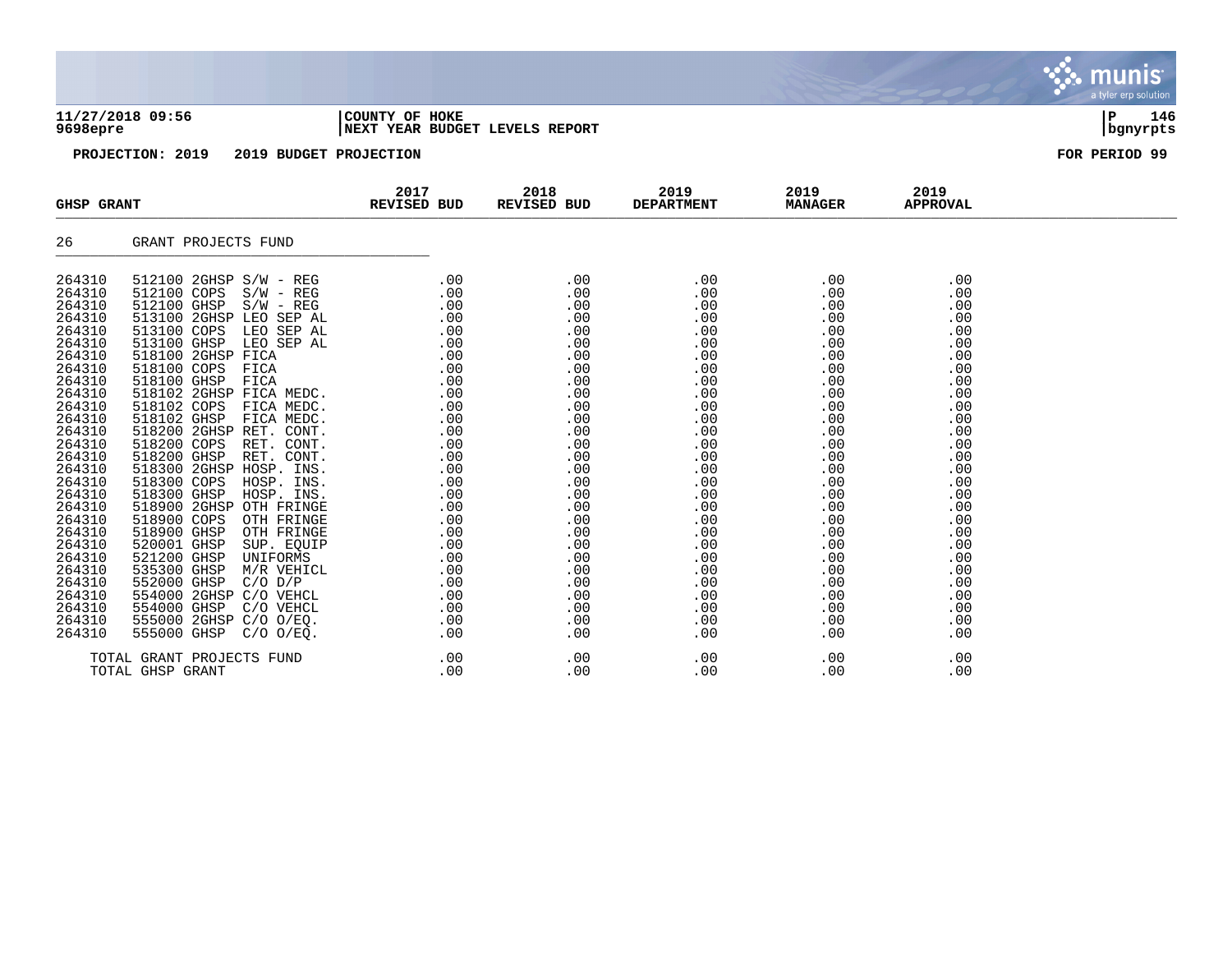## **11/27/2018 09:56 |COUNTY OF HOKE |P 146 9698epre |NEXT YEAR BUDGET LEVELS REPORT |bgnyrpts**

**PROJECTION: 2019 2019 BUDGET PROJECTION FOR PERIOD 99**

| <b>GHSP GRANT</b>                                                                                                                                                                          | REVISED BUD                                                                                                                                                                                                                                                                                                                                                                                                       | 2017          | 2018<br>REVISED BUD | 2019<br><b>DEPARTMENT</b> | 2019<br><b>MANAGER</b>                                                                                                                                                                                                                                                     | 2019<br><b>APPROVAL</b>                                                                                                    |  |
|--------------------------------------------------------------------------------------------------------------------------------------------------------------------------------------------|-------------------------------------------------------------------------------------------------------------------------------------------------------------------------------------------------------------------------------------------------------------------------------------------------------------------------------------------------------------------------------------------------------------------|---------------|---------------------|---------------------------|----------------------------------------------------------------------------------------------------------------------------------------------------------------------------------------------------------------------------------------------------------------------------|----------------------------------------------------------------------------------------------------------------------------|--|
| 26                                                                                                                                                                                         | GRANT PROJECTS FUND                                                                                                                                                                                                                                                                                                                                                                                               |               |                     |                           |                                                                                                                                                                                                                                                                            |                                                                                                                            |  |
| 264310<br>264310<br>264310<br>264310<br>264310<br>264310<br>264310<br>264310<br>264310<br>264310<br>264310<br>264310<br>264310<br>264310<br>264310<br>264310<br>264310<br>264310<br>264310 | $[12100 2\text{GHz} \, \text{S/W} - \text{REG} \, \color{red}{000} \, \color{red}{000} \, \color{red}{000} \, \color{red}{000} \, \color{red}{000} \, \color{red}{000} \, \color{red}{000} \, \color{red}{000} \, \color{red}{000} \, \color{red}{000} \, \color{red}{000} \, \color{red}{000} \, \color{red}{000} \, \color{red}{000} \, \color{red}{000} \, \color{red}{000} \, \color{red}{000} \, \color{red$ |               |                     |                           | .00<br>$\begin{array}{r} 0.00 \ 0.00 \ 0.00 \ 0.00 \ 0.00 \ 0.00 \ 0.00 \ 0.00 \ 0.00 \ 0.00 \ 0.00 \ 0.00 \ 0.00 \ 0.00 \ 0.00 \ 0.00 \ 0.00 \ 0.00 \ 0.00 \ 0.00 \ 0.00 \ 0.00 \ 0.00 \ 0.00 \ 0.00 \ 0.00 \ 0.00 \ 0.00 \ 0.00 \ 0.00 \ 0.00 \ 0.00 \ 0.00 \end{array}$ | .00<br>.00<br>.00<br>.00<br>.00<br>.00<br>.00<br>.00<br>.00<br>.00<br>.00<br>.00<br>.00<br>.00<br>.00<br>.00<br>.00<br>.00 |  |
| 264310<br>264310<br>264310<br>264310<br>264310<br>264310<br>264310<br>264310<br>264310<br>264310                                                                                           |                                                                                                                                                                                                                                                                                                                                                                                                                   |               |                     |                           |                                                                                                                                                                                                                                                                            | .00<br>.00<br>.00<br>.00<br>.00<br>.00<br>.00<br>.00<br>.00<br>.00<br>.00                                                  |  |
|                                                                                                                                                                                            | TOTAL GRANT PROJECTS FUND<br>TOTAL GHSP GRANT                                                                                                                                                                                                                                                                                                                                                                     | TS FUND $.00$ | .00<br>.00          | .00<br>.00                | .00<br>.00                                                                                                                                                                                                                                                                 | .00<br>.00                                                                                                                 |  |

munis a tyler erp solution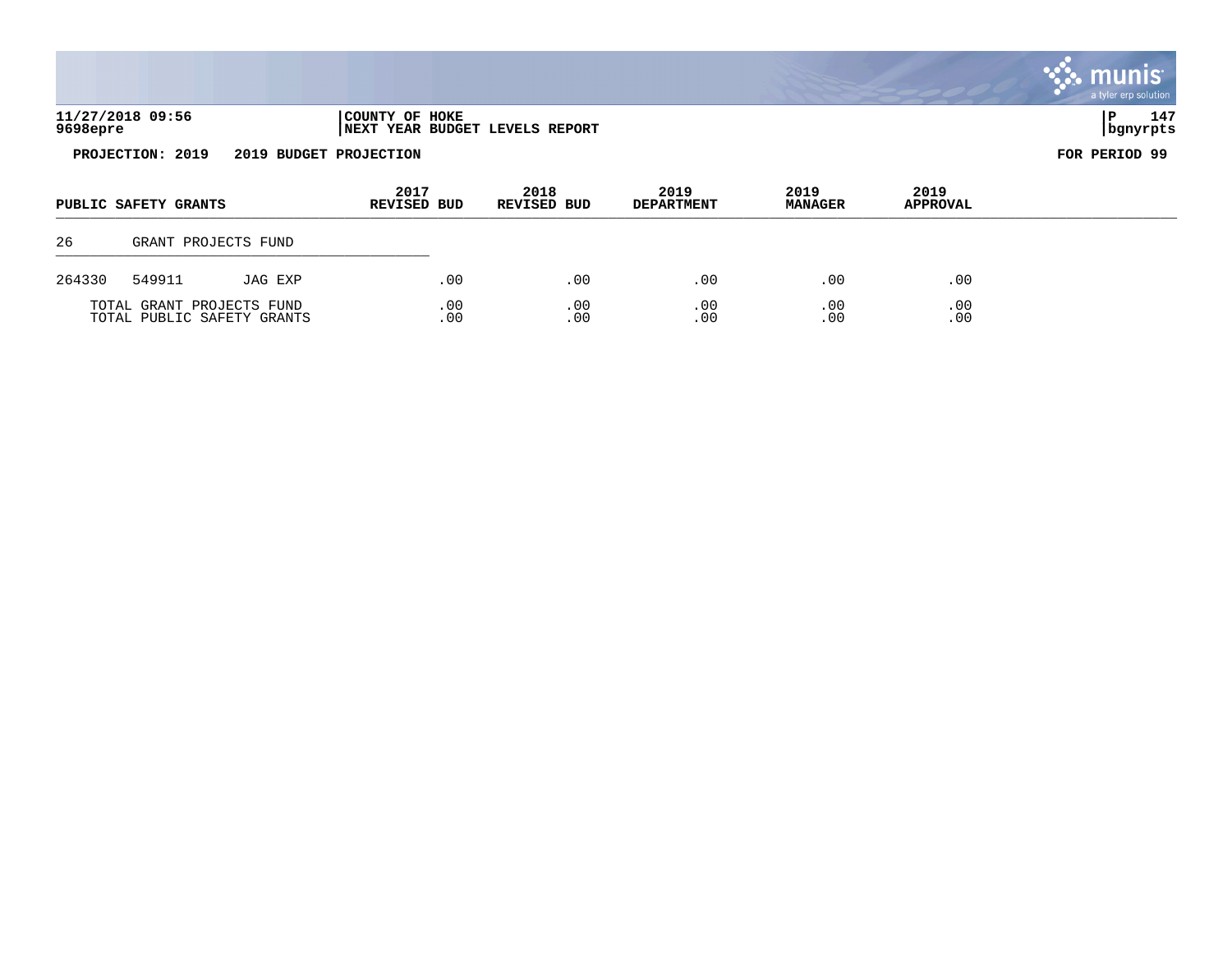|          |                      |                     |                            |                                |                           |                        |                         | <b>Communistration</b><br>a tyler erp solution |
|----------|----------------------|---------------------|----------------------------|--------------------------------|---------------------------|------------------------|-------------------------|------------------------------------------------|
| 9698epre | 11/27/2018 09:56     |                     | COUNTY OF HOKE             | NEXT YEAR BUDGET LEVELS REPORT |                           |                        |                         | 147<br>P<br>  bgnyrpts                         |
|          | PROJECTION: 2019     |                     | 2019 BUDGET PROJECTION     |                                |                           |                        |                         | FOR PERIOD 99                                  |
|          | PUBLIC SAFETY GRANTS |                     | 2017<br><b>REVISED BUD</b> | 2018<br><b>REVISED BUD</b>     | 2019<br><b>DEPARTMENT</b> | 2019<br><b>MANAGER</b> | 2019<br><b>APPROVAL</b> |                                                |
| 26       |                      | GRANT PROJECTS FUND |                            |                                |                           |                        |                         |                                                |
| 264330   | 549911               | JAG EXP             | .00                        | .00                            | .00                       | .00                    | .00                     |                                                |

 $\mathcal{L}$ 

TOTAL GRANT PROJECTS FUND .00 .00 .00 .00 .00 .00 .00 .00 TOTAL PUBLIC SAFETY GRANTS .00 .00 .00 .00 .00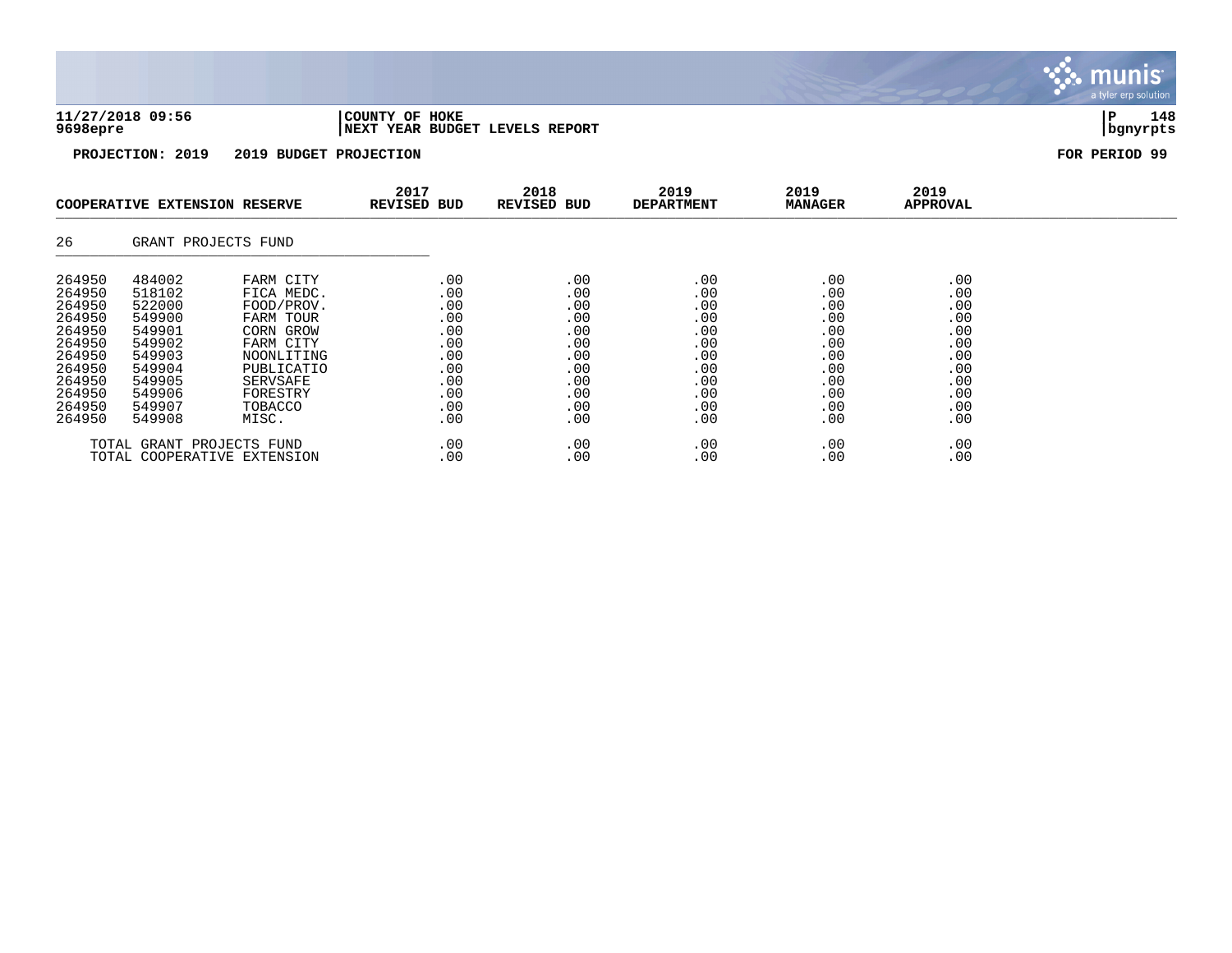| 11/27/2018 09:56 | 'COUNTY OF HOKE                 |          | <b>L48</b> |
|------------------|---------------------------------|----------|------------|
| 9698epre         | INEXT YEAR BUDGET LEVELS REPORT | banvrpts |            |

**PROJECTION: 2019 2019 BUDGET PROJECTION FOR PERIOD 99**

|                                                                                                                      | COOPERATIVE EXTENSION RESERVE                                                                                        |                                                                                                                                                             | 2017<br>REVISED BUD                                                              | 2018<br>REVISED BUD                                                              | 2019<br><b>DEPARTMENT</b>                                                        | 2019<br><b>MANAGER</b>                                                           | 2019<br>APPROVAL                                                                 |  |
|----------------------------------------------------------------------------------------------------------------------|----------------------------------------------------------------------------------------------------------------------|-------------------------------------------------------------------------------------------------------------------------------------------------------------|----------------------------------------------------------------------------------|----------------------------------------------------------------------------------|----------------------------------------------------------------------------------|----------------------------------------------------------------------------------|----------------------------------------------------------------------------------|--|
| 26                                                                                                                   | GRANT PROJECTS FUND                                                                                                  |                                                                                                                                                             |                                                                                  |                                                                                  |                                                                                  |                                                                                  |                                                                                  |  |
| 264950<br>264950<br>264950<br>264950<br>264950<br>264950<br>264950<br>264950<br>264950<br>264950<br>264950<br>264950 | 484002<br>518102<br>522000<br>549900<br>549901<br>549902<br>549903<br>549904<br>549905<br>549906<br>549907<br>549908 | FARM CITY<br>FICA MEDC.<br>FOOD/PROV.<br>FARM TOUR<br>CORN GROW<br>FARM CITY<br>NOONLITING<br>PUBLICATIO<br>SERVSAFE<br>FORESTRY<br><b>TOBACCO</b><br>MISC. | .00<br>.00<br>.00<br>.00<br>.00<br>.00<br>.00<br>.00<br>.00<br>.00<br>.00<br>.00 | .00<br>.00<br>.00<br>.00<br>.00<br>.00<br>.00<br>.00<br>.00<br>.00<br>.00<br>.00 | .00<br>.00<br>.00<br>.00<br>.00<br>.00<br>.00<br>.00<br>.00<br>.00<br>.00<br>.00 | .00<br>.00<br>.00<br>.00<br>.00<br>.00<br>.00<br>.00<br>.00<br>.00<br>.00<br>.00 | .00<br>.00<br>.00<br>.00<br>.00<br>.00<br>.00<br>.00<br>.00<br>.00<br>.00<br>.00 |  |
|                                                                                                                      | TOTAL GRANT PROJECTS FUND                                                                                            | TOTAL COOPERATIVE EXTENSION                                                                                                                                 | .00<br>.00                                                                       | .00<br>.00                                                                       | .00<br>.00                                                                       | .00<br>.00                                                                       | .00<br>.00                                                                       |  |

 $\ddot{\cdot}$ munis<sup>.</sup> a tyler erp solution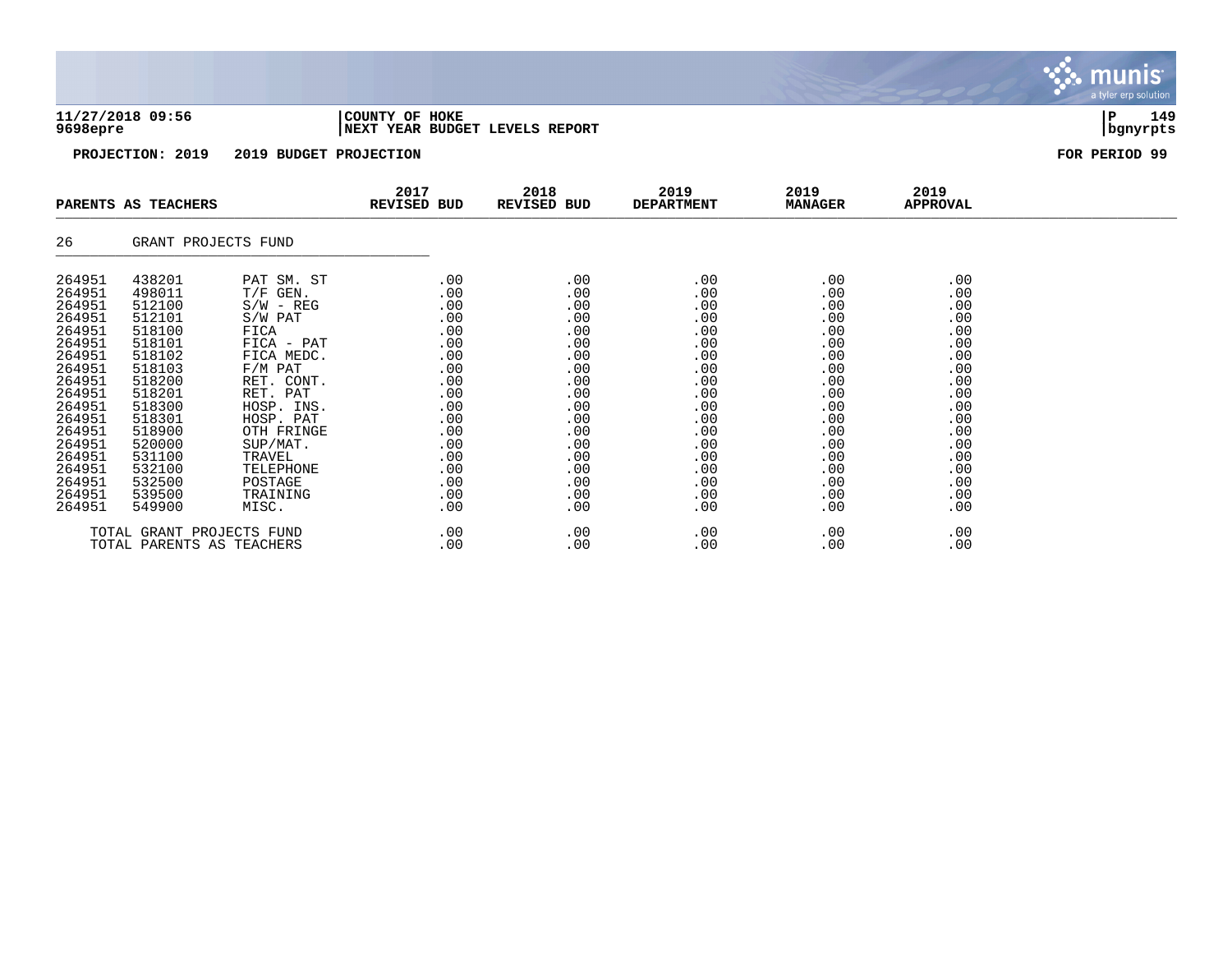|  |  | 11/27/2018 09:56 |  |  |
|--|--|------------------|--|--|
|  |  | $0608$ anra      |  |  |

## **11/27/2018 09:56 |COUNTY OF HOKE |P 149 9698epre |NEXT YEAR BUDGET LEVELS REPORT |bgnyrpts**

**PROJECTION: 2019 2019 BUDGET PROJECTION FOR PERIOD 99**

| PARENTS AS TEACHERS                                                                                                                                                              |                                                                                                                                                                                  | 2017<br>REVISED BUD                                                                                                                                                                                                            | 2018<br>REVISED BUD                                                                                                                                 | 2019<br><b>DEPARTMENT</b>                                                                                                  | 2019<br><b>MANAGER</b>                                                                                                                    | 2019<br>APPROVAL                                                                                                           |                                                                                                                            |  |
|----------------------------------------------------------------------------------------------------------------------------------------------------------------------------------|----------------------------------------------------------------------------------------------------------------------------------------------------------------------------------|--------------------------------------------------------------------------------------------------------------------------------------------------------------------------------------------------------------------------------|-----------------------------------------------------------------------------------------------------------------------------------------------------|----------------------------------------------------------------------------------------------------------------------------|-------------------------------------------------------------------------------------------------------------------------------------------|----------------------------------------------------------------------------------------------------------------------------|----------------------------------------------------------------------------------------------------------------------------|--|
| 26                                                                                                                                                                               | GRANT PROJECTS FUND                                                                                                                                                              |                                                                                                                                                                                                                                |                                                                                                                                                     |                                                                                                                            |                                                                                                                                           |                                                                                                                            |                                                                                                                            |  |
| 264951<br>264951<br>264951<br>264951<br>264951<br>264951<br>264951<br>264951<br>264951<br>264951<br>264951<br>264951<br>264951<br>264951<br>264951<br>264951<br>264951<br>264951 | 438201<br>498011<br>512100<br>512101<br>518100<br>518101<br>518102<br>518103<br>518200<br>518201<br>518300<br>518301<br>518900<br>520000<br>531100<br>532100<br>532500<br>539500 | PAT SM. ST<br>$T/F$ GEN.<br>$S/W - REG$<br>S/W PAT<br>FICA<br>FICA - PAT<br>FICA MEDC.<br>F/M PAT<br>RET. CONT.<br>RET. PAT<br>HOSP. INS.<br>HOSP. PAT<br>OTH FRINGE<br>SUP/MAT.<br>TRAVEL<br>TELEPHONE<br>POSTAGE<br>TRAINING | .00<br>$.00 \,$<br>$.00 \,$<br>.00<br>.00<br>.00<br>.00<br>.00<br>$.00 \,$<br>.00<br>.00<br>.00<br>.00<br>.00<br>.00<br>$.00 \,$<br>.00<br>$.00 \,$ | .00<br>.00<br>.00<br>.00<br>.00<br>.00<br>.00<br>.00<br>.00<br>.00<br>.00<br>.00<br>.00<br>.00<br>.00<br>.00<br>.00<br>.00 | .00<br>$.00 \,$<br>$.00 \,$<br>.00<br>.00<br>.00<br>.00<br>.00<br>.00<br>.00<br>.00<br>.00<br>.00<br>.00<br>.00<br>.00<br>.00<br>$.00 \,$ | .00<br>.00<br>.00<br>.00<br>.00<br>.00<br>.00<br>.00<br>.00<br>.00<br>.00<br>.00<br>.00<br>.00<br>.00<br>.00<br>.00<br>.00 | .00<br>.00<br>.00<br>.00<br>.00<br>.00<br>.00<br>.00<br>.00<br>.00<br>.00<br>.00<br>.00<br>.00<br>.00<br>.00<br>.00<br>.00 |  |
| 264951                                                                                                                                                                           | 549900                                                                                                                                                                           | MISC.<br>TOTAL GRANT PROJECTS FUND<br>TOTAL PARENTS AS TEACHERS                                                                                                                                                                | .00<br>.00<br>.00                                                                                                                                   | .00<br>.00<br>.00                                                                                                          | .00<br>.00<br>.00                                                                                                                         | .00<br>.00<br>.00                                                                                                          | .00<br>.00<br>.00                                                                                                          |  |

munis<sup>.</sup> a tyler erp solution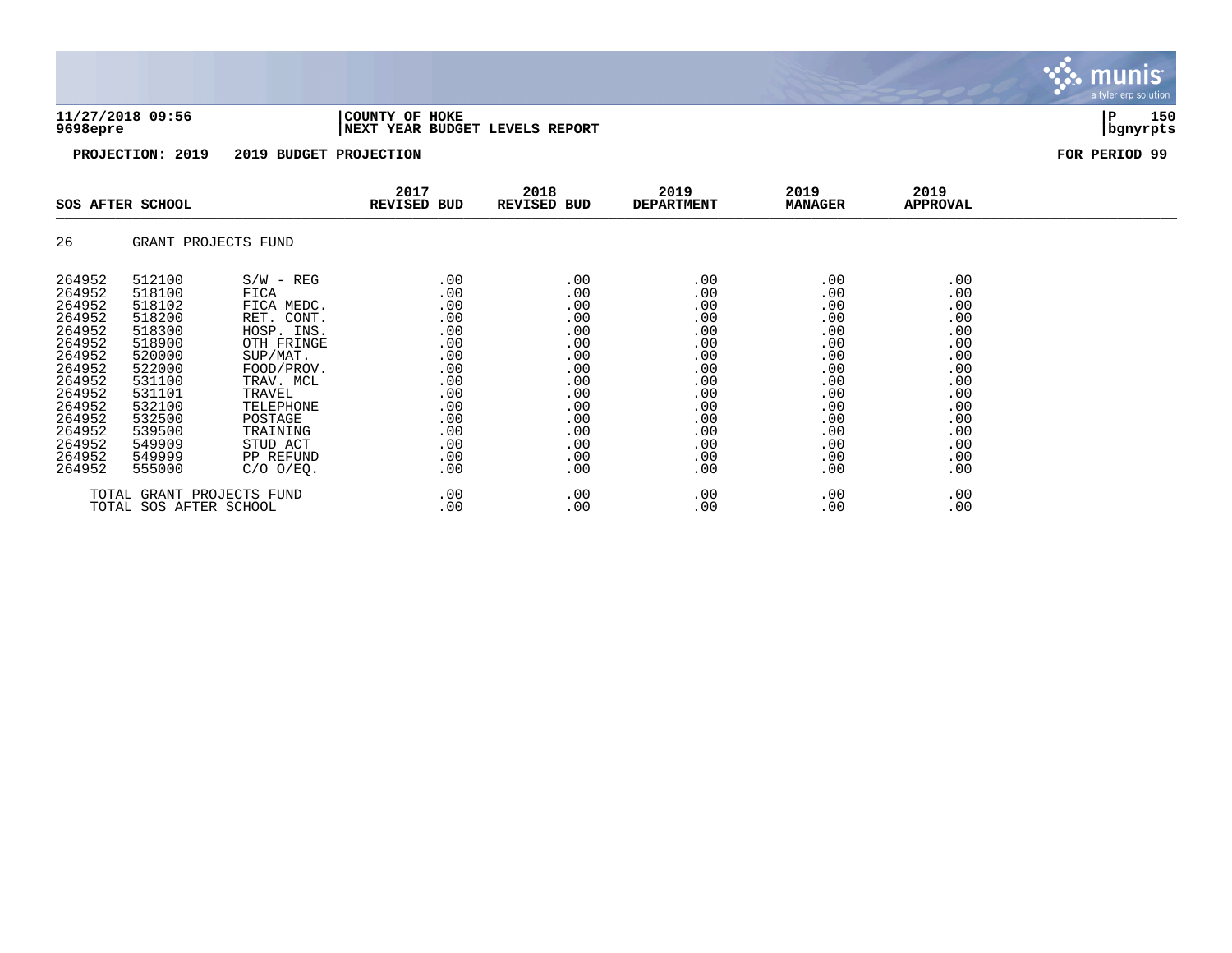## **11/27/2018 09:56 |COUNTY OF HOKE |P 150 9698epre |NEXT YEAR BUDGET LEVELS REPORT |bgnyrpts**

**PROJECTION: 2019 2019 BUDGET PROJECTION FOR PERIOD 99**

|                                                                                                                                                              | SOS AFTER SCHOOL                                                                                                                                             |                                                                                                                                                                                                             | 2017<br><b>REVISED BUD</b>                                                                                   | 2018<br>REVISED BUD                                                                                          | 2019<br><b>DEPARTMENT</b>                                                                                         | 2019<br><b>MANAGER</b>                                                                                       | 2019<br>APPROVAL                                                                                             |  |
|--------------------------------------------------------------------------------------------------------------------------------------------------------------|--------------------------------------------------------------------------------------------------------------------------------------------------------------|-------------------------------------------------------------------------------------------------------------------------------------------------------------------------------------------------------------|--------------------------------------------------------------------------------------------------------------|--------------------------------------------------------------------------------------------------------------|-------------------------------------------------------------------------------------------------------------------|--------------------------------------------------------------------------------------------------------------|--------------------------------------------------------------------------------------------------------------|--|
| 26                                                                                                                                                           | GRANT PROJECTS FUND                                                                                                                                          |                                                                                                                                                                                                             |                                                                                                              |                                                                                                              |                                                                                                                   |                                                                                                              |                                                                                                              |  |
| 264952<br>264952<br>264952<br>264952<br>264952<br>264952<br>264952<br>264952<br>264952<br>264952<br>264952<br>264952<br>264952<br>264952<br>264952<br>264952 | 512100<br>518100<br>518102<br>518200<br>518300<br>518900<br>520000<br>522000<br>531100<br>531101<br>532100<br>532500<br>539500<br>549909<br>549999<br>555000 | $S/W - REG$<br>FICA<br>FICA MEDC.<br>RET. CONT.<br>HOSP. INS.<br>OTH FRINGE<br>SUP/MAT.<br>FOOD/PROV.<br>TRAV. MCL<br>TRAVEL<br>TELEPHONE<br>POSTAGE<br>TRAINING<br>STUD ACT<br>PP REFUND<br>$C/O$ $O/EO$ . | .00<br>.00<br>.00<br>.00<br>.00<br>.00<br>.00<br>.00<br>.00<br>.00<br>.00<br>.00<br>.00<br>.00<br>.00<br>.00 | .00<br>.00<br>.00<br>.00<br>.00<br>.00<br>.00<br>.00<br>.00<br>.00<br>.00<br>.00<br>.00<br>.00<br>.00<br>.00 | .00<br>.00<br>.00<br>.00<br>.00<br>.00<br>.00<br>.00<br>.00<br>.00<br>.00<br>.00<br>.00<br>.00<br>.00<br>$.00 \,$ | .00<br>.00<br>.00<br>.00<br>.00<br>.00<br>.00<br>.00<br>.00<br>.00<br>.00<br>.00<br>.00<br>.00<br>.00<br>.00 | .00<br>.00<br>.00<br>.00<br>.00<br>.00<br>.00<br>.00<br>.00<br>.00<br>.00<br>.00<br>.00<br>.00<br>.00<br>.00 |  |
|                                                                                                                                                              | TOTAL GRANT PROJECTS FUND<br>TOTAL SOS AFTER SCHOOL                                                                                                          |                                                                                                                                                                                                             | .00<br>.00                                                                                                   | .00<br>.00                                                                                                   | .00<br>.00                                                                                                        | .00<br>.00                                                                                                   | .00<br>.00                                                                                                   |  |

munis a tyler erp solution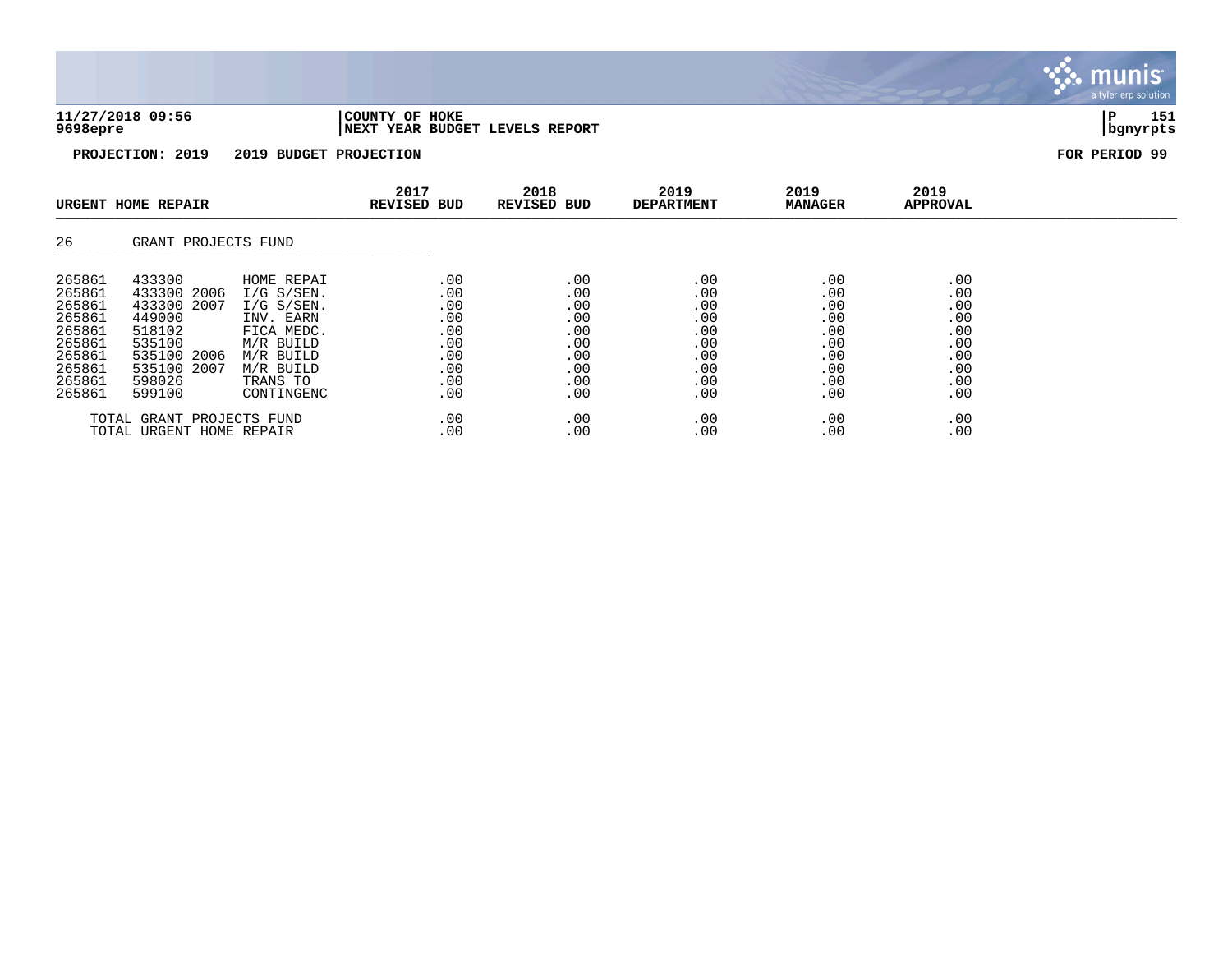| 11/27/2018 09:56 | 'COUNTY OF HOKE                |          | 151 |
|------------------|--------------------------------|----------|-----|
| 9698epre         | NEXT YEAR BUDGET LEVELS REPORT | banvrpts |     |

munis a tyler erp solution

|                                                                                                  | URGENT HOME REPAIR                                                                                                   |                                                                                                                                        | 2017<br><b>REVISED BUD</b>                                         | 2018<br>REVISED BUD                                                | 2019<br><b>DEPARTMENT</b>                                          | 2019<br><b>MANAGER</b>                                             | 2019<br>APPROVAL                                                   |  |
|--------------------------------------------------------------------------------------------------|----------------------------------------------------------------------------------------------------------------------|----------------------------------------------------------------------------------------------------------------------------------------|--------------------------------------------------------------------|--------------------------------------------------------------------|--------------------------------------------------------------------|--------------------------------------------------------------------|--------------------------------------------------------------------|--|
| 26                                                                                               | GRANT PROJECTS FUND                                                                                                  |                                                                                                                                        |                                                                    |                                                                    |                                                                    |                                                                    |                                                                    |  |
| 265861<br>265861<br>265861<br>265861<br>265861<br>265861<br>265861<br>265861<br>265861<br>265861 | 433300<br>433300 2006<br>433300 2007<br>449000<br>518102<br>535100<br>535100 2006<br>535100 2007<br>598026<br>599100 | HOME REPAI<br>$I/G$ S/SEN.<br>$I/G$ S/SEN.<br>INV. EARN<br>FICA MEDC.<br>M/R BUILD<br>M/R BUILD<br>M/R BUILD<br>TRANS TO<br>CONTINGENC | .00<br>.00<br>.00<br>.00<br>.00<br>.00<br>.00<br>.00<br>.00<br>.00 | .00<br>.00<br>.00<br>.00<br>.00<br>.00<br>.00<br>.00<br>.00<br>.00 | .00<br>.00<br>.00<br>.00<br>.00<br>.00<br>.00<br>.00<br>.00<br>.00 | .00<br>.00<br>.00<br>.00<br>.00<br>.00<br>.00<br>.00<br>.00<br>.00 | .00<br>.00<br>.00<br>.00<br>.00<br>.00<br>.00<br>.00<br>.00<br>.00 |  |
|                                                                                                  | TOTAL GRANT PROJECTS FUND<br>TOTAL URGENT HOME REPAIR                                                                |                                                                                                                                        | .00<br>.00                                                         | .00<br>.00                                                         | .00<br>.00                                                         | .00<br>.00                                                         | .00<br>.00                                                         |  |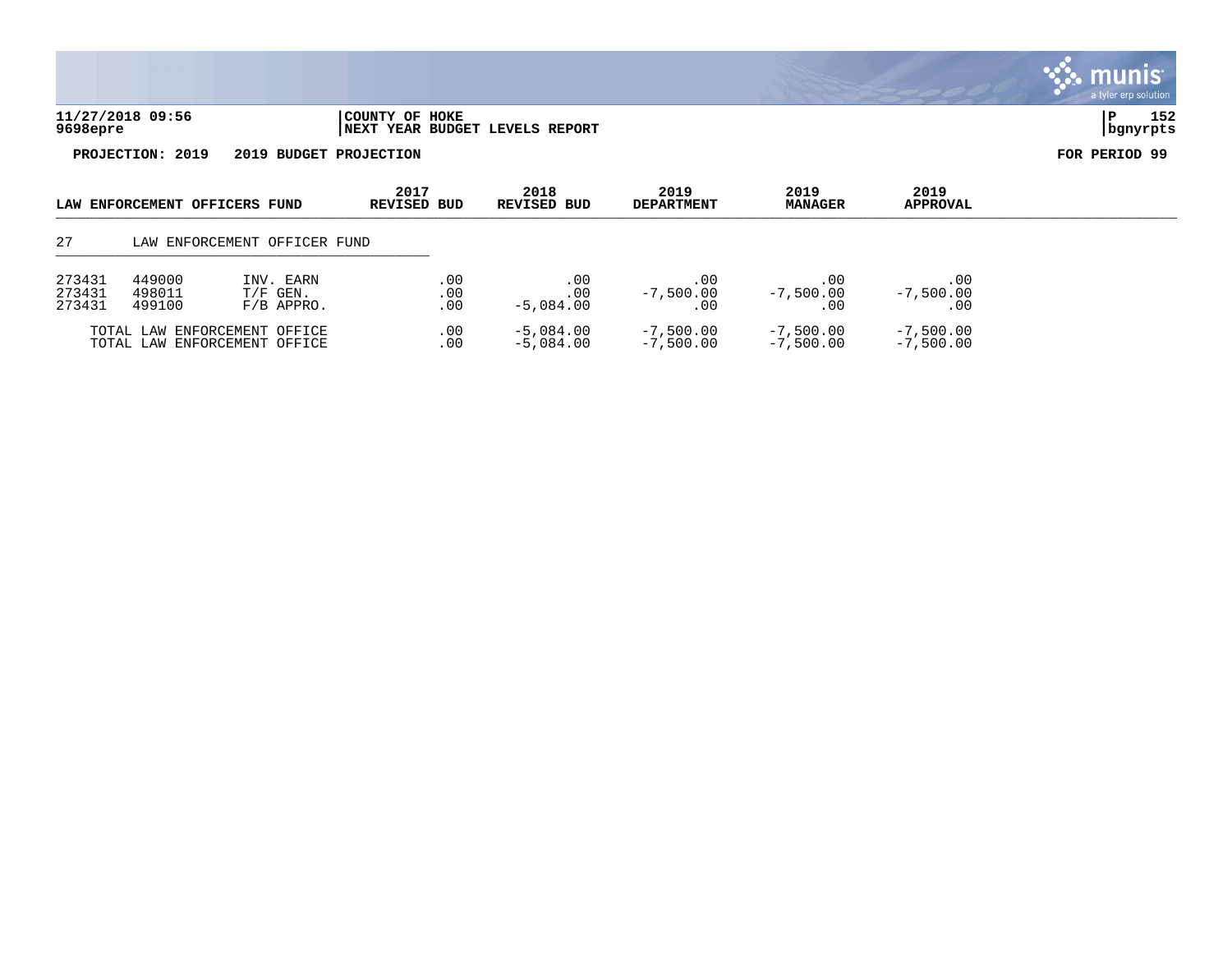

|                            | LAW ENFORCEMENT OFFICERS FUND |                                                              | 2017<br>REVISED BUD | 2018<br>REVISED BUD            | 2019<br><b>DEPARTMENT</b>  | 2019<br><b>MANAGER</b>     | 2019<br>APPROVAL           |  |
|----------------------------|-------------------------------|--------------------------------------------------------------|---------------------|--------------------------------|----------------------------|----------------------------|----------------------------|--|
| 27                         |                               | LAW ENFORCEMENT OFFICER FUND                                 |                     |                                |                            |                            |                            |  |
| 273431<br>273431<br>273431 | 449000<br>498011<br>499100    | INV. EARN<br>$T/F$ GEN.<br>$F/B$ APPRO.                      | .00<br>.00<br>.00   | .00<br>$.00 \,$<br>$-5.084.00$ | .00<br>$-7,500.00$<br>. 00 | .00<br>$-7,500.00$         | .00<br>$-7,500.00$<br>.00  |  |
|                            |                               | TOTAL LAW ENFORCEMENT OFFICE<br>TOTAL LAW ENFORCEMENT OFFICE | .00<br>.00          | $-5,084.00$<br>-5,084.00       | $-7,500.00$<br>$-7.500.00$ | $-7,500.00$<br>$-7,500.00$ | $-7,500.00$<br>$-7,500.00$ |  |

munis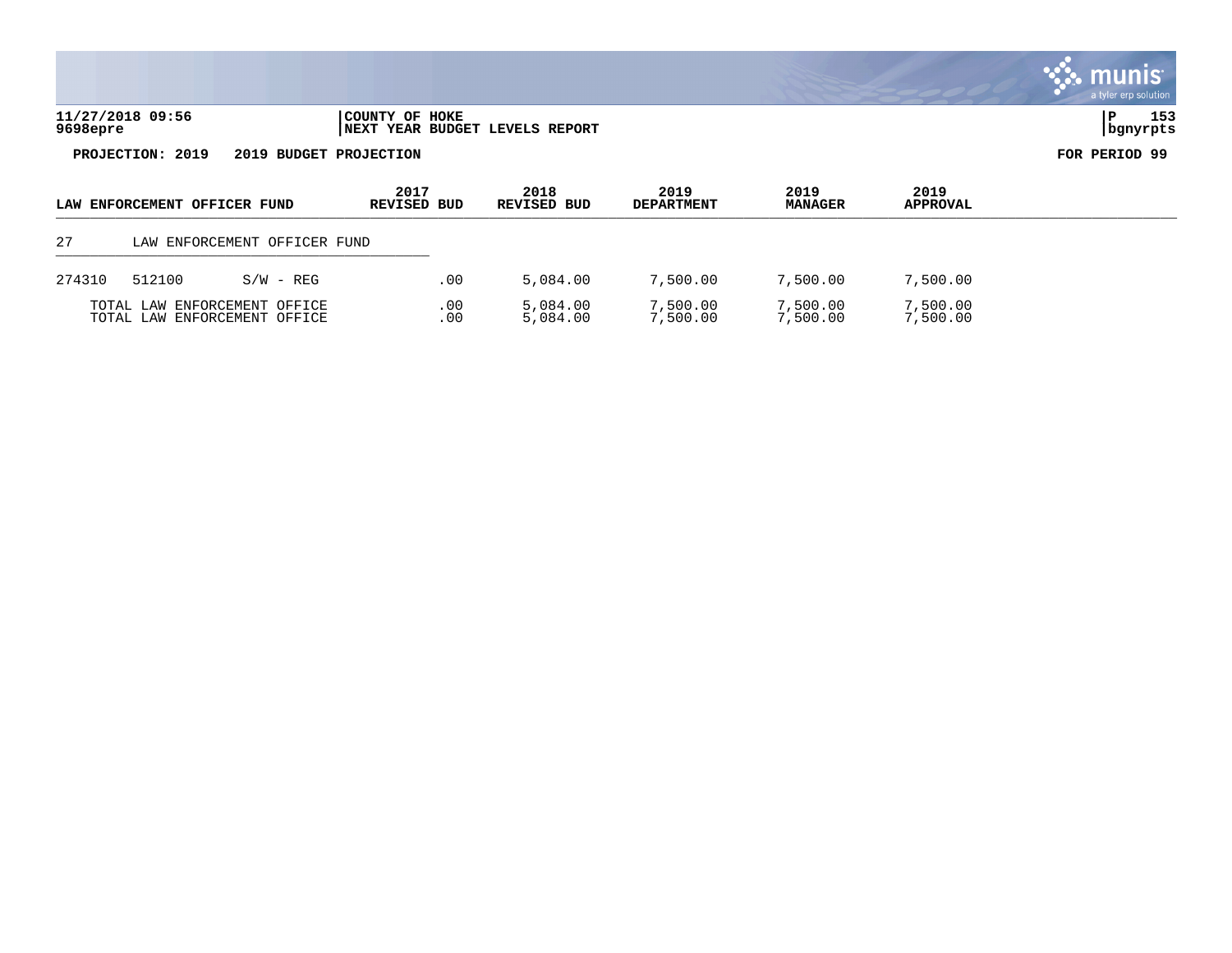| HOKE<br><b>COUNTY</b><br>OF<br>REPORT<br>LEVELS<br><b>BUDGET</b><br>  NEXT<br>YEAR |  |   |
|------------------------------------------------------------------------------------|--|---|
|                                                                                    |  | . |

**PROJECTION: 2019 2019 BUDGET PROJECTION FOR PERIOD 99**

|        | LAW ENFORCEMENT OFFICER FUND                                 |             | 2017<br><b>REVISED BUD</b> | 2018<br>REVISED BUD  | 2019<br><b>DEPARTMENT</b> | 2019<br><b>MANAGER</b> | 2019<br><b>APPROVAL</b> |  |
|--------|--------------------------------------------------------------|-------------|----------------------------|----------------------|---------------------------|------------------------|-------------------------|--|
| 27     | LAW ENFORCEMENT OFFICER FUND                                 |             |                            |                      |                           |                        |                         |  |
| 274310 | 512100                                                       | $S/W - REG$ | .00                        | 5,084.00             | 7,500.00                  | 7,500.00               | 7,500.00                |  |
|        | TOTAL LAW ENFORCEMENT OFFICE<br>TOTAL LAW ENFORCEMENT OFFICE |             | .00<br>.00                 | 5,084.00<br>5,084.00 | 7,500.00<br>7,500.00      | 7,500.00<br>7,500.00   | 7,500.00<br>7,500.00    |  |

# . munis<sup>.</sup> a tyler erp solution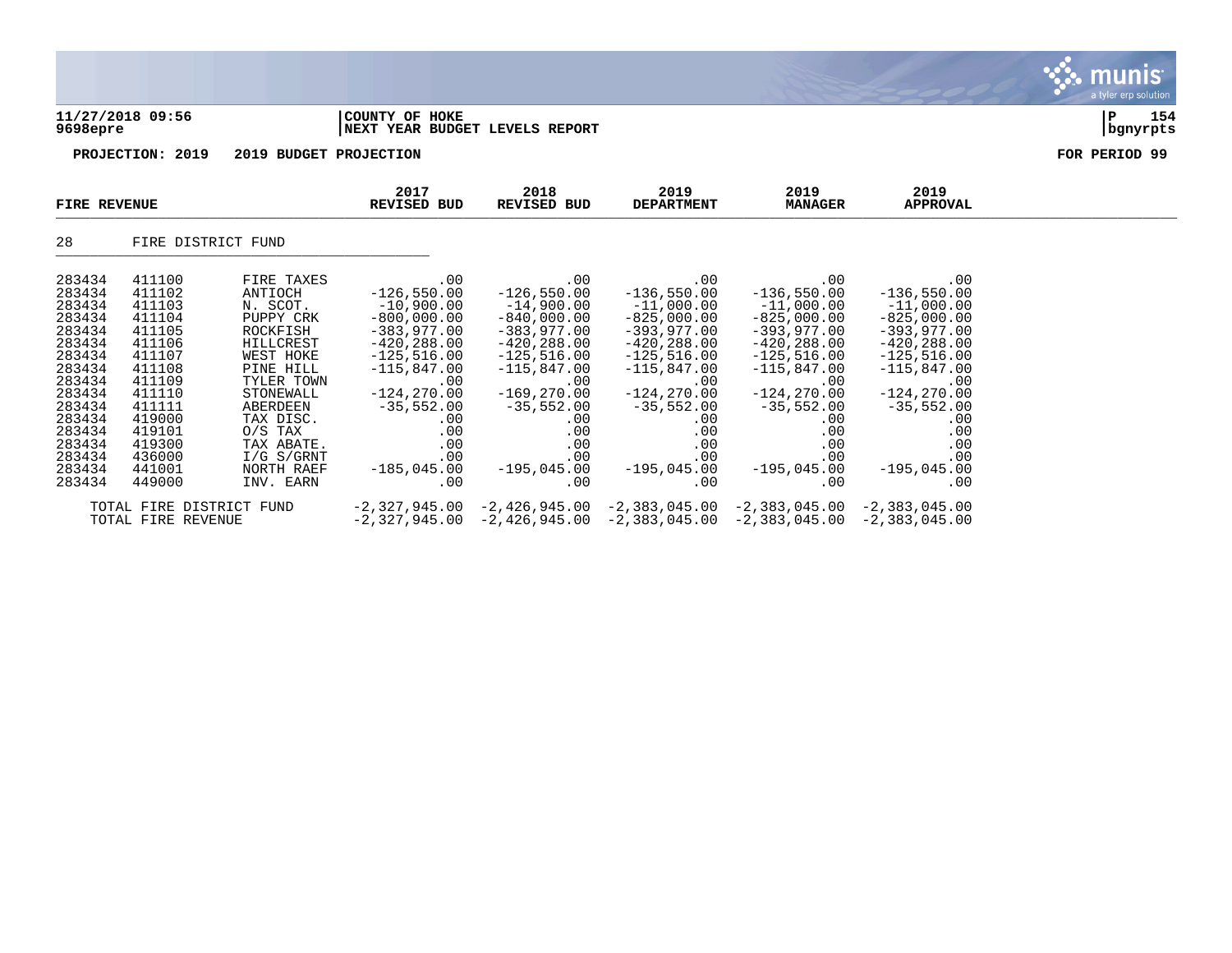|                                                                                                                                                                        | 11/27/2018 09:56                                                                                                                                                       |                                                                                                                                                                                                                             | COUNTY OF HOKE                                                                                                                                                                                                           |                                                                                                                                                                                                                         |                                                                                                                                                                                                                          |                                                                                                                                                                                                                          |                                                                                                                                                                                                                         | a tyler erp solution<br>154<br>${\bf P}$ |
|------------------------------------------------------------------------------------------------------------------------------------------------------------------------|------------------------------------------------------------------------------------------------------------------------------------------------------------------------|-----------------------------------------------------------------------------------------------------------------------------------------------------------------------------------------------------------------------------|--------------------------------------------------------------------------------------------------------------------------------------------------------------------------------------------------------------------------|-------------------------------------------------------------------------------------------------------------------------------------------------------------------------------------------------------------------------|--------------------------------------------------------------------------------------------------------------------------------------------------------------------------------------------------------------------------|--------------------------------------------------------------------------------------------------------------------------------------------------------------------------------------------------------------------------|-------------------------------------------------------------------------------------------------------------------------------------------------------------------------------------------------------------------------|------------------------------------------|
| 9698epre                                                                                                                                                               |                                                                                                                                                                        |                                                                                                                                                                                                                             | NEXT YEAR BUDGET LEVELS REPORT                                                                                                                                                                                           |                                                                                                                                                                                                                         |                                                                                                                                                                                                                          |                                                                                                                                                                                                                          |                                                                                                                                                                                                                         | bgnyrpts                                 |
|                                                                                                                                                                        | PROJECTION: 2019                                                                                                                                                       | 2019 BUDGET PROJECTION                                                                                                                                                                                                      |                                                                                                                                                                                                                          |                                                                                                                                                                                                                         |                                                                                                                                                                                                                          |                                                                                                                                                                                                                          |                                                                                                                                                                                                                         | FOR PERIOD 99                            |
| <b>FIRE REVENUE</b>                                                                                                                                                    |                                                                                                                                                                        |                                                                                                                                                                                                                             | 2017<br><b>REVISED BUD</b>                                                                                                                                                                                               | 2018<br><b>REVISED BUD</b>                                                                                                                                                                                              | 2019<br><b>DEPARTMENT</b>                                                                                                                                                                                                | 2019<br><b>MANAGER</b>                                                                                                                                                                                                   | 2019<br><b>APPROVAL</b>                                                                                                                                                                                                 |                                          |
| 28                                                                                                                                                                     | FIRE DISTRICT FUND                                                                                                                                                     |                                                                                                                                                                                                                             |                                                                                                                                                                                                                          |                                                                                                                                                                                                                         |                                                                                                                                                                                                                          |                                                                                                                                                                                                                          |                                                                                                                                                                                                                         |                                          |
| 283434<br>283434<br>283434<br>283434<br>283434<br>283434<br>283434<br>283434<br>283434<br>283434<br>283434<br>283434<br>283434<br>283434<br>283434<br>283434<br>283434 | 411100<br>411102<br>411103<br>411104<br>411105<br>411106<br>411107<br>411108<br>411109<br>411110<br>411111<br>419000<br>419101<br>419300<br>436000<br>441001<br>449000 | FIRE TAXES<br>ANTIOCH<br>N. SCOT.<br>PUPPY CRK<br>ROCKFISH<br>HILLCREST<br>WEST HOKE<br>PINE HILL<br>TYLER TOWN<br>STONEWALL<br>ABERDEEN<br>TAX DISC.<br>$O/S$ TAX<br>TAX ABATE.<br>$I/G$ S/GRNT<br>NORTH RAEF<br>INV. EARN | .00<br>$-126,550.00$<br>$-10,900.00$<br>$-800,000.00$<br>$-383,977.00$<br>$-420, 288.00$<br>$-125, 516.00$<br>$-115,847.00$<br>.00<br>$-124, 270.00$<br>$-35,552.00$<br>.00<br>.00<br>.00<br>.00<br>$-185,045.00$<br>.00 | .00<br>$-126,550.00$<br>$-14,900.00$<br>$-840,000.00$<br>$-383,977.00$<br>$-420, 288.00$<br>$-125,516.00$<br>$-115,847.00$<br>.00<br>$-169, 270.00$<br>$-35,552.00$<br>.00<br>.00<br>.00<br>.00<br>$-195,045.00$<br>.00 | .00<br>$-136,550.00$<br>$-11,000.00$<br>$-825,000.00$<br>$-393, 977.00$<br>$-420, 288.00$<br>$-125,516.00$<br>$-115,847.00$<br>.00<br>$-124, 270.00$<br>$-35,552.00$<br>.00<br>.00<br>.00<br>.00<br>$-195,045.00$<br>.00 | .00<br>$-136,550.00$<br>$-11,000.00$<br>$-825,000.00$<br>$-393,977.00$<br>$-420, 288.00$<br>$-125, 516.00$<br>$-115,847.00$<br>.00<br>$-124, 270.00$<br>$-35,552.00$<br>.00<br>.00<br>.00<br>.00<br>$-195,045.00$<br>.00 | .00<br>$-136,550.00$<br>$-11,000.00$<br>$-825,000.00$<br>$-393,977.00$<br>$-420, 288.00$<br>$-125,516.00$<br>$-115,847.00$<br>.00<br>$-124, 270.00$<br>$-35,552.00$<br>.00<br>.00<br>.00<br>.00<br>$-195,045.00$<br>.00 |                                          |

TOTAL FIRE DISTRICT FUND -2,327,945.00 -2,426,945.00 -2,383,045.00 -2,383,045.00 -2,383,045.00 TOTAL FIRE REVENUE -2,327,945.00 -2,426,945.00 -2,383,045.00 -2,383,045.00 -2,383,045.00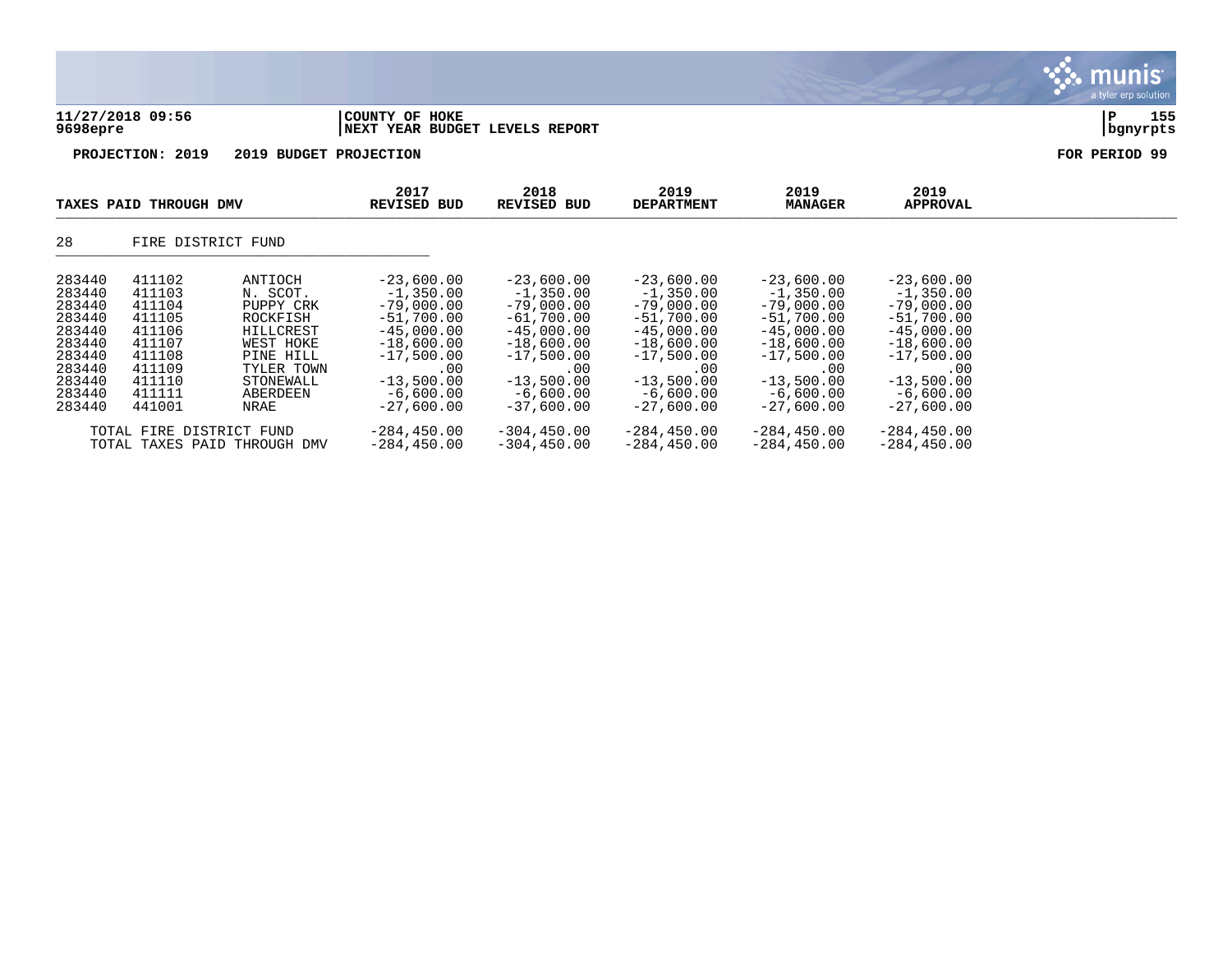| TAXES PAID THROUGH DMV       | 2017<br><b>REVISED BUD</b>                       | 2018<br>REVISED BUD | 2019<br><b>DEPARTMENT</b> | 2019<br><b>MANAGER</b> | 2019<br><b>APPROVAL</b> |                        |
|------------------------------|--------------------------------------------------|---------------------|---------------------------|------------------------|-------------------------|------------------------|
| PROJECTION: 2019             | 2019 BUDGET PROJECTION                           |                     |                           |                        |                         | FOR PERIOD 99          |
| 11/27/2018 09:56<br>9698epre | COUNTY OF HOKE<br>NEXT YEAR BUDGET LEVELS REPORT |                     |                           |                        |                         | 155<br>Þ<br>  bgnyrpts |

a tyler erp solution

**PART** 

# 28 FIRE DISTRICT FUND \_\_\_\_\_\_\_\_\_\_\_\_\_\_\_\_\_\_\_\_\_\_\_\_\_\_\_\_\_\_\_\_\_\_\_\_\_\_\_\_\_\_\_\_

| 283440 | 411102                   | ANTIOCH                      | $-23,600.00$   | $-23,600.00$  | $-23,600.00$   | $-23,600.00$   | $-23,600.00$   |
|--------|--------------------------|------------------------------|----------------|---------------|----------------|----------------|----------------|
| 283440 | 411103                   | N. SCOT.                     | $-1,350.00$    | $-1,350.00$   | $-1,350.00$    | $-1,350.00$    | $-1,350.00$    |
| 283440 | 411104                   | PUPPY CRK                    | $-79,000.00$   | $-79,000.00$  | $-79,000.00$   | $-79,000.00$   | $-79,000.00$   |
| 283440 | 411105                   | ROCKFISH                     | $-51,700.00$   | $-61,700.00$  | $-51,700.00$   | $-51,700.00$   | $-51,700.00$   |
| 283440 | 411106                   | <b>HILLCREST</b>             | $-45,000.00$   | $-45,000.00$  | $-45,000.00$   | $-45,000,00$   | $-45,000,00$   |
| 283440 | 411107                   | WEST HOKE                    | $-18,600.00$   | $-18,600.00$  | $-18,600.00$   | $-18,600.00$   | $-18,600.00$   |
| 283440 | 411108                   | PINE HILL                    | $-17,500.00$   | $-17,500.00$  | $-17,500.00$   | $-17,500.00$   | $-17,500.00$   |
| 283440 | 411109                   | TYLER TOWN                   | .00            | .00           | .00            | .00            | $.00 \,$       |
| 283440 | 411110                   | STONEWALL                    | $-13,500.00$   | $-13,500.00$  | $-13,500.00$   | $-13,500.00$   | $-13,500.00$   |
| 283440 | 411111                   | <b>ABERDEEN</b>              | $-6.600.00$    | $-6.600.00$   | $-6,600.00$    | $-6.600.00$    | $-6.600.00$    |
| 283440 | 441001                   | NRAE                         | $-27,600.00$   | $-37,600.00$  | $-27,600.00$   | $-27,600.00$   | $-27,600.00$   |
|        | TOTAL FIRE DISTRICT FUND |                              | $-284, 450.00$ | $-304.450.00$ | $-284, 450.00$ | $-284.450.00$  | $-284, 450.00$ |
|        |                          | TOTAL TAXES PAID THROUGH DMV | $-284.450.00$  | $-304.450.00$ | $-284.450.00$  | $-284, 450.00$ | $-284.450.00$  |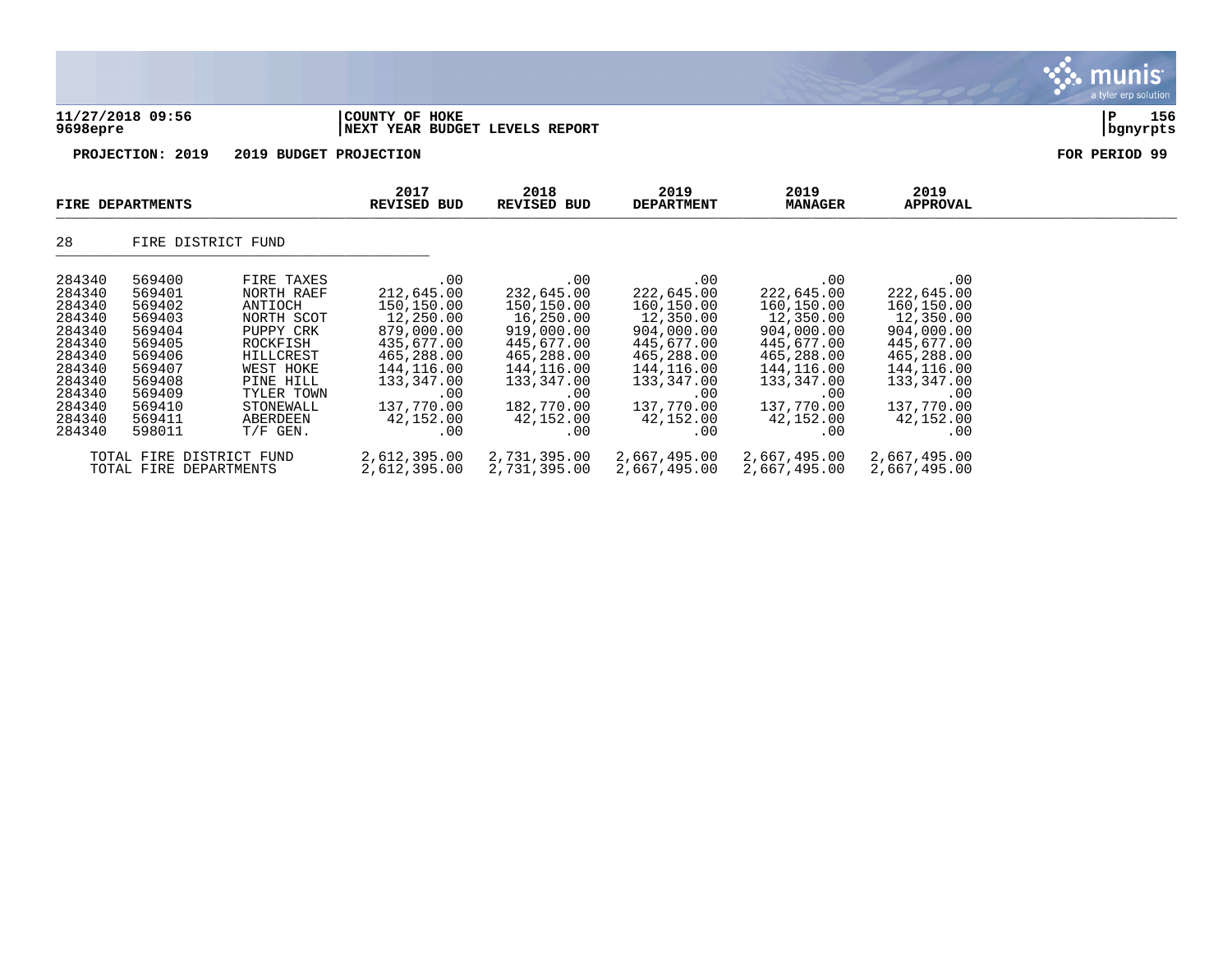|                                                                                                                                |                                                                                                                                |                                                                                                                                                                        |                                                                                                                                                             |                                                                                                                                                             |                                                                                                                                                             |                                                                                                                                                             |                                                                                                                                                             | nıs<br>a tyler erp solution |
|--------------------------------------------------------------------------------------------------------------------------------|--------------------------------------------------------------------------------------------------------------------------------|------------------------------------------------------------------------------------------------------------------------------------------------------------------------|-------------------------------------------------------------------------------------------------------------------------------------------------------------|-------------------------------------------------------------------------------------------------------------------------------------------------------------|-------------------------------------------------------------------------------------------------------------------------------------------------------------|-------------------------------------------------------------------------------------------------------------------------------------------------------------|-------------------------------------------------------------------------------------------------------------------------------------------------------------|-----------------------------|
| 9698epre                                                                                                                       | 11/27/2018 09:56                                                                                                               |                                                                                                                                                                        | COUNTY OF HOKE<br>NEXT YEAR BUDGET LEVELS REPORT                                                                                                            |                                                                                                                                                             |                                                                                                                                                             |                                                                                                                                                             |                                                                                                                                                             | 156<br>P<br>  bgnyrpts      |
|                                                                                                                                | PROJECTION: 2019                                                                                                               | 2019 BUDGET PROJECTION                                                                                                                                                 |                                                                                                                                                             |                                                                                                                                                             |                                                                                                                                                             |                                                                                                                                                             |                                                                                                                                                             | FOR PERIOD 99               |
|                                                                                                                                | FIRE DEPARTMENTS                                                                                                               |                                                                                                                                                                        | 2017<br><b>REVISED BUD</b>                                                                                                                                  | 2018<br><b>REVISED BUD</b>                                                                                                                                  | 2019<br><b>DEPARTMENT</b>                                                                                                                                   | 2019<br><b>MANAGER</b>                                                                                                                                      | 2019<br><b>APPROVAL</b>                                                                                                                                     |                             |
| 28                                                                                                                             | FIRE DISTRICT FUND                                                                                                             |                                                                                                                                                                        |                                                                                                                                                             |                                                                                                                                                             |                                                                                                                                                             |                                                                                                                                                             |                                                                                                                                                             |                             |
| 284340<br>284340<br>284340<br>284340<br>284340<br>284340<br>284340<br>284340<br>284340<br>284340<br>284340<br>284340<br>284340 | 569400<br>569401<br>569402<br>569403<br>569404<br>569405<br>569406<br>569407<br>569408<br>569409<br>569410<br>569411<br>598011 | FIRE TAXES<br>NORTH RAEF<br>ANTIOCH<br>NORTH SCOT<br>PUPPY CRK<br>ROCKFISH<br>HILLCREST<br>WEST HOKE<br>PINE HILL<br>TYLER TOWN<br>STONEWALL<br>ABERDEEN<br>$T/F$ GEN. | .00<br>212,645.00<br>150,150.00<br>12,250.00<br>879,000.00<br>435,677.00<br>465,288.00<br>144,116.00<br>133,347.00<br>.00<br>137,770.00<br>42,152.00<br>.00 | .00<br>232,645.00<br>150,150.00<br>16,250.00<br>919,000.00<br>445,677.00<br>465,288.00<br>144,116.00<br>133,347.00<br>.00<br>182,770.00<br>42,152.00<br>.00 | .00<br>222,645.00<br>160,150.00<br>12,350.00<br>904,000.00<br>445,677.00<br>465,288.00<br>144,116.00<br>133,347.00<br>.00<br>137,770.00<br>42,152.00<br>.00 | .00<br>222,645.00<br>160,150.00<br>12,350.00<br>904,000.00<br>445,677.00<br>465,288.00<br>144,116.00<br>133,347.00<br>.00<br>137,770.00<br>42,152.00<br>.00 | .00<br>222,645.00<br>160,150.00<br>12,350.00<br>904,000.00<br>445,677.00<br>465,288.00<br>144,116.00<br>133,347.00<br>.00<br>137,770.00<br>42,152.00<br>.00 |                             |
|                                                                                                                                | TOTAL FIRE DISTRICT FUND                                                                                                       |                                                                                                                                                                        | 2,612,395.00                                                                                                                                                | 2,731,395.00                                                                                                                                                | 2,667,495.00                                                                                                                                                | 2,667,495.00                                                                                                                                                | 2,667,495.00                                                                                                                                                |                             |

TOTAL FIRE DEPARTMENTS 2,612,395.00 2,731,395.00 2,667,495.00 2,667,495.00 2,667,495.00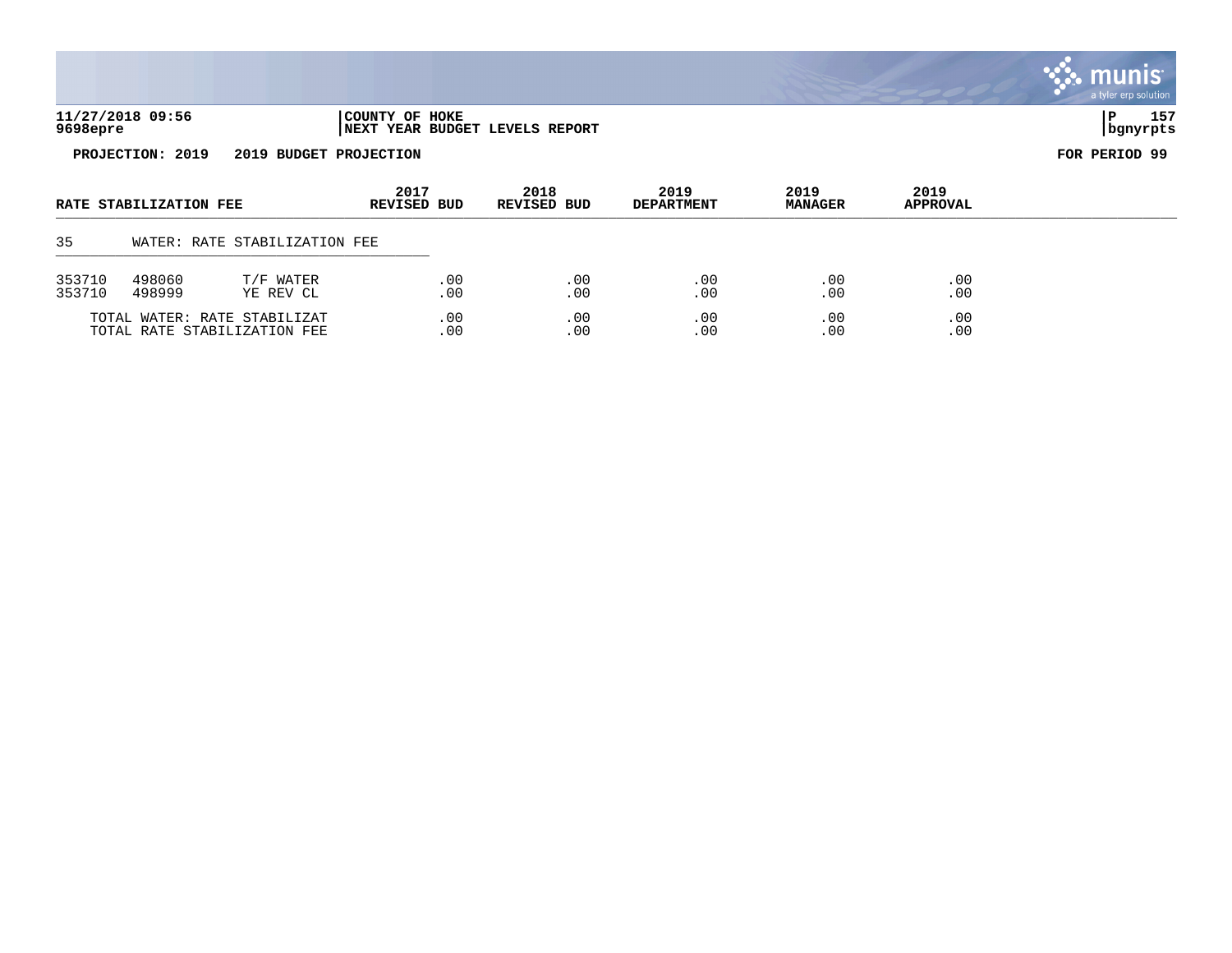|                  |                        |                                                              |                     |            |                                |                           |                        |                         | <b>munis</b><br>a tyler erp solution |
|------------------|------------------------|--------------------------------------------------------------|---------------------|------------|--------------------------------|---------------------------|------------------------|-------------------------|--------------------------------------|
| 9698epre         | 11/27/2018 09:56       |                                                              | COUNTY OF HOKE      |            | NEXT YEAR BUDGET LEVELS REPORT |                           |                        |                         | 157<br>P<br>  bgnyrpts               |
|                  | PROJECTION: 2019       | 2019 BUDGET PROJECTION                                       |                     |            |                                |                           |                        |                         | FOR PERIOD 99                        |
|                  | RATE STABILIZATION FEE |                                                              | 2017<br>REVISED BUD |            | 2018<br>REVISED BUD            | 2019<br><b>DEPARTMENT</b> | 2019<br><b>MANAGER</b> | 2019<br><b>APPROVAL</b> |                                      |
| 35               |                        | WATER: RATE STABILIZATION FEE                                |                     |            |                                |                           |                        |                         |                                      |
| 353710<br>353710 | 498060<br>498999       | T/F WATER<br>YE REV CL                                       |                     | .00<br>.00 | .00<br>.00                     | .00<br>.00                | .00<br>.00             | .00<br>.00              |                                      |
|                  |                        | TOTAL WATER: RATE STABILIZAT<br>TOTAL RATE STABILIZATION FEE |                     | .00<br>.00 | .00<br>.00                     | .00<br>.00                | .00<br>.00             | .00<br>.00              |                                      |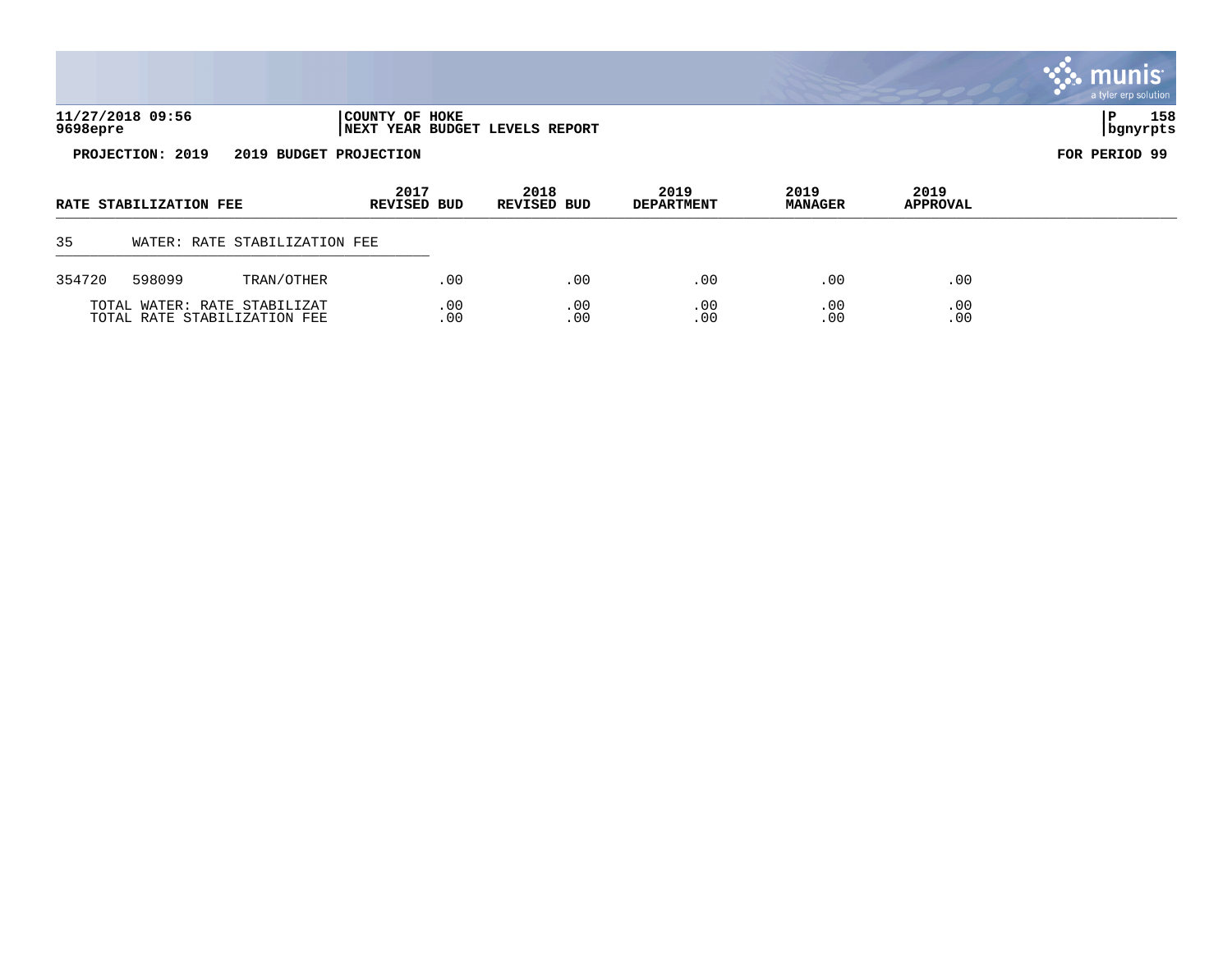|          |                        |                                                              |                            |            |                                |                           |                        |                  | <b>W. MUNIS</b><br>a tyler erp solution |
|----------|------------------------|--------------------------------------------------------------|----------------------------|------------|--------------------------------|---------------------------|------------------------|------------------|-----------------------------------------|
| 9698epre | 11/27/2018 09:56       |                                                              | COUNTY OF HOKE             |            | NEXT YEAR BUDGET LEVELS REPORT |                           |                        |                  | 158<br>P<br>bgnyrpts                    |
|          | PROJECTION: 2019       | 2019 BUDGET PROJECTION                                       |                            |            |                                |                           |                        |                  | FOR PERIOD 99                           |
|          | RATE STABILIZATION FEE |                                                              | 2017<br><b>REVISED BUD</b> |            | 2018<br><b>REVISED BUD</b>     | 2019<br><b>DEPARTMENT</b> | 2019<br><b>MANAGER</b> | 2019<br>APPROVAL |                                         |
| 35       |                        | WATER: RATE STABILIZATION FEE                                |                            |            |                                |                           |                        |                  |                                         |
| 354720   | 598099                 | TRAN/OTHER                                                   |                            | .00        | .00                            | .00                       | .00                    | .00              |                                         |
|          |                        | TOTAL WATER: RATE STABILIZAT<br>TOTAL RATE STABILIZATION FEE |                            | .00<br>.00 | .00<br>.00                     | .00<br>.00                | .00<br>.00             | .00<br>.00       |                                         |

 $\mathcal{L}$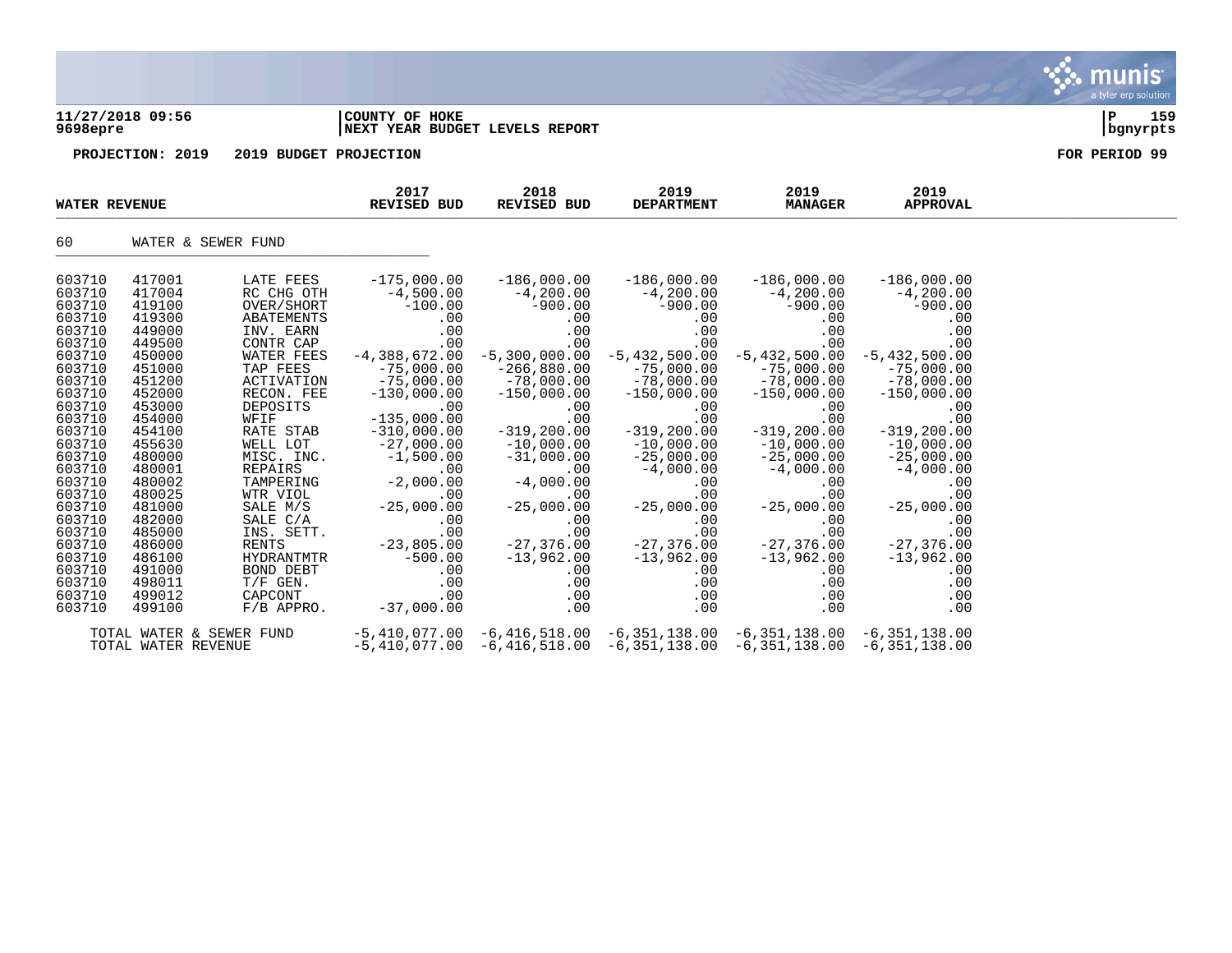## **11/27/2018 09:56 |COUNTY OF HOKE |P 159 9698epre |NEXT YEAR BUDGET LEVELS REPORT |bgnyrpts**

| <b>WATER REVENUE</b>       |                            |                                       | 2017<br>REVISED BUD                           | 2018<br><b>REVISED BUD</b>                                                                                                                   | 2019<br><b>DEPARTMENT</b>                      | 2019<br><b>MANAGER</b>                         | 2019<br><b>APPROVAL</b>                        |  |
|----------------------------|----------------------------|---------------------------------------|-----------------------------------------------|----------------------------------------------------------------------------------------------------------------------------------------------|------------------------------------------------|------------------------------------------------|------------------------------------------------|--|
| 60                         |                            | WATER & SEWER FUND                    |                                               |                                                                                                                                              |                                                |                                                |                                                |  |
| 603710<br>603710           | 417001<br>417004           | LATE FEES<br>RC CHG OTH               | $-175,000.00$<br>$-4,500.00$                  | $-186,000.00$<br>$-4, 200.00$                                                                                                                | $-186,000.00$<br>$-4,200.00$                   | $-186,000.00$<br>$-4,200.00$                   | $-186,000.00$<br>$-4, 200.00$                  |  |
| 603710<br>603710<br>603710 | 419100<br>419300<br>449000 | OVER/SHORT<br>ABATEMENTS<br>INV. EARN | $-100.00$<br>.00<br>.00                       | $-900.00$<br>00.00<br>00.<br>$.00 \,$                                                                                                        | $-900.00$<br>.00<br>.00                        | $-900.00$<br>.00<br>.00                        | $-900.00$<br>.00<br>.00                        |  |
| 603710<br>603710           | 449500<br>450000           | CONTR CAP<br>WATER FEES               | .00                                           | .00<br>$-4,388,672.00 -5,300,000.00$                                                                                                         | .00                                            | .00<br>$-5,432,500.00$ $-5,432,500.00$         | .00<br>$-5,432,500.00$                         |  |
| 603710<br>603710<br>603710 | 451000<br>451200<br>452000 | TAP FEES<br>ACTIVATION<br>RECON. FEE  | $-75,000.00$<br>$-75,000.00$<br>$-130,000.00$ | $-266,880.00$<br>$-78,000.00$<br>$-150,000.00$                                                                                               | $-75,000.00$<br>$-78,000.00$<br>$-150,000.00$  | $-75,000.00$<br>$-78,000.00$<br>$-150,000.00$  | $-75,000.00$<br>$-78,000.00$                   |  |
| 603710<br>603710           | 453000<br>454000           | DEPOSITS<br>WFIF                      | .00<br>$-135,000.00$                          | .00<br>.00                                                                                                                                   | .00<br>.00                                     | .00<br>.00                                     | 00.000,050 –<br>00.<br>00<br>.00               |  |
| 603710<br>603710<br>603710 | 454100<br>455630<br>480000 | RATE STAB<br>WELL LOT<br>MISC. INC.   | $-310,000.00$<br>$-27,000.00$                 | $-319, 200.00$<br>$-10,000.00$<br>$-31,000.00$                                                                                               | $-319, 200.00$<br>$-10,000.00$<br>$-25,000.00$ | $-319, 200.00$<br>$-10,000.00$<br>$-25,000.00$ | $-319, 200.00$<br>$-10,000.00$<br>$-25,000.00$ |  |
| 603710<br>603710           | 480001<br>480002           | REPAIRS<br>TAMPERING                  | $\text{IC.} \quad -1,500.00$<br>$-2,000.00$   | $-4,000.00$                                                                                                                                  | $-4,000.00$<br>.00                             | $-4,000.00$<br>.00                             | $-4,000.00$<br>.00                             |  |
| 603710<br>603710<br>603710 | 480025<br>481000<br>482000 | WTR VIOL<br>SALE M/S<br>SALE C/A      | $-25, ($<br>.00<br>$-25,000.00$<br>$.00 \,$   | .00<br>$-25,000.00$<br>.00                                                                                                                   | 00.<br>25 , 000 . 00<br>.00                    | .00<br>$-25,000.00$<br>.00                     | .00<br>$-25,000.00$<br>.00                     |  |
| 603710<br>603710           | 485000<br>486000           | INS. SETT.<br>RENTS                   | .00<br>$-23,805.00$                           | .00<br>$-27,376.00$                                                                                                                          | .00<br>$-27,376.00$                            | .00<br>$-27,376.00$                            | .00<br>$-27,376.00$                            |  |
| 603710<br>603710<br>603710 | 486100<br>491000<br>498011 | HYDRANTMTR<br>BOND DEBT<br>$T/F$ GEN. | $-500.00$<br>.00<br>.00                       | $-13,962.00$<br>$.00 \,$                                                                                                                     | $-13,962.00$<br>.00<br>.00<br>.00              | $-13,962.00$<br>$.00 \,$<br>.00                | $-13,962.00$<br>.00<br>.00                     |  |
| 603710<br>603710           | 499012<br>499100           | CAPCONT<br>$F/B$ APPRO.               | .00<br>$-37,000.00$                           | $.00 \,$                                                                                                                                     | .00<br>.00<br>.00                              | .00<br>.00                                     | .00<br>.00                                     |  |
|                            | TOTAL WATER REVENUE        | TOTAL WATER & SEWER FUND              |                                               | $-5,410,077.00$ $-6,416,518.00$ $-6,351,138.00$ $-6,351,138.00$ $-6,351,138.00$<br>$-5,410,077.00 -6,416,518.00 -6,351,138.00 -6,351,138.00$ |                                                |                                                | -6,351,138.00                                  |  |

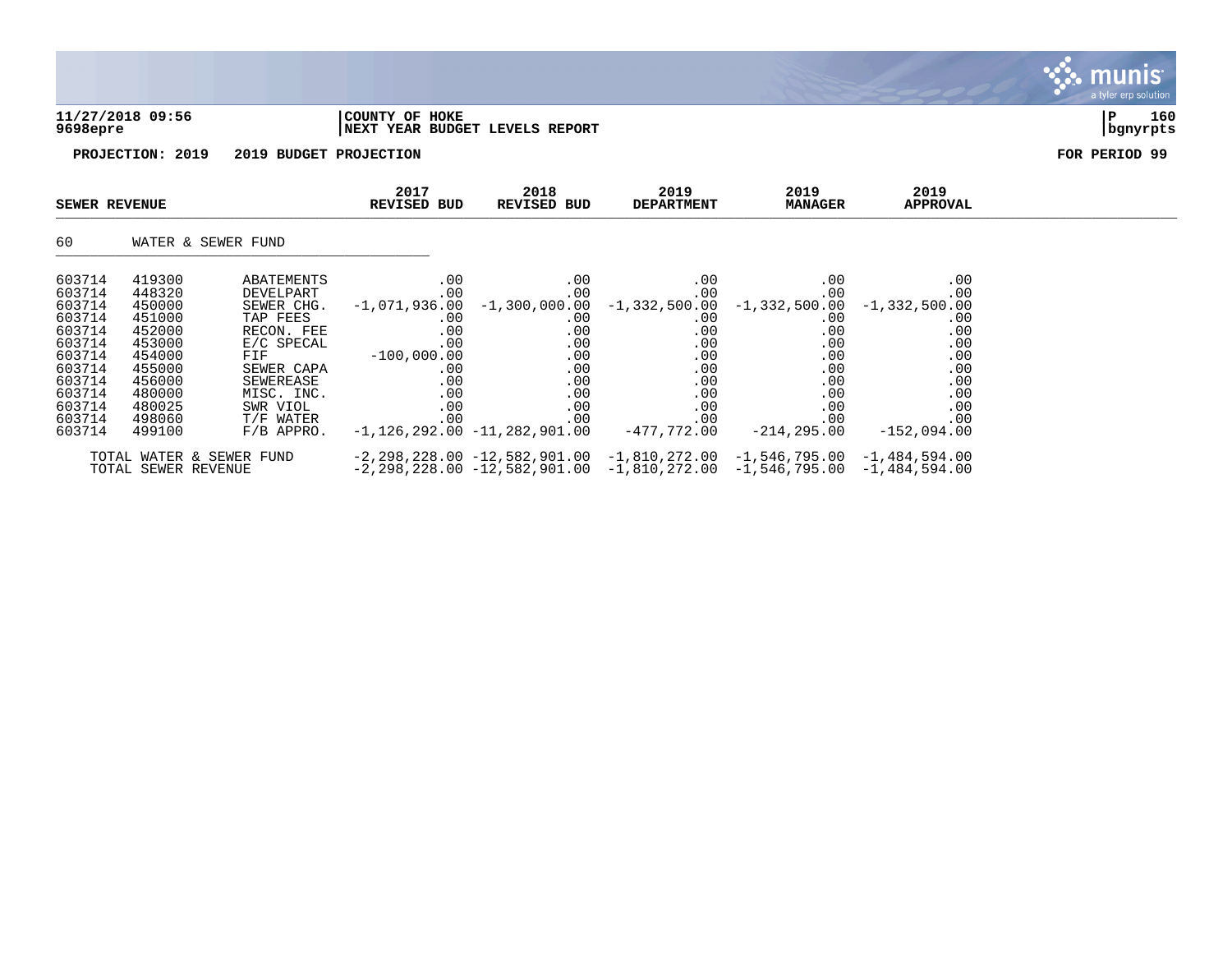## **11/27/2018 09:56 |COUNTY OF HOKE |P 160 9698epre |NEXT YEAR BUDGET LEVELS REPORT |bgnyrpts**



| SEWER REVENUE |                     |                          | 2017<br>REVISED BUD | 2018<br>REVISED BUD            | 2019<br><b>DEPARTMENT</b>                                                          | 2019<br><b>MANAGER</b> | 2019<br><b>APPROVAL</b> |  |
|---------------|---------------------|--------------------------|---------------------|--------------------------------|------------------------------------------------------------------------------------|------------------------|-------------------------|--|
| 60            |                     | WATER & SEWER FUND       |                     |                                |                                                                                    |                        |                         |  |
| 603714        | 419300              | ABATEMENTS               | .00                 | $.00 \,$                       | $.00 \,$                                                                           | .00                    | .00                     |  |
| 603714        | 448320              | DEVELPART                | .00                 | $.00 \,$                       | .00                                                                                | .00                    | .00                     |  |
| 603714        | 450000              | SEWER CHG.               |                     |                                | $-1,071,936.00$ $-1,300,000.00$ $-1,332,500.00$ $-1,332,500.00$                    |                        | $-1,332,500.00$         |  |
| 603714        | 451000              | TAP FEES                 | $.00 \,$            | $.00 \,$                       | $.00 \,$                                                                           | $.00 \,$               | .00                     |  |
| 603714        | 452000              | RECON. FEE               | .00                 | $.00 \,$                       | .00                                                                                | .00                    | .00                     |  |
| 603714        | 453000              | E/C SPECAL               | .00                 | $.00 \,$                       | .00                                                                                | .00                    | .00                     |  |
| 603714        | 454000              | FIF                      | $-100.000.00$       | $.00 \,$                       | .00                                                                                | .00                    | .00                     |  |
| 603714        | 455000              | SEWER CAPA               | $.00 \,$            | .00                            | .00                                                                                | .00                    | .00                     |  |
| 603714        | 456000              | SEWEREASE                | .00                 | $.00 \,$                       | .00                                                                                | .00                    | .00                     |  |
| 603714        | 480000              | MISC. INC.               | .00                 | $.00 \,$                       | .00                                                                                | .00                    | .00                     |  |
| 603714        | 480025              | SWR VIOL                 | .00                 | $.00 \,$                       | .00                                                                                | .00                    | .00                     |  |
| 603714        | 498060              | T/F WATER                | .00                 | $.00 \,$                       | .00                                                                                | .00                    | .00                     |  |
| 603714        | 499100              | $F/B$ APPRO.             |                     | $-1,126,292.00 -11,282,901.00$ | -477,772.00                                                                        | -214,295.00            | $-152.094.00$           |  |
|               |                     | TOTAL WATER & SEWER FUND |                     |                                | $-2, 298, 228.00 -12, 582, 901.00 -1, 810, 272.00 -1, 546, 795.00 -1, 484, 594.00$ |                        |                         |  |
|               | TOTAL SEWER REVENUE |                          |                     |                                | $-2, 298, 228.00 -12, 582, 901.00 -1, 810, 272.00 -1, 546, 795.00 -1, 484, 594.00$ |                        |                         |  |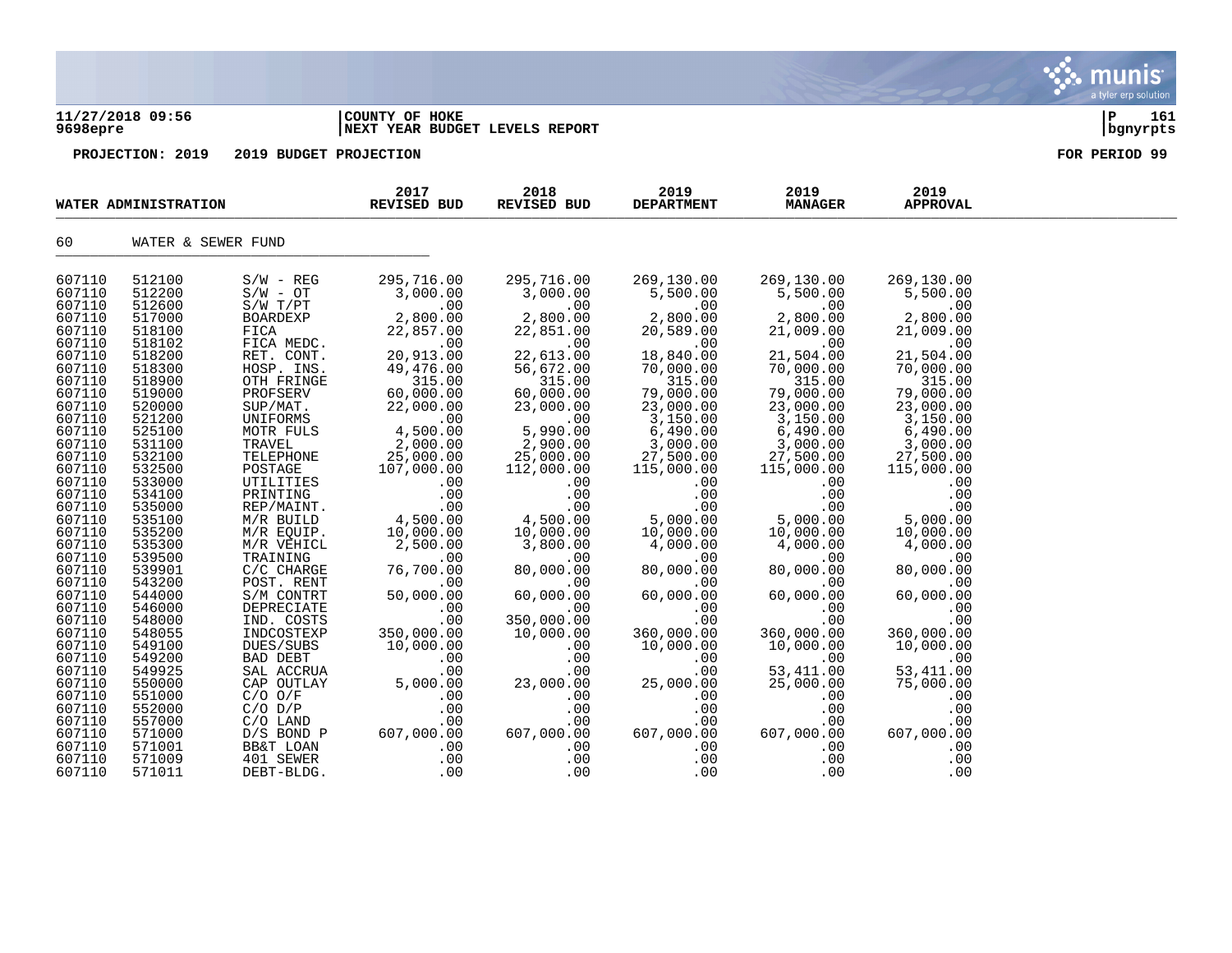| 9698epre         | 11/27/2018 09:56     |                         | COUNTY OF HOKE<br>NEXT YEAR BUDGET LEVELS REPORT |                       |                           |                        |                         | 161<br>P<br>bgnyrpts |
|------------------|----------------------|-------------------------|--------------------------------------------------|-----------------------|---------------------------|------------------------|-------------------------|----------------------|
|                  | PROJECTION: 2019     | 2019 BUDGET PROJECTION  |                                                  |                       |                           |                        |                         | FOR PERIOD 99        |
|                  | WATER ADMINISTRATION |                         | 2017<br><b>REVISED BUD</b>                       | 2018<br>REVISED BUD   | 2019<br><b>DEPARTMENT</b> | 2019<br><b>MANAGER</b> | 2019<br><b>APPROVAL</b> |                      |
| 60               | WATER & SEWER FUND   |                         |                                                  |                       |                           |                        |                         |                      |
| 607110           | 512100               | $S/W - REG$             | 295,716.00                                       | 295,716.00            | 269,130.00                | 269,130.00             | 269,130.00              |                      |
| 607110           | 512200               | $S/W - OT$              | 3,000.00                                         | 3,000.00              | 5,500.00                  | 5,500.00               | 5,500.00                |                      |
| 607110<br>607110 | 512600<br>517000     | S/W T/PT                | .00                                              | .00                   | .00                       | .00                    | .00<br>2,800.00         |                      |
| 607110           | 518100               | <b>BOARDEXP</b><br>FICA | 2,800.00<br>22,857.00                            | 2,800.00<br>22,851.00 | 2,800.00<br>20,589.00     | 2,800.00<br>21,009.00  | 21,009.00               |                      |
| 607110           | 518102               | FICA MEDC.              | .00                                              | .00                   | .00                       | .00                    | .00                     |                      |
| 607110           | 518200               | RET. CONT.              | 20,913.00                                        | 22,613.00             | 18,840.00                 | 21,504.00              | 21,504.00               |                      |
| 607110           | 518300               | HOSP. INS.              | 49,476.00                                        | 56,672.00             | 70,000.00                 | 70,000.00              | 70,000.00               |                      |
| 607110           | 518900               | OTH FRINGE              | 315.00                                           | 315.00                | 315.00                    | 315.00                 | 315.00                  |                      |
| 607110           | 519000               | PROFSERV                | 60,000.00                                        | 60,000.00             | 79,000.00                 | 79,000.00              | 79,000.00               |                      |
| 607110           | 520000               | SUP/MAT.                | 22,000.00                                        | 23,000.00             | 23,000.00                 | 23,000.00              | 23,000.00               |                      |
| 607110           | 521200               | UNIFORMS                | .00                                              | .00                   | 3,150.00                  | 3,150.00               | 3,150.00                |                      |
| 607110           | 525100               | MOTR FULS               | 4,500.00                                         | 5,990.00              | 6,490.00                  | 6,490.00               | 6,490.00                |                      |
| 607110           | 531100               | TRAVEL                  | 2,000.00                                         | 2,900.00              | 3,000.00                  | 3,000.00               | 3,000.00                |                      |
| 607110           | 532100               | TELEPHONE               | 25,000.00                                        | 25,000.00             | 27,500.00                 | 27,500.00              | 27,500.00               |                      |
| 607110<br>607110 | 532500               | POSTAGE                 | 107,000.00                                       | 112,000.00            | 115,000.00                | 115,000.00             | 115,000.00              |                      |
| 607110           | 533000<br>534100     | UTILITIES<br>PRINTING   | .00<br>.00                                       | .00<br>.00            | .00<br>.00                | .00<br>.00             | .00<br>.00              |                      |
| 607110           | 535000               | REP/MAINT.              | .00                                              | .00                   | .00                       | .00                    | .00                     |                      |
| 607110           | 535100               | M/R BUILD               | 4,500.00                                         | 4,500.00              | 5,000.00                  | 5,000.00               | 5,000.00                |                      |
| 607110           | 535200               | M/R EQUIP.              | 10,000.00                                        | 10,000.00             | 10,000.00                 | 10,000.00              | 10,000.00               |                      |
| 607110           | 535300               | M/R VEHICL              | 2,500.00                                         | 3,800.00              | 4,000.00                  | 4,000.00               | 4,000.00                |                      |
| 607110           | 539500               | TRAINING                | .00                                              | .00                   | .00                       | .00                    | .00                     |                      |
| 607110           | 539901               | $C/C$ CHARGE            | 76,700.00                                        | 80,000.00             | 80,000.00                 | 80,000.00              | 80,000.00               |                      |
| 607110           | 543200               | POST. RENT              | .00                                              | .00                   | .00                       | .00                    | .00                     |                      |
| 607110           | 544000               | S/M CONTRT              | 50,000.00                                        | 60,000.00             | 60,000.00                 | 60,000.00              | 60,000.00               |                      |
| 607110           | 546000               | DEPRECIATE              | .00                                              | .00                   | .00                       | .00                    | .00                     |                      |

 $\mathbf{\mathcal{C}}$  . munis

a tyler erp solution

607110 548000 IND. COSTS .00 350,000.00 .00 .00 .00 607110 548055 INDCOSTEXP 350,000.00 10,000.00 360,000.00 360,000.00 360,000.00 607110 549100 DUES/SUBS 10,000.00 .00 10,000.00 10,000.00 10,000.00 607110 549200 BAD DEBT .00 .00 .00 .00 .00 607110 549925 SAL ACCRUA .00 .00 .00 53,411.00 53,411.00 607110 550000 CAP OUTLAY 5,000.00 23,000.00 25,000.00 25,000.00 75,000.00 607110 551000 C/O O/F .00 .00 .00 .00 .00 607110 552000 C/O D/P .00 .00 .00 .00 .00 607110 557000 C/O LAND .00 .00 .00 .00 .00 607110 571000 D/S BOND P 607,000.00 607,000.00 607,000.00 607,000.00 607,000.00 607110 571001 BB&T LOAN .00 .00 .00 .00 .00 607110 571009 401 SEWER .00 .00 .00 .00 .00 607110 571011 DEBT-BLDG. . .00 .00 .00 .00 .00 .00 .00 .00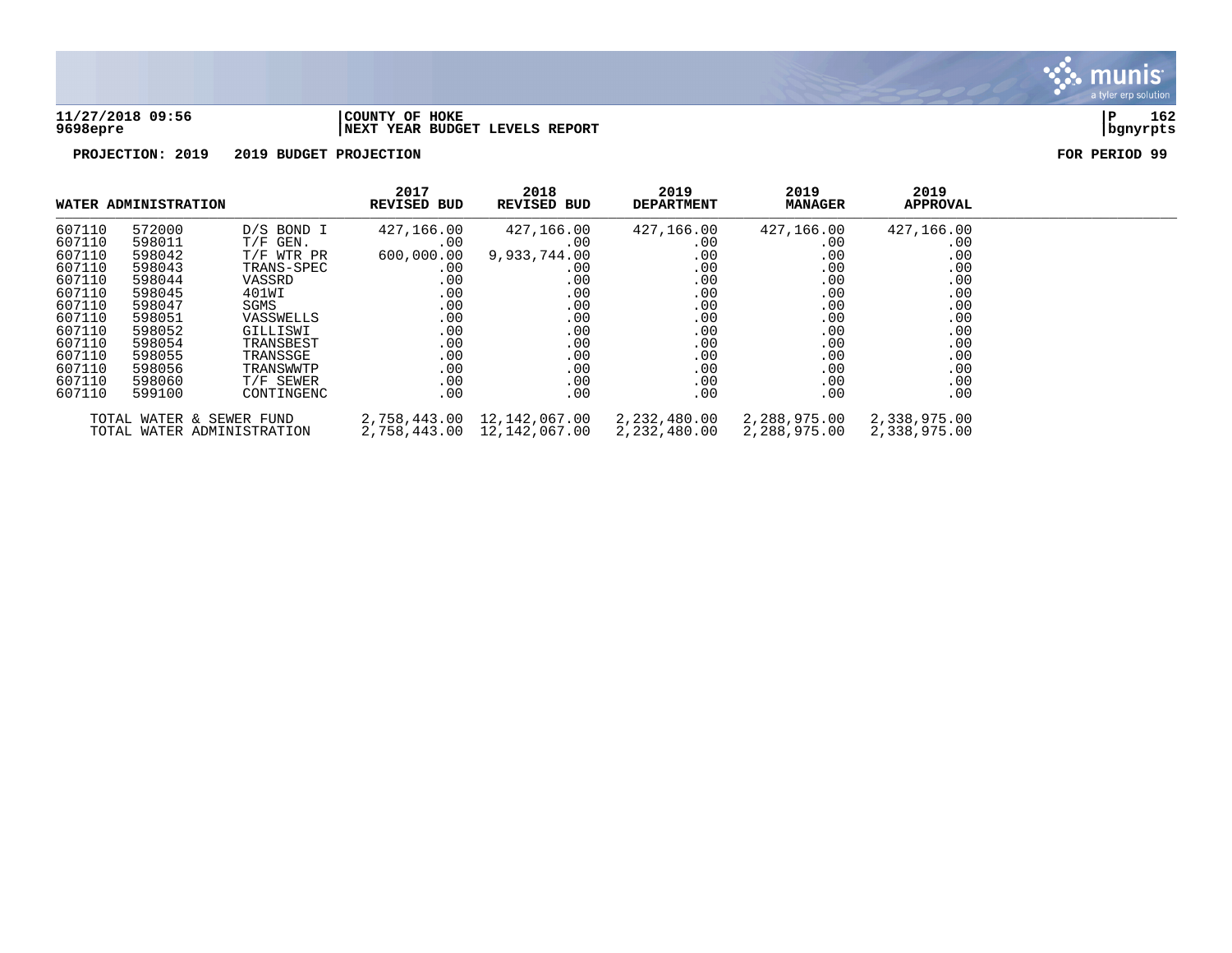

## **11/27/2018 09:56 |COUNTY OF HOKE |P 162 9698epre |NEXT YEAR BUDGET LEVELS REPORT |bgnyrpts**

|        | WATER ADMINISTRATION     |                            | 2017<br>REVISED BUD | 2018<br><b>REVISED BUD</b> | 2019<br><b>DEPARTMENT</b> | 2019<br><b>MANAGER</b> | 2019<br><b>APPROVAL</b> |  |
|--------|--------------------------|----------------------------|---------------------|----------------------------|---------------------------|------------------------|-------------------------|--|
| 607110 | 572000                   | D/S BOND I                 | 427,166.00          | 427,166.00                 | 427,166.00                | 427,166.00             | 427,166.00              |  |
| 607110 | 598011                   | $T/F$ GEN.                 | .00                 | .00                        | $.00 \,$                  | $.00 \,$               | .00                     |  |
| 607110 | 598042                   | T/F WTR PR                 | 600,000.00          | 9,933,744.00               | $.00 \,$                  | .00                    | .00                     |  |
| 607110 | 598043                   | TRANS-SPEC                 | .00                 | .00.                       | $.00 \ \,$                | .00                    | .00                     |  |
| 607110 | 598044                   | VASSRD                     | .00                 | .00                        | .00                       | .00                    | .00                     |  |
| 607110 | 598045                   | 401WI                      | .00                 | .00                        | $.00 \,$                  | .00                    | .00                     |  |
| 607110 | 598047                   | SGMS                       | .00                 | .00                        | $.00 \,$                  | .00                    | .00                     |  |
| 607110 | 598051                   | VASSWELLS                  | .00                 | .00                        | $.00 \,$                  | .00                    | .00                     |  |
| 607110 | 598052                   | GILLISWI                   | .00                 | .00                        | .00                       | .00                    | .00                     |  |
| 607110 | 598054                   | TRANSBEST                  | .00                 | .00                        | $.00 \,$                  | .00                    | .00                     |  |
| 607110 | 598055                   | TRANSSGE                   | .00                 | .00                        | $.00 \ \,$                | .00                    | .00                     |  |
| 607110 | 598056                   | TRANSWWTP                  | .00                 | .00                        | .00                       | .00                    | .00                     |  |
| 607110 | 598060                   | T/F SEWER                  | .00                 | .00                        | $.00 \,$                  | .00                    | .00                     |  |
| 607110 | 599100                   | CONTINGENC                 | .00                 | .00                        | $.00 \,$                  | .00                    | .00                     |  |
|        | TOTAL WATER & SEWER FUND |                            | 2,758,443.00        | 12,142,067.00 2,232,480.00 |                           | 2,288,975.00           | 2,338,975.00            |  |
|        |                          | TOTAL WATER ADMINISTRATION |                     |                            |                           | 2,288,975.00           | 2,338,975.00            |  |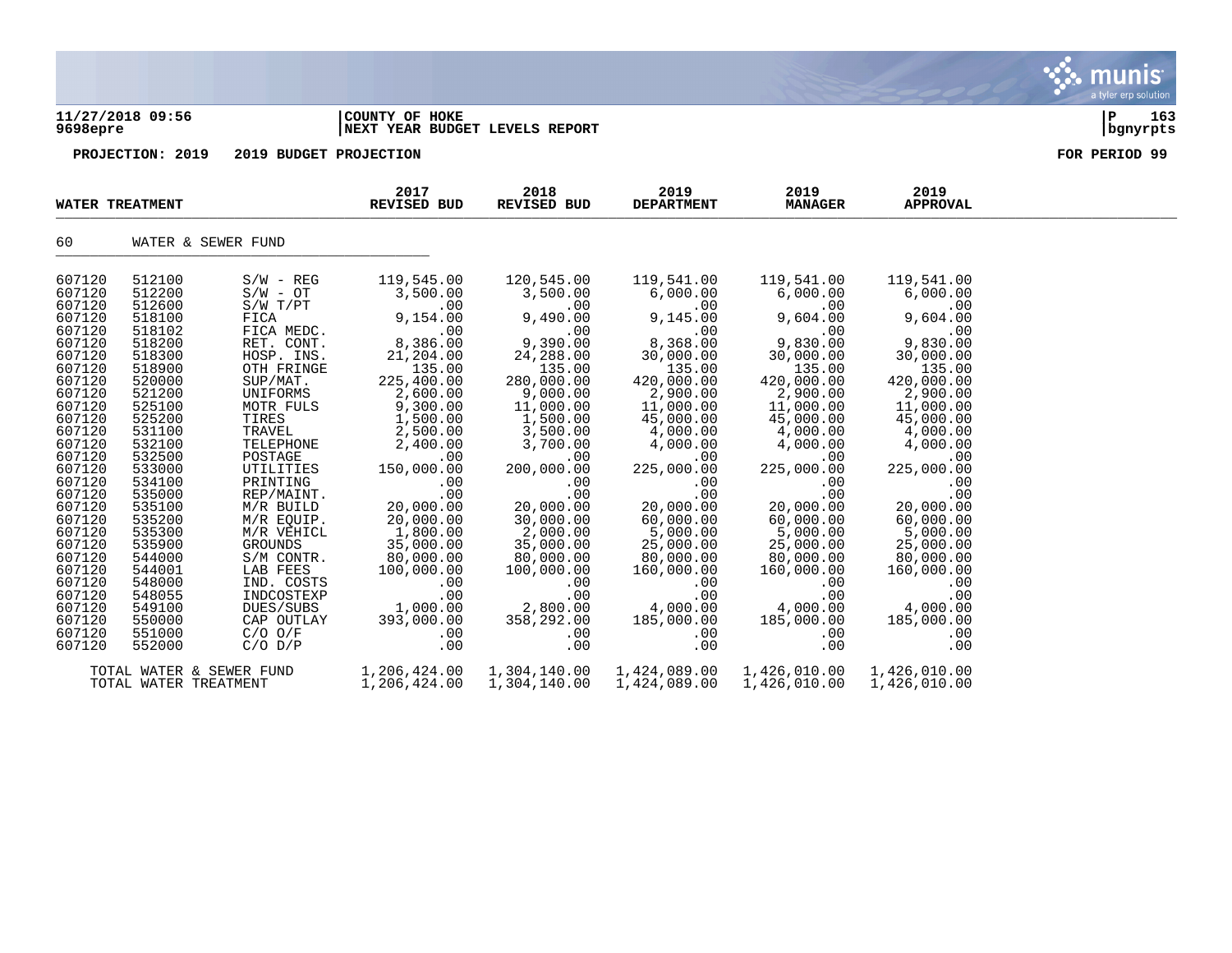## **11/27/2018 09:56 |COUNTY OF HOKE |P 163 9698epre |NEXT YEAR BUDGET LEVELS REPORT |bgnyrpts**

**PROJECTION: 2019 2019 BUDGET PROJECTION FOR PERIOD 99**

| <b>WATER TREATMENT</b> |                          |                            | 2017<br><b>REVISED BUD</b> | 2018<br><b>REVISED BUD</b> | 2019<br><b>DEPARTMENT</b> | 2019<br><b>MANAGER</b> | 2019<br><b>APPROVAL</b>      |  |
|------------------------|--------------------------|----------------------------|----------------------------|----------------------------|---------------------------|------------------------|------------------------------|--|
| 60                     | WATER & SEWER FUND       |                            |                            |                            |                           |                        |                              |  |
| 607120                 | 512100                   | $S/W - REG$                | 119,545.00                 | 120,545.00                 | 119,541.00                | 119,541.00             | 119,541.00                   |  |
| 607120<br>607120       | 512200<br>512600         | $S/W - OT$<br>$S/W$ $T/PT$ | 3,500.00<br>.00            | 3,500.00<br>.00            | 6,000.00<br>$.00 \,$      | 6,000.00<br>.00        | 6,000.00<br>.00              |  |
| 607120                 | 518100                   | FICA                       | 9,154.00                   | 9,490.00                   | 9,145.00                  | 9,604.00               | 9,604.00                     |  |
| 607120                 | 518102                   | FICA MEDC.                 | .00                        | .00                        | .00                       | .00                    | .00                          |  |
| 607120                 | 518200                   | RET. CONT.                 | 8,386.00                   | 9,390.00                   | 8,368.00                  | 9,830.00               | 9,830.00                     |  |
| 607120                 | 518300                   | HOSP. INS.                 | 21,204.00                  | 24,288.00                  | 30,000.00                 | 30,000.00              | 30,000.00                    |  |
| 607120                 | 518900                   | OTH FRINGE                 | 135.00                     | 135.00                     | 135.00                    | 135.00                 | 135.00                       |  |
| 607120                 | 520000                   | SUP/MAT.                   | 225,400.00                 | 280,000.00                 | 420,000.00                | 420,000.00             | 420,000.00                   |  |
| 607120                 | 521200                   | UNIFORMS                   | 2,600.00                   | 9,000.00                   | 2,900.00                  | 2,900.00               | 2,900.00                     |  |
| 607120                 | 525100                   | MOTR FULS                  | 9,300.00                   | 11,000.00                  | 11,000.00                 | 11,000.00              | 11,000.00                    |  |
| 607120                 | 525200                   | TIRES                      | 1,500.00                   | 1,500.00                   | 45,000.00                 | 45,000.00              | 45,000.00                    |  |
| 607120                 | 531100                   | TRAVEL                     | 2,500.00                   | 3,500.00                   | 4,000.00                  | 4,000.00               | 4,000.00                     |  |
| 607120<br>607120       | 532100<br>532500         | TELEPHONE<br>POSTAGE       | 2,400.00                   | 3,700.00<br>.00            | 4,000.00                  | 4,000.00<br>.00        | 4,000.00                     |  |
| 607120                 | 533000                   | UTILITIES                  | .00<br>150,000.00          | 200,000.00                 | $.00 \,$<br>225,000.00    | 225,000.00             | .00<br>225,000.00            |  |
| 607120                 | 534100                   | PRINTING                   | .00                        | .00                        | .00                       | .00                    | .00                          |  |
| 607120                 | 535000                   | REP/MAINT.                 | .00                        | .00                        | .00                       | .00                    | .00                          |  |
| 607120                 | 535100                   | M/R BUILD                  | 20,000.00                  | 20,000.00                  | 20,000.00                 | 20,000.00              | 20,000.00                    |  |
| 607120                 | 535200                   | M/R EQUIP.                 | 20,000.00                  | 30,000.00                  | 60,000.00                 | 60,000.00              | 60,000.00                    |  |
| 607120                 | 535300                   | M/R VEHICL                 | 1,800.00                   | 2,000.00                   | 5,000.00                  | 5,000.00               | 5,000.00                     |  |
| 607120                 | 535900                   | GROUNDS                    | 35,000.00                  | 35,000.00                  | 25,000.00                 | 25,000.00              | 25,000.00                    |  |
| 607120                 | 544000                   | S/M CONTR.                 | 80,000.00                  | 80,000.00                  | 80,000.00                 | 80,000.00              | 80,000.00                    |  |
| 607120                 | 544001                   | LAB FEES                   | 100,000.00                 | 100,000.00                 | 160,000.00                | 160,000.00             | 160,000.00                   |  |
| 607120                 | 548000                   | IND. COSTS                 | .00                        | .00                        | .00                       | .00                    | .00                          |  |
| 607120                 | 548055                   | INDCOSTEXP                 | .00                        | .00                        | .00                       | .00                    | .00                          |  |
| 607120<br>607120       | 549100<br>550000         | DUES/SUBS<br>CAP OUTLAY    | 1,000.00<br>393,000.00     | 2,800.00<br>358,292.00     | 4,000.00<br>185,000.00    | 4,000.00<br>185,000.00 | 4,000.00<br>185,000.00       |  |
| 607120                 | 551000                   | $C/O$ $O/F$                | .00                        | .00                        | $.00 \ \,$                | .00                    | .00                          |  |
| 607120                 | 552000                   | $C/O$ $D/P$                | .00                        | .00                        | .00                       | .00                    | .00                          |  |
|                        | TOTAL WATER & SEWER FUND |                            | 1,206,424.00               | 1,304,140.00               | 1,424,089.00              | 1,426,010.00           |                              |  |
|                        | TOTAL WATER TREATMENT    |                            | 1,206,424.00               | 1,304,140.00               | 1,424,089.00              | 1,426,010.00           | 1,426,010.00<br>1,426,010.00 |  |

munis a tyler erp solution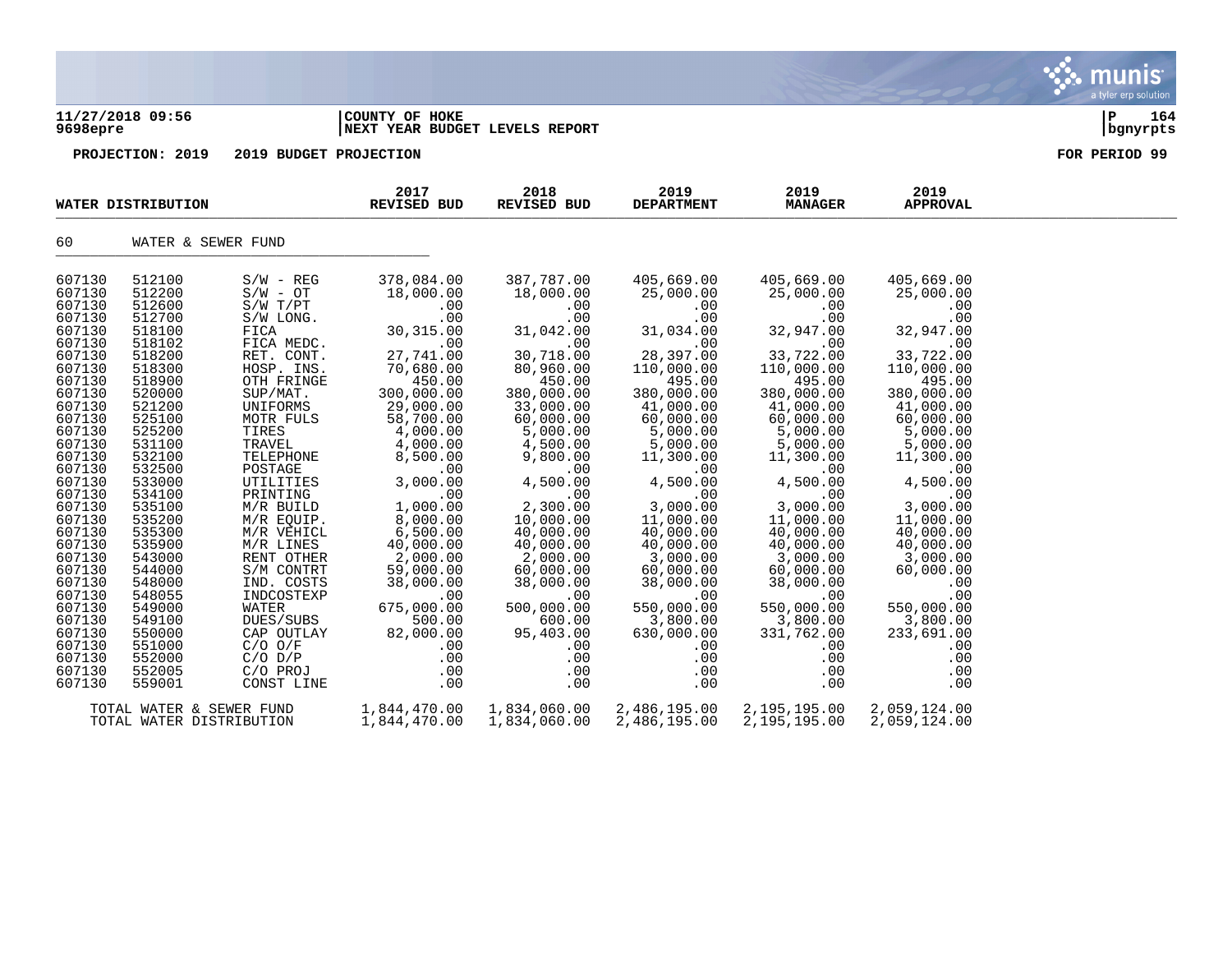| 9698epre                                                                                                                                                                         | 11/27/2018 09:56                                                                                                                                                                 |                                                                                                                                                                                                                             | COUNTY OF HOKE<br>NEXT YEAR BUDGET LEVELS REPORT                                                                                                                                                     | 164<br>P<br>bgnyrpts                                                                                                                                                                                |                                                                                                                                                                                                       |                                                                                                                                                                                                       |                                                                                                                                                                                                       |               |
|----------------------------------------------------------------------------------------------------------------------------------------------------------------------------------|----------------------------------------------------------------------------------------------------------------------------------------------------------------------------------|-----------------------------------------------------------------------------------------------------------------------------------------------------------------------------------------------------------------------------|------------------------------------------------------------------------------------------------------------------------------------------------------------------------------------------------------|-----------------------------------------------------------------------------------------------------------------------------------------------------------------------------------------------------|-------------------------------------------------------------------------------------------------------------------------------------------------------------------------------------------------------|-------------------------------------------------------------------------------------------------------------------------------------------------------------------------------------------------------|-------------------------------------------------------------------------------------------------------------------------------------------------------------------------------------------------------|---------------|
|                                                                                                                                                                                  | PROJECTION: 2019                                                                                                                                                                 | 2019 BUDGET PROJECTION                                                                                                                                                                                                      |                                                                                                                                                                                                      |                                                                                                                                                                                                     |                                                                                                                                                                                                       |                                                                                                                                                                                                       |                                                                                                                                                                                                       | FOR PERIOD 99 |
|                                                                                                                                                                                  | WATER DISTRIBUTION                                                                                                                                                               |                                                                                                                                                                                                                             | 2017<br>2018<br>2019<br><b>REVISED BUD</b><br>REVISED BUD<br><b>DEPARTMENT</b>                                                                                                                       |                                                                                                                                                                                                     | 2019<br><b>MANAGER</b>                                                                                                                                                                                | 2019<br><b>APPROVAL</b>                                                                                                                                                                               |                                                                                                                                                                                                       |               |
| 60                                                                                                                                                                               | WATER & SEWER FUND                                                                                                                                                               |                                                                                                                                                                                                                             |                                                                                                                                                                                                      |                                                                                                                                                                                                     |                                                                                                                                                                                                       |                                                                                                                                                                                                       |                                                                                                                                                                                                       |               |
| 607130<br>607130<br>607130<br>607130<br>607130<br>607130<br>607130<br>607130<br>607130<br>607130<br>607130<br>607130<br>607130<br>607130<br>607130<br>607130<br>607130<br>607130 | 512100<br>512200<br>512600<br>512700<br>518100<br>518102<br>518200<br>518300<br>518900<br>520000<br>521200<br>525100<br>525200<br>531100<br>532100<br>532500<br>533000<br>534100 | $S/W - REG$<br>$S/W - OT$<br>S/W T/PT<br>S/W LONG.<br>FICA<br>FICA MEDC.<br>RET. CONT.<br>HOSP. INS.<br>OTH FRINGE<br>SUP/MAT.<br>UNIFORMS<br>MOTR FULS<br>TIRES<br>TRAVEL<br>TELEPHONE<br>POSTAGE<br>UTILITIES<br>PRINTING | 378,084.00<br>18,000.00<br>.00<br>.00<br>30, 315.00<br>.00<br>27,741.00<br>70,680.00<br>450.00<br>300,000.00<br>29,000.00<br>58,700.00<br>4,000.00<br>4,000.00<br>8,500.00<br>.00<br>3,000.00<br>.00 | 387,787.00<br>18,000.00<br>.00<br>.00<br>31,042.00<br>.00<br>30,718.00<br>80,960.00<br>450.00<br>380,000.00<br>33,000.00<br>60,000.00<br>5,000.00<br>4,500.00<br>9,800.00<br>.00<br>4,500.00<br>.00 | 405,669.00<br>25,000.00<br>.00<br>.00<br>31,034.00<br>.00<br>28,397.00<br>110,000.00<br>495.00<br>380,000.00<br>41,000.00<br>60,000.00<br>5,000.00<br>5,000.00<br>11,300.00<br>.00<br>4,500.00<br>.00 | 405,669.00<br>25,000.00<br>.00<br>.00<br>32,947.00<br>.00<br>33,722.00<br>110,000.00<br>495.00<br>380,000.00<br>41,000.00<br>60,000.00<br>5,000.00<br>5,000.00<br>11,300.00<br>.00<br>4,500.00<br>.00 | 405,669.00<br>25,000.00<br>.00<br>.00<br>32,947.00<br>.00<br>33,722.00<br>110,000.00<br>495.00<br>380,000.00<br>41,000.00<br>60,000.00<br>5,000.00<br>5,000.00<br>11,300.00<br>.00<br>4,500.00<br>.00 |               |
| 607130<br>607130<br>607130<br>607130<br>607130<br>607130<br>607130<br>607130<br>607130<br>607130<br>607130<br>607130<br>607130<br>607130<br>607130                               | 535100<br>535200<br>535300<br>535900<br>543000<br>544000<br>548000<br>548055<br>549000<br>549100<br>550000<br>551000<br>552000<br>552005<br>559001                               | M/R BUILD<br>M/R EQUIP.<br>M/R VEHICL<br>M/R LINES<br>RENT OTHER<br>S/M CONTRT<br>IND. COSTS<br>INDCOSTEXP<br><b>WATER</b><br>DUES/SUBS<br>CAP OUTLAY<br>$C/O$ $O/F$<br>$C/O$ $D/P$<br>C/O PROJ<br>CONST LINE               | 1,000.00<br>8,000.00<br>6,500.00<br>40,000.00<br>2,000.00<br>59,000.00<br>38,000.00<br>.00<br>675,000.00<br>500.00<br>82,000.00<br>.00<br>.00<br>.00<br>.00                                          | 2,300.00<br>10,000.00<br>40,000.00<br>40,000.00<br>2,000.00<br>60,000.00<br>38,000.00<br>.00<br>500,000.00<br>600.00<br>95,403.00<br>.00<br>.00<br>.00<br>.00                                       | 3,000.00<br>11,000.00<br>40,000.00<br>40,000.00<br>3,000.00<br>60,000.00<br>38,000.00<br>.00<br>550,000.00<br>3,800.00<br>630,000.00<br>.00<br>.00<br>.00<br>.00                                      | 3,000.00<br>11,000.00<br>40,000.00<br>40,000.00<br>3,000.00<br>60,000.00<br>38,000.00<br>.00<br>550,000.00<br>3,800.00<br>331,762.00<br>.00<br>.00<br>.00<br>.00                                      | 3,000.00<br>11,000.00<br>40,000.00<br>40,000.00<br>3,000.00<br>60,000.00<br>.00<br>.00<br>550,000.00<br>3,800.00<br>233,691.00<br>.00<br>.00<br>.00<br>.00                                            |               |

TOTAL WATER & SEWER FUND 1,844,470.00 1,834,060.00 2,486,195.00 2,195,195.00 2,059,124.00 TOTAL WATER DISTRIBUTION 1,844,470.00 1,834,060.00 2,486,195.00 2,195,195.00 2,059,124.00 a tyler erp solution

m

IİS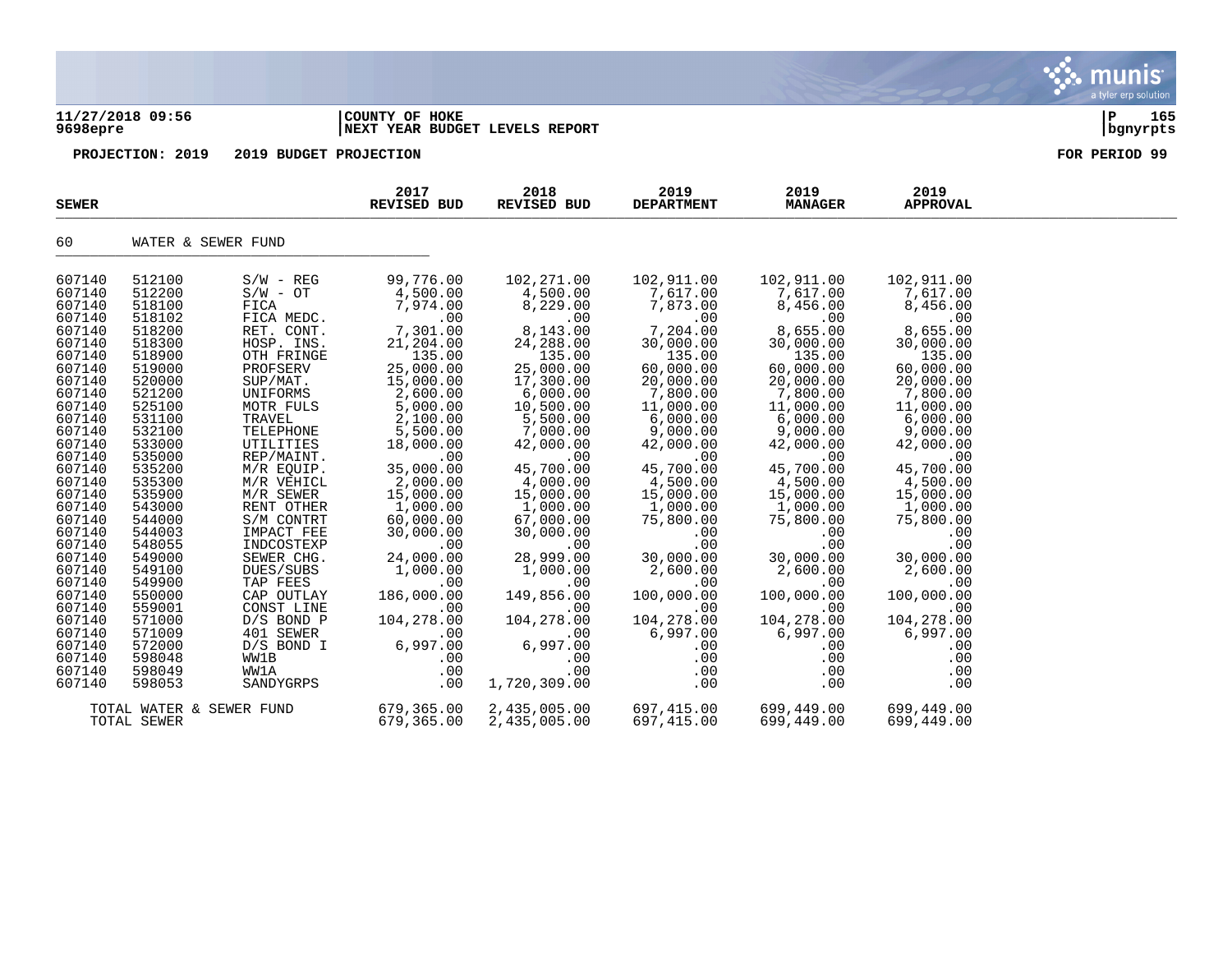## **11/27/2018 09:56 |COUNTY OF HOKE |P 165 9698epre |NEXT YEAR BUDGET LEVELS REPORT |bgnyrpts**

| <b>SEWER</b>     |                          |                         | 2017<br><b>REVISED BUD</b> | 2018<br>REVISED BUD   | 2019<br><b>DEPARTMENT</b> | 2019<br><b>MANAGER</b> | 2019<br><b>APPROVAL</b> |  |
|------------------|--------------------------|-------------------------|----------------------------|-----------------------|---------------------------|------------------------|-------------------------|--|
| 60               | WATER & SEWER FUND       |                         |                            |                       |                           |                        |                         |  |
| 607140           | 512100<br>512200         | $S/W - REG$             | 99,776.00                  | 102,271.00            | 102,911.00                | 102,911.00             | 102,911.00              |  |
| 607140<br>607140 | 518100                   | $S/W - OT$<br>FICA      | 4,500.00<br>7,974.00       | 4,500.00<br>8,229.00  | 7,617.00<br>7,873.00      | 7,617.00<br>8,456.00   | 7,617.00<br>8,456.00    |  |
| 607140           | 518102                   | FICA MEDC.              | .00                        | .00                   | .00                       | .00                    | .00                     |  |
| 607140           | 518200                   | RET. CONT.              | 7,301.00                   | 8,143.00              | 7,204.00                  | 8,655.00               | 8,655.00                |  |
| 607140           | 518300                   | HOSP. INS.              | 21,204.00                  | 24,288.00             | 30,000.00                 | 30,000.00              | 30,000.00               |  |
| 607140           | 518900                   | OTH FRINGE              | 135.00                     | 135.00                | 135.00                    | 135.00                 | 135.00                  |  |
| 607140           | 519000                   | PROFSERV                | 25,000.00                  | 25,000.00             | 60,000.00                 | 60,000.00              | 60,000.00               |  |
| 607140           | 520000                   | SUP/MAT.                | 15,000.00                  | 17,300.00             | 20,000.00                 | 20,000.00              | 20,000.00               |  |
| 607140           | 521200                   | UNIFORMS                | 2,600.00                   | 6,000.00              | 7,800.00                  | 7,800.00               | 7,800.00                |  |
| 607140<br>607140 | 525100<br>531100         | MOTR FULS<br>TRAVEL     | 5,000.00<br>2,100.00       | 10,500.00<br>5,500.00 | 11,000.00<br>6,000.00     | 11,000.00<br>6,000.00  | 11,000.00<br>6,000.00   |  |
| 607140           | 532100                   | TELEPHONE               | 5,500.00                   | 7,000.00              | 9,000.00                  | 9,000.00               | 9,000.00                |  |
| 607140           | 533000                   | UTILITIES               | 18,000.00                  | 42,000.00             | 42,000.00                 | 42,000.00              | 42,000.00               |  |
| 607140           | 535000                   | REP/MAINT.              | .00                        | .00                   | .00                       | .00                    | .00                     |  |
| 607140           | 535200                   | M/R EQUIP.              | 35,000.00                  | 45,700.00             | 45,700.00                 | 45,700.00              | 45,700.00               |  |
| 607140           | 535300                   | M/R VEHICL              | 2,000.00                   | 4,000.00              | 4,500.00                  | 4,500.00               | 4,500.00                |  |
| 607140           | 535900                   | M/R SEWER               | 15,000.00                  | 15,000.00             | 15,000.00                 | 15,000.00              | 15,000.00               |  |
| 607140           | 543000                   | RENT OTHER              | 1,000.00                   | 1,000.00              | 1,000.00                  | 1,000.00               | 1,000.00                |  |
| 607140           | 544000                   | S/M CONTRT              | 60,000.00                  | 67,000.00             | 75,800.00                 | 75,800.00              | 75,800.00               |  |
| 607140           | 544003                   | IMPACT FEE              | 30,000.00                  | 30,000.00             | .00                       | .00                    | .00                     |  |
| 607140<br>607140 | 548055<br>549000         | INDCOSTEXP              | .00                        | .00<br>28,999.00      | .00                       | .00                    | .00                     |  |
| 607140           | 549100                   | SEWER CHG.<br>DUES/SUBS | 24,000.00<br>1,000.00      | 1,000.00              | 30,000.00<br>2,600.00     | 30,000.00<br>2,600.00  | 30,000.00<br>2,600.00   |  |
| 607140           | 549900                   | TAP FEES                | .00                        | .00                   | .00                       | .00                    | .00                     |  |
| 607140           | 550000                   | CAP OUTLAY              | 186,000.00                 | 149,856.00            | 100,000.00                | 100,000.00             | 100,000.00              |  |
| 607140           | 559001                   | CONST LINE              | .00                        | .00                   | .00                       | .00                    | .00                     |  |
| 607140           | 571000                   | $D/S$ BOND P            | 104,278.00                 | 104,278.00            | 104,278.00                | 104,278.00             | 104,278.00              |  |
| 607140           | 571009                   | 401 SEWER               | .00                        | .00                   | 6,997.00                  | 6,997.00               | 6,997.00                |  |
| 607140           | 572000                   | $D/S$ BOND I            | 6,997.00                   | 6,997.00              | .00                       | .00                    | .00                     |  |
| 607140           | 598048                   | WW1B                    | .00                        | .00                   | .00                       | .00                    | .00                     |  |
| 607140           | 598049                   | WW1A                    | .00                        | .00                   | .00                       | .00                    | .00                     |  |
| 607140           | 598053                   | SANDYGRPS               | .00                        | 1,720,309.00          | .00                       | .00                    | .00                     |  |
|                  | TOTAL WATER & SEWER FUND |                         | 679,365.00                 | 2,435,005.00          | 697,415.00                | 699,449.00             | 699,449.00              |  |
|                  | TOTAL SEWER              |                         | 679,365.00                 | 2,435,005.00          | 697,415.00                | 699,449.00             | 699,449.00              |  |

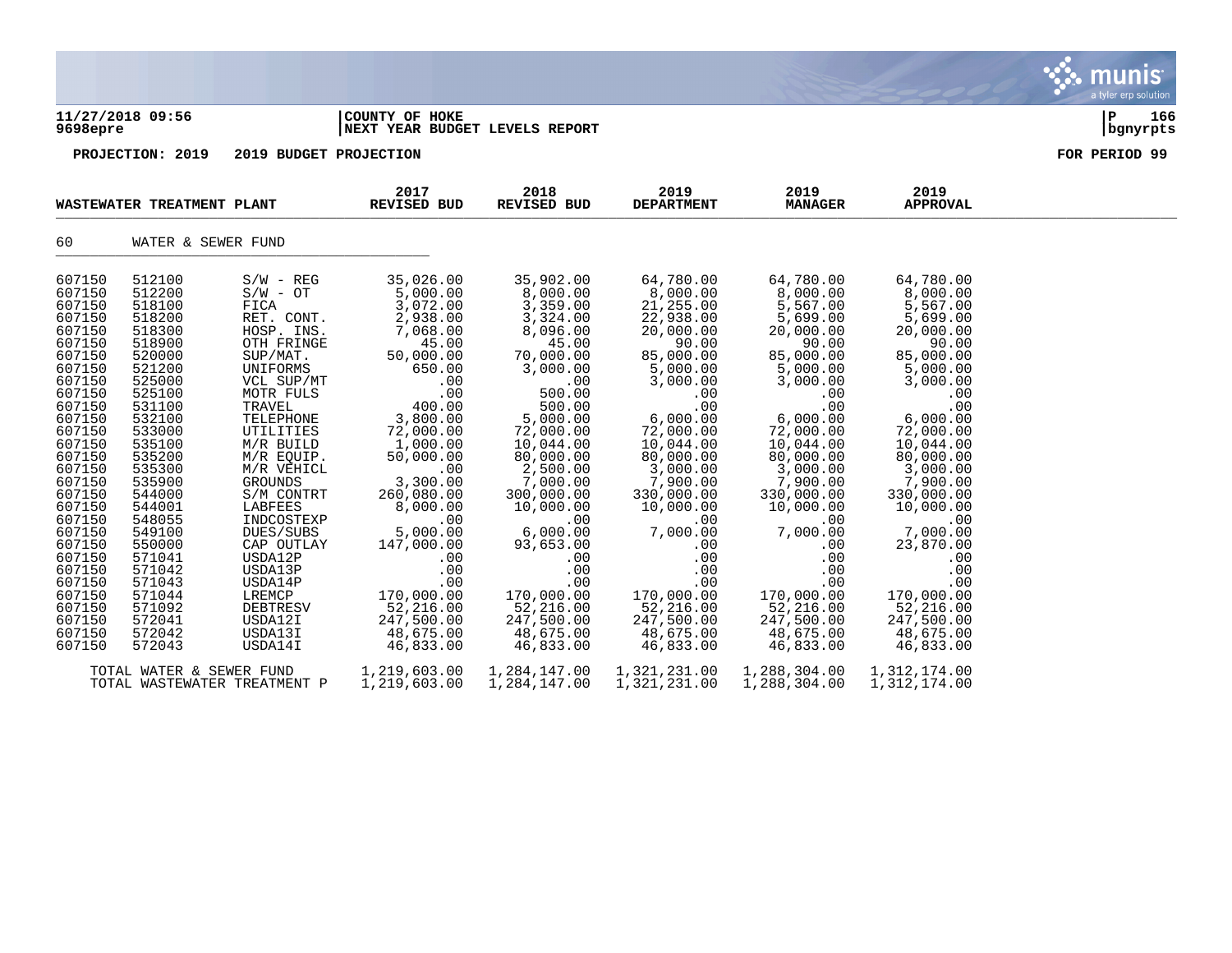| 9698epre                                                                                                                                                                                                                                                                                                 | 11/27/2018 09:56                                                                                                                                                                                                                                                                                                                     |                                                                                                                                                                                                                                                                                                                                                                                         | COUNTY OF HOKE<br>NEXT YEAR BUDGET LEVELS REPORT                                                                                                                                                                                                                                                                                                               |                                                                                                                                                                                                                                                                                                                                                                           |                                                                                                                                                                                                                                                                                                                                                                    |                                                                                                                                                                                                                                                                                                                                                                |                                                                                                                                                                                                                                                                                                                                                                      | 166<br>ΙP<br>bgnyrpts |
|----------------------------------------------------------------------------------------------------------------------------------------------------------------------------------------------------------------------------------------------------------------------------------------------------------|--------------------------------------------------------------------------------------------------------------------------------------------------------------------------------------------------------------------------------------------------------------------------------------------------------------------------------------|-----------------------------------------------------------------------------------------------------------------------------------------------------------------------------------------------------------------------------------------------------------------------------------------------------------------------------------------------------------------------------------------|----------------------------------------------------------------------------------------------------------------------------------------------------------------------------------------------------------------------------------------------------------------------------------------------------------------------------------------------------------------|---------------------------------------------------------------------------------------------------------------------------------------------------------------------------------------------------------------------------------------------------------------------------------------------------------------------------------------------------------------------------|--------------------------------------------------------------------------------------------------------------------------------------------------------------------------------------------------------------------------------------------------------------------------------------------------------------------------------------------------------------------|----------------------------------------------------------------------------------------------------------------------------------------------------------------------------------------------------------------------------------------------------------------------------------------------------------------------------------------------------------------|----------------------------------------------------------------------------------------------------------------------------------------------------------------------------------------------------------------------------------------------------------------------------------------------------------------------------------------------------------------------|-----------------------|
|                                                                                                                                                                                                                                                                                                          | PROJECTION: 2019                                                                                                                                                                                                                                                                                                                     | 2019 BUDGET PROJECTION                                                                                                                                                                                                                                                                                                                                                                  |                                                                                                                                                                                                                                                                                                                                                                |                                                                                                                                                                                                                                                                                                                                                                           |                                                                                                                                                                                                                                                                                                                                                                    |                                                                                                                                                                                                                                                                                                                                                                |                                                                                                                                                                                                                                                                                                                                                                      | FOR PERIOD 99         |
|                                                                                                                                                                                                                                                                                                          | WASTEWATER TREATMENT PLANT                                                                                                                                                                                                                                                                                                           |                                                                                                                                                                                                                                                                                                                                                                                         | 2017<br>REVISED BUD                                                                                                                                                                                                                                                                                                                                            | 2018<br><b>REVISED BUD</b>                                                                                                                                                                                                                                                                                                                                                | 2019<br><b>DEPARTMENT</b>                                                                                                                                                                                                                                                                                                                                          | 2019<br><b>MANAGER</b>                                                                                                                                                                                                                                                                                                                                         | 2019<br><b>APPROVAL</b>                                                                                                                                                                                                                                                                                                                                              |                       |
| 60                                                                                                                                                                                                                                                                                                       | WATER & SEWER FUND                                                                                                                                                                                                                                                                                                                   |                                                                                                                                                                                                                                                                                                                                                                                         |                                                                                                                                                                                                                                                                                                                                                                |                                                                                                                                                                                                                                                                                                                                                                           |                                                                                                                                                                                                                                                                                                                                                                    |                                                                                                                                                                                                                                                                                                                                                                |                                                                                                                                                                                                                                                                                                                                                                      |                       |
| 607150<br>607150<br>607150<br>607150<br>607150<br>607150<br>607150<br>607150<br>607150<br>607150<br>607150<br>607150<br>607150<br>607150<br>607150<br>607150<br>607150<br>607150<br>607150<br>607150<br>607150<br>607150<br>607150<br>607150<br>607150<br>607150<br>607150<br>607150<br>607150<br>607150 | 512100<br>512200<br>518100<br>518200<br>518300<br>518900<br>520000<br>521200<br>525000<br>525100<br>531100<br>532100<br>533000<br>535100<br>535200<br>535300<br>535900<br>544000<br>544001<br>548055<br>549100<br>550000<br>571041<br>571042<br>571043<br>571044<br>571092<br>572041<br>572042<br>572043<br>TOTAL WATER & SEWER FUND | $S/W - REG$<br>$S/W - OT$<br>FICA<br>RET. CONT.<br>HOSP. INS.<br>OTH FRINGE<br>SUP/MAT.<br>UNIFORMS<br>VCL SUP/MT<br>MOTR FULS<br>TRAVEL<br>TELEPHONE<br>UTILITIES<br>M/R BUILD<br>M/R EQUIP.<br>M/R VEHICL<br>GROUNDS<br>S/M CONTRT<br>LABFEES<br>INDCOSTEXP<br>DUES/SUBS<br>CAP OUTLAY<br>USDA12P<br>USDA13P<br>USDA14P<br>LREMCP<br><b>DEBTRESV</b><br>USDA12I<br>USDA13I<br>USDA14I | 35,026.00<br>5,000.00<br>3,072.00<br>2,938.00<br>7,068.00<br>45.00<br>50,000.00<br>650.00<br>.00<br>.00<br>400.00<br>3,800.00<br>72,000.00<br>1,000.00<br>50,000.00<br>.00<br>3,300.00<br>260,080.00<br>8,000.00<br>.00<br>5,000.00<br>147,000.00<br>$.00 \,$<br>.00<br>.00<br>170,000.00<br>52,216.00<br>247,500.00<br>48,675.00<br>46,833.00<br>1,219,603.00 | 35,902.00<br>8,000.00<br>3,359.00<br>3,324.00<br>8,096.00<br>45.00<br>70,000.00<br>3,000.00<br>.00<br>500.00<br>500.00<br>5,000.00<br>72,000.00<br>10,044.00<br>80,000.00<br>2,500.00<br>7,000.00<br>300,000.00<br>10,000.00<br>.00<br>6,000.00<br>93,653.00<br>$.00 \,$<br>.00<br>.00<br>170,000.00<br>52,216.00<br>247,500.00<br>48,675.00<br>46,833.00<br>1,284,147.00 | 64,780.00<br>$8,000.00$<br>21,255.00<br>22,938.00<br>20,000.00<br>90.00<br>85,000.00<br>5,000.00<br>3,000.00<br>.00<br>.00<br>6,000.00<br>72,000.00<br>10,044.00<br>80,000.00<br>3,000.00<br>7,900.00<br>330,000.00<br>10,000.00<br>.00<br>7,000.00<br>.00<br>.00<br>.00<br>.00<br>170,000.00<br>52,216.00<br>247,500.00<br>48,675.00<br>46,833.00<br>1,321,231.00 | 64,780.00<br>8,000.00<br>5,567.00<br>5,699.00<br>20,000.00<br>90.00<br>85,000.00<br>5,000.00<br>3,000.00<br>.00<br>.00<br>6,000.00<br>72,000.00<br>10,044.00<br>80,000.00<br>3,000.00<br>7,900.00<br>330,000.00<br>10,000.00<br>.00<br>7,000.00<br>.00<br>.00<br>.00<br>.00<br>170,000.00<br>52,216.00<br>247,500.00<br>48,675.00<br>46,833.00<br>1,288,304.00 | 64,780.00<br>8,000.00<br>5,567.00<br>5,699.00<br>20,000.00<br>90.00<br>85,000.00<br>5,000.00<br>3,000.00<br>.00<br>.00<br>6,000.00<br>72,000.00<br>10,044.00<br>80,000.00<br>3,000.00<br>7,900.00<br>330,000.00<br>10,000.00<br>.00<br>7,000.00<br>23,870.00<br>.00<br>.00<br>.00<br>170,000.00<br>52,216.00<br>247,500.00<br>48,675.00<br>46,833.00<br>1,312,174.00 |                       |

S. munis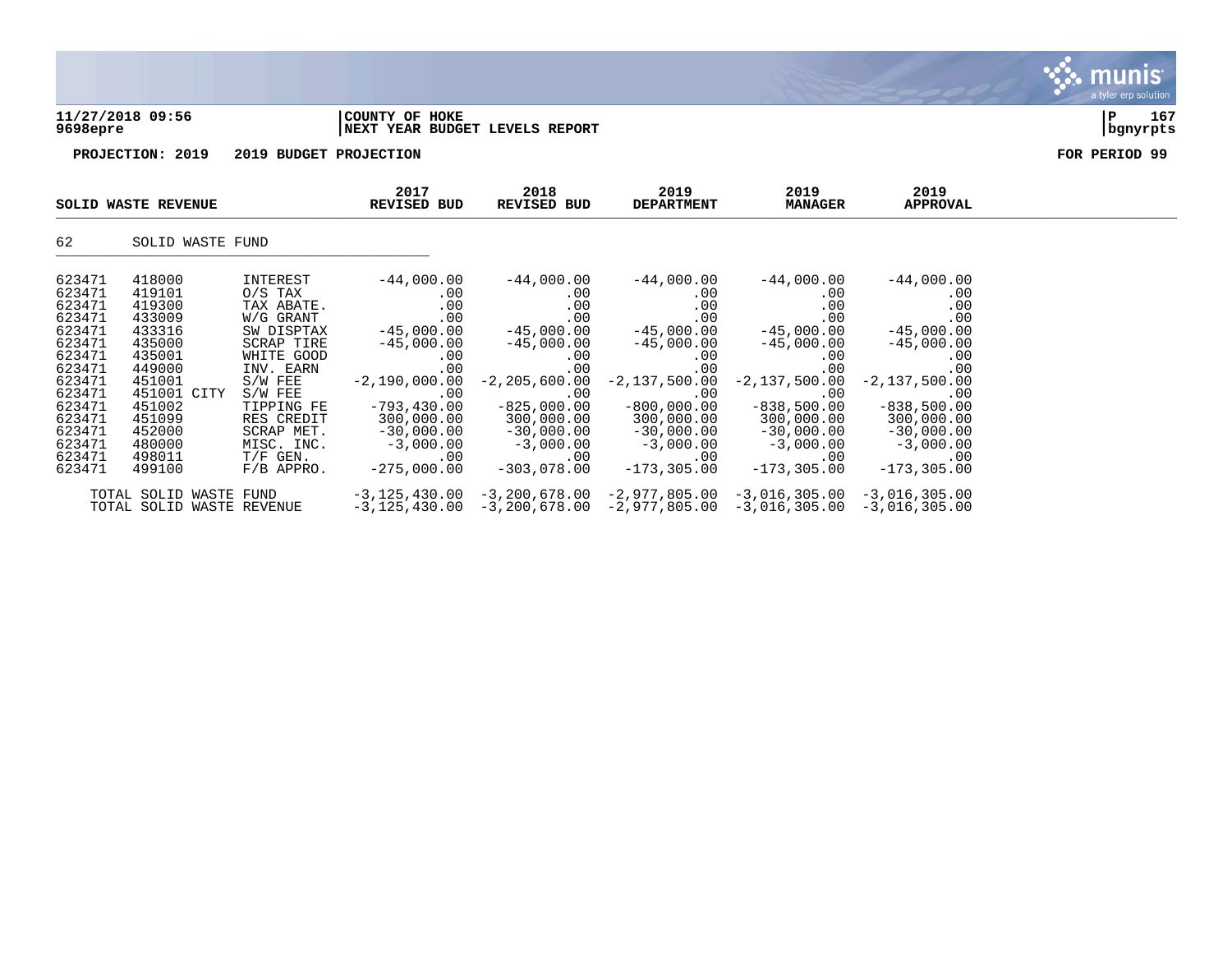**11/27/2018 09:56 |COUNTY OF HOKE |P 167 9698epre |NEXT YEAR BUDGET LEVELS REPORT |bgnyrpts**



|        | SOLID WASTE REVENUE                                 |              | 2017<br>REVISED BUD                | 2018<br>REVISED BUD | 2019<br><b>DEPARTMENT</b>                                                            | 2019<br><b>MANAGER</b> | 2019<br>APPROVAL                   |  |
|--------|-----------------------------------------------------|--------------|------------------------------------|---------------------|--------------------------------------------------------------------------------------|------------------------|------------------------------------|--|
| 62     | SOLID WASTE FUND                                    |              |                                    |                     |                                                                                      |                        |                                    |  |
| 623471 | 418000                                              | INTEREST     | $-44,000.00$                       | $-44,000.00$        | $-44,000.00$                                                                         | $-44,000.00$           | $-44,000.00$                       |  |
| 623471 | 419101                                              | $0/S$ TAX    | $.00 \,$                           | .00                 | .00                                                                                  | .00                    | .00                                |  |
| 623471 | 419300                                              | TAX ABATE.   | $.00 \,$                           | .00                 | .00                                                                                  | .00                    | .00                                |  |
| 623471 | 433009                                              | W/G GRANT    | .00                                | .00                 | .00                                                                                  | .00                    | .00                                |  |
| 623471 | 433316                                              | SW DISPTAX   | $-45,000.00$                       | $-45,000.00$        | $-45,000.00$                                                                         | $-45,000.00$           | $-45,000.00$                       |  |
| 623471 | 435000                                              | SCRAP TIRE   | $-45,000.00$                       | $-45,000.00$        | $-45,000.00$                                                                         | $-45,000.00$           | $-45,000.00$                       |  |
| 623471 | 435001                                              | WHITE GOOD   | .00                                | $.00 \,$            | .00                                                                                  | .00                    | .00                                |  |
| 623471 | 449000                                              | INV. EARN    | .00                                | .00                 | .00                                                                                  | .00                    | .00                                |  |
| 623471 | 451001                                              | $S/W$ FEE    | $-2,190,000.00$                    | $-2, 205, 600.00$   | $-2,137,500.00$                                                                      | $-2,137,500.00$        | $-2,137,500.00$                    |  |
| 623471 | 451001 CITY                                         | $S/W$ FEE    | .00                                | .00                 | .00                                                                                  | .00                    | .00                                |  |
| 623471 | 451002                                              | TIPPING FE   | $-793,430.00$                      | $-825,000.00$       | $-800,000.00$                                                                        | $-838,500.00$          | $-838,500.00$                      |  |
| 623471 | 451099                                              | RES CREDIT   | 300,000.00                         | 300,000.00          | 300,000.00                                                                           | 300,000.00             | 300,000.00                         |  |
| 623471 | 452000                                              | SCRAP MET.   | $-30,000.00$                       | $-30,000.00$        | $-30,000.00$                                                                         | $-30,000.00$           | $-30,000.00$                       |  |
| 623471 | 480000                                              | MISC. INC.   | $-3,000.00$                        | $-3,000.00$         | $-3,000.00$                                                                          | $-3,000.00$            | $-3,000.00$                        |  |
| 623471 | 498011                                              | $T/F$ GEN.   | $.00 \,$                           | .00                 | .00                                                                                  | .00                    | .00                                |  |
| 623471 | 499100                                              | $F/B$ APPRO. | $-275,000.00$                      | $-303,078.00$       | $-173,305.00$                                                                        | $-173,305.00$          | $-173,305.00$                      |  |
|        | TOTAL SOLID WASTE FUND<br>TOTAL SOLID WASTE REVENUE |              | $-3,125,430.00$<br>$-3,125,430.00$ |                     | $-3, 200, 678.00 -2, 977, 805.00$<br>$-3,200,678.00$ $-2,977,805.00$ $-3,016,305.00$ | $-3,016,305.00$        | $-3,016,305.00$<br>$-3,016,305.00$ |  |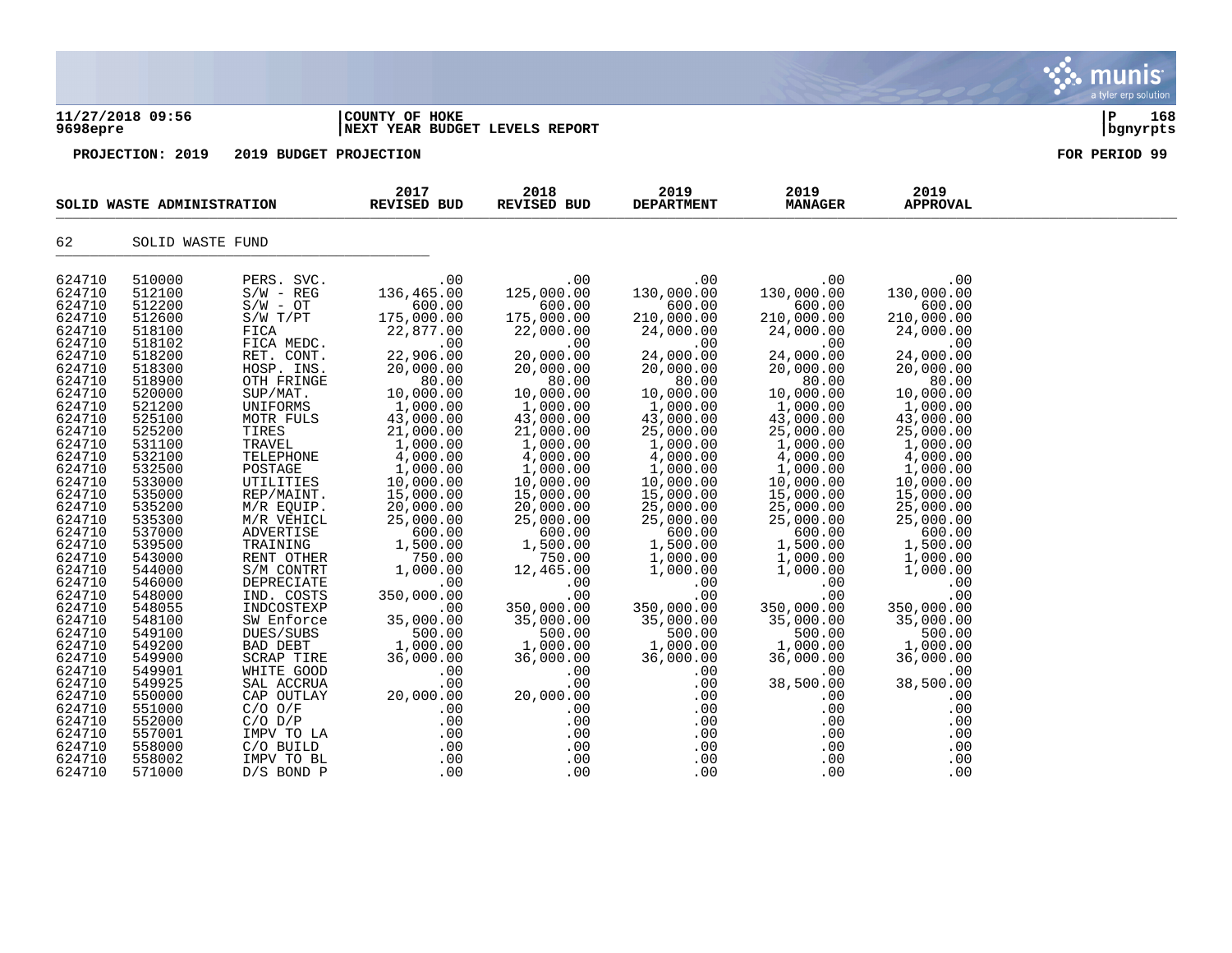| 9698epre                                                                                                                                                                                                                                                                                                                                                             | 11/27/2018 09:56                                                                                                                                                                                                                                                                                                                                                     |                                                                                                                                                                                                                                                                                                                                                                                                                                                                                            | COUNTY OF HOKE<br>NEXT YEAR BUDGET LEVELS REPORT                                                                                                                                                                                                                                                                                                                                                                   |                                                                                                                                                                                                                                                                                                                                                                                                               |                                                                                                                                                                                                                                                                                                                                                                                                                      |                                                                                                                                                                                                                                                                                                                                                                                                                                  |                                                                                                                                                                                                                                                                                                                                                                                                                | l P<br>168<br>bgnyrpts |
|----------------------------------------------------------------------------------------------------------------------------------------------------------------------------------------------------------------------------------------------------------------------------------------------------------------------------------------------------------------------|----------------------------------------------------------------------------------------------------------------------------------------------------------------------------------------------------------------------------------------------------------------------------------------------------------------------------------------------------------------------|--------------------------------------------------------------------------------------------------------------------------------------------------------------------------------------------------------------------------------------------------------------------------------------------------------------------------------------------------------------------------------------------------------------------------------------------------------------------------------------------|--------------------------------------------------------------------------------------------------------------------------------------------------------------------------------------------------------------------------------------------------------------------------------------------------------------------------------------------------------------------------------------------------------------------|---------------------------------------------------------------------------------------------------------------------------------------------------------------------------------------------------------------------------------------------------------------------------------------------------------------------------------------------------------------------------------------------------------------|----------------------------------------------------------------------------------------------------------------------------------------------------------------------------------------------------------------------------------------------------------------------------------------------------------------------------------------------------------------------------------------------------------------------|----------------------------------------------------------------------------------------------------------------------------------------------------------------------------------------------------------------------------------------------------------------------------------------------------------------------------------------------------------------------------------------------------------------------------------|----------------------------------------------------------------------------------------------------------------------------------------------------------------------------------------------------------------------------------------------------------------------------------------------------------------------------------------------------------------------------------------------------------------|------------------------|
|                                                                                                                                                                                                                                                                                                                                                                      | PROJECTION: 2019                                                                                                                                                                                                                                                                                                                                                     | 2019 BUDGET PROJECTION                                                                                                                                                                                                                                                                                                                                                                                                                                                                     |                                                                                                                                                                                                                                                                                                                                                                                                                    |                                                                                                                                                                                                                                                                                                                                                                                                               |                                                                                                                                                                                                                                                                                                                                                                                                                      |                                                                                                                                                                                                                                                                                                                                                                                                                                  |                                                                                                                                                                                                                                                                                                                                                                                                                | FOR PERIOD 99          |
|                                                                                                                                                                                                                                                                                                                                                                      | SOLID WASTE ADMINISTRATION                                                                                                                                                                                                                                                                                                                                           |                                                                                                                                                                                                                                                                                                                                                                                                                                                                                            | 2017<br>REVISED BUD                                                                                                                                                                                                                                                                                                                                                                                                | 2018<br>REVISED BUD                                                                                                                                                                                                                                                                                                                                                                                           | 2019<br><b>DEPARTMENT</b>                                                                                                                                                                                                                                                                                                                                                                                            | 2019<br><b>MANAGER</b>                                                                                                                                                                                                                                                                                                                                                                                                           | 2019<br><b>APPROVAL</b>                                                                                                                                                                                                                                                                                                                                                                                        |                        |
| 62                                                                                                                                                                                                                                                                                                                                                                   | SOLID WASTE FUND                                                                                                                                                                                                                                                                                                                                                     |                                                                                                                                                                                                                                                                                                                                                                                                                                                                                            |                                                                                                                                                                                                                                                                                                                                                                                                                    |                                                                                                                                                                                                                                                                                                                                                                                                               |                                                                                                                                                                                                                                                                                                                                                                                                                      |                                                                                                                                                                                                                                                                                                                                                                                                                                  |                                                                                                                                                                                                                                                                                                                                                                                                                |                        |
| 624710<br>624710<br>624710<br>624710<br>624710<br>624710<br>624710<br>624710<br>624710<br>624710<br>624710<br>624710<br>624710<br>624710<br>624710<br>624710<br>624710<br>624710<br>624710<br>624710<br>624710<br>624710<br>624710<br>624710<br>624710<br>624710<br>624710<br>624710<br>624710<br>624710<br>624710<br>624710<br>624710<br>624710<br>624710<br>624710 | 510000<br>512100<br>512200<br>512600<br>518100<br>518102<br>518200<br>518300<br>518900<br>520000<br>521200<br>525100<br>525200<br>531100<br>532100<br>532500<br>533000<br>535000<br>535200<br>535300<br>537000<br>539500<br>543000<br>544000<br>546000<br>548000<br>548055<br>548100<br>549100<br>549200<br>549900<br>549901<br>549925<br>550000<br>551000<br>552000 | PERS. SVC.<br>$S/W - REG$<br>$S/W - OT$<br>$S/W$ $T/PT$<br>FICA<br>FICA MEDC.<br>RET. CONT.<br>HOSP. INS.<br>OTH FRINGE<br>SUP/MAT.<br>UNIFORMS<br>MOTR FULS<br>TIRES<br>TRAVEL<br>TELEPHONE<br>POSTAGE<br>UTILITIES<br>REP/MAINT.<br>M/R EQUIP.<br>M/R VEHICL<br>ADVERTISE<br>TRAINING<br>RENT OTHER<br>S/M CONTRT<br>DEPRECIATE<br>IND. COSTS<br>INDCOSTEXP<br>SW Enforce<br>DUES/SUBS<br>BAD DEBT<br>SCRAP TIRE<br>WHITE GOOD<br>SAL ACCRUA<br>CAP OUTLAY<br>$C/O$ $O/F$<br>$C/O$ $D/P$ | .00<br>136,465.00<br>600.00<br>175,000.00<br>22,877.00<br>$\sim 00$<br>22,906.00<br>20,000.00<br>80.00<br>10,000.00<br>1,000.00<br>43,000.00<br>21,000.00<br>1,000.00<br>4,000.00<br>1,000.00<br>10,000.00<br>15,000.00<br>20,000.00<br>25,000.00<br>600.00<br>1,500.00<br>750.00<br>1,000.00<br>.00<br>350,000.00<br>.00<br>35,000.00<br>500.00<br>1,000.00<br>36,000.00<br>.00<br>.00<br>20,000.00<br>.00<br>.00 | .00<br>125,000.00<br>600.00<br>175,000.00<br>22,000.00<br>.00<br>20,000.00<br>20,000.00<br>80.00<br>10,000.00<br>1,000.00<br>43,000.00<br>21,000.00<br>1,000.00<br>4,000.00<br>1,000.00<br>10,000.00<br>15,000.00<br>20,000.00<br>25,000.00<br>600.00<br>1,500.00<br>750.00<br>12,465.00<br>.00<br>.00<br>350,000.00<br>35,000.00<br>500.00<br>1,000.00<br>36,000.00<br>.00<br>.00<br>20,000.00<br>.00<br>.00 | .00<br>130,000.00<br>600.00<br>210,000.00<br>24,000.00<br>$\overline{00}$<br>24,000.00<br>20,000.00<br>80.00<br>10,000.00<br>1,000.00<br>43,000.00<br>25,000.00<br>1,000.00<br>4,000.00<br>1,000.00<br>10,000.00<br>15,000.00<br>25,000.00<br>25,000.00<br>600.00<br>1,500.00<br>1,000.00<br>1,000.00<br>.00<br>.00<br>350,000.00<br>35,000.00<br>500.00<br>1,000.00<br>36,000.00<br>.00<br>.00<br>.00<br>.00<br>.00 | .00<br>130,000.00<br>600.00<br>210,000.00<br>24,000.00<br>$00.000$<br>0.0.00 AC<br>24,000.00<br>20,000.00<br>80.00<br>10,000.00<br>1,000.00<br>43,000.00<br>25,000.00<br>1,000.00<br>4,000.00<br>1,000.00<br>10,000.00<br>15,000.00<br>25,000.00<br>25,000.00<br>600.00<br>1,500.00<br>1,000.00<br>1,000.00<br>.00<br>.00<br>350,000.00<br>35,000.00<br>500.00<br>1,000.00<br>36,000.00<br>.00<br>38,500.00<br>.00<br>.00<br>.00 | .00<br>130,000.00<br>600.00<br>210,000.00<br>24,000.00<br>.00<br>24,000.00<br>20,000.00<br>80.00<br>10,000.00<br>1,000.00<br>43,000.00<br>25,000.00<br>1,000.00<br>4,000.00<br>1,000.00<br>10,000.00<br>15,000.00<br>25,000.00<br>25,000.00<br>600.00<br>1,500.00<br>1,000.00<br>1,000.00<br>.00<br>.00<br>350,000.00<br>35,000.00<br>500.00<br>1,000.00<br>36,000.00<br>.00<br>38,500.00<br>.00<br>.00<br>.00 |                        |

 $\frac{1}{2}$  munis

624710 558000 C/O BUILD .00 .00 .00 .00 .00 624710 558002 IMPV TO BL .00 .00 .00 .00 .00 624710 571000 D/S BOND P .00 .00 .00 .00 .00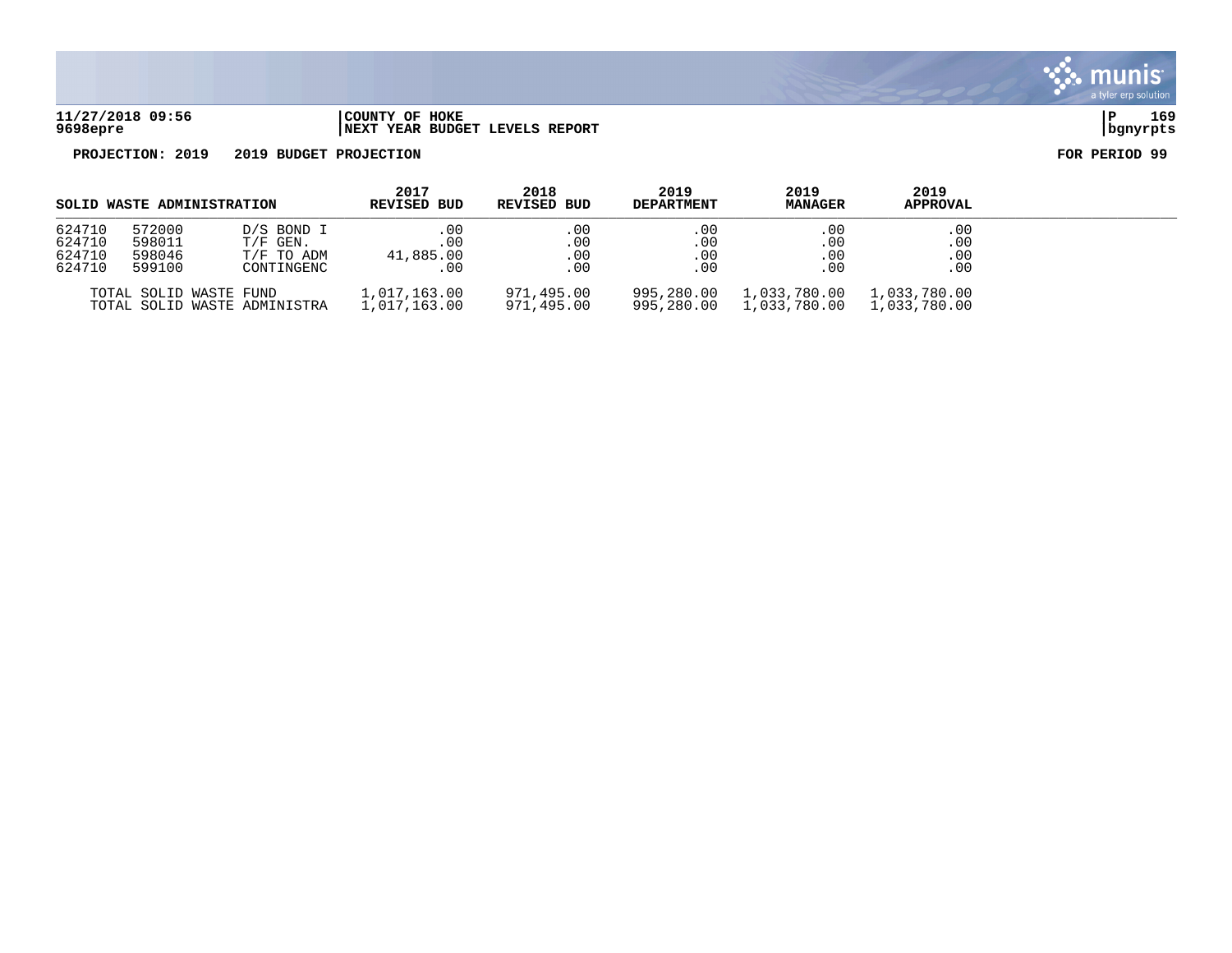

**PROJECTION: 2019 2019 BUDGET PROJECTION FOR PERIOD 99**

| SOLID WASTE ADMINISTRATION           |                                      | 2017<br><b>REVISED BUD</b>                           | 2018<br>REVISED BUD            | 2019<br><b>DEPARTMENT</b> | 2019<br><b>MANAGER</b>   | 2019<br><b>APPROVAL</b>      |                              |  |
|--------------------------------------|--------------------------------------|------------------------------------------------------|--------------------------------|---------------------------|--------------------------|------------------------------|------------------------------|--|
| 624710<br>624710<br>624710<br>624710 | 572000<br>598011<br>598046<br>599100 | D/S BOND I<br>$T/F$ GEN.<br>T/F TO ADM<br>CONTINGENC | .00<br>.00<br>41,885.00<br>.00 | .00<br>.00<br>.00<br>.00  | .00<br>.00<br>.00<br>.00 | .00<br>.00<br>.00<br>.00     | .00<br>.00<br>.00<br>.00     |  |
|                                      | TOTAL SOLID WASTE FUND               | TOTAL SOLID WASTE ADMINISTRA                         | 1,017,163.00<br>1,017,163.00   | 971,495.00<br>971,495.00  | 995,280.00<br>995,280.00 | 1,033,780.00<br>1,033,780.00 | 1,033,780.00<br>1,033,780.00 |  |

munis a tyler erp solution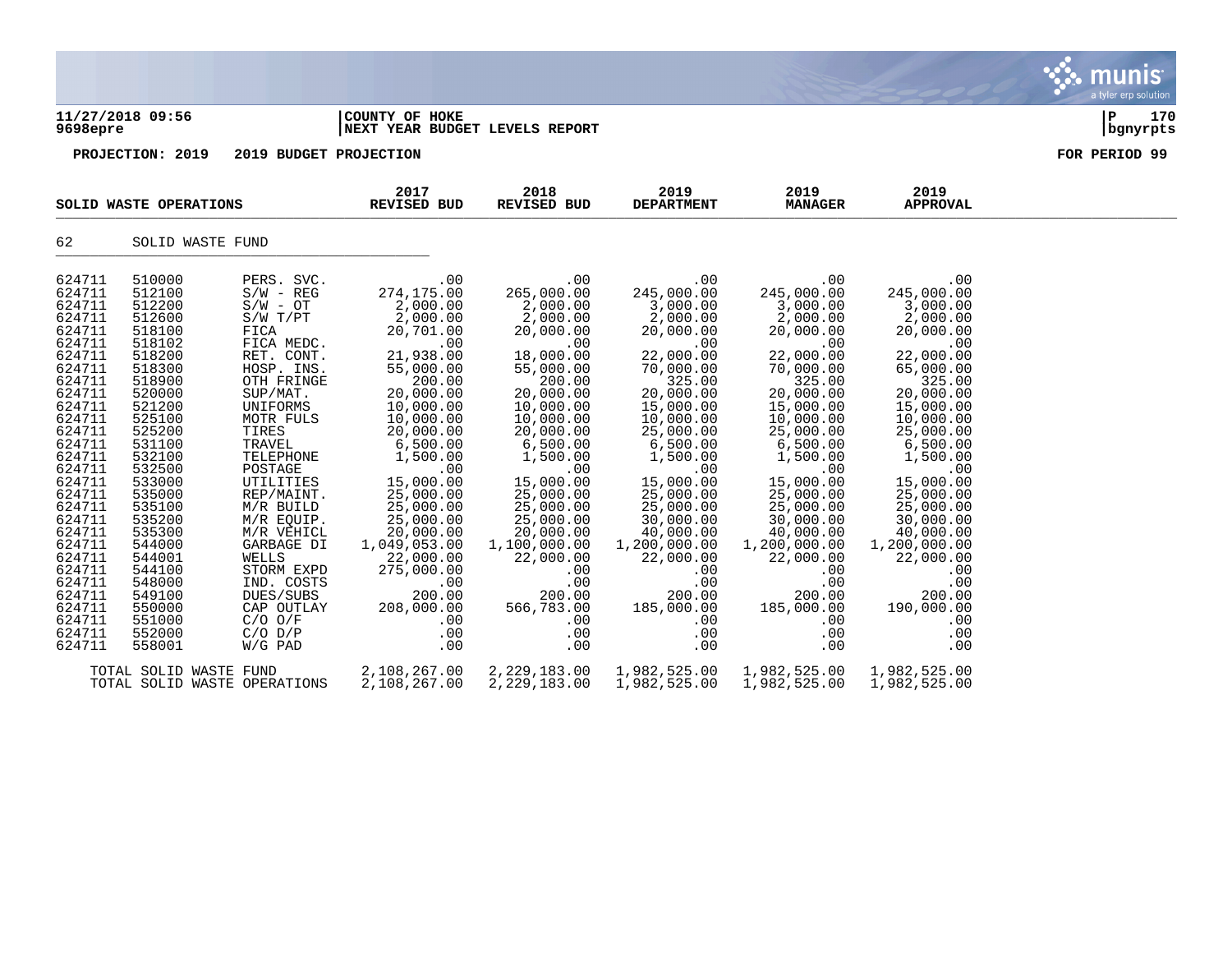|                                                                                                                                                                                                                                                                                                          |                                                                                                                                                                                                                                                                                                          |                                                                                                                                                                                                                                                                                                                                                                                                  |                                                                                                                                                                                                                                                                                                                                                      |                                                                                                                                                                                                                                                                                                                                               |                                                                                                                                                                                                                                                                                                                                               |                                                                                                                                                                                                                                                                                                                                               |                                                                                                                                                                                                                                                                                                                                               | munis<br>a tyler erp solution |
|----------------------------------------------------------------------------------------------------------------------------------------------------------------------------------------------------------------------------------------------------------------------------------------------------------|----------------------------------------------------------------------------------------------------------------------------------------------------------------------------------------------------------------------------------------------------------------------------------------------------------|--------------------------------------------------------------------------------------------------------------------------------------------------------------------------------------------------------------------------------------------------------------------------------------------------------------------------------------------------------------------------------------------------|------------------------------------------------------------------------------------------------------------------------------------------------------------------------------------------------------------------------------------------------------------------------------------------------------------------------------------------------------|-----------------------------------------------------------------------------------------------------------------------------------------------------------------------------------------------------------------------------------------------------------------------------------------------------------------------------------------------|-----------------------------------------------------------------------------------------------------------------------------------------------------------------------------------------------------------------------------------------------------------------------------------------------------------------------------------------------|-----------------------------------------------------------------------------------------------------------------------------------------------------------------------------------------------------------------------------------------------------------------------------------------------------------------------------------------------|-----------------------------------------------------------------------------------------------------------------------------------------------------------------------------------------------------------------------------------------------------------------------------------------------------------------------------------------------|-------------------------------|
| 9698epre                                                                                                                                                                                                                                                                                                 | 11/27/2018 09:56                                                                                                                                                                                                                                                                                         |                                                                                                                                                                                                                                                                                                                                                                                                  | COUNTY OF HOKE<br>NEXT YEAR BUDGET LEVELS REPORT                                                                                                                                                                                                                                                                                                     |                                                                                                                                                                                                                                                                                                                                               |                                                                                                                                                                                                                                                                                                                                               |                                                                                                                                                                                                                                                                                                                                               |                                                                                                                                                                                                                                                                                                                                               | ∣P<br>170<br>bgnyrpts         |
|                                                                                                                                                                                                                                                                                                          | PROJECTION: 2019                                                                                                                                                                                                                                                                                         | 2019 BUDGET PROJECTION                                                                                                                                                                                                                                                                                                                                                                           |                                                                                                                                                                                                                                                                                                                                                      |                                                                                                                                                                                                                                                                                                                                               |                                                                                                                                                                                                                                                                                                                                               |                                                                                                                                                                                                                                                                                                                                               |                                                                                                                                                                                                                                                                                                                                               | FOR PERIOD 99                 |
|                                                                                                                                                                                                                                                                                                          | SOLID WASTE OPERATIONS                                                                                                                                                                                                                                                                                   |                                                                                                                                                                                                                                                                                                                                                                                                  | 2017<br><b>REVISED BUD</b>                                                                                                                                                                                                                                                                                                                           | 2018<br>REVISED BUD                                                                                                                                                                                                                                                                                                                           | 2019<br><b>DEPARTMENT</b>                                                                                                                                                                                                                                                                                                                     | 2019<br><b>MANAGER</b>                                                                                                                                                                                                                                                                                                                        | 2019<br><b>APPROVAL</b>                                                                                                                                                                                                                                                                                                                       |                               |
| 62                                                                                                                                                                                                                                                                                                       | SOLID WASTE FUND                                                                                                                                                                                                                                                                                         |                                                                                                                                                                                                                                                                                                                                                                                                  |                                                                                                                                                                                                                                                                                                                                                      |                                                                                                                                                                                                                                                                                                                                               |                                                                                                                                                                                                                                                                                                                                               |                                                                                                                                                                                                                                                                                                                                               |                                                                                                                                                                                                                                                                                                                                               |                               |
| 624711<br>624711<br>624711<br>624711<br>624711<br>624711<br>624711<br>624711<br>624711<br>624711<br>624711<br>624711<br>624711<br>624711<br>624711<br>624711<br>624711<br>624711<br>624711<br>624711<br>624711<br>624711<br>624711<br>624711<br>624711<br>624711<br>624711<br>624711<br>624711<br>624711 | 510000<br>512100<br>512200<br>512600<br>518100<br>518102<br>518200<br>518300<br>518900<br>520000<br>521200<br>525100<br>525200<br>531100<br>532100<br>532500<br>533000<br>535000<br>535100<br>535200<br>535300<br>544000<br>544001<br>544100<br>548000<br>549100<br>550000<br>551000<br>552000<br>558001 | PERS. SVC.<br>$S/W - REG$<br>$S/W - OT$<br>S/W T/PT<br>FICA<br>FICA MEDC.<br>RET. CONT.<br>HOSP. INS.<br>OTH FRINGE<br>SUP/MAT.<br>UNIFORMS<br>MOTR FULS<br>TIRES<br>TRAVEL<br>TELEPHONE<br>POSTAGE<br>UTILITIES<br>REP/MAINT.<br>M/R BUILD<br>M/R EQUIP.<br>M/R VEHICL<br>GARBAGE DI<br>WELLS<br>STORM EXPD<br>IND. COSTS<br>DUES/SUBS<br>CAP OUTLAY<br>$C/O$ $O/F$<br>$C/O$ $D/P$<br>$W/G$ PAD | .00<br>274,175.00<br>2,000.00<br>2,000.00<br>20,701.00<br>.00<br>21,938.00<br>55,000.00<br>200.00<br>20,000.00<br>10,000.00<br>10,000.00<br>20,000.00<br>6,500.00<br>1,500.00<br>.00<br>15,000.00<br>25,000.00<br>25,000.00<br>25,000.00<br>20,000.00<br>1,049,053.00<br>22,000.00<br>275,000.00<br>.00<br>200.00<br>208,000.00<br>.00<br>.00<br>.00 | .00<br>265,000.00<br>2,000.00<br>2,000.00<br>20,000.00<br>.00<br>18,000.00<br>55,000.00<br>200.00<br>20,000.00<br>10,000.00<br>10,000.00<br>20,000.00<br>6,500.00<br>1,500.00<br>.00<br>15,000.00<br>25,000.00<br>25,000.00<br>25,000.00<br>20,000.00<br>1,100,000.00<br>22,000.00<br>.00<br>.00<br>200.00<br>566,783.00<br>.00<br>.00<br>.00 | .00<br>245,000.00<br>3,000.00<br>2,000.00<br>20,000.00<br>.00<br>22,000.00<br>70,000.00<br>325.00<br>20,000.00<br>15,000.00<br>10,000.00<br>25,000.00<br>6,500.00<br>1,500.00<br>.00<br>15,000.00<br>25,000.00<br>25,000.00<br>30,000.00<br>40,000.00<br>1,200,000.00<br>22,000.00<br>.00<br>.00<br>200.00<br>185,000.00<br>.00<br>.00<br>.00 | .00<br>245,000.00<br>3,000.00<br>2,000.00<br>20,000.00<br>.00<br>22,000.00<br>70,000.00<br>325.00<br>20,000.00<br>15,000.00<br>10,000.00<br>25,000.00<br>6,500.00<br>1,500.00<br>.00<br>15,000.00<br>25,000.00<br>25,000.00<br>30,000.00<br>40,000.00<br>1,200,000.00<br>22,000.00<br>.00<br>.00<br>200.00<br>185,000.00<br>.00<br>.00<br>.00 | .00<br>245,000.00<br>3,000.00<br>2,000.00<br>20,000.00<br>.00<br>22,000.00<br>65,000.00<br>325.00<br>20,000.00<br>15,000.00<br>10,000.00<br>25,000.00<br>6,500.00<br>1,500.00<br>.00<br>15,000.00<br>25,000.00<br>25,000.00<br>30,000.00<br>40,000.00<br>1,200,000.00<br>22,000.00<br>.00<br>.00<br>200.00<br>190,000.00<br>.00<br>.00<br>.00 |                               |
|                                                                                                                                                                                                                                                                                                          | TOTAL SOLID WASTE FUND                                                                                                                                                                                                                                                                                   | TOTAL SOLID WASTE OPERATIONS                                                                                                                                                                                                                                                                                                                                                                     | 2,108,267.00<br>2,108,267.00                                                                                                                                                                                                                                                                                                                         | 2, 229, 183.00<br>2,229,183.00                                                                                                                                                                                                                                                                                                                | 1,982,525.00<br>1,982,525.00                                                                                                                                                                                                                                                                                                                  | 1,982,525.00<br>1,982,525.00                                                                                                                                                                                                                                                                                                                  | 1,982,525.00<br>1,982,525.00                                                                                                                                                                                                                                                                                                                  |                               |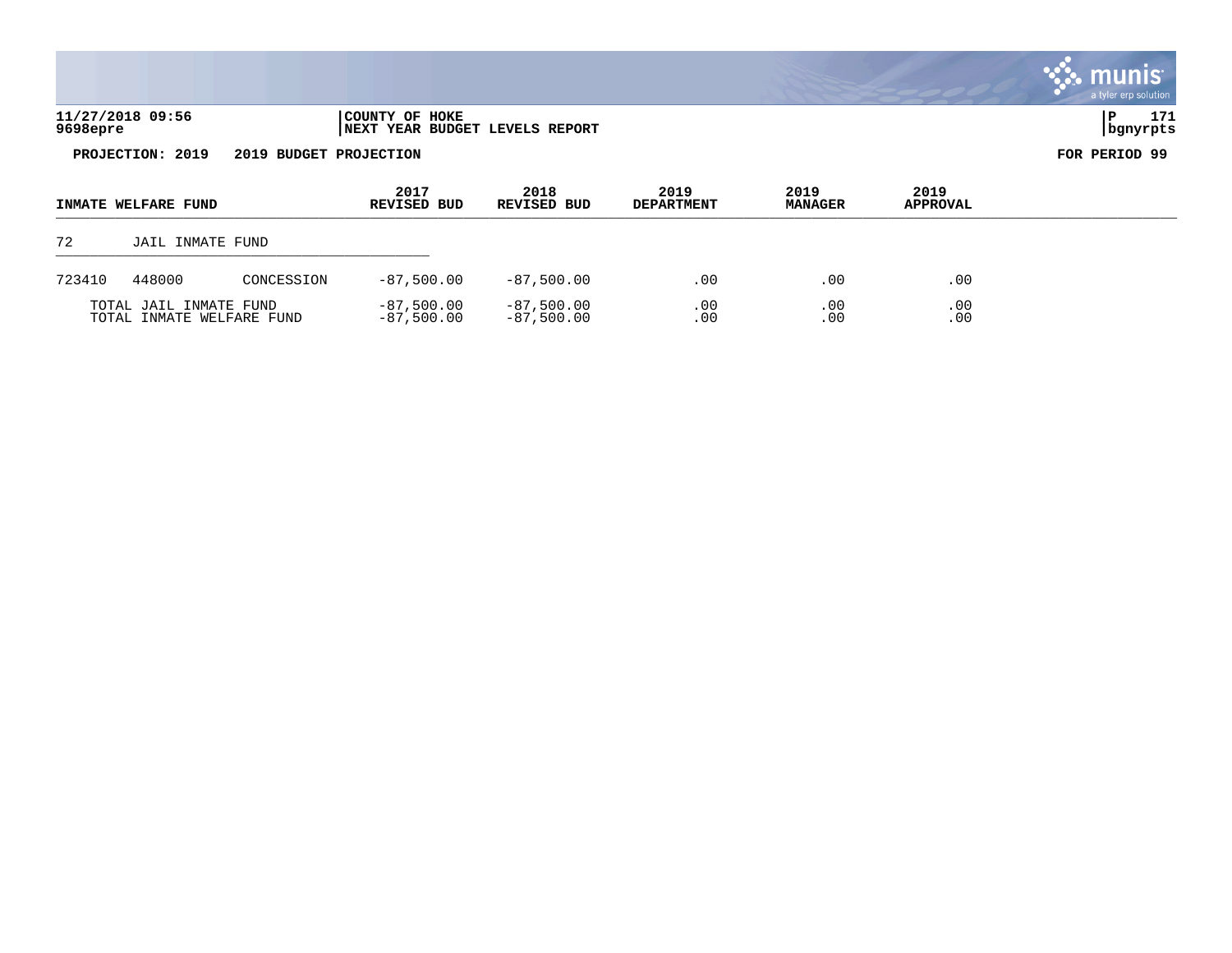|                                            |                        |            |                                                  |                            |                           |                        |                         | <b>::: munis</b><br>a tyler erp solution |
|--------------------------------------------|------------------------|------------|--------------------------------------------------|----------------------------|---------------------------|------------------------|-------------------------|------------------------------------------|
| 9698epre                                   | 11/27/2018 09:56       |            | COUNTY OF HOKE<br>NEXT YEAR BUDGET LEVELS REPORT |                            |                           |                        |                         | $\mathbf{P}$<br>171<br>bgnyrpts          |
| PROJECTION: 2019<br>2019 BUDGET PROJECTION |                        |            |                                                  |                            |                           |                        |                         | FOR PERIOD 99                            |
|                                            | INMATE WELFARE FUND    |            | 2017<br><b>REVISED BUD</b>                       | 2018<br><b>REVISED BUD</b> | 2019<br><b>DEPARTMENT</b> | 2019<br><b>MANAGER</b> | 2019<br><b>APPROVAL</b> |                                          |
| 72                                         | JAIL INMATE FUND       |            |                                                  |                            |                           |                        |                         |                                          |
| 723410                                     | 448000                 | CONCESSION | $-87,500.00$                                     | $-87,500.00$               | .00                       | .00                    | .00                     |                                          |
|                                            | TOTAL JAIL INMATE FUND |            | $-87,500.00$                                     | $-87,500.00$               | .00                       | .00                    | .00                     |                                          |

 $\mathcal{L}$ 

TOTAL INMATE WELFARE FUND -87,500.00 -87,500.00 .00 .00 .00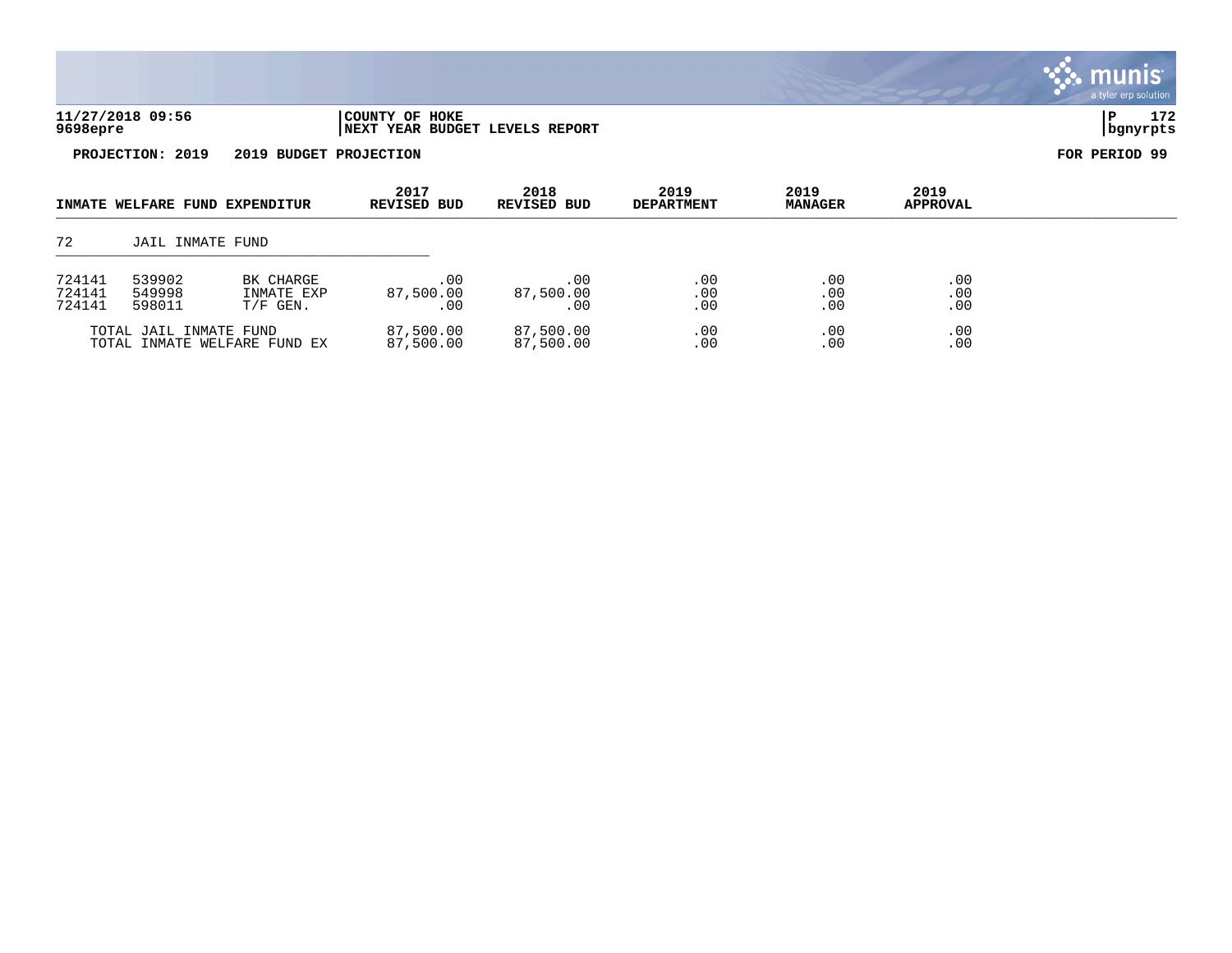|                            |                            |                                       |                                                  |                         |                           |                        |                         | <b>munis</b><br>a tyler erp solution |
|----------------------------|----------------------------|---------------------------------------|--------------------------------------------------|-------------------------|---------------------------|------------------------|-------------------------|--------------------------------------|
| 9698epre                   | 11/27/2018 09:56           |                                       | COUNTY OF HOKE<br>NEXT YEAR BUDGET LEVELS REPORT |                         |                           |                        |                         | 172<br>P<br>  bgnyrpts               |
|                            | PROJECTION: 2019           | 2019 BUDGET PROJECTION                |                                                  |                         |                           |                        |                         | FOR PERIOD 99                        |
|                            |                            | INMATE WELFARE FUND EXPENDITUR        | 2017<br>REVISED BUD                              | 2018<br>REVISED BUD     | 2019<br><b>DEPARTMENT</b> | 2019<br><b>MANAGER</b> | 2019<br><b>APPROVAL</b> |                                      |
| 72                         | <b>JAIL INMATE FUND</b>    |                                       |                                                  |                         |                           |                        |                         |                                      |
| 724141<br>724141<br>724141 | 539902<br>549998<br>598011 | BK CHARGE<br>INMATE EXP<br>$T/F$ GEN. | .00<br>87,500.00<br>.00                          | .00<br>87,500.00<br>.00 | .00<br>.00<br>.00         | .00<br>.00<br>.00      | .00<br>.00<br>.00       |                                      |
|                            | TOTAL JAIL INMATE FUND     |                                       | 87,500.00                                        | 87,500.00               | .00                       | .00                    | .00                     |                                      |

TOTAL INMATE WELFARE FUND EX  $87,500.00$   $87,500.00$   $00$  .00 .00 .00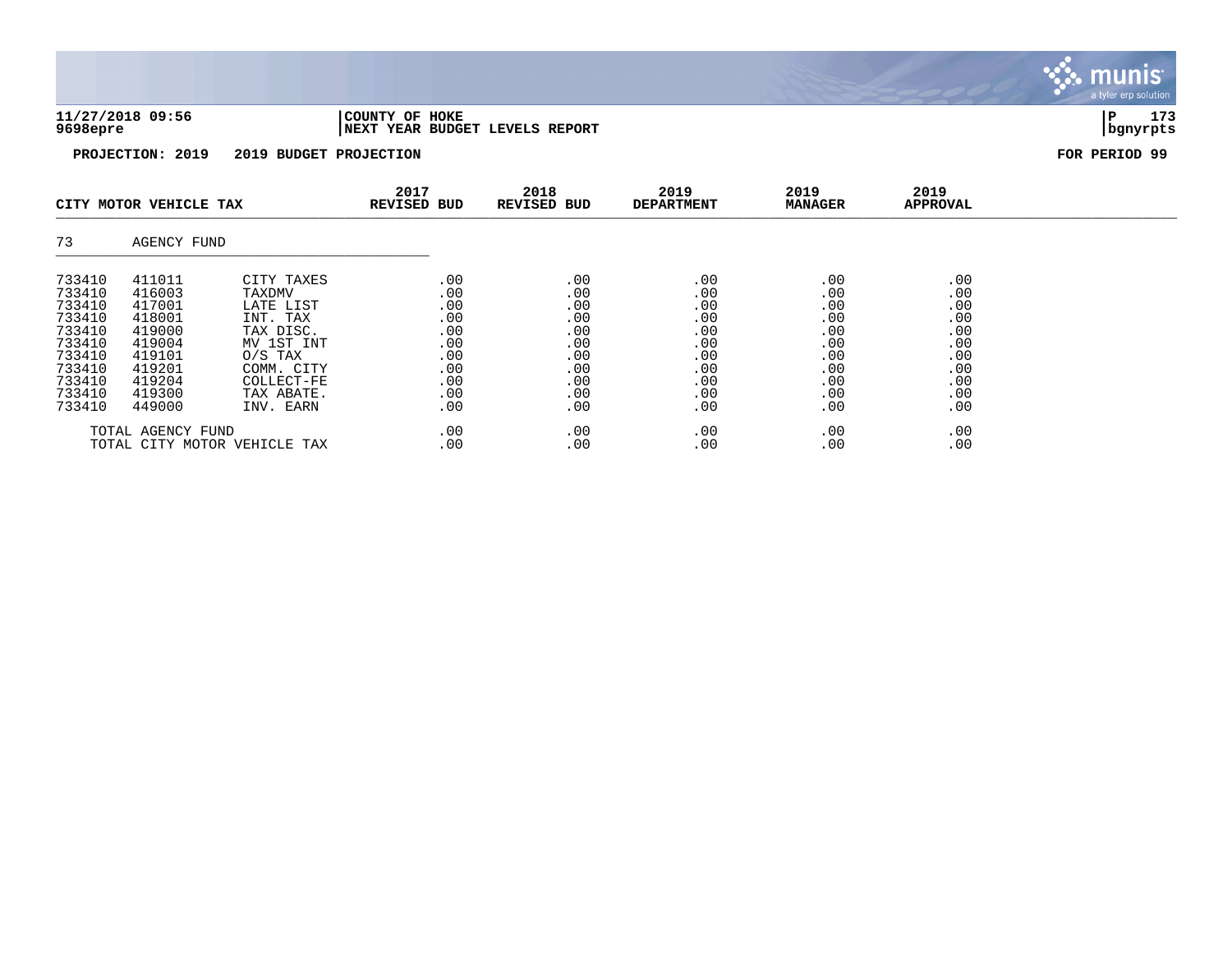| 11/27/2018 09:56 | 'COUNTY OF HOKE                 |          | 173 |
|------------------|---------------------------------|----------|-----|
| 9698epre         | INEXT YEAR BUDGET LEVELS REPORT | banvrpts |     |

munis a tyler erp solution

|                              | CITY MOTOR VEHICLE TAX |            | 2017<br><b>REVISED BUD</b> | 2018<br><b>REVISED BUD</b> | 2019<br><b>DEPARTMENT</b> | 2019<br><b>MANAGER</b> | 2019<br><b>APPROVAL</b> |  |
|------------------------------|------------------------|------------|----------------------------|----------------------------|---------------------------|------------------------|-------------------------|--|
| 73                           | AGENCY FUND            |            |                            |                            |                           |                        |                         |  |
| 733410                       | 411011                 | CITY TAXES | .00                        | .00                        | .00                       | .00                    | .00                     |  |
| 733410                       | 416003                 | TAXDMV     | .00                        | .00                        | .00                       | .00                    | .00                     |  |
| 733410                       | 417001                 | LATE LIST  | .00                        | .00                        | .00                       | .00                    | .00                     |  |
| 733410                       | 418001                 | INT. TAX   | .00                        | .00                        | .00                       | .00                    | .00                     |  |
| 733410                       | 419000                 | TAX DISC.  | .00                        | .00                        | .00                       | .00                    | .00                     |  |
| 733410                       | 419004                 | MV 1ST INT | .00                        | .00                        | .00                       | .00                    | .00                     |  |
| 733410                       | 419101                 | $0/S$ TAX  | .00                        | .00                        | .00                       | .00                    | .00                     |  |
| 733410                       | 419201                 | COMM. CITY | .00                        | .00                        | .00                       | .00                    | .00                     |  |
| 733410                       | 419204                 | COLLECT-FE | .00                        | .00                        | .00                       | .00                    | .00                     |  |
| 733410                       | 419300                 | TAX ABATE. | .00                        | .00                        | .00                       | .00                    | .00                     |  |
| 733410                       | 449000                 | INV. EARN  | .00                        | .00                        | .00                       | .00                    | .00                     |  |
| TOTAL AGENCY FUND            |                        |            | .00                        | .00                        | .00                       | .00                    | .00                     |  |
| TOTAL CITY MOTOR VEHICLE TAX |                        |            | .00                        | .00                        | .00                       | .00                    | .00                     |  |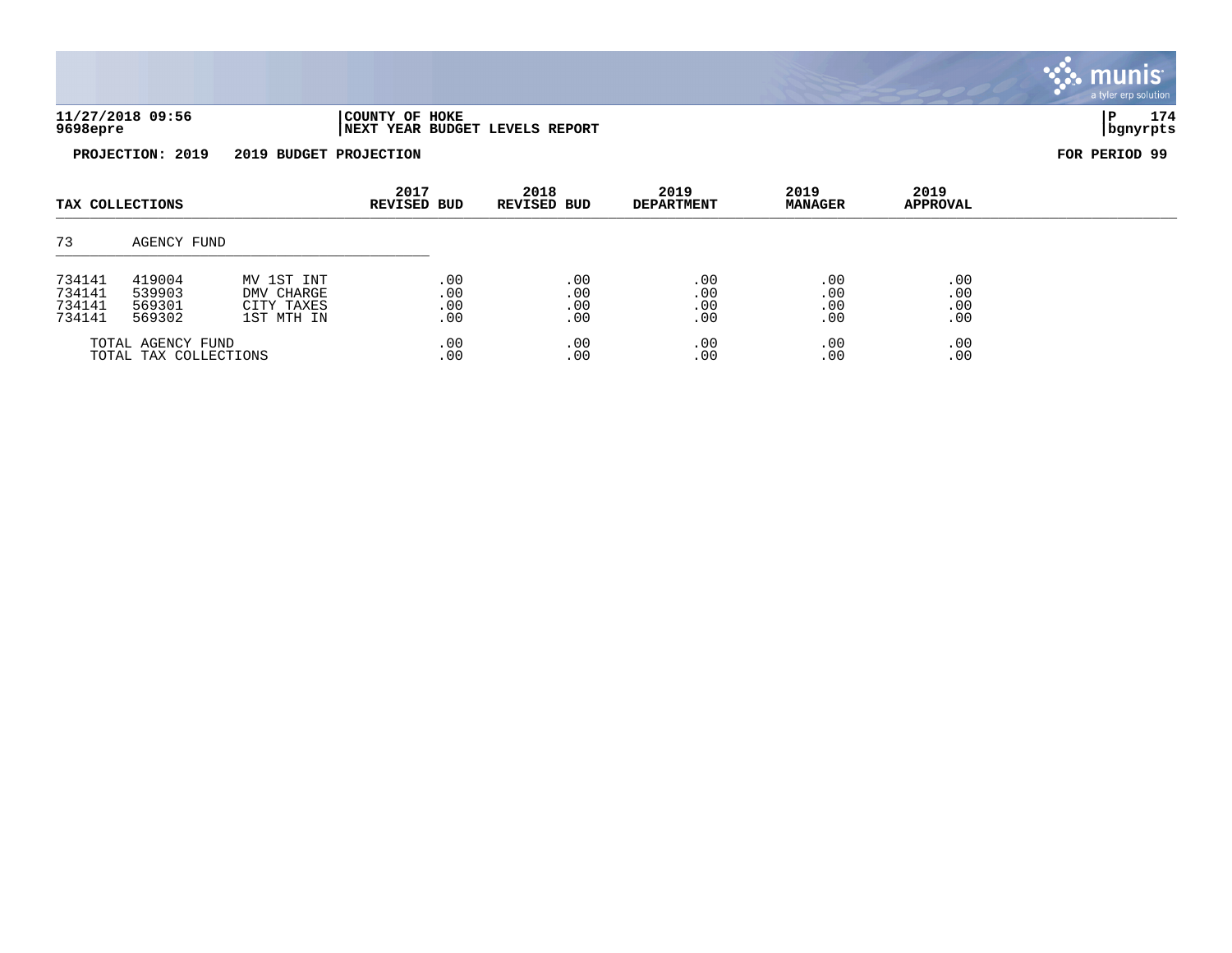| 11/27/2018 09:56 | COUNTY OF<br>HOKE                        |          | 174 |
|------------------|------------------------------------------|----------|-----|
| 9698epre         | YEAR BUDGET LEVELS REPORT<br><b>NEXT</b> | bgnyrpts |     |



| TAX COLLECTIONS       |             | 2017<br><b>REVISED BUD</b> | 2018<br><b>REVISED BUD</b> | 2019<br><b>DEPARTMENT</b> | 2019<br><b>MANAGER</b> | 2019<br>APPROVAL |     |  |
|-----------------------|-------------|----------------------------|----------------------------|---------------------------|------------------------|------------------|-----|--|
| 73                    | AGENCY FUND |                            |                            |                           |                        |                  |     |  |
| 734141                | 419004      | MV 1ST INT                 | .00                        | .00                       | .00                    | .00              | .00 |  |
| 734141                | 539903      | DMV CHARGE                 | .00                        | .00                       | .00                    | .00              | .00 |  |
| 734141                | 569301      | CITY TAXES                 | .00                        | .00                       | .00                    | .00              | .00 |  |
| 734141                | 569302      | 1ST MTH IN                 | .00                        | .00                       | .00                    | .00              | .00 |  |
| TOTAL AGENCY FUND     |             | .00                        | .00                        | .00                       | .00                    | .00              |     |  |
| TOTAL TAX COLLECTIONS |             | .00                        | .00                        | .00                       | .00                    | .00              |     |  |